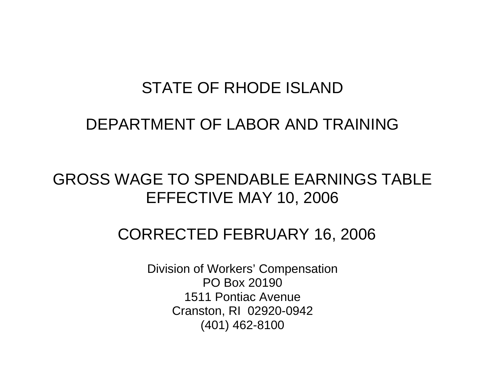# STATE OF RHODE ISLAND

# DEPARTMENT OF LABOR AND TRAINING

# GROSS WAGE TO SPENDABLE EARNINGS TABLE EFFECTIVE MAY 10, 2006

# CORRECTED FEBRUARY 16, 2006

Division of Workers' Compensation PO Box 20190 1511 Pontiac Avenue Cranston, RI 02920-0942 (401) 462-8100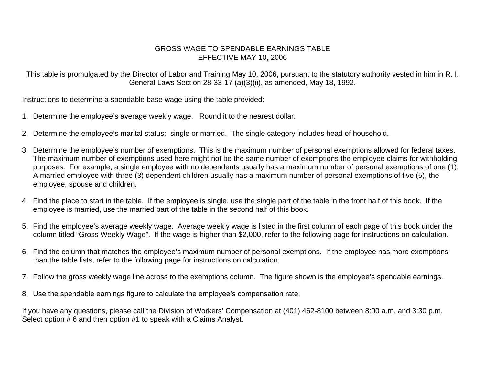# GROSS WAGE TO SPENDABLE EARNINGS TABLE EFFECTIVE MAY 10, 2006

This table is promulgated by the Director of Labor and Training May 10, 2006, pursuant to the statutory authority vested in him in R. I. General Laws Section 28-33-17 (a)(3)(ii), as amended, May 18, 1992.

Instructions to determine a spendable base wage using the table provided:

- 1. Determine the employee's average weekly wage. Round it to the nearest dollar.
- 2. Determine the employee's marital status: single or married. The single category includes head of household.
- 3. Determine the employee's number of exemptions. This is the maximum number of personal exemptions allowed for federal taxes. The maximum number of exemptions used here might not be the same number of exemptions the employee claims for withholding purposes. For example, a single employee with no dependents usually has a maximum number of personal exemptions of one (1). A married employee with three (3) dependent children usually has a maximum number of personal exemptions of five (5), the employee, spouse and children.
- 4. Find the place to start in the table. If the employee is single, use the single part of the table in the front half of this book. If the employee is married, use the married part of the table in the second half of this book.
- 5. Find the employee's average weekly wage. Average weekly wage is listed in the first column of each page of this book under the column titled "Gross Weekly Wage". If the wage is higher than \$2,000, refer to the following page for instructions on calculation.
- 6. Find the column that matches the employee's maximum number of personal exemptions. If the employee has more exemptions than the table lists, refer to the following page for instructions on calculation.
- 7. Follow the gross weekly wage line across to the exemptions column. The figure shown is the employee's spendable earnings.
- 8. Use the spendable earnings figure to calculate the employee's compensation rate.

If you have any questions, please call the Division of Workers' Compensation at (401) 462-8100 between 8:00 a.m. and 3:30 p.m. Select option # 6 and then option #1 to speak with a Claims Analyst.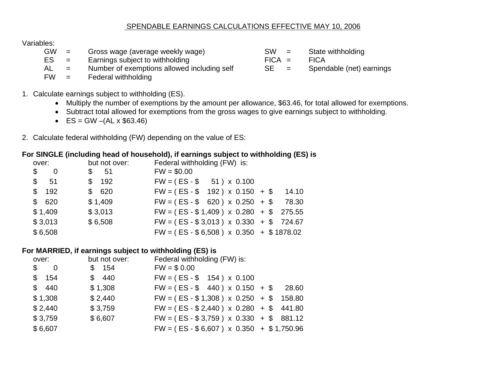# SPENDABLE EARNINGS CALCULATIONS EFFECTIVE MAY 10, 2006

# Variables:

- GW = Gross wage (average weekly wage)  $\begin{array}{rcl} GW & = & \text{State withholding} \\ ES & = & \text{Earninas subject to withholding} \\ \end{array}$
- 
- ES = Earnings subject to withholding FICA = FICA AL = Number of exemptions allowed including self  $SE =$  Spendable (net) earnings FW = Federal withholding
- Federal withholding
- 1. Calculate earnings subject to withholding (ES).
	- Multiply the number of exemptions by the amount per allowance, \$63.46, for total allowed for exemptions.
	- Subtract total allowed for exemptions from the gross wages to give earnings subject to withholding.
	- $ES = GW (AL \times $63.46)$
- 2. Calculate federal withholding (FW) depending on the value of ES:

# **For SINGLE (including head of household), if earnings subject to withholding (ES) is**

| over:                          | but not over: | Federal withholding (FW) is:                 |       |
|--------------------------------|---------------|----------------------------------------------|-------|
| $\mathbb{S}$<br>$\overline{0}$ | 51<br>\$      | $FW = $0.00$                                 |       |
| $\frac{1}{2}$ 51               | \$192         | $FW = (ES - $ 51) \times 0.100$              |       |
| \$ 192                         | \$620         | $FW = (ES - $ 192) \times 0.150 + $$         | 14.10 |
| \$620                          | \$1,409       | $FW = (ES - $ 620) \times 0.250 + $$         | 78.30 |
| \$1,409                        | \$3,013       | $FW = (ES - $1,409) \times 0.280 + $275.55$  |       |
| \$3,013                        | \$6,508       | $FW = (ES - $3,013) \times 0.330 + $724.67$  |       |
| \$6,508                        |               | $FW = (ES - $6,508) \times 0.350 + $1878.02$ |       |

# **For MARRIED, if earnings subject to withholding (ES) is**

| over:                          | but not over: | Federal withholding (FW) is:                  |        |
|--------------------------------|---------------|-----------------------------------------------|--------|
| \$<br>$\overline{\phantom{0}}$ | \$ 154        | $FW = $0.00$                                  |        |
| \$154                          | \$ 440        | $FW = (ES - $ 154) \times 0.100$              |        |
| \$ 440                         | \$1,308       | $FW = (ES - $ 440) \times 0.150 + $$          | 28.60  |
| \$1,308                        | \$2,440       | $FW = (ES - $1,308) \times 0.250 + $$         | 158.80 |
| \$2,440                        | \$3,759       | $FW = (ES - $2,440) \times 0.280 + $441.80$   |        |
| \$3,759                        | \$6,607       | $FW = (ES - $3,759) \times 0.330 + $881.12$   |        |
| \$6,607                        |               | $FW = (ES - $6,607) \times 0.350 + $1,750.96$ |        |

- -
	-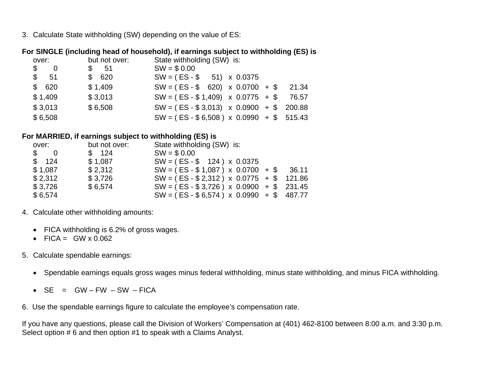3. Calculate State withholding (SW) depending on the value of ES:

# **For SINGLE (including head of household), if earnings subject to withholding (ES) is**

| over:            | but not over:      | State withholding (SW) is:                   |       |
|------------------|--------------------|----------------------------------------------|-------|
| \$<br>- 0        | $\mathbb{S}$<br>51 | $SW = $0.00$                                 |       |
| $\frac{1}{2}$ 51 | \$620              | $SW = (ES - $ 51) \times 0.0375$             |       |
| \$620            | \$1,409            | $SW = (ES - $ 620) \times 0.0700 + $$        | 21.34 |
| \$1,409          | \$3,013            | $SW = (ES - $1,409) \times 0.0775 + $76.57$  |       |
| \$3,013          | \$6,508            | $SW = (ES - $3,013) \times 0.0900 + $200.88$ |       |
| \$6,508          |                    | $SW = (ES - $6,508) \times 0.0990 + $515.43$ |       |

# **For MARRIED, if earnings subject to withholding (ES) is**

| over:                                        | but not over: | State withholding (SW) is:                   |  |
|----------------------------------------------|---------------|----------------------------------------------|--|
| $\begin{matrix} 1 & 0 \\ 0 & 1 \end{matrix}$ | \$124         | $SW = $0.00$                                 |  |
| \$124                                        | \$1,087       | $SW = (ES - $ 124) \times 0.0375$            |  |
| \$1,087                                      | \$2,312       | $SW = (ES - $1,087) \times 0.0700 + $36.11$  |  |
| \$2,312                                      | \$3,726       | $SW = (ES - $2,312) \times 0.0775 + $121.86$ |  |
| \$3,726                                      | \$6,574       | $SW = (ES - $3,726) \times 0.0900 + $231.45$ |  |
| \$6,574                                      |               | $SW = (ES - $6,574) \times 0.0990 + $487.77$ |  |

- 4. Calculate other withholding amounts:
	- FICA withholding is 6.2% of gross wages.
	- FICA =  $GW \times 0.062$
- 5. Calculate spendable earnings:
	- Spendable earnings equals gross wages minus federal withholding, minus state withholding, and minus FICA withholding.
	- $\bullet$  SE = GW-FW-SW-FICA
- 6. Use the spendable earnings figure to calculate the employee's compensation rate.

If you have any questions, please call the Division of Workers' Compensation at (401) 462-8100 between 8:00 a.m. and 3:30 p.m. Select option # 6 and then option #1 to speak with a Claims Analyst.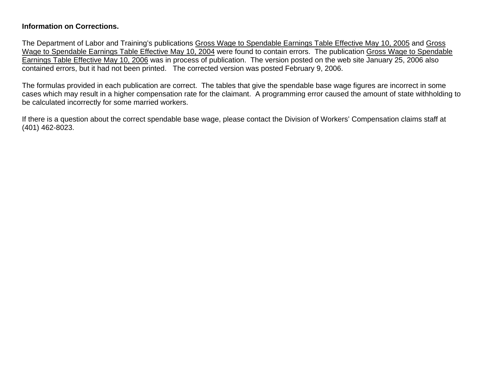# **Information on Corrections.**

The Department of Labor and Training's publications Gross Wage to Spendable Earnings Table Effective May 10, 2005 and Gross Wage to Spendable Earnings Table Effective May 10, 2004 were found to contain errors. The publication Gross Wage to Spendable Earnings Table Effective May 10, 2006 was in process of publication. The version posted on the web site January 25, 2006 also contained errors, but it had not been printed. The corrected version was posted February 9, 2006.

The formulas provided in each publication are correct. The tables that give the spendable base wage figures are incorrect in some cases which may result in a higher compensation rate for the claimant. A programming error caused the amount of state withholding to be calculated incorrectly for some married workers.

If there is a question about the correct spendable base wage, please contact the Division of Workers' Compensation claims staff at (401) 462-8023.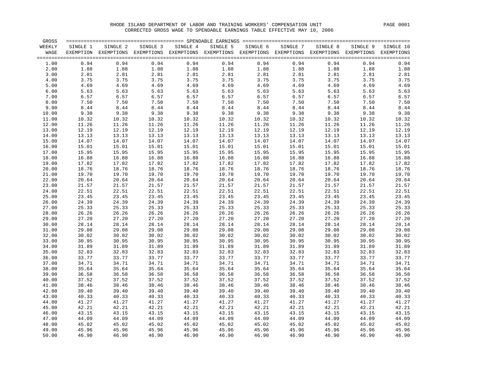| GROSS  |              |              |                                                                                                              |          |          |          |          |          |              |           |
|--------|--------------|--------------|--------------------------------------------------------------------------------------------------------------|----------|----------|----------|----------|----------|--------------|-----------|
| WEEKLY | SINGLE 1     | SINGLE 2     | SINGLE 3                                                                                                     | SINGLE 4 | SINGLE 5 | SINGLE 6 | SINGLE 7 | SINGLE 8 | SINGLE 9     | SINGLE 10 |
| WAGE   |              |              | EXEMPTION EXEMPTIONS EXEMPTIONS EXEMPTIONS EXEMPTIONS EXEMPTIONS EXEMPTIONS EXEMPTIONS EXEMPTIONS EXEMPTIONS |          |          |          |          |          |              |           |
|        |              |              |                                                                                                              |          |          |          |          |          |              |           |
| 1.00   | 0.94         | 0.94         | 0.94                                                                                                         | 0.94     | 0.94     | 0.94     | 0.94     | 0.94     | 0.94         | 0.94      |
| 2.00   | 1.88         | 1.88         | 1.88                                                                                                         | 1.88     | 1.88     | 1.88     | 1.88     | 1.88     | 1.88         | 1.88      |
| 3.00   | 2.81         | 2.81         | 2.81                                                                                                         | 2.81     | 2.81     | 2.81     | 2.81     | 2.81     | 2.81         | 2.81      |
| 4.00   | 3.75         | 3.75         | 3.75                                                                                                         | 3.75     | 3.75     | 3.75     | 3.75     | 3.75     | 3.75         | 3.75      |
| 5.00   | 4.69         | 4.69         | 4.69                                                                                                         | 4.69     | 4.69     | 4.69     | 4.69     | 4.69     | 4.69         | 4.69      |
| 6.00   | 5.63         | 5.63         | 5.63                                                                                                         | 5.63     | 5.63     | 5.63     | 5.63     | 5.63     | 5.63         | 5.63      |
| 7.00   | 6.57         | 6.57         | 6.57                                                                                                         | 6.57     | 6.57     | 6.57     | 6.57     | 6.57     | 6.57         | 6.57      |
| 8.00   | 7.50         | 7.50         | 7.50                                                                                                         | 7.50     | 7.50     | 7.50     | 7.50     | 7.50     | 7.50         | 7.50      |
| 9.00   |              |              | 8.44                                                                                                         |          | 8.44     | 8.44     |          | 8.44     |              | $8\,.44$  |
|        | 8.44<br>9.38 | 8.44<br>9.38 | 9.38                                                                                                         | 8.44     | 9.38     | 9.38     | 8.44     | 9.38     | 8.44<br>9.38 | 9.38      |
| 10.00  |              |              |                                                                                                              | 9.38     |          |          | 9.38     |          |              |           |
| 11.00  | 10.32        | 10.32        | 10.32                                                                                                        | 10.32    | 10.32    | 10.32    | 10.32    | 10.32    | 10.32        | 10.32     |
| 12.00  | 11.26        | 11.26        | 11.26                                                                                                        | 11.26    | 11.26    | 11.26    | 11.26    | 11.26    | 11.26        | 11.26     |
| 13.00  | 12.19        | 12.19        | 12.19                                                                                                        | 12.19    | 12.19    | 12.19    | 12.19    | 12.19    | 12.19        | 12.19     |
| 14.00  | 13.13        | 13.13        | 13.13                                                                                                        | 13.13    | 13.13    | 13.13    | 13.13    | 13.13    | 13.13        | 13.13     |
| 15.00  | 14.07        | 14.07        | 14.07                                                                                                        | 14.07    | 14.07    | 14.07    | 14.07    | 14.07    | 14.07        | 14.07     |
| 16.00  | 15.01        | 15.01        | 15.01                                                                                                        | 15.01    | 15.01    | 15.01    | 15.01    | 15.01    | 15.01        | 15.01     |
| 17.00  | 15.95        | 15.95        | 15.95                                                                                                        | 15.95    | 15.95    | 15.95    | 15.95    | 15.95    | 15.95        | 15.95     |
| 18.00  | 16.88        | 16.88        | 16.88                                                                                                        | 16.88    | 16.88    | 16.88    | 16.88    | 16.88    | 16.88        | 16.88     |
| 19.00  | 17.82        | 17.82        | 17.82                                                                                                        | 17.82    | 17.82    | 17.82    | 17.82    | 17.82    | 17.82        | 17.82     |
| 20.00  | 18.76        | 18.76        | 18.76                                                                                                        | 18.76    | 18.76    | 18.76    | 18.76    | 18.76    | 18.76        | 18.76     |
| 21.00  | 19.70        | 19.70        | 19.70                                                                                                        | 19.70    | 19.70    | 19.70    | 19.70    | 19.70    | 19.70        | 19.70     |
| 22.00  | 20.64        | 20.64        | 20.64                                                                                                        | 20.64    | 20.64    | 20.64    | 20.64    | 20.64    | 20.64        | 20.64     |
| 23.00  | 21.57        | 21.57        | 21.57                                                                                                        | 21.57    | 21.57    | 21.57    | 21.57    | 21.57    | 21.57        | 21.57     |
| 24.00  | 22.51        | 22.51        | 22.51                                                                                                        | 22.51    | 22.51    | 22.51    | 22.51    | 22.51    | 22.51        | 22.51     |
| 25.00  | 23.45        | 23.45        | 23.45                                                                                                        | 23.45    | 23.45    | 23.45    | 23.45    | 23.45    | 23.45        | 23.45     |
| 26.00  | 24.39        | 24.39        | 24.39                                                                                                        | 24.39    | 24.39    | 24.39    | 24.39    | 24.39    | 24.39        | 24.39     |
| 27.00  | 25.33        | 25.33        | 25.33                                                                                                        | 25.33    | 25.33    | 25.33    | 25.33    | 25.33    | 25.33        | 25.33     |
| 28.00  | 26.26        | 26.26        | 26.26                                                                                                        | 26.26    | 26.26    | 26.26    | 26.26    | 26.26    | 26.26        | 26.26     |
| 29.00  | 27.20        | 27.20        | 27.20                                                                                                        | 27.20    | 27.20    | 27.20    | 27.20    | 27.20    | 27.20        | 27.20     |
| 30.00  | 28.14        | 28.14        | 28.14                                                                                                        | 28.14    | 28.14    | 28.14    | 28.14    | 28.14    | 28.14        | 28.14     |
| 31.00  | 29.08        |              | 29.08                                                                                                        | 29.08    | 29.08    | 29.08    | 29.08    | 29.08    | 29.08        | 29.08     |
|        |              | 29.08        |                                                                                                              |          |          |          |          |          |              |           |
| 32.00  | 30.02        | 30.02        | 30.02                                                                                                        | 30.02    | 30.02    | 30.02    | 30.02    | 30.02    | 30.02        | 30.02     |
| 33.00  | 30.95        | 30.95        | 30.95                                                                                                        | 30.95    | 30.95    | 30.95    | 30.95    | 30.95    | 30.95        | 30.95     |
| 34.00  | 31.89        | 31.89        | 31.89                                                                                                        | 31.89    | 31.89    | 31.89    | 31.89    | 31.89    | 31.89        | 31.89     |
| 35.00  | 32.83        | 32.83        | 32.83                                                                                                        | 32.83    | 32.83    | 32.83    | 32.83    | 32.83    | 32.83        | 32.83     |
| 36.00  | 33.77        | 33.77        | 33.77                                                                                                        | 33.77    | 33.77    | 33.77    | 33.77    | 33.77    | 33.77        | 33.77     |
| 37.00  | 34.71        | 34.71        | 34.71                                                                                                        | 34.71    | 34.71    | 34.71    | 34.71    | 34.71    | 34.71        | 34.71     |
| 38.00  | 35.64        | 35.64        | 35.64                                                                                                        | 35.64    | 35.64    | 35.64    | 35.64    | 35.64    | 35.64        | 35.64     |
| 39.00  | 36.58        | 36.58        | 36.58                                                                                                        | 36.58    | 36.58    | 36.58    | 36.58    | 36.58    | 36.58        | 36.58     |
| 40.00  | 37.52        | 37.52        | 37.52                                                                                                        | 37.52    | 37.52    | 37.52    | 37.52    | 37.52    | 37.52        | 37.52     |
| 41.00  | 38.46        | 38.46        | 38.46                                                                                                        | 38.46    | 38.46    | 38.46    | 38.46    | 38.46    | 38.46        | 38.46     |
| 42.00  | 39.40        | 39.40        | 39.40                                                                                                        | 39.40    | 39.40    | 39.40    | 39.40    | 39.40    | 39.40        | 39.40     |
| 43.00  | 40.33        | 40.33        | 40.33                                                                                                        | 40.33    | 40.33    | 40.33    | 40.33    | 40.33    | 40.33        | 40.33     |
| 44.00  | 41.27        | 41.27        | 41.27                                                                                                        | 41.27    | 41.27    | 41.27    | 41.27    | 41.27    | 41.27        | 41.27     |
| 45.00  | 42.21        | 42.21        | 42.21                                                                                                        | 42.21    | 42.21    | 42.21    | 42.21    | 42.21    | 42.21        | 42.21     |
| 46.00  | 43.15        | 43.15        | 43.15                                                                                                        | 43.15    | 43.15    | 43.15    | 43.15    | 43.15    | 43.15        | 43.15     |
| 47.00  | 44.09        | 44.09        | 44.09                                                                                                        | 44.09    | 44.09    | 44.09    | 44.09    | 44.09    | 44.09        | 44.09     |
| 48.00  | 45.02        | 45.02        | 45.02                                                                                                        | 45.02    | 45.02    | 45.02    | 45.02    | 45.02    | 45.02        | 45.02     |
| 49.00  | 45.96        | 45.96        | 45.96                                                                                                        | 45.96    | 45.96    | 45.96    | 45.96    | 45.96    | 45.96        | 45.96     |
| 50.00  | 46.90        | 46.90        | 46.90                                                                                                        | 46.90    | 46.90    | 46.90    | 46.90    | 46.90    | 46.90        | 46.90     |
|        |              |              |                                                                                                              |          |          |          |          |          |              |           |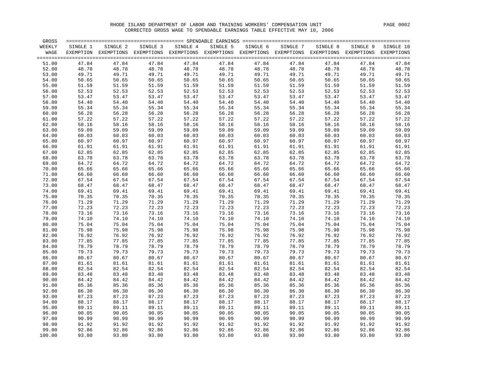| GROSS  |          |          |                                                                                                              |          |          |          |          |          |          | =====           |
|--------|----------|----------|--------------------------------------------------------------------------------------------------------------|----------|----------|----------|----------|----------|----------|-----------------|
| WEEKLY | SINGLE 1 | SINGLE 2 | SINGLE 3                                                                                                     | SINGLE 4 | SINGLE 5 | SINGLE 6 | SINGLE 7 | SINGLE 8 | SINGLE 9 | SINGLE 10       |
| WAGE   |          |          | EXEMPTION EXEMPTIONS EXEMPTIONS EXEMPTIONS EXEMPTIONS EXEMPTIONS EXEMPTIONS EXEMPTIONS EXEMPTIONS EXEMPTIONS |          |          |          |          |          |          |                 |
|        |          |          |                                                                                                              |          |          |          |          |          |          | $=$ $=$ $=$ $=$ |
| 51.00  | 47.84    | 47.84    | 47.84                                                                                                        | 47.84    | 47.84    | 47.84    | 47.84    | 47.84    | 47.84    | 47.84           |
| 52.00  | 48.78    | 48.78    | 48.78                                                                                                        | 48.78    | 48.78    | 48.78    | 48.78    | 48.78    | 48.78    | 48.78           |
| 53.00  | 49.71    | 49.71    | 49.71                                                                                                        | 49.71    | 49.71    | 49.71    | 49.71    | 49.71    | 49.71    | 49.71           |
| 54.00  | 50.65    | 50.65    | 50.65                                                                                                        | 50.65    | 50.65    | 50.65    | 50.65    | 50.65    | 50.65    | 50.65           |
| 55.00  | 51.59    | 51.59    | 51.59                                                                                                        | 51.59    | 51.59    | 51.59    | 51.59    | 51.59    | 51.59    | 51.59           |
| 56.00  | 52.53    | 52.53    | 52.53                                                                                                        | 52.53    | 52.53    | 52.53    | 52.53    | 52.53    | 52.53    | 52.53           |
| 57.00  | 53.47    | 53.47    | 53.47                                                                                                        | 53.47    | 53.47    | 53.47    | 53.47    | 53.47    | 53.47    | 53.47           |
| 58.00  | 54.40    | 54.40    | 54.40                                                                                                        | 54.40    | 54.40    | 54.40    | 54.40    | 54.40    | 54.40    | 54.40           |
| 59.00  | 55.34    | 55.34    | 55.34                                                                                                        | 55.34    | 55.34    | 55.34    | 55.34    | 55.34    | 55.34    | 55.34           |
| 60.00  | 56.28    | 56.28    | 56.28                                                                                                        | 56.28    | 56.28    | 56.28    | 56.28    | 56.28    | 56.28    | 56.28           |
| 61.00  | 57.22    | 57.22    | 57.22                                                                                                        | 57.22    | 57.22    | 57.22    | 57.22    | 57.22    | 57.22    | 57.22           |
|        |          |          |                                                                                                              |          |          | 58.16    |          | 58.16    |          |                 |
| 62.00  | 58.16    | 58.16    | 58.16                                                                                                        | 58.16    | 58.16    |          | 58.16    |          | 58.16    | 58.16           |
| 63.00  | 59.09    | 59.09    | 59.09                                                                                                        | 59.09    | 59.09    | 59.09    | 59.09    | 59.09    | 59.09    | 59.09           |
| 64.00  | 60.03    | 60.03    | 60.03                                                                                                        | 60.03    | 60.03    | 60.03    | 60.03    | 60.03    | 60.03    | 60.03           |
| 65.00  | 60.97    | 60.97    | 60.97                                                                                                        | 60.97    | 60.97    | 60.97    | 60.97    | 60.97    | 60.97    | 60.97           |
| 66.00  | 61.91    | 61.91    | 61.91                                                                                                        | 61.91    | 61.91    | 61.91    | 61.91    | 61.91    | 61.91    | 61.91           |
| 67.00  | 62.85    | 62.85    | 62.85                                                                                                        | 62.85    | 62.85    | 62.85    | 62.85    | 62.85    | 62.85    | 62.85           |
| 68.00  | 63.78    | 63.78    | 63.78                                                                                                        | 63.78    | 63.78    | 63.78    | 63.78    | 63.78    | 63.78    | 63.78           |
| 69.00  | 64.72    | 64.72    | 64.72                                                                                                        | 64.72    | 64.72    | 64.72    | 64.72    | 64.72    | 64.72    | 64.72           |
| 70.00  | 65.66    | 65.66    | 65.66                                                                                                        | 65.66    | 65.66    | 65.66    | 65.66    | 65.66    | 65.66    | 65.66           |
| 71.00  | 66.60    | 66.60    | 66.60                                                                                                        | 66.60    | 66.60    | 66.60    | 66.60    | 66.60    | 66.60    | 66.60           |
| 72.00  | 67.54    | 67.54    | 67.54                                                                                                        | 67.54    | 67.54    | 67.54    | 67.54    | 67.54    | 67.54    | 67.54           |
| 73.00  | 68.47    | 68.47    | 68.47                                                                                                        | 68.47    | 68.47    | 68.47    | 68.47    | 68.47    | 68.47    | 68.47           |
| 74.00  | 69.41    | 69.41    | 69.41                                                                                                        | 69.41    | 69.41    | 69.41    | 69.41    | 69.41    | 69.41    | 69.41           |
| 75.00  | 70.35    | 70.35    | 70.35                                                                                                        | 70.35    | 70.35    | 70.35    | 70.35    | 70.35    | 70.35    | 70.35           |
| 76.00  | 71.29    | 71.29    | 71.29                                                                                                        | 71.29    | 71.29    | 71.29    | 71.29    | 71.29    | 71.29    | 71.29           |
| 77.00  | 72.23    | 72.23    | 72.23                                                                                                        | 72.23    | 72.23    | 72.23    | 72.23    | 72.23    | 72.23    | 72.23           |
| 78.00  | 73.16    | 73.16    | 73.16                                                                                                        | 73.16    | 73.16    | 73.16    | 73.16    | 73.16    | 73.16    | 73.16           |
| 79.00  | 74.10    | 74.10    | 74.10                                                                                                        | 74.10    | 74.10    | 74.10    | 74.10    | 74.10    | 74.10    | 74.10           |
| 80.00  | 75.04    | 75.04    | 75.04                                                                                                        | 75.04    | 75.04    | 75.04    | 75.04    | 75.04    | 75.04    | 75.04           |
| 81.00  | 75.98    | 75.98    | 75.98                                                                                                        | 75.98    | 75.98    | 75.98    | 75.98    | 75.98    | 75.98    | 75.98           |
| 82.00  | 76.92    | 76.92    | 76.92                                                                                                        | 76.92    | 76.92    | 76.92    | 76.92    | 76.92    | 76.92    | 76.92           |
| 83.00  | 77.85    | 77.85    | 77.85                                                                                                        | 77.85    | 77.85    | 77.85    | 77.85    | 77.85    | 77.85    | 77.85           |
| 84.00  | 78.79    | 78.79    | 78.79                                                                                                        | 78.79    | 78.79    | 78.79    | 78.79    | 78.79    | 78.79    | 78.79           |
| 85.00  | 79.73    | 79.73    | 79.73                                                                                                        | 79.73    | 79.73    | 79.73    | 79.73    | 79.73    | 79.73    | 79.73           |
| 86.00  | 80.67    | 80.67    | 80.67                                                                                                        | 80.67    | 80.67    | 80.67    | 80.67    | 80.67    | 80.67    | 80.67           |
| 87.00  | 81.61    | 81.61    | 81.61                                                                                                        | 81.61    | 81.61    | 81.61    | 81.61    | 81.61    | 81.61    | 81.61           |
| 88.00  | 82.54    | 82.54    | 82.54                                                                                                        | 82.54    | 82.54    | 82.54    | 82.54    | 82.54    | 82.54    | 82.54           |
| 89.00  | 83.48    | 83.48    | 83.48                                                                                                        | 83.48    | 83.48    | 83.48    | 83.48    | 83.48    | 83.48    | 83.48           |
| 90.00  | 84.42    | 84.42    | 84.42                                                                                                        | 84.42    | 84.42    | 84.42    | 84.42    | 84.42    | 84.42    | 84.42           |
| 91.00  | 85.36    | 85.36    | 85.36                                                                                                        | 85.36    | 85.36    | 85.36    | 85.36    | 85.36    | 85.36    | 85.36           |
| 92.00  | 86.30    | 86.30    | 86.30                                                                                                        | 86.30    | 86.30    | 86.30    | 86.30    | 86.30    | 86.30    | 86.30           |
| 93.00  | 87.23    | 87.23    | 87.23                                                                                                        | 87.23    | 87.23    | 87.23    | 87.23    | 87.23    | 87.23    | 87.23           |
| 94.00  | 88.17    | 88.17    | 88.17                                                                                                        | 88.17    | 88.17    | 88.17    | 88.17    | 88.17    | 88.17    | 88.17           |
| 95.00  | 89.11    | 89.11    | 89.11                                                                                                        | 89.11    | 89.11    | 89.11    | 89.11    | 89.11    | 89.11    | 89.11           |
| 96.00  | 90.05    | 90.05    | 90.05                                                                                                        | 90.05    | 90.05    | 90.05    | 90.05    | 90.05    | 90.05    | 90.05           |
| 97.00  | 90.99    | 90.99    | 90.99                                                                                                        | 90.99    | 90.99    | 90.99    | 90.99    | 90.99    | 90.99    | 90.99           |
| 98.00  | 91.92    | 91.92    | 91.92                                                                                                        | 91.92    | 91.92    | 91.92    | 91.92    | 91.92    | 91.92    | 91.92           |
| 99.00  | 92.86    | 92.86    | 92.86                                                                                                        | 92.86    | 92.86    | 92.86    | 92.86    | 92.86    | 92.86    | 92.86           |
| 100.00 | 93.80    | 93.80    | 93.80                                                                                                        | 93.80    | 93.80    | 93.80    | 93.80    | 93.80    | 93.80    | 93.80           |
|        |          |          |                                                                                                              |          |          |          |          |          |          |                 |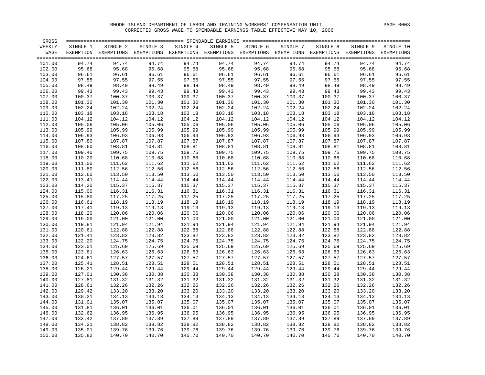| GROSS  |          |          |               |          |               |                                                                                                              |          |               |          |           |
|--------|----------|----------|---------------|----------|---------------|--------------------------------------------------------------------------------------------------------------|----------|---------------|----------|-----------|
| WEEKLY | SINGLE 1 | SINGLE 2 | SINGLE 3      | SINGLE 4 | SINGLE 5      | SINGLE 6                                                                                                     | SINGLE 7 | SINGLE 8      | SINGLE 9 | SINGLE 10 |
| WAGE   |          |          |               |          |               | EXEMPTION EXEMPTIONS EXEMPTIONS EXEMPTIONS EXEMPTIONS EXEMPTIONS EXEMPTIONS EXEMPTIONS EXEMPTIONS EXEMPTIONS |          |               |          |           |
|        |          |          |               |          |               |                                                                                                              |          |               |          | =====     |
| 101.00 | 94.74    | 94.74    | 94.74         | 94.74    | 94.74         | 94.74                                                                                                        | 94.74    | 94.74         | 94.74    | 94.74     |
| 102.00 | 95.68    | 95.68    | 95.68         | 95.68    | 95.68         | 95.68                                                                                                        | 95.68    | 95.68         | 95.68    | 95.68     |
| 103.00 | 96.61    | 96.61    | 96.61         | 96.61    | 96.61         | 96.61                                                                                                        | 96.61    | 96.61         | 96.61    | 96.61     |
| 104.00 | 97.55    | 97.55    | 97.55         | 97.55    | 97.55         | 97.55                                                                                                        | 97.55    | 97.55         | 97.55    | 97.55     |
| 105.00 | 98.49    | 98.49    | 98.49         | 98.49    | 98.49         | 98.49                                                                                                        | 98.49    | 98.49         | 98.49    | 98.49     |
| 106.00 | 99.43    | 99.43    | 99.43         | 99.43    | 99.43         | 99.43                                                                                                        | 99.43    | 99.43         | 99.43    | 99.43     |
| 107.00 | 100.37   | 100.37   | 100.37        | 100.37   | 100.37        | 100.37                                                                                                       | 100.37   | 100.37        | 100.37   | 100.37    |
| 108.00 | 101.30   | 101.30   | 101.30        | 101.30   | 101.30        | 101.30                                                                                                       | 101.30   | 101.30        | 101.30   | 101.30    |
| 109.00 | 102.24   | 102.24   | 102.24        | 102.24   | 102.24        | 102.24                                                                                                       | 102.24   | 102.24        | 102.24   | 102.24    |
| 110.00 | 103.18   | 103.18   | 103.18        | 103.18   | 103.18        | 103.18                                                                                                       | 103.18   | 103.18        | 103.18   | 103.18    |
| 111.00 | 104.12   | 104.12   | 104.12        | 104.12   | 104.12        | 104.12                                                                                                       | 104.12   | 104.12        | 104.12   | 104.12    |
| 112.00 | 105.06   | 105.06   | 105.06        | 105.06   | 105.06        | 105.06                                                                                                       | 105.06   | 105.06        | 105.06   | 105.06    |
| 113.00 | 105.99   | 105.99   | 105.99        | 105.99   | 105.99        | 105.99                                                                                                       | 105.99   | 105.99        | 105.99   | 105.99    |
| 114.00 | 106.93   | 106.93   | 106.93        | 106.93   | 106.93        | 106.93                                                                                                       | 106.93   | 106.93        | 106.93   | 106.93    |
| 115.00 | 107.80   | 107.87   | 107.87        | 107.87   | 107.87        | 107.87                                                                                                       | 107.87   | 107.87        | 107.87   | 107.87    |
| 116.00 | 108.60   | 108.81   | 108.81        | 108.81   | 108.81        | 108.81                                                                                                       | 108.81   | 108.81        | 108.81   | 108.81    |
| 117.00 | 109.40   | 109.75   | 109.75        | 109.75   | 109.75        | 109.75                                                                                                       | 109.75   | 109.75        | 109.75   | 109.75    |
| 118.00 | 110.20   | 110.68   | 110.68        | 110.68   | 110.68        | 110.68                                                                                                       | 110.68   | 110.68        | 110.68   | 110.68    |
| 119.00 | 111.00   | 111.62   | 111.62        | 111.62   | 111.62        | 111.62                                                                                                       | 111.62   | 111.62        | 111.62   | 111.62    |
| 120.00 | 111.80   | 112.56   | 112.56        | 112.56   | 112.56        | 112.56                                                                                                       | 112.56   | 112.56        | 112.56   | 112.56    |
| 121.00 | 112.60   | 113.50   | 113.50        | 113.50   | 113.50        | 113.50                                                                                                       | 113.50   | 113.50        | 113.50   | 113.50    |
| 122.00 | 113.41   | 114.44   | 114.44        | 114.44   | 114.44        | 114.44                                                                                                       | 114.44   | 114.44        | 114.44   | 114.44    |
| 123.00 | 114.20   | 115.37   | 115.37        | 115.37   | 115.37        | 115.37                                                                                                       | 115.37   | 115.37        | 115.37   | 115.37    |
| 124.00 | 115.00   | 116.31   | 116.31        | 116.31   | 116.31        | 116.31                                                                                                       | 116.31   | 116.31        | 116.31   | 116.31    |
| 125.00 | 115.80   | 117.25   | 117.25        | 117.25   | 117.25        | 117.25                                                                                                       | 117.25   | 117.25        | 117.25   | 117.25    |
| 126.00 | 116.61   | 118.19   | 118.19        | 118.19   | 118.19        | 118.19                                                                                                       | 118.19   | 118.19        | 118.19   | 118.19    |
| 127.00 | 117.41   | 119.13   | 119.13        | 119.13   | 119.13        | 119.13                                                                                                       | 119.13   | 119.13        | 119.13   | 119.13    |
| 128.00 | 118.20   | 120.06   | 120.06        | 120.06   | 120.06        | 120.06                                                                                                       | 120.06   | 120.06        | 120.06   | 120.06    |
| 129.00 | 119.00   | 121.00   | 121.00        | 121.00   | 121.00        | 121.00                                                                                                       | 121.00   | 121.00        | 121.00   | 121.00    |
| 130.00 | 119.81   | 121.94   | 121.94        | 121.94   | 121.94        | 121.94                                                                                                       | 121.94   | 121.94        | 121.94   | 121.94    |
| 131.00 | 120.61   | 122.88   | 122.88        | 122.88   | 122.88        | 122.88                                                                                                       | 122.88   | 122.88        | 122.88   | 122.88    |
| 132.00 | 121.41   | 123.82   | 123.82        | 123.82   | 123.82        | 123.82                                                                                                       | 123.82   | 123.82        | 123.82   | 123.82    |
| 133.00 | 122.20   | 124.75   | 124.75        | 124.75   | 124.75        | 124.75                                                                                                       | 124.75   | 124.75        | 124.75   | 124.75    |
| 134.00 | 123.01   | 125.69   | 125.69        | 125.69   | 125.69        | 125.69                                                                                                       | 125.69   | 125.69        | 125.69   | 125.69    |
| 135.00 | 123.81   | 126.63   | 126.63        | 126.63   | 126.63        | 126.63                                                                                                       | 126.63   | 126.63        | 126.63   | 126.63    |
| 136.00 | 124.61   | 127.57   | 127.57        | 127.57   | 127.57        | 127.57                                                                                                       | 127.57   | 127.57        | 127.57   | 127.57    |
| 137.00 | 125.41   | 128.51   | 128.51        | 128.51   | 128.51        | 128.51                                                                                                       | 128.51   | 128.51        | 128.51   | 128.51    |
| 138.00 | 126.21   | 129.44   | 129.44        | 129.44   | 129.44        | 129.44                                                                                                       | 129.44   | 129.44        | 129.44   | 129.44    |
| 139.00 | 127.01   | 130.38   | 130.38        | 130.38   | 130.38        | 130.38                                                                                                       | 130.38   | 130.38        | 130.38   | 130.38    |
| 140.00 | 127.81   | 131.32   | 131.32        | 131.32   | 131.32        | 131.32                                                                                                       | 131.32   | 131.32        | 131.32   | 131.32    |
| 141.00 | 128.61   | 132.26   | 132.26        | 132.26   | 132.26        | 132.26                                                                                                       | 132.26   | 132.26        | 132.26   | 132.26    |
| 142.00 | 129.42   | 133.20   | 133.20        | 133.20   | 133.20        | 133.20                                                                                                       | 133.20   | 133.20        | 133.20   | 133.20    |
| 143.00 | 130.21   | 134.13   | 134.13        | 134.13   | 134.13        | 134.13                                                                                                       | 134.13   | 134.13        | 134.13   | 134.13    |
| 144.00 | 131.01   | 135.07   | 135.07        | 135.07   | 135.07        | 135.07                                                                                                       | 135.07   | 135.07        | 135.07   | 135.07    |
| 145.00 | 131.81   | 136.01   | 136.01        | 136.01   | 136.01        | 136.01                                                                                                       | 136.01   | 136.01        | 136.01   | 136.01    |
| 146.00 | 132.62   | 136.95   | 136.95        | 136.95   | 136.95        | 136.95                                                                                                       | 136.95   | 136.95        | 136.95   | 136.95    |
| 147.00 | 133.42   | 137.89   | 137.89        | 137.89   | 137.89        | 137.89                                                                                                       | 137.89   | 137.89        | 137.89   | 137.89    |
| 148.00 | 134.21   | 138.82   | 138.82        | 138.82   | 138.82        | 138.82                                                                                                       | 138.82   | 138.82        | 138.82   | 138.82    |
| 149.00 | 135.01   | 139.76   | 139.76        | 139.76   | 139.76        | 139.76                                                                                                       | 139.76   | 139.76        | 139.76   | 139.76    |
| 150.00 | 135.82   |          | 140.70 140.70 |          | 140.70 140.70 | 140.70                                                                                                       |          | 140.70 140.70 | 140.70   | 140.70    |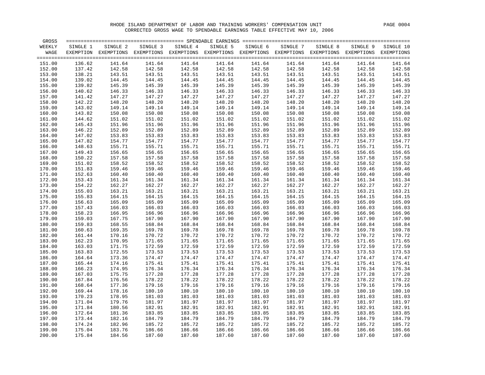| GROSS  |          |                                                                                                              |               |          |               |          |          |               |          |           |
|--------|----------|--------------------------------------------------------------------------------------------------------------|---------------|----------|---------------|----------|----------|---------------|----------|-----------|
| WEEKLY | SINGLE 1 | SINGLE 2                                                                                                     | SINGLE 3      | SINGLE 4 | SINGLE 5      | SINGLE 6 | SINGLE 7 | SINGLE 8      | SINGLE 9 | SINGLE 10 |
| WAGE   |          | EXEMPTION EXEMPTIONS EXEMPTIONS EXEMPTIONS EXEMPTIONS EXEMPTIONS EXEMPTIONS EXEMPTIONS EXEMPTIONS EXEMPTIONS |               |          |               |          |          |               |          |           |
| 151.00 | 136.62   | 141.64                                                                                                       | 141.64        | 141.64   | 141.64        | 141.64   | 141.64   | 141.64        | 141.64   | 141.64    |
| 152.00 | 137.42   | 142.58                                                                                                       | 142.58        | 142.58   | 142.58        | 142.58   | 142.58   | 142.58        | 142.58   | 142.58    |
| 153.00 | 138.21   | 143.51                                                                                                       | 143.51        | 143.51   | 143.51        | 143.51   | 143.51   | 143.51        | 143.51   | 143.51    |
| 154.00 | 139.02   | 144.45                                                                                                       | 144.45        | 144.45   | 144.45        | 144.45   | 144.45   | 144.45        | 144.45   | 144.45    |
| 155.00 | 139.82   | 145.39                                                                                                       | 145.39        | 145.39   | 145.39        | 145.39   | 145.39   | 145.39        | 145.39   | 145.39    |
| 156.00 | 140.62   | 146.33                                                                                                       | 146.33        | 146.33   | 146.33        | 146.33   | 146.33   | 146.33        | 146.33   | 146.33    |
| 157.00 | 141.42   | 147.27                                                                                                       | 147.27        | 147.27   | 147.27        | 147.27   | 147.27   | 147.27        | 147.27   | 147.27    |
| 158.00 | 142.22   | 148.20                                                                                                       | 148.20        | 148.20   | 148.20        | 148.20   | 148.20   | 148.20        | 148.20   | 148.20    |
| 159.00 | 143.02   | 149.14                                                                                                       | 149.14        | 149.14   | 149.14        | 149.14   | 149.14   | 149.14        | 149.14   | 149.14    |
| 160.00 | 143.82   | 150.08                                                                                                       | 150.08        | 150.08   | 150.08        | 150.08   | 150.08   | 150.08        | 150.08   | 150.08    |
| 161.00 | 144.62   | 151.02                                                                                                       | 151.02        | 151.02   | 151.02        | 151.02   | 151.02   | 151.02        | 151.02   | 151.02    |
| 162.00 | 145.43   | 151.96                                                                                                       | 151.96        | 151.96   | 151.96        | 151.96   | 151.96   | 151.96        | 151.96   | 151.96    |
| 163.00 | 146.22   | 152.89                                                                                                       | 152.89        | 152.89   | 152.89        | 152.89   | 152.89   | 152.89        | 152.89   | 152.89    |
| 164.00 | 147.02   | 153.83                                                                                                       | 153.83        | 153.83   | 153.83        | 153.83   | 153.83   | 153.83        | 153.83   | 153.83    |
| 165.00 | 147.82   | 154.77                                                                                                       | 154.77        | 154.77   | 154.77        | 154.77   | 154.77   | 154.77        | 154.77   | 154.77    |
| 166.00 | 148.63   | 155.71                                                                                                       | 155.71        | 155.71   | 155.71        | 155.71   | 155.71   | 155.71        | 155.71   | 155.71    |
| 167.00 | 149.43   | 156.65                                                                                                       | 156.65        | 156.65   | 156.65        | 156.65   | 156.65   | 156.65        | 156.65   | 156.65    |
| 168.00 | 150.22   | 157.58                                                                                                       | 157.58        | 157.58   | 157.58        | 157.58   | 157.58   | 157.58        | 157.58   | 157.58    |
| 169.00 | 151.02   | 158.52                                                                                                       | 158.52        | 158.52   | 158.52        | 158.52   | 158.52   | 158.52        | 158.52   | 158.52    |
| 170.00 | 151.83   | 159.46                                                                                                       | 159.46        | 159.46   | 159.46        | 159.46   | 159.46   | 159.46        | 159.46   | 159.46    |
| 171.00 | 152.63   | 160.40                                                                                                       | 160.40        | 160.40   | 160.40        | 160.40   | 160.40   | 160.40        | 160.40   | 160.40    |
| 172.00 | 153.43   | 161.34                                                                                                       | 161.34        | 161.34   | 161.34        | 161.34   | 161.34   | 161.34        | 161.34   | 161.34    |
| 173.00 | 154.22   | 162.27                                                                                                       | 162.27        | 162.27   | 162.27        | 162.27   | 162.27   | 162.27        | 162.27   | 162.27    |
| 174.00 | 155.03   | 163.21                                                                                                       | 163.21        | 163.21   | 163.21        | 163.21   | 163.21   | 163.21        | 163.21   | 163.21    |
| 175.00 | 155.83   | 164.15                                                                                                       | 164.15        | 164.15   | 164.15        | 164.15   | 164.15   | 164.15        | 164.15   | 164.15    |
| 176.00 | 156.63   | 165.09                                                                                                       | 165.09        | 165.09   | 165.09        | 165.09   | 165.09   | 165.09        | 165.09   | 165.09    |
| 177.00 | 157.43   | 166.03                                                                                                       | 166.03        | 166.03   | 166.03        | 166.03   | 166.03   | 166.03        | 166.03   | 166.03    |
| 178.00 | 158.23   | 166.95                                                                                                       | 166.96        | 166.96   | 166.96        | 166.96   | 166.96   | 166.96        | 166.96   | 166.96    |
| 179.00 | 159.03   | 167.75                                                                                                       | 167.90        | 167.90   | 167.90        | 167.90   | 167.90   | 167.90        | 167.90   | 167.90    |
| 180.00 | 159.83   | 168.55                                                                                                       | 168.84        | 168.84   | 168.84        | 168.84   | 168.84   | 168.84        | 168.84   | 168.84    |
| 181.00 | 160.63   | 169.35                                                                                                       | 169.78        | 169.78   | 169.78        | 169.78   | 169.78   | 169.78        | 169.78   | 169.78    |
| 182.00 | 161.44   | 170.16                                                                                                       | 170.72        | 170.72   | 170.72        | 170.72   | 170.72   | 170.72        | 170.72   | 170.72    |
| 183.00 | 162.23   | 170.95                                                                                                       | 171.65        | 171.65   | 171.65        | 171.65   | 171.65   | 171.65        | 171.65   | 171.65    |
| 184.00 | 163.03   | 171.75                                                                                                       | 172.59        | 172.59   | 172.59        | 172.59   | 172.59   | 172.59        | 172.59   | 172.59    |
| 185.00 | 163.83   | 172.55                                                                                                       | 173.53        | 173.53   | 173.53        | 173.53   | 173.53   | 173.53        | 173.53   | 173.53    |
| 186.00 | 164.64   | 173.36                                                                                                       | 174.47        | 174.47   | 174.47        | 174.47   | 174.47   | 174.47        | 174.47   | 174.47    |
| 187.00 | 165.44   | 174.16                                                                                                       | 175.41        | 175.41   | 175.41        | 175.41   | 175.41   | 175.41        | 175.41   | 175.41    |
| 188.00 | 166.23   | 174.95                                                                                                       | 176.34        | 176.34   | 176.34        | 176.34   | 176.34   | 176.34        | 176.34   | 176.34    |
| 189.00 | 167.03   | 175.75                                                                                                       | 177.28        | 177.28   | 177.28        | 177.28   | 177.28   | 177.28        | 177.28   | 177.28    |
| 190.00 | 167.84   | 176.56                                                                                                       | 178.22        | 178.22   | 178.22        | 178.22   | 178.22   | 178.22        | 178.22   | 178.22    |
| 191.00 | 168.64   | 177.36                                                                                                       | 179.16        | 179.16   | 179.16        | 179.16   | 179.16   | 179.16        | 179.16   | 179.16    |
| 192.00 | 169.44   | 178.16                                                                                                       | 180.10        | 180.10   | 180.10        | 180.10   | 180.10   | 180.10        | 180.10   | 180.10    |
| 193.00 | 170.23   | 178.95                                                                                                       | 181.03        | 181.03   | 181.03        | 181.03   | 181.03   | 181.03        | 181.03   | 181.03    |
| 194.00 | 171.04   | 179.76                                                                                                       | 181.97        | 181.97   | 181.97        | 181.97   | 181.97   | 181.97        | 181.97   | 181.97    |
| 195.00 | 171.84   | 180.56                                                                                                       | 182.91        | 182.91   | 182.91        | 182.91   | 182.91   | 182.91        | 182.91   | 182.91    |
| 196.00 | 172.64   | 181.36                                                                                                       | 183.85        | 183.85   | 183.85        | 183.85   | 183.85   | 183.85        | 183.85   | 183.85    |
| 197.00 | 173.44   | 182.16                                                                                                       | 184.79        | 184.79   | 184.79        | 184.79   | 184.79   | 184.79        | 184.79   | 184.79    |
| 198.00 | 174.24   | 182.96                                                                                                       | 185.72        | 185.72   | 185.72        | 185.72   | 185.72   | 185.72        | 185.72   | 185.72    |
| 199.00 | 175.04   | 183.76                                                                                                       | 186.66        | 186.66   | 186.66        | 186.66   | 186.66   | 186.66        | 186.66   | 186.66    |
| 200.00 | 175.84   |                                                                                                              | 184.56 187.60 |          | 187.60 187.60 | 187.60   |          | 187.60 187.60 | 187.60   | 187.60    |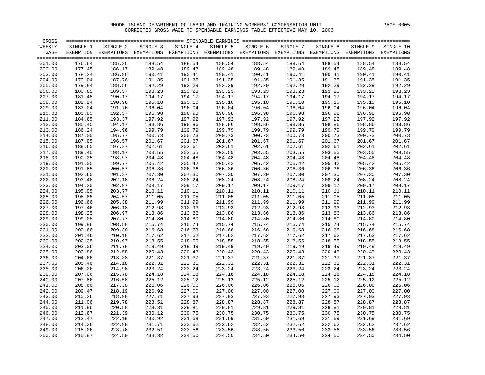| GROSS  |          |                                                                                                              |          |          |          |          |          |          |          |           |
|--------|----------|--------------------------------------------------------------------------------------------------------------|----------|----------|----------|----------|----------|----------|----------|-----------|
| WEEKLY | SINGLE 1 | SINGLE 2                                                                                                     | SINGLE 3 | SINGLE 4 | SINGLE 5 | SINGLE 6 | SINGLE 7 | SINGLE 8 | SINGLE 9 | SINGLE 10 |
| WAGE   |          | EXEMPTION EXEMPTIONS EXEMPTIONS EXEMPTIONS EXEMPTIONS EXEMPTIONS EXEMPTIONS EXEMPTIONS EXEMPTIONS EXEMPTIONS |          |          |          |          |          |          |          |           |
|        |          |                                                                                                              |          |          |          |          |          |          |          |           |
| 201.00 | 176.64   | 185.36                                                                                                       | 188.54   | 188.54   | 188.54   | 188.54   | 188.54   | 188.54   | 188.54   | 188.54    |
| 202.00 | 177.45   | 186.17                                                                                                       | 189.48   | 189.48   | 189.48   | 189.48   | 189.48   | 189.48   | 189.48   | 189.48    |
| 203.00 | 178.24   | 186.96                                                                                                       | 190.41   | 190.41   | 190.41   | 190.41   | 190.41   | 190.41   | 190.41   | 190.41    |
| 204.00 | 179.04   | 187.76                                                                                                       | 191.35   | 191.35   | 191.35   | 191.35   | 191.35   | 191.35   | 191.35   | 191.35    |
| 205.00 | 179.84   | 188.56                                                                                                       | 192.29   | 192.29   | 192.29   | 192.29   | 192.29   | 192.29   | 192.29   | 192.29    |
| 206.00 | 180.65   | 189.37                                                                                                       | 193.23   | 193.23   | 193.23   | 193.23   | 193.23   | 193.23   | 193.23   | 193.23    |
| 207.00 | 181.45   | 190.17                                                                                                       | 194.17   | 194.17   | 194.17   | 194.17   | 194.17   | 194.17   | 194.17   | 194.17    |
| 208.00 | 182.24   | 190.96                                                                                                       | 195.10   | 195.10   | 195.10   | 195.10   | 195.10   | 195.10   | 195.10   | 195.10    |
| 209.00 | 183.04   | 191.76                                                                                                       | 196.04   | 196.04   | 196.04   | 196.04   | 196.04   | 196.04   | 196.04   | 196.04    |
| 210.00 | 183.85   | 192.57                                                                                                       | 196.98   | 196.98   | 196.98   | 196.98   | 196.98   | 196.98   | 196.98   | 196.98    |
| 211.00 | 184.65   | 193.37                                                                                                       | 197.92   | 197.92   | 197.92   | 197.92   | 197.92   | 197.92   | 197.92   | 197.92    |
| 212.00 | 185.45   | 194.17                                                                                                       | 198.86   | 198.86   | 198.86   | 198.86   | 198.86   | 198.86   | 198.86   | 198.86    |
| 213.00 | 186.24   | 194.96                                                                                                       | 199.79   | 199.79   | 199.79   | 199.79   | 199.79   | 199.79   | 199.79   | 199.79    |
| 214.00 | 187.05   | 195.77                                                                                                       | 200.73   | 200.73   | 200.73   | 200.73   | 200.73   | 200.73   | 200.73   | 200.73    |
| 215.00 | 187.85   | 196.57                                                                                                       | 201.67   | 201.67   | 201.67   | 201.67   | 201.67   | 201.67   | 201.67   | 201.67    |
| 216.00 | 188.65   | 197.37                                                                                                       | 202.61   | 202.61   | 202.61   | 202.61   | 202.61   | 202.61   | 202.61   | 202.61    |
| 217.00 | 189.45   | 198.17                                                                                                       | 203.55   | 203.55   | 203.55   | 203.55   | 203.55   | 203.55   | 203.55   | 203.55    |
| 218.00 | 190.25   | 198.97                                                                                                       | 204.48   | 204.48   | 204.48   | 204.48   | 204.48   | 204.48   | 204.48   | 204.48    |
| 219.00 | 191.05   | 199.77                                                                                                       | 205.42   | 205.42   | 205.42   | 205.42   | 205.42   | 205.42   | 205.42   | 205.42    |
| 220.00 | 191.85   | 200.57                                                                                                       | 206.36   | 206.36   | 206.36   | 206.36   | 206.36   | 206.36   | 206.36   | 206.36    |
| 221.00 | 192.65   | 201.37                                                                                                       | 207.30   | 207.30   | 207.30   | 207.30   | 207.30   | 207.30   | 207.30   | 207.30    |
| 222.00 | 193.46   | 202.18                                                                                                       | 208.24   | 208.24   | 208.24   | 208.24   | 208.24   | 208.24   | 208.24   | 208.24    |
| 223.00 | 194.25   | 202.97                                                                                                       | 209.17   | 209.17   | 209.17   | 209.17   | 209.17   | 209.17   | 209.17   | 209.17    |
| 224.00 | 195.05   | 203.77                                                                                                       | 210.11   | 210.11   | 210.11   | 210.11   | 210.11   | 210.11   | 210.11   | 210.11    |
| 225.00 | 195.85   | 204.57                                                                                                       | 211.05   | 211.05   | 211.05   | 211.05   | 211.05   | 211.05   | 211.05   | 211.05    |
| 226.00 | 196.66   | 205.38                                                                                                       | 211.99   | 211.99   | 211.99   | 211.99   | 211.99   | 211.99   | 211.99   | 211.99    |
| 227.00 | 197.46   | 206.18                                                                                                       | 212.93   | 212.93   | 212.93   | 212.93   | 212.93   | 212.93   | 212.93   | 212.93    |
| 228.00 | 198.25   | 206.97                                                                                                       | 213.86   | 213.86   | 213.86   | 213.86   | 213.86   | 213.86   | 213.86   | 213.86    |
| 229.00 | 199.05   | 207.77                                                                                                       | 214.80   | 214.80   | 214.80   | 214.80   | 214.80   | 214.80   | 214.80   | 214.80    |
| 230.00 | 199.86   | 208.58                                                                                                       | 215.74   | 215.74   | 215.74   | 215.74   | 215.74   | 215.74   | 215.74   | 215.74    |
| 231.00 | 200.66   | 209.38                                                                                                       | 216.68   | 216.68   | 216.68   | 216.68   | 216.68   | 216.68   | 216.68   | 216.68    |
| 232.00 | 201.46   | 210.18                                                                                                       | 217.62   | 217.62   | 217.62   | 217.62   | 217.62   | 217.62   | 217.62   | 217.62    |
| 233.00 | 202.25   | 210.97                                                                                                       | 218.55   | 218.55   | 218.55   | 218.55   | 218.55   | 218.55   | 218.55   | 218.55    |
| 234.00 | 203.06   | 211.78                                                                                                       | 219.49   | 219.49   | 219.49   | 219.49   | 219.49   | 219.49   | 219.49   | 219.49    |
| 235.00 | 203.86   | 212.58                                                                                                       | 220.43   | 220.43   | 220.43   | 220.43   | 220.43   | 220.43   | 220.43   | 220.43    |
| 236.00 | 204.66   | 213.38                                                                                                       | 221.37   | 221.37   | 221.37   | 221.37   | 221.37   | 221.37   | 221.37   | 221.37    |
| 237.00 | 205.46   | 214.18                                                                                                       | 222.31   | 222.31   | 222.31   | 222.31   | 222.31   | 222.31   | 222.31   | 222.31    |
| 238.00 | 206.26   | 214.98                                                                                                       | 223.24   | 223.24   | 223.24   | 223.24   | 223.24   | 223.24   | 223.24   | 223.24    |
| 239.00 | 207.06   | 215.78                                                                                                       | 224.18   | 224.18   | 224.18   | 224.18   | 224.18   | 224.18   | 224.18   | 224.18    |
| 240.00 | 207.86   | 216.58                                                                                                       | 225.12   | 225.12   | 225.12   | 225.12   | 225.12   | 225.12   | 225.12   | 225.12    |
| 241.00 | 208.66   | 217.38                                                                                                       | 226.06   | 226.06   | 226.06   | 226.06   | 226.06   | 226.06   | 226.06   | 226.06    |
| 242.00 | 209.47   | 218.19                                                                                                       | 226.92   | 227.00   | 227.00   | 227.00   | 227.00   | 227.00   | 227.00   | 227.00    |
| 243.00 | 210.26   | 218.98                                                                                                       | 227.71   | 227.93   | 227.93   | 227.93   | 227.93   | 227.93   | 227.93   | 227.93    |
| 244.00 | 211.06   | 219.78                                                                                                       | 228.51   | 228.87   | 228.87   | 228.87   | 228.87   | 228.87   | 228.87   | 228.87    |
| 245.00 | 211.86   | 220.58                                                                                                       | 229.31   | 229.81   | 229.81   | 229.81   | 229.81   | 229.81   | 229.81   | 229.81    |
| 246.00 | 212.67   | 221.39                                                                                                       | 230.12   | 230.75   | 230.75   | 230.75   | 230.75   | 230.75   | 230.75   | 230.75    |
| 247.00 | 213.47   | 222.19                                                                                                       | 230.92   | 231.69   | 231.69   | 231.69   | 231.69   | 231.69   | 231.69   | 231.69    |
| 248.00 | 214.26   | 222.98                                                                                                       | 231.71   | 232.62   | 232.62   | 232.62   | 232.62   | 232.62   | 232.62   | 232.62    |
| 249.00 | 215.06   | 223.78                                                                                                       | 232.51   | 233.56   | 233.56   | 233.56   | 233.56   | 233.56   | 233.56   | 233.56    |
| 250.00 | 215.87   | 224.59                                                                                                       | 233.32   | 234.50   | 234.50   | 234.50   | 234.50   | 234.50   | 234.50   | 234.50    |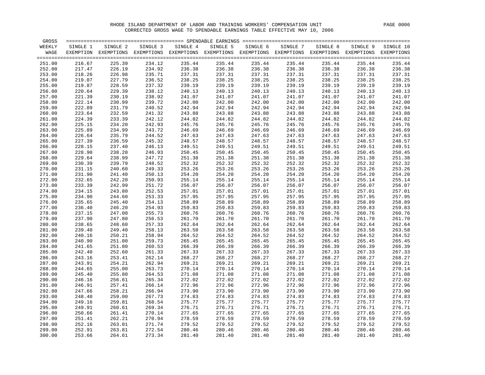| GROSS  |          |          |          |          |          |                                                                                                              |          |          |          |           |
|--------|----------|----------|----------|----------|----------|--------------------------------------------------------------------------------------------------------------|----------|----------|----------|-----------|
| WEEKLY | SINGLE 1 | SINGLE 2 | SINGLE 3 | SINGLE 4 | SINGLE 5 | SINGLE 6                                                                                                     | SINGLE 7 | SINGLE 8 | SINGLE 9 | SINGLE 10 |
| WAGE   |          |          |          |          |          | EXEMPTION EXEMPTIONS EXEMPTIONS EXEMPTIONS EXEMPTIONS EXEMPTIONS EXEMPTIONS EXEMPTIONS EXEMPTIONS EXEMPTIONS |          |          |          |           |
|        |          |          |          |          |          |                                                                                                              |          |          |          |           |
| 251.00 | 216.67   | 225.39   | 234.12   | 235.44   | 235.44   | 235.44                                                                                                       | 235.44   | 235.44   | 235.44   | 235.44    |
| 252.00 | 217.47   | 226.19   | 234.92   | 236.38   | 236.38   | 236.38                                                                                                       | 236.38   | 236.38   | 236.38   | 236.38    |
| 253.00 | 218.26   | 226.98   | 235.71   | 237.31   | 237.31   | 237.31                                                                                                       | 237.31   | 237.31   | 237.31   | 237.31    |
| 254.00 | 219.07   | 227.79   | 236.52   | 238.25   | 238.25   | 238.25                                                                                                       | 238.25   | 238.25   | 238.25   | 238.25    |
| 255.00 | 219.87   | 228.59   | 237.32   | 239.19   | 239.19   | 239.19                                                                                                       | 239.19   | 239.19   | 239.19   | 239.19    |
| 256.00 | 220.64   | 229.39   | 238.12   | 240.13   | 240.13   | 240.13                                                                                                       | 240.13   | 240.13   | 240.13   | 240.13    |
| 257.00 | 221.39   | 230.19   | 238.92   | 241.07   | 241.07   | 241.07                                                                                                       | 241.07   | 241.07   | 241.07   | 241.07    |
| 258.00 | 222.14   | 230.99   | 239.72   | 242.00   | 242.00   | 242.00                                                                                                       | 242.00   | 242.00   | 242.00   | 242.00    |
| 259.00 | 222.89   | 231.79   | 240.52   | 242.94   | 242.94   | 242.94                                                                                                       | 242.94   | 242.94   | 242.94   | 242.94    |
| 260.00 | 223.64   | 232.59   | 241.32   | 243.88   | 243.88   | 243.88                                                                                                       | 243.88   | 243.88   | 243.88   | 243.88    |
| 261.00 | 224.39   | 233.39   | 242.12   | 244.82   | 244.82   | 244.82                                                                                                       | 244.82   | 244.82   | 244.82   | 244.82    |
| 262.00 | 225.15   | 234.20   | 242.93   | 245.76   | 245.76   | 245.76                                                                                                       | 245.76   | 245.76   | 245.76   | 245.76    |
| 263.00 | 225.89   | 234.99   | 243.72   | 246.69   | 246.69   | 246.69                                                                                                       | 246.69   | 246.69   | 246.69   | 246.69    |
| 264.00 | 226.64   | 235.79   | 244.52   | 247.63   | 247.63   | 247.63                                                                                                       | 247.63   | 247.63   | 247.63   | 247.63    |
| 265.00 | 227.39   | 236.59   | 245.32   | 248.57   | 248.57   | 248.57                                                                                                       | 248.57   | 248.57   | 248.57   | 248.57    |
|        |          |          |          |          |          |                                                                                                              |          |          |          |           |
| 266.00 | 228.15   | 237.40   | 246.13   | 249.51   | 249.51   | 249.51                                                                                                       | 249.51   | 249.51   | 249.51   | 249.51    |
| 267.00 | 228.90   | 238.20   | 246.93   | 250.45   | 250.45   | 250.45                                                                                                       | 250.45   | 250.45   | 250.45   | 250.45    |
| 268.00 | 229.64   | 238.99   | 247.72   | 251.38   | 251.38   | 251.38                                                                                                       | 251.38   | 251.38   | 251.38   | 251.38    |
| 269.00 | 230.39   | 239.79   | 248.52   | 252.32   | 252.32   | 252.32                                                                                                       | 252.32   | 252.32   | 252.32   | 252.32    |
| 270.00 | 231.15   | 240.60   | 249.33   | 253.26   | 253.26   | 253.26                                                                                                       | 253.26   | 253.26   | 253.26   | 253.26    |
| 271.00 | 231.90   | 241.40   | 250.13   | 254.20   | 254.20   | 254.20                                                                                                       | 254.20   | 254.20   | 254.20   | 254.20    |
| 272.00 | 232.65   | 242.20   | 250.93   | 255.14   | 255.14   | 255.14                                                                                                       | 255.14   | 255.14   | 255.14   | 255.14    |
| 273.00 | 233.39   | 242.99   | 251.72   | 256.07   | 256.07   | 256.07                                                                                                       | 256.07   | 256.07   | 256.07   | 256.07    |
| 274.00 | 234.15   | 243.80   | 252.53   | 257.01   | 257.01   | 257.01                                                                                                       | 257.01   | 257.01   | 257.01   | 257.01    |
| 275.00 | 234.90   | 244.60   | 253.33   | 257.95   | 257.95   | 257.95                                                                                                       | 257.95   | 257.95   | 257.95   | 257.95    |
| 276.00 | 235.65   | 245.40   | 254.13   | 258.89   | 258.89   | 258.89                                                                                                       | 258.89   | 258.89   | 258.89   | 258.89    |
| 277.00 | 236.40   | 246.20   | 254.93   | 259.83   | 259.83   | 259.83                                                                                                       | 259.83   | 259.83   | 259.83   | 259.83    |
| 278.00 | 237.15   | 247.00   | 255.73   | 260.76   | 260.76   | 260.76                                                                                                       | 260.76   | 260.76   | 260.76   | 260.76    |
| 279.00 | 237.90   | 247.80   | 256.53   | 261.70   | 261.70   | 261.70                                                                                                       | 261.70   | 261.70   | 261.70   | 261.70    |
| 280.00 | 238.65   | 248.60   | 257.33   | 262.64   | 262.64   | 262.64                                                                                                       | 262.64   | 262.64   | 262.64   | 262.64    |
| 281.00 | 239.40   | 249.40   | 258.13   | 263.58   | 263.58   | 263.58                                                                                                       | 263.58   | 263.58   | 263.58   | 263.58    |
| 282.00 | 240.16   | 250.21   | 258.94   | 264.52   | 264.52   | 264.52                                                                                                       | 264.52   | 264.52   | 264.52   | 264.52    |
| 283.00 | 240.90   | 251.00   | 259.73   | 265.45   | 265.45   | 265.45                                                                                                       | 265.45   | 265.45   | 265.45   | 265.45    |
| 284.00 | 241.65   | 251.80   | 260.53   | 266.39   | 266.39   | 266.39                                                                                                       | 266.39   | 266.39   | 266.39   | 266.39    |
| 285.00 | 242.40   | 252.60   | 261.33   | 267.33   | 267.33   | 267.33                                                                                                       | 267.33   | 267.33   | 267.33   | 267.33    |
| 286.00 | 243.16   | 253.41   | 262.14   | 268.27   | 268.27   | 268.27                                                                                                       | 268.27   | 268.27   | 268.27   | 268.27    |
| 287.00 | 243.91   | 254.21   | 262.94   | 269.21   | 269.21   | 269.21                                                                                                       | 269.21   | 269.21   | 269.21   | 269.21    |
| 288.00 | 244.65   | 255.00   | 263.73   | 270.14   | 270.14   | 270.14                                                                                                       | 270.14   | 270.14   | 270.14   | 270.14    |
| 289.00 | 245.40   | 255.80   | 264.53   | 271.08   | 271.08   | 271.08                                                                                                       | 271.08   | 271.08   | 271.08   | 271.08    |
| 290.00 | 246.16   | 256.61   | 265.34   | 272.02   | 272.02   | 272.02                                                                                                       | 272.02   | 272.02   | 272.02   | 272.02    |
| 291.00 | 246.91   | 257.41   | 266.14   | 272.96   | 272.96   | 272.96                                                                                                       | 272.96   | 272.96   | 272.96   | 272.96    |
| 292.00 | 247.66   | 258.21   | 266.94   | 273.90   | 273.90   | 273.90                                                                                                       | 273.90   | 273.90   | 273.90   | 273.90    |
| 293.00 | 248.40   | 259.00   | 267.73   | 274.83   | 274.83   | 274.83                                                                                                       | 274.83   | 274.83   | 274.83   | 274.83    |
| 294.00 | 249.16   | 259.81   | 268.54   | 275.77   | 275.77   | 275.77                                                                                                       | 275.77   | 275.77   | 275.77   | 275.77    |
| 295.00 | 249.91   | 260.61   | 269.34   | 276.71   | 276.71   | 276.71                                                                                                       | 276.71   | 276.71   | 276.71   | 276.71    |
| 296.00 | 250.66   | 261.41   | 270.14   | 277.65   | 277.65   | 277.65                                                                                                       | 277.65   | 277.65   | 277.65   | 277.65    |
| 297.00 | 251.41   | 262.21   | 270.94   | 278.59   | 278.59   | 278.59                                                                                                       | 278.59   | 278.59   | 278.59   | 278.59    |
| 298.00 | 252.16   | 263.01   | 271.74   | 279.52   | 279.52   | 279.52                                                                                                       | 279.52   | 279.52   | 279.52   | 279.52    |
| 299.00 | 252.91   | 263.81   | 272.54   | 280.46   | 280.46   | 280.46                                                                                                       | 280.46   | 280.46   | 280.46   | 280.46    |
| 300.00 | 253.66   | 264.61   | 273.34   | 281.40   | 281.40   | 281.40                                                                                                       | 281.40   | 281.40   | 281.40   | 281.40    |
|        |          |          |          |          |          |                                                                                                              |          |          |          |           |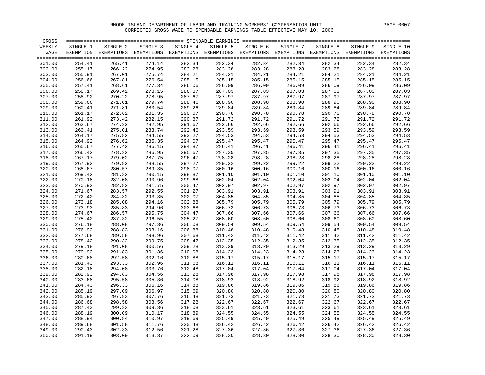| GROSS  |          |                                                                                                              |          |          |          |          |          |          |          |           |
|--------|----------|--------------------------------------------------------------------------------------------------------------|----------|----------|----------|----------|----------|----------|----------|-----------|
| WEEKLY | SINGLE 1 | SINGLE 2                                                                                                     | SINGLE 3 | SINGLE 4 | SINGLE 5 | SINGLE 6 | SINGLE 7 | SINGLE 8 | SINGLE 9 | SINGLE 10 |
| WAGE   |          | EXEMPTION EXEMPTIONS EXEMPTIONS EXEMPTIONS EXEMPTIONS EXEMPTIONS EXEMPTIONS EXEMPTIONS EXEMPTIONS EXEMPTIONS |          |          |          |          |          |          |          |           |
|        |          |                                                                                                              |          |          |          |          |          |          |          |           |
| 301.00 | 254.41   | 265.41                                                                                                       | 274.14   | 282.34   | 282.34   | 282.34   | 282.34   | 282.34   | 282.34   | 282.34    |
| 302.00 | 255.17   | 266.22                                                                                                       | 274.95   | 283.28   | 283.28   | 283.28   | 283.28   | 283.28   | 283.28   | 283.28    |
| 303.00 | 255.91   | 267.01                                                                                                       | 275.74   | 284.21   | 284.21   | 284.21   | 284.21   | 284.21   | 284.21   | 284.21    |
| 304.00 | 256.66   | 267.81                                                                                                       | 276.54   | 285.15   | 285.15   | 285.15   | 285.15   | 285.15   | 285.15   | 285.15    |
| 305.00 | 257.41   | 268.61                                                                                                       | 277.34   | 286.06   | 286.09   | 286.09   | 286.09   | 286.09   | 286.09   | 286.09    |
| 306.00 | 258.17   | 269.42                                                                                                       | 278.15   | 286.87   | 287.03   | 287.03   | 287.03   | 287.03   | 287.03   | 287.03    |
| 307.00 | 258.92   | 270.22                                                                                                       | 278.95   | 287.67   | 287.97   | 287.97   | 287.97   | 287.97   | 287.97   | 287.97    |
| 308.00 | 259.66   | 271.01                                                                                                       | 279.74   | 288.46   | 288.90   | 288.90   | 288.90   | 288.90   | 288.90   | 288.90    |
| 309.00 | 260.41   | 271.81                                                                                                       | 280.54   | 289.26   | 289.84   | 289.84   | 289.84   | 289.84   | 289.84   | 289.84    |
| 310.00 | 261.17   | 272.62                                                                                                       | 281.35   | 290.07   | 290.78   | 290.78   | 290.78   | 290.78   | 290.78   | 290.78    |
| 311.00 | 261.92   | 273.42                                                                                                       | 282.15   | 290.87   | 291.72   | 291.72   | 291.72   | 291.72   | 291.72   | 291.72    |
| 312.00 | 262.67   | 274.22                                                                                                       | 282.95   | 291.67   | 292.66   | 292.66   | 292.66   | 292.66   | 292.66   | 292.66    |
| 313.00 | 263.41   | 275.01                                                                                                       | 283.74   | 292.46   | 293.59   | 293.59   | 293.59   | 293.59   | 293.59   | 293.59    |
| 314.00 | 264.17   | 275.82                                                                                                       | 284.55   | 293.27   | 294.53   | 294.53   | 294.53   | 294.53   | 294.53   | 294.53    |
| 315.00 | 264.92   | 276.62                                                                                                       | 285.35   | 294.07   | 295.47   | 295.47   | 295.47   | 295.47   | 295.47   | 295.47    |
| 316.00 | 265.67   | 277.42                                                                                                       | 286.15   | 294.87   | 296.41   | 296.41   | 296.41   | 296.41   | 296.41   | 296.41    |
| 317.00 | 266.42   | 278.22                                                                                                       | 286.95   | 295.67   | 297.35   | 297.35   | 297.35   | 297.35   | 297.35   | 297.35    |
| 318.00 | 267.17   | 279.02                                                                                                       | 287.75   | 296.47   | 298.28   | 298.28   | 298.28   | 298.28   | 298.28   | 298.28    |
| 319.00 | 267.92   | 279.82                                                                                                       | 288.55   | 297.27   | 299.22   | 299.22   | 299.22   | 299.22   | 299.22   | 299.22    |
| 320.00 | 268.67   | 280.57                                                                                                       | 289.35   | 298.07   | 300.16   | 300.16   | 300.16   | 300.16   | 300.16   | 300.16    |
| 321.00 | 269.42   | 281.32                                                                                                       | 290.15   | 298.87   | 301.10   | 301.10   | 301.10   | 301.10   | 301.10   | 301.10    |
| 322.00 | 270.18   | 282.08                                                                                                       | 290.96   | 299.68   | 302.04   | 302.04   | 302.04   | 302.04   | 302.04   | 302.04    |
| 323.00 | 270.92   | 282.82                                                                                                       | 291.75   | 300.47   | 302.97   | 302.97   | 302.97   | 302.97   | 302.97   | 302.97    |
| 324.00 | 271.67   | 283.57                                                                                                       | 292.55   | 301.27   | 303.91   | 303.91   | 303.91   | 303.91   | 303.91   | 303.91    |
| 325.00 | 272.42   | 284.32                                                                                                       | 293.35   | 302.07   | 304.85   | 304.85   | 304.85   | 304.85   | 304.85   | 304.85    |
| 326.00 | 273.18   | 285.08                                                                                                       | 294.16   | 302.88   | 305.79   | 305.79   | 305.79   | 305.79   | 305.79   | 305.79    |
| 327.00 | 273.93   | 285.83                                                                                                       | 294.96   | 303.68   | 306.73   | 306.73   | 306.73   | 306.73   | 306.73   | 306.73    |
| 328.00 | 274.67   | 286.57                                                                                                       | 295.75   | 304.47   | 307.66   | 307.66   | 307.66   | 307.66   | 307.66   | 307.66    |
| 329.00 | 275.42   | 287.32                                                                                                       | 296.55   | 305.27   | 308.60   | 308.60   | 308.60   | 308.60   | 308.60   | 308.60    |
| 330.00 | 276.18   | 288.08                                                                                                       | 297.36   | 306.08   | 309.54   | 309.54   | 309.54   | 309.54   | 309.54   | 309.54    |
| 331.00 | 276.93   | 288.83                                                                                                       | 298.16   | 306.88   | 310.48   | 310.48   | 310.48   | 310.48   | 310.48   | 310.48    |
| 332.00 | 277.68   | 289.58                                                                                                       | 298.96   | 307.68   | 311.42   | 311.42   | 311.42   | 311.42   | 311.42   | 311.42    |
| 333.00 | 278.42   | 290.32                                                                                                       | 299.75   | 308.47   | 312.35   | 312.35   | 312.35   | 312.35   | 312.35   | 312.35    |
| 334.00 | 279.18   | 291.08                                                                                                       | 300.56   | 309.28   | 313.29   | 313.29   | 313.29   | 313.29   | 313.29   | 313.29    |
| 335.00 | 279.93   | 291.83                                                                                                       | 301.36   | 310.08   | 314.23   | 314.23   | 314.23   | 314.23   | 314.23   | 314.23    |
| 336.00 | 280.68   | 292.58                                                                                                       | 302.16   | 310.88   | 315.17   | 315.17   | 315.17   | 315.17   | 315.17   | 315.17    |
| 337.00 | 281.43   | 293.33                                                                                                       | 302.96   | 311.68   | 316.11   | 316.11   | 316.11   | 316.11   | 316.11   | 316.11    |
| 338.00 | 282.18   | 294.08                                                                                                       | 303.76   | 312.48   | 317.04   | 317.04   | 317.04   | 317.04   | 317.04   | 317.04    |
| 339.00 | 282.93   | 294.83                                                                                                       | 304.56   | 313.28   | 317.98   | 317.98   | 317.98   | 317.98   | 317.98   | 317.98    |
| 340.00 | 283.68   | 295.58                                                                                                       | 305.36   | 314.08   | 318.92   | 318.92   | 318.92   | 318.92   | 318.92   | 318.92    |
| 341.00 | 284.43   | 296.33                                                                                                       | 306.16   | 314.88   | 319.86   | 319.86   | 319.86   | 319.86   | 319.86   | 319.86    |
| 342.00 | 285.19   | 297.09                                                                                                       | 306.97   | 315.69   | 320.80   | 320.80   | 320.80   | 320.80   | 320.80   | 320.80    |
| 343.00 | 285.93   | 297.83                                                                                                       | 307.76   | 316.48   | 321.73   | 321.73   | 321.73   | 321.73   | 321.73   | 321.73    |
| 344.00 | 286.68   | 298.58                                                                                                       | 308.56   | 317.28   | 322.67   | 322.67   | 322.67   | 322.67   | 322.67   | 322.67    |
| 345.00 | 287.43   | 299.33                                                                                                       | 309.36   | 318.08   | 323.61   | 323.61   | 323.61   | 323.61   | 323.61   | 323.61    |
| 346.00 | 288.19   | 300.09                                                                                                       | 310.17   | 318.89   | 324.55   | 324.55   | 324.55   | 324.55   | 324.55   | 324.55    |
| 347.00 | 288.94   | 300.84                                                                                                       | 310.97   | 319.69   | 325.49   | 325.49   | 325.49   | 325.49   | 325.49   | 325.49    |
| 348.00 | 289.68   | 301.58                                                                                                       | 311.76   | 320.48   | 326.42   | 326.42   | 326.42   | 326.42   | 326.42   | 326.42    |
| 349.00 | 290.43   | 302.33                                                                                                       | 312.56   | 321.28   | 327.36   | 327.36   | 327.36   | 327.36   | 327.36   | 327.36    |
| 350.00 | 291.19   | 303.09                                                                                                       | 313.37   | 322.09   | 328.30   | 328.30   | 328.30   | 328.30   | 328.30   | 328.30    |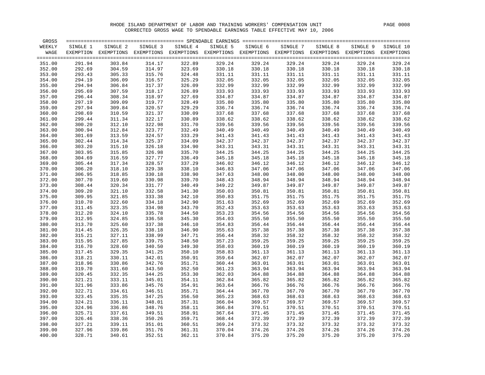| GROSS  |          |                                                                                                              |               |          |          |          |          |          |          |           |
|--------|----------|--------------------------------------------------------------------------------------------------------------|---------------|----------|----------|----------|----------|----------|----------|-----------|
| WEEKLY | SINGLE 1 | SINGLE 2                                                                                                     | SINGLE 3      | SINGLE 4 | SINGLE 5 | SINGLE 6 | SINGLE 7 | SINGLE 8 | SINGLE 9 | SINGLE 10 |
| WAGE   |          | EXEMPTION EXEMPTIONS EXEMPTIONS EXEMPTIONS EXEMPTIONS EXEMPTIONS EXEMPTIONS EXEMPTIONS EXEMPTIONS EXEMPTIONS |               |          |          |          |          |          |          |           |
| 351.00 | 291.94   | 303.84                                                                                                       | 314.17        | 322.89   | 329.24   | 329.24   | 329.24   | 329.24   | 329.24   | 329.24    |
| 352.00 | 292.69   | 304.59                                                                                                       | 314.97        | 323.69   | 330.18   | 330.18   | 330.18   | 330.18   | 330.18   | 330.18    |
| 353.00 | 293.43   | 305.33                                                                                                       | 315.76        | 324.48   | 331.11   | 331.11   | 331.11   | 331.11   | 331.11   | 331.11    |
| 354.00 | 294.19   | 306.09                                                                                                       | 316.57        | 325.29   | 332.05   | 332.05   | 332.05   | 332.05   | 332.05   | 332.05    |
| 355.00 | 294.94   | 306.84                                                                                                       | 317.37        | 326.09   | 332.99   | 332.99   | 332.99   | 332.99   | 332.99   | 332.99    |
| 356.00 | 295.69   | 307.59                                                                                                       | 318.17        | 326.89   | 333.93   | 333.93   | 333.93   | 333.93   | 333.93   | 333.93    |
| 357.00 | 296.44   | 308.34                                                                                                       | 318.97        | 327.69   | 334.87   | 334.87   | 334.87   | 334.87   | 334.87   | 334.87    |
| 358.00 | 297.19   | 309.09                                                                                                       | 319.77        | 328.49   | 335.80   | 335.80   | 335.80   | 335.80   | 335.80   | 335.80    |
| 359.00 | 297.94   | 309.84                                                                                                       | 320.57        | 329.29   | 336.74   | 336.74   | 336.74   | 336.74   | 336.74   | 336.74    |
| 360.00 | 298.69   | 310.59                                                                                                       | 321.37        | 330.09   | 337.68   | 337.68   | 337.68   | 337.68   | 337.68   | 337.68    |
| 361.00 | 299.44   | 311.34                                                                                                       | 322.17        | 330.89   | 338.62   | 338.62   | 338.62   | 338.62   | 338.62   | 338.62    |
| 362.00 | 300.20   | 312.10                                                                                                       | 322.98        | 331.70   | 339.56   | 339.56   | 339.56   | 339.56   | 339.56   | 339.56    |
| 363.00 | 300.94   | 312.84                                                                                                       | 323.77        | 332.49   | 340.49   | 340.49   | 340.49   | 340.49   | 340.49   | 340.49    |
| 364.00 | 301.69   | 313.59                                                                                                       | 324.57        | 333.29   | 341.43   | 341.43   | 341.43   | 341.43   | 341.43   | 341.43    |
| 365.00 | 302.44   | 314.34                                                                                                       | 325.37        | 334.09   | 342.37   | 342.37   | 342.37   | 342.37   | 342.37   | 342.37    |
| 366.00 | 303.20   | 315.10                                                                                                       | 326.18        | 334.90   | 343.31   | 343.31   | 343.31   | 343.31   | 343.31   | 343.31    |
| 367.00 | 303.95   | 315.85                                                                                                       | 326.98        | 335.70   | 344.25   | 344.25   | 344.25   | 344.25   | 344.25   | 344.25    |
| 368.00 | 304.69   | 316.59                                                                                                       | 327.77        | 336.49   | 345.18   | 345.18   | 345.18   | 345.18   | 345.18   | 345.18    |
| 369.00 | 305.44   | 317.34                                                                                                       | 328.57        | 337.29   | 346.02   | 346.12   | 346.12   | 346.12   | 346.12   | 346.12    |
| 370.00 | 306.20   | 318.10                                                                                                       | 329.38        | 338.10   | 346.83   | 347.06   | 347.06   | 347.06   | 347.06   | 347.06    |
| 371.00 | 306.95   | 318.85                                                                                                       | 330.18        | 338.90   | 347.63   | 348.00   | 348.00   | 348.00   | 348.00   | 348.00    |
| 372.00 | 307.70   | 319.60                                                                                                       | 330.98        | 339.70   | 348.43   | 348.94   | 348.94   | 348.94   | 348.94   | 348.94    |
| 373.00 | 308.44   | 320.34                                                                                                       | 331.77        | 340.49   | 349.22   | 349.87   | 349.87   | 349.87   | 349.87   | 349.87    |
| 374.00 | 309.20   | 321.10                                                                                                       | 332.58        | 341.30   | 350.03   | 350.81   | 350.81   | 350.81   | 350.81   | 350.81    |
| 375.00 | 309.95   | 321.85                                                                                                       | 333.38        | 342.10   | 350.83   | 351.75   | 351.75   | 351.75   | 351.75   | 351.75    |
| 376.00 | 310.70   | 322.60                                                                                                       | 334.18        | 342.90   | 351.63   | 352.69   | 352.69   | 352.69   | 352.69   | 352.69    |
| 377.00 | 311.45   | 323.35                                                                                                       | 334.98        | 343.70   | 352.43   | 353.63   | 353.63   | 353.63   | 353.63   | 353.63    |
| 378.00 | 312.20   | 324.10                                                                                                       | 335.78        | 344.50   | 353.23   | 354.56   | 354.56   | 354.56   | 354.56   | 354.56    |
| 379.00 | 312.95   | 324.85                                                                                                       | 336.58        | 345.30   | 354.03   | 355.50   | 355.50   | 355.50   | 355.50   | 355.50    |
| 380.00 | 313.70   | 325.60                                                                                                       | 337.38        | 346.10   | 354.83   | 356.44   | 356.44   | 356.44   | 356.44   | 356.44    |
| 381.00 | 314.45   | 326.35                                                                                                       | 338.18        | 346.90   | 355.63   | 357.38   | 357.38   | 357.38   | 357.38   | 357.38    |
| 382.00 | 315.21   | 327.11                                                                                                       | 338.99        | 347.71   | 356.44   | 358.32   | 358.32   | 358.32   | 358.32   | 358.32    |
| 383.00 | 315.95   | 327.85                                                                                                       | 339.75        | 348.50   | 357.23   | 359.25   | 359.25   | 359.25   | 359.25   | 359.25    |
| 384.00 | 316.70   | 328.60                                                                                                       | 340.50        | 349.30   | 358.03   | 360.19   | 360.19   | 360.19   | 360.19   | 360.19    |
| 385.00 | 317.45   | 329.35                                                                                                       | 341.25        | 350.10   | 358.83   | 361.13   | 361.13   | 361.13   | 361.13   | 361.13    |
| 386.00 | 318.21   | 330.11                                                                                                       | 342.01        | 350.91   | 359.64   | 362.07   | 362.07   | 362.07   | 362.07   | 362.07    |
| 387.00 | 318.96   | 330.86                                                                                                       | 342.76        | 351.71   | 360.44   | 363.01   | 363.01   | 363.01   | 363.01   | 363.01    |
| 388.00 | 319.70   | 331.60                                                                                                       | 343.50        | 352.50   | 361.23   | 363.94   | 363.94   | 363.94   | 363.94   | 363.94    |
| 389.00 | 320.45   | 332.35                                                                                                       | 344.25        | 353.30   | 362.03   | 364.88   | 364.88   | 364.88   | 364.88   | 364.88    |
| 390.00 | 321.21   | 333.11                                                                                                       | 345.01        | 354.11   | 362.84   | 365.82   | 365.82   | 365.82   | 365.82   | 365.82    |
| 391.00 | 321.96   | 333.86                                                                                                       | 345.76        | 354.91   | 363.64   | 366.76   | 366.76   | 366.76   | 366.76   | 366.76    |
| 392.00 | 322.71   | 334.61                                                                                                       | 346.51        | 355.71   | 364.44   | 367.70   | 367.70   | 367.70   | 367.70   | 367.70    |
| 393.00 | 323.45   | 335.35                                                                                                       | 347.25        | 356.50   | 365.23   | 368.63   | 368.63   | 368.63   | 368.63   | 368.63    |
| 394.00 | 324.21   | 336.11                                                                                                       | 348.01        | 357.31   | 366.04   | 369.57   | 369.57   | 369.57   | 369.57   | 369.57    |
| 395.00 | 324.96   | 336.86                                                                                                       | 348.76        | 358.11   | 366.84   | 370.51   | 370.51   | 370.51   | 370.51   | 370.51    |
| 396.00 | 325.71   | 337.61                                                                                                       | 349.51        | 358.91   | 367.64   | 371.45   | 371.45   | 371.45   | 371.45   | 371.45    |
| 397.00 | 326.46   | 338.36                                                                                                       | 350.26        | 359.71   | 368.44   | 372.39   | 372.39   | 372.39   | 372.39   | 372.39    |
| 398.00 | 327.21   | 339.11                                                                                                       | 351.01        | 360.51   | 369.24   | 373.32   | 373.32   | 373.32   | 373.32   | 373.32    |
| 399.00 | 327.96   | 339.86                                                                                                       | 351.76        | 361.31   | 370.04   | 374.26   | 374.26   | 374.26   | 374.26   | 374.26    |
| 400.00 | 328.71   |                                                                                                              | 340.61 352.51 | 362.11   | 370.84   | 375.20   | 375.20   | 375.20   | 375.20   | 375.20    |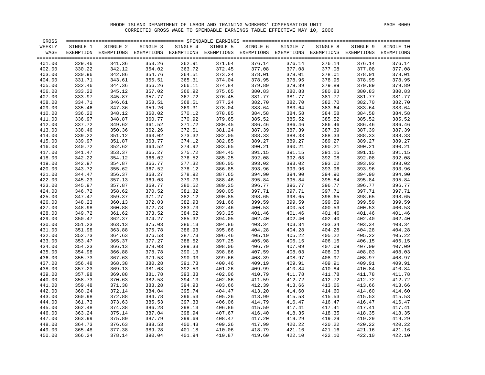| GROSS  |          |                                                                                                              |          |          |          |          |          |          |          |             |
|--------|----------|--------------------------------------------------------------------------------------------------------------|----------|----------|----------|----------|----------|----------|----------|-------------|
| WEEKLY | SINGLE 1 | SINGLE 2                                                                                                     | SINGLE 3 | SINGLE 4 | SINGLE 5 | SINGLE 6 | SINGLE 7 | SINGLE 8 | SINGLE 9 | SINGLE 10   |
| WAGE   |          | EXEMPTION EXEMPTIONS EXEMPTIONS EXEMPTIONS EXEMPTIONS EXEMPTIONS EXEMPTIONS EXEMPTIONS EXEMPTIONS EXEMPTIONS |          |          |          |          |          |          |          |             |
|        |          |                                                                                                              |          |          |          |          |          |          |          | $=$ $=$ $=$ |
| 401.00 | 329.46   | 341.36                                                                                                       | 353.26   | 362.91   | 371.64   | 376.14   | 376.14   | 376.14   | 376.14   | 376.14      |
| 402.00 | 330.22   | 342.12                                                                                                       | 354.02   | 363.72   | 372.45   | 377.08   | 377.08   | 377.08   | 377.08   | 377.08      |
| 403.00 | 330.96   | 342.86                                                                                                       | 354.76   | 364.51   | 373.24   | 378.01   | 378.01   | 378.01   | 378.01   | 378.01      |
| 404.00 | 331.71   | 343.61                                                                                                       | 355.51   | 365.31   | 374.04   | 378.95   | 378.95   | 378.95   | 378.95   | 378.95      |
| 405.00 | 332.46   | 344.36                                                                                                       | 356.26   | 366.11   | 374.84   | 379.89   | 379.89   | 379.89   | 379.89   | 379.89      |
| 406.00 | 333.22   | 345.12                                                                                                       | 357.02   | 366.92   | 375.65   | 380.83   | 380.83   | 380.83   | 380.83   | 380.83      |
| 407.00 | 333.97   | 345.87                                                                                                       | 357.77   | 367.72   | 376.45   | 381.77   | 381.77   | 381.77   | 381.77   | 381.77      |
| 408.00 | 334.71   | 346.61                                                                                                       | 358.51   | 368.51   | 377.24   | 382.70   | 382.70   | 382.70   | 382.70   | 382.70      |
| 409.00 | 335.46   | 347.36                                                                                                       | 359.26   | 369.31   | 378.04   | 383.64   | 383.64   | 383.64   | 383.64   | 383.64      |
| 410.00 | 336.22   | 348.12                                                                                                       | 360.02   | 370.12   | 378.85   | 384.58   | 384.58   | 384.58   | 384.58   | 384.58      |
| 411.00 | 336.97   | 348.87                                                                                                       | 360.77   | 370.92   | 379.65   | 385.52   | 385.52   | 385.52   | 385.52   | 385.52      |
| 412.00 | 337.72   | 349.62                                                                                                       | 361.52   | 371.72   | 380.45   | 386.46   | 386.46   | 386.46   | 386.46   | 386.46      |
| 413.00 | 338.46   | 350.36                                                                                                       | 362.26   | 372.51   | 381.24   | 387.39   | 387.39   | 387.39   | 387.39   | 387.39      |
| 414.00 | 339.22   | 351.12                                                                                                       | 363.02   | 373.32   | 382.05   | 388.33   | 388.33   | 388.33   | 388.33   | 388.33      |
| 415.00 | 339.97   | 351.87                                                                                                       | 363.77   | 374.12   | 382.85   | 389.27   | 389.27   | 389.27   | 389.27   | 389.27      |
| 416.00 | 340.72   | 352.62                                                                                                       | 364.52   | 374.92   | 383.65   | 390.21   | 390.21   | 390.21   | 390.21   | 390.21      |
| 417.00 | 341.47   | 353.37                                                                                                       | 365.27   | 375.72   | 384.45   | 391.15   | 391.15   | 391.15   | 391.15   | 391.15      |
| 418.00 | 342.22   | 354.12                                                                                                       | 366.02   | 376.52   | 385.25   | 392.08   | 392.08   | 392.08   | 392.08   | 392.08      |
| 419.00 | 342.97   | 354.87                                                                                                       | 366.77   | 377.32   | 386.05   | 393.02   | 393.02   | 393.02   | 393.02   | 393.02      |
| 420.00 | 343.72   | 355.62                                                                                                       | 367.52   | 378.12   | 386.85   | 393.96   | 393.96   | 393.96   | 393.96   | 393.96      |
| 421.00 | 344.47   | 356.37                                                                                                       | 368.27   | 378.92   | 387.65   | 394.90   | 394.90   | 394.90   | 394.90   | 394.90      |
| 422.00 | 345.23   | 357.13                                                                                                       | 369.03   | 379.73   | 388.46   | 395.84   | 395.84   | 395.84   | 395.84   | 395.84      |
| 423.00 | 345.97   | 357.87                                                                                                       | 369.77   | 380.52   | 389.25   | 396.77   | 396.77   | 396.77   | 396.77   | 396.77      |
| 424.00 | 346.72   | 358.62                                                                                                       | 370.52   | 381.32   | 390.05   | 397.71   | 397.71   | 397.71   | 397.71   | 397.71      |
| 425.00 | 347.47   | 359.37                                                                                                       | 371.27   | 382.12   | 390.85   | 398.65   | 398.65   | 398.65   | 398.65   | 398.65      |
| 426.00 | 348.23   | 360.13                                                                                                       | 372.03   | 382.93   | 391.66   | 399.59   | 399.59   | 399.59   | 399.59   | 399.59      |
| 427.00 | 348.98   | 360.88                                                                                                       | 372.78   | 383.73   | 392.46   | 400.53   | 400.53   | 400.53   | 400.53   | 400.53      |
| 428.00 | 349.72   | 361.62                                                                                                       | 373.52   | 384.52   | 393.25   | 401.46   | 401.46   | 401.46   | 401.46   | 401.46      |
| 429.00 | 350.47   | 362.37                                                                                                       | 374.27   | 385.32   | 394.05   | 402.40   | 402.40   | 402.40   | 402.40   | 402.40      |
| 430.00 | 351.23   | 363.13                                                                                                       | 375.03   | 386.13   | 394.86   | 403.34   | 403.34   | 403.34   | 403.34   | 403.34      |
| 431.00 | 351.98   | 363.88                                                                                                       | 375.78   | 386.93   | 395.66   | 404.28   | 404.28   | 404.28   | 404.28   | 404.28      |
| 432.00 | 352.73   | 364.63                                                                                                       | 376.53   | 387.73   | 396.46   | 405.19   | 405.22   | 405.22   | 405.22   | 405.22      |
| 433.00 | 353.47   | 365.37                                                                                                       | 377.27   | 388.52   | 397.25   | 405.98   | 406.15   | 406.15   | 406.15   | 406.15      |
| 434.00 | 354.23   | 366.13                                                                                                       | 378.03   | 389.33   | 398.06   | 406.79   | 407.09   | 407.09   | 407.09   | 407.09      |
| 435.00 | 354.98   | 366.88                                                                                                       | 378.78   | 390.13   | 398.86   | 407.59   | 408.03   | 408.03   | 408.03   | 408.03      |
| 436.00 | 355.73   | 367.63                                                                                                       | 379.53   | 390.93   | 399.66   | 408.39   | 408.97   | 408.97   | 408.97   | 408.97      |
| 437.00 | 356.48   | 368.38                                                                                                       | 380.28   | 391.73   | 400.46   | 409.19   | 409.91   | 409.91   | 409.91   | 409.91      |
| 438.00 | 357.23   | 369.13                                                                                                       | 381.03   | 392.53   | 401.26   | 409.99   | 410.84   | 410.84   | 410.84   | 410.84      |
| 439.00 | 357.98   | 369.88                                                                                                       | 381.78   | 393.33   | 402.06   | 410.79   | 411.78   | 411.78   | 411.78   | 411.78      |
| 440.00 | 358.73   | 370.63                                                                                                       | 382.53   | 394.13   | 402.86   | 411.59   | 412.72   | 412.72   | 412.72   | 412.72      |
| 441.00 | 359.48   | 371.38                                                                                                       | 383.28   | 394.93   | 403.66   | 412.39   | 413.66   | 413.66   | 413.66   | 413.66      |
| 442.00 | 360.24   | 372.14                                                                                                       | 384.04   | 395.74   | 404.47   | 413.20   | 414.60   | 414.60   | 414.60   | 414.60      |
| 443.00 | 360.98   | 372.88                                                                                                       | 384.78   | 396.53   | 405.26   | 413.99   | 415.53   | 415.53   | 415.53   | 415.53      |
| 444.00 | 361.73   | 373.63                                                                                                       | 385.53   | 397.33   | 406.06   | 414.79   | 416.47   | 416.47   | 416.47   | 416.47      |
| 445.00 | 362.48   | 374.38                                                                                                       | 386.28   | 398.13   | 406.86   | 415.59   | 417.41   | 417.41   | 417.41   | 417.41      |
| 446.00 | 363.24   | 375.14                                                                                                       | 387.04   | 398.94   | 407.67   | 416.40   | 418.35   | 418.35   | 418.35   | 418.35      |
| 447.00 | 363.99   | 375.89                                                                                                       | 387.79   | 399.69   | 408.47   | 417.20   | 419.29   | 419.29   | 419.29   | 419.29      |
| 448.00 | 364.73   | 376.63                                                                                                       | 388.53   | 400.43   | 409.26   | 417.99   | 420.22   | 420.22   | 420.22   | 420.22      |
| 449.00 | 365.48   | 377.38                                                                                                       | 389.28   | 401.18   | 410.06   | 418.79   | 421.16   | 421.16   | 421.16   | 421.16      |
| 450.00 | 366.24   | 378.14                                                                                                       | 390.04   | 401.94   | 410.87   | 419.60   | 422.10   | 422.10   | 422.10   | 422.10      |
|        |          |                                                                                                              |          |          |          |          |          |          |          |             |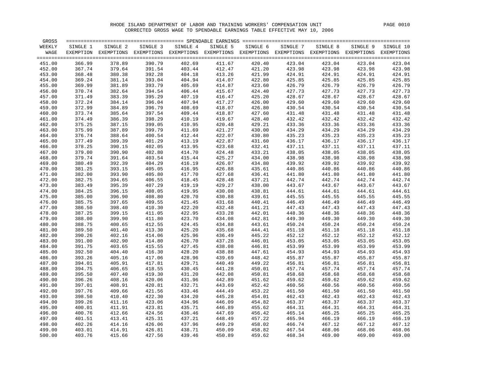| GROSS  |          |                                                                                                              |          |          |          |          |          |          |          |           |
|--------|----------|--------------------------------------------------------------------------------------------------------------|----------|----------|----------|----------|----------|----------|----------|-----------|
| WEEKLY | SINGLE 1 | SINGLE 2                                                                                                     | SINGLE 3 | SINGLE 4 | SINGLE 5 | SINGLE 6 | SINGLE 7 | SINGLE 8 | SINGLE 9 | SINGLE 10 |
| WAGE   |          | EXEMPTION EXEMPTIONS EXEMPTIONS EXEMPTIONS EXEMPTIONS EXEMPTIONS EXEMPTIONS EXEMPTIONS EXEMPTIONS EXEMPTIONS |          |          |          |          |          |          |          |           |
| 451.00 | 366.99   | 378.89                                                                                                       | 390.79   | 402.69   | 411.67   | 420.40   | 423.04   | 423.04   | 423.04   | 423.04    |
| 452.00 | 367.74   | 379.64                                                                                                       | 391.54   | 403.44   | 412.47   | 421.20   | 423.98   | 423.98   | 423.98   | 423.98    |
| 453.00 | 368.48   | 380.38                                                                                                       | 392.28   | 404.18   | 413.26   | 421.99   | 424.91   | 424.91   | 424.91   | 424.91    |
| 454.00 | 369.24   | 381.14                                                                                                       | 393.04   | 404.94   | 414.07   | 422.80   | 425.85   | 425.85   | 425.85   | 425.85    |
| 455.00 | 369.99   | 381.89                                                                                                       | 393.79   | 405.69   | 414.87   | 423.60   | 426.79   | 426.79   | 426.79   | 426.79    |
| 456.00 | 370.74   | 382.64                                                                                                       | 394.54   | 406.44   | 415.67   | 424.40   | 427.73   | 427.73   | 427.73   | 427.73    |
| 457.00 | 371.49   | 383.39                                                                                                       | 395.29   | 407.19   | 416.47   | 425.20   | 428.67   | 428.67   | 428.67   | 428.67    |
| 458.00 | 372.24   | 384.14                                                                                                       | 396.04   | 407.94   | 417.27   | 426.00   | 429.60   | 429.60   | 429.60   | 429.60    |
| 459.00 | 372.99   | 384.89                                                                                                       | 396.79   | 408.69   | 418.07   | 426.80   | 430.54   | 430.54   | 430.54   | 430.54    |
| 460.00 | 373.74   | 385.64                                                                                                       | 397.54   | 409.44   | 418.87   | 427.60   | 431.48   | 431.48   | 431.48   | 431.48    |
| 461.00 | 374.49   | 386.39                                                                                                       | 398.29   | 410.19   | 419.67   | 428.40   | 432.42   | 432.42   | 432.42   | 432.42    |
| 462.00 | 375.25   | 387.15                                                                                                       | 399.05   | 410.95   | 420.48   | 429.21   | 433.36   | 433.36   | 433.36   | 433.36    |
| 463.00 | 375.99   | 387.89                                                                                                       | 399.79   | 411.69   | 421.27   | 430.00   | 434.29   | 434.29   | 434.29   | 434.29    |
| 464.00 | 376.74   | 388.64                                                                                                       | 400.54   | 412.44   | 422.07   | 430.80   | 435.23   | 435.23   | 435.23   | 435.23    |
| 465.00 | 377.49   | 389.39                                                                                                       | 401.29   | 413.19   | 422.87   | 431.60   | 436.17   | 436.17   | 436.17   | 436.17    |
| 466.00 | 378.25   | 390.15                                                                                                       | 402.05   | 413.95   | 423.68   | 432.41   | 437.11   | 437.11   | 437.11   | 437.11    |
| 467.00 | 379.00   | 390.90                                                                                                       | 402.80   | 414.70   | 424.48   | 433.21   | 438.05   | 438.05   | 438.05   | 438.05    |
| 468.00 | 379.74   | 391.64                                                                                                       | 403.54   | 415.44   | 425.27   | 434.00   | 438.98   | 438.98   | 438.98   | 438.98    |
| 469.00 | 380.49   | 392.39                                                                                                       | 404.29   | 416.19   | 426.07   | 434.80   | 439.92   | 439.92   | 439.92   | 439.92    |
| 470.00 | 381.25   | 393.15                                                                                                       | 405.05   | 416.95   | 426.88   | 435.61   | 440.86   | 440.86   | 440.86   | 440.86    |
| 471.00 | 382.00   | 393.90                                                                                                       | 405.80   | 417.70   | 427.68   | 436.41   | 441.80   | 441.80   | 441.80   | 441.80    |
| 472.00 | 382.75   | 394.65                                                                                                       | 406.55   | 418.45   | 428.48   | 437.21   | 442.74   | 442.74   | 442.74   | 442.74    |
| 473.00 | 383.49   | 395.39                                                                                                       | 407.29   | 419.19   | 429.27   | 438.00   | 443.67   | 443.67   | 443.67   | 443.67    |
| 474.00 | 384.25   | 396.15                                                                                                       | 408.05   | 419.95   | 430.08   | 438.81   | 444.61   | 444.61   | 444.61   | 444.61    |
| 475.00 | 385.00   | 396.90                                                                                                       | 408.80   | 420.70   | 430.88   | 439.61   | 445.55   | 445.55   | 445.55   | 445.55    |
| 476.00 | 385.75   | 397.65                                                                                                       | 409.55   | 421.45   | 431.68   | 440.41   | 446.49   | 446.49   | 446.49   | 446.49    |
| 477.00 | 386.50   | 398.40                                                                                                       | 410.30   | 422.20   | 432.48   | 441.21   | 447.43   | 447.43   | 447.43   | 447.43    |
| 478.00 | 387.25   | 399.15                                                                                                       | 411.05   | 422.95   | 433.28   | 442.01   | 448.36   | 448.36   | 448.36   | 448.36    |
| 479.00 | 388.00   | 399.90                                                                                                       | 411.80   | 423.70   | 434.08   | 442.81   | 449.30   | 449.30   | 449.30   | 449.30    |
| 480.00 | 388.75   | 400.65                                                                                                       | 412.55   | 424.45   | 434.88   | 443.61   | 450.24   | 450.24   | 450.24   | 450.24    |
| 481.00 | 389.50   | 401.40                                                                                                       | 413.30   | 425.20   | 435.68   | 444.41   | 451.18   | 451.18   | 451.18   | 451.18    |
| 482.00 | 390.26   | 402.16                                                                                                       | 414.06   | 425.96   | 436.49   | 445.22   | 452.12   | 452.12   | 452.12   | 452.12    |
| 483.00 | 391.00   | 402.90                                                                                                       | 414.80   | 426.70   | 437.28   | 446.01   | 453.05   | 453.05   | 453.05   | 453.05    |
| 484.00 | 391.75   | 403.65                                                                                                       | 415.55   | 427.45   | 438.08   | 446.81   | 453.99   | 453.99   | 453.99   | 453.99    |
| 485.00 | 392.50   | 404.40                                                                                                       | 416.30   | 428.20   | 438.88   | 447.61   | 454.93   | 454.93   | 454.93   | 454.93    |
| 486.00 | 393.26   | 405.16                                                                                                       | 417.06   | 428.96   | 439.69   | 448.42   | 455.87   | 455.87   | 455.87   | 455.87    |
| 487.00 | 394.01   | 405.91                                                                                                       | 417.81   | 429.71   | 440.49   | 449.22   | 456.81   | 456.81   | 456.81   | 456.81    |
| 488.00 | 394.75   | 406.65                                                                                                       | 418.55   | 430.45   | 441.28   | 450.01   | 457.74   | 457.74   | 457.74   | 457.74    |
| 489.00 | 395.50   | 407.40                                                                                                       | 419.30   | 431.20   | 442.08   | 450.81   | 458.68   | 458.68   | 458.68   | 458.68    |
| 490.00 | 396.26   | 408.16                                                                                                       | 420.06   | 431.96   | 442.89   | 451.62   | 459.62   | 459.62   | 459.62   | 459.62    |
| 491.00 | 397.01   | 408.91                                                                                                       | 420.81   | 432.71   | 443.69   | 452.42   | 460.56   | 460.56   | 460.56   | 460.56    |
| 492.00 | 397.76   | 409.66                                                                                                       | 421.56   | 433.46   | 444.49   | 453.22   | 461.50   | 461.50   | 461.50   | 461.50    |
| 493.00 | 398.50   | 410.40                                                                                                       | 422.30   | 434.20   | 445.28   | 454.01   | 462.43   | 462.43   | 462.43   | 462.43    |
| 494.00 | 399.26   | 411.16                                                                                                       | 423.06   | 434.96   | 446.09   | 454.82   | 463.37   | 463.37   | 463.37   | 463.37    |
| 495.00 | 400.01   | 411.91                                                                                                       | 423.81   | 435.71   | 446.89   | 455.62   | 464.31   | 464.31   | 464.31   | 464.31    |
| 496.00 | 400.76   | 412.66                                                                                                       | 424.56   | 436.46   | 447.69   | 456.42   | 465.14   | 465.25   | 465.25   | 465.25    |
| 497.00 | 401.51   | 413.41                                                                                                       | 425.31   | 437.21   | 448.49   | 457.22   | 465.94   | 466.19   | 466.19   | 466.19    |
| 498.00 | 402.26   | 414.16                                                                                                       | 426.06   | 437.96   | 449.29   | 458.02   | 466.74   | 467.12   | 467.12   | 467.12    |
| 499.00 | 403.01   | 414.91                                                                                                       | 426.81   | 438.71   | 450.09   | 458.82   | 467.54   | 468.06   | 468.06   | 468.06    |
| 500.00 | 403.76   | 415.66                                                                                                       | 427.56   | 439.46   | 450.89   | 459.62   | 468.34   | 469.00   | 469.00   | 469.00    |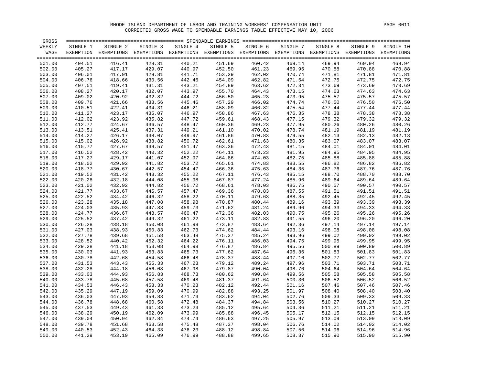| GROSS  |          |                                                                                                              |          |          |          |          |          |          |          | $=$ $=$ $=$ $=$ |
|--------|----------|--------------------------------------------------------------------------------------------------------------|----------|----------|----------|----------|----------|----------|----------|-----------------|
| WEEKLY | SINGLE 1 | SINGLE 2                                                                                                     | SINGLE 3 | SINGLE 4 | SINGLE 5 | SINGLE 6 | SINGLE 7 | SINGLE 8 | SINGLE 9 | SINGLE 10       |
| WAGE   |          | EXEMPTION EXEMPTIONS EXEMPTIONS EXEMPTIONS EXEMPTIONS EXEMPTIONS EXEMPTIONS EXEMPTIONS EXEMPTIONS EXEMPTIONS |          |          |          |          |          |          |          |                 |
|        |          |                                                                                                              |          |          |          |          |          |          |          |                 |
| 501.00 | 404.51   | 416.41                                                                                                       | 428.31   | 440.21   | 451.69   | 460.42   | 469.14   | 469.94   | 469.94   | 469.94          |
| 502.00 | 405.27   | 417.17                                                                                                       | 429.07   | 440.97   | 452.50   | 461.23   | 469.95   | 470.88   | 470.88   | 470.88          |
| 503.00 | 406.01   | 417.91                                                                                                       | 429.81   | 441.71   | 453.29   | 462.02   | 470.74   | 471.81   | 471.81   | 471.81          |
| 504.00 | 406.76   | 418.66                                                                                                       | 430.56   | 442.46   | 454.09   | 462.82   | 471.54   | 472.75   | 472.75   | 472.75          |
| 505.00 | 407.51   | 419.41                                                                                                       | 431.31   | 443.21   | 454.89   | 463.62   | 472.34   | 473.69   | 473.69   | 473.69          |
| 506.00 | 408.27   | 420.17                                                                                                       | 432.07   | 443.97   | 455.70   | 464.43   | 473.15   | 474.63   | 474.63   | 474.63          |
| 507.00 | 409.02   | 420.92                                                                                                       | 432.82   | 444.72   | 456.50   | 465.23   | 473.95   | 475.57   | 475.57   | 475.57          |
| 508.00 | 409.76   | 421.66                                                                                                       | 433.56   | 445.46   | 457.29   | 466.02   | 474.74   | 476.50   | 476.50   | 476.50          |
| 509.00 | 410.51   | 422.41                                                                                                       | 434.31   | 446.21   | 458.09   | 466.82   | 475.54   | 477.44   | 477.44   | 477.44          |
| 510.00 | 411.27   | 423.17                                                                                                       | 435.07   | 446.97   | 458.86   | 467.63   | 476.35   | 478.38   | 478.38   | 478.38          |
| 511.00 | 412.02   | 423.92                                                                                                       | 435.82   | 447.72   | 459.61   | 468.43   | 477.15   | 479.32   | 479.32   | 479.32          |
| 512.00 | 412.77   | 424.67                                                                                                       | 436.57   | 448.47   | 460.36   | 469.23   | 477.95   | 480.26   | 480.26   | 480.26          |
| 513.00 | 413.51   | 425.41                                                                                                       | 437.31   | 449.21   | 461.10   | 470.02   | 478.74   | 481.19   | 481.19   | 481.19          |
| 514.00 | 414.27   | 426.17                                                                                                       | 438.07   | 449.97   | 461.86   | 470.83   | 479.55   | 482.13   | 482.13   | 482.13          |
| 515.00 | 415.02   | 426.92                                                                                                       | 438.82   | 450.72   | 462.61   | 471.63   | 480.35   | 483.07   | 483.07   | 483.07          |
| 516.00 | 415.77   | 427.67                                                                                                       | 439.57   | 451.47   | 463.36   | 472.43   | 481.15   | 484.01   | 484.01   | 484.01          |
| 517.00 | 416.52   | 428.42                                                                                                       | 440.32   | 452.22   | 464.11   | 473.23   | 481.95   | 484.95   | 484.95   | 484.95          |
| 518.00 | 417.27   | 429.17                                                                                                       | 441.07   | 452.97   | 464.86   | 474.03   | 482.75   | 485.88   | 485.88   | 485.88          |
| 519.00 | 418.02   | 429.92                                                                                                       | 441.82   | 453.72   | 465.61   | 474.83   | 483.55   | 486.82   | 486.82   | 486.82          |
| 520.00 | 418.77   | 430.67                                                                                                       | 442.57   | 454.47   | 466.36   | 475.63   | 484.35   | 487.76   | 487.76   | 487.76          |
| 521.00 | 419.52   | 431.42                                                                                                       | 443.32   | 455.22   | 467.11   | 476.43   | 485.15   | 488.70   | 488.70   | 488.70          |
| 522.00 | 420.28   | 432.18                                                                                                       | 444.08   | 455.98   | 467.87   | 477.24   | 485.96   | 489.64   | 489.64   | 489.64          |
| 523.00 | 421.02   | 432.92                                                                                                       | 444.82   | 456.72   | 468.61   | 478.03   | 486.75   | 490.57   | 490.57   | 490.57          |
| 524.00 | 421.77   | 433.67                                                                                                       | 445.57   | 457.47   | 469.36   | 478.83   | 487.55   | 491.51   | 491.51   | 491.51          |
| 525.00 | 422.52   | 434.42                                                                                                       | 446.32   | 458.22   | 470.11   | 479.63   | 488.35   | 492.45   | 492.45   | 492.45          |
| 526.00 | 423.28   | 435.18                                                                                                       | 447.08   | 458.98   | 470.87   | 480.44   | 489.16   | 493.39   | 493.39   | 493.39          |
| 527.00 | 424.03   | 435.93                                                                                                       | 447.83   | 459.73   | 471.62   | 481.24   | 489.96   | 494.33   | 494.33   | 494.33          |
| 528.00 | 424.77   | 436.67                                                                                                       | 448.57   | 460.47   | 472.36   | 482.03   | 490.75   | 495.26   | 495.26   | 495.26          |
| 529.00 | 425.52   | 437.42                                                                                                       | 449.32   | 461.22   | 473.11   | 482.83   | 491.55   | 496.20   | 496.20   | 496.20          |
| 530.00 | 426.28   | 438.18                                                                                                       | 450.08   | 461.98   | 473.87   | 483.64   | 492.36   | 497.14   | 497.14   | 497.14          |
| 531.00 | 427.03   | 438.93                                                                                                       | 450.83   | 462.73   | 474.62   | 484.44   | 493.16   | 498.08   | 498.08   | 498.08          |
| 532.00 | 427.78   | 439.68                                                                                                       | 451.58   | 463.48   | 475.37   | 485.24   | 493.96   | 499.02   | 499.02   | 499.02          |
| 533.00 | 428.52   | 440.42                                                                                                       | 452.32   | 464.22   | 476.11   | 486.03   | 494.75   | 499.95   | 499.95   | 499.95          |
| 534.00 | 429.28   | 441.18                                                                                                       | 453.08   | 464.98   | 476.87   | 486.84   | 495.56   | 500.89   | 500.89   | 500.89          |
| 535.00 | 430.03   | 441.93                                                                                                       | 453.83   | 465.73   | 477.62   | 487.64   | 496.36   | 501.83   | 501.83   | 501.83          |
| 536.00 | 430.78   | 442.68                                                                                                       | 454.58   | 466.48   | 478.37   | 488.44   | 497.16   | 502.77   | 502.77   | 502.77          |
| 537.00 | 431.53   | 443.43                                                                                                       | 455.33   | 467.23   | 479.12   | 489.24   | 497.96   | 503.71   | 503.71   | 503.71          |
| 538.00 | 432.28   | 444.18                                                                                                       | 456.08   | 467.98   | 479.87   | 490.04   | 498.76   | 504.64   | 504.64   | 504.64          |
| 539.00 | 433.03   | 444.93                                                                                                       | 456.83   | 468.73   | 480.62   | 490.84   | 499.56   | 505.58   | 505.58   | 505.58          |
| 540.00 | 433.78   | 445.68                                                                                                       | 457.58   | 469.48   | 481.37   | 491.64   | 500.36   | 506.52   | 506.52   | 506.52          |
| 541.00 | 434.53   | 446.43                                                                                                       | 458.33   | 470.23   | 482.12   | 492.44   | 501.16   | 507.46   | 507.46   | 507.46          |
| 542.00 | 435.29   | 447.19                                                                                                       | 459.09   | 470.99   | 482.88   | 493.25   | 501.97   | 508.40   | 508.40   | 508.40          |
| 543.00 | 436.03   | 447.93                                                                                                       | 459.83   | 471.73   | 483.62   | 494.04   | 502.76   | 509.33   | 509.33   | 509.33          |
| 544.00 | 436.78   | 448.68                                                                                                       | 460.58   | 472.48   | 484.37   | 494.84   | 503.56   | 510.27   | 510.27   | 510.27          |
| 545.00 | 437.53   | 449.43                                                                                                       | 461.33   | 473.23   | 485.12   | 495.64   | 504.36   | 511.21   | 511.21   | 511.21          |
| 546.00 | 438.29   | 450.19                                                                                                       | 462.09   | 473.99   | 485.88   | 496.45   | 505.17   | 512.15   | 512.15   | 512.15          |
| 547.00 | 439.04   | 450.94                                                                                                       | 462.84   | 474.74   | 486.63   | 497.25   | 505.97   | 513.09   | 513.09   | 513.09          |
| 548.00 | 439.78   | 451.68                                                                                                       | 463.58   | 475.48   | 487.37   | 498.04   | 506.76   | 514.02   | 514.02   | 514.02          |
| 549.00 | 440.53   | 452.43                                                                                                       | 464.33   | 476.23   | 488.12   | 498.84   | 507.56   | 514.96   | 514.96   | 514.96          |
| 550.00 | 441.29   | 453.19                                                                                                       | 465.09   | 476.99   | 488.88   | 499.65   | 508.37   | 515.90   | 515.90   | 515.90          |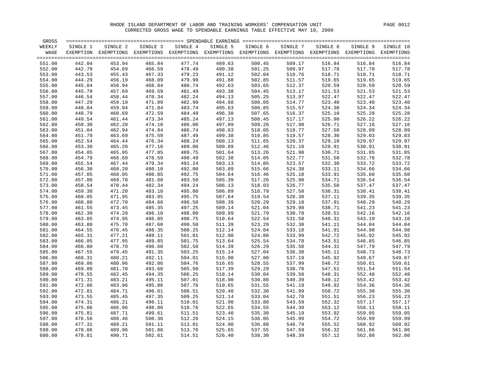| GROSS  | $=$      |          |          |          |          |                                                                                                              |          |          |          | $=$ $=$ $=$ $=$ |
|--------|----------|----------|----------|----------|----------|--------------------------------------------------------------------------------------------------------------|----------|----------|----------|-----------------|
| WEEKLY | SINGLE 1 | SINGLE 2 | SINGLE 3 | SINGLE 4 | SINGLE 5 | SINGLE 6                                                                                                     | SINGLE 7 | SINGLE 8 | SINGLE 9 | SINGLE 10       |
| WAGE   |          |          |          |          |          | EXEMPTION EXEMPTIONS EXEMPTIONS EXEMPTIONS EXEMPTIONS EXEMPTIONS EXEMPTIONS EXEMPTIONS EXEMPTIONS EXEMPTIONS |          |          |          |                 |
|        |          |          |          |          |          |                                                                                                              |          |          |          |                 |
| 551.00 | 442.04   | 453.94   | 465.84   | 477.74   | 489.63   | 500.45                                                                                                       | 509.17   | 516.84   | 516.84   | 516.84          |
| 552.00 | 442.79   | 454.69   | 466.59   | 478.49   | 490.38   | 501.25                                                                                                       | 509.97   | 517.78   | 517.78   | 517.78          |
| 553.00 | 443.53   | 455.43   | 467.33   | 479.23   | 491.12   | 502.04                                                                                                       | 510.76   | 518.71   | 518.71   | 518.71          |
| 554.00 | 444.29   | 456.19   | 468.09   | 479.99   | 491.88   | 502.85                                                                                                       | 511.57   | 519.65   | 519.65   | 519.65          |
| 555.00 | 445.04   | 456.94   | 468.84   | 480.74   | 492.63   | 503.65                                                                                                       | 512.37   | 520.59   | 520.59   | 520.59          |
| 556.00 | 445.79   | 457.69   | 469.59   | 481.49   | 493.38   | 504.45                                                                                                       | 513.17   | 521.53   | 521.53   | 521.53          |
| 557.00 | 446.54   | 458.44   | 470.34   | 482.24   | 494.13   | 505.25                                                                                                       | 513.97   | 522.47   | 522.47   | 522.47          |
| 558.00 | 447.29   | 459.19   | 471.09   | 482.99   | 494.88   | 506.05                                                                                                       | 514.77   | 523.40   | 523.40   | 523.40          |
| 559.00 | 448.04   | 459.94   | 471.84   | 483.74   | 495.63   | 506.85                                                                                                       | 515.57   | 524.30   | 524.34   | 524.34          |
| 560.00 | 448.79   | 460.69   | 472.59   | 484.49   | 496.38   | 507.65                                                                                                       | 516.37   | 525.10   | 525.28   | 525.28          |
| 561.00 | 449.54   | 461.44   | 473.34   | 485.24   | 497.13   | 508.45                                                                                                       | 517.17   | 525.90   | 526.22   | 526.22          |
| 562.00 | 450.30   | 462.20   | 474.10   | 486.00   | 497.89   | 509.26                                                                                                       | 517.98   | 526.71   | 527.16   | 527.16          |
| 563.00 | 451.04   | 462.94   | 474.84   | 486.74   | 498.63   | 510.05                                                                                                       | 518.77   | 527.50   | 528.09   | 528.09          |
| 564.00 | 451.79   | 463.69   | 475.59   | 487.49   | 499.38   | 510.85                                                                                                       | 519.57   | 528.30   | 529.03   | 529.03          |
| 565.00 | 452.54   | 464.44   | 476.34   | 488.24   | 500.13   | 511.65                                                                                                       | 520.37   | 529.10   | 529.97   | 529.97          |
| 566.00 | 453.30   | 465.20   | 477.10   | 489.00   | 500.89   | 512.46                                                                                                       | 521.18   | 529.91   | 530.91   | 530.91          |
| 567.00 | 454.05   | 465.95   | 477.85   | 489.75   | 501.64   | 513.26                                                                                                       | 521.98   | 530.71   | 531.85   | 531.85          |
| 568.00 | 454.79   | 466.69   | 478.59   | 490.49   | 502.38   | 514.05                                                                                                       | 522.77   | 531.50   | 532.78   | 532.78          |
| 569.00 | 455.54   | 467.44   | 479.34   | 491.24   | 503.13   | 514.85                                                                                                       | 523.57   | 532.30   | 533.72   | 533.72          |
| 570.00 | 456.30   | 468.20   | 480.10   | 492.00   | 503.89   | 515.66                                                                                                       | 524.38   | 533.11   | 534.66   | 534.66          |
| 571.00 | 457.05   | 468.95   | 480.85   | 492.75   | 504.64   | 516.46                                                                                                       | 525.18   | 533.91   | 535.60   | 535.60          |
| 572.00 | 457.80   | 469.70   | 481.60   | 493.50   | 505.39   | 517.26                                                                                                       | 525.98   | 534.71   | 536.54   | 536.54          |
| 573.00 | 458.54   | 470.44   | 482.34   | 494.24   | 506.13   | 518.03                                                                                                       | 526.77   | 535.50   | 537.47   | 537.47          |
| 574.00 | 459.30   | 471.20   | 483.10   | 495.00   | 506.89   | 518.79                                                                                                       | 527.58   | 536.31   | 538.41   | 538.41          |
| 575.00 | 460.05   | 471.95   | 483.85   | 495.75   | 507.64   | 519.54                                                                                                       | 528.38   | 537.11   | 539.35   | 539.35          |
| 576.00 | 460.80   | 472.70   | 484.60   | 496.50   | 508.39   | 520.29                                                                                                       | 529.18   | 537.91   | 540.29   | 540.29          |
| 577.00 | 461.55   | 473.45   | 485.35   | 497.25   | 509.14   | 521.04                                                                                                       | 529.98   | 538.71   | 541.23   | 541.23          |
| 578.00 | 462.30   | 474.20   | 486.10   | 498.00   | 509.89   | 521.79                                                                                                       | 530.78   | 539.51   | 542.16   | 542.16          |
| 579.00 | 463.05   | 474.95   | 486.85   | 498.75   | 510.64   | 522.54                                                                                                       | 531.58   | 540.31   | 543.10   | 543.10          |
| 580.00 | 463.80   | 475.70   | 487.60   | 499.50   | 511.39   | 523.29                                                                                                       | 532.38   | 541.11   | 544.04   | 544.04          |
| 581.00 | 464.55   | 476.45   | 488.35   | 500.25   | 512.14   | 524.04                                                                                                       | 533.18   | 541.91   | 544.98   | 544.98          |
| 582.00 | 465.31   | 477.21   | 489.11   | 501.01   | 512.90   | 524.80                                                                                                       | 533.99   | 542.72   | 545.92   | 545.92          |
| 583.00 | 466.05   | 477.95   | 489.85   | 501.75   | 513.64   | 525.54                                                                                                       | 534.78   | 543.51   | 546.85   | 546.85          |
| 584.00 | 466.80   | 478.70   | 490.60   | 502.50   | 514.39   | 526.29                                                                                                       | 535.58   | 544.31   | 547.79   | 547.79          |
| 585.00 | 467.55   | 479.45   | 491.35   | 503.25   | 515.14   | 527.04                                                                                                       | 536.38   | 545.11   | 548.73   | 548.73          |
| 586.00 | 468.31   | 480.21   | 492.11   | 504.01   | 515.90   | 527.80                                                                                                       | 537.19   | 545.92   | 549.67   | 549.67          |
| 587.00 | 469.06   | 480.96   | 492.86   | 504.76   | 516.65   | 528.55                                                                                                       | 537.99   | 546.72   | 550.61   | 550.61          |
| 588.00 | 469.80   | 481.70   | 493.60   | 505.50   | 517.39   | 529.29                                                                                                       | 538.78   | 547.51   | 551.54   | 551.54          |
| 589.00 | 470.55   | 482.45   | 494.35   | 506.25   | 518.14   | 530.04                                                                                                       | 539.58   | 548.31   | 552.48   | 552.48          |
| 590.00 | 471.31   | 483.21   | 495.11   | 507.01   | 518.90   | 530.80                                                                                                       | 540.39   | 549.12   | 553.42   | 553.42          |
| 591.00 | 472.06   | 483.96   | 495.86   | 507.76   | 519.65   | 531.55                                                                                                       | 541.19   | 549.92   | 554.36   | 554.36          |
| 592.00 | 472.81   | 484.71   | 496.61   | 508.51   | 520.40   | 532.30                                                                                                       | 541.99   | 550.72   | 555.30   | 555.30          |
| 593.00 | 473.55   | 485.45   | 497.35   | 509.25   | 521.14   | 533.04                                                                                                       | 542.78   | 551.51   | 556.23   | 556.23          |
| 594.00 | 474.31   | 486.21   | 498.11   | 510.01   | 521.90   | 533.80                                                                                                       | 543.59   | 552.32   | 557.17   | 557.17          |
| 595.00 | 475.06   | 486.96   | 498.86   | 510.76   | 522.65   | 534.55                                                                                                       | 544.39   | 553.12   | 558.11   | 558.11          |
| 596.00 | 475.81   | 487.71   | 499.61   | 511.51   | 523.40   | 535.30                                                                                                       | 545.19   | 553.92   | 559.05   | 559.05          |
| 597.00 | 476.56   | 488.46   | 500.36   | 512.26   | 524.15   | 536.05                                                                                                       | 545.99   | 554.72   | 559.99   | 559.99          |
| 598.00 | 477.31   | 489.21   | 501.11   | 513.01   | 524.90   | 536.80                                                                                                       | 546.79   | 555.52   | 560.92   | 560.92          |
| 599.00 | 478.06   | 489.96   | 501.86   | 513.76   | 525.65   | 537.55                                                                                                       | 547.59   | 556.32   | 561.86   | 561.86          |
| 600.00 | 478.81   | 490.71   | 502.61   | 514.51   | 526.40   | 538.30                                                                                                       | 548.39   | 557.12   | 562.80   | 562.80          |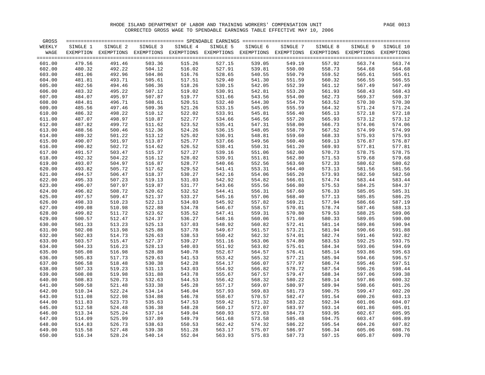| GROSS  | $=$ $=$ $=$ $=$ |                                                                                                              |          |          |          |          |          |          |          | $=$ $=$ $=$ $=$ $=$ |
|--------|-----------------|--------------------------------------------------------------------------------------------------------------|----------|----------|----------|----------|----------|----------|----------|---------------------|
| WEEKLY | SINGLE 1        | SINGLE 2                                                                                                     | SINGLE 3 | SINGLE 4 | SINGLE 5 | SINGLE 6 | SINGLE 7 | SINGLE 8 | SINGLE 9 | SINGLE 10           |
| WAGE   |                 | EXEMPTION EXEMPTIONS EXEMPTIONS EXEMPTIONS EXEMPTIONS EXEMPTIONS EXEMPTIONS EXEMPTIONS EXEMPTIONS EXEMPTIONS |          |          |          |          |          |          |          |                     |
|        |                 |                                                                                                              |          |          |          |          |          |          |          | $=$ $=$ $=$ $=$     |
| 601.00 | 479.56          | 491.46                                                                                                       | 503.36   | 515.26   | 527.15   | 539.05   | 549.19   | 557.92   | 563.74   | 563.74              |
| 602.00 | 480.32          | 492.22                                                                                                       | 504.12   | 516.02   | 527.91   | 539.81   | 550.00   | 558.73   | 564.68   | 564.68              |
| 603.00 | 481.06          | 492.96                                                                                                       | 504.86   | 516.76   | 528.65   | 540.55   | 550.79   | 559.52   | 565.61   | 565.61              |
| 604.00 | 481.81          | 493.71                                                                                                       | 505.61   | 517.51   | 529.40   | 541.30   | 551.59   | 560.32   | 566.55   | 566.55              |
| 605.00 | 482.56          | 494.46                                                                                                       | 506.36   | 518.26   | 530.15   | 542.05   | 552.39   | 561.12   | 567.49   | 567.49              |
| 606.00 | 483.32          | 495.22                                                                                                       | 507.12   | 519.02   | 530.91   | 542.81   | 553.20   | 561.93   | 568.43   | 568.43              |
| 607.00 | 484.07          | 495.97                                                                                                       | 507.87   | 519.77   | 531.66   | 543.56   | 554.00   | 562.73   | 569.37   | 569.37              |
| 608.00 | 484.81          | 496.71                                                                                                       | 508.61   | 520.51   | 532.40   | 544.30   | 554.79   | 563.52   | 570.30   | 570.30              |
| 609.00 | 485.56          | 497.46                                                                                                       | 509.36   | 521.26   | 533.15   | 545.05   | 555.59   | 564.32   | 571.24   | 571.24              |
| 610.00 | 486.32          | 498.22                                                                                                       | 510.12   | 522.02   | 533.91   | 545.81   | 556.40   | 565.13   | 572.18   | 572.18              |
| 611.00 | 487.07          | 498.97                                                                                                       | 510.87   | 522.77   | 534.66   | 546.56   | 557.20   | 565.93   | 573.12   | 573.12              |
| 612.00 | 487.82          | 499.72                                                                                                       | 511.62   | 523.52   | 535.41   | 547.31   | 558.00   | 566.73   | 574.06   | 574.06              |
| 613.00 | 488.56          | 500.46                                                                                                       | 512.36   | 524.26   | 536.15   | 548.05   | 558.79   | 567.52   | 574.99   | 574.99              |
| 614.00 | 489.32          | 501.22                                                                                                       | 513.12   | 525.02   | 536.91   | 548.81   | 559.60   | 568.33   | 575.93   | 575.93              |
| 615.00 | 490.07          | 501.97                                                                                                       | 513.87   | 525.77   | 537.66   | 549.56   | 560.40   | 569.13   | 576.87   | 576.87              |
| 616.00 | 490.82          | 502.72                                                                                                       | 514.62   | 526.52   | 538.41   | 550.31   | 561.20   | 569.93   | 577.81   | 577.81              |
| 617.00 | 491.57          | 503.47                                                                                                       | 515.37   | 527.27   | 539.16   | 551.06   | 562.00   | 570.73   | 578.75   | 578.75              |
| 618.00 | 492.32          | 504.22                                                                                                       | 516.12   | 528.02   | 539.91   | 551.81   | 562.80   | 571.53   | 579.68   | 579.68              |
| 619.00 | 493.07          | 504.97                                                                                                       | 516.87   | 528.77   | 540.66   | 552.56   | 563.60   | 572.33   | 580.62   | 580.62              |
| 620.00 | 493.82          | 505.72                                                                                                       | 517.62   | 529.52   | 541.41   | 553.31   | 564.40   | 573.13   | 581.56   | 581.56              |
| 621.00 | 494.57          | 506.47                                                                                                       | 518.37   | 530.27   | 542.16   | 554.06   | 565.20   | 573.93   | 582.50   | 582.50              |
| 622.00 | 495.33          | 507.23                                                                                                       | 519.13   | 531.03   | 542.92   | 554.82   | 566.01   | 574.74   | 583.44   | 583.44              |
| 623.00 | 496.07          | 507.97                                                                                                       | 519.87   | 531.77   | 543.66   | 555.56   | 566.80   | 575.53   | 584.25   | 584.37              |
| 624.00 | 496.82          | 508.72                                                                                                       | 520.62   | 532.52   | 544.41   | 556.31   | 567.60   | 576.33   | 585.05   | 585.31              |
| 625.00 | 497.57          | 509.47                                                                                                       | 521.37   | 533.27   | 545.16   | 557.06   | 568.40   | 577.13   | 585.85   | 586.25              |
| 626.00 | 498.33          | 510.23                                                                                                       | 522.13   | 534.03   | 545.92   | 557.82   | 569.21   | 577.94   | 586.66   | 587.19              |
| 627.00 | 499.08          | 510.98                                                                                                       | 522.88   | 534.78   | 546.67   | 558.57   | 570.01   | 578.74   | 587.46   | 588.13              |
| 628.00 | 499.82          | 511.72                                                                                                       | 523.62   | 535.52   | 547.41   | 559.31   | 570.80   | 579.53   | 588.25   | 589.06              |
| 629.00 | 500.57          | 512.47                                                                                                       | 524.37   | 536.27   | 548.16   | 560.06   | 571.60   | 580.33   | 589.05   | 590.00              |
| 630.00 | 501.33          | 513.23                                                                                                       | 525.13   | 537.03   | 548.92   | 560.82   | 572.41   | 581.14   | 589.86   | 590.94              |
| 631.00 | 502.08          | 513.98                                                                                                       | 525.88   | 537.78   | 549.67   | 561.57   | 573.21   | 581.94   | 590.66   | 591.88              |
| 632.00 | 502.83          | 514.73                                                                                                       | 526.63   | 538.53   | 550.42   | 562.32   | 574.01   | 582.74   | 591.46   | 592.82              |
| 633.00 | 503.57          | 515.47                                                                                                       | 527.37   | 539.27   | 551.16   | 563.06   | 574.80   | 583.53   | 592.25   | 593.75              |
| 634.00 | 504.33          | 516.23                                                                                                       | 528.13   | 540.03   | 551.92   | 563.82   | 575.61   | 584.34   | 593.06   | 594.69              |
| 635.00 | 505.08          | 516.98                                                                                                       | 528.88   | 540.78   | 552.67   | 564.57   | 576.41   | 585.14   | 593.86   | 595.63              |
| 636.00 | 505.83          | 517.73                                                                                                       | 529.63   | 541.53   | 553.42   | 565.32   | 577.21   | 585.94   | 594.66   | 596.57              |
| 637.00 | 506.58          | 518.48                                                                                                       | 530.38   | 542.28   | 554.17   | 566.07   | 577.97   | 586.74   | 595.46   | 597.51              |
| 638.00 | 507.33          | 519.23                                                                                                       | 531.13   | 543.03   | 554.92   | 566.82   | 578.72   | 587.54   | 596.26   | 598.44              |
| 639.00 | 508.08          | 519.98                                                                                                       | 531.88   | 543.78   | 555.67   | 567.57   | 579.47   | 588.34   | 597.06   | 599.38              |
| 640.00 | 508.83          | 520.73                                                                                                       | 532.63   | 544.53   | 556.42   | 568.32   | 580.22   | 589.14   | 597.86   | 600.32              |
| 641.00 | 509.58          | 521.48                                                                                                       | 533.38   | 545.28   | 557.17   | 569.07   | 580.97   | 589.94   | 598.66   | 601.26              |
| 642.00 | 510.34          | 522.24                                                                                                       | 534.14   | 546.04   | 557.93   | 569.83   | 581.73   | 590.75   | 599.47   | 602.20              |
| 643.00 | 511.08          | 522.98                                                                                                       | 534.88   | 546.78   | 558.67   | 570.57   | 582.47   | 591.54   | 600.26   | 603.13              |
| 644.00 | 511.83          | 523.73                                                                                                       | 535.63   | 547.53   | 559.42   | 571.32   | 583.22   | 592.34   | 601.06   | 604.07              |
| 645.00 | 512.58          | 524.48                                                                                                       | 536.38   | 548.28   | 560.17   | 572.07   | 583.97   | 593.14   | 601.86   | 605.01              |
| 646.00 | 513.34          | 525.24                                                                                                       | 537.14   | 549.04   | 560.93   | 572.83   | 584.73   | 593.95   | 602.67   | 605.95              |
| 647.00 | 514.09          | 525.99                                                                                                       | 537.89   | 549.79   | 561.68   | 573.58   | 585.48   | 594.75   | 603.47   | 606.89              |
| 648.00 | 514.83          | 526.73                                                                                                       | 538.63   | 550.53   | 562.42   | 574.32   | 586.22   | 595.54   | 604.26   | 607.82              |
| 649.00 | 515.58          | 527.48                                                                                                       | 539.38   | 551.28   | 563.17   | 575.07   | 586.97   | 596.34   | 605.06   | 608.76              |
| 650.00 | 516.34          | 528.24                                                                                                       | 540.14   | 552.04   | 563.93   | 575.83   | 587.73   | 597.15   | 605.87   | 609.70              |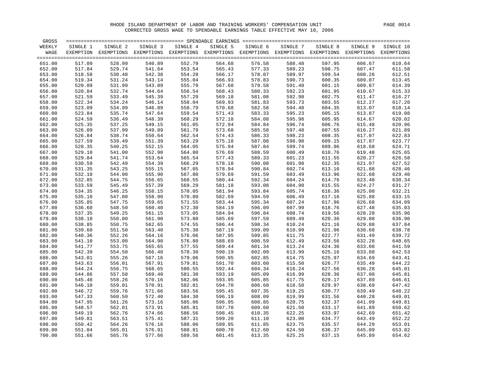| GROSS  |          |          |          |          |          |                                                                                                              |          |          |          |           |
|--------|----------|----------|----------|----------|----------|--------------------------------------------------------------------------------------------------------------|----------|----------|----------|-----------|
| WEEKLY | SINGLE 1 | SINGLE 2 | SINGLE 3 | SINGLE 4 | SINGLE 5 | SINGLE 6                                                                                                     | SINGLE 7 | SINGLE 8 | SINGLE 9 | SINGLE 10 |
| WAGE   |          |          |          |          |          | EXEMPTION EXEMPTIONS EXEMPTIONS EXEMPTIONS EXEMPTIONS EXEMPTIONS EXEMPTIONS EXEMPTIONS EXEMPTIONS EXEMPTIONS |          |          |          |           |
|        |          |          |          |          |          |                                                                                                              |          |          |          |           |
| 651.00 | 517.09   | 528.99   | 540.89   | 552.79   | 564.68   | 576.58                                                                                                       | 588.48   | 597.95   | 606.67   | 610.64    |
| 652.00 | 517.84   | 529.74   | 541.64   | 553.54   | 565.43   | 577.33                                                                                                       | 589.23   | 598.75   | 607.47   | 611.58    |
| 653.00 | 518.58   | 530.48   | 542.38   | 554.28   | 566.17   | 578.07                                                                                                       | 589.97   | 599.54   | 608.26   | 612.51    |
| 654.00 | 519.34   | 531.24   | 543.14   | 555.04   | 566.93   | 578.83                                                                                                       | 590.73   | 600.35   | 609.07   | 613.45    |
| 655.00 | 520.09   | 531.99   | 543.89   | 555.79   | 567.68   | 579.58                                                                                                       | 591.48   | 601.15   | 609.87   | 614.39    |
| 656.00 | 520.84   | 532.74   | 544.64   | 556.54   | 568.43   | 580.33                                                                                                       | 592.23   | 601.95   | 610.67   | 615.33    |
| 657.00 | 521.59   | 533.49   | 545.39   | 557.29   | 569.18   | 581.08                                                                                                       | 592.98   | 602.75   | 611.47   | 616.27    |
| 658.00 | 522.34   | 534.24   | 546.14   | 558.04   | 569.93   | 581.83                                                                                                       | 593.73   | 603.55   | 612.27   | 617.20    |
| 659.00 | 523.09   | 534.99   | 546.89   | 558.79   | 570.68   | 582.58                                                                                                       | 594.48   | 604.35   | 613.07   | 618.14    |
| 660.00 | 523.84   | 535.74   | 547.64   | 559.54   | 571.43   | 583.33                                                                                                       | 595.23   | 605.15   | 613.87   | 619.08    |
| 661.00 | 524.59   | 536.49   | 548.39   | 560.29   | 572.18   | 584.08                                                                                                       | 595.98   | 605.95   | 614.67   | 620.02    |
| 662.00 | 525.35   | 537.25   | 549.15   | 561.05   | 572.94   | 584.84                                                                                                       | 596.74   | 606.76   | 615.48   | 620.96    |
| 663.00 | 526.09   | 537.99   | 549.89   | 561.79   | 573.68   | 585.58                                                                                                       | 597.48   | 607.55   | 616.27   | 621.89    |
| 664.00 | 526.84   | 538.74   | 550.64   | 562.54   | 574.43   | 586.33                                                                                                       | 598.23   | 608.35   | 617.07   | 622.83    |
| 665.00 | 527.59   | 539.49   | 551.39   | 563.29   | 575.18   | 587.08                                                                                                       | 598.98   | 609.15   | 617.87   | 623.77    |
| 666.00 | 528.35   | 540.25   | 552.15   | 564.05   | 575.94   | 587.84                                                                                                       | 599.74   | 609.96   | 618.68   | 624.71    |
| 667.00 | 529.10   | 541.00   | 552.90   | 564.80   | 576.69   | 588.59                                                                                                       | 600.49   | 610.76   | 619.48   | 625.65    |
| 668.00 | 529.84   | 541.74   | 553.64   | 565.54   | 577.43   | 589.33                                                                                                       | 601.23   | 611.55   | 620.27   | 626.58    |
| 669.00 | 530.59   | 542.49   | 554.39   | 566.29   | 578.18   | 590.08                                                                                                       | 601.98   | 612.35   | 621.07   | 627.52    |
| 670.00 | 531.35   | 543.25   | 555.15   | 567.05   | 578.94   | 590.84                                                                                                       | 602.74   | 613.16   | 621.88   | 628.46    |
| 671.00 | 532.10   | 544.00   | 555.90   | 567.80   | 579.69   | 591.59                                                                                                       | 603.49   | 613.96   | 622.68   | 629.40    |
| 672.00 | 532.85   | 544.75   | 556.65   | 568.55   | 580.44   | 592.34                                                                                                       | 604.24   | 614.76   | 623.48   | 630.34    |
| 673.00 | 533.59   | 545.49   | 557.39   | 569.29   | 581.18   | 593.08                                                                                                       | 604.98   | 615.55   | 624.27   | 631.27    |
| 674.00 | 534.35   | 546.25   | 558.15   | 570.05   | 581.94   | 593.84                                                                                                       | 605.74   | 616.36   | 625.08   | 632.21    |
| 675.00 | 535.10   | 547.00   | 558.90   | 570.80   | 582.69   | 594.59                                                                                                       | 606.49   | 617.16   | 625.88   | 633.15    |
| 676.00 | 535.85   | 547.75   | 559.65   | 571.55   | 583.44   | 595.34                                                                                                       | 607.24   | 617.96   | 626.68   | 634.09    |
| 677.00 | 536.60   | 548.50   | 560.40   | 572.30   | 584.19   | 596.09                                                                                                       | 607.99   | 618.76   | 627.48   | 635.03    |
| 678.00 | 537.35   | 549.25   | 561.15   | 573.05   | 584.94   | 596.84                                                                                                       | 608.74   | 619.56   | 628.28   | 635.96    |
| 679.00 | 538.10   | 550.00   | 561.90   | 573.80   | 585.69   | 597.59                                                                                                       | 609.49   | 620.36   | 629.08   | 636.90    |
| 680.00 | 538.85   | 550.75   | 562.65   | 574.55   | 586.44   | 598.34                                                                                                       | 610.24   | 621.16   | 629.88   | 637.84    |
| 681.00 | 539.60   | 551.50   | 563.40   | 575.30   | 587.19   | 599.09                                                                                                       | 610.99   | 621.96   | 630.68   | 638.78    |
| 682.00 | 540.36   | 552.26   | 564.16   | 576.06   | 587.95   | 599.85                                                                                                       | 611.75   | 622.77   | 631.49   | 639.72    |
| 683.00 | 541.10   | 553.00   | 564.90   | 576.80   | 588.69   | 600.59                                                                                                       | 612.49   | 623.56   | 632.28   | 640.65    |
| 684.00 | 541.77   | 553.75   | 565.65   | 577.55   | 589.44   | 601.34                                                                                                       | 613.24   | 624.36   | 633.08   | 641.59    |
| 685.00 | 542.39   | 554.50   | 566.40   | 578.30   | 590.19   | 602.09                                                                                                       | 613.99   | 625.16   | 633.88   | 642.53    |
| 686.00 | 543.01   | 555.26   | 567.16   | 579.06   | 590.95   | 602.85                                                                                                       | 614.75   | 625.97   | 634.69   | 643.41    |
| 687.00 | 543.63   | 556.01   | 567.91   | 579.81   | 591.70   | 603.60                                                                                                       | 615.50   | 626.77   | 635.49   | 644.22    |
| 688.00 | 544.24   | 556.75   | 568.65   | 580.55   | 592.44   | 604.34                                                                                                       | 616.24   | 627.56   | 636.28   | 645.01    |
| 689.00 | 544.86   | 557.50   | 569.40   | 581.30   | 593.19   | 605.09                                                                                                       | 616.99   | 628.36   | 637.08   | 645.81    |
| 690.00 | 545.48   | 558.26   | 570.16   | 582.06   | 593.95   | 605.85                                                                                                       | 617.75   | 629.17   | 637.89   | 646.61    |
| 691.00 | 546.10   | 559.01   | 570.91   | 582.81   | 594.70   | 606.60                                                                                                       | 618.50   | 629.97   | 638.69   | 647.42    |
| 692.00 | 546.72   | 559.76   | 571.66   | 583.56   | 595.45   | 607.35                                                                                                       | 619.25   | 630.77   | 639.49   | 648.22    |
| 693.00 | 547.33   | 560.50   | 572.40   | 584.30   | 596.19   | 608.09                                                                                                       | 619.99   | 631.56   | 640.28   | 649.01    |
| 694.00 | 547.95   | 561.26   | 573.16   | 585.06   | 596.95   | 608.85                                                                                                       | 620.75   | 632.37   | 641.09   | 649.81    |
| 695.00 | 548.57   | 562.01   | 573.91   | 585.81   | 597.70   | 609.60                                                                                                       | 621.50   | 633.17   | 641.89   | 650.62    |
| 696.00 | 549.19   | 562.76   | 574.66   | 586.56   | 598.45   | 610.35                                                                                                       | 622.25   | 633.97   | 642.69   | 651.42    |
| 697.00 | 549.81   | 563.51   | 575.41   | 587.31   | 599.20   | 611.10                                                                                                       | 623.00   | 634.77   | 643.49   | 652.22    |
| 698.00 | 550.42   | 564.26   | 576.16   | 588.06   | 599.95   | 611.85                                                                                                       | 623.75   | 635.57   | 644.29   | 653.01    |
| 699.00 | 551.04   | 565.01   | 576.91   | 588.81   | 600.70   | 612.60                                                                                                       | 624.50   | 636.37   | 645.09   | 653.82    |
| 700.00 | 551.66   | 565.76   | 577.66   | 589.56   | 601.45   | 613.35                                                                                                       | 625.25   | 637.15   | 645.89   | 654.62    |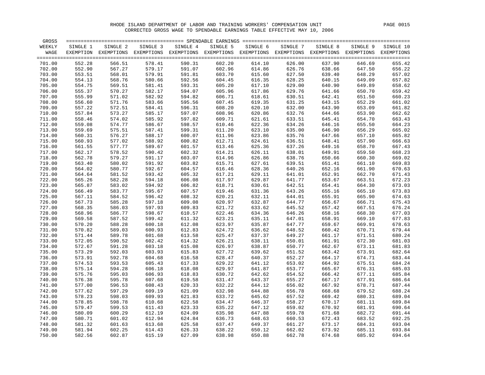| GROSS  |          |                                                                                                              |          |          |          |          |          |          |          |           |
|--------|----------|--------------------------------------------------------------------------------------------------------------|----------|----------|----------|----------|----------|----------|----------|-----------|
| WEEKLY | SINGLE 1 | SINGLE 2                                                                                                     | SINGLE 3 | SINGLE 4 | SINGLE 5 | SINGLE 6 | SINGLE 7 | SINGLE 8 | SINGLE 9 | SINGLE 10 |
| WAGE   |          | EXEMPTION EXEMPTIONS EXEMPTIONS EXEMPTIONS EXEMPTIONS EXEMPTIONS EXEMPTIONS EXEMPTIONS EXEMPTIONS EXEMPTIONS |          |          |          |          |          |          |          |           |
|        |          |                                                                                                              |          |          |          |          |          |          |          |           |
| 701.00 | 552.28   | 566.51                                                                                                       | 578.41   | 590.31   | 602.20   | 614.10   | 626.00   | 637.90   | 646.69   | 655.42    |
| 702.00 | 552.90   | 567.27                                                                                                       | 579.17   | 591.07   | 602.96   | 614.86   | 626.76   | 638.66   | 647.50   | 656.22    |
| 703.00 | 553.51   | 568.01                                                                                                       | 579.91   | 591.81   | 603.70   | 615.60   | 627.50   | 639.40   | 648.29   | 657.02    |
| 704.00 | 554.13   | 568.76                                                                                                       | 580.66   | 592.56   | 604.45   | 616.35   | 628.25   | 640.15   | 649.09   | 657.82    |
| 705.00 | 554.75   | 569.51                                                                                                       | 581.41   | 593.31   | 605.20   | 617.10   | 629.00   | 640.90   | 649.89   | 658.62    |
| 706.00 | 555.37   | 570.27                                                                                                       | 582.17   | 594.07   | 605.96   | 617.86   | 629.76   | 641.66   | 650.70   | 659.42    |
| 707.00 | 555.99   | 571.02                                                                                                       | 582.92   | 594.82   | 606.71   | 618.61   | 630.51   | 642.41   | 651.50   | 660.23    |
| 708.00 | 556.60   | 571.76                                                                                                       | 583.66   | 595.56   | 607.45   | 619.35   | 631.25   | 643.15   | 652.29   | 661.02    |
| 709.00 | 557.22   | 572.51                                                                                                       | 584.41   | 596.31   | 608.20   | 620.10   | 632.00   | 643.90   | 653.09   | 661.82    |
| 710.00 | 557.84   | 573.27                                                                                                       | 585.17   | 597.07   | 608.96   | 620.86   | 632.76   | 644.66   | 653.90   | 662.62    |
| 711.00 | 558.46   | 574.02                                                                                                       | 585.92   | 597.82   | 609.71   | 621.61   | 633.51   | 645.41   | 654.70   | 663.43    |
| 712.00 | 559.08   | 574.77                                                                                                       | 586.67   | 598.57   | 610.46   | 622.36   | 634.26   | 646.16   | 655.50   | 664.23    |
| 713.00 | 559.69   | 575.51                                                                                                       | 587.41   | 599.31   | 611.20   | 623.10   | 635.00   | 646.90   | 656.29   | 665.02    |
| 714.00 | 560.31   | 576.27                                                                                                       | 588.17   | 600.07   | 611.96   | 623.86   | 635.76   | 647.66   | 657.10   | 665.82    |
| 715.00 | 560.93   | 577.02                                                                                                       | 588.92   | 600.82   | 612.71   | 624.61   | 636.51   | 648.41   | 657.90   | 666.63    |
| 716.00 | 561.55   | 577.77                                                                                                       | 589.67   | 601.57   | 613.46   | 625.36   | 637.26   | 649.16   | 658.70   | 667.43    |
| 717.00 | 562.17   | 578.52                                                                                                       | 590.42   | 602.32   | 614.21   | 626.11   | 638.01   | 649.91   | 659.50   | 668.23    |
| 718.00 | 562.78   | 579.27                                                                                                       | 591.17   | 603.07   | 614.96   | 626.86   | 638.76   | 650.66   | 660.30   | 669.02    |
| 719.00 | 563.40   | 580.02                                                                                                       | 591.92   | 603.82   | 615.71   | 627.61   | 639.51   | 651.41   | 661.10   | 669.83    |
| 720.00 | 564.02   | 580.77                                                                                                       | 592.67   | 604.57   | 616.46   | 628.36   | 640.26   | 652.16   | 661.90   | 670.63    |
| 721.00 | 564.64   | 581.52                                                                                                       | 593.42   | 605.32   | 617.21   | 629.11   | 641.01   | 652.91   | 662.70   | 671.43    |
| 722.00 | 565.26   | 582.28                                                                                                       | 594.18   | 606.08   | 617.97   | 629.87   | 641.77   | 653.67   | 663.51   | 672.23    |
| 723.00 | 565.87   | 583.02                                                                                                       | 594.92   | 606.82   | 618.71   | 630.61   | 642.51   | 654.41   | 664.30   | 673.03    |
| 724.00 | 566.49   | 583.77                                                                                                       | 595.67   | 607.57   | 619.46   | 631.36   | 643.26   | 655.16   | 665.10   | 673.83    |
| 725.00 | 567.11   | 584.52                                                                                                       | 596.42   | 608.32   | 620.21   | 632.11   | 644.01   | 655.91   | 665.90   | 674.63    |
| 726.00 | 567.73   | 585.28                                                                                                       | 597.18   | 609.08   | 620.97   | 632.87   | 644.77   | 656.67   | 666.71   | 675.43    |
| 727.00 | 568.35   | 586.03                                                                                                       | 597.93   | 609.83   | 621.72   | 633.62   | 645.52   | 657.42   | 667.51   | 676.24    |
| 728.00 | 568.96   | 586.77                                                                                                       | 598.67   | 610.57   | 622.46   | 634.36   | 646.26   | 658.16   | 668.30   | 677.03    |
| 729.00 | 569.58   | 587.52                                                                                                       | 599.42   | 611.32   | 623.21   | 635.11   | 647.01   | 658.91   | 669.10   | 677.83    |
| 730.00 | 570.20   | 588.28                                                                                                       | 600.18   | 612.08   | 623.97   | 635.87   | 647.77   | 659.67   | 669.91   | 678.63    |
| 731.00 | 570.82   | 589.03                                                                                                       | 600.93   | 612.83   | 624.72   | 636.62   | 648.52   | 660.42   | 670.71   | 679.44    |
| 732.00 | 571.44   | 589.78                                                                                                       | 601.68   | 613.58   | 625.47   | 637.37   | 649.27   | 661.17   | 671.51   | 680.24    |
| 733.00 | 572.05   | 590.52                                                                                                       | 602.42   | 614.32   | 626.21   | 638.11   | 650.01   | 661.91   | 672.30   | 681.03    |
| 734.00 | 572.67   | 591.28                                                                                                       | 603.18   | 615.08   | 626.97   | 638.87   | 650.77   | 662.67   | 673.11   | 681.83    |
| 735.00 | 573.29   | 592.03                                                                                                       | 603.93   | 615.83   | 627.72   | 639.62   | 651.52   | 663.42   | 673.91   | 682.64    |
| 736.00 | 573.91   | 592.78                                                                                                       | 604.68   | 616.58   | 628.47   | 640.37   | 652.27   | 664.17   | 674.71   | 683.44    |
| 737.00 | 574.53   | 593.53                                                                                                       | 605.43   | 617.33   | 629.22   | 641.12   | 653.02   | 664.92   | 675.51   | 684.24    |
| 738.00 | 575.14   | 594.28                                                                                                       | 606.18   | 618.08   | 629.97   | 641.87   | 653.77   | 665.67   | 676.31   | 685.03    |
| 739.00 | 575.76   | 595.03                                                                                                       | 606.93   | 618.83   | 630.72   | 642.62   | 654.52   | 666.42   | 677.11   | 685.84    |
| 740.00 | 576.38   | 595.78                                                                                                       | 607.68   | 619.58   | 631.47   | 643.37   | 655.27   | 667.17   | 677.91   | 686.64    |
| 741.00 | 577.00   | 596.53                                                                                                       | 608.43   | 620.33   | 632.22   | 644.12   | 656.02   | 667.92   | 678.71   | 687.44    |
| 742.00 | 577.62   | 597.29                                                                                                       | 609.19   | 621.09   | 632.98   | 644.88   | 656.78   | 668.68   | 679.52   | 688.24    |
| 743.00 | 578.23   | 598.03                                                                                                       | 609.93   | 621.83   | 633.72   | 645.62   | 657.52   | 669.42   | 680.31   | 689.04    |
| 744.00 | 578.85   | 598.78                                                                                                       | 610.68   | 622.58   | 634.47   | 646.37   | 658.27   | 670.17   | 681.11   | 689.84    |
| 745.00 | 579.47   | 599.53                                                                                                       | 611.43   | 623.33   | 635.22   | 647.12   | 659.02   | 670.92   | 681.91   | 690.64    |
| 746.00 | 580.09   | 600.29                                                                                                       | 612.19   | 624.09   | 635.98   | 647.88   | 659.78   | 671.68   | 682.72   | 691.44    |
| 747.00 | 580.71   | 601.02                                                                                                       | 612.94   | 624.84   | 636.73   | 648.63   | 660.53   | 672.43   | 683.52   | 692.25    |
| 748.00 | 581.32   | 601.63                                                                                                       | 613.68   | 625.58   | 637.47   | 649.37   | 661.27   | 673.17   | 684.31   | 693.04    |
| 749.00 | 581.94   | 602.25                                                                                                       | 614.43   | 626.33   | 638.22   | 650.12   | 662.02   | 673.92   | 685.11   | 693.84    |
| 750.00 | 582.56   | 602.87                                                                                                       | 615.19   | 627.09   | 638.98   | 650.88   | 662.78   | 674.68   | 685.92   | 694.64    |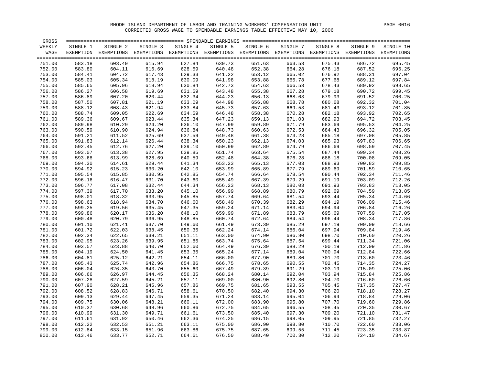| GROSS  |          |                                                                                                              |          |          |          |          |          |          |          |                 |
|--------|----------|--------------------------------------------------------------------------------------------------------------|----------|----------|----------|----------|----------|----------|----------|-----------------|
| WEEKLY | SINGLE 1 | SINGLE 2                                                                                                     | SINGLE 3 | SINGLE 4 | SINGLE 5 | SINGLE 6 | SINGLE 7 | SINGLE 8 | SINGLE 9 | SINGLE 10       |
| WAGE   |          | EXEMPTION EXEMPTIONS EXEMPTIONS EXEMPTIONS EXEMPTIONS EXEMPTIONS EXEMPTIONS EXEMPTIONS EXEMPTIONS EXEMPTIONS |          |          |          |          |          |          |          |                 |
|        |          |                                                                                                              |          |          |          |          |          |          |          | $=$ $=$ $=$ $=$ |
| 751.00 | 583.18   | 603.49                                                                                                       | 615.94   | 627.84   | 639.73   | 651.63   | 663.53   | 675.43   | 686.72   | 695.45          |
| 752.00 | 583.80   | 604.11                                                                                                       | 616.69   | 628.59   | 640.48   | 652.38   | 664.28   | 676.18   | 687.52   | 696.25          |
| 753.00 | 584.41   | 604.72                                                                                                       | 617.43   | 629.33   | 641.22   | 653.12   | 665.02   | 676.92   | 688.31   | 697.04          |
| 754.00 | 585.03   | 605.34                                                                                                       | 618.19   | 630.09   | 641.98   | 653.88   | 665.78   | 677.68   | 689.12   | 697.84          |
| 755.00 | 585.65   | 605.96                                                                                                       | 618.94   | 630.84   | 642.73   | 654.63   | 666.53   | 678.43   | 689.92   | 698.65          |
| 756.00 | 586.27   | 606.58                                                                                                       | 619.69   | 631.59   | 643.48   | 655.38   | 667.28   | 679.18   | 690.72   | 699.45          |
| 757.00 | 586.89   | 607.20                                                                                                       | 620.44   | 632.34   | 644.23   | 656.13   | 668.03   | 679.93   | 691.52   | 700.25          |
| 758.00 | 587.50   | 607.81                                                                                                       | 621.19   | 633.09   | 644.98   | 656.88   | 668.78   | 680.68   | 692.32   | 701.04          |
| 759.00 | 588.12   | 608.43                                                                                                       | 621.94   | 633.84   | 645.73   | 657.63   | 669.53   | 681.43   | 693.12   | 701.85          |
| 760.00 | 588.74   | 609.05                                                                                                       | 622.69   | 634.59   | 646.48   | 658.38   | 670.28   | 682.18   | 693.92   | 702.65          |
| 761.00 | 589.36   | 609.67                                                                                                       | 623.44   | 635.34   | 647.23   | 659.13   | 671.03   | 682.93   | 694.72   | 703.45          |
| 762.00 | 589.98   | 610.29                                                                                                       | 624.20   | 636.10   | 647.99   | 659.89   | 671.79   | 683.69   | 695.53   | 704.25          |
| 763.00 | 590.59   | 610.90                                                                                                       | 624.94   | 636.84   | 648.73   | 660.63   | 672.53   | 684.43   | 696.32   | 705.05          |
| 764.00 | 591.21   | 611.52                                                                                                       | 625.69   | 637.59   | 649.48   | 661.38   | 673.28   | 685.18   | 697.08   | 705.85          |
| 765.00 | 591.83   | 612.14                                                                                                       | 626.44   | 638.34   | 650.23   | 662.13   | 674.03   | 685.93   | 697.83   | 706.65          |
| 766.00 | 592.45   | 612.76                                                                                                       | 627.20   | 639.10   | 650.99   | 662.89   | 674.79   | 686.69   | 698.59   | 707.45          |
| 767.00 | 593.07   | 613.38                                                                                                       | 627.95   | 639.85   | 651.74   | 663.64   | 675.54   | 687.44   | 699.34   | 708.26          |
| 768.00 | 593.68   | 613.99                                                                                                       | 628.69   | 640.59   | 652.48   | 664.38   | 676.28   | 688.18   | 700.08   | 709.05          |
| 769.00 | 594.30   | 614.61                                                                                                       | 629.44   | 641.34   | 653.23   | 665.13   | 677.03   | 688.93   | 700.83   | 709.85          |
| 770.00 | 594.92   | 615.23                                                                                                       | 630.20   | 642.10   | 653.99   | 665.89   | 677.79   | 689.69   | 701.59   | 710.65          |
| 771.00 | 595.54   | 615.85                                                                                                       | 630.95   | 642.85   | 654.74   | 666.64   | 678.54   | 690.44   | 702.34   | 711.46          |
| 772.00 | 596.16   | 616.47                                                                                                       | 631.70   | 643.60   | 655.49   | 667.39   | 679.29   | 691.19   | 703.09   | 712.26          |
| 773.00 | 596.77   | 617.08                                                                                                       | 632.44   | 644.34   | 656.23   | 668.13   | 680.03   | 691.93   | 703.83   | 713.05          |
| 774.00 | 597.39   | 617.70                                                                                                       | 633.20   | 645.10   | 656.99   | 668.89   | 680.79   | 692.69   | 704.59   | 713.85          |
| 775.00 | 598.01   | 618.32                                                                                                       | 633.95   | 645.85   | 657.74   | 669.64   | 681.54   | 693.44   | 705.34   | 714.66          |
| 776.00 | 598.63   | 618.94                                                                                                       | 634.70   | 646.60   | 658.49   | 670.39   | 682.29   | 694.19   | 706.09   | 715.46          |
| 777.00 | 599.25   | 619.56                                                                                                       | 635.45   | 647.35   | 659.24   | 671.14   | 683.04   | 694.94   | 706.84   | 716.26          |
| 778.00 | 599.86   | 620.17                                                                                                       | 636.20   | 648.10   | 659.99   | 671.89   | 683.79   | 695.69   | 707.59   | 717.05          |
| 779.00 | 600.48   | 620.79                                                                                                       | 636.95   | 648.85   | 660.74   | 672.64   | 684.54   | 696.44   | 708.34   | 717.86          |
| 780.00 | 601.10   | 621.41                                                                                                       | 637.70   | 649.60   | 661.49   | 673.39   | 685.29   | 697.19   | 709.09   | 718.66          |
| 781.00 | 601.72   | 622.03                                                                                                       | 638.45   | 650.35   | 662.24   | 674.14   | 686.04   | 697.94   | 709.84   | 719.46          |
| 782.00 | 602.34   | 622.65                                                                                                       | 639.21   | 651.11   | 663.00   | 674.90   | 686.80   | 698.70   | 710.60   | 720.26          |
| 783.00 | 602.95   | 623.26                                                                                                       | 639.95   | 651.85   | 663.74   | 675.64   | 687.54   | 699.44   | 711.34   | 721.06          |
| 784.00 | 603.57   | 623.88                                                                                                       | 640.70   | 652.60   | 664.49   | 676.39   | 688.29   | 700.19   | 712.09   | 721.86          |
| 785.00 | 604.19   | 624.50                                                                                                       | 641.45   | 653.35   | 665.24   | 677.14   | 689.04   | 700.94   | 712.84   | 722.66          |
| 786.00 | 604.81   | 625.12                                                                                                       | 642.21   | 654.11   | 666.00   | 677.90   | 689.80   | 701.70   | 713.60   | 723.46          |
| 787.00 | 605.43   | 625.74                                                                                                       | 642.96   | 654.86   | 666.75   | 678.65   | 690.55   | 702.45   | 714.35   | 724.27          |
| 788.00 | 606.04   | 626.35                                                                                                       | 643.70   | 655.60   | 667.49   | 679.39   | 691.29   | 703.19   | 715.09   | 725.06          |
| 789.00 | 606.66   | 626.97                                                                                                       | 644.45   | 656.35   | 668.24   | 680.14   | 692.04   | 703.94   | 715.84   | 725.86          |
| 790.00 | 607.28   | 627.59                                                                                                       | 645.21   | 657.11   | 669.00   | 680.90   | 692.80   | 704.70   | 716.60   | 726.66          |
| 791.00 | 607.90   | 628.21                                                                                                       | 645.96   | 657.86   | 669.75   | 681.65   | 693.55   | 705.45   | 717.35   | 727.47          |
| 792.00 | 608.52   | 628.83                                                                                                       | 646.71   | 658.61   | 670.50   | 682.40   | 694.30   | 706.20   | 718.10   | 728.27          |
| 793.00 | 609.13   | 629.44                                                                                                       | 647.45   | 659.35   | 671.24   | 683.14   | 695.04   | 706.94   | 718.84   | 729.06          |
| 794.00 | 609.75   | 630.06                                                                                                       | 648.21   | 660.11   | 672.00   | 683.90   | 695.80   | 707.70   | 719.60   | 729.86          |
| 795.00 | 610.37   | 630.68                                                                                                       | 648.96   | 660.86   | 672.75   | 684.65   | 696.55   | 708.45   | 720.35   | 730.67          |
| 796.00 | 610.99   | 631.30                                                                                                       | 649.71   | 661.61   | 673.50   | 685.40   | 697.30   | 709.20   | 721.10   | 731.47          |
| 797.00 | 611.61   | 631.92                                                                                                       | 650.46   | 662.36   | 674.25   | 686.15   | 698.05   | 709.95   | 721.85   | 732.27          |
| 798.00 | 612.22   | 632.53                                                                                                       | 651.21   | 663.11   | 675.00   | 686.90   | 698.80   | 710.70   | 722.60   | 733.06          |
| 799.00 | 612.84   | 633.15                                                                                                       | 651.96   | 663.86   | 675.75   | 687.65   | 699.55   | 711.45   | 723.35   | 733.87          |
| 800.00 | 613.46   | 633.77                                                                                                       | 652.71   | 664.61   | 676.50   | 688.40   | 700.30   | 712.20   | 724.10   | 734.67          |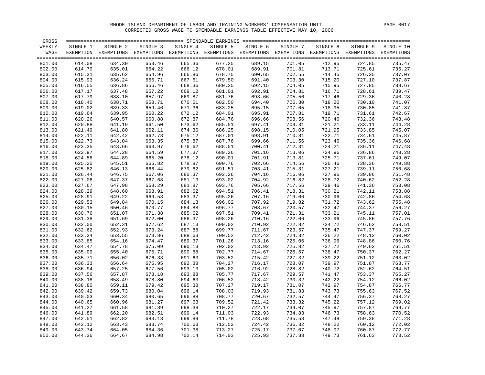| GROSS  |          |                                                                                                   |          |          | ========== SPENDABLE EARNINGS | ========= |          |          |          |            |
|--------|----------|---------------------------------------------------------------------------------------------------|----------|----------|-------------------------------|-----------|----------|----------|----------|------------|
| WEEKLY | SINGLE 1 | SINGLE 2                                                                                          | SINGLE 3 | SINGLE 4 | SINGLE 5                      | SINGLE 6  | SINGLE 7 | SINGLE 8 | SINGLE 9 | SINGLE 10  |
| WAGE   |          | EXEMPTION EXEMPTIONS EXEMPTIONS EXEMPTIONS EXEMPTIONS EXEMPTIONS EXEMPTIONS EXEMPTIONS EXEMPTIONS |          |          |                               |           |          |          |          | EXEMPTIONS |
|        |          |                                                                                                   |          |          |                               |           |          |          |          |            |
| 801.00 | 614.08   | 634.39                                                                                            | 653.46   | 665.36   | 677.25                        | 689.15    | 701.05   | 712.95   | 724.85   | 735.47     |
| 802.00 | 614.70   | 635.01                                                                                            | 654.22   | 666.12   | 678.01                        | 689.91    | 701.81   | 713.71   | 725.61   | 736.27     |
| 803.00 | 615.31   | 635.62                                                                                            | 654.96   | 666.86   | 678.75                        | 690.65    | 702.55   | 714.45   | 726.35   | 737.07     |
| 804.00 | 615.93   | 636.24                                                                                            | 655.71   | 667.61   | 679.50                        | 691.40    | 703.30   | 715.20   | 727.10   | 737.87     |
| 805.00 | 616.55   | 636.86                                                                                            | 656.46   | 668.36   | 680.25                        | 692.15    | 704.05   | 715.95   | 727.85   | 738.67     |
| 806.00 | 617.17   | 637.48                                                                                            | 657.22   | 669.12   | 681.01                        | 692.91    | 704.81   | 716.71   | 728.61   | 739.47     |
| 807.00 | 617.79   | 638.10                                                                                            | 657.97   | 669.87   | 681.76                        | 693.66    | 705.56   | 717.46   | 729.36   | 740.28     |
| 808.00 | 618.40   | 638.71                                                                                            | 658.71   | 670.61   | 682.50                        | 694.40    | 706.30   | 718.20   | 730.10   | 741.07     |
| 809.00 | 619.02   | 639.33                                                                                            | 659.46   | 671.36   | 683.25                        | 695.15    | 707.05   | 718.95   | 730.85   | 741.87     |
| 810.00 | 619.64   | 639.95                                                                                            | 660.22   | 672.12   | 684.01                        | 695.91    | 707.81   | 719.71   | 731.61   | 742.67     |
| 811.00 | 620.26   | 640.57                                                                                            | 660.88   | 672.87   | 684.76                        | 696.66    | 708.56   | 720.46   | 732.36   | 743.48     |
| 812.00 | 620.88   | 641.19                                                                                            | 661.50   | 673.62   | 685.51                        | 697.41    | 709.31   | 721.21   | 733.11   | 744.28     |
| 813.00 | 621.49   | 641.80                                                                                            | 662.11   | 674.36   | 686.25                        | 698.15    | 710.05   | 721.95   | 733.85   | 745.07     |
| 814.00 | 622.11   | 642.42                                                                                            | 662.73   | 675.12   | 687.01                        | 698.91    | 710.81   | 722.71   | 734.61   | 745.87     |
|        | 622.73   |                                                                                                   |          |          |                               |           | 711.56   |          |          |            |
| 815.00 |          | 643.04                                                                                            | 663.35   | 675.87   | 687.76                        | 699.66    |          | 723.46   | 735.36   | 746.68     |
| 816.00 | 623.35   | 643.66                                                                                            | 663.97   | 676.62   | 688.51                        | 700.41    | 712.31   | 724.21   | 736.11   | 747.48     |
| 817.00 | 623.97   | 644.28                                                                                            | 664.59   | 677.37   | 689.26                        | 701.16    | 713.06   | 724.96   | 736.86   | 748.28     |
| 818.00 | 624.58   | 644.89                                                                                            | 665.20   | 678.12   | 690.01                        | 701.91    | 713.81   | 725.71   | 737.61   | 749.07     |
| 819.00 | 625.20   | 645.51                                                                                            | 665.82   | 678.87   | 690.76                        | 702.66    | 714.56   | 726.46   | 738.36   | 749.88     |
| 820.00 | 625.82   | 646.13                                                                                            | 666.44   | 679.62   | 691.51                        | 703.41    | 715.31   | 727.21   | 739.11   | 750.68     |
| 821.00 | 626.44   | 646.75                                                                                            | 667.06   | 680.37   | 692.26                        | 704.16    | 716.06   | 727.96   | 739.86   | 751.48     |
| 822.00 | 627.06   | 647.37                                                                                            | 667.68   | 681.13   | 693.02                        | 704.92    | 716.82   | 728.72   | 740.62   | 752.28     |
| 823.00 | 627.67   | 647.98                                                                                            | 668.29   | 681.87   | 693.76                        | 705.66    | 717.56   | 729.46   | 741.36   | 753.08     |
| 824.00 | 628.29   | 648.60                                                                                            | 668.91   | 682.62   | 694.51                        | 706.41    | 718.31   | 730.21   | 742.11   | 753.88     |
| 825.00 | 628.91   | 649.22                                                                                            | 669.53   | 683.37   | 695.26                        | 707.16    | 719.06   | 730.96   | 742.86   | 754.68     |
| 826.00 | 629.53   | 649.84                                                                                            | 670.15   | 684.13   | 696.02                        | 707.92    | 719.82   | 731.72   | 743.62   | 755.48     |
| 827.00 | 630.15   | 650.46                                                                                            | 670.77   | 684.88   | 696.77                        | 708.67    | 720.57   | 732.47   | 744.37   | 756.27     |
| 828.00 | 630.76   | 651.07                                                                                            | 671.38   | 685.62   | 697.51                        | 709.41    | 721.31   | 733.21   | 745.11   | 757.01     |
| 829.00 | 631.38   | 651.69                                                                                            | 672.00   | 686.37   | 698.26                        | 710.16    | 722.06   | 733.96   | 745.86   | 757.76     |
| 830.00 | 632.00   | 652.31                                                                                            | 672.62   | 687.13   | 699.02                        | 710.92    | 722.82   | 734.72   | 746.62   | 758.51     |
| 831.00 | 632.62   | 652.93                                                                                            | 673.24   | 687.88   | 699.77                        | 711.67    | 723.57   | 735.47   | 747.37   | 759.27     |
| 832.00 | 633.24   | 653.55                                                                                            | 673.86   | 688.63   | 700.52                        | 712.42    | 724.32   | 736.22   | 748.12   | 760.02     |
| 833.00 | 633.85   | 654.16                                                                                            | 674.47   | 689.37   | 701.26                        | 713.16    | 725.06   | 736.96   | 748.86   | 760.76     |
| 834.00 | 634.47   | 654.78                                                                                            | 675.09   | 690.13   | 702.02                        | 713.92    | 725.82   | 737.72   | 749.62   | 761.51     |
| 835.00 | 635.09   | 655.40                                                                                            | 675.71   | 690.88   | 702.77                        | 714.67    | 726.57   | 738.47   | 750.37   | 762.27     |
| 836.00 | 635.71   | 656.02                                                                                            | 676.33   | 691.63   | 703.52                        | 715.42    | 727.32   | 739.22   | 751.12   | 763.02     |
| 837.00 | 636.33   | 656.64                                                                                            | 676.95   | 692.38   | 704.27                        | 716.17    | 728.07   | 739.97   | 751.87   | 763.77     |
| 838.00 | 636.94   | 657.25                                                                                            | 677.56   | 693.13   | 705.02                        | 716.92    | 728.82   | 740.72   | 752.62   | 764.51     |
| 839.00 | 637.56   | 657.87                                                                                            | 678.18   | 693.88   | 705.77                        | 717.67    | 729.57   | 741.47   | 753.37   | 765.27     |
| 840.00 | 638.18   | 658.49                                                                                            | 678.80   | 694.63   | 706.52                        | 718.42    | 730.32   | 742.22   | 754.12   | 766.02     |
| 841.00 | 638.80   | 659.11                                                                                            | 679.42   | 695.38   | 707.27                        | 719.17    | 731.07   | 742.97   | 754.87   | 766.77     |
| 842.00 | 639.42   | 659.73                                                                                            | 680.04   | 696.14   | 708.03                        | 719.93    | 731.83   | 743.73   | 755.63   | 767.52     |
| 843.00 | 640.03   | 660.34                                                                                            | 680.65   | 696.88   | 708.77                        | 720.67    | 732.57   | 744.47   | 756.37   | 768.27     |
| 844.00 | 640.65   | 660.96                                                                                            | 681.27   | 697.63   | 709.52                        | 721.42    | 733.32   | 745.22   | 757.12   | 769.02     |
| 845.00 | 641.27   | 661.58                                                                                            | 681.89   | 698.38   | 710.27                        | 722.17    | 734.07   | 745.97   | 757.87   | 769.77     |
| 846.00 | 641.89   | 662.20                                                                                            | 682.51   | 699.14   | 711.03                        | 722.93    | 734.83   | 746.73   | 758.63   | 770.52     |
| 847.00 | 642.51   | 662.82                                                                                            | 683.13   | 699.89   | 711.78                        | 723.68    | 735.58   | 747.48   | 759.38   | 771.28     |
| 848.00 | 643.12   | 663.43                                                                                            | 683.74   | 700.63   | 712.52                        | 724.42    | 736.32   | 748.22   | 760.12   | 772.02     |
| 849.00 | 643.74   | 664.05                                                                                            | 684.36   | 701.38   | 713.27                        | 725.17    | 737.07   | 748.97   | 760.87   | 772.77     |
| 850.00 | 644.36   | 664.67                                                                                            | 684.98   | 702.14   | 714.03                        | 725.93    | 737.83   | 749.73   | 761.63   | 773.52     |
|        |          |                                                                                                   |          |          |                               |           |          |          |          |            |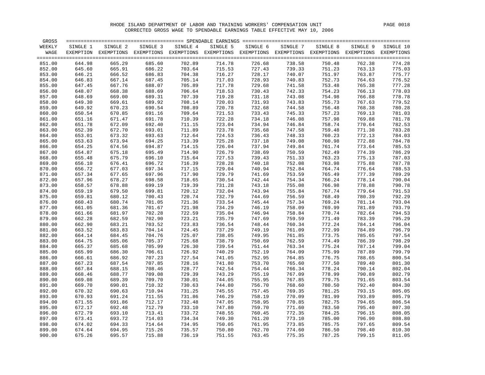| GROSS            |                  |                                                                                                              |                  |                  |                  |                  |                  |                  |                  |                           |
|------------------|------------------|--------------------------------------------------------------------------------------------------------------|------------------|------------------|------------------|------------------|------------------|------------------|------------------|---------------------------|
| WEEKLY           | SINGLE 1         | SINGLE 2                                                                                                     | SINGLE 3         | SINGLE 4         | SINGLE 5         | SINGLE 6         | SINGLE 7         | SINGLE 8         | SINGLE 9         | SINGLE 10                 |
| WAGE             |                  | EXEMPTION EXEMPTIONS EXEMPTIONS EXEMPTIONS EXEMPTIONS EXEMPTIONS EXEMPTIONS EXEMPTIONS EXEMPTIONS EXEMPTIONS |                  |                  |                  |                  |                  |                  |                  |                           |
| 851.00           | 644.98           | 665.29                                                                                                       | 685.60           | 702.89           | 714.78           | 726.68           | 738.58           | 750.48           | 762.38           | $=$ $=$ $=$ $=$<br>774.28 |
| 852.00           | 645.60           | 665.91                                                                                                       | 686.22           | 703.64           | 715.53           | 727.43           | 739.33           | 751.23           | 763.13           | 775.03                    |
| 853.00           | 646.21           | 666.52                                                                                                       | 686.83           | 704.38           | 716.27           | 728.17           | 740.07           | 751.97           | 763.87           | 775.77                    |
| 854.00           | 646.83           | 667.14                                                                                                       | 687.45           | 705.14           | 717.03           | 728.93           | 740.83           | 752.73           | 764.63           | 776.52                    |
| 855.00           | 647.45           | 667.76                                                                                                       | 688.07           | 705.89           | 717.78           | 729.68           | 741.58           | 753.48           | 765.38           | 777.28                    |
| 856.00           | 648.07           | 668.38                                                                                                       | 688.69           | 706.64           | 718.53           | 730.43           | 742.33           | 754.23           | 766.13           | 778.03                    |
| 857.00           | 648.69           | 669.00                                                                                                       | 689.31           | 707.39           | 719.28           | 731.18           | 743.08           | 754.98           | 766.88           | 778.78                    |
| 858.00           | 649.30           | 669.61                                                                                                       | 689.92           | 708.14           | 720.03           | 731.93           | 743.83           | 755.73           | 767.63           | 779.52                    |
| 859.00           | 649.92           | 670.23                                                                                                       | 690.54           | 708.89           | 720.78           | 732.68           | 744.58           | 756.48           | 768.38           | 780.28                    |
| 860.00           | 650.54           | 670.85                                                                                                       | 691.16           | 709.64           | 721.53           | 733.43           | 745.33           | 757.23           | 769.13           | 781.03                    |
| 861.00           | 651.16           | 671.47                                                                                                       | 691.78           | 710.39           | 722.28           | 734.18           | 746.08           | 757.98           | 769.88           | 781.78                    |
| 862.00           | 651.78           | 672.09                                                                                                       | 692.40           | 711.15           | 723.04           | 734.94           | 746.84           | 758.74           | 770.64           | 782.53                    |
| 863.00           | 652.39           | 672.70                                                                                                       | 693.01           | 711.89           | 723.78           | 735.68           | 747.58           | 759.48           | 771.38           | 783.28                    |
| 864.00           | 653.01           | 673.32                                                                                                       | 693.63           | 712.64           | 724.53           | 736.43           | 748.33           | 760.23           | 772.13           | 784.03                    |
| 865.00           | 653.63           | 673.94                                                                                                       | 694.25           | 713.39           | 725.28           | 737.18           | 749.08           | 760.98           | 772.88           | 784.78                    |
| 866.00           | 654.25           | 674.56                                                                                                       | 694.87           | 714.15           | 726.04           | 737.94           | 749.84           | 761.74           | 773.64           | 785.53                    |
| 867.00           | 654.87           | 675.18                                                                                                       | 695.49           | 714.90           | 726.79           | 738.69           | 750.59           | 762.49           | 774.39           | 786.29                    |
| 868.00           | 655.48           | 675.79                                                                                                       | 696.10           | 715.64           | 727.53           | 739.43           | 751.33           | 763.23           | 775.13           | 787.03                    |
| 869.00           | 656.10           | 676.41                                                                                                       | 696.72           | 716.39           | 728.28           | 740.18           | 752.08           | 763.98           | 775.88           | 787.78                    |
| 870.00           | 656.72           | 677.03                                                                                                       | 697.34           | 717.15           | 729.04           | 740.94           | 752.84           | 764.74           | 776.64           | 788.53                    |
| 871.00           | 657.34           | 677.65                                                                                                       | 697.96           | 717.90           | 729.79           | 741.69           | 753.59           | 765.49           | 777.39           | 789.29                    |
| 872.00           | 657.96           | 678.27                                                                                                       | 698.58           | 718.65           | 730.54           | 742.44           | 754.34           | 766.24           | 778.14           | 790.04                    |
| 873.00           | 658.57           | 678.88                                                                                                       | 699.19           | 719.39           | 731.28           | 743.18           | 755.08           | 766.98           | 778.88           | 790.78                    |
| 874.00           | 659.19           | 679.50                                                                                                       | 699.81           | 720.12           | 732.04           | 743.94           | 755.84           | 767.74           | 779.64           | 791.53                    |
| 875.00           | 659.81           | 680.12                                                                                                       | 700.43           | 720.74           | 732.79           | 744.69           | 756.59           | 768.49           | 780.39           | 792.29                    |
| 876.00           | 660.43           | 680.74                                                                                                       | 701.05           | 721.36           | 733.54           | 745.44           | 757.34           | 769.24           | 781.14           | 793.04                    |
| 877.00           | 661.05           | 681.36                                                                                                       | 701.67           | 721.98           | 734.29           | 746.19           | 758.09           | 769.99           | 781.89           | 793.79                    |
| 878.00           | 661.66           | 681.97                                                                                                       | 702.28           | 722.59           | 735.04           | 746.94           | 758.84           | 770.74           | 782.64           | 794.53                    |
| 879.00           | 662.28           | 682.59                                                                                                       | 702.90           | 723.21           | 735.79           | 747.69           | 759.59           | 771.49           | 783.39           | 795.29                    |
| 880.00           | 662.90           | 683.21                                                                                                       | 703.52           | 723.83           | 736.54           | 748.44           | 760.34           | 772.24           | 784.14           | 796.04                    |
| 881.00           | 663.52           | 683.83                                                                                                       | 704.14           | 724.45           | 737.29           | 749.19           | 761.09           | 772.99           | 784.89           | 796.79                    |
| 882.00           | 664.14           | 684.45                                                                                                       | 704.76           | 725.07           | 738.05           | 749.95           | 761.85           | 773.75           | 785.65           | 797.54                    |
| 883.00           | 664.75           | 685.06                                                                                                       | 705.37           | 725.68           | 738.79           | 750.69           | 762.59           | 774.49           | 786.39           | 798.29                    |
| 884.00           | 665.37           | 685.68                                                                                                       | 705.99           | 726.30           | 739.54           | 751.44           | 763.34           | 775.24           | 787.14           | 799.04                    |
| 885.00           | 665.99           | 686.30                                                                                                       | 706.61           | 726.92           | 740.29           | 752.19           | 764.09           | 775.99           | 787.89           | 799.79                    |
| 886.00           | 666.61           | 686.92                                                                                                       | 707.23           | 727.54           | 741.05           | 752.95           | 764.85           | 776.75           | 788.65           | 800.54                    |
| 887.00           | 667.23           | 687.54                                                                                                       | 707.85           | 728.16           | 741.80           | 753.70           | 765.60           | 777.50           | 789.40           | 801.30                    |
| 888.00           | 667.84           | 688.15                                                                                                       | 708.46           | 728.77           | 742.54           | 754.44           | 766.34           | 778.24           | 790.14           | 802.04                    |
| 889.00           | 668.46           | 688.77                                                                                                       | 709.08           | 729.39           | 743.29           | 755.19           | 767.09           | 778.99           | 790.89           | 802.79                    |
|                  | 669.08           | 689.39                                                                                                       | 709.70           | 730.01           | 744.05           | 755.95           | 767.85           | 779.75           | 791.65           | 803.54                    |
| 890.00           |                  |                                                                                                              |                  |                  |                  |                  |                  |                  | 792.40           |                           |
| 891.00           | 669.70<br>670.32 | 690.01<br>690.63                                                                                             | 710.32<br>710.94 | 730.63<br>731.25 | 744.80<br>745.55 | 756.70<br>757.45 | 768.60<br>769.35 | 780.50<br>781.25 | 793.15           | 804.30<br>805.05          |
| 892.00           | 670.93           |                                                                                                              | 711.55           | 731.86           |                  |                  | 770.09           | 781.99           | 793.89           | 805.79                    |
| 893.00           | 671.55           | 691.24<br>691.86                                                                                             | 712.17           | 732.48           | 746.29           | 758.19<br>758.95 | 770.85           | 782.75           | 794.65           | 806.54                    |
| 894.00<br>895.00 | 672.17           | 692.48                                                                                                       | 712.79           | 733.10           | 747.05<br>747.80 | 759.70           | 771.60           | 783.50           | 795.40           | 807.30                    |
| 896.00           | 672.79           | 693.10                                                                                                       | 713.41           | 733.72           | 748.55           | 760.45           | 772.35           | 784.25           | 796.15           | 808.05                    |
|                  | 673.41           | 693.72                                                                                                       | 714.03           | 734.34           | 749.30           | 761.20           | 773.10           | 785.00           | 796.90           | 808.80                    |
| 897.00<br>898.00 | 674.02           | 694.33                                                                                                       | 714.64           | 734.95           | 750.05           | 761.95           | 773.85           | 785.75           | 797.65           | 809.54                    |
|                  |                  | 694.95                                                                                                       |                  |                  |                  | 762.70           |                  |                  |                  |                           |
| 899.00           | 674.64           |                                                                                                              | 715.26           | 735.57           | 750.80           |                  | 774.60           | 786.50           | 798.40<br>799.15 | 810.30                    |
| 900.00           | 675.26           | 695.57                                                                                                       | 715.88           | 736.19           | 751.55           | 763.45           | 775.35           | 787.25           |                  | 811.05                    |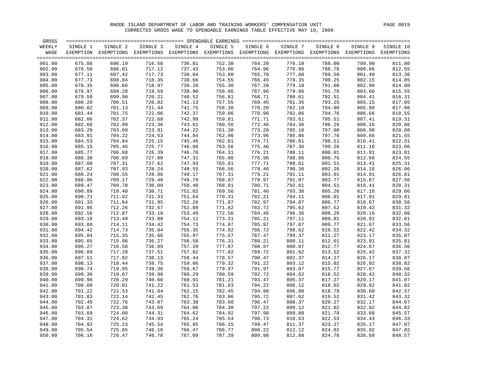| WEEKLY<br>SINGLE 2<br>SINGLE 3<br>SINGLE 4<br>SINGLE 5<br>SINGLE 8<br>SINGLE 1<br>SINGLE 6<br>SINGLE 7<br>SINGLE 9<br>WAGE<br>EXEMPTION EXEMPTIONS EXEMPTIONS EXEMPTIONS EXEMPTIONS EXEMPTIONS EXEMPTIONS EXEMPTIONS EXEMPTIONS EXEMPTIONS<br>736.81<br>752.30<br>764.20<br>901.00<br>675.88<br>696.19<br>716.50<br>776.10<br>788.00<br>799.90<br>902.00<br>676.50<br>696.81<br>717.12<br>737.43<br>753.06<br>764.96<br>776.86<br>788.76<br>800.66<br>677.11<br>697.42<br>717.73<br>738.04<br>753.80<br>765.70<br>777.60<br>789.50<br>801.40<br>903.00<br>718.35<br>738.66<br>904.00<br>677.73<br>698.04<br>754.55<br>766.45<br>778.35<br>790.25<br>802.15<br>678.35<br>718.97<br>739.28<br>755.30<br>767.20<br>779.10<br>791.00<br>802.90<br>905.00<br>698.66<br>678.97<br>719.59<br>739.90<br>756.06<br>767.96<br>779.86<br>791.76<br>803.66<br>906.00<br>699.28<br>720.21<br>740.52<br>804.41<br>907.00<br>679.59<br>699.90<br>756.81<br>768.71<br>780.61<br>792.51<br>793.25<br>805.15<br>908.00<br>680.20<br>700.51<br>720.82<br>741.13<br>757.55<br>769.45<br>781.35<br>680.82<br>741.75<br>770.20<br>794.00<br>909.00<br>701.13<br>721.44<br>758.30<br>782.10<br>805.90<br>742.37<br>910.00<br>681.44<br>701.75<br>722.06<br>759.06<br>770.96<br>782.86<br>794.76<br>806.66<br>742.99<br>911.00<br>682.06<br>702.37<br>722.68<br>759.81<br>771.71<br>783.61<br>795.51<br>807.41<br>682.68<br>702.99<br>723.30<br>743.61<br>760.56<br>772.46<br>784.36<br>796.26<br>808.16<br>912.00<br>744.22<br>683.29<br>723.91<br>773.20<br>785.10<br>797.00<br>808.90<br>913.00<br>703.60<br>761.30<br>704.22<br>724.53<br>744.84<br>773.96<br>785.86<br>797.76<br>809.66<br>914.00<br>683.91<br>762.06<br>745.46<br>915.00<br>684.53<br>704.84<br>725.15<br>762.81<br>774.71<br>786.61<br>798.51<br>810.41<br>725.77<br>746.08<br>775.46<br>787.36<br>799.26<br>811.16<br>916.00<br>685.15<br>705.46<br>763.56<br>917.00<br>685.77<br>706.08<br>726.39<br>746.70<br>764.31<br>776.21<br>788.11<br>800.01<br>811.91<br>686.38<br>727.00<br>747.31<br>765.06<br>776.96<br>788.86<br>800.76<br>812.66<br>918.00<br>706.69<br>687.00<br>727.62<br>747.93<br>765.81<br>777.71<br>789.61<br>801.51<br>813.41<br>919.00<br>707.31<br>728.24<br>748.55<br>778.46<br>790.36<br>802.26<br>814.16<br>920.00<br>687.62<br>707.93<br>766.56<br>688.24<br>708.55<br>728.86<br>749.17<br>767.31<br>779.21<br>791.11<br>814.91<br>921.00<br>803.01<br>749.79<br>779.97<br>803.77<br>922.00<br>688.86<br>709.17<br>729.48<br>768.07<br>791.87<br>815.67 | SINGLE 10<br>$=$ $=$ $=$<br>811.80<br>812.55<br>813.30 |
|------------------------------------------------------------------------------------------------------------------------------------------------------------------------------------------------------------------------------------------------------------------------------------------------------------------------------------------------------------------------------------------------------------------------------------------------------------------------------------------------------------------------------------------------------------------------------------------------------------------------------------------------------------------------------------------------------------------------------------------------------------------------------------------------------------------------------------------------------------------------------------------------------------------------------------------------------------------------------------------------------------------------------------------------------------------------------------------------------------------------------------------------------------------------------------------------------------------------------------------------------------------------------------------------------------------------------------------------------------------------------------------------------------------------------------------------------------------------------------------------------------------------------------------------------------------------------------------------------------------------------------------------------------------------------------------------------------------------------------------------------------------------------------------------------------------------------------------------------------------------------------------------------------------------------------------------------------------------------------------------------------------------------------------------------------------------------------------------------------------------------------------------------------------------------------------------------------------------------------------------------------------------------------------------------------------------------------------------------------------------------------------------------------------------------------------------------------------------------------------------------------------------------------|--------------------------------------------------------|
|                                                                                                                                                                                                                                                                                                                                                                                                                                                                                                                                                                                                                                                                                                                                                                                                                                                                                                                                                                                                                                                                                                                                                                                                                                                                                                                                                                                                                                                                                                                                                                                                                                                                                                                                                                                                                                                                                                                                                                                                                                                                                                                                                                                                                                                                                                                                                                                                                                                                                                                                    |                                                        |
|                                                                                                                                                                                                                                                                                                                                                                                                                                                                                                                                                                                                                                                                                                                                                                                                                                                                                                                                                                                                                                                                                                                                                                                                                                                                                                                                                                                                                                                                                                                                                                                                                                                                                                                                                                                                                                                                                                                                                                                                                                                                                                                                                                                                                                                                                                                                                                                                                                                                                                                                    |                                                        |
|                                                                                                                                                                                                                                                                                                                                                                                                                                                                                                                                                                                                                                                                                                                                                                                                                                                                                                                                                                                                                                                                                                                                                                                                                                                                                                                                                                                                                                                                                                                                                                                                                                                                                                                                                                                                                                                                                                                                                                                                                                                                                                                                                                                                                                                                                                                                                                                                                                                                                                                                    |                                                        |
|                                                                                                                                                                                                                                                                                                                                                                                                                                                                                                                                                                                                                                                                                                                                                                                                                                                                                                                                                                                                                                                                                                                                                                                                                                                                                                                                                                                                                                                                                                                                                                                                                                                                                                                                                                                                                                                                                                                                                                                                                                                                                                                                                                                                                                                                                                                                                                                                                                                                                                                                    |                                                        |
|                                                                                                                                                                                                                                                                                                                                                                                                                                                                                                                                                                                                                                                                                                                                                                                                                                                                                                                                                                                                                                                                                                                                                                                                                                                                                                                                                                                                                                                                                                                                                                                                                                                                                                                                                                                                                                                                                                                                                                                                                                                                                                                                                                                                                                                                                                                                                                                                                                                                                                                                    |                                                        |
|                                                                                                                                                                                                                                                                                                                                                                                                                                                                                                                                                                                                                                                                                                                                                                                                                                                                                                                                                                                                                                                                                                                                                                                                                                                                                                                                                                                                                                                                                                                                                                                                                                                                                                                                                                                                                                                                                                                                                                                                                                                                                                                                                                                                                                                                                                                                                                                                                                                                                                                                    | 814.05                                                 |
|                                                                                                                                                                                                                                                                                                                                                                                                                                                                                                                                                                                                                                                                                                                                                                                                                                                                                                                                                                                                                                                                                                                                                                                                                                                                                                                                                                                                                                                                                                                                                                                                                                                                                                                                                                                                                                                                                                                                                                                                                                                                                                                                                                                                                                                                                                                                                                                                                                                                                                                                    | 814.80                                                 |
|                                                                                                                                                                                                                                                                                                                                                                                                                                                                                                                                                                                                                                                                                                                                                                                                                                                                                                                                                                                                                                                                                                                                                                                                                                                                                                                                                                                                                                                                                                                                                                                                                                                                                                                                                                                                                                                                                                                                                                                                                                                                                                                                                                                                                                                                                                                                                                                                                                                                                                                                    | 815.55                                                 |
|                                                                                                                                                                                                                                                                                                                                                                                                                                                                                                                                                                                                                                                                                                                                                                                                                                                                                                                                                                                                                                                                                                                                                                                                                                                                                                                                                                                                                                                                                                                                                                                                                                                                                                                                                                                                                                                                                                                                                                                                                                                                                                                                                                                                                                                                                                                                                                                                                                                                                                                                    | 816.31                                                 |
|                                                                                                                                                                                                                                                                                                                                                                                                                                                                                                                                                                                                                                                                                                                                                                                                                                                                                                                                                                                                                                                                                                                                                                                                                                                                                                                                                                                                                                                                                                                                                                                                                                                                                                                                                                                                                                                                                                                                                                                                                                                                                                                                                                                                                                                                                                                                                                                                                                                                                                                                    | 817.05                                                 |
|                                                                                                                                                                                                                                                                                                                                                                                                                                                                                                                                                                                                                                                                                                                                                                                                                                                                                                                                                                                                                                                                                                                                                                                                                                                                                                                                                                                                                                                                                                                                                                                                                                                                                                                                                                                                                                                                                                                                                                                                                                                                                                                                                                                                                                                                                                                                                                                                                                                                                                                                    | 817.80                                                 |
|                                                                                                                                                                                                                                                                                                                                                                                                                                                                                                                                                                                                                                                                                                                                                                                                                                                                                                                                                                                                                                                                                                                                                                                                                                                                                                                                                                                                                                                                                                                                                                                                                                                                                                                                                                                                                                                                                                                                                                                                                                                                                                                                                                                                                                                                                                                                                                                                                                                                                                                                    | 818.55                                                 |
|                                                                                                                                                                                                                                                                                                                                                                                                                                                                                                                                                                                                                                                                                                                                                                                                                                                                                                                                                                                                                                                                                                                                                                                                                                                                                                                                                                                                                                                                                                                                                                                                                                                                                                                                                                                                                                                                                                                                                                                                                                                                                                                                                                                                                                                                                                                                                                                                                                                                                                                                    | 819.31                                                 |
|                                                                                                                                                                                                                                                                                                                                                                                                                                                                                                                                                                                                                                                                                                                                                                                                                                                                                                                                                                                                                                                                                                                                                                                                                                                                                                                                                                                                                                                                                                                                                                                                                                                                                                                                                                                                                                                                                                                                                                                                                                                                                                                                                                                                                                                                                                                                                                                                                                                                                                                                    | 820.06                                                 |
|                                                                                                                                                                                                                                                                                                                                                                                                                                                                                                                                                                                                                                                                                                                                                                                                                                                                                                                                                                                                                                                                                                                                                                                                                                                                                                                                                                                                                                                                                                                                                                                                                                                                                                                                                                                                                                                                                                                                                                                                                                                                                                                                                                                                                                                                                                                                                                                                                                                                                                                                    | 820.80                                                 |
|                                                                                                                                                                                                                                                                                                                                                                                                                                                                                                                                                                                                                                                                                                                                                                                                                                                                                                                                                                                                                                                                                                                                                                                                                                                                                                                                                                                                                                                                                                                                                                                                                                                                                                                                                                                                                                                                                                                                                                                                                                                                                                                                                                                                                                                                                                                                                                                                                                                                                                                                    | 821.55                                                 |
|                                                                                                                                                                                                                                                                                                                                                                                                                                                                                                                                                                                                                                                                                                                                                                                                                                                                                                                                                                                                                                                                                                                                                                                                                                                                                                                                                                                                                                                                                                                                                                                                                                                                                                                                                                                                                                                                                                                                                                                                                                                                                                                                                                                                                                                                                                                                                                                                                                                                                                                                    | 822.31                                                 |
|                                                                                                                                                                                                                                                                                                                                                                                                                                                                                                                                                                                                                                                                                                                                                                                                                                                                                                                                                                                                                                                                                                                                                                                                                                                                                                                                                                                                                                                                                                                                                                                                                                                                                                                                                                                                                                                                                                                                                                                                                                                                                                                                                                                                                                                                                                                                                                                                                                                                                                                                    | 823.06                                                 |
|                                                                                                                                                                                                                                                                                                                                                                                                                                                                                                                                                                                                                                                                                                                                                                                                                                                                                                                                                                                                                                                                                                                                                                                                                                                                                                                                                                                                                                                                                                                                                                                                                                                                                                                                                                                                                                                                                                                                                                                                                                                                                                                                                                                                                                                                                                                                                                                                                                                                                                                                    | 823.81                                                 |
|                                                                                                                                                                                                                                                                                                                                                                                                                                                                                                                                                                                                                                                                                                                                                                                                                                                                                                                                                                                                                                                                                                                                                                                                                                                                                                                                                                                                                                                                                                                                                                                                                                                                                                                                                                                                                                                                                                                                                                                                                                                                                                                                                                                                                                                                                                                                                                                                                                                                                                                                    | 824.55                                                 |
|                                                                                                                                                                                                                                                                                                                                                                                                                                                                                                                                                                                                                                                                                                                                                                                                                                                                                                                                                                                                                                                                                                                                                                                                                                                                                                                                                                                                                                                                                                                                                                                                                                                                                                                                                                                                                                                                                                                                                                                                                                                                                                                                                                                                                                                                                                                                                                                                                                                                                                                                    | 825.31                                                 |
|                                                                                                                                                                                                                                                                                                                                                                                                                                                                                                                                                                                                                                                                                                                                                                                                                                                                                                                                                                                                                                                                                                                                                                                                                                                                                                                                                                                                                                                                                                                                                                                                                                                                                                                                                                                                                                                                                                                                                                                                                                                                                                                                                                                                                                                                                                                                                                                                                                                                                                                                    | 826.06                                                 |
|                                                                                                                                                                                                                                                                                                                                                                                                                                                                                                                                                                                                                                                                                                                                                                                                                                                                                                                                                                                                                                                                                                                                                                                                                                                                                                                                                                                                                                                                                                                                                                                                                                                                                                                                                                                                                                                                                                                                                                                                                                                                                                                                                                                                                                                                                                                                                                                                                                                                                                                                    | 826.81                                                 |
|                                                                                                                                                                                                                                                                                                                                                                                                                                                                                                                                                                                                                                                                                                                                                                                                                                                                                                                                                                                                                                                                                                                                                                                                                                                                                                                                                                                                                                                                                                                                                                                                                                                                                                                                                                                                                                                                                                                                                                                                                                                                                                                                                                                                                                                                                                                                                                                                                                                                                                                                    | 827.56                                                 |
| 750.40<br>923.00<br>689.47<br>709.78<br>730.09<br>768.81<br>780.71<br>792.61<br>804.51<br>816.41                                                                                                                                                                                                                                                                                                                                                                                                                                                                                                                                                                                                                                                                                                                                                                                                                                                                                                                                                                                                                                                                                                                                                                                                                                                                                                                                                                                                                                                                                                                                                                                                                                                                                                                                                                                                                                                                                                                                                                                                                                                                                                                                                                                                                                                                                                                                                                                                                                   | 828.31                                                 |
| 690.09<br>710.40<br>730.71<br>751.02<br>769.56<br>781.46<br>793.36<br>805.26<br>817.16<br>924.00                                                                                                                                                                                                                                                                                                                                                                                                                                                                                                                                                                                                                                                                                                                                                                                                                                                                                                                                                                                                                                                                                                                                                                                                                                                                                                                                                                                                                                                                                                                                                                                                                                                                                                                                                                                                                                                                                                                                                                                                                                                                                                                                                                                                                                                                                                                                                                                                                                   | 829.06                                                 |
| 751.64<br>782.21<br>925.00<br>690.71<br>711.02<br>731.33<br>770.31<br>794.11<br>806.01<br>817.91                                                                                                                                                                                                                                                                                                                                                                                                                                                                                                                                                                                                                                                                                                                                                                                                                                                                                                                                                                                                                                                                                                                                                                                                                                                                                                                                                                                                                                                                                                                                                                                                                                                                                                                                                                                                                                                                                                                                                                                                                                                                                                                                                                                                                                                                                                                                                                                                                                   | 829.81                                                 |
| 752.26<br>794.87<br>926.00<br>691.33<br>711.64<br>731.95<br>771.07<br>782.97<br>806.77<br>818.67                                                                                                                                                                                                                                                                                                                                                                                                                                                                                                                                                                                                                                                                                                                                                                                                                                                                                                                                                                                                                                                                                                                                                                                                                                                                                                                                                                                                                                                                                                                                                                                                                                                                                                                                                                                                                                                                                                                                                                                                                                                                                                                                                                                                                                                                                                                                                                                                                                   | 830.56                                                 |
| 691.95<br>732.57<br>752.88<br>783.72<br>795.62<br>807.52<br>819.42<br>927.00<br>712.26<br>771.82                                                                                                                                                                                                                                                                                                                                                                                                                                                                                                                                                                                                                                                                                                                                                                                                                                                                                                                                                                                                                                                                                                                                                                                                                                                                                                                                                                                                                                                                                                                                                                                                                                                                                                                                                                                                                                                                                                                                                                                                                                                                                                                                                                                                                                                                                                                                                                                                                                   | 831.32                                                 |
| 753.49<br>928.00<br>692.56<br>712.87<br>733.18<br>772.56<br>784.46<br>796.36<br>808.26<br>820.16                                                                                                                                                                                                                                                                                                                                                                                                                                                                                                                                                                                                                                                                                                                                                                                                                                                                                                                                                                                                                                                                                                                                                                                                                                                                                                                                                                                                                                                                                                                                                                                                                                                                                                                                                                                                                                                                                                                                                                                                                                                                                                                                                                                                                                                                                                                                                                                                                                   | 832.06                                                 |
| 929.00<br>693.18<br>713.49<br>733.80<br>754.11<br>773.31<br>785.21<br>797.11<br>809.01<br>820.91                                                                                                                                                                                                                                                                                                                                                                                                                                                                                                                                                                                                                                                                                                                                                                                                                                                                                                                                                                                                                                                                                                                                                                                                                                                                                                                                                                                                                                                                                                                                                                                                                                                                                                                                                                                                                                                                                                                                                                                                                                                                                                                                                                                                                                                                                                                                                                                                                                   | 832.81                                                 |
| 754.73<br>809.77<br>821.67<br>930.00<br>693.80<br>714.11<br>734.42<br>774.07<br>785.97<br>797.87                                                                                                                                                                                                                                                                                                                                                                                                                                                                                                                                                                                                                                                                                                                                                                                                                                                                                                                                                                                                                                                                                                                                                                                                                                                                                                                                                                                                                                                                                                                                                                                                                                                                                                                                                                                                                                                                                                                                                                                                                                                                                                                                                                                                                                                                                                                                                                                                                                   | 833.56                                                 |
| 755.35<br>931.00<br>694.42<br>714.73<br>735.04<br>774.82<br>786.72<br>798.62<br>810.52<br>822.42                                                                                                                                                                                                                                                                                                                                                                                                                                                                                                                                                                                                                                                                                                                                                                                                                                                                                                                                                                                                                                                                                                                                                                                                                                                                                                                                                                                                                                                                                                                                                                                                                                                                                                                                                                                                                                                                                                                                                                                                                                                                                                                                                                                                                                                                                                                                                                                                                                   | 834.32                                                 |
| 695.04<br>715.35<br>735.66<br>755.97<br>775.57<br>787.47<br>799.37<br>811.27<br>823.17<br>932.00                                                                                                                                                                                                                                                                                                                                                                                                                                                                                                                                                                                                                                                                                                                                                                                                                                                                                                                                                                                                                                                                                                                                                                                                                                                                                                                                                                                                                                                                                                                                                                                                                                                                                                                                                                                                                                                                                                                                                                                                                                                                                                                                                                                                                                                                                                                                                                                                                                   | 835.07                                                 |
| 695.65<br>756.58<br>788.21<br>800.11<br>812.01<br>823.91<br>933.00<br>715.96<br>736.27<br>776.31                                                                                                                                                                                                                                                                                                                                                                                                                                                                                                                                                                                                                                                                                                                                                                                                                                                                                                                                                                                                                                                                                                                                                                                                                                                                                                                                                                                                                                                                                                                                                                                                                                                                                                                                                                                                                                                                                                                                                                                                                                                                                                                                                                                                                                                                                                                                                                                                                                   | 835.81                                                 |
| 757.20<br>934.00<br>696.27<br>716.58<br>736.89<br>777.07<br>788.97<br>800.87<br>812.77<br>824.67                                                                                                                                                                                                                                                                                                                                                                                                                                                                                                                                                                                                                                                                                                                                                                                                                                                                                                                                                                                                                                                                                                                                                                                                                                                                                                                                                                                                                                                                                                                                                                                                                                                                                                                                                                                                                                                                                                                                                                                                                                                                                                                                                                                                                                                                                                                                                                                                                                   | 836.56                                                 |
| 696.89<br>737.51<br>757.82<br>777.82<br>789.72<br>801.62<br>813.52<br>825.42<br>935.00<br>717.20                                                                                                                                                                                                                                                                                                                                                                                                                                                                                                                                                                                                                                                                                                                                                                                                                                                                                                                                                                                                                                                                                                                                                                                                                                                                                                                                                                                                                                                                                                                                                                                                                                                                                                                                                                                                                                                                                                                                                                                                                                                                                                                                                                                                                                                                                                                                                                                                                                   | 837.32                                                 |
| 697.51<br>717.82<br>738.13<br>758.44<br>778.57<br>790.47<br>802.37<br>814.27<br>826.17<br>936.00                                                                                                                                                                                                                                                                                                                                                                                                                                                                                                                                                                                                                                                                                                                                                                                                                                                                                                                                                                                                                                                                                                                                                                                                                                                                                                                                                                                                                                                                                                                                                                                                                                                                                                                                                                                                                                                                                                                                                                                                                                                                                                                                                                                                                                                                                                                                                                                                                                   | 838.07                                                 |
| 759.06<br>698.13<br>718.44<br>738.75<br>779.32<br>791.22<br>803.12<br>815.02<br>826.92<br>937.00                                                                                                                                                                                                                                                                                                                                                                                                                                                                                                                                                                                                                                                                                                                                                                                                                                                                                                                                                                                                                                                                                                                                                                                                                                                                                                                                                                                                                                                                                                                                                                                                                                                                                                                                                                                                                                                                                                                                                                                                                                                                                                                                                                                                                                                                                                                                                                                                                                   | 838.82                                                 |
| 698.74<br>739.36<br>759.67<br>779.97<br>791.97<br>803.87<br>815.77<br>827.67<br>938.00<br>719.05                                                                                                                                                                                                                                                                                                                                                                                                                                                                                                                                                                                                                                                                                                                                                                                                                                                                                                                                                                                                                                                                                                                                                                                                                                                                                                                                                                                                                                                                                                                                                                                                                                                                                                                                                                                                                                                                                                                                                                                                                                                                                                                                                                                                                                                                                                                                                                                                                                   | 839.56                                                 |
| 699.36<br>739.98<br>760.29<br>792.72<br>828.42<br>939.00<br>719.67<br>780.59<br>804.62<br>816.52                                                                                                                                                                                                                                                                                                                                                                                                                                                                                                                                                                                                                                                                                                                                                                                                                                                                                                                                                                                                                                                                                                                                                                                                                                                                                                                                                                                                                                                                                                                                                                                                                                                                                                                                                                                                                                                                                                                                                                                                                                                                                                                                                                                                                                                                                                                                                                                                                                   | 840.32                                                 |
| 940.00<br>699.98<br>720.29<br>740.60<br>760.91<br>781.21<br>793.47<br>805.37<br>817.27<br>829.17                                                                                                                                                                                                                                                                                                                                                                                                                                                                                                                                                                                                                                                                                                                                                                                                                                                                                                                                                                                                                                                                                                                                                                                                                                                                                                                                                                                                                                                                                                                                                                                                                                                                                                                                                                                                                                                                                                                                                                                                                                                                                                                                                                                                                                                                                                                                                                                                                                   | 841.07                                                 |
| 941.00<br>700.60<br>720.91<br>741.22<br>761.53<br>781.83<br>794.22<br>806.12<br>818.02<br>829.92                                                                                                                                                                                                                                                                                                                                                                                                                                                                                                                                                                                                                                                                                                                                                                                                                                                                                                                                                                                                                                                                                                                                                                                                                                                                                                                                                                                                                                                                                                                                                                                                                                                                                                                                                                                                                                                                                                                                                                                                                                                                                                                                                                                                                                                                                                                                                                                                                                   | 841.82                                                 |
| 942.00<br>701.22<br>721.53<br>741.84<br>762.15<br>782.45<br>794.98<br>818.78<br>830.68<br>806.88                                                                                                                                                                                                                                                                                                                                                                                                                                                                                                                                                                                                                                                                                                                                                                                                                                                                                                                                                                                                                                                                                                                                                                                                                                                                                                                                                                                                                                                                                                                                                                                                                                                                                                                                                                                                                                                                                                                                                                                                                                                                                                                                                                                                                                                                                                                                                                                                                                   | 842.57                                                 |
| 762.76<br>943.00<br>701.83<br>722.14<br>742.45<br>783.06<br>795.72<br>807.62<br>819.52<br>831.42                                                                                                                                                                                                                                                                                                                                                                                                                                                                                                                                                                                                                                                                                                                                                                                                                                                                                                                                                                                                                                                                                                                                                                                                                                                                                                                                                                                                                                                                                                                                                                                                                                                                                                                                                                                                                                                                                                                                                                                                                                                                                                                                                                                                                                                                                                                                                                                                                                   | 843.32                                                 |
| 702.45<br>722.76<br>743.07<br>763.38<br>796.47<br>808.37<br>820.27<br>832.17<br>944.00<br>783.68                                                                                                                                                                                                                                                                                                                                                                                                                                                                                                                                                                                                                                                                                                                                                                                                                                                                                                                                                                                                                                                                                                                                                                                                                                                                                                                                                                                                                                                                                                                                                                                                                                                                                                                                                                                                                                                                                                                                                                                                                                                                                                                                                                                                                                                                                                                                                                                                                                   | 844.07                                                 |
| 945.00<br>703.07<br>723.38<br>743.69<br>764.00<br>784.30<br>797.22<br>809.12<br>821.02<br>832.92                                                                                                                                                                                                                                                                                                                                                                                                                                                                                                                                                                                                                                                                                                                                                                                                                                                                                                                                                                                                                                                                                                                                                                                                                                                                                                                                                                                                                                                                                                                                                                                                                                                                                                                                                                                                                                                                                                                                                                                                                                                                                                                                                                                                                                                                                                                                                                                                                                   | 844.82                                                 |
| 703.69<br>946.00<br>724.00<br>744.31<br>764.62<br>784.92<br>797.98<br>809.88<br>821.78<br>833.68                                                                                                                                                                                                                                                                                                                                                                                                                                                                                                                                                                                                                                                                                                                                                                                                                                                                                                                                                                                                                                                                                                                                                                                                                                                                                                                                                                                                                                                                                                                                                                                                                                                                                                                                                                                                                                                                                                                                                                                                                                                                                                                                                                                                                                                                                                                                                                                                                                   | 845.57                                                 |
| 947.00<br>704.31<br>724.62<br>744.93<br>765.24<br>785.54<br>798.73<br>810.63<br>822.53<br>834.43                                                                                                                                                                                                                                                                                                                                                                                                                                                                                                                                                                                                                                                                                                                                                                                                                                                                                                                                                                                                                                                                                                                                                                                                                                                                                                                                                                                                                                                                                                                                                                                                                                                                                                                                                                                                                                                                                                                                                                                                                                                                                                                                                                                                                                                                                                                                                                                                                                   |                                                        |
| 704.92<br>725.23<br>745.54<br>765.85<br>786.15<br>799.47<br>811.37<br>823.27<br>835.17<br>948.00                                                                                                                                                                                                                                                                                                                                                                                                                                                                                                                                                                                                                                                                                                                                                                                                                                                                                                                                                                                                                                                                                                                                                                                                                                                                                                                                                                                                                                                                                                                                                                                                                                                                                                                                                                                                                                                                                                                                                                                                                                                                                                                                                                                                                                                                                                                                                                                                                                   |                                                        |
| 705.54<br>949.00<br>725.85<br>746.16<br>766.47<br>786.77<br>800.22<br>812.12<br>824.02<br>835.92                                                                                                                                                                                                                                                                                                                                                                                                                                                                                                                                                                                                                                                                                                                                                                                                                                                                                                                                                                                                                                                                                                                                                                                                                                                                                                                                                                                                                                                                                                                                                                                                                                                                                                                                                                                                                                                                                                                                                                                                                                                                                                                                                                                                                                                                                                                                                                                                                                   | 846.33                                                 |
| 706.16<br>767.09<br>787.39<br>800.98<br>950.00<br>726.47<br>746.78<br>812.88<br>824.78<br>836.68                                                                                                                                                                                                                                                                                                                                                                                                                                                                                                                                                                                                                                                                                                                                                                                                                                                                                                                                                                                                                                                                                                                                                                                                                                                                                                                                                                                                                                                                                                                                                                                                                                                                                                                                                                                                                                                                                                                                                                                                                                                                                                                                                                                                                                                                                                                                                                                                                                   | 847.07<br>847.82                                       |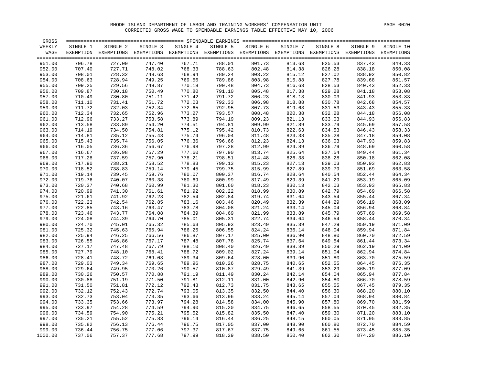| GROSS   | $=$ $=$ $=$ $=$ |          |          |          |          |                                                                                                              |          |          |          |                 |
|---------|-----------------|----------|----------|----------|----------|--------------------------------------------------------------------------------------------------------------|----------|----------|----------|-----------------|
| WEEKLY  | SINGLE 1        | SINGLE 2 | SINGLE 3 | SINGLE 4 | SINGLE 5 | SINGLE 6                                                                                                     | SINGLE 7 | SINGLE 8 | SINGLE 9 | SINGLE 10       |
| WAGE    |                 |          |          |          |          | EXEMPTION EXEMPTIONS EXEMPTIONS EXEMPTIONS EXEMPTIONS EXEMPTIONS EXEMPTIONS EXEMPTIONS EXEMPTIONS EXEMPTIONS |          |          |          |                 |
|         |                 |          |          |          |          |                                                                                                              |          |          |          | $=$ $=$ $=$ $=$ |
| 951.00  | 706.78          | 727.09   | 747.40   | 767.71   | 788.01   | 801.73                                                                                                       | 813.63   | 825.53   | 837.43   | 849.33          |
| 952.00  | 707.40          | 727.71   | 748.02   | 768.33   | 788.63   | 802.48                                                                                                       | 814.38   | 826.28   | 838.18   | 850.08          |
| 953.00  | 708.01          | 728.32   | 748.63   | 768.94   | 789.24   | 803.22                                                                                                       | 815.12   | 827.02   | 838.92   | 850.82          |
| 954.00  | 708.63          | 728.94   | 749.25   | 769.56   | 789.86   | 803.98                                                                                                       | 815.88   | 827.78   | 839.68   | 851.57          |
| 955.00  | 709.25          | 729.56   | 749.87   | 770.18   | 790.48   | 804.73                                                                                                       | 816.63   | 828.53   | 840.43   | 852.33          |
| 956.00  | 709.87          | 730.18   | 750.49   | 770.80   | 791.10   | 805.48                                                                                                       | 817.38   | 829.28   | 841.18   | 853.08          |
| 957.00  | 710.49          |          | 751.11   | 771.42   |          |                                                                                                              |          | 830.03   |          |                 |
|         | 711.10          | 730.80   |          | 772.03   | 791.72   | 806.23                                                                                                       | 818.13   | 830.78   | 841.93   | 853.83          |
| 958.00  |                 | 731.41   | 751.72   |          | 792.33   | 806.98                                                                                                       | 818.88   |          | 842.68   | 854.57          |
| 959.00  | 711.72          | 732.03   | 752.34   | 772.65   | 792.95   | 807.73                                                                                                       | 819.63   | 831.53   | 843.43   | 855.33          |
| 960.00  | 712.34          | 732.65   | 752.96   | 773.27   | 793.57   | 808.48                                                                                                       | 820.38   | 832.28   | 844.18   | 856.08          |
| 961.00  | 712.96          | 733.27   | 753.58   | 773.89   | 794.19   | 809.23                                                                                                       | 821.13   | 833.03   | 844.93   | 856.83          |
| 962.00  | 713.58          | 733.89   | 754.20   | 774.51   | 794.81   | 809.99                                                                                                       | 821.89   | 833.79   | 845.69   | 857.58          |
| 963.00  | 714.19          | 734.50   | 754.81   | 775.12   | 795.42   | 810.73                                                                                                       | 822.63   | 834.53   | 846.43   | 858.33          |
| 964.00  | 714.81          | 735.12   | 755.43   | 775.74   | 796.04   | 811.48                                                                                                       | 823.38   | 835.28   | 847.18   | 859.08          |
| 965.00  | 715.43          | 735.74   | 756.05   | 776.36   | 796.66   | 812.23                                                                                                       | 824.13   | 836.03   | 847.93   | 859.83          |
| 966.00  | 716.05          | 736.36   | 756.67   | 776.98   | 797.28   | 812.99                                                                                                       | 824.89   | 836.79   | 848.69   | 860.58          |
| 967.00  | 716.67          | 736.98   | 757.29   | 777.60   | 797.90   | 813.74                                                                                                       | 825.64   | 837.54   | 849.44   | 861.34          |
| 968.00  | 717.28          | 737.59   | 757.90   | 778.21   | 798.51   | 814.48                                                                                                       | 826.38   | 838.28   | 850.18   | 862.08          |
| 969.00  | 717.90          | 738.21   | 758.52   | 778.83   | 799.13   | 815.23                                                                                                       | 827.13   | 839.03   | 850.93   | 862.83          |
| 970.00  | 718.52          | 738.83   | 759.14   | 779.45   | 799.75   | 815.99                                                                                                       | 827.89   | 839.79   | 851.69   | 863.58          |
| 971.00  | 719.14          | 739.45   | 759.76   | 780.07   | 800.37   | 816.74                                                                                                       | 828.64   | 840.54   | 852.44   | 864.34          |
| 972.00  | 719.76          | 740.07   | 760.38   | 780.69   | 800.99   | 817.49                                                                                                       | 829.39   | 841.29   | 853.19   | 865.09          |
| 973.00  | 720.37          | 740.68   | 760.99   | 781.30   | 801.60   | 818.23                                                                                                       | 830.13   | 842.03   | 853.93   | 865.83          |
| 974.00  | 720.99          | 741.30   | 761.61   | 781.92   | 802.22   | 818.99                                                                                                       | 830.89   | 842.79   | 854.69   | 866.58          |
| 975.00  | 721.61          | 741.92   | 762.23   | 782.54   | 802.84   | 819.74                                                                                                       | 831.64   | 843.54   | 855.44   | 867.34          |
| 976.00  | 722.23          | 742.54   | 762.85   | 783.16   | 803.46   | 820.49                                                                                                       | 832.39   | 844.29   | 856.19   | 868.09          |
| 977.00  | 722.85          | 743.16   | 763.47   | 783.78   | 804.08   | 821.24                                                                                                       | 833.14   | 845.04   | 856.94   | 868.84          |
| 978.00  | 723.46          | 743.77   | 764.08   | 784.39   | 804.69   | 821.99                                                                                                       | 833.89   | 845.79   | 857.69   | 869.58          |
| 979.00  | 724.08          | 744.39   | 764.70   | 785.01   | 805.31   | 822.74                                                                                                       | 834.64   | 846.54   | 858.44   | 870.34          |
| 980.00  | 724.70          | 745.01   | 765.32   | 785.63   | 805.93   | 823.49                                                                                                       | 835.39   | 847.29   | 859.19   | 871.09          |
| 981.00  | 725.32          | 745.63   | 765.94   | 786.25   | 806.55   | 824.24                                                                                                       | 836.14   | 848.04   | 859.94   | 871.84          |
| 982.00  | 725.94          | 746.25   | 766.56   | 786.87   | 807.17   | 825.00                                                                                                       | 836.90   | 848.80   | 860.70   | 872.59          |
| 983.00  | 726.55          | 746.86   | 767.17   | 787.48   | 807.78   | 825.74                                                                                                       | 837.64   | 849.54   | 861.44   | 873.34          |
| 984.00  | 727.17          | 747.48   | 767.79   | 788.10   | 808.40   | 826.49                                                                                                       | 838.39   | 850.29   | 862.19   | 874.09          |
| 985.00  | 727.79          | 748.10   | 768.41   | 788.72   | 809.02   | 827.24                                                                                                       | 839.14   | 851.04   | 862.94   | 874.84          |
| 986.00  | 728.41          | 748.72   | 769.03   | 789.34   | 809.64   | 828.00                                                                                                       | 839.90   | 851.80   | 863.70   | 875.59          |
| 987.00  | 729.03          | 749.34   | 769.65   | 789.96   | 810.26   | 828.75                                                                                                       | 840.65   | 852.55   | 864.45   | 876.35          |
| 988.00  | 729.64          | 749.95   | 770.26   | 790.57   | 810.87   | 829.49                                                                                                       | 841.39   | 853.29   | 865.19   | 877.09          |
| 989.00  | 730.26          | 750.57   | 770.88   | 791.19   | 811.49   | 830.24                                                                                                       | 842.14   | 854.04   | 865.94   | 877.84          |
|         |                 |          |          |          |          |                                                                                                              |          |          |          |                 |
| 990.00  | 730.88          | 751.19   | 771.50   | 791.81   | 812.11   | 831.00                                                                                                       | 842.90   | 854.80   | 866.70   | 878.59          |
| 991.00  | 731.50          | 751.81   | 772.12   | 792.43   | 812.73   | 831.75                                                                                                       | 843.65   | 855.55   | 867.45   | 879.35          |
| 992.00  | 732.12          | 752.43   | 772.74   | 793.05   | 813.35   | 832.50                                                                                                       | 844.40   | 856.30   | 868.20   | 880.10          |
| 993.00  | 732.73          | 753.04   | 773.35   | 793.66   | 813.96   | 833.24                                                                                                       | 845.14   | 857.04   | 868.94   | 880.84          |
| 994.00  | 733.35          | 753.66   | 773.97   | 794.28   | 814.58   | 834.00                                                                                                       | 845.90   | 857.80   | 869.70   | 881.59          |
| 995.00  | 733.97          | 754.28   | 774.59   | 794.90   | 815.20   | 834.75                                                                                                       | 846.65   | 858.55   | 870.45   | 882.35          |
| 996.00  | 734.59          | 754.90   | 775.21   | 795.52   | 815.82   | 835.50                                                                                                       | 847.40   | 859.30   | 871.20   | 883.10          |
| 997.00  | 735.21          | 755.52   | 775.83   | 796.14   | 816.44   | 836.25                                                                                                       | 848.15   | 860.05   | 871.95   | 883.85          |
| 998.00  | 735.82          | 756.13   | 776.44   | 796.75   | 817.05   | 837.00                                                                                                       | 848.90   | 860.80   | 872.70   | 884.59          |
| 999.00  | 736.44          | 756.75   | 777.06   | 797.37   | 817.67   | 837.75                                                                                                       | 849.65   | 861.55   | 873.45   | 885.35          |
| 1000.00 | 737.06          | 757.37   | 777.68   | 797.99   | 818.29   | 838.50                                                                                                       | 850.40   | 862.30   | 874.20   | 886.10          |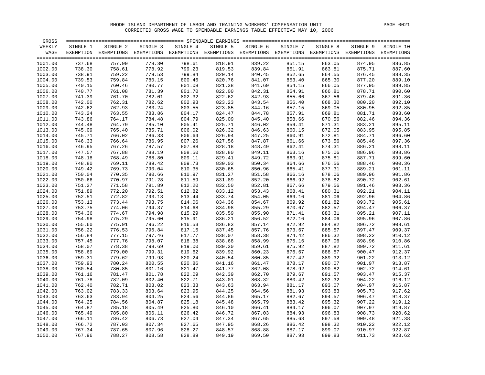| GROSS   |          |                                                                                                              |          |          |          |          |          |          |          |           |
|---------|----------|--------------------------------------------------------------------------------------------------------------|----------|----------|----------|----------|----------|----------|----------|-----------|
| WEEKLY  | SINGLE 1 | SINGLE 2                                                                                                     | SINGLE 3 | SINGLE 4 | SINGLE 5 | SINGLE 6 | SINGLE 7 | SINGLE 8 | SINGLE 9 | SINGLE 10 |
| WAGE    |          | EXEMPTION EXEMPTIONS EXEMPTIONS EXEMPTIONS EXEMPTIONS EXEMPTIONS EXEMPTIONS EXEMPTIONS EXEMPTIONS EXEMPTIONS |          |          |          |          |          |          |          |           |
|         |          |                                                                                                              |          |          |          |          |          |          |          |           |
| 1001.00 | 737.68   | 757.99                                                                                                       | 778.30   | 798.61   | 818.91   | 839.22   | 851.15   | 863.05   | 874.95   | 886.85    |
| 1002.00 | 738.30   | 758.61                                                                                                       | 778.92   | 799.23   | 819.53   | 839.84   | 851.91   | 863.81   | 875.71   | 887.60    |
| 1003.00 | 738.91   | 759.22                                                                                                       | 779.53   | 799.84   | 820.14   | 840.45   | 852.65   | 864.55   | 876.45   | 888.35    |
| 1004.00 | 739.53   | 759.84                                                                                                       | 780.15   | 800.46   | 820.76   | 841.07   | 853.40   | 865.30   | 877.20   | 889.10    |
| 1005.00 | 740.15   | 760.46                                                                                                       | 780.77   | 801.08   | 821.38   | 841.69   | 854.15   | 866.05   | 877.95   | 889.85    |
| 1006.00 | 740.77   | 761.08                                                                                                       | 781.39   | 801.70   | 822.00   | 842.31   | 854.91   | 866.81   | 878.71   | 890.60    |
| 1007.00 | 741.39   | 761.70                                                                                                       | 782.01   | 802.32   | 822.62   | 842.93   | 855.66   | 867.56   | 879.46   | 891.36    |
| 1008.00 | 742.00   | 762.31                                                                                                       | 782.62   | 802.93   | 823.23   | 843.54   | 856.40   | 868.30   | 880.20   | 892.10    |
| 1009.00 | 742.62   | 762.93                                                                                                       | 783.24   | 803.55   | 823.85   | 844.16   | 857.15   | 869.05   | 880.95   | 892.85    |
| 1010.00 | 743.24   | 763.55                                                                                                       | 783.86   | 804.17   | 824.47   | 844.78   | 857.91   | 869.81   | 881.71   | 893.60    |
| 1011.00 | 743.86   | 764.17                                                                                                       | 784.48   | 804.79   | 825.09   | 845.40   | 858.66   | 870.56   | 882.46   | 894.36    |
| 1012.00 | 744.48   | 764.79                                                                                                       | 785.10   | 805.41   | 825.71   | 846.02   | 859.41   | 871.31   | 883.21   | 895.11    |
| 1013.00 | 745.09   | 765.40                                                                                                       | 785.71   | 806.02   | 826.32   | 846.63   | 860.15   | 872.05   | 883.95   | 895.85    |
| 1014.00 | 745.71   | 766.02                                                                                                       | 786.33   | 806.64   | 826.94   | 847.25   | 860.91   | 872.81   | 884.71   | 896.60    |
| 1015.00 | 746.33   | 766.64                                                                                                       | 786.95   | 807.26   | 827.56   | 847.87   | 861.66   | 873.56   | 885.46   | 897.36    |
| 1016.00 | 746.95   | 767.26                                                                                                       | 787.57   | 807.88   | 828.18   | 848.49   | 862.41   | 874.31   | 886.21   | 898.11    |
| 1017.00 | 747.57   | 767.88                                                                                                       | 788.19   | 808.50   | 828.80   | 849.11   | 863.16   | 875.06   | 886.96   | 898.86    |
| 1018.00 | 748.18   | 768.49                                                                                                       | 788.80   | 809.11   | 829.41   | 849.72   | 863.91   | 875.81   | 887.71   | 899.60    |
| 1019.00 | 748.80   | 769.11                                                                                                       | 789.42   | 809.73   | 830.03   | 850.34   | 864.66   | 876.56   | 888.46   | 900.36    |
| 1020.00 | 749.42   | 769.73                                                                                                       | 790.04   | 810.35   | 830.65   | 850.96   | 865.41   | 877.31   | 889.21   | 901.11    |
| 1021.00 | 750.04   | 770.35                                                                                                       | 790.66   | 810.97   | 831.27   | 851.58   | 866.16   | 878.06   | 889.96   | 901.86    |
| 1022.00 | 750.66   | 770.97                                                                                                       | 791.28   | 811.59   | 831.89   | 852.20   | 866.92   | 878.82   | 890.72   | 902.61    |
| 1023.00 | 751.27   | 771.58                                                                                                       | 791.89   | 812.20   | 832.50   | 852.81   | 867.66   | 879.56   | 891.46   | 903.36    |
| 1024.00 | 751.89   | 772.20                                                                                                       | 792.51   | 812.82   | 833.12   | 853.43   | 868.41   | 880.31   | 892.21   | 904.11    |
| 1025.00 | 752.51   | 772.82                                                                                                       | 793.13   | 813.44   | 833.74   | 854.05   | 869.16   | 881.06   | 892.96   | 904.86    |
| 1026.00 | 753.13   | 773.44                                                                                                       | 793.75   | 814.06   | 834.36   | 854.67   | 869.92   | 881.82   | 893.72   | 905.61    |
| 1027.00 | 753.75   | 774.06                                                                                                       | 794.37   | 814.68   | 834.98   | 855.29   | 870.67   | 882.57   | 894.47   | 906.37    |
| 1028.00 | 754.36   | 774.67                                                                                                       | 794.98   | 815.29   | 835.59   | 855.90   | 871.41   | 883.31   | 895.21   | 907.11    |
| 1029.00 | 754.98   | 775.29                                                                                                       | 795.60   | 815.91   | 836.21   | 856.52   | 872.16   | 884.06   | 895.96   | 907.86    |
| 1030.00 | 755.60   | 775.91                                                                                                       | 796.22   | 816.53   | 836.83   | 857.14   | 872.92   | 884.82   | 896.72   | 908.61    |
| 1031.00 | 756.22   | 776.53                                                                                                       | 796.84   | 817.15   | 837.45   | 857.76   | 873.67   | 885.57   | 897.47   | 909.37    |
| 1032.00 | 756.84   | 777.15                                                                                                       | 797.46   | 817.77   | 838.07   | 858.38   | 874.42   | 886.32   | 898.22   | 910.12    |
| 1033.00 | 757.45   | 777.76                                                                                                       | 798.07   | 818.38   | 838.68   | 858.99   | 875.16   | 887.06   | 898.96   | 910.86    |
| 1034.00 | 758.07   | 778.38                                                                                                       | 798.69   | 819.00   | 839.30   | 859.61   | 875.92   | 887.82   | 899.72   | 911.61    |
| 1035.00 | 758.69   | 779.00                                                                                                       | 799.31   | 819.62   | 839.92   | 860.23   | 876.67   | 888.57   | 900.47   | 912.37    |
| 1036.00 | 759.31   | 779.62                                                                                                       | 799.93   | 820.24   | 840.54   | 860.85   | 877.42   | 889.32   | 901.22   | 913.12    |
| 1037.00 | 759.93   | 780.24                                                                                                       | 800.55   | 820.86   | 841.16   | 861.47   | 878.17   | 890.07   | 901.97   | 913.87    |
| 1038.00 | 760.54   | 780.85                                                                                                       | 801.16   | 821.47   | 841.77   | 862.08   | 878.92   | 890.82   | 902.72   | 914.61    |
| 1039.00 | 761.16   | 781.47                                                                                                       | 801.78   | 822.09   | 842.39   | 862.70   | 879.67   | 891.57   | 903.47   | 915.37    |
| 1040.00 | 761.78   | 782.09                                                                                                       | 802.40   | 822.71   | 843.01   | 863.32   | 880.42   | 892.32   | 904.22   | 916.12    |
| 1041.00 | 762.40   | 782.71                                                                                                       | 803.02   | 823.33   | 843.63   | 863.94   | 881.17   | 893.07   | 904.97   | 916.87    |
| 1042.00 | 763.02   | 783.33                                                                                                       | 803.64   | 823.95   | 844.25   | 864.56   | 881.93   | 893.83   | 905.73   | 917.62    |
| 1043.00 | 763.63   | 783.94                                                                                                       | 804.25   | 824.56   | 844.86   | 865.17   | 882.67   | 894.57   | 906.47   | 918.37    |
| 1044.00 | 764.25   | 784.56                                                                                                       | 804.87   | 825.18   | 845.48   | 865.79   | 883.42   | 895.32   | 907.22   | 919.12    |
| 1045.00 | 764.87   | 785.18                                                                                                       | 805.49   | 825.80   | 846.10   | 866.41   | 884.17   | 896.07   | 907.97   | 919.87    |
| 1046.00 | 765.49   | 785.80                                                                                                       | 806.11   | 826.42   | 846.72   | 867.03   | 884.93   | 896.83   | 908.73   | 920.62    |
| 1047.00 | 766.11   | 786.42                                                                                                       | 806.73   | 827.04   | 847.34   | 867.65   | 885.68   | 897.58   | 909.48   | 921.38    |
| 1048.00 | 766.72   | 787.03                                                                                                       | 807.34   | 827.65   | 847.95   | 868.26   | 886.42   | 898.32   | 910.22   | 922.12    |
| 1049.00 | 767.34   | 787.65                                                                                                       | 807.96   | 828.27   | 848.57   | 868.88   | 887.17   | 899.07   | 910.97   | 922.87    |
| 1050.00 | 767.96   | 788.27                                                                                                       | 808.58   | 828.89   | 849.19   | 869.50   | 887.93   | 899.83   | 911.73   | 923.62    |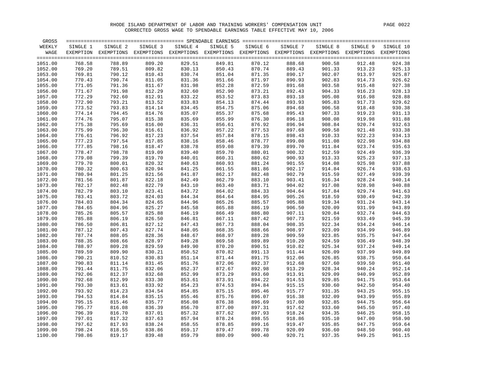| GROSS              |                  |                                                                                                              |                  |                  |                  |                  |                  |                  |                  |                  |
|--------------------|------------------|--------------------------------------------------------------------------------------------------------------|------------------|------------------|------------------|------------------|------------------|------------------|------------------|------------------|
| WEEKLY             | SINGLE 1         | SINGLE 2                                                                                                     | SINGLE 3         | SINGLE 4         | SINGLE 5         | SINGLE 6         | SINGLE 7         | SINGLE 8         | SINGLE 9         | SINGLE 10        |
| WAGE               |                  | EXEMPTION EXEMPTIONS EXEMPTIONS EXEMPTIONS EXEMPTIONS EXEMPTIONS EXEMPTIONS EXEMPTIONS EXEMPTIONS EXEMPTIONS |                  |                  |                  |                  |                  |                  |                  |                  |
| 1051.00            | 768.58           | 788.89                                                                                                       | 809.20           | 829.51           | 849.81           | 870.12           | 888.68           | 900.58           | 912.48           | 924.38           |
| 1052.00            | 769.20           | 789.51                                                                                                       | 809.82           | 830.13           | 850.43           | 870.74           | 889.43           | 901.33           | 913.23           | 925.13           |
| 1053.00            | 769.81           | 790.12                                                                                                       | 810.43           | 830.74           | 851.04           | 871.35           | 890.17           | 902.07           | 913.97           | 925.87           |
| 1054.00            | 770.43           | 790.74                                                                                                       | 811.05           | 831.36           | 851.66           | 871.97           | 890.93           | 902.83           | 914.73           | 926.62           |
| 1055.00            | 771.05           | 791.36                                                                                                       | 811.67           | 831.98           | 852.28           | 872.59           | 891.68           | 903.58           | 915.48           | 927.38           |
| 1056.00            | 771.67           | 791.98                                                                                                       | 812.29           | 832.60           | 852.90           | 873.21           | 892.43           | 904.33           | 916.23           | 928.13           |
| 1057.00            | 772.29           | 792.60                                                                                                       | 812.91           | 833.22           | 853.52           | 873.83           | 893.18           | 905.08           | 916.98           | 928.88           |
| 1058.00            | 772.90           | 793.21                                                                                                       | 813.52           | 833.83           | 854.13           | 874.44           | 893.93           | 905.83           | 917.73           | 929.62           |
| 1059.00            | 773.52           | 793.83                                                                                                       | 814.14           | 834.45           | 854.75           | 875.06           | 894.68           | 906.58           | 918.48           | 930.38           |
| 1060.00            | 774.14           | 794.45                                                                                                       | 814.76           | 835.07           | 855.37           | 875.68           | 895.43           | 907.33           | 919.23           | 931.13           |
| 1061.00            | 774.76           | 795.07                                                                                                       | 815.38           | 835.69           | 855.99           | 876.30           | 896.18           | 908.08           | 919.98           | 931.88           |
| 1062.00            | 775.38           | 795.69                                                                                                       | 816.00           | 836.31           | 856.61           | 876.92           | 896.94           | 908.84           | 920.74           | 932.63           |
| 1063.00            | 775.99           | 796.30                                                                                                       | 816.61           | 836.92           | 857.22           | 877.53           | 897.68           | 909.58           | 921.48           | 933.38           |
| 1064.00            | 776.61           | 796.92                                                                                                       | 817.23           | 837.54           | 857.84           | 878.15           | 898.43           | 910.33           | 922.23           | 934.13           |
| 1065.00            | 777.23           | 797.54                                                                                                       | 817.85           | 838.16           | 858.46           | 878.77           | 899.08           | 911.08           | 922.98           | 934.88           |
| 1066.00            | 777.85           | 798.16                                                                                                       | 818.47           | 838.78           | 859.08           | 879.39           | 899.70           | 911.84           | 923.74           | 935.63           |
| 1067.00            | 778.47           | 798.78                                                                                                       | 819.09           | 839.40           | 859.70           | 880.01           | 900.32           | 912.59           | 924.49           | 936.39           |
| 1068.00            | 779.08           | 799.39                                                                                                       | 819.70           | 840.01           | 860.31           | 880.62           | 900.93           | 913.33           | 925.23           | 937.13           |
| 1069.00            | 779.70           | 800.01                                                                                                       | 820.32           | 840.63           | 860.93           | 881.24           | 901.55           | 914.08           | 925.98           | 937.88           |
| 1070.00            | 780.32           | 800.63                                                                                                       | 820.94           | 841.25           | 861.55           | 881.86           | 902.17           | 914.84           | 926.74           | 938.63           |
| 1071.00            | 780.94           | 801.25                                                                                                       | 821.56           | 841.87           | 862.17           | 882.48           | 902.79           | 915.59           | 927.49           | 939.39           |
| 1072.00            | 781.56           | 801.87                                                                                                       | 822.18           | 842.49           | 862.79           | 883.10           | 903.41           | 916.34           | 928.24           | 940.14           |
| 1073.00            | 782.17           | 802.48                                                                                                       | 822.79           | 843.10           | 863.40           | 883.71           | 904.02           | 917.08           | 928.98           | 940.88           |
| 1074.00            | 782.79           | 803.10                                                                                                       | 823.41           | 843.72           | 864.02           | 884.33           | 904.64           | 917.84           | 929.74           | 941.63           |
| 1075.00            | 783.41           | 803.72                                                                                                       | 824.03           | 844.34           | 864.64           | 884.95           | 905.26           | 918.59           | 930.49           | 942.39           |
| 1076.00            | 784.03           | 804.34                                                                                                       | 824.65           | 844.96           | 865.26           | 885.57           | 905.88           | 919.34           | 931.24           | 943.14           |
| 1077.00            | 784.65           | 804.96                                                                                                       | 825.27           | 845.58           | 865.88           | 886.19           | 906.50           | 920.09           | 931.99           | 943.89           |
| 1078.00            | 785.26           | 805.57                                                                                                       | 825.88           | 846.19           | 866.49           | 886.80           | 907.11           | 920.84           | 932.74           | 944.63           |
| 1079.00            | 785.88           | 806.19                                                                                                       | 826.50           | 846.81           | 867.11           | 887.42           | 907.73           | 921.59           | 933.49           | 945.39           |
| 1080.00            | 786.50           | 806.81                                                                                                       | 827.12           | 847.43           | 867.73           | 888.04           | 908.35           | 922.34           | 934.24           | 946.14           |
| 1081.00            | 787.12           | 807.43                                                                                                       | 827.74           | 848.05           | 868.35           | 888.66           | 908.97           | 923.09           | 934.99           | 946.89           |
| 1082.00            | 787.74           | 808.05                                                                                                       | 828.36           | 848.67           | 868.97           | 889.28           | 909.59           | 923.85           | 935.75           | 947.64           |
| 1083.00            | 788.35           | 808.66                                                                                                       | 828.97           | 849.28           | 869.58           | 889.89           | 910.20           | 924.59           | 936.49           | 948.39           |
| 1084.00            | 788.97           | 809.28                                                                                                       | 829.59           | 849.90           | 870.20           | 890.51           | 910.82           | 925.34           | 937.24           | 949.14           |
| 1085.00            | 789.59           | 809.90                                                                                                       | 830.21           | 850.52<br>851.14 | 870.82           | 891.13<br>891.75 | 911.44           | 926.09<br>926.85 | 937.99           | 949.89           |
| 1086.00            | 790.21           | 810.52                                                                                                       | 830.83           |                  | 871.44           |                  | 912.06           |                  | 938.75           | 950.64           |
| 1087.00            | 790.83           | 811.14                                                                                                       | 831.45           | 851.76           | 872.06           | 892.37           | 912.68           | 927.60           | 939.50           | 951.40           |
| 1088.00<br>1089.00 | 791.44<br>792.06 | 811.75<br>812.37                                                                                             | 832.06           | 852.37<br>852.99 | 872.67<br>873.29 | 892.98<br>893.60 | 913.29           | 928.34           | 940.24           | 952.14           |
| 1090.00            | 792.68           | 812.99                                                                                                       | 832.68<br>833.30 | 853.61           | 873.91           | 894.22           | 913.91<br>914.53 | 929.09<br>929.85 | 940.99<br>941.75 | 952.89<br>953.64 |
| 1091.00            | 793.30           | 813.61                                                                                                       | 833.92           | 854.23           | 874.53           | 894.84           | 915.15           | 930.60           | 942.50           | 954.40           |
|                    | 793.92           |                                                                                                              | 834.54           | 854.85           |                  | 895.46           |                  | 931.35           |                  |                  |
| 1092.00            | 794.53           | 814.23                                                                                                       | 835.15           | 855.46           | 875.15<br>875.76 | 896.07           | 915.77<br>916.38 | 932.09           | 943.25<br>943.99 | 955.15<br>955.89 |
| 1093.00<br>1094.00 | 795.15           | 814.84<br>815.46                                                                                             | 835.77           | 856.08           | 876.38           | 896.69           | 917.00           | 932.85           | 944.75           | 956.64           |
| 1095.00            | 795.77           | 816.08                                                                                                       | 836.39           | 856.70           | 877.00           | 897.31           | 917.62           | 933.60           | 945.50           | 957.40           |
| 1096.00            | 796.39           | 816.70                                                                                                       | 837.01           | 857.32           | 877.62           | 897.93           | 918.24           | 934.35           | 946.25           | 958.15           |
| 1097.00            | 797.01           | 817.32                                                                                                       | 837.63           | 857.94           | 878.24           | 898.55           | 918.86           | 935.10           | 947.00           | 958.90           |
| 1098.00            | 797.62           | 817.93                                                                                                       | 838.24           | 858.55           | 878.85           | 899.16           | 919.47           | 935.85           | 947.75           | 959.64           |
| 1099.00            | 798.24           | 818.55                                                                                                       | 838.86           | 859.17           | 879.47           | 899.78           | 920.09           | 936.60           | 948.50           | 960.40           |
| 1100.00            | 798.86           | 819.17                                                                                                       | 839.48           | 859.79           | 880.09           | 900.40           | 920.71           | 937.35           | 949.25           | 961.15           |
|                    |                  |                                                                                                              |                  |                  |                  |                  |                  |                  |                  |                  |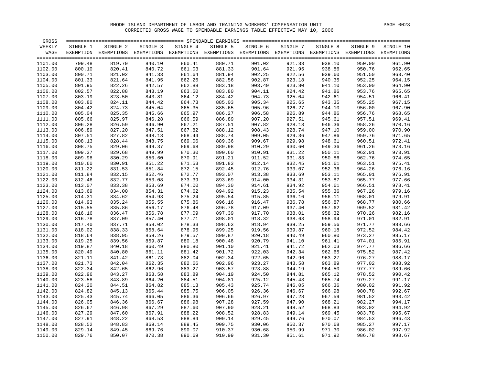| GROSS   |          |                                                                                                              |          |          |          |          |          |          |          |                 |
|---------|----------|--------------------------------------------------------------------------------------------------------------|----------|----------|----------|----------|----------|----------|----------|-----------------|
| WEEKLY  | SINGLE 1 | SINGLE 2                                                                                                     | SINGLE 3 | SINGLE 4 | SINGLE 5 | SINGLE 6 | SINGLE 7 | SINGLE 8 | SINGLE 9 | SINGLE 10       |
| WAGE    |          | EXEMPTION EXEMPTIONS EXEMPTIONS EXEMPTIONS EXEMPTIONS EXEMPTIONS EXEMPTIONS EXEMPTIONS EXEMPTIONS EXEMPTIONS |          |          |          |          |          |          |          |                 |
|         |          |                                                                                                              |          |          |          |          |          |          |          | $=$ $=$ $=$ $=$ |
| 1101.00 | 799.48   | 819.79                                                                                                       | 840.10   | 860.41   | 880.71   | 901.02   | 921.33   | 938.10   | 950.00   | 961.90          |
| 1102.00 | 800.10   | 820.41                                                                                                       | 840.72   | 861.03   | 881.33   | 901.64   | 921.95   | 938.86   | 950.76   | 962.65          |
| 1103.00 | 800.71   | 821.02                                                                                                       | 841.33   | 861.64   | 881.94   | 902.25   | 922.56   | 939.60   | 951.50   | 963.40          |
| 1104.00 | 801.33   | 821.64                                                                                                       | 841.95   | 862.26   | 882.56   | 902.87   | 923.18   | 940.35   | 952.25   | 964.15          |
| 1105.00 | 801.95   | 822.26                                                                                                       | 842.57   | 862.88   | 883.18   | 903.49   | 923.80   | 941.10   | 953.00   | 964.90          |
| 1106.00 | 802.57   | 822.88                                                                                                       | 843.19   | 863.50   | 883.80   | 904.11   | 924.42   | 941.86   | 953.76   | 965.65          |
| 1107.00 | 803.19   | 823.50                                                                                                       | 843.81   | 864.12   | 884.42   | 904.73   | 925.04   | 942.61   | 954.51   | 966.41          |
| 1108.00 | 803.80   | 824.11                                                                                                       | 844.42   | 864.73   | 885.03   | 905.34   | 925.65   | 943.35   | 955.25   | 967.15          |
| 1109.00 | 804.42   | 824.73                                                                                                       | 845.04   | 865.35   | 885.65   | 905.96   | 926.27   | 944.10   | 956.00   | 967.90          |
| 1110.00 | 805.04   | 825.35                                                                                                       | 845.66   | 865.97   | 886.27   | 906.58   | 926.89   | 944.86   | 956.76   | 968.65          |
| 1111.00 | 805.66   | 825.97                                                                                                       | 846.28   | 866.59   | 886.89   | 907.20   | 927.51   | 945.61   | 957.51   | 969.41          |
| 1112.00 | 806.28   | 826.59                                                                                                       | 846.90   | 867.21   | 887.51   | 907.82   | 928.13   | 946.36   | 958.26   | 970.16          |
| 1113.00 | 806.89   | 827.20                                                                                                       | 847.51   | 867.82   | 888.12   | 908.43   | 928.74   | 947.10   | 959.00   | 970.90          |
| 1114.00 | 807.51   | 827.82                                                                                                       | 848.13   | 868.44   | 888.74   | 909.05   | 929.36   | 947.86   | 959.76   | 971.65          |
| 1115.00 | 808.13   | 828.44                                                                                                       | 848.75   | 869.06   | 889.36   | 909.67   | 929.98   | 948.61   | 960.51   | 972.41          |
| 1116.00 | 808.75   | 829.06                                                                                                       | 849.37   | 869.68   | 889.98   | 910.29   | 930.60   | 949.36   | 961.26   | 973.16          |
| 1117.00 | 809.37   | 829.68                                                                                                       | 849.99   | 870.30   | 890.60   | 910.91   | 931.22   | 950.11   | 962.01   | 973.91          |
| 1118.00 | 809.98   | 830.29                                                                                                       | 850.60   | 870.91   | 891.21   | 911.52   | 931.83   | 950.86   | 962.76   | 974.65          |
| 1119.00 | 810.60   | 830.91                                                                                                       | 851.22   | 871.53   | 891.83   | 912.14   | 932.45   | 951.61   | 963.51   | 975.41          |
| 1120.00 | 811.22   | 831.53                                                                                                       | 851.84   | 872.15   | 892.45   | 912.76   | 933.07   | 952.36   | 964.26   | 976.16          |
| 1121.00 | 811.84   | 832.15                                                                                                       | 852.46   | 872.77   | 893.07   | 913.38   | 933.69   | 953.11   | 965.01   | 976.91          |
| 1122.00 | 812.46   | 832.77                                                                                                       | 853.08   | 873.39   | 893.69   | 914.00   | 934.31   | 953.87   | 965.77   | 977.66          |
| 1123.00 | 813.07   | 833.38                                                                                                       | 853.69   | 874.00   | 894.30   | 914.61   | 934.92   | 954.61   | 966.51   | 978.41          |
| 1124.00 | 813.69   | 834.00                                                                                                       | 854.31   | 874.62   | 894.92   | 915.23   | 935.54   | 955.36   | 967.26   | 979.16          |
| 1125.00 | 814.31   | 834.62                                                                                                       | 854.93   | 875.24   | 895.54   | 915.85   | 936.16   | 956.11   | 968.01   | 979.91          |
| 1126.00 | 814.93   | 835.24                                                                                                       | 855.55   | 875.86   | 896.16   | 916.47   | 936.78   | 956.87   | 968.77   | 980.66          |
| 1127.00 | 815.55   | 835.86                                                                                                       | 856.17   | 876.48   | 896.78   | 917.09   | 937.40   | 957.62   | 969.52   | 981.42          |
| 1128.00 | 816.16   | 836.47                                                                                                       | 856.78   | 877.09   | 897.39   | 917.70   | 938.01   | 958.32   | 970.26   | 982.16          |
| 1129.00 | 816.78   | 837.09                                                                                                       | 857.40   | 877.71   | 898.01   | 918.32   | 938.63   | 958.94   | 971.01   | 982.91          |
| 1130.00 | 817.40   | 837.71                                                                                                       | 858.02   | 878.33   | 898.63   | 918.94   | 939.25   | 959.56   | 971.77   | 983.66          |
| 1131.00 | 818.02   | 838.33                                                                                                       | 858.64   | 878.95   | 899.25   | 919.56   | 939.87   | 960.18   | 972.52   | 984.42          |
| 1132.00 | 818.64   | 838.95                                                                                                       | 859.26   | 879.57   | 899.87   | 920.18   | 940.49   | 960.80   | 973.27   | 985.17          |
| 1133.00 | 819.25   | 839.56                                                                                                       | 859.87   | 880.18   | 900.48   | 920.79   | 941.10   | 961.41   | 974.01   | 985.91          |
| 1134.00 | 819.87   | 840.18                                                                                                       | 860.49   | 880.80   | 901.10   | 921.41   | 941.72   | 962.03   | 974.77   | 986.66          |
| 1135.00 | 820.49   | 840.80                                                                                                       | 861.11   | 881.42   | 901.72   | 922.03   | 942.34   | 962.65   | 975.52   | 987.42          |
| 1136.00 | 821.11   | 841.42                                                                                                       | 861.73   | 882.04   | 902.34   | 922.65   | 942.96   | 963.27   | 976.27   | 988.17          |
| 1137.00 | 821.73   | 842.04                                                                                                       | 862.35   | 882.66   | 902.96   | 923.27   | 943.58   | 963.89   | 977.02   | 988.92          |
| 1138.00 | 822.34   | 842.65                                                                                                       | 862.96   | 883.27   | 903.57   | 923.88   | 944.19   | 964.50   | 977.77   | 989.66          |
| 1139.00 | 822.96   | 843.27                                                                                                       | 863.58   | 883.89   | 904.19   | 924.50   | 944.81   | 965.12   | 978.52   | 990.42          |
| 1140.00 | 823.58   | 843.89                                                                                                       | 864.20   | 884.51   | 904.81   | 925.12   | 945.43   | 965.74   | 979.27   | 991.17          |
| 1141.00 | 824.20   | 844.51                                                                                                       | 864.82   | 885.13   | 905.43   | 925.74   | 946.05   | 966.36   | 980.02   | 991.92          |
| 1142.00 | 824.82   | 845.13                                                                                                       | 865.44   | 885.75   | 906.05   | 926.36   | 946.67   | 966.98   | 980.78   | 992.67          |
| 1143.00 | 825.43   | 845.74                                                                                                       | 866.05   | 886.36   | 906.66   | 926.97   | 947.28   | 967.59   | 981.52   | 993.42          |
| 1144.00 | 826.05   | 846.36                                                                                                       | 866.67   | 886.98   | 907.28   | 927.59   | 947.90   | 968.21   | 982.27   | 994.17          |
| 1145.00 | 826.67   | 846.98                                                                                                       | 867.29   | 887.60   | 907.90   | 928.21   | 948.52   | 968.83   | 983.02   | 994.92          |
| 1146.00 | 827.29   | 847.60                                                                                                       | 867.91   | 888.22   | 908.52   | 928.83   | 949.14   | 969.45   | 983.78   | 995.67          |
| 1147.00 | 827.91   | 848.22                                                                                                       | 868.53   | 888.84   | 909.14   | 929.45   | 949.76   | 970.07   | 984.53   | 996.43          |
| 1148.00 | 828.52   | 848.83                                                                                                       | 869.14   | 889.45   | 909.75   | 930.06   | 950.37   | 970.68   | 985.27   | 997.17          |
| 1149.00 | 829.14   | 849.45                                                                                                       | 869.76   | 890.07   | 910.37   | 930.68   | 950.99   | 971.30   | 986.02   | 997.92          |
| 1150.00 | 829.76   | 850.07                                                                                                       | 870.38   | 890.69   | 910.99   | 931.30   | 951.61   | 971.92   | 986.78   | 998.67          |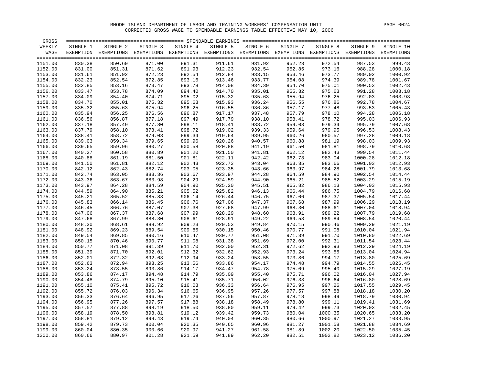| GROSS   |          |                                                                                                              |          |          |          |          |          |          |          |                    |
|---------|----------|--------------------------------------------------------------------------------------------------------------|----------|----------|----------|----------|----------|----------|----------|--------------------|
| WEEKLY  | SINGLE 1 | SINGLE 2                                                                                                     | SINGLE 3 | SINGLE 4 | SINGLE 5 | SINGLE 6 | SINGLE 7 | SINGLE 8 | SINGLE 9 | SINGLE 10          |
| WAGE    |          | EXEMPTION EXEMPTIONS EXEMPTIONS EXEMPTIONS EXEMPTIONS EXEMPTIONS EXEMPTIONS EXEMPTIONS EXEMPTIONS EXEMPTIONS |          |          |          |          |          |          |          |                    |
|         |          |                                                                                                              |          |          |          |          |          |          |          |                    |
| 1151.00 | 830.38   | 850.69                                                                                                       | 871.00   | 891.31   | 911.61   | 931.92   | 952.23   | 972.54   | 987.53   | 999.43             |
| 1152.00 | 831.00   | 851.31                                                                                                       | 871.62   | 891.93   | 912.23   | 932.54   | 952.85   | 973.16   | 988.28   | 1000.18            |
| 1153.00 | 831.61   | 851.92                                                                                                       | 872.23   | 892.54   | 912.84   | 933.15   | 953.46   | 973.77   | 989.02   | 1000.92            |
| 1154.00 | 832.23   | 852.54                                                                                                       | 872.85   | 893.16   | 913.46   | 933.77   | 954.08   | 974.39   | 989.78   | 1001.67            |
| 1155.00 | 832.85   | 853.16                                                                                                       | 873.47   | 893.78   | 914.08   | 934.39   | 954.70   | 975.01   | 990.53   | 1002.43            |
| 1156.00 | 833.47   | 853.78                                                                                                       | 874.09   | 894.40   | 914.70   | 935.01   | 955.32   | 975.63   | 991.28   | 1003.18            |
| 1157.00 | 834.09   | 854.40                                                                                                       | 874.71   | 895.02   | 915.32   | 935.63   | 955.94   | 976.25   | 992.03   | 1003.93            |
| 1158.00 | 834.70   | 855.01                                                                                                       | 875.32   | 895.63   | 915.93   | 936.24   | 956.55   | 976.86   | 992.78   | 1004.67            |
| 1159.00 | 835.32   | 855.63                                                                                                       | 875.94   | 896.25   | 916.55   | 936.86   | 957.17   | 977.48   | 993.53   | 1005.43            |
| 1160.00 | 835.94   | 856.25                                                                                                       | 876.56   | 896.87   | 917.17   | 937.48   | 957.79   | 978.10   | 994.28   | 1006.18            |
| 1161.00 | 836.56   | 856.87                                                                                                       | 877.18   | 897.49   | 917.79   | 938.10   | 958.41   | 978.72   | 995.03   | 1006.93            |
| 1162.00 | 837.18   | 857.49                                                                                                       | 877.80   | 898.11   | 918.41   | 938.72   | 959.03   | 979.34   | 995.79   | 1007.68            |
| 1163.00 | 837.79   | 858.10                                                                                                       | 878.41   | 898.72   | 919.02   | 939.33   | 959.64   | 979.95   | 996.53   | 1008.43            |
| 1164.00 | 838.41   | 858.72                                                                                                       | 879.03   | 899.34   | 919.64   | 939.95   | 960.26   | 980.57   | 997.28   | 1009.18            |
| 1165.00 | 839.03   | 859.34                                                                                                       | 879.65   | 899.96   | 920.26   | 940.57   | 960.88   | 981.19   | 998.03   | 1009.93            |
| 1166.00 | 839.65   | 859.96                                                                                                       | 880.27   | 900.58   | 920.88   | 941.19   | 961.50   | 981.81   | 998.79   | 1010.68            |
| 1167.00 | 840.27   | 860.58                                                                                                       | 880.89   | 901.20   | 921.50   | 941.81   | 962.12   | 982.43   | 999.54   | 1011.44            |
| 1168.00 | 840.88   | 861.19                                                                                                       | 881.50   | 901.81   | 922.11   | 942.42   | 962.73   | 983.04   | 1000.28  | 1012.18            |
| 1169.00 | 841.50   | 861.81                                                                                                       | 882.12   | 902.43   | 922.73   | 943.04   | 963.35   | 983.66   | 1001.03  | 1012.93            |
| 1170.00 | 842.12   | 862.43                                                                                                       | 882.74   | 903.05   | 923.35   | 943.66   | 963.97   | 984.28   | 1001.79  | 1013.68            |
| 1171.00 | 842.74   | 863.05                                                                                                       | 883.36   | 903.67   | 923.97   | 944.28   | 964.59   | 984.90   | 1002.54  | 1014.44            |
| 1172.00 | 843.36   | 863.67                                                                                                       | 883.98   | 904.29   | 924.59   | 944.90   | 965.21   | 985.52   | 1003.29  | 1015.19            |
| 1173.00 | 843.97   | 864.28                                                                                                       | 884.59   | 904.90   | 925.20   | 945.51   | 965.82   | 986.13   | 1004.03  | 1015.93            |
| 1174.00 | 844.59   | 864.90                                                                                                       | 885.21   | 905.52   | 925.82   | 946.13   | 966.44   | 986.75   | 1004.79  | 1016.68            |
|         |          |                                                                                                              |          |          |          |          |          | 987.37   |          |                    |
| 1175.00 | 845.21   | 865.52                                                                                                       | 885.83   | 906.14   | 926.44   | 946.75   | 967.06   |          | 1005.54  | 1017.44<br>1018.19 |
| 1176.00 | 845.83   | 866.14                                                                                                       | 886.45   | 906.76   | 927.06   | 947.37   | 967.68   | 987.99   | 1006.29  |                    |
| 1177.00 | 846.45   | 866.76                                                                                                       | 887.07   | 907.38   | 927.68   | 947.99   | 968.30   | 988.61   | 1007.04  | 1018.94            |
| 1178.00 | 847.06   | 867.37                                                                                                       | 887.68   | 907.99   | 928.29   | 948.60   | 968.91   | 989.22   | 1007.79  | 1019.68            |
| 1179.00 | 847.68   | 867.99                                                                                                       | 888.30   | 908.61   | 928.91   | 949.22   | 969.53   | 989.84   | 1008.54  | 1020.44<br>1021.19 |
| 1180.00 | 848.30   | 868.61                                                                                                       | 888.92   | 909.23   | 929.53   | 949.84   | 970.15   | 990.46   | 1009.29  |                    |
| 1181.00 | 848.92   | 869.23                                                                                                       | 889.54   | 909.85   | 930.15   | 950.46   | 970.77   | 991.08   | 1010.04  | 1021.94            |
| 1182.00 | 849.54   | 869.85                                                                                                       | 890.16   | 910.47   | 930.77   | 951.08   | 971.39   | 991.70   | 1010.80  | 1022.69            |
| 1183.00 | 850.15   | 870.46                                                                                                       | 890.77   | 911.08   | 931.38   | 951.69   | 972.00   | 992.31   | 1011.54  | 1023.44            |
| 1184.00 | 850.77   | 871.08                                                                                                       | 891.39   | 911.70   | 932.00   | 952.31   | 972.62   | 992.93   | 1012.29  | 1024.19            |
| 1185.00 | 851.39   | 871.70                                                                                                       | 892.01   | 912.32   | 932.62   | 952.93   | 973.24   | 993.55   | 1013.04  | 1024.94            |
| 1186.00 | 852.01   | 872.32                                                                                                       | 892.63   | 912.94   | 933.24   | 953.55   | 973.86   | 994.17   | 1013.80  | 1025.69            |
| 1187.00 | 852.63   | 872.94                                                                                                       | 893.25   | 913.56   | 933.86   | 954.17   | 974.48   | 994.79   | 1014.55  | 1026.45            |
| 1188.00 | 853.24   | 873.55                                                                                                       | 893.86   | 914.17   | 934.47   | 954.78   | 975.09   | 995.40   | 1015.29  | 1027.19            |
| 1189.00 | 853.86   | 874.17                                                                                                       | 894.48   | 914.79   | 935.09   | 955.40   | 975.71   | 996.02   | 1016.04  | 1027.94            |
| 1190.00 | 854.48   | 874.79                                                                                                       | 895.10   | 915.41   | 935.71   | 956.02   | 976.33   | 996.64   | 1016.80  | 1028.69            |
| 1191.00 | 855.10   | 875.41                                                                                                       | 895.72   | 916.03   | 936.33   | 956.64   | 976.95   | 997.26   | 1017.55  | 1029.45            |
| 1192.00 | 855.72   | 876.03                                                                                                       | 896.34   | 916.65   | 936.95   | 957.26   | 977.57   | 997.88   | 1018.18  | 1030.20            |
| 1193.00 | 856.33   | 876.64                                                                                                       | 896.95   | 917.26   | 937.56   | 957.87   | 978.18   | 998.49   | 1018.79  | 1030.94            |
| 1194.00 | 856.95   | 877.26                                                                                                       | 897.57   | 917.88   | 938.18   | 958.49   | 978.80   | 999.11   | 1019.41  | 1031.69            |
| 1195.00 | 857.57   | 877.88                                                                                                       | 898.19   | 918.50   | 938.80   | 959.11   | 979.42   | 999.73   | 1020.03  | 1032.45            |
| 1196.00 | 858.19   | 878.50                                                                                                       | 898.81   | 919.12   | 939.42   | 959.73   | 980.04   | 1000.35  | 1020.65  | 1033.20            |
| 1197.00 | 858.81   | 879.12                                                                                                       | 899.43   | 919.74   | 940.04   | 960.35   | 980.66   | 1000.97  | 1021.27  | 1033.95            |
| 1198.00 | 859.42   | 879.73                                                                                                       | 900.04   | 920.35   | 940.65   | 960.96   | 981.27   | 1001.58  | 1021.88  | 1034.69            |
| 1199.00 | 860.04   | 880.35                                                                                                       | 900.66   | 920.97   | 941.27   | 961.58   | 981.89   | 1002.20  | 1022.50  | 1035.45            |
| 1200.00 | 860.66   | 880.97                                                                                                       | 901.28   | 921.59   | 941.89   | 962.20   | 982.51   | 1002.82  | 1023.12  | 1036.20            |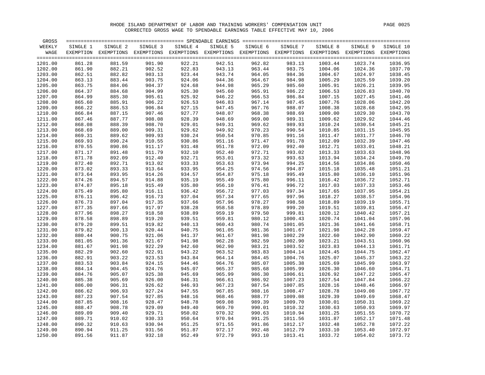| GROSS   |          |                                                                                                              |          |          |          |          |          |          |          |           |
|---------|----------|--------------------------------------------------------------------------------------------------------------|----------|----------|----------|----------|----------|----------|----------|-----------|
| WEEKLY  | SINGLE 1 | SINGLE 2                                                                                                     | SINGLE 3 | SINGLE 4 | SINGLE 5 | SINGLE 6 | SINGLE 7 | SINGLE 8 | SINGLE 9 | SINGLE 10 |
| WAGE    |          | EXEMPTION EXEMPTIONS EXEMPTIONS EXEMPTIONS EXEMPTIONS EXEMPTIONS EXEMPTIONS EXEMPTIONS EXEMPTIONS EXEMPTIONS |          |          |          |          |          |          |          |           |
|         |          |                                                                                                              |          |          |          |          |          |          |          |           |
| 1201.00 | 861.28   | 881.59                                                                                                       | 901.90   | 922.21   | 942.51   | 962.82   | 983.13   | 1003.44  | 1023.74  | 1036.95   |
| 1202.00 | 861.90   | 882.21                                                                                                       | 902.52   | 922.83   | 943.13   | 963.44   | 983.75   | 1004.06  | 1024.36  | 1037.70   |
| 1203.00 | 862.51   | 882.82                                                                                                       | 903.13   | 923.44   | 943.74   | 964.05   | 984.36   | 1004.67  | 1024.97  | 1038.45   |
| 1204.00 | 863.13   | 883.44                                                                                                       | 903.75   | 924.06   | 944.36   | 964.67   | 984.98   | 1005.29  | 1025.59  | 1039.20   |
| 1205.00 | 863.75   | 884.06                                                                                                       | 904.37   | 924.68   | 944.98   | 965.29   | 985.60   | 1005.91  | 1026.21  | 1039.95   |
| 1206.00 | 864.37   | 884.68                                                                                                       | 904.99   | 925.30   | 945.60   | 965.91   | 986.22   | 1006.53  | 1026.83  | 1040.70   |
| 1207.00 | 864.99   | 885.30                                                                                                       | 905.61   | 925.92   | 946.22   | 966.53   | 986.84   | 1007.15  | 1027.45  | 1041.46   |
| 1208.00 | 865.60   | 885.91                                                                                                       | 906.22   | 926.53   | 946.83   | 967.14   | 987.45   | 1007.76  | 1028.06  | 1042.20   |
| 1209.00 | 866.22   | 886.53                                                                                                       | 906.84   | 927.15   | 947.45   | 967.76   | 988.07   | 1008.38  | 1028.68  | 1042.95   |
| 1210.00 | 866.84   | 887.15                                                                                                       | 907.46   | 927.77   | 948.07   | 968.38   | 988.69   | 1009.00  | 1029.30  | 1043.70   |
| 1211.00 | 867.46   | 887.77                                                                                                       | 908.08   | 928.39   | 948.69   | 969.00   | 989.31   | 1009.62  | 1029.92  | 1044.46   |
| 1212.00 | 868.08   | 888.39                                                                                                       | 908.70   | 929.01   | 949.31   | 969.62   | 989.93   | 1010.24  | 1030.54  | 1045.21   |
| 1213.00 | 868.69   | 889.00                                                                                                       | 909.31   | 929.62   | 949.92   | 970.23   | 990.54   | 1010.85  | 1031.15  | 1045.95   |
| 1214.00 | 869.31   | 889.62                                                                                                       | 909.93   | 930.24   | 950.54   | 970.85   | 991.16   | 1011.47  | 1031.77  | 1046.70   |
| 1215.00 | 869.93   | 890.24                                                                                                       | 910.55   | 930.86   | 951.16   | 971.47   | 991.78   | 1012.09  | 1032.39  | 1047.46   |
| 1216.00 | 870.55   | 890.86                                                                                                       | 911.17   | 931.48   | 951.78   | 972.09   | 992.40   | 1012.71  | 1033.01  | 1048.21   |
| 1217.00 | 871.17   | 891.48                                                                                                       | 911.79   | 932.10   | 952.40   | 972.71   | 993.02   | 1013.33  | 1033.63  | 1048.96   |
| 1218.00 | 871.78   | 892.09                                                                                                       | 912.40   | 932.71   | 953.01   | 973.32   | 993.63   | 1013.94  | 1034.24  | 1049.70   |
|         | 872.40   |                                                                                                              |          | 933.33   |          | 973.94   |          |          |          | 1050.46   |
| 1219.00 |          | 892.71                                                                                                       | 913.02   |          | 953.63   |          | 994.25   | 1014.56  | 1034.86  |           |
| 1220.00 | 873.02   | 893.33                                                                                                       | 913.64   | 933.95   | 954.25   | 974.56   | 994.87   | 1015.18  | 1035.48  | 1051.21   |
| 1221.00 | 873.64   | 893.95                                                                                                       | 914.26   | 934.57   | 954.87   | 975.18   | 995.49   | 1015.80  | 1036.10  | 1051.96   |
| 1222.00 | 874.26   | 894.57                                                                                                       | 914.88   | 935.19   | 955.49   | 975.80   | 996.11   | 1016.42  | 1036.72  | 1052.71   |
| 1223.00 | 874.87   | 895.18                                                                                                       | 915.49   | 935.80   | 956.10   | 976.41   | 996.72   | 1017.03  | 1037.33  | 1053.46   |
| 1224.00 | 875.49   | 895.80                                                                                                       | 916.11   | 936.42   | 956.72   | 977.03   | 997.34   | 1017.65  | 1037.95  | 1054.21   |
| 1225.00 | 876.11   | 896.42                                                                                                       | 916.73   | 937.04   | 957.34   | 977.65   | 997.96   | 1018.27  | 1038.57  | 1054.96   |
| 1226.00 | 876.73   | 897.04                                                                                                       | 917.35   | 937.66   | 957.96   | 978.27   | 998.58   | 1018.89  | 1039.19  | 1055.71   |
| 1227.00 | 877.35   | 897.66                                                                                                       | 917.97   | 938.28   | 958.58   | 978.89   | 999.20   | 1019.51  | 1039.81  | 1056.47   |
| 1228.00 | 877.96   | 898.27                                                                                                       | 918.58   | 938.89   | 959.19   | 979.50   | 999.81   | 1020.12  | 1040.42  | 1057.21   |
| 1229.00 | 878.58   | 898.89                                                                                                       | 919.20   | 939.51   | 959.81   | 980.12   | 1000.43  | 1020.74  | 1041.04  | 1057.96   |
| 1230.00 | 879.20   | 899.51                                                                                                       | 919.82   | 940.13   | 960.43   | 980.74   | 1001.05  | 1021.36  | 1041.66  | 1058.71   |
| 1231.00 | 879.82   | 900.13                                                                                                       | 920.44   | 940.75   | 961.05   | 981.36   | 1001.67  | 1021.98  | 1042.28  | 1059.47   |
| 1232.00 | 880.44   | 900.75                                                                                                       | 921.06   | 941.37   | 961.67   | 981.98   | 1002.29  | 1022.60  | 1042.90  | 1060.22   |
| 1233.00 | 881.05   | 901.36                                                                                                       | 921.67   | 941.98   | 962.28   | 982.59   | 1002.90  | 1023.21  | 1043.51  | 1060.96   |
| 1234.00 | 881.67   | 901.98                                                                                                       | 922.29   | 942.60   | 962.90   | 983.21   | 1003.52  | 1023.83  | 1044.13  | 1061.71   |
| 1235.00 | 882.29   | 902.60                                                                                                       | 922.91   | 943.22   | 963.52   | 983.83   | 1004.14  | 1024.45  | 1044.75  | 1062.47   |
| 1236.00 | 882.91   | 903.22                                                                                                       | 923.53   | 943.84   | 964.14   | 984.45   | 1004.76  | 1025.07  | 1045.37  | 1063.22   |
| 1237.00 | 883.53   | 903.84                                                                                                       | 924.15   | 944.46   | 964.76   | 985.07   | 1005.38  | 1025.69  | 1045.99  | 1063.97   |
| 1238.00 | 884.14   | 904.45                                                                                                       | 924.76   | 945.07   | 965.37   | 985.68   | 1005.99  | 1026.30  | 1046.60  | 1064.71   |
| 1239.00 | 884.76   | 905.07                                                                                                       | 925.38   | 945.69   | 965.99   | 986.30   | 1006.61  | 1026.92  | 1047.22  | 1065.47   |
| 1240.00 | 885.38   | 905.69                                                                                                       | 926.00   | 946.31   | 966.61   | 986.92   | 1007.23  | 1027.54  | 1047.84  | 1066.22   |
| 1241.00 | 886.00   | 906.31                                                                                                       | 926.62   | 946.93   | 967.23   | 987.54   | 1007.85  | 1028.16  | 1048.46  | 1066.97   |
| 1242.00 | 886.62   | 906.93                                                                                                       | 927.24   | 947.55   | 967.85   | 988.16   | 1008.47  | 1028.78  | 1049.08  | 1067.72   |
| 1243.00 | 887.23   | 907.54                                                                                                       | 927.85   | 948.16   | 968.46   | 988.77   | 1009.08  | 1029.39  | 1049.69  | 1068.47   |
| 1244.00 | 887.85   | 908.16                                                                                                       | 928.47   | 948.78   | 969.08   | 989.39   | 1009.70  | 1030.01  | 1050.31  | 1069.22   |
| 1245.00 | 888.47   | 908.78                                                                                                       | 929.09   | 949.40   | 969.70   | 990.01   | 1010.32  | 1030.63  | 1050.93  | 1069.97   |
| 1246.00 | 889.09   | 909.40                                                                                                       | 929.71   | 950.02   | 970.32   | 990.63   | 1010.94  | 1031.25  | 1051.55  | 1070.72   |
| 1247.00 | 889.71   | 910.02                                                                                                       | 930.33   | 950.64   | 970.94   | 991.25   | 1011.56  | 1031.87  | 1052.17  | 1071.48   |
| 1248.00 | 890.32   | 910.63                                                                                                       | 930.94   | 951.25   | 971.55   | 991.86   | 1012.17  | 1032.48  | 1052.78  | 1072.22   |
| 1249.00 | 890.94   | 911.25                                                                                                       | 931.56   | 951.87   | 972.17   | 992.48   | 1012.79  | 1033.10  | 1053.40  | 1072.97   |
| 1250.00 | 891.56   | 911.87                                                                                                       | 932.18   | 952.49   | 972.79   | 993.10   | 1013.41  | 1033.72  | 1054.02  | 1073.72   |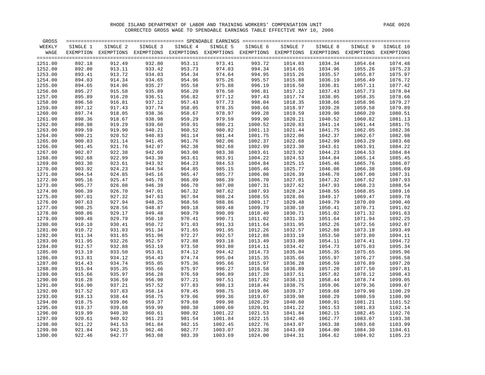| GROSS   |          |          |          |          |          |                                                                                                              |          |          |          |           |
|---------|----------|----------|----------|----------|----------|--------------------------------------------------------------------------------------------------------------|----------|----------|----------|-----------|
| WEEKLY  | SINGLE 1 | SINGLE 2 | SINGLE 3 | SINGLE 4 | SINGLE 5 | SINGLE 6                                                                                                     | SINGLE 7 | SINGLE 8 | SINGLE 9 | SINGLE 10 |
| WAGE    |          |          |          |          |          | EXEMPTION EXEMPTIONS EXEMPTIONS EXEMPTIONS EXEMPTIONS EXEMPTIONS EXEMPTIONS EXEMPTIONS EXEMPTIONS EXEMPTIONS |          |          |          |           |
|         |          |          |          |          |          |                                                                                                              |          |          |          |           |
| 1251.00 | 892.18   | 912.49   | 932.80   | 953.11   | 973.41   | 993.72                                                                                                       | 1014.03  | 1034.34  | 1054.64  | 1074.48   |
| 1252.00 | 892.80   | 913.11   | 933.42   | 953.73   | 974.03   | 994.34                                                                                                       | 1014.65  | 1034.96  | 1055.26  | 1075.23   |
| 1253.00 | 893.41   | 913.72   | 934.03   | 954.34   | 974.64   | 994.95                                                                                                       | 1015.26  | 1035.57  | 1055.87  | 1075.97   |
| 1254.00 | 894.03   | 914.34   | 934.65   | 954.96   | 975.26   | 995.57                                                                                                       | 1015.88  | 1036.19  | 1056.49  | 1076.72   |
| 1255.00 | 894.65   | 914.96   | 935.27   | 955.58   | 975.88   | 996.19                                                                                                       | 1016.50  | 1036.81  | 1057.11  | 1077.42   |
| 1256.00 | 895.27   | 915.58   | 935.89   | 956.20   | 976.50   | 996.81                                                                                                       | 1017.12  | 1037.43  | 1057.73  | 1078.04   |
| 1257.00 | 895.89   | 916.20   | 936.51   | 956.82   | 977.12   | 997.43                                                                                                       | 1017.74  | 1038.05  | 1058.35  | 1078.66   |
| 1258.00 | 896.50   | 916.81   | 937.12   | 957.43   | 977.73   | 998.04                                                                                                       | 1018.35  | 1038.66  | 1058.96  | 1079.27   |
| 1259.00 | 897.12   | 917.43   | 937.74   | 958.05   | 978.35   | 998.66                                                                                                       | 1018.97  | 1039.28  | 1059.58  | 1079.89   |
| 1260.00 | 897.74   | 918.05   | 938.36   | 958.67   | 978.97   | 999.28                                                                                                       | 1019.59  | 1039.90  | 1060.20  | 1080.51   |
| 1261.00 | 898.36   | 918.67   | 938.98   | 959.29   | 979.59   | 999.90                                                                                                       | 1020.21  | 1040.52  | 1060.82  | 1081.13   |
| 1262.00 | 898.98   | 919.29   | 939.60   | 959.91   | 980.21   | 1000.52                                                                                                      | 1020.83  | 1041.14  | 1061.44  | 1081.75   |
| 1263.00 | 899.59   | 919.90   | 940.21   | 960.52   | 980.82   | 1001.13                                                                                                      | 1021.44  | 1041.75  | 1062.05  | 1082.36   |
| 1264.00 | 900.21   | 920.52   | 940.83   | 961.14   | 981.44   | 1001.75                                                                                                      | 1022.06  | 1042.37  | 1062.67  | 1082.98   |
| 1265.00 | 900.83   | 921.14   | 941.45   | 961.76   | 982.06   | 1002.37                                                                                                      | 1022.68  | 1042.99  | 1063.29  | 1083.60   |
| 1266.00 | 901.45   | 921.76   | 942.07   | 962.38   | 982.68   | 1002.99                                                                                                      | 1023.30  | 1043.61  | 1063.91  | 1084.22   |
| 1267.00 | 902.07   | 922.38   | 942.69   | 963.00   | 983.30   | 1003.61                                                                                                      | 1023.92  | 1044.23  | 1064.53  | 1084.84   |
| 1268.00 | 902.68   | 922.99   | 943.30   | 963.61   | 983.91   | 1004.22                                                                                                      | 1024.53  | 1044.84  | 1065.14  | 1085.45   |
| 1269.00 | 903.30   | 923.61   | 943.92   | 964.23   | 984.53   | 1004.84                                                                                                      | 1025.15  | 1045.46  | 1065.76  | 1086.07   |
| 1270.00 | 903.92   | 924.23   | 944.54   | 964.85   | 985.15   | 1005.46                                                                                                      | 1025.77  | 1046.08  | 1066.38  | 1086.69   |
| 1271.00 | 904.54   | 924.85   | 945.16   | 965.47   | 985.77   | 1006.08                                                                                                      | 1026.39  | 1046.70  | 1067.00  | 1087.31   |
| 1272.00 | 905.16   | 925.47   | 945.78   | 966.09   | 986.39   | 1006.70                                                                                                      | 1027.01  | 1047.32  | 1067.62  | 1087.93   |
| 1273.00 | 905.77   | 926.08   | 946.39   | 966.70   | 987.00   | 1007.31                                                                                                      | 1027.62  | 1047.93  | 1068.23  | 1088.54   |
| 1274.00 | 906.39   | 926.70   | 947.01   | 967.32   | 987.62   | 1007.93                                                                                                      | 1028.24  | 1048.55  | 1068.85  | 1089.16   |
| 1275.00 | 907.01   | 927.32   | 947.63   | 967.94   | 988.24   | 1008.55                                                                                                      | 1028.86  | 1049.17  | 1069.47  | 1089.78   |
| 1276.00 | 907.63   | 927.94   | 948.25   | 968.56   | 988.86   | 1009.17                                                                                                      | 1029.48  | 1049.79  | 1070.09  | 1090.40   |
| 1277.00 | 908.25   | 928.56   | 948.87   | 969.18   | 989.48   | 1009.79                                                                                                      | 1030.10  | 1050.41  | 1070.71  | 1091.02   |
| 1278.00 | 908.86   | 929.17   | 949.48   | 969.79   | 990.09   | 1010.40                                                                                                      | 1030.71  | 1051.02  | 1071.32  | 1091.63   |
| 1279.00 | 909.48   | 929.79   | 950.10   | 970.41   | 990.71   | 1011.02                                                                                                      | 1031.33  | 1051.64  | 1071.94  | 1092.25   |
| 1280.00 | 910.10   | 930.41   | 950.72   | 971.03   | 991.33   | 1011.64                                                                                                      | 1031.95  | 1052.26  | 1072.56  | 1092.87   |
| 1281.00 | 910.72   | 931.03   | 951.34   | 971.65   | 991.95   | 1012.26                                                                                                      | 1032.57  | 1052.88  | 1073.18  | 1093.49   |
| 1282.00 | 911.34   | 931.65   | 951.96   | 972.27   | 992.57   | 1012.88                                                                                                      | 1033.19  | 1053.50  | 1073.80  | 1094.11   |
| 1283.00 | 911.95   | 932.26   | 952.57   | 972.88   | 993.18   | 1013.49                                                                                                      | 1033.80  | 1054.11  | 1074.41  | 1094.72   |
| 1284.00 | 912.57   | 932.88   | 953.19   | 973.50   | 993.80   | 1014.11                                                                                                      | 1034.42  | 1054.73  | 1075.03  | 1095.34   |
| 1285.00 | 913.19   | 933.50   | 953.81   | 974.12   | 994.42   | 1014.73                                                                                                      | 1035.04  | 1055.35  | 1075.65  | 1095.96   |
| 1286.00 | 913.81   | 934.12   | 954.43   | 974.74   | 995.04   | 1015.35                                                                                                      | 1035.66  | 1055.97  | 1076.27  | 1096.58   |
| 1287.00 | 914.43   | 934.74   | 955.05   | 975.36   | 995.66   | 1015.97                                                                                                      | 1036.28  | 1056.59  | 1076.89  | 1097.20   |
| 1288.00 | 915.04   | 935.35   | 955.66   | 975.97   | 996.27   | 1016.58                                                                                                      | 1036.89  | 1057.20  | 1077.50  | 1097.81   |
| 1289.00 | 915.66   | 935.97   | 956.28   | 976.59   | 996.89   | 1017.20                                                                                                      | 1037.51  | 1057.82  | 1078.12  | 1098.43   |
| 1290.00 | 916.28   | 936.59   | 956.90   | 977.21   | 997.51   | 1017.82                                                                                                      | 1038.13  | 1058.44  | 1078.74  | 1099.05   |
| 1291.00 | 916.90   | 937.21   | 957.52   | 977.83   | 998.13   | 1018.44                                                                                                      | 1038.75  | 1059.06  | 1079.36  | 1099.67   |
| 1292.00 | 917.52   | 937.83   | 958.14   | 978.45   | 998.75   | 1019.06                                                                                                      | 1039.37  | 1059.68  | 1079.98  | 1100.29   |
| 1293.00 | 918.13   | 938.44   | 958.75   | 979.06   | 999.36   | 1019.67                                                                                                      | 1039.98  | 1060.29  | 1080.59  | 1100.90   |
| 1294.00 | 918.75   | 939.06   | 959.37   | 979.68   | 999.98   | 1020.29                                                                                                      | 1040.60  | 1060.91  | 1081.21  | 1101.52   |
| 1295.00 | 919.37   | 939.68   | 959.99   | 980.30   | 1000.60  | 1020.91                                                                                                      | 1041.22  | 1061.53  | 1081.83  | 1102.14   |
| 1296.00 | 919.99   | 940.30   | 960.61   | 980.92   | 1001.22  | 1021.53                                                                                                      | 1041.84  | 1062.15  | 1082.45  | 1102.76   |
| 1297.00 | 920.61   | 940.92   | 961.23   | 981.54   | 1001.84  | 1022.15                                                                                                      | 1042.46  | 1062.77  | 1083.07  | 1103.38   |
| 1298.00 | 921.22   | 941.53   | 961.84   | 982.15   | 1002.45  | 1022.76                                                                                                      | 1043.07  | 1063.38  | 1083.68  | 1103.99   |
| 1299.00 | 921.84   | 942.15   | 962.46   | 982.77   | 1003.07  | 1023.38                                                                                                      | 1043.69  | 1064.00  | 1084.30  | 1104.61   |
| 1300.00 | 922.46   | 942.77   | 963.08   | 983.39   | 1003.69  | 1024.00                                                                                                      | 1044.31  | 1064.62  | 1084.92  | 1105.23   |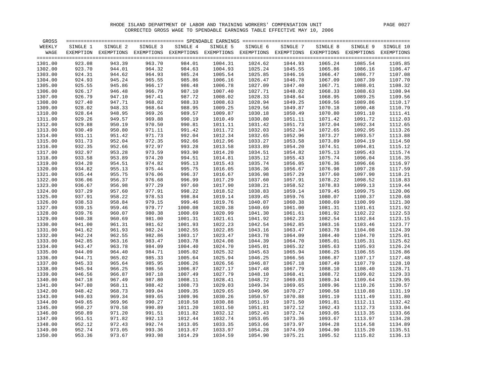| GROSS   |          |          |          |          |          |                                                                                                              |          |          |          |           |
|---------|----------|----------|----------|----------|----------|--------------------------------------------------------------------------------------------------------------|----------|----------|----------|-----------|
| WEEKLY  | SINGLE 1 | SINGLE 2 | SINGLE 3 | SINGLE 4 | SINGLE 5 | SINGLE 6                                                                                                     | SINGLE 7 | SINGLE 8 | SINGLE 9 | SINGLE 10 |
| WAGE    |          |          |          |          |          | EXEMPTION EXEMPTIONS EXEMPTIONS EXEMPTIONS EXEMPTIONS EXEMPTIONS EXEMPTIONS EXEMPTIONS EXEMPTIONS EXEMPTIONS |          |          |          |           |
|         |          |          |          |          |          |                                                                                                              |          |          |          |           |
| 1301.00 | 923.08   | 943.39   | 963.70   | 984.01   | 1004.31  | 1024.62                                                                                                      | 1044.93  | 1065.24  | 1085.54  | 1105.85   |
| 1302.00 | 923.70   | 944.01   | 964.32   | 984.63   | 1004.93  | 1025.24                                                                                                      | 1045.55  | 1065.86  | 1086.16  | 1106.47   |
| 1303.00 | 924.31   | 944.62   | 964.93   | 985.24   | 1005.54  | 1025.85                                                                                                      | 1046.16  | 1066.47  | 1086.77  | 1107.08   |
|         |          |          |          |          |          |                                                                                                              |          |          |          |           |
| 1304.00 | 924.93   | 945.24   | 965.55   | 985.86   | 1006.16  | 1026.47                                                                                                      | 1046.78  | 1067.09  | 1087.39  | 1107.70   |
| 1305.00 | 925.55   | 945.86   | 966.17   | 986.48   | 1006.78  | 1027.09                                                                                                      | 1047.40  | 1067.71  | 1088.01  | 1108.32   |
| 1306.00 | 926.17   | 946.48   | 966.79   | 987.10   | 1007.40  | 1027.71                                                                                                      | 1048.02  | 1068.33  | 1088.63  | 1108.94   |
| 1307.00 | 926.79   | 947.10   | 967.41   | 987.72   | 1008.02  | 1028.33                                                                                                      | 1048.64  | 1068.95  | 1089.25  | 1109.56   |
| 1308.00 | 927.40   | 947.71   | 968.02   | 988.33   | 1008.63  | 1028.94                                                                                                      | 1049.25  | 1069.56  | 1089.86  | 1110.17   |
| 1309.00 | 928.02   | 948.33   | 968.64   | 988.95   | 1009.25  | 1029.56                                                                                                      | 1049.87  | 1070.18  | 1090.48  | 1110.79   |
| 1310.00 | 928.64   | 948.95   | 969.26   | 989.57   | 1009.87  | 1030.18                                                                                                      | 1050.49  | 1070.80  | 1091.10  | 1111.41   |
| 1311.00 | 929.26   | 949.57   | 969.88   | 990.19   | 1010.49  | 1030.80                                                                                                      | 1051.11  | 1071.42  | 1091.72  | 1112.03   |
| 1312.00 | 929.88   | 950.19   | 970.50   | 990.81   | 1011.11  | 1031.42                                                                                                      | 1051.73  | 1072.04  | 1092.34  | 1112.65   |
| 1313.00 | 930.49   | 950.80   | 971.11   | 991.42   | 1011.72  | 1032.03                                                                                                      | 1052.34  | 1072.65  | 1092.95  | 1113.26   |
| 1314.00 | 931.11   | 951.42   | 971.73   | 992.04   | 1012.34  | 1032.65                                                                                                      | 1052.96  | 1073.27  | 1093.57  | 1113.88   |
| 1315.00 | 931.73   | 952.04   | 972.35   | 992.66   | 1012.96  | 1033.27                                                                                                      | 1053.58  | 1073.89  | 1094.19  | 1114.50   |
| 1316.00 | 932.35   | 952.66   | 972.97   | 993.28   | 1013.58  | 1033.89                                                                                                      | 1054.20  | 1074.51  | 1094.81  | 1115.12   |
| 1317.00 | 932.97   | 953.28   | 973.59   | 993.90   | 1014.20  | 1034.51                                                                                                      | 1054.82  | 1075.13  | 1095.43  | 1115.74   |
|         |          |          |          |          |          |                                                                                                              |          |          |          | 1116.35   |
| 1318.00 | 933.58   | 953.89   | 974.20   | 994.51   | 1014.81  | 1035.12                                                                                                      | 1055.43  | 1075.74  | 1096.04  |           |
| 1319.00 | 934.20   | 954.51   | 974.82   | 995.13   | 1015.43  | 1035.74                                                                                                      | 1056.05  | 1076.36  | 1096.66  | 1116.97   |
| 1320.00 | 934.82   | 955.13   | 975.44   | 995.75   | 1016.05  | 1036.36                                                                                                      | 1056.67  | 1076.98  | 1097.28  | 1117.59   |
| 1321.00 | 935.44   | 955.75   | 976.06   | 996.37   | 1016.67  | 1036.98                                                                                                      | 1057.29  | 1077.60  | 1097.90  | 1118.21   |
| 1322.00 | 936.06   | 956.37   | 976.68   | 996.99   | 1017.29  | 1037.60                                                                                                      | 1057.91  | 1078.22  | 1098.52  | 1118.83   |
| 1323.00 | 936.67   | 956.98   | 977.29   | 997.60   | 1017.90  | 1038.21                                                                                                      | 1058.52  | 1078.83  | 1099.13  | 1119.44   |
| 1324.00 | 937.29   | 957.60   | 977.91   | 998.22   | 1018.52  | 1038.83                                                                                                      | 1059.14  | 1079.45  | 1099.75  | 1120.06   |
| 1325.00 | 937.91   | 958.22   | 978.53   | 998.84   | 1019.14  | 1039.45                                                                                                      | 1059.76  | 1080.07  | 1100.37  | 1120.68   |
| 1326.00 | 938.53   | 958.84   | 979.15   | 999.46   | 1019.76  | 1040.07                                                                                                      | 1060.38  | 1080.69  | 1100.99  | 1121.30   |
| 1327.00 | 939.15   | 959.46   | 979.77   | 1000.08  | 1020.38  | 1040.69                                                                                                      | 1061.00  | 1081.31  | 1101.61  | 1121.92   |
| 1328.00 | 939.76   | 960.07   | 980.38   | 1000.69  | 1020.99  | 1041.30                                                                                                      | 1061.61  | 1081.92  | 1102.22  | 1122.53   |
| 1329.00 | 940.38   | 960.69   | 981.00   | 1001.31  | 1021.61  | 1041.92                                                                                                      | 1062.23  | 1082.54  | 1102.84  | 1123.15   |
| 1330.00 | 941.00   | 961.31   | 981.62   | 1001.93  | 1022.23  | 1042.54                                                                                                      | 1062.85  | 1083.16  | 1103.46  | 1123.77   |
| 1331.00 | 941.62   | 961.93   | 982.24   | 1002.55  | 1022.85  | 1043.16                                                                                                      | 1063.47  | 1083.78  | 1104.08  | 1124.39   |
| 1332.00 | 942.24   | 962.55   | 982.86   | 1003.17  | 1023.47  | 1043.78                                                                                                      | 1064.09  | 1084.40  | 1104.70  | 1125.01   |
| 1333.00 | 942.85   | 963.16   | 983.47   | 1003.78  | 1024.08  | 1044.39                                                                                                      | 1064.70  | 1085.01  | 1105.31  | 1125.62   |
| 1334.00 | 943.47   | 963.78   | 984.09   | 1004.40  | 1024.70  | 1045.01                                                                                                      | 1065.32  | 1085.63  | 1105.93  | 1126.24   |
| 1335.00 | 944.09   |          | 984.71   | 1005.02  | 1025.32  | 1045.63                                                                                                      | 1065.94  | 1086.25  | 1106.55  | 1126.86   |
|         |          | 964.40   |          |          |          |                                                                                                              |          |          |          | 1127.48   |
| 1336.00 | 944.71   | 965.02   | 985.33   | 1005.64  | 1025.94  | 1046.25                                                                                                      | 1066.56  | 1086.87  | 1107.17  |           |
| 1337.00 | 945.33   | 965.64   | 985.95   | 1006.26  | 1026.56  | 1046.87                                                                                                      | 1067.18  | 1087.49  | 1107.79  | 1128.10   |
| 1338.00 | 945.94   | 966.25   | 986.56   | 1006.87  | 1027.17  | 1047.48                                                                                                      | 1067.79  | 1088.10  | 1108.40  | 1128.71   |
| 1339.00 | 946.56   | 966.87   | 987.18   | 1007.49  | 1027.79  | 1048.10                                                                                                      | 1068.41  | 1088.72  | 1109.02  | 1129.33   |
| 1340.00 | 947.18   | 967.49   | 987.80   | 1008.11  | 1028.41  | 1048.72                                                                                                      | 1069.03  | 1089.34  | 1109.64  | 1129.95   |
| 1341.00 | 947.80   | 968.11   | 988.42   | 1008.73  | 1029.03  | 1049.34                                                                                                      | 1069.65  | 1089.96  | 1110.26  | 1130.57   |
| 1342.00 | 948.42   | 968.73   | 989.04   | 1009.35  | 1029.65  | 1049.96                                                                                                      | 1070.27  | 1090.58  | 1110.88  | 1131.19   |
| 1343.00 | 949.03   | 969.34   | 989.65   | 1009.96  | 1030.26  | 1050.57                                                                                                      | 1070.88  | 1091.19  | 1111.49  | 1131.80   |
| 1344.00 | 949.65   | 969.96   | 990.27   | 1010.58  | 1030.88  | 1051.19                                                                                                      | 1071.50  | 1091.81  | 1112.11  | 1132.42   |
| 1345.00 | 950.27   | 970.58   | 990.89   | 1011.20  | 1031.50  | 1051.81                                                                                                      | 1072.12  | 1092.43  | 1112.73  | 1133.04   |
| 1346.00 | 950.89   | 971.20   | 991.51   | 1011.82  | 1032.12  | 1052.43                                                                                                      | 1072.74  | 1093.05  | 1113.35  | 1133.66   |
| 1347.00 | 951.51   | 971.82   | 992.13   | 1012.44  | 1032.74  | 1053.05                                                                                                      | 1073.36  | 1093.67  | 1113.97  | 1134.28   |
| 1348.00 | 952.12   | 972.43   | 992.74   | 1013.05  | 1033.35  | 1053.66                                                                                                      | 1073.97  | 1094.28  | 1114.58  | 1134.89   |
| 1349.00 | 952.74   | 973.05   | 993.36   | 1013.67  | 1033.97  | 1054.28                                                                                                      | 1074.59  | 1094.90  | 1115.20  | 1135.51   |
| 1350.00 | 953.36   | 973.67   | 993.98   | 1014.29  | 1034.59  | 1054.90                                                                                                      | 1075.21  | 1095.52  | 1115.82  | 1136.13   |
|         |          |          |          |          |          |                                                                                                              |          |          |          |           |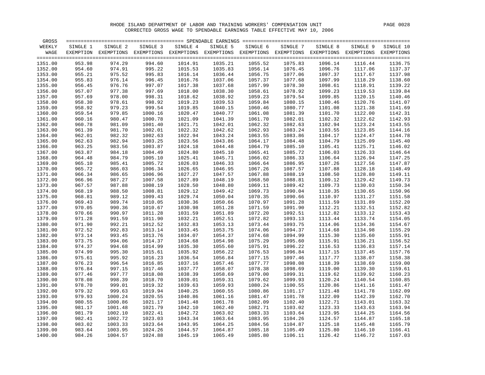| GROSS   |          |                                                                                                              |          |          |          |          |          |          |          |           |
|---------|----------|--------------------------------------------------------------------------------------------------------------|----------|----------|----------|----------|----------|----------|----------|-----------|
| WEEKLY  | SINGLE 1 | SINGLE 2                                                                                                     | SINGLE 3 | SINGLE 4 | SINGLE 5 | SINGLE 6 | SINGLE 7 | SINGLE 8 | SINGLE 9 | SINGLE 10 |
| WAGE    |          | EXEMPTION EXEMPTIONS EXEMPTIONS EXEMPTIONS EXEMPTIONS EXEMPTIONS EXEMPTIONS EXEMPTIONS EXEMPTIONS EXEMPTIONS |          |          |          |          |          |          |          |           |
|         |          |                                                                                                              |          |          |          |          |          |          |          |           |
| 1351.00 | 953.98   | 974.29                                                                                                       | 994.60   | 1014.91  | 1035.21  | 1055.52  | 1075.83  | 1096.14  | 1116.44  | 1136.75   |
| 1352.00 | 954.60   | 974.91                                                                                                       | 995.22   | 1015.53  | 1035.83  | 1056.14  | 1076.45  | 1096.76  | 1117.06  | 1137.37   |
| 1353.00 | 955.21   | 975.52                                                                                                       | 995.83   | 1016.14  | 1036.44  | 1056.75  | 1077.06  | 1097.37  | 1117.67  | 1137.98   |
|         |          |                                                                                                              |          |          |          |          |          |          |          |           |
| 1354.00 | 955.83   | 976.14                                                                                                       | 996.45   | 1016.76  | 1037.06  | 1057.37  | 1077.68  | 1097.99  | 1118.29  | 1138.60   |
| 1355.00 | 956.45   | 976.76                                                                                                       | 997.07   | 1017.38  | 1037.68  | 1057.99  | 1078.30  | 1098.61  | 1118.91  | 1139.22   |
| 1356.00 | 957.07   | 977.38                                                                                                       | 997.69   | 1018.00  | 1038.30  | 1058.61  | 1078.92  | 1099.23  | 1119.53  | 1139.84   |
| 1357.00 | 957.69   | 978.00                                                                                                       | 998.31   | 1018.62  | 1038.92  | 1059.23  | 1079.54  | 1099.85  | 1120.15  | 1140.46   |
| 1358.00 | 958.30   | 978.61                                                                                                       | 998.92   | 1019.23  | 1039.53  | 1059.84  | 1080.15  | 1100.46  | 1120.76  | 1141.07   |
| 1359.00 | 958.92   | 979.23                                                                                                       | 999.54   | 1019.85  | 1040.15  | 1060.46  | 1080.77  | 1101.08  | 1121.38  | 1141.69   |
| 1360.00 | 959.54   | 979.85                                                                                                       | 1000.16  | 1020.47  | 1040.77  | 1061.08  | 1081.39  | 1101.70  | 1122.00  | 1142.31   |
| 1361.00 | 960.16   | 980.47                                                                                                       | 1000.78  | 1021.09  | 1041.39  | 1061.70  | 1082.01  | 1102.32  | 1122.62  | 1142.93   |
| 1362.00 | 960.78   | 981.09                                                                                                       | 1001.40  | 1021.71  | 1042.01  | 1062.32  | 1082.63  | 1102.94  | 1123.24  | 1143.55   |
| 1363.00 | 961.39   | 981.70                                                                                                       | 1002.01  | 1022.32  | 1042.62  | 1062.93  | 1083.24  | 1103.55  | 1123.85  | 1144.16   |
| 1364.00 | 962.01   | 982.32                                                                                                       | 1002.63  | 1022.94  | 1043.24  | 1063.55  | 1083.86  | 1104.17  | 1124.47  | 1144.78   |
| 1365.00 | 962.63   | 982.94                                                                                                       | 1003.25  | 1023.56  | 1043.86  | 1064.17  | 1084.48  | 1104.79  | 1125.09  | 1145.40   |
| 1366.00 | 963.25   | 983.56                                                                                                       | 1003.87  | 1024.18  | 1044.48  | 1064.79  | 1085.10  | 1105.41  | 1125.71  | 1146.02   |
| 1367.00 | 963.87   | 984.18                                                                                                       | 1004.49  | 1024.80  | 1045.10  | 1065.41  | 1085.72  | 1106.03  | 1126.33  | 1146.64   |
|         |          |                                                                                                              |          |          |          |          |          |          |          |           |
| 1368.00 | 964.48   | 984.79                                                                                                       | 1005.10  | 1025.41  | 1045.71  | 1066.02  | 1086.33  | 1106.64  | 1126.94  | 1147.25   |
| 1369.00 | 965.10   | 985.41                                                                                                       | 1005.72  | 1026.03  | 1046.33  | 1066.64  | 1086.95  | 1107.26  | 1127.56  | 1147.87   |
| 1370.00 | 965.72   | 986.03                                                                                                       | 1006.34  | 1026.65  | 1046.95  | 1067.26  | 1087.57  | 1107.88  | 1128.18  | 1148.49   |
| 1371.00 | 966.34   | 986.65                                                                                                       | 1006.96  | 1027.27  | 1047.57  | 1067.88  | 1088.19  | 1108.50  | 1128.80  | 1149.11   |
| 1372.00 | 966.96   | 987.27                                                                                                       | 1007.58  | 1027.89  | 1048.19  | 1068.50  | 1088.81  | 1109.12  | 1129.42  | 1149.73   |
| 1373.00 | 967.57   | 987.88                                                                                                       | 1008.19  | 1028.50  | 1048.80  | 1069.11  | 1089.42  | 1109.73  | 1130.03  | 1150.34   |
| 1374.00 | 968.19   | 988.50                                                                                                       | 1008.81  | 1029.12  | 1049.42  | 1069.73  | 1090.04  | 1110.35  | 1130.65  | 1150.96   |
| 1375.00 | 968.81   | 989.12                                                                                                       | 1009.43  | 1029.74  | 1050.04  | 1070.35  | 1090.66  | 1110.97  | 1131.27  | 1151.58   |
| 1376.00 | 969.43   | 989.74                                                                                                       | 1010.05  | 1030.36  | 1050.66  | 1070.97  | 1091.28  | 1111.59  | 1131.89  | 1152.20   |
| 1377.00 | 970.05   | 990.36                                                                                                       | 1010.67  | 1030.98  | 1051.28  | 1071.59  | 1091.90  | 1112.21  | 1132.51  | 1152.82   |
| 1378.00 | 970.66   | 990.97                                                                                                       | 1011.28  | 1031.59  | 1051.89  | 1072.20  | 1092.51  | 1112.82  | 1133.12  | 1153.43   |
| 1379.00 | 971.28   | 991.59                                                                                                       | 1011.90  | 1032.21  | 1052.51  | 1072.82  | 1093.13  | 1113.44  | 1133.74  | 1154.05   |
| 1380.00 | 971.90   | 992.21                                                                                                       | 1012.52  | 1032.83  | 1053.13  | 1073.44  | 1093.75  | 1114.06  | 1134.36  | 1154.67   |
| 1381.00 | 972.52   | 992.83                                                                                                       | 1013.14  | 1033.45  | 1053.75  | 1074.06  | 1094.37  | 1114.68  | 1134.98  | 1155.29   |
| 1382.00 | 973.14   | 993.45                                                                                                       | 1013.76  | 1034.07  | 1054.37  | 1074.68  | 1094.99  | 1115.30  | 1135.60  | 1155.91   |
|         |          |                                                                                                              |          |          |          |          |          |          |          |           |
| 1383.00 | 973.75   | 994.06                                                                                                       | 1014.37  | 1034.68  | 1054.98  | 1075.29  | 1095.60  | 1115.91  | 1136.21  | 1156.52   |
| 1384.00 | 974.37   | 994.68                                                                                                       | 1014.99  | 1035.30  | 1055.60  | 1075.91  | 1096.22  | 1116.53  | 1136.83  | 1157.14   |
| 1385.00 | 974.99   | 995.30                                                                                                       | 1015.61  | 1035.92  | 1056.22  | 1076.53  | 1096.84  | 1117.15  | 1137.45  | 1157.76   |
| 1386.00 | 975.61   | 995.92                                                                                                       | 1016.23  | 1036.54  | 1056.84  | 1077.15  | 1097.46  | 1117.77  | 1138.07  | 1158.38   |
| 1387.00 | 976.23   | 996.54                                                                                                       | 1016.85  | 1037.16  | 1057.46  | 1077.77  | 1098.08  | 1118.39  | 1138.69  | 1159.00   |
| 1388.00 | 976.84   | 997.15                                                                                                       | 1017.46  | 1037.77  | 1058.07  | 1078.38  | 1098.69  | 1119.00  | 1139.30  | 1159.61   |
| 1389.00 | 977.46   | 997.77                                                                                                       | 1018.08  | 1038.39  | 1058.69  | 1079.00  | 1099.31  | 1119.62  | 1139.92  | 1160.23   |
| 1390.00 | 978.08   | 998.39                                                                                                       | 1018.70  | 1039.01  | 1059.31  | 1079.62  | 1099.93  | 1120.24  | 1140.54  | 1160.85   |
| 1391.00 | 978.70   | 999.01                                                                                                       | 1019.32  | 1039.63  | 1059.93  | 1080.24  | 1100.55  | 1120.86  | 1141.16  | 1161.47   |
| 1392.00 | 979.32   | 999.63                                                                                                       | 1019.94  | 1040.25  | 1060.55  | 1080.86  | 1101.17  | 1121.48  | 1141.78  | 1162.09   |
| 1393.00 | 979.93   | 1000.24                                                                                                      | 1020.55  | 1040.86  | 1061.16  | 1081.47  | 1101.78  | 1122.09  | 1142.39  | 1162.70   |
| 1394.00 | 980.55   | 1000.86                                                                                                      | 1021.17  | 1041.48  | 1061.78  | 1082.09  | 1102.40  | 1122.71  | 1143.01  | 1163.32   |
| 1395.00 | 981.17   | 1001.48                                                                                                      | 1021.79  | 1042.10  | 1062.40  | 1082.71  | 1103.02  | 1123.33  | 1143.63  | 1163.94   |
| 1396.00 | 981.79   | 1002.10                                                                                                      | 1022.41  | 1042.72  | 1063.02  | 1083.33  | 1103.64  | 1123.95  | 1144.25  | 1164.56   |
| 1397.00 | 982.41   | 1002.72                                                                                                      | 1023.03  | 1043.34  | 1063.64  | 1083.95  | 1104.26  | 1124.57  | 1144.87  | 1165.18   |
| 1398.00 | 983.02   | 1003.33                                                                                                      | 1023.64  | 1043.95  | 1064.25  | 1084.56  | 1104.87  | 1125.18  | 1145.48  | 1165.79   |
|         |          |                                                                                                              |          |          |          |          |          |          |          |           |
| 1399.00 | 983.64   | 1003.95                                                                                                      | 1024.26  | 1044.57  | 1064.87  | 1085.18  | 1105.49  | 1125.80  | 1146.10  | 1166.41   |
| 1400.00 | 984.26   | 1004.57                                                                                                      | 1024.88  | 1045.19  | 1065.49  | 1085.80  | 1106.11  | 1126.42  | 1146.72  | 1167.03   |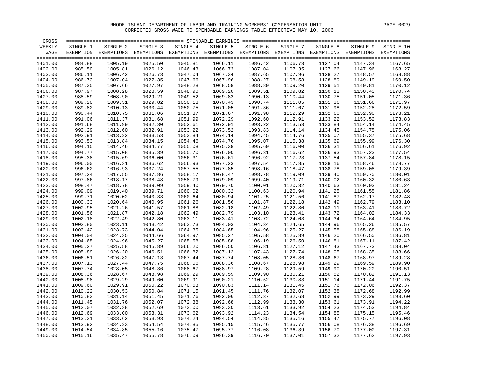| GROSS   |          |                                                                                                              |          |          |          |          |          |          |          |           |
|---------|----------|--------------------------------------------------------------------------------------------------------------|----------|----------|----------|----------|----------|----------|----------|-----------|
| WEEKLY  | SINGLE 1 | SINGLE 2                                                                                                     | SINGLE 3 | SINGLE 4 | SINGLE 5 | SINGLE 6 | SINGLE 7 | SINGLE 8 | SINGLE 9 | SINGLE 10 |
| WAGE    |          | EXEMPTION EXEMPTIONS EXEMPTIONS EXEMPTIONS EXEMPTIONS EXEMPTIONS EXEMPTIONS EXEMPTIONS EXEMPTIONS EXEMPTIONS |          |          |          |          |          |          |          |           |
|         |          |                                                                                                              |          |          |          |          |          |          |          |           |
| 1401.00 | 984.88   | 1005.19                                                                                                      | 1025.50  | 1045.81  | 1066.11  | 1086.42  | 1106.73  | 1127.04  | 1147.34  | 1167.65   |
| 1402.00 | 985.50   | 1005.81                                                                                                      | 1026.12  | 1046.43  | 1066.73  | 1087.04  | 1107.35  | 1127.66  | 1147.96  | 1168.27   |
| 1403.00 | 986.11   | 1006.42                                                                                                      | 1026.73  | 1047.04  | 1067.34  | 1087.65  | 1107.96  | 1128.27  | 1148.57  | 1168.88   |
| 1404.00 | 986.73   | 1007.04                                                                                                      | 1027.35  | 1047.66  | 1067.96  | 1088.27  | 1108.58  | 1128.89  | 1149.19  | 1169.50   |
| 1405.00 | 987.35   | 1007.66                                                                                                      | 1027.97  | 1048.28  | 1068.58  | 1088.89  | 1109.20  | 1129.51  | 1149.81  | 1170.12   |
| 1406.00 | 987.97   | 1008.28                                                                                                      | 1028.59  | 1048.90  | 1069.20  | 1089.51  | 1109.82  | 1130.13  | 1150.43  | 1170.74   |
| 1407.00 | 988.59   | 1008.90                                                                                                      | 1029.21  | 1049.52  | 1069.82  | 1090.13  | 1110.44  | 1130.75  | 1151.05  | 1171.36   |
| 1408.00 | 989.20   | 1009.51                                                                                                      | 1029.82  | 1050.13  | 1070.43  | 1090.74  | 1111.05  | 1131.36  | 1151.66  | 1171.97   |
| 1409.00 | 989.82   | 1010.13                                                                                                      | 1030.44  | 1050.75  | 1071.05  | 1091.36  | 1111.67  | 1131.98  | 1152.28  | 1172.59   |
| 1410.00 | 990.44   | 1010.75                                                                                                      | 1031.06  | 1051.37  | 1071.67  | 1091.98  | 1112.29  | 1132.60  | 1152.90  | 1173.21   |
| 1411.00 | 991.06   | 1011.37                                                                                                      | 1031.68  | 1051.99  | 1072.29  | 1092.60  | 1112.91  | 1133.22  | 1153.52  | 1173.83   |
| 1412.00 | 991.68   | 1011.99                                                                                                      | 1032.30  | 1052.61  | 1072.91  | 1093.22  | 1113.53  | 1133.84  | 1154.14  | 1174.45   |
| 1413.00 | 992.29   | 1012.60                                                                                                      | 1032.91  | 1053.22  | 1073.52  | 1093.83  | 1114.14  | 1134.45  | 1154.75  | 1175.06   |
|         |          |                                                                                                              |          |          |          |          | 1114.76  |          |          |           |
| 1414.00 | 992.91   | 1013.22                                                                                                      | 1033.53  | 1053.84  | 1074.14  | 1094.45  |          | 1135.07  | 1155.37  | 1175.68   |
| 1415.00 | 993.53   | 1013.84                                                                                                      | 1034.15  | 1054.46  | 1074.76  | 1095.07  | 1115.38  | 1135.69  | 1155.99  | 1176.30   |
| 1416.00 | 994.15   | 1014.46                                                                                                      | 1034.77  | 1055.08  | 1075.38  | 1095.69  | 1116.00  | 1136.31  | 1156.61  | 1176.92   |
| 1417.00 | 994.77   | 1015.08                                                                                                      | 1035.39  | 1055.70  | 1076.00  | 1096.31  | 1116.62  | 1136.93  | 1157.23  | 1177.54   |
| 1418.00 | 995.38   | 1015.69                                                                                                      | 1036.00  | 1056.31  | 1076.61  | 1096.92  | 1117.23  | 1137.54  | 1157.84  | 1178.15   |
| 1419.00 | 996.00   | 1016.31                                                                                                      | 1036.62  | 1056.93  | 1077.23  | 1097.54  | 1117.85  | 1138.16  | 1158.46  | 1178.77   |
| 1420.00 | 996.62   | 1016.93                                                                                                      | 1037.24  | 1057.55  | 1077.85  | 1098.16  | 1118.47  | 1138.78  | 1159.08  | 1179.39   |
| 1421.00 | 997.24   | 1017.55                                                                                                      | 1037.86  | 1058.17  | 1078.47  | 1098.78  | 1119.09  | 1139.40  | 1159.70  | 1180.01   |
| 1422.00 | 997.86   | 1018.17                                                                                                      | 1038.48  | 1058.79  | 1079.09  | 1099.40  | 1119.71  | 1140.02  | 1160.32  | 1180.63   |
| 1423.00 | 998.47   | 1018.78                                                                                                      | 1039.09  | 1059.40  | 1079.70  | 1100.01  | 1120.32  | 1140.63  | 1160.93  | 1181.24   |
| 1424.00 | 999.09   | 1019.40                                                                                                      | 1039.71  | 1060.02  | 1080.32  | 1100.63  | 1120.94  | 1141.25  | 1161.55  | 1181.86   |
| 1425.00 | 999.71   | 1020.02                                                                                                      | 1040.33  | 1060.64  | 1080.94  | 1101.25  | 1121.56  | 1141.87  | 1162.17  | 1182.48   |
| 1426.00 | 1000.33  | 1020.64                                                                                                      | 1040.95  | 1061.26  | 1081.56  | 1101.87  | 1122.18  | 1142.49  | 1162.79  | 1183.10   |
| 1427.00 | 1000.95  | 1021.26                                                                                                      | 1041.57  | 1061.88  | 1082.18  | 1102.49  | 1122.80  | 1143.11  | 1163.41  | 1183.72   |
| 1428.00 | 1001.56  | 1021.87                                                                                                      | 1042.18  | 1062.49  | 1082.79  | 1103.10  | 1123.41  | 1143.72  | 1164.02  | 1184.33   |
| 1429.00 | 1002.18  | 1022.49                                                                                                      | 1042.80  | 1063.11  | 1083.41  | 1103.72  | 1124.03  | 1144.34  | 1164.64  | 1184.95   |
| 1430.00 | 1002.80  | 1023.11                                                                                                      | 1043.42  | 1063.73  | 1084.03  | 1104.34  | 1124.65  | 1144.96  | 1165.26  | 1185.57   |
| 1431.00 | 1003.42  | 1023.73                                                                                                      | 1044.04  | 1064.35  | 1084.65  | 1104.96  | 1125.27  | 1145.58  | 1165.88  | 1186.19   |
| 1432.00 | 1004.04  | 1024.35                                                                                                      | 1044.66  | 1064.97  | 1085.27  | 1105.58  | 1125.89  | 1146.20  | 1166.50  | 1186.81   |
| 1433.00 | 1004.65  | 1024.96                                                                                                      | 1045.27  | 1065.58  | 1085.88  | 1106.19  | 1126.50  | 1146.81  | 1167.11  | 1187.42   |
| 1434.00 | 1005.27  | 1025.58                                                                                                      | 1045.89  | 1066.20  | 1086.50  | 1106.81  | 1127.12  | 1147.43  | 1167.73  | 1188.04   |
| 1435.00 | 1005.89  | 1026.20                                                                                                      | 1046.51  | 1066.82  | 1087.12  | 1107.43  | 1127.74  | 1148.05  | 1168.35  | 1188.66   |
| 1436.00 | 1006.51  | 1026.82                                                                                                      | 1047.13  | 1067.44  | 1087.74  | 1108.05  | 1128.36  | 1148.67  | 1168.97  | 1189.28   |
| 1437.00 | 1007.13  | 1027.44                                                                                                      | 1047.75  | 1068.06  | 1088.36  | 1108.67  | 1128.98  | 1149.29  | 1169.59  | 1189.90   |
| 1438.00 | 1007.74  | 1028.05                                                                                                      | 1048.36  | 1068.67  | 1088.97  | 1109.28  | 1129.59  | 1149.90  | 1170.20  | 1190.51   |
| 1439.00 | 1008.36  | 1028.67                                                                                                      | 1048.98  | 1069.29  | 1089.59  | 1109.90  | 1130.21  | 1150.52  | 1170.82  | 1191.13   |
| 1440.00 | 1008.98  | 1029.29                                                                                                      | 1049.60  | 1069.91  | 1090.21  | 1110.52  | 1130.83  | 1151.14  | 1171.44  | 1191.75   |
| 1441.00 | 1009.60  | 1029.91                                                                                                      | 1050.22  | 1070.53  | 1090.83  | 1111.14  | 1131.45  | 1151.76  | 1172.06  | 1192.37   |
| 1442.00 | 1010.22  | 1030.53                                                                                                      | 1050.84  | 1071.15  | 1091.45  | 1111.76  | 1132.07  | 1152.38  | 1172.68  | 1192.99   |
| 1443.00 | 1010.83  | 1031.14                                                                                                      | 1051.45  | 1071.76  | 1092.06  | 1112.37  | 1132.68  | 1152.99  | 1173.29  | 1193.60   |
| 1444.00 | 1011.45  | 1031.76                                                                                                      | 1052.07  | 1072.38  | 1092.68  | 1112.99  | 1133.30  | 1153.61  | 1173.91  | 1194.22   |
| 1445.00 | 1012.07  | 1032.38                                                                                                      | 1052.69  | 1073.00  | 1093.30  | 1113.61  | 1133.92  | 1154.23  | 1174.53  | 1194.84   |
| 1446.00 | 1012.69  | 1033.00                                                                                                      | 1053.31  | 1073.62  | 1093.92  | 1114.23  | 1134.54  | 1154.85  | 1175.15  | 1195.46   |
| 1447.00 | 1013.31  | 1033.62                                                                                                      | 1053.93  | 1074.24  | 1094.54  | 1114.85  | 1135.16  | 1155.47  | 1175.77  | 1196.08   |
| 1448.00 | 1013.92  | 1034.23                                                                                                      | 1054.54  | 1074.85  | 1095.15  | 1115.46  | 1135.77  | 1156.08  | 1176.38  | 1196.69   |
| 1449.00 | 1014.54  | 1034.85                                                                                                      | 1055.16  | 1075.47  | 1095.77  | 1116.08  | 1136.39  | 1156.70  | 1177.00  | 1197.31   |
| 1450.00 | 1015.16  | 1035.47                                                                                                      | 1055.78  | 1076.09  | 1096.39  | 1116.70  | 1137.01  | 1157.32  | 1177.62  | 1197.93   |
|         |          |                                                                                                              |          |          |          |          |          |          |          |           |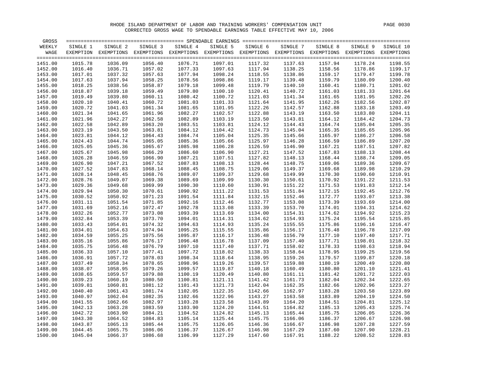| GROSS   |          |                    |          |          |          |                                                                                                              |          |          |          |           |
|---------|----------|--------------------|----------|----------|----------|--------------------------------------------------------------------------------------------------------------|----------|----------|----------|-----------|
| WEEKLY  | SINGLE 1 | SINGLE 2           | SINGLE 3 | SINGLE 4 | SINGLE 5 | SINGLE 6                                                                                                     | SINGLE 7 | SINGLE 8 | SINGLE 9 | SINGLE 10 |
| WAGE    |          |                    |          |          |          | EXEMPTION EXEMPTIONS EXEMPTIONS EXEMPTIONS EXEMPTIONS EXEMPTIONS EXEMPTIONS EXEMPTIONS EXEMPTIONS EXEMPTIONS |          |          |          |           |
|         |          |                    |          |          |          |                                                                                                              |          |          |          |           |
| 1451.00 | 1015.78  | 1036.09            | 1056.40  | 1076.71  | 1097.01  | 1117.32                                                                                                      | 1137.63  | 1157.94  | 1178.24  | 1198.55   |
| 1452.00 | 1016.40  | 1036.71            | 1057.02  | 1077.33  | 1097.63  | 1117.94                                                                                                      | 1138.25  | 1158.56  | 1178.86  | 1199.17   |
| 1453.00 | 1017.01  | 1037.32            | 1057.63  | 1077.94  | 1098.24  | 1118.55                                                                                                      | 1138.86  | 1159.17  | 1179.47  | 1199.78   |
| 1454.00 | 1017.63  | 1037.94            | 1058.25  | 1078.56  | 1098.86  | 1119.17                                                                                                      | 1139.48  | 1159.79  | 1180.09  | 1200.40   |
| 1455.00 | 1018.25  | 1038.56            | 1058.87  | 1079.18  | 1099.48  | 1119.79                                                                                                      | 1140.10  | 1160.41  | 1180.71  | 1201.02   |
| 1456.00 | 1018.87  | 1039.18            | 1059.49  | 1079.80  | 1100.10  | 1120.41                                                                                                      | 1140.72  | 1161.03  | 1181.33  | 1201.64   |
| 1457.00 | 1019.49  | 1039.80            | 1060.11  | 1080.42  | 1100.72  | 1121.03                                                                                                      | 1141.34  | 1161.65  | 1181.95  | 1202.26   |
| 1458.00 | 1020.10  | 1040.41            | 1060.72  | 1081.03  | 1101.33  | 1121.64                                                                                                      | 1141.95  | 1162.26  | 1182.56  | 1202.87   |
| 1459.00 | 1020.72  | 1041.03            | 1061.34  | 1081.65  | 1101.95  | 1122.26                                                                                                      | 1142.57  | 1162.88  | 1183.18  | 1203.49   |
| 1460.00 | 1021.34  | 1041.65            | 1061.96  | 1082.27  | 1102.57  | 1122.88                                                                                                      | 1143.19  | 1163.50  | 1183.80  | 1204.11   |
| 1461.00 | 1021.96  | 1042.27            | 1062.58  | 1082.89  | 1103.19  | 1123.50                                                                                                      | 1143.81  | 1164.12  | 1184.42  | 1204.73   |
| 1462.00 | 1022.58  | 1042.89            | 1063.20  | 1083.51  | 1103.81  | 1124.12                                                                                                      | 1144.43  | 1164.74  | 1185.04  | 1205.35   |
| 1463.00 | 1023.19  | 1043.50            | 1063.81  | 1084.12  | 1104.42  | 1124.73                                                                                                      | 1145.04  | 1165.35  | 1185.65  | 1205.96   |
| 1464.00 | 1023.81  | 1044.12            | 1064.43  | 1084.74  | 1105.04  | 1125.35                                                                                                      | 1145.66  | 1165.97  | 1186.27  | 1206.58   |
| 1465.00 | 1024.43  | 1044.74            | 1065.05  | 1085.36  | 1105.66  | 1125.97                                                                                                      | 1146.28  | 1166.59  | 1186.89  | 1207.20   |
| 1466.00 | 1025.05  | 1045.36            | 1065.67  | 1085.98  | 1106.28  | 1126.59                                                                                                      | 1146.90  | 1167.21  | 1187.51  | 1207.82   |
| 1467.00 | 1025.67  | 1045.98            | 1066.29  | 1086.60  | 1106.90  | 1127.21                                                                                                      | 1147.52  | 1167.83  | 1188.13  | 1208.44   |
| 1468.00 | 1026.28  | 1046.59            | 1066.90  | 1087.21  | 1107.51  | 1127.82                                                                                                      | 1148.13  | 1168.44  | 1188.74  | 1209.05   |
| 1469.00 |          |                    |          | 1087.83  |          |                                                                                                              |          |          |          |           |
|         | 1026.90  | 1047.21            | 1067.52  |          | 1108.13  | 1128.44                                                                                                      | 1148.75  | 1169.06  | 1189.36  | 1209.67   |
| 1470.00 | 1027.52  | 1047.83<br>1048.45 | 1068.14  | 1088.45  | 1108.75  | 1129.06                                                                                                      | 1149.37  | 1169.68  | 1189.98  | 1210.29   |
| 1471.00 | 1028.14  |                    | 1068.76  | 1089.07  | 1109.37  | 1129.68                                                                                                      | 1149.99  | 1170.30  | 1190.60  | 1210.91   |
| 1472.00 | 1028.76  | 1049.07            | 1069.38  | 1089.69  | 1109.99  | 1130.30                                                                                                      | 1150.61  | 1170.92  | 1191.22  | 1211.53   |
| 1473.00 | 1029.36  | 1049.68            | 1069.99  | 1090.30  | 1110.60  | 1130.91                                                                                                      | 1151.22  | 1171.53  | 1191.83  | 1212.14   |
| 1474.00 | 1029.94  | 1050.30            | 1070.61  | 1090.92  | 1111.22  | 1131.53                                                                                                      | 1151.84  | 1172.15  | 1192.45  | 1212.76   |
| 1475.00 | 1030.52  | 1050.92            | 1071.23  | 1091.54  | 1111.84  | 1132.15                                                                                                      | 1152.46  | 1172.77  | 1193.07  | 1213.38   |
| 1476.00 | 1031.11  | 1051.54            | 1071.85  | 1092.16  | 1112.46  | 1132.77                                                                                                      | 1153.08  | 1173.39  | 1193.69  | 1214.00   |
| 1477.00 | 1031.69  | 1052.16            | 1072.47  | 1092.78  | 1113.08  | 1133.39                                                                                                      | 1153.70  | 1174.01  | 1194.31  | 1214.62   |
| 1478.00 | 1032.26  | 1052.77            | 1073.08  | 1093.39  | 1113.69  | 1134.00                                                                                                      | 1154.31  | 1174.62  | 1194.92  | 1215.23   |
| 1479.00 | 1032.84  | 1053.39            | 1073.70  | 1094.01  | 1114.31  | 1134.62                                                                                                      | 1154.93  | 1175.24  | 1195.54  | 1215.85   |
| 1480.00 | 1033.43  | 1054.01            | 1074.32  | 1094.63  | 1114.93  | 1135.24                                                                                                      | 1155.55  | 1175.86  | 1196.16  | 1216.47   |
| 1481.00 | 1034.01  | 1054.63            | 1074.94  | 1095.25  | 1115.55  | 1135.86                                                                                                      | 1156.17  | 1176.48  | 1196.78  | 1217.09   |
| 1482.00 | 1034.59  | 1055.25            | 1075.56  | 1095.87  | 1116.17  | 1136.48                                                                                                      | 1156.79  | 1177.10  | 1197.40  | 1217.71   |
| 1483.00 | 1035.16  | 1055.86            | 1076.17  | 1096.48  | 1116.78  | 1137.09                                                                                                      | 1157.40  | 1177.71  | 1198.01  | 1218.32   |
| 1484.00 | 1035.75  | 1056.48            | 1076.79  | 1097.10  | 1117.40  | 1137.71                                                                                                      | 1158.02  | 1178.33  | 1198.63  | 1218.94   |
| 1485.00 | 1036.33  | 1057.10            | 1077.41  | 1097.72  | 1118.02  | 1138.33                                                                                                      | 1158.64  | 1178.95  | 1199.25  | 1219.56   |
| 1486.00 | 1036.91  | 1057.72            | 1078.03  | 1098.34  | 1118.64  | 1138.95                                                                                                      | 1159.26  | 1179.57  | 1199.87  | 1220.18   |
| 1487.00 | 1037.49  | 1058.34            | 1078.65  | 1098.96  | 1119.26  | 1139.57                                                                                                      | 1159.88  | 1180.19  | 1200.49  | 1220.80   |
| 1488.00 | 1038.07  | 1058.95            | 1079.26  | 1099.57  | 1119.87  | 1140.18                                                                                                      | 1160.49  | 1180.80  | 1201.10  | 1221.41   |
| 1489.00 | 1038.65  | 1059.57            | 1079.88  | 1100.19  | 1120.49  | 1140.80                                                                                                      | 1161.11  | 1181.42  | 1201.72  | 1222.03   |
| 1490.00 | 1039.23  | 1060.19            | 1080.50  | 1100.81  | 1121.11  | 1141.42                                                                                                      | 1161.73  | 1182.04  | 1202.34  | 1222.65   |
| 1491.00 | 1039.81  | 1060.81            | 1081.12  | 1101.43  | 1121.73  | 1142.04                                                                                                      | 1162.35  | 1182.66  | 1202.96  | 1223.27   |
| 1492.00 | 1040.40  | 1061.43            | 1081.74  | 1102.05  | 1122.35  | 1142.66                                                                                                      | 1162.97  | 1183.28  | 1203.58  | 1223.89   |
| 1493.00 | 1040.97  | 1062.04            | 1082.35  | 1102.66  | 1122.96  | 1143.27                                                                                                      | 1163.58  | 1183.89  | 1204.19  | 1224.50   |
| 1494.00 | 1041.55  | 1062.66            | 1082.97  | 1103.28  | 1123.58  | 1143.89                                                                                                      | 1164.20  | 1184.51  | 1204.81  | 1225.12   |
| 1495.00 | 1042.13  | 1063.28            | 1083.59  | 1103.90  | 1124.20  | 1144.51                                                                                                      | 1164.82  | 1185.13  | 1205.43  | 1225.74   |
| 1496.00 | 1042.72  | 1063.90            | 1084.21  | 1104.52  | 1124.82  | 1145.13                                                                                                      | 1165.44  | 1185.75  | 1206.05  | 1226.36   |
| 1497.00 | 1043.30  | 1064.52            | 1084.83  | 1105.14  | 1125.44  | 1145.75                                                                                                      | 1166.06  | 1186.37  | 1206.67  | 1226.98   |
| 1498.00 | 1043.87  | 1065.13            | 1085.44  | 1105.75  | 1126.05  | 1146.36                                                                                                      | 1166.67  | 1186.98  | 1207.28  | 1227.59   |
| 1499.00 | 1044.45  | 1065.75            | 1086.06  | 1106.37  | 1126.67  | 1146.98                                                                                                      | 1167.29  | 1187.60  | 1207.90  | 1228.21   |
| 1500.00 | 1045.04  | 1066.37            | 1086.68  | 1106.99  | 1127.29  | 1147.60                                                                                                      | 1167.91  | 1188.22  | 1208.52  | 1228.83   |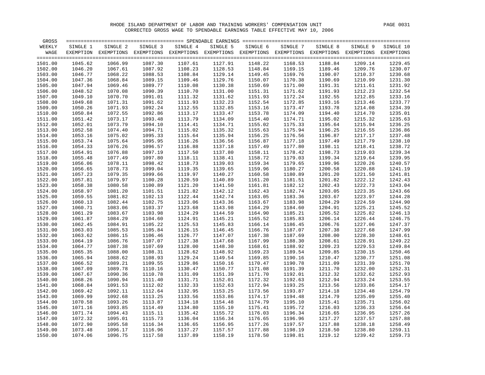| GROSS   |          |                                                                                                              |          |          |          |          |          |          |          |           |
|---------|----------|--------------------------------------------------------------------------------------------------------------|----------|----------|----------|----------|----------|----------|----------|-----------|
| WEEKLY  | SINGLE 1 | SINGLE 2                                                                                                     | SINGLE 3 | SINGLE 4 | SINGLE 5 | SINGLE 6 | SINGLE 7 | SINGLE 8 | SINGLE 9 | SINGLE 10 |
| WAGE    |          | EXEMPTION EXEMPTIONS EXEMPTIONS EXEMPTIONS EXEMPTIONS EXEMPTIONS EXEMPTIONS EXEMPTIONS EXEMPTIONS EXEMPTIONS |          |          |          |          |          |          |          |           |
|         |          |                                                                                                              |          |          |          |          |          |          |          |           |
| 1501.00 | 1045.62  | 1066.99                                                                                                      | 1087.30  | 1107.61  | 1127.91  | 1148.22  | 1168.53  | 1188.84  | 1209.14  | 1229.45   |
| 1502.00 | 1046.20  | 1067.61                                                                                                      | 1087.92  | 1108.23  | 1128.53  | 1148.84  | 1169.15  | 1189.46  | 1209.76  | 1230.07   |
| 1503.00 | 1046.77  | 1068.22                                                                                                      | 1088.53  | 1108.84  | 1129.14  | 1149.45  | 1169.76  | 1190.07  | 1210.37  | 1230.68   |
|         |          |                                                                                                              |          |          |          |          |          |          |          |           |
| 1504.00 | 1047.36  | 1068.84                                                                                                      | 1089.15  | 1109.46  | 1129.76  | 1150.07  | 1170.38  | 1190.69  | 1210.99  | 1231.30   |
| 1505.00 | 1047.94  | 1069.46                                                                                                      | 1089.77  | 1110.08  | 1130.38  | 1150.69  | 1171.00  | 1191.31  | 1211.61  | 1231.92   |
| 1506.00 | 1048.52  | 1070.08                                                                                                      | 1090.39  | 1110.70  | 1131.00  | 1151.31  | 1171.62  | 1191.93  | 1212.23  | 1232.54   |
| 1507.00 | 1049.10  | 1070.70                                                                                                      | 1091.01  | 1111.32  | 1131.62  | 1151.93  | 1172.24  | 1192.55  | 1212.85  | 1233.16   |
| 1508.00 | 1049.68  | 1071.31                                                                                                      | 1091.62  | 1111.93  | 1132.23  | 1152.54  | 1172.85  | 1193.16  | 1213.46  | 1233.77   |
| 1509.00 | 1050.26  | 1071.93                                                                                                      | 1092.24  | 1112.55  | 1132.85  | 1153.16  | 1173.47  | 1193.78  | 1214.08  | 1234.39   |
| 1510.00 | 1050.84  | 1072.55                                                                                                      | 1092.86  | 1113.17  | 1133.47  | 1153.78  | 1174.09  | 1194.40  | 1214.70  | 1235.01   |
| 1511.00 | 1051.42  | 1073.17                                                                                                      | 1093.48  | 1113.79  | 1134.09  | 1154.40  | 1174.71  | 1195.02  | 1215.32  | 1235.63   |
| 1512.00 | 1052.01  | 1073.79                                                                                                      | 1094.10  | 1114.41  | 1134.71  | 1155.02  | 1175.33  | 1195.64  | 1215.94  | 1236.25   |
| 1513.00 | 1052.58  | 1074.40                                                                                                      | 1094.71  | 1115.02  | 1135.32  | 1155.63  | 1175.94  | 1196.25  | 1216.55  | 1236.86   |
| 1514.00 | 1053.16  | 1075.02                                                                                                      | 1095.33  | 1115.64  | 1135.94  | 1156.25  | 1176.56  | 1196.87  | 1217.17  | 1237.48   |
| 1515.00 | 1053.74  | 1075.64                                                                                                      | 1095.95  | 1116.26  | 1136.56  | 1156.87  | 1177.18  | 1197.49  | 1217.79  | 1238.10   |
| 1516.00 | 1054.33  | 1076.26                                                                                                      | 1096.57  | 1116.88  | 1137.18  | 1157.49  | 1177.80  | 1198.11  | 1218.41  | 1238.72   |
| 1517.00 | 1054.91  | 1076.88                                                                                                      | 1097.19  | 1117.50  | 1137.80  | 1158.11  | 1178.42  | 1198.73  | 1219.03  | 1239.34   |
|         |          |                                                                                                              |          |          |          |          |          |          |          |           |
| 1518.00 | 1055.48  | 1077.49                                                                                                      | 1097.80  | 1118.11  | 1138.41  | 1158.72  | 1179.03  | 1199.34  | 1219.64  | 1239.95   |
| 1519.00 | 1056.06  | 1078.11                                                                                                      | 1098.42  | 1118.73  | 1139.03  | 1159.34  | 1179.65  | 1199.96  | 1220.26  | 1240.57   |
| 1520.00 | 1056.65  | 1078.73                                                                                                      | 1099.04  | 1119.35  | 1139.65  | 1159.96  | 1180.27  | 1200.58  | 1220.88  | 1241.19   |
| 1521.00 | 1057.23  | 1079.35                                                                                                      | 1099.66  | 1119.97  | 1140.27  | 1160.58  | 1180.89  | 1201.20  | 1221.50  | 1241.81   |
| 1522.00 | 1057.81  | 1079.97                                                                                                      | 1100.28  | 1120.59  | 1140.89  | 1161.20  | 1181.51  | 1201.82  | 1222.12  | 1242.43   |
| 1523.00 | 1058.38  | 1080.58                                                                                                      | 1100.89  | 1121.20  | 1141.50  | 1161.81  | 1182.12  | 1202.43  | 1222.73  | 1243.04   |
| 1524.00 | 1058.97  | 1081.20                                                                                                      | 1101.51  | 1121.82  | 1142.12  | 1162.43  | 1182.74  | 1203.05  | 1223.35  | 1243.66   |
| 1525.00 | 1059.55  | 1081.82                                                                                                      | 1102.13  | 1122.44  | 1142.74  | 1163.05  | 1183.36  | 1203.67  | 1223.97  | 1244.28   |
| 1526.00 | 1060.13  | 1082.44                                                                                                      | 1102.75  | 1123.06  | 1143.36  | 1163.67  | 1183.98  | 1204.29  | 1224.59  | 1244.90   |
| 1527.00 | 1060.71  | 1083.06                                                                                                      | 1103.37  | 1123.68  | 1143.98  | 1164.29  | 1184.60  | 1204.91  | 1225.21  | 1245.52   |
| 1528.00 | 1061.29  | 1083.67                                                                                                      | 1103.98  | 1124.29  | 1144.59  | 1164.90  | 1185.21  | 1205.52  | 1225.82  | 1246.13   |
| 1529.00 | 1061.87  | 1084.29                                                                                                      | 1104.60  | 1124.91  | 1145.21  | 1165.52  | 1185.83  | 1206.14  | 1226.44  | 1246.75   |
| 1530.00 | 1062.45  | 1084.91                                                                                                      | 1105.22  | 1125.53  | 1145.83  | 1166.14  | 1186.45  | 1206.76  | 1227.06  | 1247.37   |
| 1531.00 | 1063.03  | 1085.53                                                                                                      | 1105.84  | 1126.15  | 1146.45  | 1166.76  | 1187.07  | 1207.38  | 1227.68  | 1247.99   |
| 1532.00 | 1063.62  | 1086.15                                                                                                      | 1106.46  | 1126.77  | 1147.07  |          | 1187.69  | 1208.00  | 1228.30  | 1248.61   |
|         |          |                                                                                                              |          |          |          | 1167.38  |          |          |          |           |
| 1533.00 | 1064.19  | 1086.76                                                                                                      | 1107.07  | 1127.38  | 1147.68  | 1167.99  | 1188.30  | 1208.61  | 1228.91  | 1249.22   |
| 1534.00 | 1064.77  | 1087.38                                                                                                      | 1107.69  | 1128.00  | 1148.30  | 1168.61  | 1188.92  | 1209.23  | 1229.53  | 1249.84   |
| 1535.00 | 1065.35  | 1088.00                                                                                                      | 1108.31  | 1128.62  | 1148.92  | 1169.23  | 1189.54  | 1209.85  | 1230.15  | 1250.46   |
| 1536.00 | 1065.94  | 1088.62                                                                                                      | 1108.93  | 1129.24  | 1149.54  | 1169.85  | 1190.16  | 1210.47  | 1230.77  | 1251.08   |
| 1537.00 | 1066.52  | 1089.21                                                                                                      | 1109.55  | 1129.86  | 1150.16  | 1170.47  | 1190.78  | 1211.09  | 1231.39  | 1251.70   |
| 1538.00 | 1067.09  | 1089.78                                                                                                      | 1110.16  | 1130.47  | 1150.77  | 1171.08  | 1191.39  | 1211.70  | 1232.00  | 1252.31   |
| 1539.00 | 1067.67  | 1090.36                                                                                                      | 1110.78  | 1131.09  | 1151.39  | 1171.70  | 1192.01  | 1212.32  | 1232.62  | 1252.93   |
| 1540.00 | 1068.26  | 1090.94                                                                                                      | 1111.40  | 1131.71  | 1152.01  | 1172.32  | 1192.63  | 1212.94  | 1233.24  | 1253.55   |
| 1541.00 | 1068.84  | 1091.53                                                                                                      | 1112.02  | 1132.33  | 1152.63  | 1172.94  | 1193.25  | 1213.56  | 1233.86  | 1254.17   |
| 1542.00 | 1069.42  | 1092.11                                                                                                      | 1112.64  | 1132.95  | 1153.25  | 1173.56  | 1193.87  | 1214.18  | 1234.48  | 1254.79   |
| 1543.00 | 1069.99  | 1092.68                                                                                                      | 1113.25  | 1133.56  | 1153.86  | 1174.17  | 1194.48  | 1214.79  | 1235.09  | 1255.40   |
| 1544.00 | 1070.58  | 1093.26                                                                                                      | 1113.87  | 1134.18  | 1154.48  | 1174.79  | 1195.10  | 1215.41  | 1235.71  | 1256.02   |
| 1545.00 | 1071.16  | 1093.85                                                                                                      | 1114.49  | 1134.80  | 1155.10  | 1175.41  | 1195.72  | 1216.03  | 1236.33  | 1256.64   |
| 1546.00 | 1071.74  | 1094.43                                                                                                      | 1115.11  | 1135.42  | 1155.72  | 1176.03  | 1196.34  | 1216.65  | 1236.95  | 1257.26   |
| 1547.00 | 1072.32  | 1095.01                                                                                                      | 1115.73  | 1136.04  | 1156.34  | 1176.65  | 1196.96  | 1217.27  | 1237.57  | 1257.88   |
| 1548.00 | 1072.90  | 1095.58                                                                                                      | 1116.34  | 1136.65  | 1156.95  | 1177.26  | 1197.57  | 1217.88  | 1238.18  | 1258.49   |
|         |          |                                                                                                              |          |          |          |          |          |          |          |           |
| 1549.00 | 1073.48  | 1096.17                                                                                                      | 1116.96  | 1137.27  | 1157.57  | 1177.88  | 1198.19  | 1218.50  | 1238.80  | 1259.11   |
| 1550.00 | 1074.06  | 1096.75                                                                                                      | 1117.58  | 1137.89  | 1158.19  | 1178.50  | 1198.81  | 1219.12  | 1239.42  | 1259.73   |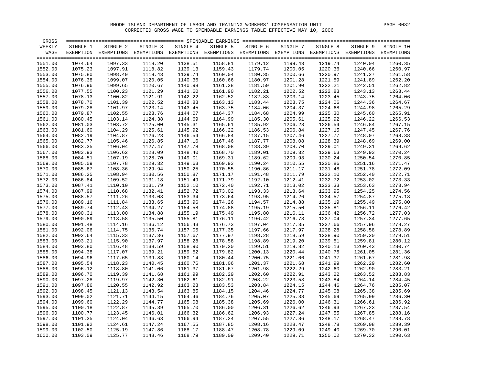| GROSS   |          |                                                                                                              |          |          |          |          |          |          |          |           |
|---------|----------|--------------------------------------------------------------------------------------------------------------|----------|----------|----------|----------|----------|----------|----------|-----------|
| WEEKLY  | SINGLE 1 | SINGLE 2                                                                                                     | SINGLE 3 | SINGLE 4 | SINGLE 5 | SINGLE 6 | SINGLE 7 | SINGLE 8 | SINGLE 9 | SINGLE 10 |
| WAGE    |          | EXEMPTION EXEMPTIONS EXEMPTIONS EXEMPTIONS EXEMPTIONS EXEMPTIONS EXEMPTIONS EXEMPTIONS EXEMPTIONS EXEMPTIONS |          |          |          |          |          |          |          |           |
|         |          |                                                                                                              |          |          |          |          |          |          |          |           |
| 1551.00 | 1074.64  | 1097.33                                                                                                      | 1118.20  | 1138.51  | 1158.81  | 1179.12  | 1199.43  | 1219.74  | 1240.04  | 1260.35   |
| 1552.00 | 1075.23  | 1097.91                                                                                                      | 1118.82  | 1139.13  | 1159.43  | 1179.74  | 1200.05  | 1220.36  | 1240.66  | 1260.97   |
| 1553.00 | 1075.80  | 1098.49                                                                                                      | 1119.43  | 1139.74  | 1160.04  | 1180.35  | 1200.66  | 1220.97  | 1241.27  | 1261.58   |
| 1554.00 | 1076.38  | 1099.07                                                                                                      | 1120.05  | 1140.36  | 1160.66  | 1180.97  | 1201.28  | 1221.59  | 1241.89  | 1262.20   |
| 1555.00 | 1076.96  | 1099.65                                                                                                      | 1120.67  | 1140.98  | 1161.28  | 1181.59  | 1201.90  | 1222.21  | 1242.51  | 1262.82   |
| 1556.00 | 1077.55  | 1100.23                                                                                                      | 1121.29  | 1141.60  | 1161.90  | 1182.21  | 1202.52  | 1222.83  | 1243.13  | 1263.44   |
| 1557.00 | 1078.13  | 1100.82                                                                                                      | 1121.91  | 1142.22  | 1162.52  | 1182.83  | 1203.14  | 1223.45  | 1243.75  | 1264.06   |
| 1558.00 | 1078.70  | 1101.39                                                                                                      | 1122.52  | 1142.83  | 1163.13  | 1183.44  | 1203.75  | 1224.06  | 1244.36  | 1264.67   |
| 1559.00 | 1079.28  | 1101.97                                                                                                      | 1123.14  | 1143.45  | 1163.75  | 1184.06  | 1204.37  | 1224.68  | 1244.98  | 1265.29   |
| 1560.00 | 1079.87  | 1102.55                                                                                                      | 1123.76  | 1144.07  | 1164.37  | 1184.68  | 1204.99  | 1225.30  | 1245.60  | 1265.91   |
| 1561.00 | 1080.45  | 1103.14                                                                                                      | 1124.38  | 1144.69  | 1164.99  | 1185.30  | 1205.61  | 1225.92  | 1246.22  | 1266.53   |
| 1562.00 | 1081.03  | 1103.72                                                                                                      | 1125.00  | 1145.31  | 1165.61  | 1185.92  | 1206.23  | 1226.54  | 1246.84  | 1267.15   |
| 1563.00 | 1081.60  | 1104.29                                                                                                      | 1125.61  | 1145.92  | 1166.22  | 1186.53  | 1206.84  | 1227.15  | 1247.45  | 1267.76   |
| 1564.00 | 1082.19  | 1104.87                                                                                                      | 1126.23  | 1146.54  | 1166.84  | 1187.15  | 1207.46  | 1227.77  | 1248.07  | 1268.38   |
| 1565.00 | 1082.77  | 1105.46                                                                                                      | 1126.85  | 1147.16  | 1167.46  | 1187.77  | 1208.08  | 1228.39  | 1248.69  | 1269.00   |
| 1566.00 | 1083.35  | 1106.04                                                                                                      | 1127.47  | 1147.78  | 1168.08  | 1188.39  | 1208.70  | 1229.01  | 1249.31  | 1269.62   |
| 1567.00 | 1083.93  | 1106.62                                                                                                      | 1128.09  | 1148.40  | 1168.70  | 1189.01  | 1209.32  | 1229.63  | 1249.93  | 1270.24   |
| 1568.00 | 1084.51  | 1107.19                                                                                                      | 1128.70  | 1149.01  | 1169.31  | 1189.62  | 1209.93  | 1230.24  | 1250.54  | 1270.85   |
| 1569.00 | 1085.09  | 1107.78                                                                                                      | 1129.32  | 1149.63  | 1169.93  | 1190.24  | 1210.55  | 1230.86  | 1251.16  | 1271.47   |
| 1570.00 | 1085.67  | 1108.36                                                                                                      | 1129.94  | 1150.25  | 1170.55  | 1190.86  | 1211.17  | 1231.48  | 1251.78  | 1272.09   |
| 1571.00 | 1086.25  | 1108.94                                                                                                      | 1130.56  | 1150.87  | 1171.17  | 1191.48  | 1211.79  | 1232.10  | 1252.40  | 1272.71   |
| 1572.00 | 1086.84  | 1109.52                                                                                                      | 1131.18  | 1151.49  | 1171.79  | 1192.10  | 1212.41  | 1232.72  | 1253.02  | 1273.33   |
| 1573.00 | 1087.41  | 1110.10                                                                                                      | 1131.79  | 1152.10  | 1172.40  | 1192.71  | 1213.02  | 1233.33  | 1253.63  | 1273.94   |
| 1574.00 | 1087.99  | 1110.68                                                                                                      | 1132.41  | 1152.72  | 1173.02  | 1193.33  | 1213.64  | 1233.95  | 1254.25  | 1274.56   |
| 1575.00 | 1088.57  | 1111.26                                                                                                      | 1133.03  | 1153.34  | 1173.64  | 1193.95  | 1214.26  | 1234.57  | 1254.87  | 1275.18   |
| 1576.00 | 1089.16  | 1111.84                                                                                                      | 1133.65  | 1153.96  | 1174.26  | 1194.57  | 1214.88  | 1235.19  | 1255.49  | 1275.80   |
| 1577.00 | 1089.74  | 1112.43                                                                                                      | 1134.27  | 1154.58  | 1174.88  | 1195.19  | 1215.50  | 1235.81  | 1256.11  | 1276.42   |
| 1578.00 | 1090.31  | 1113.00                                                                                                      | 1134.88  | 1155.19  | 1175.49  | 1195.80  | 1216.11  | 1236.42  | 1256.72  | 1277.03   |
| 1579.00 | 1090.89  | 1113.58                                                                                                      | 1135.50  | 1155.81  | 1176.11  | 1196.42  | 1216.73  | 1237.04  | 1257.34  | 1277.65   |
| 1580.00 | 1091.48  | 1114.16                                                                                                      | 1136.12  | 1156.43  | 1176.73  | 1197.04  | 1217.35  | 1237.66  | 1257.96  | 1278.27   |
| 1581.00 | 1092.06  | 1114.75                                                                                                      | 1136.74  | 1157.05  | 1177.35  | 1197.66  | 1217.97  | 1238.28  | 1258.58  | 1278.89   |
| 1582.00 | 1092.64  | 1115.33                                                                                                      | 1137.36  | 1157.67  | 1177.97  | 1198.28  | 1218.59  | 1238.90  | 1259.20  | 1279.51   |
| 1583.00 | 1093.21  | 1115.90                                                                                                      | 1137.97  | 1158.28  | 1178.58  | 1198.89  | 1219.20  | 1239.51  | 1259.81  | 1280.12   |
| 1584.00 | 1093.80  | 1116.48                                                                                                      | 1138.59  | 1158.90  | 1179.20  | 1199.51  | 1219.82  | 1240.13  | 1260.43  | 1280.74   |
| 1585.00 | 1094.38  | 1117.07                                                                                                      | 1139.21  | 1159.52  | 1179.82  | 1200.13  | 1220.44  | 1240.75  | 1261.05  | 1281.36   |
| 1586.00 | 1094.96  | 1117.65                                                                                                      | 1139.83  | 1160.14  | 1180.44  | 1200.75  | 1221.06  | 1241.37  | 1261.67  | 1281.98   |
| 1587.00 | 1095.54  | 1118.23                                                                                                      | 1140.45  | 1160.76  | 1181.06  | 1201.37  | 1221.68  | 1241.99  | 1262.29  | 1282.60   |
| 1588.00 | 1096.12  | 1118.80                                                                                                      | 1141.06  | 1161.37  | 1181.67  | 1201.98  | 1222.29  | 1242.60  | 1262.90  | 1283.21   |
| 1589.00 | 1096.70  | 1119.39                                                                                                      | 1141.68  | 1161.99  | 1182.29  | 1202.60  | 1222.91  | 1243.22  | 1263.52  | 1283.83   |
| 1590.00 | 1097.28  | 1119.97                                                                                                      | 1142.30  | 1162.61  | 1182.91  | 1203.22  | 1223.53  | 1243.84  | 1264.14  | 1284.45   |
| 1591.00 | 1097.86  | 1120.55                                                                                                      | 1142.92  | 1163.23  | 1183.53  | 1203.84  | 1224.15  | 1244.46  | 1264.76  | 1285.07   |
| 1592.00 | 1098.45  | 1121.13                                                                                                      | 1143.54  | 1163.85  | 1184.15  | 1204.46  | 1224.77  | 1245.08  | 1265.38  | 1285.69   |
| 1593.00 | 1099.02  | 1121.71                                                                                                      | 1144.15  | 1164.46  | 1184.76  | 1205.07  | 1225.38  | 1245.69  | 1265.99  | 1286.30   |
| 1594.00 | 1099.60  | 1122.29                                                                                                      | 1144.77  | 1165.08  | 1185.38  | 1205.69  | 1226.00  | 1246.31  | 1266.61  | 1286.92   |
| 1595.00 | 1100.18  | 1122.87                                                                                                      | 1145.39  | 1165.70  | 1186.00  | 1206.31  | 1226.62  | 1246.93  | 1267.23  | 1287.54   |
| 1596.00 | 1100.77  | 1123.45                                                                                                      | 1146.01  | 1166.32  | 1186.62  | 1206.93  | 1227.24  | 1247.55  | 1267.85  | 1288.16   |
| 1597.00 | 1101.35  | 1124.04                                                                                                      | 1146.63  | 1166.94  | 1187.24  | 1207.55  | 1227.86  | 1248.17  | 1268.47  | 1288.78   |
| 1598.00 | 1101.92  | 1124.61                                                                                                      | 1147.24  | 1167.55  | 1187.85  | 1208.16  | 1228.47  | 1248.78  | 1269.08  | 1289.39   |
| 1599.00 | 1102.50  | 1125.19                                                                                                      | 1147.86  | 1168.17  | 1188.47  | 1208.78  | 1229.09  | 1249.40  | 1269.70  | 1290.01   |
| 1600.00 | 1103.09  | 1125.77                                                                                                      | 1148.46  | 1168.79  | 1189.09  | 1209.40  | 1229.71  | 1250.02  | 1270.32  | 1290.63   |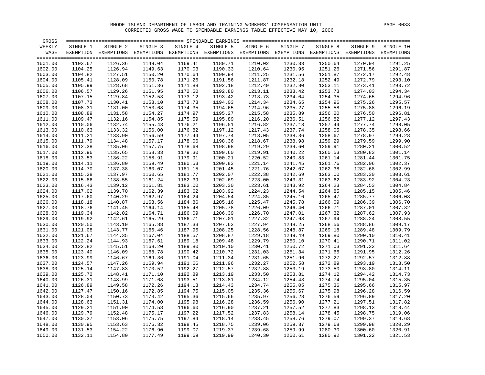| GROSS   |          |                                                                                                              |          |          |          |          |          |          |          |           |
|---------|----------|--------------------------------------------------------------------------------------------------------------|----------|----------|----------|----------|----------|----------|----------|-----------|
| WEEKLY  | SINGLE 1 | SINGLE 2                                                                                                     | SINGLE 3 | SINGLE 4 | SINGLE 5 | SINGLE 6 | SINGLE 7 | SINGLE 8 | SINGLE 9 | SINGLE 10 |
| WAGE    |          | EXEMPTION EXEMPTIONS EXEMPTIONS EXEMPTIONS EXEMPTIONS EXEMPTIONS EXEMPTIONS EXEMPTIONS EXEMPTIONS EXEMPTIONS |          |          |          |          |          |          |          |           |
|         |          |                                                                                                              |          |          |          |          |          |          |          |           |
| 1601.00 | 1103.67  | 1126.36                                                                                                      | 1149.04  | 1169.41  | 1189.71  | 1210.02  | 1230.33  | 1250.64  | 1270.94  | 1291.25   |
| 1602.00 | 1104.25  | 1126.94                                                                                                      | 1149.63  | 1170.03  | 1190.33  | 1210.64  | 1230.95  | 1251.26  | 1271.56  | 1291.87   |
| 1603.00 | 1104.82  | 1127.51                                                                                                      | 1150.20  | 1170.64  | 1190.94  | 1211.25  | 1231.56  | 1251.87  | 1272.17  | 1292.48   |
| 1604.00 | 1105.41  | 1128.09                                                                                                      | 1150.78  | 1171.26  | 1191.56  | 1211.87  | 1232.18  | 1252.49  | 1272.79  | 1293.10   |
| 1605.00 | 1105.99  | 1128.68                                                                                                      | 1151.36  | 1171.88  | 1192.18  | 1212.49  | 1232.80  | 1253.11  | 1273.41  | 1293.72   |
| 1606.00 | 1106.57  | 1129.26                                                                                                      | 1151.95  | 1172.50  | 1192.80  | 1213.11  | 1233.42  | 1253.73  | 1274.03  | 1294.34   |
| 1607.00 | 1107.15  | 1129.84                                                                                                      | 1152.53  | 1173.12  | 1193.42  | 1213.73  | 1234.04  | 1254.35  | 1274.65  | 1294.96   |
| 1608.00 | 1107.73  | 1130.41                                                                                                      | 1153.10  | 1173.73  | 1194.03  | 1214.34  | 1234.65  | 1254.96  | 1275.26  | 1295.57   |
| 1609.00 | 1108.31  | 1131.00                                                                                                      | 1153.68  | 1174.35  | 1194.65  | 1214.96  | 1235.27  | 1255.58  | 1275.88  | 1296.19   |
| 1610.00 | 1108.89  | 1131.58                                                                                                      | 1154.27  | 1174.97  | 1195.27  | 1215.58  | 1235.89  | 1256.20  | 1276.50  | 1296.81   |
| 1611.00 | 1109.47  | 1132.16                                                                                                      | 1154.85  | 1175.59  | 1195.89  | 1216.20  | 1236.51  | 1256.82  | 1277.12  | 1297.43   |
| 1612.00 | 1110.06  | 1132.74                                                                                                      | 1155.43  | 1176.21  | 1196.51  | 1216.82  | 1237.13  | 1257.44  | 1277.74  | 1298.05   |
| 1613.00 | 1110.63  | 1133.32                                                                                                      | 1156.00  | 1176.82  | 1197.12  | 1217.43  | 1237.74  | 1258.05  | 1278.35  | 1298.66   |
| 1614.00 | 1111.21  | 1133.90                                                                                                      | 1156.59  | 1177.44  | 1197.74  | 1218.05  | 1238.36  | 1258.67  | 1278.97  | 1299.28   |
| 1615.00 | 1111.79  | 1134.48                                                                                                      | 1157.17  | 1178.06  | 1198.36  | 1218.67  | 1238.98  | 1259.29  | 1279.59  | 1299.90   |
| 1616.00 | 1112.38  | 1135.06                                                                                                      | 1157.75  | 1178.68  | 1198.98  | 1219.29  | 1239.60  | 1259.91  | 1280.21  | 1300.52   |
| 1617.00 | 1112.96  | 1135.65                                                                                                      | 1158.33  | 1179.30  | 1199.60  | 1219.91  | 1240.22  | 1260.53  | 1280.83  | 1301.14   |
| 1618.00 | 1113.53  | 1136.22                                                                                                      | 1158.91  | 1179.91  | 1200.21  | 1220.52  | 1240.83  | 1261.14  | 1281.44  | 1301.75   |
| 1619.00 | 1114.11  | 1136.80                                                                                                      | 1159.49  | 1180.53  | 1200.83  | 1221.14  | 1241.45  | 1261.76  | 1282.06  | 1302.37   |
| 1620.00 | 1114.70  | 1137.38                                                                                                      | 1160.07  | 1181.15  | 1201.45  | 1221.76  | 1242.07  | 1262.38  | 1282.68  | 1302.99   |
| 1621.00 | 1115.28  | 1137.97                                                                                                      | 1160.65  | 1181.77  | 1202.07  | 1222.38  | 1242.69  | 1263.00  | 1283.30  | 1303.61   |
| 1622.00 | 1115.86  | 1138.55                                                                                                      | 1161.24  | 1182.39  | 1202.69  | 1223.00  | 1243.31  | 1263.62  | 1283.92  | 1304.23   |
| 1623.00 | 1116.43  | 1139.12                                                                                                      | 1161.81  | 1183.00  | 1203.30  | 1223.61  | 1243.92  | 1264.23  | 1284.53  | 1304.84   |
| 1624.00 | 1117.02  | 1139.70                                                                                                      | 1162.39  | 1183.62  | 1203.92  | 1224.23  | 1244.54  | 1264.85  | 1285.15  | 1305.46   |
| 1625.00 | 1117.60  | 1140.29                                                                                                      | 1162.97  | 1184.24  | 1204.54  | 1224.85  | 1245.16  | 1265.47  | 1285.77  | 1306.08   |
| 1626.00 | 1118.18  | 1140.87                                                                                                      | 1163.56  | 1184.86  | 1205.16  | 1225.47  | 1245.78  | 1266.09  | 1286.39  | 1306.70   |
| 1627.00 | 1118.76  | 1141.45                                                                                                      | 1164.14  | 1185.48  | 1205.78  | 1226.09  | 1246.40  | 1266.71  | 1287.01  | 1307.32   |
| 1628.00 | 1119.34  | 1142.02                                                                                                      | 1164.71  | 1186.09  | 1206.39  | 1226.70  | 1247.01  | 1267.32  | 1287.62  | 1307.93   |
| 1629.00 | 1119.92  | 1142.61                                                                                                      | 1165.29  | 1186.71  | 1207.01  | 1227.32  | 1247.63  | 1267.94  | 1288.24  | 1308.55   |
| 1630.00 | 1120.50  | 1143.19                                                                                                      | 1165.88  | 1187.33  | 1207.63  | 1227.94  | 1248.25  | 1268.56  | 1288.86  | 1309.17   |
| 1631.00 | 1121.08  | 1143.77                                                                                                      | 1166.46  | 1187.95  | 1208.25  | 1228.56  | 1248.87  | 1269.18  | 1289.48  | 1309.79   |
| 1632.00 | 1121.67  | 1144.35                                                                                                      | 1167.04  | 1188.57  | 1208.87  | 1229.18  | 1249.49  | 1269.80  | 1290.10  | 1310.41   |
| 1633.00 | 1122.24  | 1144.93                                                                                                      | 1167.61  | 1189.18  | 1209.48  | 1229.79  | 1250.10  | 1270.41  | 1290.71  | 1311.02   |
| 1634.00 | 1122.82  | 1145.51                                                                                                      | 1168.20  | 1189.80  | 1210.10  | 1230.41  | 1250.72  | 1271.03  | 1291.33  | 1311.64   |
| 1635.00 | 1123.40  | 1146.09                                                                                                      | 1168.78  | 1190.42  | 1210.72  | 1231.03  | 1251.34  | 1271.65  | 1291.95  | 1312.26   |
| 1636.00 | 1123.99  | 1146.67                                                                                                      | 1169.36  | 1191.04  | 1211.34  | 1231.65  | 1251.96  | 1272.27  | 1292.57  | 1312.88   |
| 1637.00 | 1124.57  | 1147.26                                                                                                      | 1169.94  | 1191.66  | 1211.96  | 1232.27  | 1252.58  | 1272.89  | 1293.19  | 1313.50   |
| 1638.00 | 1125.14  | 1147.83                                                                                                      | 1170.52  | 1192.27  | 1212.57  | 1232.88  | 1253.19  | 1273.50  | 1293.80  | 1314.11   |
| 1639.00 | 1125.72  | 1148.41                                                                                                      | 1171.10  | 1192.89  | 1213.19  | 1233.50  | 1253.81  | 1274.12  | 1294.42  | 1314.73   |
| 1640.00 | 1126.31  | 1148.99                                                                                                      | 1171.68  | 1193.51  | 1213.81  | 1234.12  | 1254.43  | 1274.74  | 1295.04  | 1315.35   |
| 1641.00 | 1126.89  | 1149.58                                                                                                      | 1172.26  | 1194.13  | 1214.43  | 1234.74  | 1255.05  | 1275.36  | 1295.66  | 1315.97   |
| 1642.00 | 1127.47  | 1150.16                                                                                                      | 1172.85  | 1194.75  | 1215.05  | 1235.36  | 1255.67  | 1275.98  | 1296.28  | 1316.59   |
| 1643.00 | 1128.04  | 1150.73                                                                                                      | 1173.42  | 1195.36  | 1215.66  | 1235.97  | 1256.28  | 1276.59  | 1296.89  | 1317.20   |
| 1644.00 | 1128.63  | 1151.31                                                                                                      | 1174.00  | 1195.98  | 1216.28  | 1236.59  | 1256.90  | 1277.21  | 1297.51  | 1317.82   |
| 1645.00 | 1129.21  | 1151.90                                                                                                      | 1174.58  | 1196.60  | 1216.90  | 1237.21  | 1257.52  | 1277.83  | 1298.13  | 1318.44   |
| 1646.00 | 1129.79  | 1152.48                                                                                                      | 1175.17  | 1197.22  | 1217.52  | 1237.83  | 1258.14  | 1278.45  | 1298.75  | 1319.06   |
| 1647.00 | 1130.37  | 1153.06                                                                                                      | 1175.75  | 1197.84  | 1218.14  | 1238.45  | 1258.76  | 1279.07  | 1299.37  | 1319.68   |
| 1648.00 | 1130.95  | 1153.63                                                                                                      | 1176.32  | 1198.45  | 1218.75  | 1239.06  | 1259.37  | 1279.68  | 1299.98  | 1320.29   |
| 1649.00 | 1131.53  | 1154.22                                                                                                      | 1176.90  | 1199.07  | 1219.37  | 1239.68  | 1259.99  | 1280.30  | 1300.60  | 1320.91   |
| 1650.00 | 1132.11  | 1154.80                                                                                                      | 1177.49  | 1199.69  | 1219.99  | 1240.30  | 1260.61  | 1280.92  | 1301.22  | 1321.53   |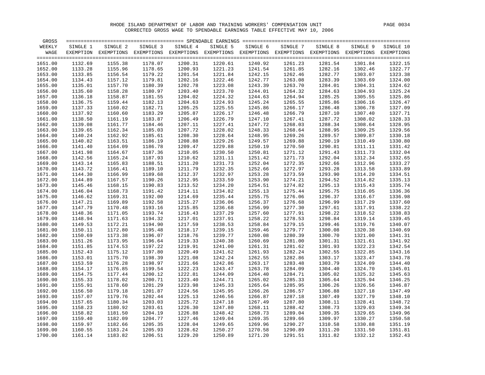| GROSS   |          |                                                                                                              |          |          |          |          |          |          |          |           |
|---------|----------|--------------------------------------------------------------------------------------------------------------|----------|----------|----------|----------|----------|----------|----------|-----------|
| WEEKLY  | SINGLE 1 | SINGLE 2                                                                                                     | SINGLE 3 | SINGLE 4 | SINGLE 5 | SINGLE 6 | SINGLE 7 | SINGLE 8 | SINGLE 9 | SINGLE 10 |
| WAGE    |          | EXEMPTION EXEMPTIONS EXEMPTIONS EXEMPTIONS EXEMPTIONS EXEMPTIONS EXEMPTIONS EXEMPTIONS EXEMPTIONS EXEMPTIONS |          |          |          |          |          |          |          |           |
|         |          |                                                                                                              |          |          |          |          |          |          |          |           |
| 1651.00 | 1132.69  | 1155.38                                                                                                      | 1178.07  | 1200.31  | 1220.61  | 1240.92  | 1261.23  | 1281.54  | 1301.84  | 1322.15   |
| 1652.00 | 1133.28  | 1155.96                                                                                                      | 1178.65  | 1200.93  | 1221.23  | 1241.54  | 1261.85  | 1282.16  | 1302.46  | 1322.77   |
| 1653.00 | 1133.85  | 1156.54                                                                                                      | 1179.22  | 1201.54  | 1221.84  | 1242.15  | 1262.46  | 1282.77  | 1303.07  | 1323.38   |
| 1654.00 | 1134.43  | 1157.12                                                                                                      | 1179.81  | 1202.16  | 1222.46  | 1242.77  | 1263.08  | 1283.39  | 1303.69  | 1324.00   |
| 1655.00 | 1135.01  | 1157.70                                                                                                      | 1180.39  | 1202.78  | 1223.08  | 1243.39  | 1263.70  | 1284.01  | 1304.31  | 1324.62   |
| 1656.00 | 1135.60  | 1158.28                                                                                                      | 1180.97  | 1203.40  | 1223.70  | 1244.01  | 1264.32  | 1284.63  | 1304.93  | 1325.24   |
| 1657.00 | 1136.18  | 1158.87                                                                                                      | 1181.55  | 1204.02  | 1224.32  | 1244.63  | 1264.94  | 1285.25  | 1305.55  | 1325.86   |
| 1658.00 | 1136.75  | 1159.44                                                                                                      | 1182.13  | 1204.63  | 1224.93  | 1245.24  | 1265.55  | 1285.86  | 1306.16  | 1326.47   |
| 1659.00 | 1137.33  | 1160.02                                                                                                      | 1182.71  | 1205.25  | 1225.55  | 1245.86  | 1266.17  | 1286.48  | 1306.78  | 1327.09   |
| 1660.00 | 1137.92  | 1160.60                                                                                                      | 1183.29  | 1205.87  | 1226.17  | 1246.48  | 1266.79  | 1287.10  | 1307.40  | 1327.71   |
| 1661.00 | 1138.50  | 1161.19                                                                                                      | 1183.87  | 1206.49  | 1226.79  | 1247.10  | 1267.41  | 1287.72  | 1308.02  | 1328.33   |
| 1662.00 | 1139.08  | 1161.77                                                                                                      | 1184.46  | 1207.11  | 1227.41  | 1247.72  | 1268.03  | 1288.34  | 1308.64  | 1328.95   |
| 1663.00 | 1139.65  | 1162.34                                                                                                      | 1185.03  | 1207.72  | 1228.02  | 1248.33  | 1268.64  | 1288.95  | 1309.25  | 1329.56   |
| 1664.00 | 1140.24  | 1162.92                                                                                                      | 1185.61  | 1208.30  | 1228.64  | 1248.95  | 1269.26  | 1289.57  | 1309.87  | 1330.18   |
| 1665.00 | 1140.82  | 1163.51                                                                                                      | 1186.19  | 1208.88  | 1229.26  | 1249.57  | 1269.88  | 1290.19  | 1310.49  | 1330.80   |
| 1666.00 | 1141.40  | 1164.09                                                                                                      | 1186.78  | 1209.47  | 1229.88  | 1250.19  | 1270.50  | 1290.81  | 1311.11  | 1331.42   |
| 1667.00 | 1141.98  | 1164.67                                                                                                      | 1187.36  | 1210.05  | 1230.50  | 1250.81  | 1271.12  | 1291.43  | 1311.73  | 1332.04   |
| 1668.00 | 1142.56  | 1165.24                                                                                                      | 1187.93  | 1210.62  | 1231.11  | 1251.42  | 1271.73  | 1292.04  | 1312.34  | 1332.65   |
| 1669.00 | 1143.14  | 1165.83                                                                                                      | 1188.51  | 1211.20  | 1231.73  | 1252.04  | 1272.35  | 1292.66  | 1312.96  | 1333.27   |
| 1670.00 | 1143.72  | 1166.41                                                                                                      | 1189.10  | 1211.79  | 1232.35  | 1252.66  | 1272.97  | 1293.28  | 1313.58  | 1333.89   |
| 1671.00 | 1144.30  | 1166.99                                                                                                      | 1189.68  | 1212.37  | 1232.97  | 1253.28  | 1273.59  | 1293.90  | 1314.20  | 1334.51   |
| 1672.00 | 1144.89  | 1167.57                                                                                                      | 1190.26  | 1212.95  | 1233.59  | 1253.90  | 1274.21  | 1294.52  | 1314.82  | 1335.13   |
| 1673.00 | 1145.46  | 1168.15                                                                                                      | 1190.83  | 1213.52  | 1234.20  | 1254.51  | 1274.82  | 1295.13  | 1315.43  | 1335.74   |
| 1674.00 | 1146.04  | 1168.73                                                                                                      | 1191.42  | 1214.11  | 1234.82  | 1255.13  | 1275.44  | 1295.75  | 1316.05  | 1336.36   |
| 1675.00 | 1146.62  | 1169.31                                                                                                      | 1192.00  | 1214.69  | 1235.44  | 1255.75  | 1276.06  | 1296.37  | 1316.67  | 1336.98   |
| 1676.00 | 1147.21  | 1169.89                                                                                                      | 1192.58  | 1215.27  | 1236.06  | 1256.37  | 1276.68  | 1296.99  | 1317.29  | 1337.60   |
| 1677.00 | 1147.79  | 1170.48                                                                                                      | 1193.16  | 1215.85  | 1236.68  | 1256.99  | 1277.30  | 1297.61  | 1317.91  | 1338.22   |
| 1678.00 | 1148.36  | 1171.05                                                                                                      | 1193.74  | 1216.43  | 1237.29  | 1257.60  | 1277.91  | 1298.22  | 1318.52  | 1338.83   |
| 1679.00 | 1148.94  | 1171.63                                                                                                      | 1194.32  | 1217.01  | 1237.91  | 1258.22  | 1278.53  | 1298.84  | 1319.14  | 1339.45   |
| 1680.00 | 1149.53  | 1172.21                                                                                                      | 1194.90  | 1217.59  | 1238.53  | 1258.84  | 1279.15  | 1299.46  | 1319.76  | 1340.07   |
| 1681.00 | 1150.11  | 1172.80                                                                                                      | 1195.48  | 1218.17  | 1239.15  | 1259.46  | 1279.77  | 1300.08  | 1320.38  | 1340.69   |
| 1682.00 | 1150.69  | 1173.38                                                                                                      | 1196.07  | 1218.76  | 1239.77  | 1260.08  | 1280.39  | 1300.70  | 1321.00  | 1341.31   |
| 1683.00 | 1151.26  | 1173.95                                                                                                      | 1196.64  | 1219.33  | 1240.38  | 1260.69  | 1281.00  | 1301.31  | 1321.61  | 1341.92   |
| 1684.00 | 1151.85  | 1174.53                                                                                                      | 1197.22  | 1219.91  | 1241.00  | 1261.31  | 1281.62  | 1301.93  | 1322.23  | 1342.54   |
| 1685.00 | 1152.43  | 1175.12                                                                                                      | 1197.80  | 1220.49  | 1241.62  | 1261.93  | 1282.24  | 1302.55  | 1322.85  | 1343.16   |
| 1686.00 | 1153.01  | 1175.70                                                                                                      | 1198.39  | 1221.08  | 1242.24  | 1262.55  | 1282.86  | 1303.17  | 1323.47  | 1343.78   |
| 1687.00 | 1153.59  | 1176.28                                                                                                      | 1198.97  | 1221.66  | 1242.86  | 1263.17  | 1283.48  | 1303.79  | 1324.09  | 1344.40   |
| 1688.00 | 1154.17  | 1176.85                                                                                                      | 1199.54  | 1222.23  | 1243.47  | 1263.78  | 1284.09  | 1304.40  | 1324.70  | 1345.01   |
| 1689.00 | 1154.75  | 1177.44                                                                                                      | 1200.12  | 1222.81  | 1244.09  | 1264.40  | 1284.71  | 1305.02  | 1325.32  | 1345.63   |
| 1690.00 | 1155.33  | 1178.02                                                                                                      | 1200.71  | 1223.40  | 1244.71  | 1265.02  | 1285.33  | 1305.64  | 1325.94  | 1346.25   |
| 1691.00 | 1155.91  | 1178.60                                                                                                      | 1201.29  | 1223.98  | 1245.33  | 1265.64  | 1285.95  | 1306.26  | 1326.56  | 1346.87   |
| 1692.00 | 1156.50  | 1179.18                                                                                                      | 1201.87  | 1224.56  | 1245.95  | 1266.26  | 1286.57  | 1306.88  | 1327.18  | 1347.49   |
| 1693.00 | 1157.07  | 1179.76                                                                                                      | 1202.44  | 1225.13  | 1246.56  | 1266.87  | 1287.18  | 1307.49  | 1327.79  | 1348.10   |
| 1694.00 | 1157.65  | 1180.34                                                                                                      | 1203.03  | 1225.72  | 1247.18  | 1267.49  | 1287.80  | 1308.11  | 1328.41  | 1348.72   |
| 1695.00 | 1158.23  | 1180.92                                                                                                      | 1203.61  | 1226.30  | 1247.80  | 1268.11  | 1288.42  | 1308.73  | 1329.03  | 1349.34   |
| 1696.00 | 1158.82  | 1181.50                                                                                                      | 1204.19  | 1226.88  | 1248.42  | 1268.73  | 1289.04  | 1309.35  | 1329.65  | 1349.96   |
| 1697.00 | 1159.40  | 1182.09                                                                                                      | 1204.77  | 1227.46  | 1249.04  | 1269.35  | 1289.66  | 1309.97  | 1330.27  | 1350.58   |
| 1698.00 | 1159.97  | 1182.66                                                                                                      | 1205.35  | 1228.04  | 1249.65  | 1269.96  | 1290.27  | 1310.58  | 1330.88  | 1351.19   |
| 1699.00 | 1160.55  | 1183.24                                                                                                      | 1205.93  | 1228.62  | 1250.27  | 1270.58  | 1290.89  | 1311.20  | 1331.50  | 1351.81   |
| 1700.00 | 1161.14  | 1183.82                                                                                                      | 1206.51  | 1229.20  | 1250.89  | 1271.20  | 1291.51  | 1311.82  | 1332.12  | 1352.43   |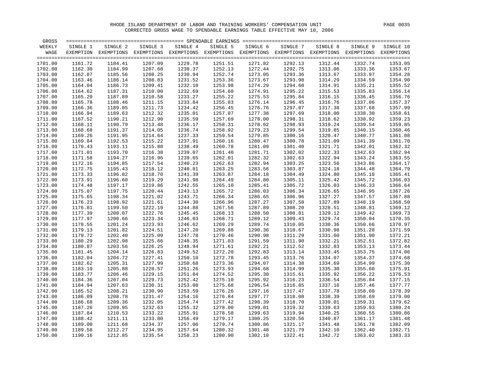| GROSS   |          |                                                                                                              |          |          |          |          |          |          |          |           |
|---------|----------|--------------------------------------------------------------------------------------------------------------|----------|----------|----------|----------|----------|----------|----------|-----------|
| WEEKLY  | SINGLE 1 | SINGLE 2                                                                                                     | SINGLE 3 | SINGLE 4 | SINGLE 5 | SINGLE 6 | SINGLE 7 | SINGLE 8 | SINGLE 9 | SINGLE 10 |
| WAGE    |          | EXEMPTION EXEMPTIONS EXEMPTIONS EXEMPTIONS EXEMPTIONS EXEMPTIONS EXEMPTIONS EXEMPTIONS EXEMPTIONS EXEMPTIONS |          |          |          |          |          |          |          |           |
|         |          |                                                                                                              |          |          |          |          |          |          |          |           |
| 1701.00 | 1161.72  | 1184.41                                                                                                      | 1207.09  | 1229.78  | 1251.51  | 1271.82  | 1292.13  | 1312.44  | 1332.74  | 1353.05   |
| 1702.00 | 1162.30  | 1184.99                                                                                                      | 1207.68  | 1230.37  | 1252.13  | 1272.44  | 1292.75  | 1313.06  | 1333.36  | 1353.67   |
| 1703.00 | 1162.87  | 1185.56                                                                                                      | 1208.25  | 1230.94  | 1252.74  | 1273.05  | 1293.36  | 1313.67  | 1333.97  | 1354.28   |
| 1704.00 | 1163.46  | 1186.14                                                                                                      | 1208.83  | 1231.52  | 1253.36  | 1273.67  | 1293.98  | 1314.29  | 1334.59  | 1354.90   |
|         |          | 1186.73                                                                                                      |          | 1232.10  | 1253.98  |          | 1294.60  |          |          | 1355.52   |
| 1705.00 | 1164.04  |                                                                                                              | 1209.41  |          |          | 1274.29  |          | 1314.91  | 1335.21  |           |
| 1706.00 | 1164.62  | 1187.31                                                                                                      | 1210.00  | 1232.69  | 1254.60  | 1274.91  | 1295.22  | 1315.53  | 1335.83  | 1356.14   |
| 1707.00 | 1165.20  | 1187.89                                                                                                      | 1210.58  | 1233.27  | 1255.22  | 1275.53  | 1295.84  | 1316.15  | 1336.45  | 1356.76   |
| 1708.00 | 1165.78  | 1188.46                                                                                                      | 1211.15  | 1233.84  | 1255.83  | 1276.14  | 1296.45  | 1316.76  | 1337.06  | 1357.37   |
| 1709.00 | 1166.36  | 1189.05                                                                                                      | 1211.73  | 1234.42  | 1256.45  | 1276.76  | 1297.07  | 1317.38  | 1337.68  | 1357.99   |
| 1710.00 | 1166.94  | 1189.63                                                                                                      | 1212.32  | 1235.01  | 1257.07  | 1277.38  | 1297.69  | 1318.00  | 1338.30  | 1358.61   |
| 1711.00 | 1167.52  | 1190.21                                                                                                      | 1212.90  | 1235.59  | 1257.69  | 1278.00  | 1298.31  | 1318.62  | 1338.92  | 1359.23   |
| 1712.00 | 1168.11  | 1190.79                                                                                                      | 1213.48  | 1236.17  | 1258.31  | 1278.62  | 1298.93  | 1319.24  | 1339.54  | 1359.85   |
| 1713.00 | 1168.68  | 1191.37                                                                                                      | 1214.05  | 1236.74  | 1258.92  | 1279.23  | 1299.54  | 1319.85  | 1340.15  | 1360.46   |
| 1714.00 | 1169.26  | 1191.95                                                                                                      | 1214.64  | 1237.33  | 1259.54  | 1279.85  | 1300.16  | 1320.47  | 1340.77  | 1361.08   |
| 1715.00 | 1169.84  | 1192.53                                                                                                      | 1215.22  | 1237.91  | 1260.16  | 1280.47  | 1300.78  | 1321.09  | 1341.39  | 1361.70   |
| 1716.00 | 1170.43  | 1193.11                                                                                                      | 1215.80  | 1238.49  | 1260.78  | 1281.09  | 1301.40  | 1321.71  | 1342.01  | 1362.32   |
| 1717.00 | 1171.01  | 1193.70                                                                                                      | 1216.38  | 1239.07  | 1261.40  | 1281.71  | 1302.02  | 1322.33  | 1342.63  | 1362.94   |
| 1718.00 | 1171.58  | 1194.27                                                                                                      | 1216.96  | 1239.65  | 1262.01  | 1282.32  | 1302.63  | 1322.94  | 1343.24  | 1363.55   |
| 1719.00 | 1172.16  | 1194.85                                                                                                      | 1217.54  | 1240.23  | 1262.63  | 1282.94  | 1303.25  | 1323.56  | 1343.86  | 1364.17   |
| 1720.00 | 1172.75  | 1195.43                                                                                                      | 1218.12  | 1240.81  | 1263.25  | 1283.56  | 1303.87  | 1324.18  | 1344.48  | 1364.79   |
| 1721.00 | 1173.33  | 1196.02                                                                                                      | 1218.70  | 1241.39  | 1263.87  | 1284.18  | 1304.49  | 1324.80  | 1345.10  | 1365.41   |
| 1722.00 | 1173.91  | 1196.60                                                                                                      | 1219.29  | 1241.98  | 1264.49  | 1284.80  | 1305.11  | 1325.42  | 1345.72  | 1366.03   |
| 1723.00 | 1174.48  | 1197.17                                                                                                      | 1219.86  | 1242.55  | 1265.10  | 1285.41  | 1305.72  | 1326.03  | 1346.33  | 1366.64   |
| 1724.00 | 1175.07  | 1197.75                                                                                                      | 1220.44  | 1243.13  | 1265.72  | 1286.03  | 1306.34  | 1326.65  | 1346.95  | 1367.26   |
| 1725.00 | 1175.65  | 1198.34                                                                                                      | 1221.02  | 1243.71  | 1266.34  | 1286.65  | 1306.96  | 1327.27  | 1347.57  | 1367.88   |
| 1726.00 | 1176.23  | 1198.92                                                                                                      | 1221.61  | 1244.30  | 1266.96  | 1287.27  | 1307.58  | 1327.89  | 1348.19  | 1368.50   |
| 1727.00 | 1176.81  | 1199.50                                                                                                      | 1222.19  | 1244.88  | 1267.56  | 1287.89  | 1308.20  | 1328.51  | 1348.81  | 1369.12   |
| 1728.00 | 1177.39  | 1200.07                                                                                                      | 1222.76  | 1245.45  | 1268.13  | 1288.50  | 1308.81  | 1329.12  | 1349.42  | 1369.73   |
| 1729.00 | 1177.97  | 1200.66                                                                                                      | 1223.34  | 1246.03  | 1268.71  | 1289.12  | 1309.43  | 1329.74  | 1350.04  | 1370.35   |
| 1730.00 | 1178.55  | 1201.24                                                                                                      | 1223.93  | 1246.62  | 1269.29  | 1289.74  | 1310.05  | 1330.36  | 1350.66  | 1370.97   |
| 1731.00 | 1179.13  | 1201.82                                                                                                      | 1224.51  | 1247.20  | 1269.88  | 1290.36  | 1310.67  | 1330.98  | 1351.28  | 1371.59   |
| 1732.00 | 1179.72  | 1202.40                                                                                                      | 1225.09  | 1247.78  | 1270.46  | 1290.98  | 1311.29  | 1331.60  | 1351.90  | 1372.21   |
| 1733.00 | 1180.29  | 1202.98                                                                                                      | 1225.66  | 1248.35  | 1271.03  | 1291.59  | 1311.90  | 1332.21  | 1352.51  | 1372.82   |
| 1734.00 | 1180.87  | 1203.56                                                                                                      | 1226.25  | 1248.94  | 1271.61  | 1292.21  | 1312.52  | 1332.83  | 1353.13  | 1373.44   |
| 1735.00 | 1181.45  | 1204.14                                                                                                      | 1226.83  | 1249.52  | 1272.20  | 1292.83  | 1313.14  | 1333.45  | 1353.75  | 1374.06   |
| 1736.00 | 1182.04  | 1204.72                                                                                                      | 1227.41  | 1250.10  | 1272.78  | 1293.45  | 1313.76  | 1334.07  | 1354.37  | 1374.68   |
| 1737.00 | 1182.62  | 1205.31                                                                                                      | 1227.99  | 1250.68  | 1273.36  | 1294.07  | 1314.38  | 1334.69  | 1354.99  | 1375.30   |
| 1738.00 | 1183.19  | 1205.88                                                                                                      | 1228.57  | 1251.26  | 1273.93  | 1294.68  | 1314.99  | 1335.30  | 1355.60  | 1375.91   |
| 1739.00 | 1183.77  | 1206.46                                                                                                      | 1229.15  | 1251.84  | 1274.52  | 1295.30  | 1315.61  | 1335.92  | 1356.22  | 1376.53   |
| 1740.00 | 1184.36  | 1207.04                                                                                                      | 1229.73  | 1252.42  | 1275.10  | 1295.92  | 1316.23  | 1336.54  | 1356.84  | 1377.15   |
| 1741.00 | 1184.94  | 1207.63                                                                                                      | 1230.31  | 1253.00  | 1275.68  | 1296.54  | 1316.85  | 1337.16  | 1357.46  | 1377.77   |
| 1742.00 |          | 1208.21                                                                                                      | 1230.90  | 1253.59  | 1276.26  | 1297.16  | 1317.47  | 1337.78  |          | 1378.39   |
|         | 1185.52  |                                                                                                              |          |          |          |          |          |          | 1358.08  |           |
| 1743.00 | 1186.09  | 1208.78                                                                                                      | 1231.47  | 1254.16  | 1276.84  | 1297.77  | 1318.08  | 1338.39  | 1358.69  | 1379.00   |
| 1744.00 | 1186.68  | 1209.36                                                                                                      | 1232.05  | 1254.74  | 1277.42  | 1298.39  | 1318.70  | 1339.01  | 1359.31  | 1379.62   |
| 1745.00 | 1187.26  | 1209.95                                                                                                      | 1232.63  | 1255.32  | 1278.00  | 1299.01  | 1319.32  | 1339.63  | 1359.93  | 1380.24   |
| 1746.00 | 1187.84  | 1210.53                                                                                                      | 1233.22  | 1255.91  | 1278.58  | 1299.63  | 1319.94  | 1340.25  | 1360.55  | 1380.86   |
| 1747.00 | 1188.42  | 1211.11                                                                                                      | 1233.80  | 1256.49  | 1279.17  | 1300.25  | 1320.56  | 1340.87  | 1361.17  | 1381.48   |
| 1748.00 | 1189.00  | 1211.68                                                                                                      | 1234.37  | 1257.06  | 1279.74  | 1300.86  | 1321.17  | 1341.48  | 1361.78  | 1382.09   |
| 1749.00 | 1189.58  | 1212.27                                                                                                      | 1234.95  | 1257.64  | 1280.32  | 1301.48  | 1321.79  | 1342.10  | 1362.40  | 1382.71   |
| 1750.00 | 1190.16  | 1212.85                                                                                                      | 1235.54  | 1258.23  | 1280.90  | 1302.10  | 1322.41  | 1342.72  | 1363.02  | 1383.33   |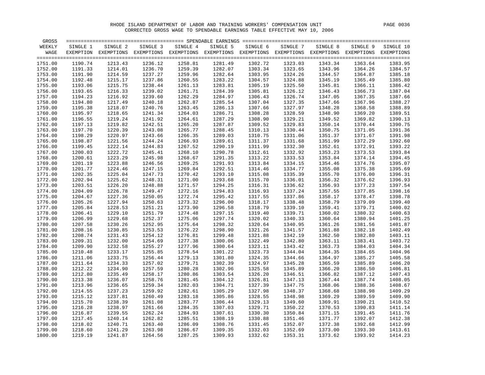| GROSS   |          |                                                                                                              |          |          |          |          |          |          |          |                    |
|---------|----------|--------------------------------------------------------------------------------------------------------------|----------|----------|----------|----------|----------|----------|----------|--------------------|
| WEEKLY  | SINGLE 1 | SINGLE 2                                                                                                     | SINGLE 3 | SINGLE 4 | SINGLE 5 | SINGLE 6 | SINGLE 7 | SINGLE 8 | SINGLE 9 | SINGLE 10          |
| WAGE    |          | EXEMPTION EXEMPTIONS EXEMPTIONS EXEMPTIONS EXEMPTIONS EXEMPTIONS EXEMPTIONS EXEMPTIONS EXEMPTIONS EXEMPTIONS |          |          |          |          |          |          |          |                    |
|         |          |                                                                                                              |          |          |          |          |          |          |          |                    |
| 1751.00 | 1190.74  | 1213.43                                                                                                      | 1236.12  | 1258.81  | 1281.49  | 1302.72  | 1323.03  | 1343.34  | 1363.64  | 1383.95            |
| 1752.00 | 1191.33  | 1214.01                                                                                                      | 1236.70  | 1259.39  | 1282.07  | 1303.34  | 1323.65  | 1343.96  | 1364.26  | 1384.57            |
| 1753.00 | 1191.90  | 1214.59                                                                                                      | 1237.27  | 1259.96  | 1282.64  | 1303.95  | 1324.26  | 1344.57  | 1364.87  | 1385.18            |
|         |          | 1215.17                                                                                                      |          | 1260.55  | 1283.22  |          | 1324.88  | 1345.19  |          | 1385.80            |
| 1754.00 | 1192.48  |                                                                                                              | 1237.86  |          |          | 1304.57  |          |          | 1365.49  |                    |
| 1755.00 | 1193.06  | 1215.75                                                                                                      | 1238.44  | 1261.13  | 1283.81  | 1305.19  | 1325.50  | 1345.81  | 1366.11  | 1386.42            |
| 1756.00 | 1193.65  | 1216.33                                                                                                      | 1239.02  | 1261.71  | 1284.39  | 1305.81  | 1326.12  | 1346.43  | 1366.73  | 1387.04            |
| 1757.00 | 1194.23  | 1216.92                                                                                                      | 1239.60  | 1262.29  | 1284.97  | 1306.43  | 1326.74  | 1347.05  | 1367.35  | 1387.66            |
| 1758.00 | 1194.80  | 1217.49                                                                                                      | 1240.18  | 1262.87  | 1285.54  | 1307.04  | 1327.35  | 1347.66  | 1367.96  | 1388.27            |
| 1759.00 | 1195.38  | 1218.07                                                                                                      | 1240.76  | 1263.45  | 1286.13  | 1307.66  | 1327.97  | 1348.28  | 1368.58  | 1388.89            |
| 1760.00 | 1195.97  | 1218.65                                                                                                      | 1241.34  | 1264.03  | 1286.71  | 1308.28  | 1328.59  | 1348.90  | 1369.20  | 1389.51            |
| 1761.00 | 1196.55  | 1219.24                                                                                                      | 1241.92  | 1264.61  | 1287.29  | 1308.90  | 1329.21  | 1349.52  | 1369.82  | 1390.13            |
| 1762.00 | 1197.13  | 1219.82                                                                                                      | 1242.51  | 1265.20  | 1287.87  | 1309.52  | 1329.83  | 1350.14  | 1370.44  | 1390.75            |
| 1763.00 | 1197.70  | 1220.39                                                                                                      | 1243.08  | 1265.77  | 1288.45  | 1310.13  | 1330.44  | 1350.75  | 1371.05  | 1391.36            |
| 1764.00 | 1198.29  | 1220.97                                                                                                      | 1243.66  | 1266.35  | 1289.03  | 1310.75  | 1331.06  | 1351.37  | 1371.67  | 1391.98            |
| 1765.00 | 1198.87  | 1221.56                                                                                                      | 1244.24  | 1266.93  | 1289.61  | 1311.37  | 1331.68  | 1351.99  | 1372.29  | 1392.60            |
| 1766.00 | 1199.45  | 1222.14                                                                                                      | 1244.83  | 1267.52  | 1290.19  | 1311.99  | 1332.30  | 1352.61  | 1372.91  | 1393.22            |
| 1767.00 | 1200.03  | 1222.72                                                                                                      | 1245.41  | 1268.10  | 1290.78  | 1312.61  | 1332.92  | 1353.23  | 1373.53  | 1393.84            |
| 1768.00 | 1200.61  | 1223.29                                                                                                      | 1245.98  | 1268.67  | 1291.35  | 1313.22  | 1333.53  | 1353.84  | 1374.14  | 1394.45            |
| 1769.00 | 1201.19  | 1223.88                                                                                                      | 1246.56  | 1269.25  | 1291.93  | 1313.84  | 1334.15  | 1354.46  | 1374.76  | 1395.07            |
| 1770.00 | 1201.77  | 1224.46                                                                                                      | 1247.15  | 1269.84  | 1292.51  | 1314.46  | 1334.77  | 1355.08  | 1375.38  | 1395.69            |
| 1771.00 | 1202.35  | 1225.04                                                                                                      | 1247.73  | 1270.42  | 1293.10  | 1315.08  | 1335.39  | 1355.70  | 1376.00  | 1396.31            |
| 1772.00 | 1202.94  | 1225.62                                                                                                      | 1248.31  | 1271.00  | 1293.68  | 1315.70  | 1336.01  | 1356.32  | 1376.62  | 1396.93            |
| 1773.00 | 1203.51  | 1226.20                                                                                                      | 1248.88  | 1271.57  | 1294.25  | 1316.31  | 1336.62  | 1356.93  | 1377.23  | 1397.54            |
| 1774.00 | 1204.09  | 1226.78                                                                                                      | 1249.47  | 1272.16  | 1294.83  | 1316.93  | 1337.24  | 1357.55  | 1377.85  | 1398.16            |
| 1775.00 | 1204.67  | 1227.36                                                                                                      | 1250.05  | 1272.74  | 1295.42  | 1317.55  | 1337.86  | 1358.17  | 1378.47  | 1398.78            |
| 1776.00 | 1205.26  | 1227.94                                                                                                      | 1250.63  | 1273.32  | 1296.00  | 1318.17  | 1338.48  | 1358.79  | 1379.09  | 1399.40            |
| 1777.00 | 1205.84  | 1228.53                                                                                                      | 1251.21  | 1273.90  | 1296.58  | 1318.79  | 1339.10  | 1359.41  | 1379.71  | 1400.02            |
| 1778.00 | 1206.41  | 1229.10                                                                                                      | 1251.79  | 1274.48  | 1297.15  | 1319.40  | 1339.71  | 1360.02  | 1380.32  | 1400.63            |
| 1779.00 | 1206.99  | 1229.68                                                                                                      | 1252.37  | 1275.06  | 1297.74  | 1320.02  | 1340.33  | 1360.64  | 1380.94  | 1401.25            |
| 1780.00 | 1207.58  | 1230.26                                                                                                      | 1252.95  | 1275.64  | 1298.32  | 1320.64  | 1340.95  | 1361.26  | 1381.56  | 1401.87            |
| 1781.00 | 1208.16  | 1230.85                                                                                                      | 1253.53  | 1276.22  | 1298.90  | 1321.26  | 1341.57  | 1361.88  | 1382.18  | 1402.49            |
| 1782.00 | 1208.74  | 1231.43                                                                                                      | 1254.12  | 1276.81  | 1299.48  | 1321.88  | 1342.19  | 1362.50  | 1382.80  | 1403.11            |
| 1783.00 | 1209.31  | 1232.00                                                                                                      | 1254.69  | 1277.38  | 1300.06  | 1322.49  | 1342.80  | 1363.11  | 1383.41  | 1403.72            |
| 1784.00 | 1209.90  | 1232.58                                                                                                      | 1255.27  | 1277.96  | 1300.64  | 1323.11  | 1343.42  | 1363.73  | 1384.03  | 1404.34            |
| 1785.00 | 1210.48  | 1233.17                                                                                                      | 1255.85  | 1278.54  | 1301.22  | 1323.73  | 1344.04  | 1364.35  | 1384.65  | 1404.96            |
| 1786.00 | 1211.06  | 1233.75                                                                                                      | 1256.44  | 1279.13  | 1301.80  | 1324.35  | 1344.66  | 1364.97  | 1385.27  | 1405.58            |
| 1787.00 | 1211.64  | 1234.33                                                                                                      | 1257.02  | 1279.71  | 1302.39  | 1324.97  | 1345.28  | 1365.59  | 1385.89  | 1406.20            |
| 1788.00 | 1212.22  | 1234.90                                                                                                      | 1257.59  | 1280.28  | 1302.96  | 1325.58  | 1345.89  | 1366.20  | 1386.50  | 1406.81            |
| 1789.00 | 1212.80  | 1235.49                                                                                                      | 1258.17  | 1280.86  | 1303.54  | 1326.20  | 1346.51  | 1366.82  | 1387.12  | 1407.43            |
| 1790.00 | 1213.38  | 1236.07                                                                                                      | 1258.76  | 1281.45  | 1304.12  | 1326.81  | 1347.13  | 1367.44  | 1387.74  | 1408.05            |
| 1791.00 | 1213.96  | 1236.65                                                                                                      | 1259.34  | 1282.03  | 1304.71  | 1327.39  | 1347.75  | 1368.06  | 1388.36  | 1408.67            |
| 1792.00 | 1214.55  | 1237.23                                                                                                      | 1259.92  | 1282.61  | 1305.29  | 1327.98  | 1348.37  | 1368.68  | 1388.98  | 1409.29            |
| 1793.00 | 1215.12  |                                                                                                              | 1260.49  |          |          |          |          | 1369.29  |          | 1409.90            |
|         |          | 1237.81                                                                                                      |          | 1283.18  | 1305.86  | 1328.55  | 1348.98  |          | 1389.59  |                    |
| 1794.00 | 1215.70  | 1238.39                                                                                                      | 1261.08  | 1283.77  | 1306.44  | 1329.13  | 1349.60  | 1369.91  | 1390.21  | 1410.52            |
| 1795.00 | 1216.28  | 1238.97                                                                                                      | 1261.66  | 1284.35  | 1307.03  | 1329.71  | 1350.22  | 1370.53  | 1390.83  | 1411.14<br>1411.76 |
| 1796.00 | 1216.87  | 1239.55                                                                                                      | 1262.24  | 1284.93  | 1307.61  | 1330.30  | 1350.84  | 1371.15  | 1391.45  |                    |
| 1797.00 | 1217.45  | 1240.14                                                                                                      | 1262.82  | 1285.51  | 1308.19  | 1330.88  | 1351.46  | 1371.77  | 1392.07  | 1412.38            |
| 1798.00 | 1218.02  | 1240.71                                                                                                      | 1263.40  | 1286.09  | 1308.76  | 1331.45  | 1352.07  | 1372.38  | 1392.68  | 1412.99            |
| 1799.00 | 1218.60  | 1241.29                                                                                                      | 1263.98  | 1286.67  | 1309.35  | 1332.03  | 1352.69  | 1373.00  | 1393.30  | 1413.61            |
| 1800.00 | 1219.19  | 1241.87                                                                                                      | 1264.56  | 1287.25  | 1309.93  | 1332.62  | 1353.31  | 1373.62  | 1393.92  | 1414.23            |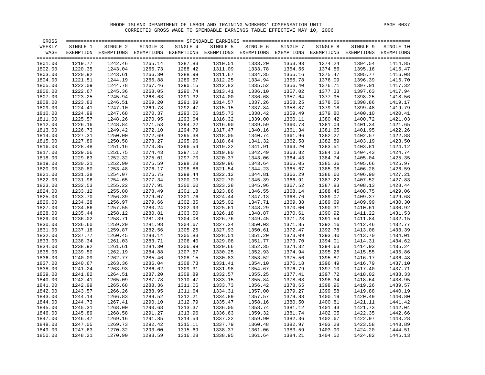| GROSS   |          |          |          |          |          |                                                                                                              |          |          |          |           |
|---------|----------|----------|----------|----------|----------|--------------------------------------------------------------------------------------------------------------|----------|----------|----------|-----------|
| WEEKLY  | SINGLE 1 | SINGLE 2 | SINGLE 3 | SINGLE 4 | SINGLE 5 | SINGLE 6                                                                                                     | SINGLE 7 | SINGLE 8 | SINGLE 9 | SINGLE 10 |
| WAGE    |          |          |          |          |          | EXEMPTION EXEMPTIONS EXEMPTIONS EXEMPTIONS EXEMPTIONS EXEMPTIONS EXEMPTIONS EXEMPTIONS EXEMPTIONS EXEMPTIONS |          |          |          |           |
|         |          |          |          |          |          |                                                                                                              |          |          |          |           |
| 1801.00 | 1219.77  | 1242.46  | 1265.14  | 1287.83  | 1310.51  | 1333.20                                                                                                      | 1353.93  | 1374.24  | 1394.54  | 1414.85   |
| 1802.00 | 1220.35  | 1243.04  | 1265.73  | 1288.42  | 1311.09  | 1333.78                                                                                                      | 1354.55  | 1374.86  | 1395.16  | 1415.47   |
| 1803.00 | 1220.92  | 1243.61  | 1266.30  | 1288.99  | 1311.67  | 1334.35                                                                                                      | 1355.16  | 1375.47  | 1395.77  | 1416.08   |
|         |          |          |          |          |          |                                                                                                              |          |          |          |           |
| 1804.00 | 1221.51  | 1244.19  | 1266.88  | 1289.57  | 1312.25  | 1334.94                                                                                                      | 1355.78  | 1376.09  | 1396.39  | 1416.70   |
| 1805.00 | 1222.09  | 1244.78  | 1267.46  | 1290.15  | 1312.83  | 1335.52                                                                                                      | 1356.40  | 1376.71  | 1397.01  | 1417.32   |
| 1806.00 | 1222.67  | 1245.36  | 1268.05  | 1290.74  | 1313.41  | 1336.10                                                                                                      | 1357.02  | 1377.33  | 1397.63  | 1417.94   |
| 1807.00 | 1223.25  | 1245.94  | 1268.63  | 1291.32  | 1314.00  | 1336.68                                                                                                      | 1357.64  | 1377.95  | 1398.25  | 1418.56   |
| 1808.00 | 1223.83  | 1246.51  | 1269.20  | 1291.89  | 1314.57  | 1337.26                                                                                                      | 1358.25  | 1378.56  | 1398.86  | 1419.17   |
| 1809.00 | 1224.41  | 1247.10  | 1269.78  | 1292.47  | 1315.15  | 1337.84                                                                                                      | 1358.87  | 1379.18  | 1399.48  | 1419.79   |
| 1810.00 | 1224.99  | 1247.68  | 1270.37  | 1293.06  | 1315.73  | 1338.42                                                                                                      | 1359.49  | 1379.80  | 1400.10  | 1420.41   |
| 1811.00 | 1225.57  | 1248.26  | 1270.95  | 1293.64  | 1316.32  | 1339.00                                                                                                      | 1360.11  | 1380.42  | 1400.72  | 1421.03   |
| 1812.00 | 1226.16  | 1248.84  | 1271.53  | 1294.22  | 1316.90  | 1339.59                                                                                                      | 1360.73  | 1381.04  | 1401.34  | 1421.65   |
| 1813.00 | 1226.73  | 1249.42  | 1272.10  | 1294.79  | 1317.47  | 1340.16                                                                                                      | 1361.34  | 1381.65  | 1401.95  | 1422.26   |
| 1814.00 | 1227.31  | 1250.00  | 1272.69  | 1295.38  | 1318.05  | 1340.74                                                                                                      | 1361.96  | 1382.27  | 1402.57  | 1422.88   |
| 1815.00 | 1227.89  | 1250.58  | 1273.27  | 1295.96  | 1318.64  | 1341.32                                                                                                      | 1362.58  | 1382.89  | 1403.19  | 1423.50   |
| 1816.00 | 1228.48  | 1251.16  | 1273.85  | 1296.54  | 1319.22  | 1341.91                                                                                                      | 1363.20  | 1383.51  | 1403.81  | 1424.12   |
| 1817.00 | 1229.06  | 1251.75  | 1274.43  | 1297.12  | 1319.80  | 1342.49                                                                                                      | 1363.82  | 1384.13  |          | 1424.74   |
|         |          |          |          |          |          |                                                                                                              |          |          | 1404.43  |           |
| 1818.00 | 1229.63  | 1252.32  | 1275.01  | 1297.70  | 1320.37  | 1343.06                                                                                                      | 1364.43  | 1384.74  | 1405.04  | 1425.35   |
| 1819.00 | 1230.21  | 1252.90  | 1275.59  | 1298.28  | 1320.96  | 1343.64                                                                                                      | 1365.05  | 1385.36  | 1405.66  | 1425.97   |
| 1820.00 | 1230.80  | 1253.48  | 1276.17  | 1298.86  | 1321.54  | 1344.23                                                                                                      | 1365.67  | 1385.98  | 1406.28  | 1426.59   |
| 1821.00 | 1231.38  | 1254.07  | 1276.75  | 1299.44  | 1322.12  | 1344.81                                                                                                      | 1366.29  | 1386.60  | 1406.90  | 1427.21   |
| 1822.00 | 1231.96  | 1254.65  | 1277.34  | 1300.03  | 1322.70  | 1345.39                                                                                                      | 1366.91  | 1387.22  | 1407.52  | 1427.83   |
| 1823.00 | 1232.53  | 1255.22  | 1277.91  | 1300.60  | 1323.28  | 1345.96                                                                                                      | 1367.52  | 1387.83  | 1408.13  | 1428.44   |
| 1824.00 | 1233.12  | 1255.80  | 1278.49  | 1301.18  | 1323.86  | 1346.55                                                                                                      | 1368.14  | 1388.45  | 1408.75  | 1429.06   |
| 1825.00 | 1233.70  | 1256.39  | 1279.07  | 1301.76  | 1324.44  | 1347.13                                                                                                      | 1368.76  | 1389.07  | 1409.37  | 1429.68   |
| 1826.00 | 1234.28  | 1256.97  | 1279.66  | 1302.35  | 1325.02  | 1347.71                                                                                                      | 1369.38  | 1389.69  | 1409.99  | 1430.30   |
| 1827.00 | 1234.86  | 1257.55  | 1280.24  | 1302.93  | 1325.61  | 1348.29                                                                                                      | 1370.00  | 1390.31  | 1410.61  | 1430.92   |
| 1828.00 | 1235.44  | 1258.12  | 1280.81  | 1303.50  | 1326.18  | 1348.87                                                                                                      | 1370.61  | 1390.92  | 1411.22  | 1431.53   |
| 1829.00 | 1236.02  | 1258.71  | 1281.39  | 1304.08  | 1326.76  | 1349.45                                                                                                      | 1371.23  | 1391.54  | 1411.84  | 1432.15   |
| 1830.00 | 1236.60  | 1259.29  | 1281.98  | 1304.67  | 1327.34  | 1350.03                                                                                                      | 1371.85  | 1392.16  | 1412.46  | 1432.77   |
| 1831.00 | 1237.18  | 1259.87  | 1282.56  | 1305.25  | 1327.93  | 1350.61                                                                                                      | 1372.47  | 1392.78  | 1413.08  | 1433.39   |
| 1832.00 | 1237.77  | 1260.45  | 1283.14  | 1305.83  | 1328.51  | 1351.20                                                                                                      | 1373.09  | 1393.40  | 1413.70  | 1434.01   |
| 1833.00 | 1238.34  | 1261.03  | 1283.71  | 1306.40  | 1329.08  | 1351.77                                                                                                      | 1373.70  | 1394.01  | 1414.31  | 1434.62   |
|         | 1238.92  | 1261.61  |          |          |          |                                                                                                              | 1374.32  |          |          |           |
| 1834.00 |          |          | 1284.30  | 1306.99  | 1329.66  | 1352.35                                                                                                      |          | 1394.63  | 1414.93  | 1435.24   |
| 1835.00 | 1239.50  | 1262.19  | 1284.88  | 1307.57  | 1330.25  | 1352.93                                                                                                      | 1374.94  | 1395.25  | 1415.55  | 1435.86   |
| 1836.00 | 1240.09  | 1262.77  | 1285.46  | 1308.15  | 1330.83  | 1353.52                                                                                                      | 1375.56  | 1395.87  | 1416.17  | 1436.48   |
| 1837.00 | 1240.67  | 1263.36  | 1286.04  | 1308.73  | 1331.41  | 1354.10                                                                                                      | 1376.18  | 1396.49  | 1416.79  | 1437.10   |
| 1838.00 | 1241.24  | 1263.93  | 1286.62  | 1309.31  | 1331.98  | 1354.67                                                                                                      | 1376.79  | 1397.10  | 1417.40  | 1437.71   |
| 1839.00 | 1241.82  | 1264.51  | 1287.20  | 1309.89  | 1332.57  | 1355.25                                                                                                      | 1377.41  | 1397.72  | 1418.02  | 1438.33   |
| 1840.00 | 1242.41  | 1265.09  | 1287.78  | 1310.47  | 1333.15  | 1355.84                                                                                                      | 1378.03  | 1398.34  | 1418.64  | 1438.95   |
| 1841.00 | 1242.99  | 1265.68  | 1288.36  | 1311.05  | 1333.73  | 1356.42                                                                                                      | 1378.65  | 1398.96  | 1419.26  | 1439.57   |
| 1842.00 | 1243.57  | 1266.26  | 1288.95  | 1311.64  | 1334.31  | 1357.00                                                                                                      | 1379.27  | 1399.58  | 1419.88  | 1440.19   |
| 1843.00 | 1244.14  | 1266.83  | 1289.52  | 1312.21  | 1334.89  | 1357.57                                                                                                      | 1379.88  | 1400.19  | 1420.49  | 1440.80   |
| 1844.00 | 1244.73  | 1267.41  | 1290.10  | 1312.79  | 1335.47  | 1358.16                                                                                                      | 1380.50  | 1400.81  | 1421.11  | 1441.42   |
| 1845.00 | 1245.31  | 1268.00  | 1290.68  | 1313.37  | 1336.05  | 1358.74                                                                                                      | 1381.12  | 1401.43  | 1421.73  | 1442.04   |
| 1846.00 | 1245.89  | 1268.58  | 1291.27  | 1313.96  | 1336.63  | 1359.32                                                                                                      | 1381.74  | 1402.05  | 1422.35  | 1442.66   |
| 1847.00 | 1246.47  | 1269.16  | 1291.85  | 1314.54  | 1337.22  | 1359.90                                                                                                      | 1382.36  | 1402.67  | 1422.97  | 1443.28   |
| 1848.00 | 1247.05  | 1269.73  | 1292.42  | 1315.11  | 1337.79  | 1360.48                                                                                                      | 1382.97  | 1403.28  | 1423.58  | 1443.89   |
| 1849.00 | 1247.63  | 1270.32  | 1293.00  | 1315.69  | 1338.37  | 1361.06                                                                                                      | 1383.59  | 1403.90  | 1424.20  | 1444.51   |
|         |          |          |          |          |          |                                                                                                              |          |          |          |           |
| 1850.00 | 1248.21  | 1270.90  | 1293.59  | 1316.28  | 1338.95  | 1361.64                                                                                                      | 1384.21  | 1404.52  | 1424.82  | 1445.13   |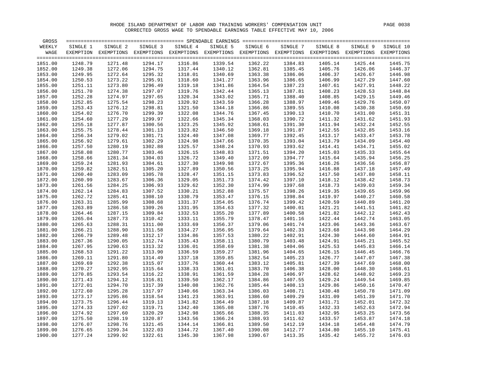| GROSS   |          |                                                                                                              |          |          |          |          |          |          |          |           |
|---------|----------|--------------------------------------------------------------------------------------------------------------|----------|----------|----------|----------|----------|----------|----------|-----------|
| WEEKLY  | SINGLE 1 | SINGLE 2                                                                                                     | SINGLE 3 | SINGLE 4 | SINGLE 5 | SINGLE 6 | SINGLE 7 | SINGLE 8 | SINGLE 9 | SINGLE 10 |
| WAGE    |          | EXEMPTION EXEMPTIONS EXEMPTIONS EXEMPTIONS EXEMPTIONS EXEMPTIONS EXEMPTIONS EXEMPTIONS EXEMPTIONS EXEMPTIONS |          |          |          |          |          |          |          |           |
|         |          |                                                                                                              |          |          |          |          |          |          |          |           |
| 1851.00 | 1248.79  | 1271.48                                                                                                      | 1294.17  | 1316.86  | 1339.54  | 1362.22  | 1384.83  | 1405.14  | 1425.44  | 1445.75   |
| 1852.00 | 1249.38  | 1272.06                                                                                                      | 1294.75  | 1317.44  | 1340.12  | 1362.81  | 1385.45  | 1405.76  | 1426.06  | 1446.37   |
| 1853.00 | 1249.95  | 1272.64                                                                                                      | 1295.32  | 1318.01  | 1340.69  | 1363.38  | 1386.06  | 1406.37  | 1426.67  | 1446.98   |
| 1854.00 | 1250.53  | 1273.22                                                                                                      | 1295.91  | 1318.60  | 1341.27  | 1363.96  | 1386.65  | 1406.99  | 1427.29  | 1447.60   |
| 1855.00 | 1251.11  | 1273.80                                                                                                      | 1296.49  | 1319.18  | 1341.86  | 1364.54  | 1387.23  | 1407.61  | 1427.91  | 1448.22   |
|         |          |                                                                                                              |          |          |          |          | 1387.81  |          |          | 1448.84   |
| 1856.00 | 1251.70  | 1274.38                                                                                                      | 1297.07  | 1319.76  | 1342.44  | 1365.13  |          | 1408.23  | 1428.53  |           |
| 1857.00 | 1252.28  | 1274.97                                                                                                      | 1297.65  | 1320.34  | 1343.02  | 1365.71  | 1388.40  | 1408.85  | 1429.15  | 1449.46   |
| 1858.00 | 1252.85  | 1275.54                                                                                                      | 1298.23  | 1320.92  | 1343.59  | 1366.28  | 1388.97  | 1409.46  | 1429.76  | 1450.07   |
| 1859.00 | 1253.43  | 1276.12                                                                                                      | 1298.81  | 1321.50  | 1344.18  | 1366.86  | 1389.55  | 1410.08  | 1430.38  | 1450.69   |
| 1860.00 | 1254.02  | 1276.70                                                                                                      | 1299.39  | 1322.08  | 1344.76  | 1367.45  | 1390.13  | 1410.70  | 1431.00  | 1451.31   |
| 1861.00 | 1254.60  | 1277.29                                                                                                      | 1299.97  | 1322.66  | 1345.34  | 1368.03  | 1390.72  | 1411.32  | 1431.62  | 1451.93   |
| 1862.00 | 1255.18  | 1277.87                                                                                                      | 1300.56  | 1323.25  | 1345.92  | 1368.61  | 1391.30  | 1411.94  | 1432.24  | 1452.55   |
| 1863.00 | 1255.75  | 1278.44                                                                                                      | 1301.13  | 1323.82  | 1346.50  | 1369.18  | 1391.87  | 1412.55  | 1432.85  | 1453.16   |
| 1864.00 | 1256.34  | 1279.02                                                                                                      | 1301.71  | 1324.40  | 1347.08  | 1369.77  | 1392.45  | 1413.17  | 1433.47  | 1453.78   |
| 1865.00 | 1256.92  | 1279.61                                                                                                      | 1302.29  | 1324.98  | 1347.66  | 1370.35  | 1393.04  | 1413.79  | 1434.09  | 1454.40   |
| 1866.00 | 1257.50  | 1280.19                                                                                                      | 1302.88  | 1325.57  | 1348.24  | 1370.93  | 1393.62  | 1414.41  | 1434.71  | 1455.02   |
| 1867.00 | 1258.08  | 1280.77                                                                                                      | 1303.46  | 1326.15  | 1348.83  | 1371.51  | 1394.20  | 1415.03  | 1435.33  | 1455.64   |
| 1868.00 | 1258.66  | 1281.34                                                                                                      | 1304.03  | 1326.72  | 1349.40  | 1372.09  | 1394.77  | 1415.64  | 1435.94  | 1456.25   |
| 1869.00 | 1259.24  | 1281.93                                                                                                      | 1304.61  | 1327.30  | 1349.98  | 1372.67  | 1395.36  | 1416.26  | 1436.56  | 1456.87   |
| 1870.00 | 1259.82  | 1282.51                                                                                                      | 1305.20  | 1327.89  | 1350.56  | 1373.25  | 1395.94  | 1416.88  | 1437.18  | 1457.49   |
| 1871.00 | 1260.40  | 1283.09                                                                                                      | 1305.78  | 1328.47  | 1351.15  | 1373.83  | 1396.52  | 1417.50  | 1437.80  | 1458.11   |
| 1872.00 | 1260.99  | 1283.67                                                                                                      | 1306.36  | 1329.05  | 1351.73  | 1374.42  | 1397.10  | 1418.12  | 1438.42  | 1458.73   |
| 1873.00 | 1261.56  | 1284.25                                                                                                      | 1306.93  | 1329.62  | 1352.30  | 1374.99  | 1397.68  | 1418.73  | 1439.03  | 1459.34   |
| 1874.00 | 1262.14  | 1284.83                                                                                                      | 1307.52  | 1330.21  | 1352.88  | 1375.57  | 1398.26  | 1419.35  | 1439.65  | 1459.96   |
| 1875.00 | 1262.72  | 1285.41                                                                                                      | 1308.10  | 1330.79  | 1353.47  | 1376.15  | 1398.84  | 1419.97  | 1440.27  | 1460.58   |
| 1876.00 | 1263.31  | 1285.99                                                                                                      | 1308.68  | 1331.37  | 1354.05  | 1376.74  | 1399.42  | 1420.59  | 1440.89  | 1461.20   |
| 1877.00 | 1263.89  | 1286.58                                                                                                      | 1309.26  | 1331.95  | 1354.63  | 1377.32  | 1400.01  | 1421.21  | 1441.51  | 1461.82   |
| 1878.00 | 1264.46  | 1287.15                                                                                                      | 1309.84  | 1332.53  | 1355.20  | 1377.89  | 1400.58  | 1421.82  | 1442.12  | 1462.43   |
| 1879.00 | 1265.04  | 1287.73                                                                                                      | 1310.42  | 1333.11  | 1355.79  | 1378.47  | 1401.16  | 1422.44  | 1442.74  | 1463.05   |
| 1880.00 | 1265.63  | 1288.31                                                                                                      | 1311.00  | 1333.69  | 1356.37  | 1379.06  | 1401.74  | 1423.06  | 1443.36  | 1463.67   |
| 1881.00 | 1266.21  | 1288.90                                                                                                      | 1311.58  | 1334.27  | 1356.95  | 1379.64  | 1402.33  | 1423.68  | 1443.98  | 1464.29   |
| 1882.00 | 1266.79  | 1289.48                                                                                                      | 1312.17  | 1334.86  | 1357.53  | 1380.22  | 1402.91  | 1424.30  | 1444.60  | 1464.91   |
| 1883.00 | 1267.36  | 1290.05                                                                                                      | 1312.74  | 1335.43  | 1358.11  | 1380.79  | 1403.48  | 1424.91  | 1445.21  | 1465.52   |
| 1884.00 | 1267.95  | 1290.63                                                                                                      | 1313.32  | 1336.01  | 1358.69  | 1381.38  | 1404.06  | 1425.53  | 1445.83  | 1466.14   |
| 1885.00 | 1268.53  | 1291.22                                                                                                      | 1313.90  | 1336.59  | 1359.27  | 1381.96  | 1404.65  | 1426.15  | 1446.45  | 1466.76   |
| 1886.00 | 1269.11  | 1291.80                                                                                                      | 1314.49  | 1337.18  | 1359.85  | 1382.54  | 1405.23  | 1426.77  | 1447.07  | 1467.38   |
| 1887.00 | 1269.69  | 1292.38                                                                                                      | 1315.07  | 1337.76  | 1360.44  | 1383.12  | 1405.81  | 1427.39  | 1447.69  | 1468.00   |
| 1888.00 | 1270.27  | 1292.95                                                                                                      | 1315.64  | 1338.33  | 1361.01  | 1383.70  | 1406.38  | 1428.00  | 1448.30  | 1468.61   |
| 1889.00 | 1270.85  | 1293.54                                                                                                      | 1316.22  | 1338.91  | 1361.59  | 1384.28  | 1406.97  | 1428.62  | 1448.92  | 1469.23   |
| 1890.00 | 1271.43  | 1294.12                                                                                                      | 1316.81  | 1339.50  | 1362.17  | 1384.86  | 1407.55  | 1429.24  | 1449.54  | 1469.85   |
| 1891.00 | 1272.01  | 1294.70                                                                                                      | 1317.39  | 1340.08  | 1362.76  | 1385.44  | 1408.13  | 1429.86  | 1450.16  | 1470.47   |
| 1892.00 | 1272.60  | 1295.28                                                                                                      | 1317.97  | 1340.66  | 1363.34  | 1386.03  | 1408.71  | 1430.48  | 1450.78  | 1471.09   |
|         | 1273.17  |                                                                                                              |          |          |          |          | 1409.29  |          | 1451.39  |           |
| 1893.00 |          | 1295.86                                                                                                      | 1318.54  | 1341.23  | 1363.91  | 1386.60  |          | 1431.09  |          | 1471.70   |
| 1894.00 | 1273.75  | 1296.44                                                                                                      | 1319.13  | 1341.82  | 1364.49  | 1387.18  | 1409.87  | 1431.71  | 1452.01  | 1472.32   |
| 1895.00 | 1274.33  | 1297.02                                                                                                      | 1319.71  | 1342.40  | 1365.08  | 1387.76  | 1410.45  | 1432.33  | 1452.63  | 1472.94   |
| 1896.00 | 1274.92  | 1297.60                                                                                                      | 1320.29  | 1342.98  | 1365.66  | 1388.35  | 1411.03  | 1432.95  | 1453.25  | 1473.56   |
| 1897.00 | 1275.50  | 1298.19                                                                                                      | 1320.87  | 1343.56  | 1366.24  | 1388.93  | 1411.62  | 1433.57  | 1453.87  | 1474.18   |
| 1898.00 | 1276.07  | 1298.76                                                                                                      | 1321.45  | 1344.14  | 1366.81  | 1389.50  | 1412.19  | 1434.18  | 1454.48  | 1474.79   |
| 1899.00 | 1276.65  | 1299.34                                                                                                      | 1322.03  | 1344.72  | 1367.40  | 1390.08  | 1412.77  | 1434.80  | 1455.10  | 1475.41   |
| 1900.00 | 1277.24  | 1299.92                                                                                                      | 1322.61  | 1345.30  | 1367.98  | 1390.67  | 1413.35  | 1435.42  | 1455.72  | 1476.03   |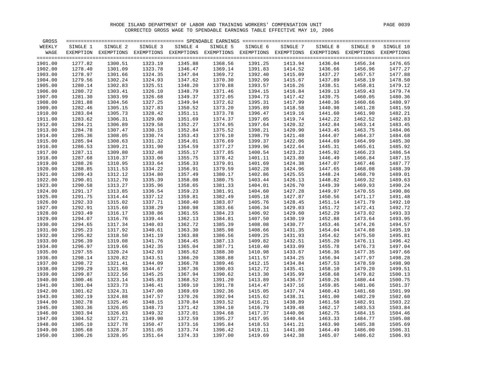| GROSS   |          |                                                                                                              |          |          |          |          |          |          |          |           |
|---------|----------|--------------------------------------------------------------------------------------------------------------|----------|----------|----------|----------|----------|----------|----------|-----------|
| WEEKLY  | SINGLE 1 | SINGLE 2                                                                                                     | SINGLE 3 | SINGLE 4 | SINGLE 5 | SINGLE 6 | SINGLE 7 | SINGLE 8 | SINGLE 9 | SINGLE 10 |
| WAGE    |          | EXEMPTION EXEMPTIONS EXEMPTIONS EXEMPTIONS EXEMPTIONS EXEMPTIONS EXEMPTIONS EXEMPTIONS EXEMPTIONS EXEMPTIONS |          |          |          |          |          |          |          |           |
|         |          |                                                                                                              |          |          |          |          |          |          |          |           |
| 1901.00 | 1277.82  | 1300.51                                                                                                      | 1323.19  | 1345.88  | 1368.56  | 1391.25  | 1413.94  | 1436.04  | 1456.34  | 1476.65   |
| 1902.00 | 1278.40  | 1301.09                                                                                                      | 1323.78  | 1346.47  | 1369.14  | 1391.83  | 1414.52  | 1436.66  | 1456.96  | 1477.27   |
| 1903.00 | 1278.97  | 1301.66                                                                                                      | 1324.35  | 1347.04  | 1369.72  | 1392.40  | 1415.09  | 1437.27  | 1457.57  | 1477.88   |
|         |          |                                                                                                              |          |          |          |          |          |          |          |           |
| 1904.00 | 1279.56  | 1302.24                                                                                                      | 1324.93  | 1347.62  | 1370.30  | 1392.99  | 1415.67  | 1437.89  | 1458.19  | 1478.50   |
| 1905.00 | 1280.14  | 1302.83                                                                                                      | 1325.51  | 1348.20  | 1370.88  | 1393.57  | 1416.26  | 1438.51  | 1458.81  | 1479.12   |
| 1906.00 | 1280.72  | 1303.41                                                                                                      | 1326.10  | 1348.79  | 1371.46  | 1394.15  | 1416.84  | 1439.13  | 1459.43  | 1479.74   |
| 1907.00 | 1281.30  | 1303.99                                                                                                      | 1326.68  | 1349.37  | 1372.05  | 1394.73  | 1417.42  | 1439.75  | 1460.05  | 1480.36   |
| 1908.00 | 1281.88  | 1304.56                                                                                                      | 1327.25  | 1349.94  | 1372.62  | 1395.31  | 1417.99  | 1440.36  | 1460.66  | 1480.97   |
| 1909.00 | 1282.46  | 1305.15                                                                                                      | 1327.83  | 1350.52  | 1373.20  | 1395.89  | 1418.58  | 1440.98  | 1461.28  | 1481.59   |
| 1910.00 | 1283.04  | 1305.73                                                                                                      | 1328.42  | 1351.11  | 1373.78  | 1396.47  | 1419.16  | 1441.60  | 1461.90  | 1482.21   |
| 1911.00 | 1283.62  | 1306.31                                                                                                      | 1329.00  | 1351.69  | 1374.37  | 1397.05  | 1419.74  | 1442.22  | 1462.52  | 1482.83   |
| 1912.00 | 1284.21  | 1306.89                                                                                                      | 1329.58  | 1352.27  | 1374.95  | 1397.64  | 1420.32  | 1442.84  | 1463.14  | 1483.45   |
| 1913.00 | 1284.78  | 1307.47                                                                                                      | 1330.15  | 1352.84  | 1375.52  | 1398.21  | 1420.90  | 1443.45  | 1463.75  | 1484.06   |
| 1914.00 | 1285.36  | 1308.05                                                                                                      | 1330.74  | 1353.43  | 1376.10  | 1398.79  | 1421.48  | 1444.07  | 1464.37  | 1484.68   |
| 1915.00 | 1285.94  | 1308.63                                                                                                      | 1331.32  | 1354.01  | 1376.69  | 1399.37  | 1422.06  | 1444.69  | 1464.99  | 1485.30   |
| 1916.00 | 1286.53  | 1309.21                                                                                                      | 1331.90  | 1354.59  | 1377.27  | 1399.96  | 1422.64  | 1445.31  | 1465.61  | 1485.92   |
| 1917.00 | 1287.11  | 1309.80                                                                                                      | 1332.48  | 1355.17  | 1377.85  | 1400.54  | 1423.23  | 1445.92  | 1466.23  | 1486.54   |
| 1918.00 | 1287.68  | 1310.37                                                                                                      | 1333.06  | 1355.75  | 1378.42  | 1401.11  | 1423.80  | 1446.49  | 1466.84  | 1487.15   |
| 1919.00 | 1288.26  | 1310.95                                                                                                      | 1333.64  | 1356.33  | 1379.01  | 1401.69  | 1424.38  | 1447.07  | 1467.46  | 1487.77   |
| 1920.00 | 1288.85  | 1311.53                                                                                                      | 1334.22  | 1356.91  | 1379.59  | 1402.28  | 1424.96  | 1447.65  | 1468.08  | 1488.39   |
| 1921.00 | 1289.43  | 1312.12                                                                                                      | 1334.80  | 1357.49  | 1380.17  | 1402.86  | 1425.55  | 1448.24  | 1468.70  | 1489.01   |
| 1922.00 | 1290.01  | 1312.70                                                                                                      | 1335.39  | 1358.08  | 1380.75  | 1403.44  | 1426.13  | 1448.82  | 1469.32  | 1489.63   |
| 1923.00 | 1290.58  | 1313.27                                                                                                      | 1335.96  | 1358.65  | 1381.33  | 1404.01  | 1426.70  | 1449.39  | 1469.93  | 1490.24   |
|         |          |                                                                                                              |          |          |          |          |          |          |          |           |
| 1924.00 | 1291.17  | 1313.85                                                                                                      | 1336.54  | 1359.23  | 1381.91  | 1404.60  | 1427.28  | 1449.97  | 1470.55  | 1490.86   |
| 1925.00 | 1291.75  | 1314.44                                                                                                      | 1337.12  | 1359.81  | 1382.49  | 1405.18  | 1427.87  | 1450.56  | 1471.17  | 1491.48   |
| 1926.00 | 1292.33  | 1315.02                                                                                                      | 1337.71  | 1360.40  | 1383.07  | 1405.76  | 1428.45  | 1451.14  | 1471.79  | 1492.10   |
| 1927.00 | 1292.91  | 1315.60                                                                                                      | 1338.29  | 1360.98  | 1383.66  | 1406.34  | 1429.03  | 1451.72  | 1472.41  | 1492.72   |
| 1928.00 | 1293.49  | 1316.17                                                                                                      | 1338.86  | 1361.55  | 1384.23  | 1406.92  | 1429.60  | 1452.29  | 1473.02  | 1493.33   |
| 1929.00 | 1294.07  | 1316.76                                                                                                      | 1339.44  | 1362.13  | 1384.81  | 1407.50  | 1430.19  | 1452.88  | 1473.64  | 1493.95   |
| 1930.00 | 1294.65  | 1317.34                                                                                                      | 1340.03  | 1362.72  | 1385.39  | 1408.08  | 1430.77  | 1453.46  | 1474.26  | 1494.57   |
| 1931.00 | 1295.23  | 1317.92                                                                                                      | 1340.61  | 1363.30  | 1385.98  | 1408.66  | 1431.35  | 1454.04  | 1474.88  | 1495.19   |
| 1932.00 | 1295.82  | 1318.50                                                                                                      | 1341.19  | 1363.88  | 1386.56  | 1409.25  | 1431.93  | 1454.62  | 1475.50  | 1495.81   |
| 1933.00 | 1296.39  | 1319.08                                                                                                      | 1341.76  | 1364.45  | 1387.13  | 1409.82  | 1432.51  | 1455.20  | 1476.11  | 1496.42   |
| 1934.00 | 1296.97  | 1319.66                                                                                                      | 1342.35  | 1365.04  | 1387.71  | 1410.40  | 1433.09  | 1455.78  | 1476.73  | 1497.04   |
| 1935.00 | 1297.55  | 1320.24                                                                                                      | 1342.93  | 1365.62  | 1388.30  | 1410.98  | 1433.67  | 1456.36  | 1477.35  | 1497.66   |
| 1936.00 | 1298.14  | 1320.82                                                                                                      | 1343.51  | 1366.20  | 1388.88  | 1411.57  | 1434.25  | 1456.94  | 1477.97  | 1498.28   |
| 1937.00 | 1298.72  | 1321.41                                                                                                      | 1344.09  | 1366.78  | 1389.46  | 1412.15  | 1434.84  | 1457.53  | 1478.59  | 1498.90   |
| 1938.00 | 1299.29  | 1321.98                                                                                                      | 1344.67  | 1367.36  | 1390.03  | 1412.72  | 1435.41  | 1458.10  | 1479.20  | 1499.51   |
| 1939.00 | 1299.87  | 1322.56                                                                                                      | 1345.25  | 1367.94  | 1390.62  | 1413.30  | 1435.99  | 1458.68  | 1479.82  | 1500.13   |
| 1940.00 | 1300.46  | 1323.14                                                                                                      | 1345.83  | 1368.52  | 1391.20  | 1413.89  | 1436.57  | 1459.26  | 1480.44  | 1500.75   |
| 1941.00 | 1301.04  | 1323.73                                                                                                      | 1346.41  | 1369.10  | 1391.78  | 1414.47  | 1437.16  | 1459.85  | 1481.06  | 1501.37   |
| 1942.00 | 1301.62  | 1324.31                                                                                                      | 1347.00  | 1369.69  | 1392.36  | 1415.05  | 1437.74  | 1460.43  | 1481.68  | 1501.99   |
| 1943.00 | 1302.19  | 1324.88                                                                                                      | 1347.57  | 1370.26  | 1392.94  | 1415.62  | 1438.31  | 1461.00  | 1482.29  | 1502.60   |
| 1944.00 | 1302.78  | 1325.46                                                                                                      | 1348.15  | 1370.84  | 1393.52  | 1416.21  | 1438.89  | 1461.58  | 1482.91  | 1503.22   |
| 1945.00 | 1303.36  | 1326.05                                                                                                      | 1348.73  | 1371.42  | 1394.10  | 1416.79  | 1439.48  | 1462.17  | 1483.53  | 1503.84   |
| 1946.00 | 1303.94  | 1326.63                                                                                                      | 1349.32  | 1372.01  | 1394.68  | 1417.37  | 1440.06  | 1462.75  | 1484.15  | 1504.46   |
| 1947.00 | 1304.52  | 1327.21                                                                                                      | 1349.90  | 1372.59  | 1395.27  | 1417.95  | 1440.64  | 1463.33  | 1484.77  | 1505.08   |
| 1948.00 | 1305.10  | 1327.78                                                                                                      | 1350.47  | 1373.16  | 1395.84  | 1418.53  | 1441.21  | 1463.90  | 1485.38  | 1505.69   |
| 1949.00 | 1305.68  | 1328.37                                                                                                      | 1351.05  | 1373.74  | 1396.42  | 1419.11  | 1441.80  | 1464.49  | 1486.00  | 1506.31   |
| 1950.00 | 1306.26  | 1328.95                                                                                                      | 1351.64  | 1374.33  | 1397.00  | 1419.69  | 1442.38  | 1465.07  | 1486.62  | 1506.93   |
|         |          |                                                                                                              |          |          |          |          |          |          |          |           |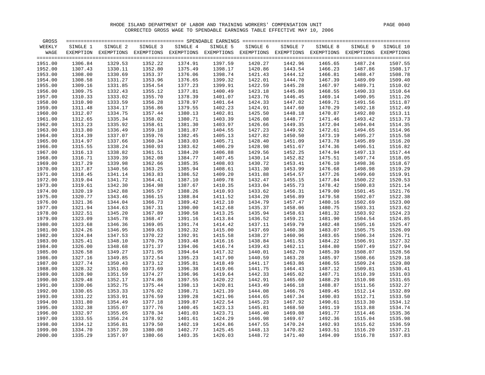| GROSS   |          |                                                                                                              |          |          |          |          |          |          |          |           |
|---------|----------|--------------------------------------------------------------------------------------------------------------|----------|----------|----------|----------|----------|----------|----------|-----------|
| WEEKLY  | SINGLE 1 | SINGLE 2                                                                                                     | SINGLE 3 | SINGLE 4 | SINGLE 5 | SINGLE 6 | SINGLE 7 | SINGLE 8 | SINGLE 9 | SINGLE 10 |
| WAGE    |          | EXEMPTION EXEMPTIONS EXEMPTIONS EXEMPTIONS EXEMPTIONS EXEMPTIONS EXEMPTIONS EXEMPTIONS EXEMPTIONS EXEMPTIONS |          |          |          |          |          |          |          |           |
|         |          |                                                                                                              |          |          |          |          |          |          |          |           |
| 1951.00 | 1306.84  | 1329.53                                                                                                      | 1352.22  | 1374.91  | 1397.59  | 1420.27  | 1442.96  | 1465.65  | 1487.24  | 1507.55   |
| 1952.00 | 1307.43  | 1330.11                                                                                                      | 1352.80  | 1375.49  | 1398.17  | 1420.86  | 1443.54  | 1466.23  | 1487.86  | 1508.17   |
| 1953.00 | 1308.00  | 1330.69                                                                                                      | 1353.37  | 1376.06  | 1398.74  | 1421.43  | 1444.12  | 1466.81  | 1488.47  | 1508.78   |
| 1954.00 | 1308.58  | 1331.27                                                                                                      | 1353.96  | 1376.65  | 1399.32  | 1422.01  | 1444.70  | 1467.39  | 1489.09  | 1509.40   |
| 1955.00 | 1309.16  | 1331.85                                                                                                      | 1354.54  | 1377.23  | 1399.91  | 1422.59  | 1445.28  | 1467.97  | 1489.71  | 1510.02   |
| 1956.00 | 1309.75  | 1332.43                                                                                                      | 1355.12  | 1377.81  | 1400.49  | 1423.18  | 1445.86  | 1468.55  | 1490.33  | 1510.64   |
| 1957.00 | 1310.33  | 1333.02                                                                                                      | 1355.70  | 1378.39  | 1401.07  | 1423.76  | 1446.45  | 1469.14  | 1490.95  | 1511.26   |
| 1958.00 | 1310.90  | 1333.59                                                                                                      | 1356.28  | 1378.97  | 1401.64  | 1424.33  | 1447.02  | 1469.71  | 1491.56  | 1511.87   |
| 1959.00 | 1311.48  | 1334.17                                                                                                      | 1356.86  | 1379.55  | 1402.23  | 1424.91  | 1447.60  | 1470.29  | 1492.18  | 1512.49   |
|         |          | 1334.75                                                                                                      |          |          | 1402.81  |          | 1448.18  |          |          | 1513.11   |
| 1960.00 | 1312.07  |                                                                                                              | 1357.44  | 1380.13  |          | 1425.50  |          | 1470.87  | 1492.80  |           |
| 1961.00 | 1312.65  | 1335.34                                                                                                      | 1358.02  | 1380.71  | 1403.39  | 1426.08  | 1448.77  | 1471.46  | 1493.42  | 1513.73   |
| 1962.00 | 1313.23  | 1335.92                                                                                                      | 1358.61  | 1381.30  | 1403.97  | 1426.66  | 1449.35  | 1472.04  | 1494.04  | 1514.35   |
| 1963.00 | 1313.80  | 1336.49                                                                                                      | 1359.18  | 1381.87  | 1404.55  | 1427.23  | 1449.92  | 1472.61  | 1494.65  | 1514.96   |
| 1964.00 | 1314.39  | 1337.07                                                                                                      | 1359.76  | 1382.45  | 1405.13  | 1427.82  | 1450.50  | 1473.19  | 1495.27  | 1515.58   |
| 1965.00 | 1314.97  | 1337.66                                                                                                      | 1360.34  | 1383.03  | 1405.71  | 1428.40  | 1451.09  | 1473.78  | 1495.89  | 1516.20   |
| 1966.00 | 1315.55  | 1338.24                                                                                                      | 1360.93  | 1383.62  | 1406.29  | 1428.98  | 1451.67  | 1474.36  | 1496.51  | 1516.82   |
| 1967.00 | 1316.13  | 1338.82                                                                                                      | 1361.51  | 1384.20  | 1406.88  | 1429.56  | 1452.25  | 1474.94  | 1497.13  | 1517.44   |
| 1968.00 | 1316.71  | 1339.39                                                                                                      | 1362.08  | 1384.77  | 1407.45  | 1430.14  | 1452.82  | 1475.51  | 1497.74  | 1518.05   |
| 1969.00 | 1317.29  | 1339.98                                                                                                      | 1362.66  | 1385.35  | 1408.03  | 1430.72  | 1453.41  | 1476.10  | 1498.36  | 1518.67   |
| 1970.00 | 1317.87  | 1340.56                                                                                                      | 1363.25  | 1385.94  | 1408.61  | 1431.30  | 1453.99  | 1476.68  | 1498.98  | 1519.29   |
| 1971.00 | 1318.45  | 1341.14                                                                                                      | 1363.83  | 1386.52  | 1409.20  | 1431.88  | 1454.57  | 1477.26  | 1499.60  | 1519.91   |
| 1972.00 | 1319.04  | 1341.72                                                                                                      | 1364.41  | 1387.10  | 1409.78  | 1432.47  | 1455.15  | 1477.84  | 1500.22  | 1520.53   |
| 1973.00 | 1319.61  | 1342.30                                                                                                      | 1364.98  | 1387.67  | 1410.35  | 1433.04  | 1455.73  | 1478.42  | 1500.83  | 1521.14   |
| 1974.00 | 1320.19  | 1342.88                                                                                                      | 1365.57  | 1388.26  | 1410.93  | 1433.62  | 1456.31  | 1479.00  | 1501.45  | 1521.76   |
| 1975.00 | 1320.77  | 1343.46                                                                                                      | 1366.15  | 1388.84  | 1411.52  | 1434.20  | 1456.89  | 1479.58  | 1502.07  | 1522.38   |
| 1976.00 | 1321.36  | 1344.04                                                                                                      | 1366.73  | 1389.42  | 1412.10  | 1434.79  | 1457.47  | 1480.16  | 1502.69  | 1523.00   |
| 1977.00 | 1321.94  | 1344.63                                                                                                      | 1367.31  | 1390.00  | 1412.68  | 1435.37  | 1458.06  | 1480.75  | 1503.31  | 1523.62   |
| 1978.00 | 1322.51  | 1345.20                                                                                                      | 1367.89  | 1390.58  | 1413.25  | 1435.94  | 1458.63  | 1481.32  | 1503.92  | 1524.23   |
| 1979.00 | 1323.09  | 1345.78                                                                                                      | 1368.47  | 1391.16  | 1413.84  | 1436.52  | 1459.21  | 1481.90  | 1504.54  | 1524.85   |
| 1980.00 | 1323.68  | 1346.36                                                                                                      | 1369.05  | 1391.74  | 1414.42  | 1437.11  | 1459.79  | 1482.48  | 1505.16  | 1525.47   |
| 1981.00 | 1324.26  | 1346.95                                                                                                      | 1369.63  | 1392.32  | 1415.00  | 1437.69  | 1460.38  | 1483.07  | 1505.75  | 1526.09   |
| 1982.00 | 1324.84  | 1347.53                                                                                                      | 1370.22  | 1392.91  | 1415.58  | 1438.27  | 1460.96  | 1483.65  | 1506.34  | 1526.71   |
| 1983.00 | 1325.41  | 1348.10                                                                                                      | 1370.79  | 1393.48  | 1416.16  | 1438.84  | 1461.53  | 1484.22  | 1506.91  | 1527.32   |
| 1984.00 | 1326.00  | 1348.68                                                                                                      | 1371.37  | 1394.06  | 1416.74  | 1439.43  | 1462.11  | 1484.80  | 1507.49  | 1527.94   |
| 1985.00 | 1326.58  | 1349.27                                                                                                      | 1371.95  | 1394.64  | 1417.32  | 1440.01  | 1462.70  | 1485.39  | 1508.07  | 1528.56   |
| 1986.00 | 1327.16  | 1349.85                                                                                                      | 1372.54  | 1395.23  | 1417.90  | 1440.59  | 1463.28  | 1485.97  | 1508.66  | 1529.18   |
| 1987.00 | 1327.74  | 1350.43                                                                                                      | 1373.12  | 1395.81  | 1418.49  | 1441.17  | 1463.86  | 1486.55  | 1509.24  | 1529.80   |
| 1988.00 | 1328.32  | 1351.00                                                                                                      | 1373.69  | 1396.38  | 1419.06  | 1441.75  | 1464.43  | 1487.12  | 1509.81  | 1530.41   |
|         |          |                                                                                                              |          |          | 1419.64  | 1442.33  |          |          | 1510.39  | 1531.03   |
| 1989.00 | 1328.90  | 1351.59                                                                                                      | 1374.27  | 1396.96  |          |          | 1465.02  | 1487.71  |          |           |
| 1990.00 | 1329.48  | 1352.17                                                                                                      | 1374.86  | 1397.55  | 1420.22  | 1442.91  | 1465.60  | 1488.29  | 1510.98  | 1531.65   |
| 1991.00 | 1330.06  | 1352.75                                                                                                      | 1375.44  | 1398.13  | 1420.81  | 1443.49  | 1466.18  | 1488.87  | 1511.56  | 1532.27   |
| 1992.00 | 1330.65  | 1353.33                                                                                                      | 1376.02  | 1398.71  | 1421.39  | 1444.08  | 1466.76  | 1489.45  | 1512.14  | 1532.89   |
| 1993.00 | 1331.22  | 1353.91                                                                                                      | 1376.59  | 1399.28  | 1421.96  | 1444.65  | 1467.34  | 1490.03  | 1512.71  | 1533.50   |
| 1994.00 | 1331.80  | 1354.49                                                                                                      | 1377.18  | 1399.87  | 1422.54  | 1445.23  | 1467.92  | 1490.61  | 1513.30  | 1534.12   |
| 1995.00 | 1332.38  | 1355.07                                                                                                      | 1377.76  | 1400.45  | 1423.13  | 1445.81  | 1468.50  | 1491.19  | 1513.88  | 1534.74   |
| 1996.00 | 1332.97  | 1355.65                                                                                                      | 1378.34  | 1401.03  | 1423.71  | 1446.40  | 1469.08  | 1491.77  | 1514.46  | 1535.36   |
| 1997.00 | 1333.55  | 1356.24                                                                                                      | 1378.92  | 1401.61  | 1424.29  | 1446.98  | 1469.67  | 1492.36  | 1515.04  | 1535.98   |
| 1998.00 | 1334.12  | 1356.81                                                                                                      | 1379.50  | 1402.19  | 1424.86  | 1447.55  | 1470.24  | 1492.93  | 1515.62  | 1536.59   |
| 1999.00 | 1334.70  | 1357.39                                                                                                      | 1380.08  | 1402.77  | 1425.45  | 1448.13  | 1470.82  | 1493.51  | 1516.20  | 1537.21   |
| 2000.00 | 1335.29  | 1357.97                                                                                                      | 1380.66  | 1403.35  | 1426.03  | 1448.72  | 1471.40  | 1494.09  | 1516.78  | 1537.83   |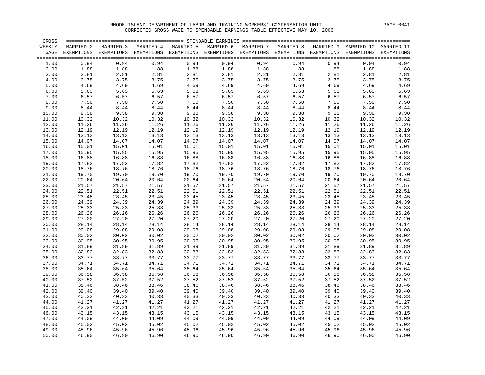| GROSS  |           |                                                                                                               |       |                     |           |       |                     |       |                                 |                                                           |
|--------|-----------|---------------------------------------------------------------------------------------------------------------|-------|---------------------|-----------|-------|---------------------|-------|---------------------------------|-----------------------------------------------------------|
| WEEKLY | MARRIED 2 | MARRIED 3                                                                                                     |       | MARRIED 4 MARRIED 5 | MARRIED 6 |       | MARRIED 7 MARRIED 8 |       | MARRIED 9 MARRIED 10 MARRIED 11 |                                                           |
| WAGE   |           | EXEMPTIONS EXEMPTIONS EXEMPTIONS EXEMPTIONS EXEMPTIONS EXEMPTIONS EXEMPTIONS EXEMPTIONS EXEMPTIONS EXEMPTIONS |       |                     |           |       |                     |       |                                 |                                                           |
| 1.00   | 0.94      | 0.94                                                                                                          | 0.94  | 0.94                | 0.94      | 0.94  | 0.94                | 0.94  | 0.94                            | $== == =$<br>$\ensuremath{\mathbf{0}}\xspace$ .<br><br>94 |
| 2.00   | 1.88      | 1.88                                                                                                          | 1.88  | 1.88                | 1.88      | 1.88  | 1.88                | 1.88  | 1.88                            | 1.88                                                      |
| 3.00   | 2.81      | 2.81                                                                                                          | 2.81  | 2.81                | 2.81      | 2.81  | 2.81                | 2.81  | 2.81                            | 2.81                                                      |
| 4.00   | 3.75      | 3.75                                                                                                          | 3.75  | 3.75                | 3.75      | 3.75  | 3.75                | 3.75  | 3.75                            | 3.75                                                      |
| 5.00   | 4.69      | 4.69                                                                                                          | 4.69  | 4.69                | 4.69      | 4.69  | 4.69                | 4.69  | 4.69                            | 4.69                                                      |
| 6.00   | 5.63      | 5.63                                                                                                          | 5.63  | 5.63                | 5.63      | 5.63  | 5.63                | 5.63  | 5.63                            | 5.63                                                      |
| 7.00   | 6.57      | 6.57                                                                                                          | 6.57  | 6.57                | 6.57      | 6.57  | 6.57                | 6.57  | 6.57                            | 6.57                                                      |
| 8.00   | 7.50      | 7.50                                                                                                          | 7.50  | 7.50                | 7.50      | 7.50  | 7.50                | 7.50  | 7.50                            | 7.50                                                      |
| 9.00   | 8.44      |                                                                                                               | 8.44  | 8.44                | 8.44      | 8.44  | 8.44                | 8.44  | 8.44                            | 8.44                                                      |
| 10.00  | 9.38      | $8.44$<br>$9.38$                                                                                              | 9.38  | 9.38                | 9.38      | 9.38  | 9.38                | 9.38  | 9.38                            | 9.38                                                      |
| 11.00  | 10.32     | 10.32                                                                                                         | 10.32 | 10.32               | 10.32     | 10.32 | 10.32               | 10.32 | 10.32                           | 10.32                                                     |
| 12.00  | 11.26     | 11.26                                                                                                         | 11.26 | 11.26               | 11.26     | 11.26 | 11.26               | 11.26 | 11.26                           | 11.26                                                     |
| 13.00  | 12.19     | 12.19                                                                                                         | 12.19 | 12.19               | 12.19     | 12.19 | 12.19               | 12.19 | 12.19                           | 12.19                                                     |
| 14.00  | 13.13     | 13.13                                                                                                         | 13.13 | 13.13               | 13.13     | 13.13 | 13.13               | 13.13 | 13.13                           | 13.13                                                     |
| 15.00  | 14.07     | 14.07                                                                                                         | 14.07 | 14.07               | 14.07     | 14.07 | 14.07               | 14.07 | 14.07                           | 14.07                                                     |
| 16.00  | 15.01     | 15.01                                                                                                         | 15.01 | 15.01               | 15.01     | 15.01 | 15.01               | 15.01 | 15.01                           | 15.01                                                     |
| 17.00  | 15.95     | 15.95                                                                                                         | 15.95 | 15.95               | 15.95     | 15.95 | 15.95               | 15.95 | 15.95                           | 15.95                                                     |
| 18.00  | 16.88     | 16.88                                                                                                         | 16.88 | 16.88               | 16.88     | 16.88 | 16.88               | 16.88 | 16.88                           | 16.88                                                     |
| 19.00  | 17.82     | 17.82                                                                                                         | 17.82 | 17.82               | 17.82     | 17.82 | 17.82               | 17.82 | 17.82                           | 17.82                                                     |
| 20.00  | 18.76     | 18.76                                                                                                         | 18.76 | 18.76               | 18.76     | 18.76 | 18.76               | 18.76 | 18.76                           | 18.76                                                     |
| 21.00  | 19.70     | 19.70                                                                                                         | 19.70 | 19.70               | 19.70     | 19.70 | 19.70               | 19.70 | 19.70                           | 19.70                                                     |
| 22.00  | 20.64     | 20.64                                                                                                         | 20.64 | 20.64               | 20.64     | 20.64 | 20.64               | 20.64 | 20.64                           | 20.64                                                     |
| 23.00  | 21.57     | 21.57                                                                                                         | 21.57 | 21.57               | 21.57     | 21.57 | 21.57               | 21.57 | 21.57                           | 21.57                                                     |
| 24.00  | 22.51     | 22.51                                                                                                         | 22.51 | 22.51               | 22.51     | 22.51 | 22.51               | 22.51 | 22.51                           | 22.51                                                     |
| 25.00  | 23.45     | 23.45                                                                                                         | 23.45 | 23.45               | 23.45     | 23.45 | 23.45               | 23.45 | 23.45                           | 23.45                                                     |
| 26.00  | 24.39     | 24.39                                                                                                         | 24.39 | 24.39               | 24.39     | 24.39 | 24.39               | 24.39 | 24.39                           | 24.39                                                     |
| 27.00  | 25.33     | 25.33                                                                                                         | 25.33 | 25.33               | 25.33     | 25.33 | 25.33               | 25.33 | 25.33                           | 25.33                                                     |
| 28.00  | 26.26     | 26.26                                                                                                         | 26.26 | 26.26               | 26.26     | 26.26 | 26.26               | 26.26 | 26.26                           | 26.26                                                     |
| 29.00  | 27.20     | 27.20                                                                                                         | 27.20 | 27.20               | 27.20     | 27.20 | 27.20               | 27.20 | 27.20                           | 27.20                                                     |
| 30.00  | 28.14     | 28.14                                                                                                         | 28.14 | 28.14               | 28.14     | 28.14 | 28.14               | 28.14 | 28.14                           | 28.14                                                     |
| 31.00  | 29.08     | 29.08                                                                                                         | 29.08 | 29.08               | 29.08     | 29.08 | 29.08               | 29.08 | 29.08                           | 29.08                                                     |
| 32.00  | 30.02     | 30.02                                                                                                         | 30.02 | 30.02               | 30.02     | 30.02 | 30.02               | 30.02 | 30.02                           | 30.02                                                     |
| 33.00  | 30.95     | 30.95                                                                                                         | 30.95 | 30.95               | 30.95     | 30.95 | 30.95               | 30.95 | 30.95                           | 30.95                                                     |
| 34.00  | 31.89     | 31.89                                                                                                         | 31.89 | 31.89               | 31.89     | 31.89 | 31.89               | 31.89 | 31.89                           | 31.89                                                     |
| 35.00  | 32.83     | 32.83                                                                                                         | 32.83 | 32.83               | 32.83     | 32.83 | 32.83               | 32.83 | 32.83                           | 32.83                                                     |
| 36.00  | 33.77     | 33.77                                                                                                         | 33.77 | 33.77               | 33.77     | 33.77 | 33.77               | 33.77 | 33.77                           | 33.77                                                     |
| 37.00  | 34.71     | 34.71                                                                                                         | 34.71 | 34.71               | 34.71     | 34.71 | 34.71               | 34.71 | 34.71                           | 34.71                                                     |
| 38.00  | 35.64     | 35.64                                                                                                         | 35.64 | 35.64               | 35.64     | 35.64 | 35.64               | 35.64 | 35.64                           | 35.64                                                     |
| 39.00  | 36.58     | 36.58                                                                                                         | 36.58 | 36.58               | 36.58     | 36.58 | 36.58               | 36.58 | 36.58                           | 36.58                                                     |
| 40.00  | 37.52     | 37.52                                                                                                         | 37.52 | 37.52               | 37.52     | 37.52 | 37.52               | 37.52 | 37.52                           | 37.52                                                     |
| 41.00  | 38.46     | 38.46                                                                                                         | 38.46 | 38.46               | 38.46     | 38.46 | 38.46               | 38.46 | 38.46                           | 38.46                                                     |
| 42.00  | 39.40     | 39.40                                                                                                         | 39.40 | 39.40               | 39.40     | 39.40 | 39.40               | 39.40 | 39.40                           | 39.40                                                     |
| 43.00  | 40.33     | 40.33                                                                                                         | 40.33 | 40.33               | 40.33     | 40.33 | 40.33               | 40.33 | 40.33                           | 40.33                                                     |
| 44.00  | 41.27     | 41.27                                                                                                         | 41.27 | 41.27               | 41.27     | 41.27 | 41.27               | 41.27 | 41.27                           | 41.27                                                     |
| 45.00  | 42.21     | 42.21                                                                                                         | 42.21 | 42.21               | 42.21     | 42.21 | 42.21               | 42.21 | 42.21                           | 42.21                                                     |
| 46.00  | 43.15     | 43.15                                                                                                         | 43.15 | 43.15               | 43.15     | 43.15 | 43.15               | 43.15 | 43.15                           | 43.15                                                     |
| 47.00  | 44.09     | 44.09                                                                                                         | 44.09 | 44.09               | 44.09     | 44.09 | 44.09               | 44.09 | 44.09                           | 44.09                                                     |
| 48.00  | 45.02     | 45.02                                                                                                         | 45.02 | 45.02               | 45.02     | 45.02 | 45.02               | 45.02 | 45.02                           | 45.02                                                     |
| 49.00  | 45.96     | 45.96                                                                                                         | 45.96 | 45.96               | 45.96     | 45.96 | 45.96               | 45.96 | 45.96                           | 45.96                                                     |
| 50.00  | 46.90     | 46.90                                                                                                         | 46.90 | 46.90               | 46.90     | 46.90 | 46.90               | 46.90 | 46.90                           | 46.90                                                     |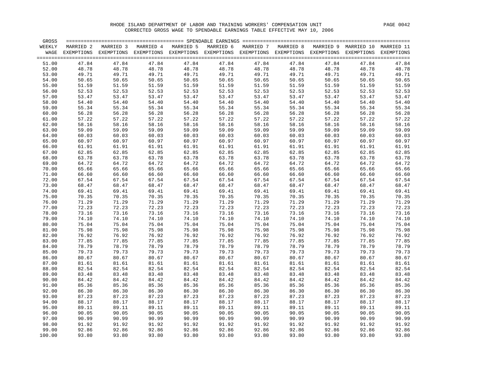| GROSS  |           |                                                                                                               |           |           |           |           |           |           |            |                 |
|--------|-----------|---------------------------------------------------------------------------------------------------------------|-----------|-----------|-----------|-----------|-----------|-----------|------------|-----------------|
| WEEKLY | MARRIED 2 | MARRIED 3                                                                                                     | MARRIED 4 | MARRIED 5 | MARRIED 6 | MARRIED 7 | MARRIED 8 | MARRIED 9 | MARRIED 10 | MARRIED 11      |
| WAGE   |           | EXEMPTIONS EXEMPTIONS EXEMPTIONS EXEMPTIONS EXEMPTIONS EXEMPTIONS EXEMPTIONS EXEMPTIONS EXEMPTIONS EXEMPTIONS |           |           |           |           |           |           |            | $=$ $=$ $=$ $=$ |
| 51.00  | 47.84     | 47.84                                                                                                         | 47.84     | 47.84     | 47.84     | 47.84     | 47.84     | 47.84     | 47.84      | 47.84           |
| 52.00  | 48.78     | 48.78                                                                                                         | 48.78     | 48.78     | 48.78     | 48.78     | 48.78     | 48.78     | 48.78      | 48.78           |
| 53.00  | 49.71     | 49.71                                                                                                         | 49.71     | 49.71     | 49.71     | 49.71     | 49.71     | 49.71     | 49.71      | 49.71           |
| 54.00  | 50.65     | 50.65                                                                                                         | 50.65     | 50.65     | 50.65     | 50.65     | 50.65     | 50.65     | 50.65      | 50.65           |
| 55.00  | 51.59     | 51.59                                                                                                         | 51.59     | 51.59     | 51.59     | 51.59     | 51.59     | 51.59     | 51.59      | 51.59           |
| 56.00  | 52.53     | 52.53                                                                                                         | 52.53     | 52.53     | 52.53     | 52.53     | 52.53     | 52.53     | 52.53      | 52.53           |
| 57.00  | 53.47     | 53.47                                                                                                         | 53.47     | 53.47     | 53.47     | 53.47     | 53.47     | 53.47     | 53.47      | 53.47           |
| 58.00  | 54.40     | 54.40                                                                                                         | 54.40     | 54.40     | 54.40     | 54.40     | 54.40     | 54.40     | 54.40      | 54.40           |
| 59.00  | 55.34     | 55.34                                                                                                         | 55.34     | 55.34     | 55.34     | 55.34     | 55.34     | 55.34     | 55.34      | 55.34           |
| 60.00  | 56.28     | 56.28                                                                                                         | 56.28     | 56.28     | 56.28     | 56.28     | 56.28     | 56.28     | 56.28      | 56.28           |
| 61.00  | 57.22     | 57.22                                                                                                         | 57.22     | 57.22     | 57.22     | 57.22     | 57.22     | 57.22     | 57.22      | 57.22           |
| 62.00  | 58.16     | 58.16                                                                                                         | 58.16     | 58.16     | 58.16     | 58.16     | 58.16     | 58.16     | 58.16      | 58.16           |
| 63.00  | 59.09     | 59.09                                                                                                         | 59.09     | 59.09     | 59.09     | 59.09     | 59.09     | 59.09     | 59.09      | 59.09           |
| 64.00  | 60.03     | 60.03                                                                                                         | 60.03     | 60.03     | 60.03     | 60.03     | 60.03     | 60.03     | 60.03      | 60.03           |
| 65.00  | 60.97     | 60.97                                                                                                         | 60.97     | 60.97     | 60.97     | 60.97     | 60.97     | 60.97     | 60.97      | 60.97           |
| 66.00  | 61.91     | 61.91                                                                                                         | 61.91     | 61.91     | 61.91     | 61.91     | 61.91     | 61.91     | 61.91      | 61.91           |
| 67.00  | 62.85     | 62.85                                                                                                         | 62.85     | 62.85     | 62.85     | 62.85     | 62.85     | 62.85     | 62.85      | 62.85           |
| 68.00  | 63.78     | 63.78                                                                                                         | 63.78     | 63.78     | 63.78     | 63.78     | 63.78     | 63.78     | 63.78      | 63.78           |
| 69.00  | 64.72     | 64.72                                                                                                         | 64.72     | 64.72     | 64.72     | 64.72     | 64.72     | 64.72     | 64.72      | 64.72           |
| 70.00  | 65.66     | 65.66                                                                                                         | 65.66     | 65.66     | 65.66     | 65.66     | 65.66     | 65.66     | 65.66      | 65.66           |
| 71.00  | 66.60     | 66.60                                                                                                         | 66.60     | 66.60     | 66.60     | 66.60     | 66.60     | 66.60     | 66.60      | 66.60           |
| 72.00  | 67.54     | 67.54                                                                                                         | 67.54     | 67.54     | 67.54     | 67.54     | 67.54     | 67.54     | 67.54      | 67.54           |
| 73.00  | 68.47     | 68.47                                                                                                         | 68.47     | 68.47     | 68.47     | 68.47     | 68.47     | 68.47     | 68.47      | 68.47           |
| 74.00  | 69.41     | 69.41                                                                                                         | 69.41     | 69.41     | 69.41     | 69.41     | 69.41     | 69.41     | 69.41      | 69.41           |
| 75.00  | 70.35     | 70.35                                                                                                         | 70.35     | 70.35     | 70.35     | 70.35     | 70.35     | 70.35     | 70.35      | 70.35           |
| 76.00  | 71.29     | 71.29                                                                                                         | 71.29     | 71.29     | 71.29     | 71.29     | 71.29     | 71.29     | 71.29      | 71.29           |
| 77.00  | 72.23     | 72.23                                                                                                         | 72.23     | 72.23     | 72.23     | 72.23     | 72.23     | 72.23     | 72.23      | 72.23           |
| 78.00  | 73.16     | 73.16                                                                                                         | 73.16     | 73.16     | 73.16     | 73.16     | 73.16     | 73.16     | 73.16      | 73.16           |
| 79.00  | 74.10     | 74.10                                                                                                         | 74.10     | 74.10     | 74.10     | 74.10     | 74.10     | 74.10     | 74.10      | 74.10           |
| 80.00  | 75.04     | 75.04                                                                                                         | 75.04     | 75.04     | 75.04     | 75.04     | 75.04     | 75.04     | 75.04      | 75.04           |
| 81.00  | 75.98     | 75.98                                                                                                         | 75.98     | 75.98     | 75.98     | 75.98     | 75.98     | 75.98     | 75.98      | 75.98           |
| 82.00  | 76.92     | 76.92                                                                                                         | 76.92     | 76.92     | 76.92     | 76.92     | 76.92     | 76.92     | 76.92      | 76.92           |
| 83.00  | 77.85     | 77.85                                                                                                         | 77.85     | 77.85     | 77.85     | 77.85     | 77.85     | 77.85     | 77.85      | 77.85           |
| 84.00  | 78.79     | 78.79                                                                                                         | 78.79     | 78.79     | 78.79     | 78.79     | 78.79     | 78.79     | 78.79      | 78.79           |
| 85.00  | 79.73     | 79.73                                                                                                         | 79.73     | 79.73     | 79.73     | 79.73     | 79.73     | 79.73     | 79.73      | 79.73           |
| 86.00  | 80.67     | 80.67                                                                                                         | 80.67     | 80.67     | 80.67     | 80.67     | 80.67     | 80.67     | 80.67      | 80.67           |
| 87.00  | 81.61     | 81.61                                                                                                         | 81.61     | 81.61     | 81.61     | 81.61     | 81.61     | 81.61     | 81.61      | 81.61           |
| 88.00  | 82.54     | 82.54                                                                                                         | 82.54     | 82.54     | 82.54     | 82.54     | 82.54     | 82.54     | 82.54      | 82.54           |
| 89.00  | 83.48     | 83.48                                                                                                         | 83.48     | 83.48     | 83.48     | 83.48     | 83.48     | 83.48     | 83.48      | 83.48           |
| 90.00  | 84.42     | 84.42                                                                                                         | 84.42     | 84.42     | 84.42     | 84.42     | 84.42     | 84.42     | 84.42      | 84.42           |
| 91.00  | 85.36     | 85.36                                                                                                         | 85.36     | 85.36     | 85.36     | 85.36     | 85.36     | 85.36     | 85.36      | 85.36           |
| 92.00  | 86.30     | 86.30                                                                                                         | 86.30     | 86.30     | 86.30     | 86.30     | 86.30     | 86.30     | 86.30      | 86.30           |
| 93.00  | 87.23     | 87.23                                                                                                         | 87.23     | 87.23     | 87.23     | 87.23     | 87.23     | 87.23     | 87.23      | 87.23           |
| 94.00  | 88.17     | 88.17                                                                                                         | 88.17     | 88.17     | 88.17     | 88.17     | 88.17     | 88.17     | 88.17      | 88.17           |
| 95.00  | 89.11     | 89.11                                                                                                         | 89.11     | 89.11     | 89.11     | 89.11     | 89.11     | 89.11     | 89.11      | 89.11           |
| 96.00  | 90.05     | 90.05                                                                                                         | 90.05     | 90.05     | 90.05     | 90.05     | 90.05     | 90.05     | 90.05      | 90.05           |
| 97.00  | 90.99     | 90.99                                                                                                         | 90.99     | 90.99     | 90.99     | 90.99     | 90.99     | 90.99     | 90.99      | 90.99           |
| 98.00  | 91.92     | 91.92                                                                                                         | 91.92     | 91.92     | 91.92     | 91.92     | 91.92     | 91.92     | 91.92      | 91.92           |
| 99.00  | 92.86     | 92.86                                                                                                         | 92.86     | 92.86     | 92.86     | 92.86     | 92.86     | 92.86     | 92.86      | 92.86           |
| 100.00 | 93.80     | 93.80                                                                                                         | 93.80     | 93.80     | 93.80     | 93.80     | 93.80     | 93.80     | 93.80      | 93.80           |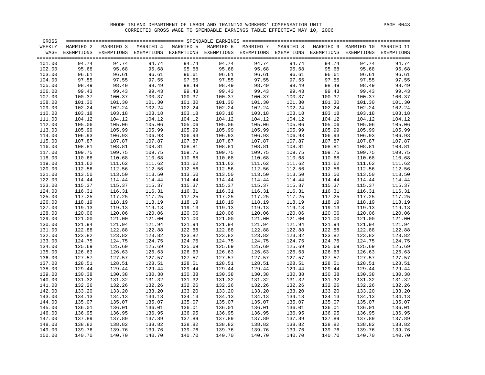| GROSS  |           |           |           |           |           |                                                                                                                    |           |        |                                 |         |
|--------|-----------|-----------|-----------|-----------|-----------|--------------------------------------------------------------------------------------------------------------------|-----------|--------|---------------------------------|---------|
| WEEKLY | MARRIED 2 | MARRIED 3 | MARRIED 4 | MARRIED 5 | MARRIED 6 | MARRIED 7                                                                                                          | MARRIED 8 |        | MARRIED 9 MARRIED 10 MARRIED 11 |         |
|        |           |           |           |           |           | WAGE EXEMPTIONS EXEMPTIONS EXEMPTIONS EXEMPTIONS EXEMPTIONS EXEMPTIONS EXEMPTIONS EXEMPTIONS EXEMPTIONS EXEMPTIONS |           |        |                                 |         |
|        |           |           |           |           |           |                                                                                                                    |           |        |                                 | $=====$ |
| 101.00 | 94.74     | 94.74     | 94.74     | 94.74     | 94.74     | 94.74                                                                                                              | 94.74     | 94.74  | 94.74                           | 94.74   |
| 102.00 | 95.68     | 95.68     | 95.68     | 95.68     | 95.68     | 95.68                                                                                                              | 95.68     | 95.68  | 95.68                           | 95.68   |
| 103.00 | 96.61     | 96.61     | 96.61     | 96.61     | 96.61     | 96.61                                                                                                              | 96.61     | 96.61  | 96.61                           | 96.61   |
| 104.00 | 97.55     | 97.55     | 97.55     | 97.55     | 97.55     | 97.55                                                                                                              | 97.55     | 97.55  | 97.55                           | 97.55   |
|        | 98.49     | 98.49     | 98.49     | 98.49     | 98.49     | 98.49                                                                                                              | 98.49     | 98.49  | 98.49                           | 98.49   |
| 105.00 |           |           |           |           |           |                                                                                                                    |           |        |                                 |         |
| 106.00 | 99.43     | 99.43     | 99.43     | 99.43     | 99.43     | 99.43                                                                                                              | 99.43     | 99.43  | 99.43                           | 99.43   |
| 107.00 | 100.37    | 100.37    | 100.37    | 100.37    | 100.37    | 100.37                                                                                                             | 100.37    | 100.37 | 100.37                          | 100.37  |
| 108.00 | 101.30    | 101.30    | 101.30    | 101.30    | 101.30    | 101.30                                                                                                             | 101.30    | 101.30 | 101.30                          | 101.30  |
| 109.00 | 102.24    | 102.24    | 102.24    | 102.24    | 102.24    | 102.24                                                                                                             | 102.24    | 102.24 | 102.24                          | 102.24  |
| 110.00 | 103.18    | 103.18    | 103.18    | 103.18    | 103.18    | 103.18                                                                                                             | 103.18    | 103.18 | 103.18                          | 103.18  |
| 111.00 | 104.12    | 104.12    | 104.12    | 104.12    | 104.12    | 104.12                                                                                                             | 104.12    | 104.12 | 104.12                          | 104.12  |
| 112.00 | 105.06    | 105.06    | 105.06    | 105.06    | 105.06    | 105.06                                                                                                             | 105.06    | 105.06 | 105.06                          | 105.06  |
| 113.00 | 105.99    | 105.99    | 105.99    | 105.99    | 105.99    | 105.99                                                                                                             | 105.99    | 105.99 | 105.99                          | 105.99  |
| 114.00 | 106.93    | 106.93    | 106.93    | 106.93    | 106.93    | 106.93                                                                                                             | 106.93    | 106.93 | 106.93                          | 106.93  |
| 115.00 | 107.87    | 107.87    | 107.87    | 107.87    | 107.87    | 107.87                                                                                                             | 107.87    | 107.87 | 107.87                          | 107.87  |
| 116.00 | 108.81    | 108.81    | 108.81    | 108.81    | 108.81    | 108.81                                                                                                             | 108.81    | 108.81 | 108.81                          | 108.81  |
| 117.00 | 109.75    | 109.75    | 109.75    | 109.75    | 109.75    | 109.75                                                                                                             | 109.75    | 109.75 | 109.75                          | 109.75  |
| 118.00 | 110.68    | 110.68    | 110.68    | 110.68    | 110.68    | 110.68                                                                                                             | 110.68    | 110.68 | 110.68                          | 110.68  |
| 119.00 | 111.62    | 111.62    | 111.62    | 111.62    | 111.62    | 111.62                                                                                                             | 111.62    | 111.62 | 111.62                          | 111.62  |
| 120.00 | 112.56    | 112.56    | 112.56    | 112.56    | 112.56    | 112.56                                                                                                             | 112.56    | 112.56 | 112.56                          | 112.56  |
| 121.00 | 113.50    | 113.50    | 113.50    | 113.50    | 113.50    | 113.50                                                                                                             | 113.50    | 113.50 | 113.50                          | 113.50  |
| 122.00 | 114.44    | 114.44    | 114.44    | 114.44    | 114.44    | 114.44                                                                                                             | 114.44    | 114.44 | 114.44                          | 114.44  |
| 123.00 | 115.37    | 115.37    | 115.37    | 115.37    | 115.37    | 115.37                                                                                                             | 115.37    | 115.37 | 115.37                          | 115.37  |
| 124.00 | 116.31    | 116.31    | 116.31    | 116.31    | 116.31    | 116.31                                                                                                             | 116.31    | 116.31 | 116.31                          | 116.31  |
| 125.00 | 117.25    | 117.25    | 117.25    | 117.25    | 117.25    | 117.25                                                                                                             | 117.25    | 117.25 | 117.25                          | 117.25  |
| 126.00 | 118.19    | 118.19    | 118.19    | 118.19    | 118.19    | 118.19                                                                                                             | 118.19    | 118.19 | 118.19                          | 118.19  |
| 127.00 | 119.13    | 119.13    | 119.13    | 119.13    | 119.13    | 119.13                                                                                                             | 119.13    | 119.13 | 119.13                          | 119.13  |
|        |           | 120.06    | 120.06    | 120.06    | 120.06    | 120.06                                                                                                             | 120.06    | 120.06 | 120.06                          | 120.06  |
| 128.00 | 120.06    |           |           |           |           |                                                                                                                    |           |        |                                 |         |
| 129.00 | 121.00    | 121.00    | 121.00    | 121.00    | 121.00    | 121.00                                                                                                             | 121.00    | 121.00 | 121.00                          | 121.00  |
| 130.00 | 121.94    | 121.94    | 121.94    | 121.94    | 121.94    | 121.94                                                                                                             | 121.94    | 121.94 | 121.94                          | 121.94  |
| 131.00 | 122.88    | 122.88    | 122.88    | 122.88    | 122.88    | 122.88                                                                                                             | 122.88    | 122.88 | 122.88                          | 122.88  |
| 132.00 | 123.82    | 123.82    | 123.82    | 123.82    | 123.82    | 123.82                                                                                                             | 123.82    | 123.82 | 123.82                          | 123.82  |
| 133.00 | 124.75    | 124.75    | 124.75    | 124.75    | 124.75    | 124.75                                                                                                             | 124.75    | 124.75 | 124.75                          | 124.75  |
| 134.00 | 125.69    | 125.69    | 125.69    | 125.69    | 125.69    | 125.69                                                                                                             | 125.69    | 125.69 | 125.69                          | 125.69  |
| 135.00 | 126.63    | 126.63    | 126.63    | 126.63    | 126.63    | 126.63                                                                                                             | 126.63    | 126.63 | 126.63                          | 126.63  |
| 136.00 | 127.57    | 127.57    | 127.57    | 127.57    | 127.57    | 127.57                                                                                                             | 127.57    | 127.57 | 127.57                          | 127.57  |
| 137.00 | 128.51    | 128.51    | 128.51    | 128.51    | 128.51    | 128.51                                                                                                             | 128.51    | 128.51 | 128.51                          | 128.51  |
| 138.00 | 129.44    | 129.44    | 129.44    | 129.44    | 129.44    | 129.44                                                                                                             | 129.44    | 129.44 | 129.44                          | 129.44  |
| 139.00 | 130.38    | 130.38    | 130.38    | 130.38    | 130.38    | 130.38                                                                                                             | 130.38    | 130.38 | 130.38                          | 130.38  |
| 140.00 | 131.32    | 131.32    | 131.32    | 131.32    | 131.32    | 131.32                                                                                                             | 131.32    | 131.32 | 131.32                          | 131.32  |
| 141.00 | 132.26    | 132.26    | 132.26    | 132.26    | 132.26    | 132.26                                                                                                             | 132.26    | 132.26 | 132.26                          | 132.26  |
| 142.00 | 133.20    | 133.20    | 133.20    | 133.20    | 133.20    | 133.20                                                                                                             | 133.20    | 133.20 | 133.20                          | 133.20  |
| 143.00 | 134.13    | 134.13    | 134.13    | 134.13    | 134.13    | 134.13                                                                                                             | 134.13    | 134.13 | 134.13                          | 134.13  |
| 144.00 | 135.07    | 135.07    | 135.07    | 135.07    | 135.07    | 135.07                                                                                                             | 135.07    | 135.07 | 135.07                          | 135.07  |
| 145.00 | 136.01    | 136.01    | 136.01    | 136.01    | 136.01    | 136.01                                                                                                             | 136.01    | 136.01 | 136.01                          | 136.01  |
| 146.00 | 136.95    | 136.95    | 136.95    | 136.95    | 136.95    | 136.95                                                                                                             | 136.95    | 136.95 | 136.95                          | 136.95  |
| 147.00 | 137.89    | 137.89    | 137.89    | 137.89    | 137.89    | 137.89                                                                                                             | 137.89    | 137.89 | 137.89                          | 137.89  |
| 148.00 | 138.82    | 138.82    | 138.82    | 138.82    | 138.82    | 138.82                                                                                                             | 138.82    | 138.82 | 138.82                          | 138.82  |
| 149.00 | 139.76    | 139.76    | 139.76    | 139.76    | 139.76    | 139.76                                                                                                             | 139.76    | 139.76 | 139.76                          | 139.76  |
|        |           |           |           |           |           |                                                                                                                    |           |        |                                 |         |
| 150.00 | 140.70    | 140.70    | 140.70    | 140.70    | 140.70    | 140.70                                                                                                             | 140.70    | 140.70 | 140.70                          | 140.70  |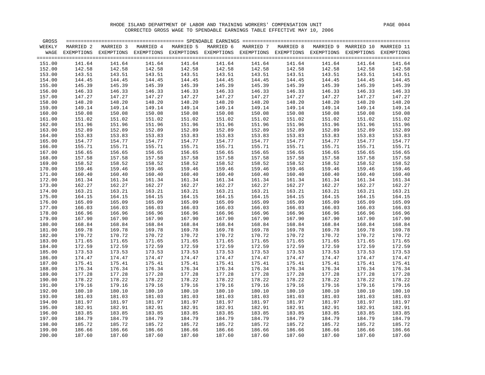| GROSS  |           |           |           |           |           |           |           |           |                                                                                                               |                       |
|--------|-----------|-----------|-----------|-----------|-----------|-----------|-----------|-----------|---------------------------------------------------------------------------------------------------------------|-----------------------|
| WEEKLY | MARRIED 2 | MARRIED 3 | MARRIED 4 | MARRIED 5 | MARRIED 6 | MARRIED 7 | MARRIED 8 | MARRIED 9 |                                                                                                               | MARRIED 10 MARRIED 11 |
| WAGE   |           |           |           |           |           |           |           |           | EXEMPTIONS EXEMPTIONS EXEMPTIONS EXEMPTIONS EXEMPTIONS EXEMPTIONS EXEMPTIONS EXEMPTIONS EXEMPTIONS EXEMPTIONS |                       |
|        |           |           |           |           |           |           |           |           |                                                                                                               |                       |
| 151.00 | 141.64    | 141.64    | 141.64    | 141.64    | 141.64    | 141.64    | 141.64    | 141.64    | 141.64                                                                                                        | 141.64                |
| 152.00 | 142.58    | 142.58    | 142.58    | 142.58    | 142.58    | 142.58    | 142.58    | 142.58    | 142.58                                                                                                        | 142.58                |
| 153.00 | 143.51    | 143.51    | 143.51    | 143.51    | 143.51    | 143.51    | 143.51    | 143.51    | 143.51                                                                                                        | 143.51                |
| 154.00 | 144.45    | 144.45    | 144.45    | 144.45    | 144.45    | 144.45    | 144.45    | 144.45    | 144.45                                                                                                        | 144.45                |
| 155.00 | 145.39    | 145.39    | 145.39    | 145.39    | 145.39    | 145.39    | 145.39    | 145.39    | 145.39                                                                                                        | 145.39                |
| 156.00 | 146.33    | 146.33    | 146.33    | 146.33    | 146.33    | 146.33    | 146.33    | 146.33    | 146.33                                                                                                        | 146.33                |
| 157.00 | 147.27    | 147.27    | 147.27    | 147.27    | 147.27    | 147.27    | 147.27    | 147.27    | 147.27                                                                                                        | 147.27                |
|        | 148.20    | 148.20    | 148.20    | 148.20    | 148.20    | 148.20    | 148.20    | 148.20    | 148.20                                                                                                        | 148.20                |
| 158.00 |           |           |           |           |           |           |           |           |                                                                                                               |                       |
| 159.00 | 149.14    | 149.14    | 149.14    | 149.14    | 149.14    | 149.14    | 149.14    | 149.14    | 149.14                                                                                                        | 149.14                |
| 160.00 | 150.08    | 150.08    | 150.08    | 150.08    | 150.08    | 150.08    | 150.08    | 150.08    | 150.08                                                                                                        | 150.08                |
| 161.00 | 151.02    | 151.02    | 151.02    | 151.02    | 151.02    | 151.02    | 151.02    | 151.02    | 151.02                                                                                                        | 151.02                |
| 162.00 | 151.96    | 151.96    | 151.96    | 151.96    | 151.96    | 151.96    | 151.96    | 151.96    | 151.96                                                                                                        | 151.96                |
| 163.00 | 152.89    | 152.89    | 152.89    | 152.89    | 152.89    | 152.89    | 152.89    | 152.89    | 152.89                                                                                                        | 152.89                |
| 164.00 | 153.83    | 153.83    | 153.83    | 153.83    | 153.83    | 153.83    | 153.83    | 153.83    | 153.83                                                                                                        | 153.83                |
| 165.00 | 154.77    | 154.77    | 154.77    | 154.77    | 154.77    | 154.77    | 154.77    | 154.77    | 154.77                                                                                                        | 154.77                |
| 166.00 | 155.71    | 155.71    | 155.71    | 155.71    | 155.71    | 155.71    | 155.71    | 155.71    | 155.71                                                                                                        | 155.71                |
| 167.00 | 156.65    | 156.65    | 156.65    | 156.65    | 156.65    | 156.65    | 156.65    | 156.65    | 156.65                                                                                                        | 156.65                |
| 168.00 | 157.58    | 157.58    | 157.58    | 157.58    | 157.58    | 157.58    | 157.58    | 157.58    | 157.58                                                                                                        | 157.58                |
| 169.00 | 158.52    | 158.52    | 158.52    | 158.52    | 158.52    | 158.52    | 158.52    | 158.52    | 158.52                                                                                                        | 158.52                |
| 170.00 | 159.46    | 159.46    | 159.46    | 159.46    | 159.46    | 159.46    | 159.46    | 159.46    | 159.46                                                                                                        | 159.46                |
| 171.00 | 160.40    | 160.40    | 160.40    | 160.40    | 160.40    | 160.40    | 160.40    | 160.40    | 160.40                                                                                                        | 160.40                |
| 172.00 | 161.34    | 161.34    | 161.34    | 161.34    | 161.34    | 161.34    | 161.34    | 161.34    | 161.34                                                                                                        | 161.34                |
| 173.00 | 162.27    | 162.27    | 162.27    | 162.27    | 162.27    | 162.27    | 162.27    | 162.27    | 162.27                                                                                                        | 162.27                |
| 174.00 | 163.21    | 163.21    | 163.21    | 163.21    | 163.21    | 163.21    | 163.21    | 163.21    | 163.21                                                                                                        | 163.21                |
| 175.00 | 164.15    | 164.15    | 164.15    | 164.15    | 164.15    | 164.15    | 164.15    | 164.15    | 164.15                                                                                                        | 164.15                |
| 176.00 | 165.09    | 165.09    | 165.09    | 165.09    | 165.09    | 165.09    | 165.09    | 165.09    | 165.09                                                                                                        | 165.09                |
| 177.00 | 166.03    | 166.03    | 166.03    | 166.03    | 166.03    | 166.03    | 166.03    | 166.03    | 166.03                                                                                                        | 166.03                |
| 178.00 | 166.96    | 166.96    | 166.96    | 166.96    | 166.96    | 166.96    | 166.96    | 166.96    | 166.96                                                                                                        | 166.96                |
| 179.00 | 167.90    | 167.90    | 167.90    | 167.90    | 167.90    | 167.90    | 167.90    | 167.90    | 167.90                                                                                                        | 167.90                |
| 180.00 | 168.84    | 168.84    | 168.84    | 168.84    | 168.84    | 168.84    | 168.84    | 168.84    | 168.84                                                                                                        | 168.84                |
| 181.00 | 169.78    | 169.78    | 169.78    | 169.78    | 169.78    | 169.78    | 169.78    | 169.78    | 169.78                                                                                                        | 169.78                |
| 182.00 | 170.72    | 170.72    | 170.72    | 170.72    | 170.72    | 170.72    | 170.72    | 170.72    | 170.72                                                                                                        | 170.72                |
| 183.00 | 171.65    | 171.65    | 171.65    | 171.65    | 171.65    | 171.65    | 171.65    | 171.65    | 171.65                                                                                                        | 171.65                |
| 184.00 | 172.59    | 172.59    | 172.59    | 172.59    | 172.59    | 172.59    | 172.59    | 172.59    | 172.59                                                                                                        | 172.59                |
| 185.00 | 173.53    | 173.53    | 173.53    | 173.53    | 173.53    | 173.53    | 173.53    | 173.53    | 173.53                                                                                                        | 173.53                |
| 186.00 | 174.47    | 174.47    | 174.47    | 174.47    | 174.47    | 174.47    | 174.47    | 174.47    | 174.47                                                                                                        | 174.47                |
| 187.00 | 175.41    | 175.41    | 175.41    | 175.41    | 175.41    | 175.41    | 175.41    | 175.41    | 175.41                                                                                                        | 175.41                |
| 188.00 | 176.34    | 176.34    | 176.34    | 176.34    | 176.34    | 176.34    | 176.34    | 176.34    | 176.34                                                                                                        | 176.34                |
| 189.00 | 177.28    | 177.28    | 177.28    | 177.28    | 177.28    | 177.28    | 177.28    | 177.28    | 177.28                                                                                                        |                       |
|        |           |           |           |           |           |           |           |           |                                                                                                               | 177.28                |
| 190.00 | 178.22    | 178.22    | 178.22    | 178.22    | 178.22    | 178.22    | 178.22    | 178.22    | 178.22                                                                                                        | 178.22                |
| 191.00 | 179.16    | 179.16    | 179.16    | 179.16    | 179.16    | 179.16    | 179.16    | 179.16    | 179.16                                                                                                        | 179.16                |
| 192.00 | 180.10    | 180.10    | 180.10    | 180.10    | 180.10    | 180.10    | 180.10    | 180.10    | 180.10                                                                                                        | 180.10                |
| 193.00 | 181.03    | 181.03    | 181.03    | 181.03    | 181.03    | 181.03    | 181.03    | 181.03    | 181.03                                                                                                        | 181.03                |
| 194.00 | 181.97    | 181.97    | 181.97    | 181.97    | 181.97    | 181.97    | 181.97    | 181.97    | 181.97                                                                                                        | 181.97                |
| 195.00 | 182.91    | 182.91    | 182.91    | 182.91    | 182.91    | 182.91    | 182.91    | 182.91    | 182.91                                                                                                        | 182.91                |
| 196.00 | 183.85    | 183.85    | 183.85    | 183.85    | 183.85    | 183.85    | 183.85    | 183.85    | 183.85                                                                                                        | 183.85                |
| 197.00 | 184.79    | 184.79    | 184.79    | 184.79    | 184.79    | 184.79    | 184.79    | 184.79    | 184.79                                                                                                        | 184.79                |
| 198.00 | 185.72    | 185.72    | 185.72    | 185.72    | 185.72    | 185.72    | 185.72    | 185.72    | 185.72                                                                                                        | 185.72                |
| 199.00 | 186.66    | 186.66    | 186.66    | 186.66    | 186.66    | 186.66    | 186.66    | 186.66    | 186.66                                                                                                        | 186.66                |
| 200.00 | 187.60    | 187.60    | 187.60    | 187.60    | 187.60    | 187.60    | 187.60    | 187.60    | 187.60                                                                                                        | 187.60                |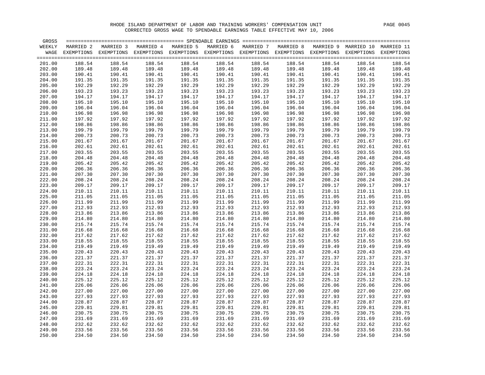| GROSS  |           |                                                                                                    |           |           |           |           |           |        |                                 |               |
|--------|-----------|----------------------------------------------------------------------------------------------------|-----------|-----------|-----------|-----------|-----------|--------|---------------------------------|---------------|
| WEEKLY | MARRIED 2 | MARRIED 3                                                                                          | MARRIED 4 | MARRIED 5 | MARRIED 6 | MARRIED 7 | MARRIED 8 |        | MARRIED 9 MARRIED 10 MARRIED 11 |               |
| WAGE   |           | EXEMPTIONS EXEMPTIONS EXEMPTIONS EXEMPTIONS EXEMPTIONS EXEMPTIONS EXEMPTIONS EXEMPTIONS EXEMPTIONS |           |           |           |           |           |        |                                 | EXEMPTIONS    |
|        |           |                                                                                                    |           |           |           |           |           |        |                                 | $=$ = $=$ $=$ |
| 201.00 | 188.54    | 188.54                                                                                             | 188.54    | 188.54    | 188.54    | 188.54    | 188.54    | 188.54 | 188.54                          | 188.54        |
| 202.00 | 189.48    | 189.48                                                                                             | 189.48    | 189.48    | 189.48    | 189.48    | 189.48    | 189.48 | 189.48                          | 189.48        |
| 203.00 | 190.41    | 190.41                                                                                             | 190.41    | 190.41    | 190.41    | 190.41    | 190.41    | 190.41 | 190.41                          | 190.41        |
| 204.00 | 191.35    | 191.35                                                                                             | 191.35    | 191.35    | 191.35    | 191.35    | 191.35    | 191.35 | 191.35                          | 191.35        |
| 205.00 | 192.29    | 192.29                                                                                             | 192.29    | 192.29    | 192.29    | 192.29    | 192.29    | 192.29 | 192.29                          | 192.29        |
| 206.00 | 193.23    | 193.23                                                                                             | 193.23    | 193.23    | 193.23    | 193.23    | 193.23    | 193.23 | 193.23                          | 193.23        |
| 207.00 | 194.17    | 194.17                                                                                             | 194.17    | 194.17    | 194.17    | 194.17    | 194.17    | 194.17 | 194.17                          | 194.17        |
| 208.00 | 195.10    | 195.10                                                                                             | 195.10    | 195.10    | 195.10    | 195.10    | 195.10    | 195.10 | 195.10                          | 195.10        |
| 209.00 | 196.04    | 196.04                                                                                             | 196.04    | 196.04    | 196.04    | 196.04    | 196.04    | 196.04 | 196.04                          | 196.04        |
| 210.00 | 196.98    | 196.98                                                                                             | 196.98    | 196.98    | 196.98    | 196.98    | 196.98    | 196.98 | 196.98                          | 196.98        |
| 211.00 | 197.92    | 197.92                                                                                             | 197.92    | 197.92    | 197.92    | 197.92    | 197.92    | 197.92 | 197.92                          | 197.92        |
| 212.00 | 198.86    | 198.86                                                                                             | 198.86    | 198.86    | 198.86    | 198.86    | 198.86    | 198.86 | 198.86                          | 198.86        |
| 213.00 | 199.79    | 199.79                                                                                             | 199.79    | 199.79    | 199.79    | 199.79    | 199.79    | 199.79 | 199.79                          | 199.79        |
| 214.00 | 200.73    | 200.73                                                                                             | 200.73    | 200.73    | 200.73    | 200.73    | 200.73    | 200.73 | 200.73                          | 200.73        |
| 215.00 | 201.67    | 201.67                                                                                             | 201.67    | 201.67    | 201.67    | 201.67    | 201.67    | 201.67 | 201.67                          | 201.67        |
| 216.00 | 202.61    | 202.61                                                                                             | 202.61    | 202.61    | 202.61    | 202.61    | 202.61    | 202.61 | 202.61                          | 202.61        |
| 217.00 | 203.55    | 203.55                                                                                             | 203.55    | 203.55    | 203.55    | 203.55    | 203.55    | 203.55 | 203.55                          | 203.55        |
| 218.00 | 204.48    | 204.48                                                                                             | 204.48    | 204.48    | 204.48    | 204.48    | 204.48    | 204.48 | 204.48                          | 204.48        |
| 219.00 | 205.42    | 205.42                                                                                             | 205.42    | 205.42    | 205.42    | 205.42    | 205.42    | 205.42 | 205.42                          | 205.42        |
| 220.00 | 206.36    | 206.36                                                                                             | 206.36    | 206.36    | 206.36    | 206.36    | 206.36    | 206.36 | 206.36                          | 206.36        |
| 221.00 | 207.30    | 207.30                                                                                             | 207.30    | 207.30    | 207.30    | 207.30    | 207.30    | 207.30 | 207.30                          | 207.30        |
| 222.00 | 208.24    | 208.24                                                                                             | 208.24    | 208.24    | 208.24    | 208.24    | 208.24    | 208.24 | 208.24                          | 208.24        |
| 223.00 | 209.17    | 209.17                                                                                             | 209.17    | 209.17    | 209.17    | 209.17    | 209.17    | 209.17 | 209.17                          | 209.17        |
| 224.00 | 210.11    | 210.11                                                                                             | 210.11    | 210.11    | 210.11    | 210.11    | 210.11    | 210.11 | 210.11                          | 210.11        |
| 225.00 | 211.05    | 211.05                                                                                             | 211.05    | 211.05    | 211.05    | 211.05    | 211.05    | 211.05 | 211.05                          | 211.05        |
| 226.00 | 211.99    | 211.99                                                                                             | 211.99    | 211.99    | 211.99    | 211.99    | 211.99    | 211.99 | 211.99                          | 211.99        |
| 227.00 | 212.93    | 212.93                                                                                             | 212.93    | 212.93    | 212.93    | 212.93    | 212.93    | 212.93 | 212.93                          | 212.93        |
| 228.00 | 213.86    | 213.86                                                                                             | 213.86    | 213.86    | 213.86    | 213.86    | 213.86    | 213.86 | 213.86                          | 213.86        |
| 229.00 | 214.80    | 214.80                                                                                             | 214.80    | 214.80    | 214.80    | 214.80    | 214.80    | 214.80 | 214.80                          | 214.80        |
| 230.00 | 215.74    | 215.74                                                                                             | 215.74    | 215.74    | 215.74    | 215.74    | 215.74    | 215.74 | 215.74                          | 215.74        |
| 231.00 | 216.68    | 216.68                                                                                             | 216.68    | 216.68    | 216.68    | 216.68    | 216.68    | 216.68 | 216.68                          | 216.68        |
| 232.00 | 217.62    | 217.62                                                                                             | 217.62    | 217.62    | 217.62    | 217.62    | 217.62    | 217.62 | 217.62                          | 217.62        |
| 233.00 | 218.55    | 218.55                                                                                             | 218.55    | 218.55    | 218.55    | 218.55    | 218.55    | 218.55 | 218.55                          | 218.55        |
| 234.00 | 219.49    | 219.49                                                                                             | 219.49    | 219.49    | 219.49    | 219.49    | 219.49    | 219.49 | 219.49                          | 219.49        |
| 235.00 | 220.43    | 220.43                                                                                             | 220.43    | 220.43    | 220.43    | 220.43    | 220.43    | 220.43 | 220.43                          | 220.43        |
| 236.00 | 221.37    | 221.37                                                                                             | 221.37    | 221.37    | 221.37    | 221.37    | 221.37    | 221.37 | 221.37                          | 221.37        |
| 237.00 | 222.31    | 222.31                                                                                             | 222.31    | 222.31    | 222.31    | 222.31    | 222.31    | 222.31 | 222.31                          | 222.31        |
| 238.00 | 223.24    | 223.24                                                                                             | 223.24    | 223.24    | 223.24    | 223.24    | 223.24    | 223.24 | 223.24                          | 223.24        |
| 239.00 | 224.18    | 224.18                                                                                             | 224.18    | 224.18    | 224.18    | 224.18    | 224.18    | 224.18 | 224.18                          | 224.18        |
| 240.00 | 225.12    | 225.12                                                                                             | 225.12    | 225.12    | 225.12    | 225.12    | 225.12    | 225.12 | 225.12                          | 225.12        |
| 241.00 | 226.06    | 226.06                                                                                             | 226.06    | 226.06    | 226.06    | 226.06    | 226.06    | 226.06 | 226.06                          | 226.06        |
| 242.00 | 227.00    | 227.00                                                                                             | 227.00    | 227.00    | 227.00    | 227.00    | 227.00    | 227.00 | 227.00                          | 227.00        |
| 243.00 | 227.93    | 227.93                                                                                             | 227.93    | 227.93    | 227.93    | 227.93    | 227.93    | 227.93 | 227.93                          | 227.93        |
| 244.00 | 228.87    | 228.87                                                                                             | 228.87    | 228.87    | 228.87    | 228.87    | 228.87    | 228.87 | 228.87                          | 228.87        |
| 245.00 | 229.81    | 229.81                                                                                             | 229.81    | 229.81    | 229.81    | 229.81    | 229.81    | 229.81 | 229.81                          | 229.81        |
| 246.00 | 230.75    | 230.75                                                                                             | 230.75    | 230.75    | 230.75    | 230.75    | 230.75    | 230.75 | 230.75                          | 230.75        |
| 247.00 | 231.69    | 231.69                                                                                             | 231.69    | 231.69    | 231.69    | 231.69    | 231.69    | 231.69 | 231.69                          | 231.69        |
| 248.00 | 232.62    | 232.62                                                                                             | 232.62    | 232.62    | 232.62    | 232.62    | 232.62    | 232.62 | 232.62                          | 232.62        |
| 249.00 | 233.56    | 233.56                                                                                             | 233.56    | 233.56    | 233.56    | 233.56    | 233.56    | 233.56 | 233.56                          | 233.56        |
| 250.00 | 234.50    | 234.50                                                                                             | 234.50    | 234.50    | 234.50    | 234.50    | 234.50    | 234.50 | 234.50                          | 234.50        |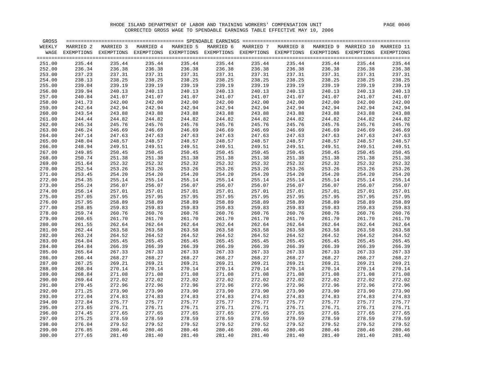| GROSS  | $=$ $=$ $=$ $=$ |           |                       |           |           |                                                        |           |           |            |            |
|--------|-----------------|-----------|-----------------------|-----------|-----------|--------------------------------------------------------|-----------|-----------|------------|------------|
| WEEKLY | MARRIED 2       | MARRIED 3 | MARRIED 4             | MARRIED 5 | MARRIED 6 | MARRIED 7                                              | MARRIED 8 | MARRIED 9 | MARRIED 10 | MARRIED 11 |
| WAGE   | EXEMPTIONS      |           | EXEMPTIONS EXEMPTIONS |           |           | EXEMPTIONS EXEMPTIONS EXEMPTIONS EXEMPTIONS EXEMPTIONS |           |           | EXEMPTIONS | EXEMPTIONS |
|        |                 |           |                       |           |           |                                                        |           |           |            |            |
| 251.00 | 235.44          | 235.44    | 235.44                | 235.44    | 235.44    | 235.44                                                 | 235.44    | 235.44    | 235.44     | 235.44     |
| 252.00 | 236.34          | 236.38    | 236.38                | 236.38    | 236.38    | 236.38                                                 | 236.38    | 236.38    | 236.38     | 236.38     |
| 253.00 | 237.23          | 237.31    | 237.31                | 237.31    | 237.31    | 237.31                                                 | 237.31    | 237.31    | 237.31     | 237.31     |
|        |                 |           |                       | 238.25    |           |                                                        |           | 238.25    |            |            |
| 254.00 | 238.13          | 238.25    | 238.25                |           | 238.25    | 238.25                                                 | 238.25    |           | 238.25     | 238.25     |
| 255.00 | 239.04          | 239.19    | 239.19                | 239.19    | 239.19    | 239.19                                                 | 239.19    | 239.19    | 239.19     | 239.19     |
| 256.00 | 239.94          | 240.13    | 240.13                | 240.13    | 240.13    | 240.13                                                 | 240.13    | 240.13    | 240.13     | 240.13     |
| 257.00 | 240.84          | 241.07    | 241.07                | 241.07    | 241.07    | 241.07                                                 | 241.07    | 241.07    | 241.07     | 241.07     |
| 258.00 | 241.73          | 242.00    | 242.00                | 242.00    | 242.00    | 242.00                                                 | 242.00    | 242.00    | 242.00     | 242.00     |
| 259.00 | 242.64          | 242.94    | 242.94                | 242.94    | 242.94    | 242.94                                                 | 242.94    | 242.94    | 242.94     | 242.94     |
| 260.00 | 243.54          | 243.88    | 243.88                | 243.88    | 243.88    | 243.88                                                 | 243.88    | 243.88    | 243.88     | 243.88     |
| 261.00 | 244.44          | 244.82    | 244.82                | 244.82    | 244.82    | 244.82                                                 | 244.82    | 244.82    | 244.82     | 244.82     |
| 262.00 | 245.34          | 245.76    | 245.76                | 245.76    | 245.76    | 245.76                                                 | 245.76    | 245.76    | 245.76     | 245.76     |
| 263.00 | 246.24          | 246.69    | 246.69                | 246.69    | 246.69    | 246.69                                                 | 246.69    | 246.69    | 246.69     | 246.69     |
| 264.00 | 247.14          | 247.63    | 247.63                | 247.63    | 247.63    | 247.63                                                 | 247.63    | 247.63    | 247.63     | 247.63     |
| 265.00 | 248.04          | 248.57    | 248.57                | 248.57    | 248.57    | 248.57                                                 | 248.57    | 248.57    | 248.57     | 248.57     |
| 266.00 | 248.94          | 249.51    | 249.51                | 249.51    | 249.51    | 249.51                                                 | 249.51    | 249.51    | 249.51     | 249.51     |
| 267.00 | 249.85          | 250.45    | 250.45                | 250.45    | 250.45    | 250.45                                                 | 250.45    | 250.45    | 250.45     | 250.45     |
| 268.00 | 250.74          | 251.38    | 251.38                | 251.38    | 251.38    | 251.38                                                 | 251.38    | 251.38    | 251.38     | 251.38     |
| 269.00 | 251.64          | 252.32    | 252.32                | 252.32    | 252.32    | 252.32                                                 | 252.32    | 252.32    | 252.32     | 252.32     |
| 270.00 | 252.54          | 253.26    | 253.26                | 253.26    | 253.26    | 253.26                                                 | 253.26    | 253.26    | 253.26     | 253.26     |
| 271.00 | 253.45          | 254.20    | 254.20                | 254.20    | 254.20    | 254.20                                                 | 254.20    | 254.20    | 254.20     | 254.20     |
| 272.00 | 254.35          | 255.14    | 255.14                | 255.14    | 255.14    | 255.14                                                 | 255.14    | 255.14    | 255.14     | 255.14     |
| 273.00 | 255.24          | 256.07    | 256.07                | 256.07    | 256.07    | 256.07                                                 | 256.07    | 256.07    | 256.07     | 256.07     |
| 274.00 | 256.14          | 257.01    | 257.01                | 257.01    | 257.01    | 257.01                                                 | 257.01    | 257.01    | 257.01     | 257.01     |
|        |                 |           |                       |           |           |                                                        |           | 257.95    |            |            |
| 275.00 | 257.05          | 257.95    | 257.95                | 257.95    | 257.95    | 257.95                                                 | 257.95    |           | 257.95     | 257.95     |
| 276.00 | 257.95          | 258.89    | 258.89                | 258.89    | 258.89    | 258.89                                                 | 258.89    | 258.89    | 258.89     | 258.89     |
| 277.00 | 258.85          | 259.83    | 259.83                | 259.83    | 259.83    | 259.83                                                 | 259.83    | 259.83    | 259.83     | 259.83     |
| 278.00 | 259.74          | 260.76    | 260.76                | 260.76    | 260.76    | 260.76                                                 | 260.76    | 260.76    | 260.76     | 260.76     |
| 279.00 | 260.65          | 261.70    | 261.70                | 261.70    | 261.70    | 261.70                                                 | 261.70    | 261.70    | 261.70     | 261.70     |
| 280.00 | 261.55          | 262.64    | 262.64                | 262.64    | 262.64    | 262.64                                                 | 262.64    | 262.64    | 262.64     | 262.64     |
| 281.00 | 262.44          | 263.58    | 263.58                | 263.58    | 263.58    | 263.58                                                 | 263.58    | 263.58    | 263.58     | 263.58     |
| 282.00 | 263.24          | 264.52    | 264.52                | 264.52    | 264.52    | 264.52                                                 | 264.52    | 264.52    | 264.52     | 264.52     |
| 283.00 | 264.04          | 265.45    | 265.45                | 265.45    | 265.45    | 265.45                                                 | 265.45    | 265.45    | 265.45     | 265.45     |
| 284.00 | 264.84          | 266.39    | 266.39                | 266.39    | 266.39    | 266.39                                                 | 266.39    | 266.39    | 266.39     | 266.39     |
| 285.00 | 265.64          | 267.33    | 267.33                | 267.33    | 267.33    | 267.33                                                 | 267.33    | 267.33    | 267.33     | 267.33     |
| 286.00 | 266.44          | 268.27    | 268.27                | 268.27    | 268.27    | 268.27                                                 | 268.27    | 268.27    | 268.27     | 268.27     |
| 287.00 | 267.25          | 269.21    | 269.21                | 269.21    | 269.21    | 269.21                                                 | 269.21    | 269.21    | 269.21     | 269.21     |
| 288.00 | 268.04          | 270.14    | 270.14                | 270.14    | 270.14    | 270.14                                                 | 270.14    | 270.14    | 270.14     | 270.14     |
| 289.00 | 268.84          | 271.08    | 271.08                | 271.08    | 271.08    | 271.08                                                 | 271.08    | 271.08    | 271.08     | 271.08     |
| 290.00 | 269.64          | 272.02    | 272.02                | 272.02    | 272.02    | 272.02                                                 | 272.02    | 272.02    | 272.02     | 272.02     |
| 291.00 | 270.45          | 272.96    | 272.96                | 272.96    | 272.96    | 272.96                                                 | 272.96    | 272.96    | 272.96     | 272.96     |
| 292.00 | 271.25          | 273.90    | 273.90                | 273.90    | 273.90    | 273.90                                                 | 273.90    | 273.90    | 273.90     | 273.90     |
| 293.00 | 272.04          | 274.83    | 274.83                | 274.83    | 274.83    | 274.83                                                 | 274.83    | 274.83    | 274.83     | 274.83     |
| 294.00 | 272.84          | 275.77    | 275.77                | 275.77    | 275.77    | 275.77                                                 | 275.77    | 275.77    | 275.77     | 275.77     |
| 295.00 | 273.65          | 276.71    | 276.71                | 276.71    | 276.71    | 276.71                                                 | 276.71    | 276.71    | 276.71     | 276.71     |
| 296.00 | 274.45          | 277.65    | 277.65                | 277.65    | 277.65    | 277.65                                                 | 277.65    | 277.65    | 277.65     | 277.65     |
| 297.00 | 275.25          | 278.59    | 278.59                | 278.59    | 278.59    | 278.59                                                 | 278.59    | 278.59    | 278.59     | 278.59     |
| 298.00 | 276.04          | 279.52    | 279.52                | 279.52    | 279.52    | 279.52                                                 | 279.52    | 279.52    | 279.52     | 279.52     |
| 299.00 | 276.85          | 280.46    | 280.46                | 280.46    | 280.46    | 280.46                                                 | 280.46    | 280.46    | 280.46     | 280.46     |
| 300.00 | 277.65          | 281.40    | 281.40                | 281.40    | 281.40    | 281.40                                                 | 281.40    | 281.40    | 281.40     | 281.40     |
|        |                 |           |                       |           |           |                                                        |           |           |            |            |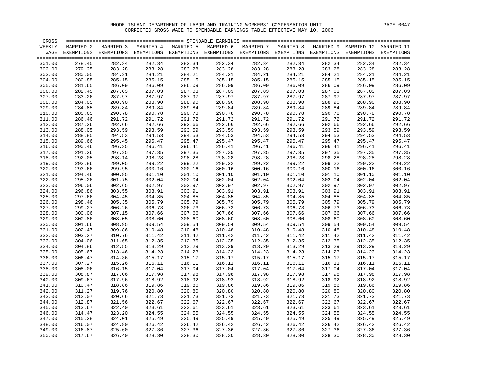| GROSS  |           |           |           |           |           |                                                                                         |           |           |            |            |
|--------|-----------|-----------|-----------|-----------|-----------|-----------------------------------------------------------------------------------------|-----------|-----------|------------|------------|
| WEEKLY | MARRIED 2 | MARRIED 3 | MARRIED 4 | MARRIED 5 | MARRIED 6 | MARRIED 7                                                                               | MARRIED 8 | MARRIED 9 | MARRIED 10 | MARRIED 11 |
| WAGE   |           |           |           |           |           | EXEMPTIONS EXEMPTIONS EXEMPTIONS EXEMPTIONS EXEMPTIONS EXEMPTIONS EXEMPTIONS EXEMPTIONS |           |           | EXEMPTIONS | EXEMPTIONS |
|        |           |           |           |           |           |                                                                                         |           |           |            |            |
| 301.00 | 278.45    | 282.34    | 282.34    | 282.34    | 282.34    | 282.34                                                                                  | 282.34    | 282.34    | 282.34     | 282.34     |
| 302.00 | 279.25    | 283.28    | 283.28    | 283.28    | 283.28    | 283.28                                                                                  | 283.28    | 283.28    | 283.28     | 283.28     |
| 303.00 | 280.05    | 284.21    | 284.21    | 284.21    | 284.21    | 284.21                                                                                  | 284.21    | 284.21    | 284.21     | 284.21     |
|        |           |           |           |           |           |                                                                                         |           |           |            |            |
| 304.00 | 280.85    | 285.15    | 285.15    | 285.15    | 285.15    | 285.15                                                                                  | 285.15    | 285.15    | 285.15     | 285.15     |
| 305.00 | 281.65    | 286.09    | 286.09    | 286.09    | 286.09    | 286.09                                                                                  | 286.09    | 286.09    | 286.09     | 286.09     |
| 306.00 | 282.45    | 287.03    | 287.03    | 287.03    | 287.03    | 287.03                                                                                  | 287.03    | 287.03    | 287.03     | 287.03     |
| 307.00 | 283.26    | 287.97    | 287.97    | 287.97    | 287.97    | 287.97                                                                                  | 287.97    | 287.97    | 287.97     | 287.97     |
| 308.00 | 284.05    | 288.90    | 288.90    | 288.90    | 288.90    | 288.90                                                                                  | 288.90    | 288.90    | 288.90     | 288.90     |
| 309.00 | 284.85    | 289.84    | 289.84    | 289.84    | 289.84    | 289.84                                                                                  | 289.84    | 289.84    | 289.84     | 289.84     |
| 310.00 | 285.65    | 290.78    | 290.78    | 290.78    | 290.78    | 290.78                                                                                  | 290.78    | 290.78    | 290.78     | 290.78     |
| 311.00 | 286.46    | 291.72    | 291.72    | 291.72    | 291.72    | 291.72                                                                                  | 291.72    | 291.72    | 291.72     | 291.72     |
| 312.00 | 287.26    | 292.66    | 292.66    | 292.66    | 292.66    | 292.66                                                                                  | 292.66    | 292.66    | 292.66     | 292.66     |
| 313.00 | 288.05    | 293.59    | 293.59    | 293.59    | 293.59    | 293.59                                                                                  | 293.59    | 293.59    | 293.59     | 293.59     |
| 314.00 | 288.85    | 294.53    | 294.53    | 294.53    | 294.53    | 294.53                                                                                  | 294.53    | 294.53    | 294.53     | 294.53     |
| 315.00 | 289.66    | 295.45    | 295.47    | 295.47    | 295.47    | 295.47                                                                                  | 295.47    | 295.47    | 295.47     | 295.47     |
| 316.00 | 290.46    | 296.35    | 296.41    | 296.41    | 296.41    | 296.41                                                                                  | 296.41    | 296.41    | 296.41     | 296.41     |
| 317.00 | 291.26    | 297.25    | 297.35    | 297.35    | 297.35    | 297.35                                                                                  | 297.35    | 297.35    | 297.35     | 297.35     |
| 318.00 | 292.05    | 298.14    | 298.28    | 298.28    | 298.28    | 298.28                                                                                  | 298.28    | 298.28    | 298.28     | 298.28     |
| 319.00 | 292.86    | 299.05    | 299.22    | 299.22    | 299.22    | 299.22                                                                                  | 299.22    | 299.22    | 299.22     | 299.22     |
| 320.00 | 293.66    | 299.95    | 300.16    | 300.16    | 300.16    | 300.16                                                                                  | 300.16    | 300.16    | 300.16     | 300.16     |
|        |           |           |           |           |           |                                                                                         |           |           |            |            |
| 321.00 | 294.46    | 300.85    | 301.10    | 301.10    | 301.10    | 301.10                                                                                  | 301.10    | 301.10    | 301.10     | 301.10     |
| 322.00 | 295.26    | 301.75    | 302.04    | 302.04    | 302.04    | 302.04                                                                                  | 302.04    | 302.04    | 302.04     | 302.04     |
| 323.00 | 296.06    | 302.65    | 302.97    | 302.97    | 302.97    | 302.97                                                                                  | 302.97    | 302.97    | 302.97     | 302.97     |
| 324.00 | 296.86    | 303.55    | 303.91    | 303.91    | 303.91    | 303.91                                                                                  | 303.91    | 303.91    | 303.91     | 303.91     |
| 325.00 | 297.66    | 304.45    | 304.85    | 304.85    | 304.85    | 304.85                                                                                  | 304.85    | 304.85    | 304.85     | 304.85     |
| 326.00 | 298.46    | 305.35    | 305.79    | 305.79    | 305.79    | 305.79                                                                                  | 305.79    | 305.79    | 305.79     | 305.79     |
| 327.00 | 299.27    | 306.26    | 306.73    | 306.73    | 306.73    | 306.73                                                                                  | 306.73    | 306.73    | 306.73     | 306.73     |
| 328.00 | 300.06    | 307.15    | 307.66    | 307.66    | 307.66    | 307.66                                                                                  | 307.66    | 307.66    | 307.66     | 307.66     |
| 329.00 | 300.86    | 308.05    | 308.60    | 308.60    | 308.60    | 308.60                                                                                  | 308.60    | 308.60    | 308.60     | 308.60     |
| 330.00 | 301.66    | 308.95    | 309.54    | 309.54    | 309.54    | 309.54                                                                                  | 309.54    | 309.54    | 309.54     | 309.54     |
| 331.00 | 302.47    | 309.86    | 310.48    | 310.48    | 310.48    | 310.48                                                                                  | 310.48    | 310.48    | 310.48     | 310.48     |
| 332.00 | 303.27    | 310.76    | 311.42    | 311.42    | 311.42    | 311.42                                                                                  | 311.42    | 311.42    | 311.42     | 311.42     |
| 333.00 | 304.06    | 311.65    | 312.35    | 312.35    | 312.35    | 312.35                                                                                  | 312.35    | 312.35    | 312.35     | 312.35     |
| 334.00 | 304.86    | 312.55    | 313.29    | 313.29    | 313.29    | 313.29                                                                                  | 313.29    | 313.29    | 313.29     | 313.29     |
| 335.00 | 305.67    | 313.46    | 314.23    | 314.23    | 314.23    | 314.23                                                                                  | 314.23    | 314.23    | 314.23     | 314.23     |
| 336.00 | 306.47    | 314.36    | 315.17    | 315.17    | 315.17    | 315.17                                                                                  | 315.17    | 315.17    | 315.17     | 315.17     |
| 337.00 | 307.27    | 315.26    | 316.11    | 316.11    | 316.11    | 316.11                                                                                  | 316.11    | 316.11    | 316.11     | 316.11     |
| 338.00 | 308.06    | 316.15    | 317.04    | 317.04    | 317.04    | 317.04                                                                                  | 317.04    | 317.04    | 317.04     | 317.04     |
| 339.00 | 308.87    | 317.06    | 317.98    | 317.98    | 317.98    | 317.98                                                                                  | 317.98    | 317.98    | 317.98     | 317.98     |
| 340.00 | 309.67    | 317.96    | 318.92    | 318.92    | 318.92    | 318.92                                                                                  | 318.92    | 318.92    | 318.92     | 318.92     |
|        | 310.47    |           | 319.86    | 319.86    |           |                                                                                         |           | 319.86    | 319.86     | 319.86     |
| 341.00 |           | 318.86    |           |           | 319.86    | 319.86                                                                                  | 319.86    |           |            |            |
| 342.00 | 311.27    | 319.76    | 320.80    | 320.80    | 320.80    | 320.80                                                                                  | 320.80    | 320.80    | 320.80     | 320.80     |
| 343.00 | 312.07    | 320.66    | 321.73    | 321.73    | 321.73    | 321.73                                                                                  | 321.73    | 321.73    | 321.73     | 321.73     |
| 344.00 | 312.87    | 321.56    | 322.67    | 322.67    | 322.67    | 322.67                                                                                  | 322.67    | 322.67    | 322.67     | 322.67     |
| 345.00 | 313.67    | 322.40    | 323.61    | 323.61    | 323.61    | 323.61                                                                                  | 323.61    | 323.61    | 323.61     | 323.61     |
| 346.00 | 314.47    | 323.20    | 324.55    | 324.55    | 324.55    | 324.55                                                                                  | 324.55    | 324.55    | 324.55     | 324.55     |
| 347.00 | 315.28    | 324.01    | 325.49    | 325.49    | 325.49    | 325.49                                                                                  | 325.49    | 325.49    | 325.49     | 325.49     |
| 348.00 | 316.07    | 324.80    | 326.42    | 326.42    | 326.42    | 326.42                                                                                  | 326.42    | 326.42    | 326.42     | 326.42     |
| 349.00 | 316.87    | 325.60    | 327.36    | 327.36    | 327.36    | 327.36                                                                                  | 327.36    | 327.36    | 327.36     | 327.36     |
| 350.00 | 317.67    | 326.40    | 328.30    | 328.30    | 328.30    | 328.30                                                                                  | 328.30    | 328.30    | 328.30     | 328.30     |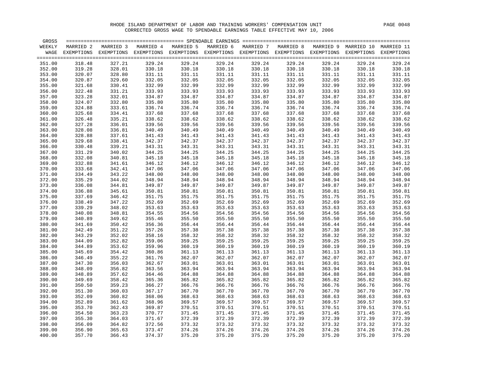| GROSS  |           |                                                                                                    |           |           |           |           |           |        |                      |                               |
|--------|-----------|----------------------------------------------------------------------------------------------------|-----------|-----------|-----------|-----------|-----------|--------|----------------------|-------------------------------|
| WEEKLY | MARRIED 2 | MARRIED 3                                                                                          | MARRIED 4 | MARRIED 5 | MARRIED 6 | MARRIED 7 | MARRIED 8 |        | MARRIED 9 MARRIED 10 | MARRIED 11                    |
| WAGE   |           | EXEMPTIONS EXEMPTIONS EXEMPTIONS EXEMPTIONS EXEMPTIONS EXEMPTIONS EXEMPTIONS EXEMPTIONS EXEMPTIONS |           |           |           |           |           |        |                      | EXEMPTIONS                    |
| 351.00 | 318.48    | 327.21                                                                                             | 329.24    | 329.24    | 329.24    | 329.24    | 329.24    | 329.24 | 329.24               | $=$ $=$ $=$ $=$ $=$<br>329.24 |
| 352.00 | 319.28    | 328.01                                                                                             | 330.18    | 330.18    | 330.18    | 330.18    | 330.18    | 330.18 | 330.18               | 330.18                        |
| 353.00 | 320.07    | 328.80                                                                                             | 331.11    | 331.11    | 331.11    | 331.11    | 331.11    | 331.11 | 331.11               | 331.11                        |
| 354.00 | 320.87    | 329.60                                                                                             | 332.05    | 332.05    | 332.05    | 332.05    | 332.05    | 332.05 | 332.05               | 332.05                        |
| 355.00 | 321.68    | 330.41                                                                                             | 332.99    | 332.99    | 332.99    | 332.99    | 332.99    | 332.99 | 332.99               | 332.99                        |
| 356.00 | 322.48    | 331.21                                                                                             | 333.93    | 333.93    | 333.93    | 333.93    | 333.93    | 333.93 | 333.93               | 333.93                        |
| 357.00 | 323.28    | 332.01                                                                                             | 334.87    | 334.87    | 334.87    | 334.87    | 334.87    | 334.87 | 334.87               | 334.87                        |
| 358.00 | 324.07    | 332.80                                                                                             | 335.80    | 335.80    | 335.80    | 335.80    | 335.80    | 335.80 | 335.80               | 335.80                        |
| 359.00 | 324.88    | 333.61                                                                                             | 336.74    | 336.74    | 336.74    | 336.74    | 336.74    | 336.74 | 336.74               | 336.74                        |
| 360.00 | 325.68    | 334.41                                                                                             | 337.68    | 337.68    | 337.68    | 337.68    | 337.68    | 337.68 | 337.68               | 337.68                        |
| 361.00 | 326.48    | 335.21                                                                                             | 338.62    | 338.62    | 338.62    | 338.62    | 338.62    | 338.62 | 338.62               | 338.62                        |
| 362.00 | 327.28    | 336.01                                                                                             | 339.56    | 339.56    | 339.56    | 339.56    | 339.56    | 339.56 | 339.56               | 339.56                        |
| 363.00 | 328.08    | 336.81                                                                                             | 340.49    | 340.49    | 340.49    | 340.49    | 340.49    | 340.49 | 340.49               | 340.49                        |
| 364.00 | 328.88    | 337.61                                                                                             | 341.43    | 341.43    | 341.43    | 341.43    | 341.43    | 341.43 | 341.43               | 341.43                        |
| 365.00 | 329.68    | 338.41                                                                                             | 342.37    | 342.37    | 342.37    | 342.37    | 342.37    | 342.37 | 342.37               | 342.37                        |
| 366.00 | 330.48    | 339.21                                                                                             | 343.31    | 343.31    | 343.31    | 343.31    | 343.31    | 343.31 | 343.31               | 343.31                        |
| 367.00 | 331.29    | 340.02                                                                                             | 344.25    | 344.25    | 344.25    | 344.25    | 344.25    | 344.25 | 344.25               | 344.25                        |
| 368.00 | 332.08    | 340.81                                                                                             | 345.18    | 345.18    | 345.18    | 345.18    | 345.18    | 345.18 | 345.18               | 345.18                        |
| 369.00 | 332.88    | 341.61                                                                                             | 346.12    | 346.12    | 346.12    | 346.12    | 346.12    | 346.12 | 346.12               | 346.12                        |
| 370.00 | 333.68    | 342.41                                                                                             | 347.06    | 347.06    | 347.06    | 347.06    | 347.06    | 347.06 | 347.06               | 347.06                        |
| 371.00 | 334.49    | 343.22                                                                                             | 348.00    | 348.00    | 348.00    | 348.00    | 348.00    | 348.00 | 348.00               | 348.00                        |
| 372.00 | 335.29    | 344.02                                                                                             | 348.94    | 348.94    | 348.94    | 348.94    | 348.94    | 348.94 | 348.94               | 348.94                        |
| 373.00 | 336.08    | 344.81                                                                                             | 349.87    | 349.87    | 349.87    | 349.87    | 349.87    | 349.87 | 349.87               | 349.87                        |
| 374.00 | 336.88    | 345.61                                                                                             | 350.81    | 350.81    | 350.81    | 350.81    | 350.81    | 350.81 | 350.81               | 350.81                        |
| 375.00 | 337.69    | 346.42                                                                                             | 351.75    | 351.75    | 351.75    | 351.75    | 351.75    | 351.75 | 351.75               | 351.75                        |
| 376.00 | 338.49    | 347.22                                                                                             | 352.69    | 352.69    | 352.69    | 352.69    | 352.69    | 352.69 | 352.69               | 352.69                        |
| 377.00 | 339.29    | 348.02                                                                                             | 353.63    | 353.63    | 353.63    | 353.63    | 353.63    | 353.63 | 353.63               | 353.63                        |
| 378.00 | 340.08    | 348.81                                                                                             | 354.55    | 354.56    | 354.56    | 354.56    | 354.56    | 354.56 | 354.56               | 354.56                        |
| 379.00 | 340.89    | 349.62                                                                                             | 355.46    | 355.50    | 355.50    | 355.50    | 355.50    | 355.50 | 355.50               | 355.50                        |
| 380.00 | 341.69    | 350.42                                                                                             | 356.36    | 356.44    | 356.44    | 356.44    | 356.44    | 356.44 | 356.44               | 356.44                        |
| 381.00 | 342.49    | 351.22                                                                                             | 357.26    | 357.38    | 357.38    | 357.38    | 357.38    | 357.38 | 357.38               | 357.38                        |
| 382.00 | 343.29    | 352.02                                                                                             | 358.16    | 358.32    | 358.32    | 358.32    | 358.32    | 358.32 | 358.32               | 358.32                        |
| 383.00 | 344.09    | 352.82                                                                                             | 359.06    | 359.25    | 359.25    | 359.25    | 359.25    | 359.25 | 359.25               | 359.25                        |
| 384.00 | 344.89    | 353.62                                                                                             | 359.96    | 360.19    | 360.19    | 360.19    | 360.19    | 360.19 | 360.19               | 360.19                        |
| 385.00 | 345.69    | 354.42                                                                                             | 360.86    | 361.13    | 361.13    | 361.13    | 361.13    | 361.13 | 361.13               | 361.13                        |
| 386.00 | 346.49    | 355.22                                                                                             | 361.76    | 362.07    | 362.07    | 362.07    | 362.07    | 362.07 | 362.07               | 362.07                        |
| 387.00 | 347.30    | 356.03                                                                                             | 362.67    | 363.01    | 363.01    | 363.01    | 363.01    | 363.01 | 363.01               | 363.01                        |
| 388.00 | 348.09    | 356.82                                                                                             | 363.56    | 363.94    | 363.94    | 363.94    | 363.94    | 363.94 | 363.94               | 363.94                        |
| 389.00 | 348.89    | 357.62                                                                                             | 364.46    | 364.88    | 364.88    | 364.88    | 364.88    | 364.88 | 364.88               | 364.88                        |
| 390.00 | 349.69    | 358.42                                                                                             | 365.36    | 365.82    | 365.82    | 365.82    | 365.82    | 365.82 | 365.82               | 365.82                        |
| 391.00 | 350.50    | 359.23                                                                                             | 366.27    | 366.76    | 366.76    | 366.76    | 366.76    | 366.76 | 366.76               | 366.76                        |
| 392.00 | 351.30    | 360.03                                                                                             | 367.17    | 367.70    | 367.70    | 367.70    | 367.70    | 367.70 | 367.70               | 367.70                        |
| 393.00 | 352.09    | 360.82                                                                                             | 368.06    | 368.63    | 368.63    | 368.63    | 368.63    | 368.63 | 368.63               | 368.63                        |
| 394.00 | 352.89    | 361.62                                                                                             | 368.96    | 369.57    | 369.57    | 369.57    | 369.57    | 369.57 | 369.57               | 369.57                        |
| 395.00 | 353.70    | 362.43                                                                                             | 369.87    | 370.51    | 370.51    | 370.51    | 370.51    | 370.51 | 370.51               | 370.51                        |
| 396.00 | 354.50    | 363.23                                                                                             | 370.77    | 371.45    | 371.45    | 371.45    | 371.45    | 371.45 | 371.45               | 371.45                        |
| 397.00 | 355.30    | 364.03                                                                                             | 371.67    | 372.39    | 372.39    | 372.39    | 372.39    | 372.39 | 372.39               | 372.39                        |
| 398.00 | 356.09    | 364.82                                                                                             | 372.56    | 373.32    | 373.32    | 373.32    | 373.32    | 373.32 | 373.32               | 373.32                        |
| 399.00 | 356.90    | 365.63                                                                                             | 373.47    | 374.26    | 374.26    | 374.26    | 374.26    | 374.26 | 374.26               | 374.26                        |
| 400.00 | 357.70    | 366.43                                                                                             | 374.37    | 375.20    | 375.20    | 375.20    | 375.20    | 375.20 | 375.20               | 375.20                        |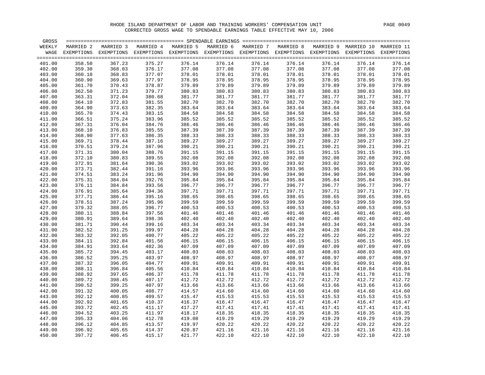| GROSS  | $=$       |                                                                                                    |           |           |           |           |           |           |                       | =============== |
|--------|-----------|----------------------------------------------------------------------------------------------------|-----------|-----------|-----------|-----------|-----------|-----------|-----------------------|-----------------|
| WEEKLY | MARRIED 2 | MARRIED 3                                                                                          | MARRIED 4 | MARRIED 5 | MARRIED 6 | MARRIED 7 | MARRIED 8 | MARRIED 9 | MARRIED 10 MARRIED 11 |                 |
| WAGE   |           | EXEMPTIONS EXEMPTIONS EXEMPTIONS EXEMPTIONS EXEMPTIONS EXEMPTIONS EXEMPTIONS EXEMPTIONS EXEMPTIONS |           |           |           |           |           |           |                       | EXEMPTIONS      |
|        |           |                                                                                                    |           |           |           |           |           |           |                       | $=$ $=$ $=$ $=$ |
| 401.00 | 358.50    | 367.23                                                                                             | 375.27    | 376.14    | 376.14    | 376.14    | 376.14    | 376.14    | 376.14                | 376.14          |
| 402.00 | 359.30    | 368.03                                                                                             | 376.17    | 377.08    | 377.08    | 377.08    | 377.08    | 377.08    | 377.08                | 377.08          |
| 403.00 | 360.10    | 368.83                                                                                             | 377.07    | 378.01    | 378.01    | 378.01    | 378.01    | 378.01    | 378.01                | 378.01          |
| 404.00 | 360.90    | 369.63                                                                                             | 377.97    | 378.95    | 378.95    | 378.95    | 378.95    | 378.95    | 378.95                | 378.95          |
| 405.00 | 361.70    | 370.43                                                                                             | 378.87    | 379.89    | 379.89    | 379.89    | 379.89    | 379.89    | 379.89                | 379.89          |
| 406.00 | 362.50    | 371.23                                                                                             | 379.77    | 380.83    | 380.83    | 380.83    | 380.83    | 380.83    | 380.83                | 380.83          |
| 407.00 | 363.31    | 372.04                                                                                             | 380.68    | 381.77    | 381.77    | 381.77    | 381.77    | 381.77    | 381.77                | 381.77          |
| 408.00 | 364.10    | 372.83                                                                                             | 381.55    | 382.70    | 382.70    | 382.70    | 382.70    | 382.70    | 382.70                | 382.70          |
| 409.00 | 364.90    | 373.63                                                                                             | 382.35    | 383.64    | 383.64    | 383.64    | 383.64    | 383.64    | 383.64                | 383.64          |
| 410.00 | 365.70    | 374.43                                                                                             | 383.15    | 384.58    | 384.58    | 384.58    | 384.58    | 384.58    | 384.58                | 384.58          |
| 411.00 | 366.51    | 375.24                                                                                             | 383.96    | 385.52    | 385.52    | 385.52    | 385.52    | 385.52    | 385.52                | 385.52          |
| 412.00 | 367.31    | 376.04                                                                                             | 384.76    | 386.46    | 386.46    | 386.46    | 386.46    | 386.46    | 386.46                | 386.46          |
| 413.00 | 368.10    | 376.83                                                                                             | 385.55    | 387.39    | 387.39    | 387.39    | 387.39    | 387.39    | 387.39                | 387.39          |
| 414.00 | 368.90    | 377.63                                                                                             | 386.35    | 388.33    | 388.33    | 388.33    | 388.33    | 388.33    | 388.33                | 388.33          |
| 415.00 | 369.71    | 378.44                                                                                             | 387.16    | 389.27    | 389.27    | 389.27    | 389.27    | 389.27    | 389.27                | 389.27          |
| 416.00 | 370.51    | 379.24                                                                                             | 387.96    | 390.21    | 390.21    | 390.21    | 390.21    | 390.21    | 390.21                | 390.21          |
| 417.00 | 371.31    | 380.04                                                                                             | 388.76    | 391.15    | 391.15    | 391.15    | 391.15    | 391.15    | 391.15                | 391.15          |
| 418.00 | 372.10    | 380.83                                                                                             | 389.55    | 392.08    | 392.08    | 392.08    | 392.08    | 392.08    | 392.08                | 392.08          |
| 419.00 | 372.91    | 381.64                                                                                             | 390.36    | 393.02    | 393.02    | 393.02    | 393.02    | 393.02    | 393.02                | 393.02          |
| 420.00 | 373.71    | 382.44                                                                                             | 391.16    | 393.96    | 393.96    | 393.96    | 393.96    | 393.96    | 393.96                | 393.96          |
| 421.00 | 374.51    | 383.24                                                                                             | 391.96    | 394.90    | 394.90    | 394.90    | 394.90    | 394.90    | 394.90                | 394.90          |
| 422.00 | 375.31    | 384.04                                                                                             | 392.76    | 395.84    | 395.84    | 395.84    | 395.84    | 395.84    | 395.84                | 395.84          |
| 423.00 | 376.11    | 384.84                                                                                             | 393.56    | 396.77    | 396.77    | 396.77    | 396.77    | 396.77    | 396.77                | 396.77          |
| 424.00 | 376.91    | 385.64                                                                                             | 394.36    | 397.71    | 397.71    | 397.71    | 397.71    | 397.71    | 397.71                | 397.71          |
| 425.00 | 377.71    | 386.44                                                                                             | 395.16    | 398.65    | 398.65    | 398.65    | 398.65    | 398.65    | 398.65                | 398.65          |
| 426.00 | 378.51    | 387.24                                                                                             | 395.96    | 399.59    | 399.59    | 399.59    | 399.59    | 399.59    | 399.59                | 399.59          |
| 427.00 | 379.32    | 388.05                                                                                             | 396.77    | 400.53    | 400.53    | 400.53    | 400.53    | 400.53    | 400.53                | 400.53          |
| 428.00 | 380.11    | 388.84                                                                                             | 397.56    | 401.46    | 401.46    | 401.46    | 401.46    | 401.46    | 401.46                | 401.46          |
| 429.00 | 380.91    | 389.64                                                                                             | 398.36    | 402.40    | 402.40    | 402.40    | 402.40    | 402.40    | 402.40                | 402.40          |
| 430.00 | 381.71    | 390.44                                                                                             | 399.16    | 403.34    | 403.34    | 403.34    | 403.34    | 403.34    | 403.34                | 403.34          |
| 431.00 | 382.52    | 391.25                                                                                             | 399.97    | 404.28    | 404.28    | 404.28    | 404.28    | 404.28    | 404.28                | 404.28          |
| 432.00 | 383.32    | 392.05                                                                                             | 400.77    | 405.22    | 405.22    | 405.22    | 405.22    | 405.22    | 405.22                | 405.22          |
| 433.00 | 384.11    | 392.84                                                                                             | 401.56    | 406.15    | 406.15    | 406.15    | 406.15    | 406.15    | 406.15                | 406.15          |
| 434.00 | 384.91    | 393.64                                                                                             | 402.36    | 407.09    | 407.09    | 407.09    | 407.09    | 407.09    | 407.09                | 407.09          |
| 435.00 | 385.72    | 394.45                                                                                             | 403.17    | 408.03    | 408.03    | 408.03    | 408.03    | 408.03    | 408.03                | 408.03          |
| 436.00 | 386.52    | 395.25                                                                                             | 403.97    | 408.97    | 408.97    | 408.97    | 408.97    | 408.97    | 408.97                | 408.97          |
| 437.00 | 387.32    | 396.05                                                                                             | 404.77    | 409.91    | 409.91    | 409.91    | 409.91    | 409.91    | 409.91                | 409.91          |
| 438.00 | 388.11    | 396.84                                                                                             | 405.56    | 410.84    | 410.84    | 410.84    | 410.84    | 410.84    | 410.84                | 410.84          |
| 439.00 | 388.92    | 397.65                                                                                             | 406.37    | 411.78    | 411.78    | 411.78    | 411.78    | 411.78    | 411.78                | 411.78          |
| 440.00 | 389.72    | 398.45                                                                                             | 407.17    | 412.72    | 412.72    | 412.72    | 412.72    | 412.72    | 412.72                | 412.72          |
| 441.00 | 390.52    | 399.25                                                                                             | 407.97    | 413.66    | 413.66    | 413.66    | 413.66    | 413.66    | 413.66                | 413.66          |
| 442.00 | 391.32    | 400.05                                                                                             | 408.77    | 414.57    | 414.60    | 414.60    | 414.60    | 414.60    | 414.60                | 414.60          |
| 443.00 | 392.12    | 400.85                                                                                             | 409.57    | 415.47    | 415.53    | 415.53    | 415.53    | 415.53    | 415.53                | 415.53          |
| 444.00 | 392.92    | 401.65                                                                                             | 410.37    | 416.37    | 416.47    | 416.47    | 416.47    | 416.47    | 416.47                | 416.47          |
| 445.00 | 393.72    | 402.45                                                                                             | 411.17    | 417.27    | 417.41    | 417.41    | 417.41    | 417.41    | 417.41                | 417.41          |
| 446.00 | 394.52    | 403.25                                                                                             | 411.97    | 418.17    | 418.35    | 418.35    | 418.35    | 418.35    | 418.35                | 418.35          |
| 447.00 | 395.33    | 404.06                                                                                             | 412.78    | 419.08    | 419.29    | 419.29    | 419.29    | 419.29    | 419.29                | 419.29          |
| 448.00 | 396.12    | 404.85                                                                                             | 413.57    | 419.97    | 420.22    | 420.22    | 420.22    | 420.22    | 420.22                | 420.22          |
| 449.00 | 396.92    | 405.65                                                                                             | 414.37    | 420.87    | 421.16    | 421.16    | 421.16    | 421.16    | 421.16                | 421.16          |
| 450.00 | 397.72    | 406.45                                                                                             | 415.17    | 421.77    | 422.10    | 422.10    | 422.10    | 422.10    | 422.10                | 422.10          |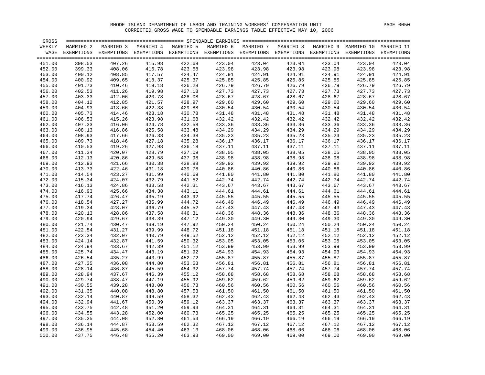| GROSS  |           |                                                                                                    |           |           |           |           |           |           |            |            |
|--------|-----------|----------------------------------------------------------------------------------------------------|-----------|-----------|-----------|-----------|-----------|-----------|------------|------------|
| WEEKLY | MARRIED 2 | MARRIED 3                                                                                          | MARRIED 4 | MARRIED 5 | MARRIED 6 | MARRIED 7 | MARRIED 8 | MARRIED 9 | MARRIED 10 | MARRIED 11 |
| WAGE   |           | EXEMPTIONS EXEMPTIONS EXEMPTIONS EXEMPTIONS EXEMPTIONS EXEMPTIONS EXEMPTIONS EXEMPTIONS EXEMPTIONS |           |           |           |           |           |           |            | EXEMPTIONS |
| 451.00 | 398.53    | 407.26                                                                                             | 415.98    | 422.68    | 423.04    | 423.04    | 423.04    | 423.04    | 423.04     | 423.04     |
| 452.00 | 399.33    | 408.06                                                                                             | 416.78    | 423.58    | 423.98    | 423.98    | 423.98    | 423.98    | 423.98     | 423.98     |
| 453.00 | 400.12    | 408.85                                                                                             | 417.57    | 424.47    | 424.91    | 424.91    | 424.91    | 424.91    | 424.91     | 424.91     |
| 454.00 | 400.92    | 409.65                                                                                             | 418.37    | 425.37    | 425.85    | 425.85    | 425.85    | 425.85    | 425.85     | 425.85     |
| 455.00 | 401.73    | 410.46                                                                                             | 419.18    | 426.28    | 426.79    | 426.79    | 426.79    | 426.79    | 426.79     | 426.79     |
| 456.00 | 402.53    | 411.26                                                                                             | 419.98    | 427.18    | 427.73    | 427.73    | 427.73    | 427.73    | 427.73     | 427.73     |
| 457.00 | 403.33    | 412.06                                                                                             | 420.78    | 428.08    | 428.67    | 428.67    | 428.67    | 428.67    | 428.67     | 428.67     |
| 458.00 | 404.12    | 412.85                                                                                             | 421.57    | 428.97    | 429.60    | 429.60    | 429.60    | 429.60    | 429.60     | 429.60     |
| 459.00 | 404.93    | 413.66                                                                                             | 422.38    | 429.88    | 430.54    | 430.54    | 430.54    | 430.54    | 430.54     | 430.54     |
| 460.00 | 405.73    | 414.46                                                                                             | 423.18    | 430.78    | 431.48    | 431.48    | 431.48    | 431.48    | 431.48     | 431.48     |
| 461.00 | 406.53    | 415.26                                                                                             | 423.98    | 431.68    | 432.42    | 432.42    | 432.42    | 432.42    | 432.42     | 432.42     |
| 462.00 | 407.33    | 416.06                                                                                             | 424.78    | 432.58    | 433.36    | 433.36    | 433.36    | 433.36    | 433.36     | 433.36     |
| 463.00 | 408.13    | 416.86                                                                                             | 425.58    | 433.48    | 434.29    | 434.29    | 434.29    | 434.29    | 434.29     | 434.29     |
| 464.00 | 408.93    | 417.66                                                                                             | 426.38    | 434.38    | 435.23    | 435.23    | 435.23    | 435.23    | 435.23     | 435.23     |
| 465.00 | 409.73    | 418.46                                                                                             | 427.18    | 435.28    | 436.17    | 436.17    | 436.17    | 436.17    | 436.17     | 436.17     |
| 466.00 | 410.53    | 419.26                                                                                             | 427.98    | 436.18    | 437.11    | 437.11    | 437.11    | 437.11    | 437.11     | 437.11     |
| 467.00 | 411.34    | 420.07                                                                                             | 428.79    | 437.09    | 438.05    | 438.05    | 438.05    | 438.05    | 438.05     | 438.05     |
| 468.00 | 412.13    | 420.86                                                                                             | 429.58    | 437.98    | 438.98    | 438.98    | 438.98    | 438.98    | 438.98     | 438.98     |
| 469.00 | 412.93    | 421.66                                                                                             | 430.38    | 438.88    | 439.92    | 439.92    | 439.92    | 439.92    | 439.92     | 439.92     |
| 470.00 | 413.73    | 422.46                                                                                             | 431.18    | 439.78    | 440.86    | 440.86    | 440.86    | 440.86    | 440.86     | 440.86     |
| 471.00 | 414.54    | 423.27                                                                                             | 431.99    | 440.69    | 441.80    | 441.80    | 441.80    | 441.80    | 441.80     | 441.80     |
| 472.00 | 415.34    | 424.07                                                                                             | 432.79    | 441.52    | 442.74    | 442.74    | 442.74    | 442.74    | 442.74     | 442.74     |
| 473.00 | 416.13    | 424.86                                                                                             | 433.58    | 442.31    | 443.67    | 443.67    | 443.67    | 443.67    | 443.67     | 443.67     |
| 474.00 | 416.93    | 425.66                                                                                             | 434.38    | 443.11    | 444.61    | 444.61    | 444.61    | 444.61    | 444.61     | 444.61     |
| 475.00 | 417.74    | 426.47                                                                                             | 435.19    | 443.92    | 445.55    | 445.55    | 445.55    | 445.55    | 445.55     | 445.55     |
| 476.00 | 418.54    | 427.27                                                                                             | 435.99    | 444.72    | 446.49    | 446.49    | 446.49    | 446.49    | 446.49     | 446.49     |
| 477.00 | 419.34    | 428.07                                                                                             | 436.79    | 445.52    | 447.43    | 447.43    | 447.43    | 447.43    | 447.43     | 447.43     |
| 478.00 | 420.13    | 428.86                                                                                             | 437.58    | 446.31    | 448.36    | 448.36    | 448.36    | 448.36    | 448.36     | 448.36     |
| 479.00 | 420.94    | 429.67                                                                                             | 438.39    | 447.12    | 449.30    | 449.30    | 449.30    | 449.30    | 449.30     | 449.30     |
| 480.00 | 421.74    | 430.47                                                                                             | 439.19    | 447.92    | 450.24    | 450.24    | 450.24    | 450.24    | 450.24     | 450.24     |
| 481.00 | 422.54    | 431.27                                                                                             | 439.99    | 448.72    | 451.18    | 451.18    | 451.18    | 451.18    | 451.18     | 451.18     |
| 482.00 | 423.34    | 432.07                                                                                             | 440.79    | 449.52    | 452.12    | 452.12    | 452.12    | 452.12    | 452.12     | 452.12     |
| 483.00 | 424.14    | 432.87                                                                                             | 441.59    | 450.32    | 453.05    | 453.05    | 453.05    | 453.05    | 453.05     | 453.05     |
| 484.00 | 424.94    | 433.67                                                                                             | 442.39    | 451.12    | 453.99    | 453.99    | 453.99    | 453.99    | 453.99     | 453.99     |
| 485.00 | 425.74    | 434.47                                                                                             | 443.19    | 451.92    | 454.93    | 454.93    | 454.93    | 454.93    | 454.93     | 454.93     |
| 486.00 | 426.54    | 435.27                                                                                             | 443.99    | 452.72    | 455.87    | 455.87    | 455.87    | 455.87    | 455.87     | 455.87     |
| 487.00 | 427.35    | 436.08                                                                                             | 444.80    | 453.53    | 456.81    | 456.81    | 456.81    | 456.81    | 456.81     | 456.81     |
| 488.00 | 428.14    | 436.87                                                                                             | 445.59    | 454.32    | 457.74    | 457.74    | 457.74    | 457.74    | 457.74     | 457.74     |
| 489.00 | 428.94    | 437.67                                                                                             | 446.39    | 455.12    | 458.68    | 458.68    | 458.68    | 458.68    | 458.68     | 458.68     |
| 490.00 | 429.74    | 438.47                                                                                             | 447.19    | 455.92    | 459.62    | 459.62    | 459.62    | 459.62    | 459.62     | 459.62     |
| 491.00 | 430.55    | 439.28                                                                                             | 448.00    | 456.73    | 460.56    | 460.56    | 460.56    | 460.56    | 460.56     | 460.56     |
| 492.00 | 431.35    | 440.08                                                                                             | 448.80    | 457.53    | 461.50    | 461.50    | 461.50    | 461.50    | 461.50     | 461.50     |
| 493.00 | 432.14    | 440.87                                                                                             | 449.59    | 458.32    | 462.43    | 462.43    | 462.43    | 462.43    | 462.43     | 462.43     |
| 494.00 | 432.94    | 441.67                                                                                             | 450.39    | 459.12    | 463.37    | 463.37    | 463.37    | 463.37    | 463.37     | 463.37     |
| 495.00 | 433.75    | 442.48                                                                                             | 451.20    | 459.93    | 464.31    | 464.31    | 464.31    | 464.31    | 464.31     | 464.31     |
| 496.00 | 434.55    | 443.28                                                                                             | 452.00    | 460.73    | 465.25    | 465.25    | 465.25    | 465.25    | 465.25     | 465.25     |
| 497.00 | 435.35    | 444.08                                                                                             | 452.80    | 461.53    | 466.19    | 466.19    | 466.19    | 466.19    | 466.19     | 466.19     |
| 498.00 | 436.14    | 444.87                                                                                             | 453.59    | 462.32    | 467.12    | 467.12    | 467.12    | 467.12    | 467.12     | 467.12     |
| 499.00 | 436.95    | 445.68                                                                                             | 454.40    | 463.13    | 468.06    | 468.06    | 468.06    | 468.06    | 468.06     | 468.06     |
| 500.00 | 437.75    | 446.48                                                                                             | 455.20    | 463.93    | 469.00    | 469.00    | 469.00    | 469.00    | 469.00     | 469.00     |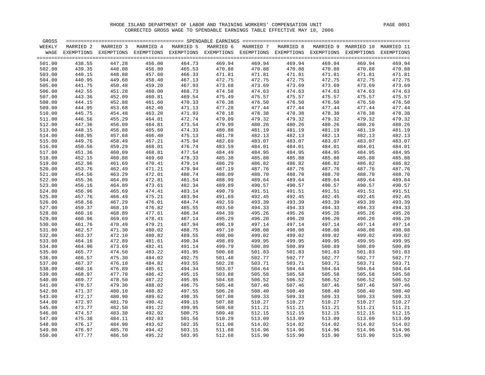| GROSS    |                  |            |           | ===================== SPENDABLE EARNINGS |                  |                                  |           |                  |                  |            |
|----------|------------------|------------|-----------|------------------------------------------|------------------|----------------------------------|-----------|------------------|------------------|------------|
| WEEKLY   | MARRIED 2        | MARRIED 3  | MARRIED 4 | MARRIED 5                                | MARRIED 6        | MARRIED 7                        | MARRIED 8 | MARRIED 9        | MARRIED 10       | MARRIED 11 |
| WAGE     | EXEMPTIONS       | EXEMPTIONS |           | EXEMPTIONS EXEMPTIONS EXEMPTIONS         |                  | EXEMPTIONS EXEMPTIONS EXEMPTIONS |           |                  | EXEMPTIONS       | EXEMPTIONS |
| ======== |                  |            |           |                                          |                  |                                  |           |                  |                  |            |
| 501.00   | 438.55           | 447.28     | 456.00    | 464.73                                   | 469.94           | 469.94                           | 469.94    | 469.94           | 469.94           | 469.94     |
| 502.00   | 439.35           | 448.08     | 456.80    | 465.53                                   | 470.88           | 470.88                           | 470.88    | 470.88           | 470.88           | 470.88     |
| 503.00   | 440.15           | 448.88     | 457.60    | 466.33                                   | 471.81           | 471.81                           | 471.81    | 471.81           | 471.81           | 471.81     |
| 504.00   | 440.95           | 449.68     | 458.40    | 467.13                                   | 472.75           | 472.75                           | 472.75    | 472.75           | 472.75           | 472.75     |
| 505.00   | 441.75           | 450.48     | 459.20    | 467.93                                   | 473.68           | 473.69                           | 473.69    | 473.69           | 473.69           | 473.69     |
| 506.00   | 442.55           | 451.28     | 460.00    | 468.73                                   | 474.58           | 474.63                           | 474.63    | 474.63           | 474.63           | 474.63     |
| 507.00   | 443.36           | 452.09     | 460.81    | 469.54                                   | 475.49           | 475.57                           | 475.57    | 475.57           | 475.57           | 475.57     |
| 508.00   | 444.15           | 452.88     | 461.60    | 470.33                                   | 476.38           | 476.50                           | 476.50    | 476.50           | 476.50           | 476.50     |
| 509.00   | 444.95           | 453.68     | 462.40    | 471.13                                   | 477.28           | 477.44                           | 477.44    | 477.44           | 477.44           | 477.44     |
| 510.00   | 445.75           | 454.48     | 463.20    | 471.93                                   | 478.18           | 478.38                           | 478.38    | 478.38           | 478.38           | 478.38     |
| 511.00   | 446.56           | 455.29     | 464.01    | 472.74                                   | 479.09           | 479.32                           | 479.32    | 479.32           | 479.32           | 479.32     |
| 512.00   | 447.36           | 456.09     | 464.81    | 473.54                                   | 479.99           | 480.26                           | 480.26    | 480.26           | 480.26           | 480.26     |
| 513.00   | 448.15           | 456.88     | 465.60    | 474.33                                   | 480.88           | 481.19                           | 481.19    | 481.19           | 481.19           | 481.19     |
| 514.00   | 448.95           | 457.68     | 466.40    | 475.13                                   | 481.78           | 482.13                           | 482.13    | 482.13           | 482.13           | 482.13     |
| 515.00   | 449.76           | 458.49     | 467.21    | 475.94                                   | 482.69           | 483.07                           | 483.07    | 483.07           | 483.07           | 483.07     |
| 516.00   | 450.56           | 459.29     | 468.01    | 476.74                                   | 483.59           | 484.01                           | 484.01    | 484.01           | 484.01           | 484.01     |
| 517.00   | 451.36           | 460.09     | 468.81    | 477.54                                   | 484.49           | 484.95                           | 484.95    | 484.95           | 484.95           | 484.95     |
| 518.00   | 452.15           | 460.88     | 469.60    | 478.33                                   | 485.38           | 485.88                           | 485.88    | 485.88           | 485.88           | 485.88     |
| 519.00   | 452.96           | 461.69     | 470.41    | 479.14                                   | 486.29           | 486.82                           | 486.82    | 486.82           | 486.82           | 486.82     |
| 520.00   | 453.76           | 462.49     | 471.21    | 479.94                                   | 487.19           | 487.76                           | 487.76    | 487.76           | 487.76           | 487.76     |
| 521.00   | 454.56           | 463.29     | 472.01    | 480.74                                   | 488.09           | 488.70                           | 488.70    | 488.70           | 488.70           | 488.70     |
| 522.00   | 455.36           | 464.09     | 472.81    | 481.54                                   | 488.99           | 489.64                           | 489.64    | 489.64           | 489.64           | 489.64     |
| 523.00   | 456.16           | 464.89     | 473.61    | 482.34                                   | 489.89           | 490.57                           | 490.57    | 490.57           | 490.57           | 490.57     |
| 524.00   | 456.96           | 465.69     | 474.41    | 483.14                                   | 490.79           | 491.51                           | 491.51    | 491.51           | 491.51           | 491.51     |
| 525.00   | 457.76           | 466.49     | 475.21    | 483.94                                   | 491.69           | 492.45                           | 492.45    | 492.45           | 492.45           | 492.45     |
| 526.00   | 458.56           | 467.29     | 476.01    | 484.74                                   | 492.59           | 493.39                           | 493.39    | 493.39           | 493.39           | 493.39     |
| 527.00   | 459.37           | 468.10     | 476.82    | 485.55                                   | 493.50           | 494.33                           | 494.33    | 494.33           | 494.33           | 494.33     |
| 528.00   | 460.16           | 468.89     | 477.61    | 486.34                                   | 494.39           | 495.26                           | 495.26    | 495.26           | 495.26           | 495.26     |
| 529.00   | 460.96           | 469.69     | 478.41    | 487.14                                   | 495.29           | 496.20                           | 496.20    | 496.20           | 496.20           | 496.20     |
| 530.00   | 461.76           | 470.49     | 479.21    | 487.94                                   | 496.19           | 497.14                           | 497.14    | 497.14           | 497.14           | 497.14     |
| 531.00   | 462.57           | 471.30     | 480.02    | 488.75                                   | 497.10           | 498.08                           | 498.08    | 498.08           | 498.08           | 498.08     |
| 532.00   | 463.37           | 472.10     | 480.82    | 489.55                                   | 498.00           | 499.02                           | 499.02    | 499.02           | 499.02           | 499.02     |
| 533.00   | 464.16           | 472.89     | 481.61    | 490.34                                   | 498.89           | 499.95                           | 499.95    | 499.95           | 499.95           | 499.95     |
| 534.00   | 464.96           | 473.69     | 482.41    | 491.14                                   | 499.79           | 500.89                           | 500.89    | 500.89           | 500.89           | 500.89     |
| 535.00   | 465.77           | 474.50     | 483.22    | 491.95                                   | 500.68           | 501.83                           | 501.83    | 501.83           | 501.83           | 501.83     |
| 536.00   | 466.57           | 475.30     | 484.02    | 492.75                                   | 501.48           | 502.77                           | 502.77    | 502.77           | 502.77           | 502.77     |
| 537.00   | 467.37           | 476.10     | 484.82    | 493.55                                   | 502.28           | 503.71                           | 503.71    | 503.71           | 503.71           | 503.71     |
| 538.00   | 468.16           | 476.89     | 485.61    | 494.34                                   | 503.07           | 504.64                           | 504.64    | 504.64           | 504.64           | 504.64     |
| 539.00   | 468.97           | 477.70     | 486.42    | 495.15                                   | 503.88           | 505.58                           | 505.58    | 505.58           | 505.58           | 505.58     |
| 540.00   | 469.77           | 478.50     | 487.22    | 495.95                                   | 504.68           | 506.52                           | 506.52    | 506.52           | 506.52           | 506.52     |
| 541.00   | 470.57           | 479.30     | 488.02    | 496.75                                   | 505.48           | 507.46                           | 507.46    | 507.46           | 507.46           | 507.46     |
| 542.00   | 471.37           | 480.10     | 488.82    | 497.55                                   | 506.28           | 508.40                           | 508.40    | 508.40           | 508.40           | 508.40     |
| 543.00   | 472.17           | 480.90     | 489.62    | 498.35                                   | 507.08           | 509.33                           | 509.33    | 509.33           | 509.33           | 509.33     |
| 544.00   | 472.97           | 481.70     | 490.42    | 499.15                                   | 507.88           | 510.27                           | 510.27    | 510.27           | 510.27           | 510.27     |
| 545.00   | 473.77           | 482.50     | 491.22    | 499.95                                   | 508.68           | 511.21                           | 511.21    | 511.21           | 511.21           | 511.21     |
| 546.00   | 474.57           | 483.30     | 492.02    | 500.75                                   | 509.48           | 512.15                           | 512.15    | 512.15           | 512.15           | 512.15     |
| 547.00   | 475.38<br>476.17 | 484.11     | 492.83    | 501.56                                   | 510.29<br>511.08 | 513.09<br>514.02                 | 513.09    | 513.09<br>514.02 | 513.09<br>514.02 | 513.09     |
| 548.00   |                  | 484.90     | 493.62    | 502.35                                   |                  |                                  | 514.02    |                  |                  | 514.02     |
| 549.00   | 476.97           | 485.70     | 494.42    | 503.15                                   | 511.88           | 514.96                           | 514.96    | 514.96           | 514.96           | 514.96     |
| 550.00   | 477.77           | 486.50     | 495.22    | 503.95                                   | 512.68           | 515.90                           | 515.90    | 515.90           | 515.90           | 515.90     |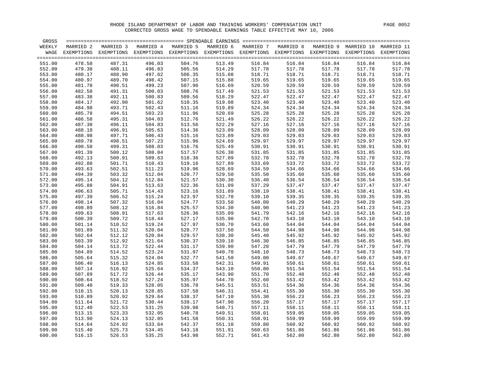| GROSS    |            |            |           | ===================== SPENDABLE EARNINGS |           | ================                 |           |           |            |            |
|----------|------------|------------|-----------|------------------------------------------|-----------|----------------------------------|-----------|-----------|------------|------------|
| WEEKLY   | MARRIED 2  | MARRIED 3  | MARRIED 4 | MARRIED 5                                | MARRIED 6 | MARRIED 7                        | MARRIED 8 | MARRIED 9 | MARRIED 10 | MARRIED 11 |
| WAGE     | EXEMPTIONS | EXEMPTIONS |           | EXEMPTIONS EXEMPTIONS EXEMPTIONS         |           | EXEMPTIONS EXEMPTIONS EXEMPTIONS |           |           | EXEMPTIONS | EXEMPTIONS |
| ======== |            |            |           |                                          |           |                                  |           |           |            |            |
| 551.00   | 478.58     | 487.31     | 496.03    | 504.76                                   | 513.49    | 516.84                           | 516.84    | 516.84    | 516.84     | 516.84     |
| 552.00   | 479.38     | 488.11     | 496.83    | 505.56                                   | 514.29    | 517.78                           | 517.78    | 517.78    | 517.78     | 517.78     |
| 553.00   | 480.17     | 488.90     | 497.62    | 506.35                                   | 515.08    | 518.71                           | 518.71    | 518.71    | 518.71     | 518.71     |
| 554.00   | 480.97     | 489.70     | 498.42    | 507.15                                   | 515.88    | 519.65                           | 519.65    | 519.65    | 519.65     | 519.65     |
| 555.00   | 481.78     | 490.51     | 499.23    | 507.96                                   | 516.69    | 520.59                           | 520.59    | 520.59    | 520.59     | 520.59     |
| 556.00   | 482.58     | 491.31     | 500.03    | 508.76                                   | 517.49    | 521.53                           | 521.53    | 521.53    | 521.53     | 521.53     |
| 557.00   | 483.38     | 492.11     | 500.83    | 509.56                                   | 518.29    | 522.47                           | 522.47    | 522.47    | 522.47     | 522.47     |
| 558.00   | 484.17     | 492.90     | 501.62    | 510.35                                   | 519.08    | 523.40                           | 523.40    | 523.40    | 523.40     | 523.40     |
| 559.00   | 484.98     | 493.71     | 502.43    | 511.16                                   | 519.89    | 524.34                           | 524.34    | 524.34    | 524.34     | 524.34     |
| 560.00   | 485.78     | 494.51     | 503.23    | 511.96                                   | 520.69    | 525.28                           | 525.28    | 525.28    | 525.28     | 525.28     |
| 561.00   | 486.58     | 495.31     | 504.03    | 512.76                                   | 521.49    | 526.22                           | 526.22    | 526.22    | 526.22     | 526.22     |
| 562.00   | 487.38     | 496.11     | 504.83    | 513.56                                   | 522.29    | 527.16                           | 527.16    | 527.16    | 527.16     | 527.16     |
| 563.00   | 488.18     | 496.91     | 505.63    | 514.36                                   | 523.09    | 528.09                           | 528.09    | 528.09    | 528.09     | 528.09     |
| 564.00   | 488.98     | 497.71     | 506.43    | 515.16                                   | 523.89    | 529.03                           | 529.03    | 529.03    | 529.03     | 529.03     |
| 565.00   | 489.78     | 498.51     | 507.23    | 515.96                                   | 524.69    | 529.97                           | 529.97    | 529.97    | 529.97     | 529.97     |
| 566.00   | 490.58     | 499.31     | 508.03    | 516.76                                   | 525.49    | 530.91                           | 530.91    | 530.91    | 530.91     | 530.91     |
| 567.00   | 491.39     | 500.12     | 508.84    | 517.57                                   | 526.30    | 531.85                           | 531.85    | 531.85    | 531.85     | 531.85     |
| 568.00   | 492.13     | 500.91     | 509.63    | 518.36                                   | 527.09    | 532.78                           | 532.78    | 532.78    | 532.78     | 532.78     |
| 569.00   | 492.88     | 501.71     | 510.43    | 519.16                                   | 527.89    | 533.69                           | 533.72    | 533.72    | 533.72     | 533.72     |
| 570.00   | 493.63     | 502.51     | 511.23    | 519.96                                   | 528.69    | 534.59                           | 534.66    | 534.66    | 534.66     | 534.66     |
| 571.00   | 494.39     | 503.32     | 512.04    | 520.77                                   | 529.50    | 535.50                           | 535.60    | 535.60    | 535.60     | 535.60     |
| 572.00   | 495.14     | 504.12     | 512.84    | 521.57                                   | 530.30    | 536.40                           | 536.54    | 536.54    | 536.54     | 536.54     |
| 573.00   | 495.88     | 504.91     | 513.63    | 522.36                                   | 531.09    | 537.29                           | 537.47    | 537.47    | 537.47     | 537.47     |
| 574.00   | 496.63     | 505.71     | 514.43    | 523.16                                   | 531.89    | 538.19                           | 538.41    | 538.41    | 538.41     | 538.41     |
| 575.00   | 497.39     | 506.52     | 515.24    | 523.97                                   | 532.70    | 539.10                           | 539.35    | 539.35    | 539.35     | 539.35     |
| 576.00   | 498.14     | 507.32     | 516.04    | 524.77                                   | 533.50    | 540.00                           | 540.29    | 540.29    | 540.29     | 540.29     |
| 577.00   | 498.89     | 508.12     | 516.84    | 525.57                                   | 534.30    | 540.90                           | 541.23    | 541.23    | 541.23     | 541.23     |
| 578.00   | 499.63     | 508.91     | 517.63    | 526.36                                   | 535.09    | 541.79                           | 542.16    | 542.16    | 542.16     | 542.16     |
| 579.00   | 500.39     | 509.72     | 518.44    | 527.17                                   | 535.90    | 542.70                           | 543.10    | 543.10    | 543.10     | 543.10     |
| 580.00   | 501.14     | 510.52     | 519.24    | 527.97                                   | 536.70    | 543.60                           | 544.04    | 544.04    | 544.04     | 544.04     |
| 581.00   | 501.89     | 511.32     | 520.04    | 528.77                                   | 537.50    | 544.50                           | 544.98    | 544.98    | 544.98     | 544.98     |
| 582.00   | 502.64     | 512.12     | 520.84    | 529.57                                   | 538.30    | 545.40                           | 545.92    | 545.92    | 545.92     | 545.92     |
| 583.00   | 503.39     | 512.92     | 521.64    | 530.37                                   | 539.10    | 546.30                           | 546.85    | 546.85    | 546.85     | 546.85     |
| 584.00   | 504.14     | 513.72     | 522.44    | 531.17                                   | 539.90    | 547.20                           | 547.79    | 547.79    | 547.79     | 547.79     |
| 585.00   | 504.89     | 514.52     | 523.24    | 531.97                                   | 540.70    | 548.10                           | 548.73    | 548.73    | 548.73     | 548.73     |
| 586.00   | 505.64     | 515.32     | 524.04    | 532.77                                   | 541.50    | 549.00                           | 549.67    | 549.67    | 549.67     | 549.67     |
| 587.00   | 506.40     | 516.13     | 524.85    | 533.58                                   | 542.31    | 549.91                           | 550.61    | 550.61    | 550.61     | 550.61     |
| 588.00   | 507.14     | 516.92     | 525.64    | 534.37                                   | 543.10    | 550.80                           | 551.54    | 551.54    | 551.54     | 551.54     |
| 589.00   | 507.89     | 517.72     | 526.44    | 535.17                                   | 543.90    | 551.70                           | 552.48    | 552.48    | 552.48     | 552.48     |
| 590.00   | 508.64     | 518.52     | 527.24    | 535.97                                   | 544.70    | 552.60                           | 553.42    | 553.42    | 553.42     | 553.42     |
| 591.00   | 509.40     | 519.33     | 528.05    | 536.78                                   | 545.51    | 553.51                           | 554.36    | 554.36    | 554.36     | 554.36     |
| 592.00   | 510.15     | 520.13     | 528.85    | 537.58                                   | 546.31    | 554.41                           | 555.30    | 555.30    | 555.30     | 555.30     |
| 593.00   | 510.89     | 520.92     | 529.64    | 538.37                                   | 547.10    | 555.30                           | 556.23    | 556.23    | 556.23     | 556.23     |
| 594.00   | 511.64     | 521.72     | 530.44    | 539.17                                   | 547.90    | 556.20                           | 557.17    | 557.17    | 557.17     | 557.17     |
| 595.00   | 512.40     | 522.53     | 531.25    | 539.98                                   | 548.71    | 557.11                           | 558.11    | 558.11    | 558.11     | 558.11     |
| 596.00   | 513.15     | 523.33     | 532.05    | 540.78                                   | 549.51    | 558.01                           | 559.05    | 559.05    | 559.05     | 559.05     |
| 597.00   | 513.90     | 524.13     | 532.85    | 541.58                                   | 550.31    | 558.91                           | 559.99    | 559.99    | 559.99     | 559.99     |
| 598.00   | 514.64     | 524.92     | 533.64    | 542.37                                   | 551.10    | 559.80                           | 560.92    | 560.92    | 560.92     | 560.92     |
| 599.00   | 515.40     | 525.73     | 534.45    | 543.18                                   | 551.91    | 560.63                           | 561.86    | 561.86    | 561.86     | 561.86     |
| 600.00   | 516.15     | 526.53     | 535.25    | 543.98                                   | 552.71    | 561.43                           | 562.80    | 562.80    | 562.80     | 562.80     |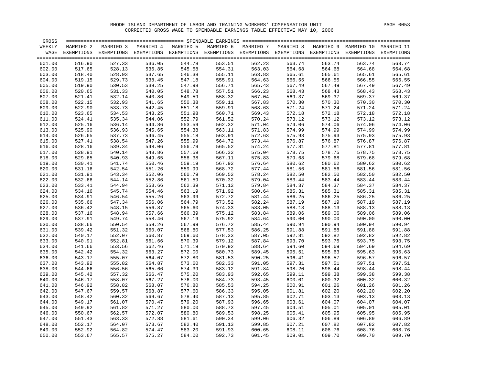| GROSS  |            |           |           |           |           |                                                                                         |           |        |                                 | $=$ $=$ $=$ $=$ |
|--------|------------|-----------|-----------|-----------|-----------|-----------------------------------------------------------------------------------------|-----------|--------|---------------------------------|-----------------|
| WEEKLY | MARRIED 2  | MARRIED 3 | MARRIED 4 | MARRIED 5 | MARRIED 6 | MARRIED 7                                                                               | MARRIED 8 |        | MARRIED 9 MARRIED 10 MARRIED 11 |                 |
| WAGE   | EXEMPTIONS |           |           |           |           | EXEMPTIONS EXEMPTIONS EXEMPTIONS EXEMPTIONS EXEMPTIONS EXEMPTIONS EXEMPTIONS EXEMPTIONS |           |        |                                 | EXEMPTIONS      |
|        |            |           |           |           |           |                                                                                         |           |        |                                 | $=$ $=$ $=$ $=$ |
| 601.00 | 516.90     | 527.33    | 536.05    | 544.78    | 553.51    | 562.23                                                                                  | 563.74    | 563.74 | 563.74                          | 563.74          |
| 602.00 | 517.65     | 528.13    | 536.85    | 545.58    | 554.31    | 563.03                                                                                  | 564.68    | 564.68 | 564.68                          | 564.68          |
| 603.00 | 518.40     | 528.93    | 537.65    | 546.38    | 555.11    | 563.83                                                                                  | 565.61    | 565.61 | 565.61                          | 565.61          |
| 604.00 | 519.15     | 529.73    | 538.45    | 547.18    | 555.91    | 564.63                                                                                  | 566.55    | 566.55 | 566.55                          | 566.55          |
| 605.00 | 519.90     | 530.53    | 539.25    | 547.98    | 556.71    | 565.43                                                                                  | 567.49    | 567.49 | 567.49                          | 567.49          |
| 606.00 | 520.65     | 531.33    | 540.05    | 548.78    | 557.51    | 566.23                                                                                  | 568.43    | 568.43 | 568.43                          | 568.43          |
| 607.00 | 521.41     | 532.14    | 540.86    | 549.59    | 558.32    | 567.04                                                                                  | 569.37    | 569.37 | 569.37                          | 569.37          |
| 608.00 | 522.15     | 532.93    | 541.65    | 550.38    | 559.11    | 567.83                                                                                  | 570.30    | 570.30 | 570.30                          | 570.30          |
| 609.00 | 522.90     | 533.73    | 542.45    | 551.18    | 559.91    | 568.63                                                                                  | 571.24    | 571.24 | 571.24                          | 571.24          |
| 610.00 | 523.65     | 534.53    | 543.25    | 551.98    | 560.71    | 569.43                                                                                  | 572.18    | 572.18 | 572.18                          | 572.18          |
| 611.00 | 524.41     | 535.34    | 544.06    | 552.79    | 561.52    | 570.24                                                                                  | 573.12    | 573.12 | 573.12                          | 573.12          |
| 612.00 | 525.16     | 536.14    | 544.86    | 553.59    | 562.32    | 571.04                                                                                  | 574.06    | 574.06 | 574.06                          | 574.06          |
| 613.00 | 525.90     | 536.93    | 545.65    | 554.38    | 563.11    | 571.83                                                                                  | 574.99    | 574.99 | 574.99                          | 574.99          |
| 614.00 | 526.65     | 537.73    | 546.45    | 555.18    | 563.91    | 572.63                                                                                  | 575.93    | 575.93 | 575.93                          | 575.93          |
| 615.00 | 527.41     | 538.54    | 547.26    | 555.99    | 564.72    | 573.44                                                                                  | 576.87    | 576.87 | 576.87                          | 576.87          |
| 616.00 | 528.16     | 539.34    | 548.06    | 556.79    | 565.52    | 574.24                                                                                  | 577.81    | 577.81 | 577.81                          | 577.81          |
| 617.00 | 528.91     | 540.14    | 548.86    | 557.59    | 566.32    | 575.04                                                                                  | 578.75    | 578.75 | 578.75                          | 578.75          |
| 618.00 | 529.65     | 540.93    | 549.65    | 558.38    | 567.11    | 575.83                                                                                  | 579.68    | 579.68 | 579.68                          | 579.68          |
| 619.00 | 530.41     | 541.74    | 550.46    | 559.19    | 567.92    | 576.64                                                                                  | 580.62    | 580.62 | 580.62                          | 580.62          |
| 620.00 | 531.16     | 542.54    | 551.26    | 559.99    | 568.72    | 577.44                                                                                  | 581.56    | 581.56 | 581.56                          | 581.56          |
| 621.00 | 531.91     | 543.34    | 552.06    | 560.79    | 569.52    | 578.24                                                                                  | 582.50    | 582.50 | 582.50                          | 582.50          |
| 622.00 | 532.66     | 544.14    | 552.86    | 561.59    | 570.32    | 579.04                                                                                  | 583.44    | 583.44 | 583.44                          | 583.44          |
| 623.00 | 533.41     | 544.94    | 553.66    | 562.39    | 571.12    | 579.84                                                                                  | 584.37    | 584.37 | 584.37                          | 584.37          |
| 624.00 | 534.16     | 545.74    | 554.46    | 563.19    | 571.92    | 580.64                                                                                  | 585.31    | 585.31 | 585.31                          | 585.31          |
| 625.00 | 534.91     | 546.54    | 555.26    | 563.99    | 572.72    | 581.44                                                                                  | 586.25    | 586.25 | 586.25                          | 586.25          |
| 626.00 | 535.66     | 547.34    | 556.06    | 564.79    | 573.52    | 582.24                                                                                  | 587.19    | 587.19 | 587.19                          | 587.19          |
| 627.00 | 536.42     | 548.15    | 556.87    | 565.60    | 574.33    | 583.05                                                                                  | 588.13    | 588.13 | 588.13                          | 588.13          |
| 628.00 | 537.16     | 548.94    | 557.66    | 566.39    | 575.12    | 583.84                                                                                  | 589.06    | 589.06 | 589.06                          | 589.06          |
| 629.00 | 537.91     | 549.74    | 558.46    | 567.19    | 575.92    | 584.64                                                                                  | 590.00    | 590.00 | 590.00                          | 590.00          |
| 630.00 | 538.66     | 550.54    | 559.26    | 567.99    | 576.72    | 585.44                                                                                  | 590.94    | 590.94 | 590.94                          | 590.94          |
| 631.00 | 539.42     | 551.32    | 560.07    | 568.80    | 577.53    | 586.25                                                                                  | 591.88    | 591.88 | 591.88                          | 591.88          |
| 632.00 | 540.17     | 552.07    | 560.87    | 569.60    | 578.33    | 587.05                                                                                  | 592.81    | 592.82 | 592.82                          | 592.82          |
| 633.00 | 540.91     | 552.81    | 561.66    | 570.39    | 579.12    | 587.84                                                                                  | 593.70    | 593.75 | 593.75                          | 593.75          |
| 634.00 | 541.66     | 553.56    | 562.46    | 571.19    | 579.92    | 588.64                                                                                  | 594.60    | 594.69 | 594.69                          | 594.69          |
| 635.00 | 542.42     | 554.32    | 563.27    | 572.00    | 580.73    | 589.45                                                                                  | 595.51    | 595.63 | 595.63                          | 595.63          |
| 636.00 | 543.17     | 555.07    | 564.07    | 572.80    | 581.53    | 590.25                                                                                  | 596.41    | 596.57 | 596.57                          | 596.57          |
| 637.00 | 543.92     | 555.82    | 564.87    | 573.60    | 582.33    | 591.05                                                                                  | 597.31    | 597.51 | 597.51                          | 597.51          |
| 638.00 | 544.66     | 556.56    | 565.66    | 574.39    | 583.12    | 591.84                                                                                  | 598.20    | 598.44 | 598.44                          | 598.44          |
| 639.00 | 545.42     | 557.32    | 566.47    | 575.20    | 583.93    | 592.65                                                                                  | 599.11    | 599.38 | 599.38                          | 599.38          |
| 640.00 | 546.17     | 558.07    | 567.27    | 576.00    | 584.73    | 593.45                                                                                  | 600.01    | 600.32 | 600.32                          | 600.32          |
|        |            |           |           | 576.80    | 585.53    | 594.25                                                                                  |           | 601.26 | 601.26                          |                 |
| 641.00 | 546.92     | 558.82    | 568.07    |           |           |                                                                                         | 600.91    |        |                                 | 601.26          |
| 642.00 | 547.67     | 559.57    | 568.87    | 577.60    | 586.33    | 595.05                                                                                  | 601.81    | 602.20 | 602.20                          | 602.20          |
| 643.00 | 548.42     | 560.32    | 569.67    | 578.40    | 587.13    | 595.85                                                                                  | 602.71    | 603.13 | 603.13                          | 603.13          |
| 644.00 | 549.17     | 561.07    | 570.47    | 579.20    | 587.93    | 596.65                                                                                  | 603.61    | 604.07 | 604.07                          | 604.07          |
| 645.00 | 549.92     | 561.82    | 571.27    | 580.00    | 588.73    | 597.45                                                                                  | 604.51    | 605.01 | 605.01                          | 605.01          |
| 646.00 | 550.67     | 562.57    | 572.07    | 580.80    | 589.53    | 598.25                                                                                  | 605.41    | 605.95 | 605.95                          | 605.95          |
| 647.00 | 551.43     | 563.33    | 572.88    | 581.61    | 590.34    | 599.06                                                                                  | 606.32    | 606.89 | 606.89                          | 606.89          |
| 648.00 | 552.17     | 564.07    | 573.67    | 582.40    | 591.13    | 599.85                                                                                  | 607.21    | 607.82 | 607.82                          | 607.82          |
| 649.00 | 552.92     | 564.82    | 574.47    | 583.20    | 591.93    | 600.65                                                                                  | 608.11    | 608.76 | 608.76                          | 608.76          |
| 650.00 | 553.67     | 565.57    | 575.27    | 584.00    | 592.73    | 601.45                                                                                  | 609.01    | 609.70 | 609.70                          | 609.70          |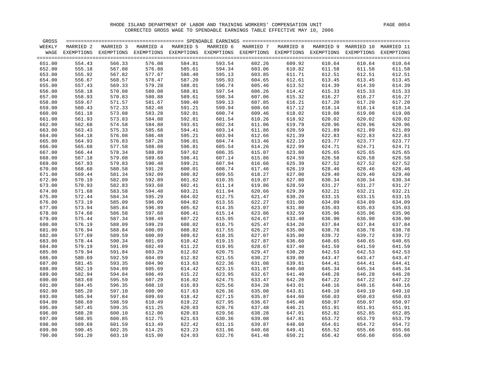| GROSS  |           |                                                                                                         |           |           |           |           |           |        |                                 |            |
|--------|-----------|---------------------------------------------------------------------------------------------------------|-----------|-----------|-----------|-----------|-----------|--------|---------------------------------|------------|
| WEEKLY | MARRIED 2 | MARRIED 3                                                                                               | MARRIED 4 | MARRIED 5 | MARRIED 6 | MARRIED 7 | MARRIED 8 |        | MARRIED 9 MARRIED 10 MARRIED 11 |            |
|        |           | WAGE EXEMPTIONS EXEMPTIONS EXEMPTIONS EXEMPTIONS EXEMPTIONS EXEMPTIONS EXEMPTIONS EXEMPTIONS EXEMPTIONS |           |           |           |           |           |        |                                 | EXEMPTIONS |
|        |           |                                                                                                         |           |           |           |           |           |        |                                 |            |
| 651.00 | 554.43    | 566.33                                                                                                  | 576.08    | 584.81    | 593.54    | 602.26    | 609.92    | 610.64 | 610.64                          | 610.64     |
| 652.00 | 555.18    | 567.08                                                                                                  | 576.88    | 585.61    | 594.34    | 603.06    | 610.82    | 611.58 | 611.58                          | 611.58     |
| 653.00 | 555.92    | 567.82                                                                                                  | 577.67    | 586.40    | 595.13    | 603.85    | 611.71    | 612.51 | 612.51                          | 612.51     |
| 654.00 | 556.67    | 568.57                                                                                                  | 578.47    | 587.20    | 595.93    | 604.65    | 612.61    | 613.45 | 613.45                          | 613.45     |
| 655.00 | 557.43    | 569.33                                                                                                  | 579.28    | 588.01    | 596.74    | 605.46    | 613.52    | 614.39 | 614.39                          | 614.39     |
| 656.00 | 558.18    | 570.08                                                                                                  | 580.08    | 588.81    | 597.54    | 606.26    | 614.42    | 615.33 | 615.33                          | 615.33     |
| 657.00 | 558.93    | 570.83                                                                                                  | 580.88    | 589.61    | 598.34    | 607.06    | 615.32    | 616.27 | 616.27                          | 616.27     |
| 658.00 | 559.67    | 571.57                                                                                                  | 581.67    | 590.40    | 599.13    | 607.85    | 616.21    | 617.20 | 617.20                          | 617.20     |
| 659.00 | 560.43    | 572.33                                                                                                  | 582.48    | 591.21    | 599.94    | 608.66    | 617.12    | 618.14 | 618.14                          | 618.14     |
| 660.00 | 561.18    | 573.08                                                                                                  | 583.28    | 592.01    | 600.74    | 609.46    | 618.02    | 619.08 | 619.08                          | 619.08     |
| 661.00 | 561.93    | 573.83                                                                                                  | 584.08    | 592.81    | 601.54    | 610.26    | 618.92    | 620.02 | 620.02                          | 620.02     |
| 662.00 | 562.68    | 574.58                                                                                                  | 584.88    | 593.61    | 602.34    | 611.06    | 619.79    | 620.96 | 620.96                          | 620.96     |
| 663.00 | 563.43    | 575.33                                                                                                  | 585.68    | 594.41    | 603.14    | 611.86    | 620.59    | 621.89 | 621.89                          | 621.89     |
| 664.00 | 564.18    | 576.08                                                                                                  | 586.48    | 595.21    | 603.94    | 612.66    | 621.39    | 622.83 | 622.83                          | 622.83     |
| 665.00 | 564.93    | 576.83                                                                                                  | 587.28    | 596.01    | 604.74    | 613.46    | 622.19    | 623.77 | 623.77                          | 623.77     |
| 666.00 | 565.68    | 577.58                                                                                                  | 588.08    | 596.81    | 605.54    | 614.26    | 622.99    | 624.71 | 624.71                          | 624.71     |
| 667.00 | 566.44    | 578.34                                                                                                  | 588.89    | 597.62    | 606.35    | 615.07    | 623.80    | 625.65 | 625.65                          | 625.65     |
| 668.00 | 567.18    | 579.08                                                                                                  | 589.68    | 598.41    | 607.14    | 615.86    | 624.59    | 626.58 | 626.58                          | 626.58     |
| 669.00 | 567.93    | 579.83                                                                                                  | 590.48    | 599.21    | 607.94    | 616.66    | 625.39    | 627.52 | 627.52                          | 627.52     |
| 670.00 | 568.68    | 580.58                                                                                                  | 591.28    | 600.01    | 608.74    | 617.46    | 626.19    | 628.46 | 628.46                          | 628.46     |
| 671.00 | 569.44    | 581.34                                                                                                  | 592.09    | 600.82    | 609.55    | 618.27    | 627.00    | 629.40 | 629.40                          | 629.40     |
| 672.00 | 570.19    | 582.09                                                                                                  | 592.89    | 601.62    | 610.35    | 619.07    | 627.80    | 630.34 | 630.34                          | 630.34     |
| 673.00 | 570.93    | 582.83                                                                                                  | 593.68    | 602.41    | 611.14    | 619.86    | 628.59    | 631.27 | 631.27                          | 631.27     |
| 674.00 | 571.68    | 583.58                                                                                                  | 594.48    | 603.21    | 611.94    | 620.66    | 629.39    | 632.21 | 632.21                          | 632.21     |
| 675.00 | 572.44    | 584.34                                                                                                  | 595.29    | 604.02    | 612.75    | 621.47    | 630.20    | 633.15 | 633.15                          | 633.15     |
| 676.00 | 573.19    | 585.09                                                                                                  | 596.09    | 604.82    | 613.55    | 622.27    | 631.00    | 634.09 | 634.09                          | 634.09     |
| 677.00 | 573.94    | 585.84                                                                                                  | 596.89    | 605.62    | 614.35    | 623.07    | 631.80    | 635.03 | 635.03                          | 635.03     |
| 678.00 | 574.68    | 586.58                                                                                                  | 597.68    | 606.41    | 615.14    | 623.86    | 632.59    | 635.96 | 635.96                          | 635.96     |
| 679.00 | 575.44    | 587.34                                                                                                  | 598.49    | 607.22    | 615.95    | 624.67    | 633.40    | 636.90 | 636.90                          | 636.90     |
| 680.00 | 576.19    | 588.09                                                                                                  | 599.29    | 608.02    | 616.75    | 625.47    | 634.20    | 637.84 | 637.84                          | 637.84     |
| 681.00 | 576.94    | 588.84                                                                                                  | 600.09    | 608.82    | 617.55    | 626.27    | 635.00    | 638.78 | 638.78                          | 638.78     |
| 682.00 | 577.69    | 589.59                                                                                                  | 600.89    | 609.62    | 618.35    | 627.07    | 635.80    | 639.72 | 639.72                          | 639.72     |
| 683.00 | 578.44    | 590.34                                                                                                  | 601.69    | 610.42    | 619.15    | 627.87    | 636.60    | 640.65 | 640.65                          | 640.65     |
| 684.00 | 579.19    | 591.09                                                                                                  | 602.49    | 611.22    | 619.95    | 628.67    | 637.40    | 641.59 | 641.59                          | 641.59     |
| 685.00 | 579.94    | 591.84                                                                                                  | 603.29    | 612.02    | 620.75    | 629.47    | 638.20    | 642.53 | 642.53                          | 642.53     |
| 686.00 | 580.69    | 592.59                                                                                                  | 604.09    | 612.82    | 621.55    | 630.27    | 639.00    | 643.47 | 643.47                          | 643.47     |
| 687.00 | 581.45    | 593.35                                                                                                  | 604.90    | 613.63    | 622.36    | 631.08    | 639.81    | 644.41 | 644.41                          | 644.41     |
| 688.00 | 582.19    | 594.09                                                                                                  | 605.69    | 614.42    | 623.15    | 631.87    | 640.60    | 645.34 | 645.34                          | 645.34     |
| 689.00 | 582.94    | 594.84                                                                                                  | 606.49    | 615.22    | 623.95    | 632.67    | 641.40    | 646.28 | 646.28                          | 646.28     |
| 690.00 | 583.69    | 595.59                                                                                                  | 607.29    | 616.02    | 624.75    | 633.47    | 642.20    | 647.22 | 647.22                          | 647.22     |
| 691.00 | 584.45    | 596.35                                                                                                  | 608.10    | 616.83    | 625.56    | 634.28    | 643.01    | 648.16 | 648.16                          | 648.16     |
| 692.00 | 585.20    | 597.10                                                                                                  | 608.90    | 617.63    | 626.36    | 635.08    | 643.81    | 649.10 | 649.10                          | 649.10     |
| 693.00 | 585.94    | 597.84                                                                                                  | 609.69    | 618.42    | 627.15    | 635.87    | 644.60    | 650.03 | 650.03                          | 650.03     |
| 694.00 | 586.69    | 598.59                                                                                                  | 610.49    | 619.22    | 627.95    | 636.67    | 645.40    | 650.97 | 650.97                          | 650.97     |
| 695.00 | 587.45    | 599.35                                                                                                  | 611.25    | 620.03    | 628.76    | 637.48    | 646.21    | 651.91 | 651.91                          | 651.91     |
| 696.00 | 588.20    | 600.10                                                                                                  | 612.00    | 620.83    | 629.56    | 638.28    | 647.01    | 652.82 | 652.85                          | 652.85     |
|        |           |                                                                                                         |           |           |           |           |           |        |                                 |            |
| 697.00 | 588.95    | 600.85                                                                                                  | 612.75    | 621.63    | 630.36    | 639.08    | 647.81    | 653.72 | 653.79                          | 653.79     |
| 698.00 | 589.69    | 601.59                                                                                                  | 613.49    | 622.42    | 631.15    | 639.87    | 648.60    | 654.61 | 654.72                          | 654.72     |
| 699.00 | 590.45    | 602.35                                                                                                  | 614.25    | 623.23    | 631.96    | 640.68    | 649.41    | 655.52 | 655.66                          | 655.66     |
| 700.00 | 591.20    | 603.10                                                                                                  | 615.00    | 624.03    | 632.76    | 641.48    | 650.21    | 656.42 | 656.60                          | 656.60     |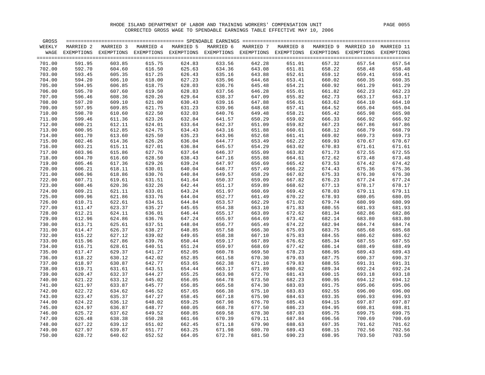| GROSS  | $=$       |                                                                                         |           |           |           |           |           |           |                       |            |
|--------|-----------|-----------------------------------------------------------------------------------------|-----------|-----------|-----------|-----------|-----------|-----------|-----------------------|------------|
| WEEKLY | MARRIED 2 | MARRIED 3                                                                               | MARRIED 4 | MARRIED 5 | MARRIED 6 | MARRIED 7 | MARRIED 8 | MARRIED 9 | MARRIED 10 MARRIED 11 |            |
| WAGE   |           | EXEMPTIONS EXEMPTIONS EXEMPTIONS EXEMPTIONS EXEMPTIONS EXEMPTIONS EXEMPTIONS EXEMPTIONS |           |           |           |           |           |           | EXEMPTIONS            | EXEMPTIONS |
|        |           |                                                                                         |           |           |           |           |           |           |                       |            |
| 701.00 | 591.95    | 603.85                                                                                  | 615.75    | 624.83    | 633.56    | 642.28    | 651.01    | 657.32    | 657.54                | 657.54     |
| 702.00 | 592.70    | 604.60                                                                                  | 616.50    | 625.63    | 634.36    | 643.08    | 651.81    | 658.22    | 658.48                | 658.48     |
| 703.00 | 593.45    | 605.35                                                                                  | 617.25    | 626.43    | 635.16    | 643.88    | 652.61    | 659.12    | 659.41                | 659.41     |
|        | 594.20    |                                                                                         |           | 627.23    |           |           |           |           |                       |            |
| 704.00 |           | 606.10                                                                                  | 618.00    |           | 635.96    | 644.68    | 653.41    | 660.02    | 660.35                | 660.35     |
| 705.00 | 594.95    | 606.85                                                                                  | 618.75    | 628.03    | 636.76    | 645.48    | 654.21    | 660.92    | 661.29                | 661.29     |
| 706.00 | 595.70    | 607.60                                                                                  | 619.50    | 628.83    | 637.56    | 646.28    | 655.01    | 661.82    | 662.23                | 662.23     |
| 707.00 | 596.46    | 608.36                                                                                  | 620.26    | 629.64    | 638.37    | 647.09    | 655.82    | 662.73    | 663.17                | 663.17     |
| 708.00 | 597.20    | 609.10                                                                                  | 621.00    | 630.43    | 639.16    | 647.88    | 656.61    | 663.62    | 664.10                | 664.10     |
| 709.00 | 597.95    | 609.85                                                                                  | 621.75    | 631.23    | 639.96    | 648.68    | 657.41    | 664.52    | 665.04                | 665.04     |
| 710.00 | 598.70    | 610.60                                                                                  | 622.50    | 632.03    | 640.76    | 649.48    | 658.21    | 665.42    | 665.98                | 665.98     |
| 711.00 | 599.46    | 611.36                                                                                  | 623.26    | 632.84    | 641.57    | 650.29    | 659.02    | 666.33    | 666.92                | 666.92     |
| 712.00 | 600.21    | 612.11                                                                                  | 624.01    | 633.64    | 642.37    | 651.09    | 659.82    | 667.23    | 667.86                | 667.86     |
| 713.00 | 600.95    | 612.85                                                                                  | 624.75    | 634.43    | 643.16    | 651.88    | 660.61    | 668.12    | 668.79                | 668.79     |
| 714.00 | 601.70    | 613.60                                                                                  | 625.50    | 635.23    | 643.96    | 652.68    | 661.41    | 669.02    | 669.73                | 669.73     |
| 715.00 | 602.46    | 614.36                                                                                  | 626.26    | 636.04    | 644.77    | 653.49    | 662.22    | 669.93    | 670.67                | 670.67     |
| 716.00 | 603.21    | 615.11                                                                                  | 627.01    | 636.84    | 645.57    | 654.29    | 663.02    | 670.83    | 671.61                | 671.61     |
| 717.00 | 603.96    | 615.86                                                                                  | 627.76    | 637.64    | 646.37    | 655.09    | 663.82    | 671.73    | 672.55                | 672.55     |
| 718.00 | 604.70    | 616.60                                                                                  | 628.50    | 638.43    | 647.16    | 655.88    | 664.61    | 672.62    | 673.48                | 673.48     |
| 719.00 | 605.46    | 617.36                                                                                  | 629.26    | 639.24    | 647.97    | 656.69    | 665.42    | 673.53    | 674.42                | 674.42     |
| 720.00 | 606.21    | 618.11                                                                                  | 630.01    | 640.04    | 648.77    | 657.49    | 666.22    | 674.43    | 675.36                | 675.36     |
| 721.00 | 606.96    | 618.86                                                                                  | 630.76    | 640.84    | 649.57    | 658.29    | 667.02    | 675.33    | 676.30                | 676.30     |
| 722.00 | 607.71    | 619.61                                                                                  | 631.51    | 641.64    | 650.37    | 659.09    | 667.82    | 676.23    | 677.24                | 677.24     |
| 723.00 | 608.46    | 620.36                                                                                  | 632.26    | 642.44    | 651.17    | 659.89    | 668.62    | 677.13    | 678.17                | 678.17     |
| 724.00 | 609.21    | 621.11                                                                                  | 633.01    | 643.24    | 651.97    | 660.69    | 669.42    | 678.03    | 679.11                | 679.11     |
|        | 609.96    |                                                                                         |           | 644.04    |           |           |           | 678.93    |                       |            |
| 725.00 |           | 621.86                                                                                  | 633.76    |           | 652.77    | 661.49    | 670.22    |           | 680.05                | 680.05     |
| 726.00 | 610.71    | 622.61                                                                                  | 634.51    | 644.84    | 653.57    | 662.29    | 671.02    | 679.74    | 680.99                | 680.99     |
| 727.00 | 611.47    | 623.37                                                                                  | 635.27    | 645.65    | 654.38    | 663.10    | 671.83    | 680.55    | 681.93                | 681.93     |
| 728.00 | 612.21    | 624.11                                                                                  | 636.01    | 646.44    | 655.17    | 663.89    | 672.62    | 681.34    | 682.86                | 682.86     |
| 729.00 | 612.96    | 624.86                                                                                  | 636.76    | 647.24    | 655.97    | 664.69    | 673.42    | 682.14    | 683.80                | 683.80     |
| 730.00 | 613.71    | 625.61                                                                                  | 637.51    | 648.04    | 656.77    | 665.49    | 674.22    | 682.94    | 684.74                | 684.74     |
| 731.00 | 614.47    | 626.37                                                                                  | 638.27    | 648.85    | 657.58    | 666.30    | 675.03    | 683.75    | 685.68                | 685.68     |
| 732.00 | 615.22    | 627.12                                                                                  | 639.02    | 649.65    | 658.38    | 667.10    | 675.83    | 684.55    | 686.62                | 686.62     |
| 733.00 | 615.96    | 627.86                                                                                  | 639.76    | 650.44    | 659.17    | 667.89    | 676.62    | 685.34    | 687.55                | 687.55     |
| 734.00 | 616.71    | 628.61                                                                                  | 640.51    | 651.24    | 659.97    | 668.69    | 677.42    | 686.14    | 688.49                | 688.49     |
| 735.00 | 617.47    | 629.37                                                                                  | 641.27    | 652.05    | 660.78    | 669.50    | 678.23    | 686.95    | 689.43                | 689.43     |
| 736.00 | 618.22    | 630.12                                                                                  | 642.02    | 652.85    | 661.58    | 670.30    | 679.03    | 687.75    | 690.37                | 690.37     |
| 737.00 | 618.97    | 630.87                                                                                  | 642.77    | 653.65    | 662.38    | 671.10    | 679.83    | 688.55    | 691.31                | 691.31     |
| 738.00 | 619.71    | 631.61                                                                                  | 643.51    | 654.44    | 663.17    | 671.89    | 680.62    | 689.34    | 692.24                | 692.24     |
| 739.00 | 620.47    | 632.37                                                                                  | 644.27    | 655.25    | 663.98    | 672.70    | 681.43    | 690.15    | 693.18                | 693.18     |
| 740.00 | 621.22    | 633.12                                                                                  | 645.02    | 656.05    | 664.78    | 673.50    | 682.23    | 690.95    | 694.12                | 694.12     |
| 741.00 | 621.97    | 633.87                                                                                  | 645.77    | 656.85    | 665.58    | 674.30    | 683.03    | 691.75    | 695.06                | 695.06     |
| 742.00 | 622.72    | 634.62                                                                                  | 646.52    | 657.65    | 666.38    | 675.10    | 683.83    | 692.55    | 696.00                | 696.00     |
| 743.00 | 623.47    | 635.37                                                                                  | 647.27    | 658.45    | 667.18    | 675.90    | 684.63    | 693.35    | 696.93                | 696.93     |
| 744.00 | 624.22    | 636.12                                                                                  | 648.02    | 659.25    | 667.98    | 676.70    | 685.43    | 694.15    | 697.87                | 697.87     |
| 745.00 | 624.97    | 636.87                                                                                  | 648.77    | 660.05    | 668.78    | 677.50    | 686.23    | 694.95    | 698.81                | 698.81     |
| 746.00 | 625.72    | 637.62                                                                                  | 649.52    | 660.85    | 669.58    | 678.30    | 687.03    | 695.75    | 699.75                | 699.75     |
| 747.00 | 626.48    | 638.38                                                                                  | 650.28    | 661.66    | 670.39    | 679.11    | 687.84    | 696.56    | 700.69                | 700.69     |
| 748.00 | 627.22    | 639.12                                                                                  | 651.02    | 662.45    | 671.18    | 679.90    | 688.63    | 697.35    | 701.62                | 701.62     |
| 749.00 | 627.97    | 639.87                                                                                  | 651.77    | 663.25    | 671.98    | 680.70    | 689.43    | 698.15    | 702.56                | 702.56     |
| 750.00 | 628.72    | 640.62                                                                                  | 652.52    | 664.05    | 672.78    | 681.50    | 690.23    | 698.95    | 703.50                | 703.50     |
|        |           |                                                                                         |           |           |           |           |           |           |                       |            |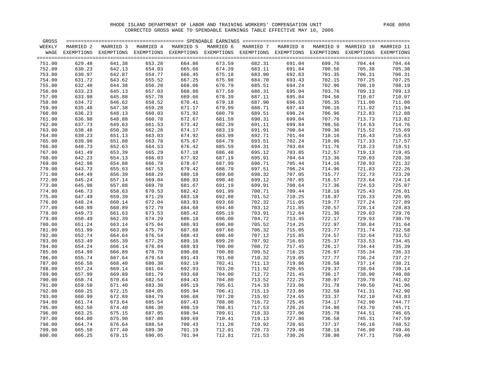| GROSS  |           |           |           |           |           |                                                                                                                    |           |        |                                 |        |
|--------|-----------|-----------|-----------|-----------|-----------|--------------------------------------------------------------------------------------------------------------------|-----------|--------|---------------------------------|--------|
| WEEKLY | MARRIED 2 | MARRIED 3 | MARRIED 4 | MARRIED 5 | MARRIED 6 | MARRIED 7                                                                                                          | MARRIED 8 |        | MARRIED 9 MARRIED 10 MARRIED 11 |        |
|        |           |           |           |           |           | WAGE EXEMPTIONS EXEMPTIONS EXEMPTIONS EXEMPTIONS EXEMPTIONS EXEMPTIONS EXEMPTIONS EXEMPTIONS EXEMPTIONS EXEMPTIONS |           |        |                                 |        |
|        |           |           |           |           |           |                                                                                                                    |           |        |                                 |        |
| 751.00 | 629.48    | 641.38    | 653.28    | 664.86    | 673.59    | 682.31                                                                                                             | 691.04    | 699.76 | 704.44                          | 704.44 |
| 752.00 | 630.23    | 642.13    | 654.03    | 665.66    | 674.39    | 683.11                                                                                                             | 691.84    | 700.56 | 705.38                          | 705.38 |
| 753.00 | 630.97    | 642.87    | 654.77    | 666.45    | 675.18    | 683.90                                                                                                             | 692.63    | 701.35 | 706.31                          | 706.31 |
| 754.00 | 631.72    | 643.62    | 655.52    | 667.25    | 675.98    | 684.70                                                                                                             | 693.43    | 702.15 | 707.25                          | 707.25 |
|        |           |           |           |           |           |                                                                                                                    |           |        |                                 |        |
| 755.00 | 632.48    | 644.38    | 656.28    | 668.06    | 676.79    | 685.51                                                                                                             | 694.24    | 702.96 | 708.19                          | 708.19 |
| 756.00 | 633.23    | 645.13    | 657.03    | 668.86    | 677.59    | 686.31                                                                                                             | 695.04    | 703.76 | 709.13                          | 709.13 |
| 757.00 | 633.98    | 645.88    | 657.78    | 669.66    | 678.39    | 687.11                                                                                                             | 695.84    | 704.56 | 710.07                          | 710.07 |
| 758.00 | 634.72    | 646.62    | 658.52    | 670.41    | 679.18    | 687.90                                                                                                             | 696.63    | 705.35 | 711.00                          | 711.00 |
| 759.00 | 635.48    | 647.38    | 659.28    | 671.17    | 679.99    | 688.71                                                                                                             | 697.44    | 706.16 | 711.92                          | 711.94 |
| 760.00 | 636.23    | 648.13    | 660.03    | 671.92    | 680.79    | 689.51                                                                                                             | 698.24    | 706.96 | 712.83                          | 712.88 |
| 761.00 | 636.98    | 648.88    | 660.78    | 672.67    | 681.59    | 690.31                                                                                                             | 699.04    | 707.76 | 713.73                          | 713.82 |
| 762.00 | 637.73    | 649.63    | 661.53    | 673.42    | 682.39    | 691.11                                                                                                             | 699.84    | 708.56 | 714.63                          | 714.76 |
| 763.00 | 638.48    | 650.38    | 662.28    | 674.17    | 683.19    | 691.91                                                                                                             | 700.64    | 709.36 | 715.52                          | 715.69 |
| 764.00 | 639.23    | 651.13    | 663.03    | 674.92    | 683.99    | 692.71                                                                                                             | 701.44    | 710.16 | 716.43                          | 716.63 |
| 765.00 | 639.98    | 651.88    | 663.78    | 675.67    | 684.79    | 693.51                                                                                                             | 702.24    | 710.96 | 717.33                          | 717.57 |
| 766.00 | 640.73    | 652.63    | 664.53    | 676.42    | 685.59    | 694.31                                                                                                             | 703.04    | 711.76 | 718.23                          | 718.51 |
| 767.00 | 641.49    | 653.39    | 665.29    | 677.18    | 686.40    | 695.12                                                                                                             | 703.85    | 712.57 | 719.13                          | 719.45 |
| 768.00 | 642.23    | 654.13    | 666.03    | 677.92    | 687.19    | 695.91                                                                                                             | 704.64    | 713.36 | 720.03                          | 720.38 |
| 769.00 | 642.98    | 654.88    | 666.78    | 678.67    | 687.99    | 696.71                                                                                                             | 705.44    | 714.16 | 720.93                          | 721.32 |
| 770.00 | 643.73    | 655.63    | 667.53    | 679.42    | 688.79    | 697.51                                                                                                             | 706.24    | 714.96 | 721.83                          | 722.26 |
| 771.00 | 644.49    | 656.39    | 668.29    | 680.18    | 689.60    | 698.32                                                                                                             | 707.05    | 715.77 | 722.73                          | 723.20 |
| 772.00 | 645.24    | 657.14    | 669.04    | 680.93    | 690.40    | 699.12                                                                                                             | 707.85    | 716.57 | 723.64                          | 724.14 |
| 773.00 | 645.98    | 657.88    | 669.78    | 681.67    | 691.19    | 699.91                                                                                                             | 708.64    | 717.36 | 724.53                          | 725.07 |
| 774.00 | 646.73    | 658.63    | 670.53    | 682.42    | 691.99    | 700.71                                                                                                             | 709.44    | 718.16 | 725.43                          | 726.01 |
| 775.00 | 647.49    | 659.39    | 671.29    | 683.18    | 692.80    | 701.52                                                                                                             | 710.25    | 718.97 | 726.33                          | 726.95 |
| 776.00 | 648.24    | 660.14    | 672.04    | 683.93    | 693.60    | 702.32                                                                                                             | 711.05    | 719.77 | 727.24                          | 727.89 |
| 777.00 | 648.99    | 660.89    | 672.79    | 684.68    | 694.40    | 703.12                                                                                                             | 711.85    | 720.57 | 728.14                          | 728.83 |
| 778.00 | 649.73    | 661.63    | 673.53    | 685.42    | 695.19    | 703.91                                                                                                             | 712.64    | 721.36 | 729.03                          | 729.76 |
|        |           |           |           |           |           |                                                                                                                    |           |        |                                 |        |
| 779.00 | 650.49    | 662.39    | 674.29    | 686.18    | 696.00    | 704.72                                                                                                             | 713.45    | 722.17 | 729.93                          | 730.70 |
| 780.00 | 651.24    | 663.14    | 675.04    | 686.93    | 696.80    | 705.52                                                                                                             | 714.25    | 722.97 | 730.84                          | 731.64 |
| 781.00 | 651.99    | 663.89    | 675.79    | 687.68    | 697.60    | 706.32                                                                                                             | 715.05    | 723.77 | 731.74                          | 732.58 |
| 782.00 | 652.74    | 664.64    | 676.54    | 688.43    | 698.40    | 707.12                                                                                                             | 715.85    | 724.57 | 732.64                          | 733.52 |
| 783.00 | 653.49    | 665.39    | 677.29    | 689.18    | 699.20    | 707.92                                                                                                             | 716.65    | 725.37 | 733.53                          | 734.45 |
| 784.00 | 654.24    | 666.14    | 678.04    | 689.93    | 700.00    | 708.72                                                                                                             | 717.45    | 726.17 | 734.44                          | 735.39 |
| 785.00 | 654.99    | 666.89    | 678.79    | 690.68    | 700.80    | 709.52                                                                                                             | 718.25    | 726.97 | 735.34                          | 736.33 |
| 786.00 | 655.74    | 667.64    | 679.54    | 691.43    | 701.60    | 710.32                                                                                                             | 719.05    | 727.77 | 736.24                          | 737.27 |
| 787.00 | 656.50    | 668.40    | 680.30    | 692.19    | 702.41    | 711.13                                                                                                             | 719.86    | 728.58 | 737.14                          | 738.21 |
| 788.00 | 657.24    | 669.14    | 681.04    | 692.93    | 703.20    | 711.92                                                                                                             | 720.65    | 729.37 | 738.04                          | 739.14 |
| 789.00 | 657.99    | 669.89    | 681.79    | 693.68    | 704.00    | 712.72                                                                                                             | 721.45    | 730.17 | 738.90                          | 740.08 |
| 790.00 | 658.74    | 670.64    | 682.54    | 694.43    | 704.80    | 713.52                                                                                                             | 722.25    | 730.97 | 739.70                          | 741.02 |
| 791.00 | 659.50    | 671.40    | 683.30    | 695.19    | 705.61    | 714.33                                                                                                             | 723.06    | 731.78 | 740.50                          | 741.96 |
| 792.00 | 660.25    | 672.15    | 684.05    | 695.94    | 706.41    | 715.13                                                                                                             | 723.86    | 732.58 | 741.31                          | 742.90 |
| 793.00 | 660.99    | 672.89    | 684.79    | 696.68    | 707.20    | 715.92                                                                                                             | 724.65    | 733.37 | 742.10                          | 743.83 |
| 794.00 | 661.74    | 673.64    | 685.54    | 697.43    | 708.00    | 716.72                                                                                                             | 725.45    | 734.17 | 742.90                          | 744.77 |
| 795.00 | 662.50    | 674.40    | 686.30    | 698.19    | 708.81    | 717.53                                                                                                             | 726.26    | 734.98 | 743.70                          | 745.71 |
| 796.00 | 663.25    | 675.15    | 687.05    | 698.94    | 709.61    | 718.33                                                                                                             | 727.06    | 735.78 | 744.51                          | 746.65 |
| 797.00 | 664.00    | 675.90    | 687.80    | 699.69    | 710.41    | 719.13                                                                                                             | 727.86    | 736.58 | 745.31                          | 747.59 |
| 798.00 | 664.74    | 676.64    | 688.54    | 700.43    | 711.20    | 719.92                                                                                                             | 728.65    | 737.37 | 746.10                          | 748.52 |
| 799.00 | 665.50    | 677.40    | 689.30    | 701.19    | 712.01    | 720.73                                                                                                             | 729.46    | 738.18 | 746.90                          | 749.46 |
| 800.00 | 666.25    | 678.15    | 690.05    | 701.94    | 712.81    | 721.53                                                                                                             | 730.26    | 738.98 | 747.71                          | 750.40 |
|        |           |           |           |           |           |                                                                                                                    |           |        |                                 |        |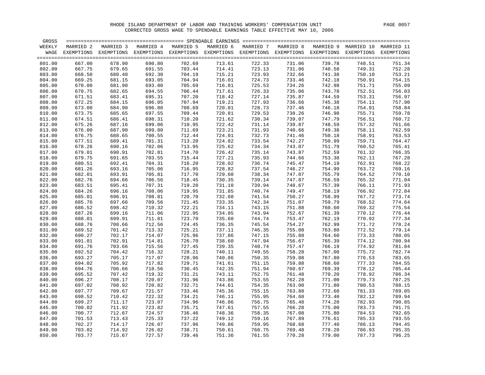| GROSS  |            |           |           |                                                                              |           |           |           |           |            |            |
|--------|------------|-----------|-----------|------------------------------------------------------------------------------|-----------|-----------|-----------|-----------|------------|------------|
| WEEKLY | MARRIED 2  | MARRIED 3 | MARRIED 4 | MARRIED 5                                                                    | MARRIED 6 | MARRIED 7 | MARRIED 8 | MARRIED 9 | MARRIED 10 | MARRIED 11 |
| WAGE   | EXEMPTIONS |           |           | EXEMPTIONS EXEMPTIONS EXEMPTIONS EXEMPTIONS EXEMPTIONS EXEMPTIONS EXEMPTIONS |           |           |           |           | EXEMPTIONS | EXEMPTIONS |
|        |            |           |           |                                                                              |           |           |           |           |            |            |
| 801.00 | 667.00     | 678.90    | 690.80    | 702.69                                                                       | 713.61    | 722.33    | 731.06    | 739.78    | 748.51     | 751.34     |
| 802.00 | 667.75     | 679.65    | 691.55    | 703.44                                                                       | 714.41    | 723.13    | 731.86    | 740.58    | 749.31     | 752.28     |
| 803.00 | 668.50     | 680.40    | 692.30    | 704.19                                                                       | 715.21    | 723.93    | 732.66    | 741.38    | 750.10     | 753.21     |
| 804.00 | 669.25     | 681.15    | 693.05    | 704.94                                                                       | 716.01    | 724.73    | 733.46    | 742.18    | 750.91     | 754.15     |
| 805.00 | 670.00     | 681.90    | 693.80    | 705.69                                                                       | 716.81    | 725.53    | 734.26    | 742.98    | 751.71     | 755.09     |
| 806.00 | 670.75     | 682.65    | 694.55    | 706.44                                                                       | 717.61    | 726.33    | 735.06    | 743.78    | 752.51     | 756.03     |
| 807.00 | 671.51     | 683.41    | 695.31    | 707.20                                                                       | 718.42    | 727.14    | 735.87    | 744.59    | 753.31     | 756.97     |
| 808.00 | 672.25     | 684.15    | 696.05    | 707.94                                                                       | 719.21    | 727.93    | 736.66    | 745.38    | 754.11     | 757.90     |
| 809.00 | 673.00     | 684.90    | 696.80    | 708.69                                                                       | 720.01    | 728.73    | 737.46    | 746.18    | 754.91     | 758.84     |
| 810.00 | 673.75     | 685.65    | 697.55    | 709.44                                                                       | 720.81    | 729.53    | 738.26    | 746.98    | 755.71     | 759.78     |
| 811.00 | 674.51     | 686.41    | 698.31    | 710.20                                                                       | 721.62    | 730.34    | 739.07    | 747.79    | 756.51     | 760.72     |
| 812.00 | 675.26     | 687.16    | 699.06    | 710.95                                                                       | 722.42    | 731.14    | 739.87    | 748.59    | 757.32     | 761.66     |
| 813.00 | 676.00     | 687.90    | 699.80    | 711.69                                                                       | 723.21    | 731.93    | 740.66    | 749.38    | 758.11     | 762.59     |
| 814.00 | 676.75     | 688.65    | 700.55    | 712.44                                                                       | 724.01    | 732.73    | 741.46    | 750.18    | 758.91     | 763.53     |
| 815.00 | 677.51     | 689.41    | 701.31    | 713.20                                                                       | 724.82    | 733.54    | 742.27    | 750.99    | 759.71     | 764.47     |
| 816.00 | 678.26     | 690.16    | 702.06    | 713.95                                                                       | 725.62    | 734.34    | 743.07    | 751.79    | 760.52     | 765.41     |
| 817.00 | 679.01     | 690.91    | 702.81    | 714.70                                                                       | 726.42    | 735.14    | 743.87    | 752.59    | 761.32     | 766.35     |
| 818.00 | 679.75     | 691.65    | 703.55    | 715.44                                                                       | 727.21    | 735.93    | 744.66    | 753.38    | 762.11     | 767.28     |
| 819.00 | 680.51     | 692.41    | 704.31    | 716.20                                                                       | 728.02    | 736.74    | 745.47    | 754.19    | 762.91     | 768.22     |
| 820.00 | 681.26     | 693.16    | 705.06    | 716.95                                                                       | 728.82    | 737.54    | 746.27    | 754.99    | 763.72     | 769.16     |
| 821.00 | 682.01     | 693.91    | 705.81    | 717.70                                                                       | 729.60    | 738.34    | 747.07    | 755.79    | 764.52     | 770.10     |
| 822.00 | 682.76     | 694.66    | 706.56    | 718.45                                                                       | 730.35    | 739.14    | 747.87    | 756.59    | 765.32     | 771.04     |
| 823.00 | 683.51     | 695.41    | 707.31    | 719.20                                                                       | 731.10    | 739.94    | 748.67    | 757.39    | 766.11     | 771.93     |
| 824.00 | 684.26     | 696.16    | 708.06    | 719.95                                                                       | 731.85    | 740.74    | 749.47    | 758.19    | 766.92     | 772.84     |
| 825.00 | 685.01     | 696.91    | 708.81    | 720.70                                                                       | 732.60    | 741.54    | 750.27    | 758.99    | 767.72     | 773.74     |
| 826.00 | 685.76     | 697.66    | 709.56    | 721.45                                                                       | 733.35    | 742.34    | 751.07    | 759.79    | 768.52     | 774.64     |
| 827.00 | 686.52     | 698.42    | 710.32    | 722.21                                                                       | 734.11    | 743.15    | 751.88    | 760.60    | 769.32     | 775.54     |
| 828.00 | 687.26     | 699.16    | 711.06    | 722.95                                                                       | 734.85    | 743.94    | 752.67    | 761.39    | 770.12     | 776.44     |
| 829.00 | 688.01     | 699.91    | 711.81    | 723.70                                                                       | 735.60    | 744.74    | 753.47    | 762.19    | 770.92     | 777.34     |
| 830.00 | 688.76     | 700.66    | 712.56    | 724.45                                                                       | 736.35    | 745.54    | 754.27    | 762.99    | 771.72     | 778.24     |
| 831.00 | 689.52     | 701.42    | 713.32    | 725.21                                                                       | 737.11    | 746.35    | 755.08    | 763.80    | 772.52     | 779.14     |
| 832.00 | 690.27     | 702.17    | 714.07    | 725.96                                                                       | 737.86    | 747.15    | 755.88    | 764.60    | 773.33     | 780.05     |
| 833.00 | 691.01     | 702.91    | 714.81    | 726.70                                                                       | 738.60    | 747.94    | 756.67    | 765.39    | 774.12     | 780.94     |
| 834.00 | 691.76     | 703.66    | 715.56    | 727.45                                                                       | 739.35    | 748.74    | 757.47    | 766.19    | 774.92     | 781.84     |
| 835.00 | 692.52     | 704.42    | 716.32    | 728.21                                                                       | 740.11    | 749.55    | 758.28    | 767.00    | 775.72     | 782.74     |
| 836.00 | 693.27     | 705.17    | 717.07    | 728.96                                                                       | 740.86    | 750.35    | 759.08    | 767.80    | 776.53     | 783.65     |
| 837.00 | 694.02     | 705.92    | 717.82    | 729.71                                                                       | 741.61    | 751.15    | 759.88    | 768.60    | 777.33     | 784.55     |
| 838.00 | 694.76     | 706.66    | 718.56    | 730.45                                                                       | 742.35    | 751.94    | 760.67    | 769.39    | 778.12     | 785.44     |
| 839.00 | 695.52     | 707.42    | 719.32    | 731.21                                                                       | 743.11    | 752.75    | 761.48    | 770.20    | 778.92     | 786.34     |
| 840.00 | 696.27     | 708.17    | 720.07    | 731.96                                                                       | 743.86    | 753.55    | 762.28    | 771.00    | 779.73     | 787.25     |
| 841.00 | 697.02     | 708.92    | 720.82    | 732.71                                                                       | 744.61    | 754.35    | 763.08    | 771.80    | 780.53     | 788.15     |
| 842.00 | 697.77     | 709.67    | 721.57    | 733.46                                                                       | 745.36    | 755.15    | 763.88    | 772.60    | 781.33     | 789.05     |
| 843.00 | 698.52     | 710.42    | 722.32    | 734.21                                                                       | 746.11    | 755.95    | 764.68    | 773.40    | 782.12     | 789.94     |
| 844.00 | 699.27     | 711.17    | 723.07    | 734.96                                                                       | 746.86    | 756.75    | 765.48    | 774.20    | 782.93     | 790.85     |
| 845.00 | 700.02     | 711.92    | 723.82    | 735.71                                                                       | 747.61    | 757.55    | 766.28    | 775.00    | 783.73     | 791.75     |
| 846.00 | 700.77     | 712.67    | 724.57    | 736.46                                                                       | 748.36    | 758.35    | 767.08    | 775.80    | 784.53     | 792.65     |
| 847.00 | 701.53     | 713.43    | 725.33    | 737.22                                                                       | 749.12    | 759.16    | 767.89    | 776.61    | 785.33     | 793.55     |
| 848.00 | 702.27     | 714.17    | 726.07    | 737.96                                                                       | 749.86    | 759.95    | 768.68    | 777.40    | 786.13     | 794.45     |
| 849.00 | 703.02     | 714.92    | 726.82    | 738.71                                                                       | 750.61    | 760.75    | 769.48    | 778.20    | 786.93     | 795.35     |
| 850.00 | 703.77     | 715.67    | 727.57    | 739.46                                                                       | 751.36    | 761.55    | 770.28    | 779.00    | 787.73     | 796.25     |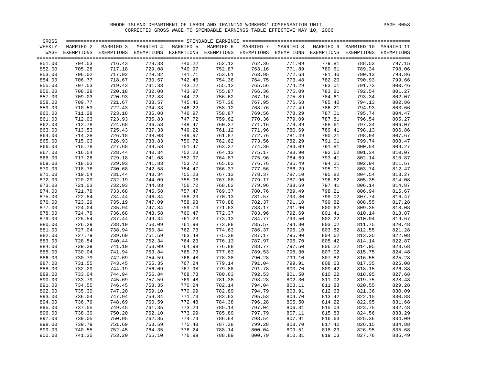| GROSS  | $=$       |                                                                                         |           |           |           |           |           |           |            |             |
|--------|-----------|-----------------------------------------------------------------------------------------|-----------|-----------|-----------|-----------|-----------|-----------|------------|-------------|
| WEEKLY | MARRIED 2 | MARRIED 3                                                                               | MARRIED 4 | MARRIED 5 | MARRIED 6 | MARRIED 7 | MARRIED 8 | MARRIED 9 | MARRIED 10 | MARRIED 11  |
| WAGE   |           | EXEMPTIONS EXEMPTIONS EXEMPTIONS EXEMPTIONS EXEMPTIONS EXEMPTIONS EXEMPTIONS EXEMPTIONS |           |           |           |           |           |           | EXEMPTIONS | EXEMPTIONS  |
|        |           |                                                                                         |           |           |           |           |           |           |            | $=$ $=$ $=$ |
| 851.00 | 704.53    | 716.43                                                                                  | 728.33    | 740.22    | 752.12    | 762.36    | 771.09    | 779.81    | 788.53     | 797.15      |
| 852.00 | 705.28    | 717.18                                                                                  | 729.08    | 740.97    | 752.87    | 763.16    | 771.89    | 780.61    | 789.34     | 798.06      |
| 853.00 | 706.02    | 717.92                                                                                  | 729.82    | 741.71    | 753.61    | 763.95    | 772.68    | 781.40    | 790.13     | 798.86      |
| 854.00 | 706.77    | 718.67                                                                                  | 730.57    | 742.46    | 754.36    | 764.75    | 773.48    | 782.20    | 790.93     | 799.66      |
| 855.00 | 707.53    | 719.43                                                                                  | 731.33    | 743.22    | 755.12    | 765.56    | 774.29    | 783.01    | 791.73     | 800.46      |
| 856.00 | 708.28    | 720.18                                                                                  | 732.08    | 743.97    | 755.87    | 766.36    | 775.09    | 783.81    | 792.54     | 801.27      |
| 857.00 | 709.03    | 720.93                                                                                  | 732.83    | 744.72    | 756.62    | 767.16    | 775.89    | 784.61    | 793.34     | 802.07      |
| 858.00 | 709.77    | 721.67                                                                                  | 733.57    | 745.46    | 757.36    | 767.95    | 776.68    | 785.40    | 794.13     | 802.86      |
| 859.00 | 710.53    | 722.43                                                                                  | 734.33    | 746.22    | 758.12    | 768.76    | 777.49    | 786.21    | 794.93     | 803.66      |
| 860.00 | 711.28    | 723.18                                                                                  | 735.08    | 746.97    | 758.87    | 769.56    | 778.29    | 787.01    | 795.74     | 804.47      |
| 861.00 | 712.03    | 723.93                                                                                  | 735.83    | 747.72    | 759.62    | 770.36    | 779.09    | 787.81    | 796.54     | 805.27      |
| 862.00 | 712.78    | 724.68                                                                                  | 736.58    | 748.47    | 760.37    | 771.16    | 779.89    | 788.61    | 797.34     | 806.07      |
| 863.00 | 713.53    | 725.43                                                                                  | 737.33    | 749.22    | 761.12    | 771.96    | 780.69    | 789.41    | 798.13     | 806.86      |
| 864.00 | 714.28    | 726.18                                                                                  | 738.08    | 749.97    | 761.87    | 772.76    | 781.49    | 790.21    | 798.94     | 807.67      |
| 865.00 | 715.03    | 726.93                                                                                  | 738.83    | 750.72    | 762.62    | 773.56    | 782.29    | 791.01    | 799.74     | 808.47      |
| 866.00 | 715.78    | 727.68                                                                                  | 739.58    | 751.47    | 763.37    | 774.36    | 783.09    | 791.81    | 800.54     | 809.27      |
| 867.00 | 716.54    | 728.44                                                                                  | 740.34    | 752.23    | 764.13    | 775.17    | 783.90    | 792.62    | 801.34     | 810.07      |
| 868.00 | 717.28    | 729.18                                                                                  | 741.08    | 752.97    | 764.87    | 775.96    | 784.69    | 793.41    | 802.14     | 810.87      |
| 869.00 | 718.03    | 729.93                                                                                  | 741.83    | 753.72    | 765.62    | 776.76    | 785.49    | 794.21    | 802.94     | 811.67      |
| 870.00 | 718.78    | 730.68                                                                                  | 742.58    | 754.47    | 766.37    | 777.56    | 786.29    | 795.01    | 803.74     | 812.47      |
| 871.00 | 719.54    | 731.44                                                                                  | 743.34    | 755.23    | 767.13    | 778.37    | 787.10    | 795.82    | 804.54     | 813.27      |
| 872.00 | 720.29    | 732.19                                                                                  | 744.09    | 755.98    | 767.88    | 779.17    | 787.90    | 796.62    | 805.35     | 814.08      |
| 873.00 | 721.03    | 732.93                                                                                  | 744.83    | 756.72    | 768.62    | 779.96    | 788.69    | 797.41    | 806.14     | 814.87      |
| 874.00 | 721.78    | 733.68                                                                                  | 745.58    | 757.47    | 769.37    | 780.76    | 789.49    | 798.21    | 806.94     | 815.67      |
| 875.00 | 722.54    | 734.44                                                                                  | 746.34    | 758.23    | 770.13    | 781.57    | 790.30    | 799.02    | 807.74     | 816.47      |
| 876.00 | 723.29    | 735.19                                                                                  | 747.09    | 758.98    | 770.88    | 782.37    | 791.10    | 799.82    | 808.55     | 817.28      |
| 877.00 | 724.04    | 735.94                                                                                  | 747.84    | 759.73    | 771.63    | 783.17    | 791.90    | 800.62    | 809.35     | 818.08      |
| 878.00 | 724.78    | 736.68                                                                                  | 748.58    | 760.47    | 772.37    | 783.96    | 792.69    | 801.41    | 810.14     | 818.87      |
| 879.00 | 725.54    | 737.44                                                                                  | 749.34    | 761.23    | 773.13    | 784.77    | 793.50    | 802.22    | 810.94     | 819.67      |
| 880.00 | 726.29    | 738.19                                                                                  | 750.09    | 761.98    | 773.88    | 785.57    | 794.30    | 803.02    | 811.75     | 820.48      |
| 881.00 | 727.04    | 738.94                                                                                  | 750.84    | 762.73    | 774.63    | 786.37    | 795.10    | 803.82    | 812.55     | 821.28      |
| 882.00 | 727.79    | 739.69                                                                                  | 751.59    | 763.48    | 775.38    | 787.17    | 795.90    | 804.62    | 813.35     | 822.08      |
| 883.00 | 728.54    | 740.44                                                                                  | 752.34    | 764.23    | 776.13    | 787.97    | 796.70    | 805.42    | 814.14     | 822.87      |
| 884.00 | 729.29    | 741.19                                                                                  | 753.09    | 764.98    | 776.88    | 788.77    | 797.50    | 806.22    | 814.95     | 823.68      |
| 885.00 | 730.04    | 741.94                                                                                  | 753.84    | 765.73    | 777.63    | 789.53    | 798.30    | 807.02    | 815.75     | 824.48      |
| 886.00 | 730.79    | 742.69                                                                                  | 754.59    | 766.48    | 778.38    | 790.28    | 799.10    | 807.82    | 816.55     | 825.28      |
| 887.00 | 731.55    | 743.45                                                                                  | 755.35    | 767.24    | 779.14    | 791.04    | 799.91    | 808.63    | 817.35     | 826.08      |
| 888.00 | 732.29    | 744.19                                                                                  | 756.09    | 767.98    | 779.88    | 791.78    | 800.70    | 809.42    | 818.15     | 826.88      |
| 889.00 | 733.04    | 744.94                                                                                  | 756.84    | 768.73    | 780.63    | 792.53    | 801.50    | 810.22    | 818.95     | 827.68      |
| 890.00 | 733.79    | 745.69                                                                                  | 757.59    | 769.48    | 781.38    | 793.28    | 802.30    | 811.02    | 819.75     | 828.48      |
| 891.00 | 734.55    | 746.45                                                                                  | 758.35    | 770.24    | 782.14    | 794.04    | 803.11    | 811.83    | 820.55     | 829.28      |
| 892.00 | 735.30    | 747.20                                                                                  | 759.10    | 770.99    | 782.89    | 794.79    | 803.91    | 812.63    | 821.36     | 830.09      |
| 893.00 | 736.04    | 747.94                                                                                  | 759.84    | 771.73    | 783.63    | 795.53    | 804.70    | 813.42    | 822.15     | 830.88      |
| 894.00 | 736.79    | 748.69                                                                                  | 760.59    | 772.48    | 784.38    | 796.28    | 805.50    | 814.22    | 822.95     | 831.68      |
| 895.00 | 737.55    | 749.45                                                                                  | 761.35    | 773.24    | 785.14    | 797.04    | 806.31    | 815.03    | 823.75     | 832.48      |
| 896.00 | 738.30    | 750.20                                                                                  | 762.10    | 773.99    | 785.89    | 797.79    | 807.11    | 815.83    | 824.56     | 833.29      |
| 897.00 | 739.05    | 750.95                                                                                  | 762.85    | 774.74    | 786.64    | 798.54    | 807.91    | 816.63    | 825.36     | 834.09      |
| 898.00 | 739.79    | 751.69                                                                                  | 763.59    | 775.48    | 787.38    | 799.28    | 808.70    | 817.42    | 826.15     | 834.88      |
| 899.00 | 740.55    | 752.45                                                                                  | 764.35    | 776.24    | 788.14    | 800.04    | 809.51    | 818.23    | 826.95     | 835.68      |
| 900.00 | 741.30    | 753.20                                                                                  | 765.10    | 776.99    | 788.89    | 800.79    | 810.31    | 819.03    | 827.76     | 836.49      |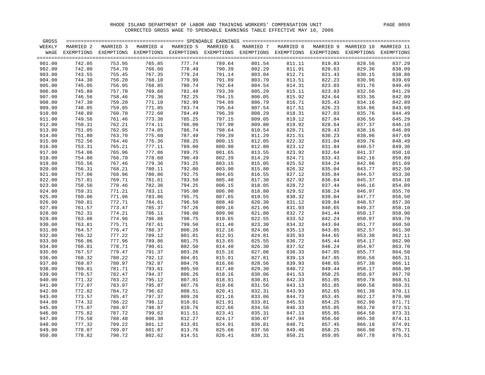| GROSS  |           |                                                                                         |           |           |           |           |           |           |            |            |
|--------|-----------|-----------------------------------------------------------------------------------------|-----------|-----------|-----------|-----------|-----------|-----------|------------|------------|
| WEEKLY | MARRIED 2 | MARRIED 3                                                                               | MARRIED 4 | MARRIED 5 | MARRIED 6 | MARRIED 7 | MARRIED 8 | MARRIED 9 | MARRIED 10 | MARRIED 11 |
| WAGE   |           | EXEMPTIONS EXEMPTIONS EXEMPTIONS EXEMPTIONS EXEMPTIONS EXEMPTIONS EXEMPTIONS EXEMPTIONS |           |           |           |           |           |           | EXEMPTIONS | EXEMPTIONS |
|        |           |                                                                                         |           |           |           |           |           |           |            | $===$      |
| 901.00 | 742.05    | 753.95                                                                                  | 765.85    | 777.74    | 789.64    | 801.54    | 811.11    | 819.83    | 828.56     | 837.29     |
| 902.00 | 742.80    | 754.70                                                                                  | 766.60    | 778.49    | 790.39    | 802.29    | 811.91    | 820.63    | 829.36     | 838.09     |
|        | 743.55    | 755.45                                                                                  | 767.35    | 779.24    | 791.14    | 803.04    | 812.71    | 821.43    | 830.15     | 838.88     |
| 903.00 |           |                                                                                         |           |           |           |           |           |           |            |            |
| 904.00 | 744.30    | 756.20                                                                                  | 768.10    | 779.99    | 791.89    | 803.79    | 813.51    | 822.23    | 830.96     | 839.69     |
| 905.00 | 745.05    | 756.95                                                                                  | 768.85    | 780.74    | 792.64    | 804.54    | 814.31    | 823.03    | 831.76     | 840.49     |
| 906.00 | 745.80    | 757.70                                                                                  | 769.60    | 781.49    | 793.39    | 805.29    | 815.11    | 823.83    | 832.56     | 841.29     |
| 907.00 | 746.56    | 758.46                                                                                  | 770.36    | 782.25    | 794.15    | 806.05    | 815.92    | 824.64    | 833.36     | 842.09     |
| 908.00 | 747.30    | 759.20                                                                                  | 771.10    | 782.99    | 794.89    | 806.79    | 816.71    | 825.43    | 834.16     | 842.89     |
| 909.00 | 748.05    | 759.95                                                                                  | 771.85    | 783.74    | 795.64    | 807.54    | 817.51    | 826.23    | 834.96     | 843.69     |
| 910.00 | 748.80    | 760.70                                                                                  | 772.60    | 784.49    | 796.39    | 808.29    | 818.31    | 827.03    | 835.76     | 844.49     |
| 911.00 | 749.56    | 761.46                                                                                  | 773.36    | 785.25    | 797.15    | 809.05    | 819.12    | 827.84    | 836.56     | 845.29     |
| 912.00 | 750.31    | 762.21                                                                                  | 774.11    | 786.00    | 797.90    | 809.80    | 819.92    | 828.64    | 837.37     | 846.10     |
| 913.00 | 751.05    | 762.95                                                                                  | 774.85    | 786.74    | 798.64    | 810.54    | 820.71    | 829.43    | 838.16     | 846.89     |
| 914.00 | 751.80    | 763.70                                                                                  | 775.60    | 787.49    | 799.39    | 811.29    | 821.51    | 830.23    | 838.96     | 847.69     |
| 915.00 | 752.56    | 764.46                                                                                  | 776.36    | 788.25    | 800.15    | 812.05    | 822.32    | 831.04    | 839.76     | 848.49     |
| 916.00 | 753.31    | 765.21                                                                                  | 777.11    | 789.00    | 800.90    | 812.80    | 823.12    | 831.84    | 840.57     | 849.30     |
| 917.00 | 754.06    | 765.96                                                                                  | 777.86    | 789.75    | 801.65    | 813.55    | 823.92    | 832.64    | 841.37     | 850.10     |
| 918.00 | 754.80    | 766.70                                                                                  | 778.60    | 790.49    | 802.39    | 814.29    | 824.71    | 833.43    | 842.16     | 850.89     |
| 919.00 | 755.56    | 767.46                                                                                  | 779.36    | 791.25    | 803.15    | 815.05    | 825.52    | 834.24    | 842.96     | 851.69     |
| 920.00 | 756.31    | 768.21                                                                                  | 780.11    | 792.00    | 803.90    | 815.80    | 826.32    | 835.04    | 843.77     | 852.50     |
| 921.00 | 757.06    | 768.96                                                                                  | 780.86    | 792.75    | 804.65    | 816.55    | 827.12    | 835.84    | 844.57     | 853.30     |
| 922.00 | 757.81    | 769.71                                                                                  | 781.61    | 793.50    | 805.40    | 817.30    | 827.92    | 836.64    | 845.37     | 854.10     |
| 923.00 | 758.56    | 770.46                                                                                  | 782.36    | 794.25    | 806.15    | 818.05    | 828.72    | 837.44    | 846.16     | 854.89     |
| 924.00 | 759.31    | 771.21                                                                                  | 783.11    | 795.00    | 806.90    | 818.80    | 829.52    | 838.24    | 846.97     | 855.70     |
| 925.00 | 760.06    | 771.96                                                                                  | 783.86    | 795.75    | 807.65    | 819.55    | 830.32    | 839.04    | 847.77     | 856.50     |
| 926.00 | 760.81    | 772.71                                                                                  | 784.61    | 796.50    | 808.40    | 820.30    | 831.12    | 839.84    | 848.57     | 857.30     |
| 927.00 | 761.57    | 773.47                                                                                  | 785.37    | 797.26    | 809.16    | 821.06    | 831.93    | 840.65    | 849.37     | 858.10     |
| 928.00 | 762.31    | 774.21                                                                                  | 786.11    | 798.00    | 809.90    | 821.80    | 832.72    | 841.44    | 850.17     | 858.90     |
| 929.00 | 763.06    | 774.96                                                                                  | 786.86    | 798.75    | 810.65    | 822.55    | 833.52    | 842.24    | 850.97     | 859.70     |
|        |           |                                                                                         |           |           |           |           |           |           |            |            |
| 930.00 | 763.81    | 775.71                                                                                  | 787.61    | 799.50    | 811.40    | 823.30    | 834.32    | 843.04    | 851.77     | 860.50     |
| 931.00 | 764.57    | 776.47                                                                                  | 788.37    | 800.26    | 812.16    | 824.06    | 835.13    | 843.85    | 852.57     | 861.30     |
| 932.00 | 765.32    | 777.22                                                                                  | 789.12    | 801.01    | 812.91    | 824.81    | 835.93    | 844.65    | 853.38     | 862.11     |
| 933.00 | 766.06    | 777.96                                                                                  | 789.86    | 801.75    | 813.65    | 825.55    | 836.72    | 845.44    | 854.17     | 862.90     |
| 934.00 | 766.81    | 778.71                                                                                  | 790.61    | 802.50    | 814.40    | 826.30    | 837.52    | 846.24    | 854.97     | 863.70     |
| 935.00 | 767.57    | 779.47                                                                                  | 791.37    | 803.26    | 815.16    | 827.06    | 838.33    | 847.05    | 855.77     | 864.50     |
| 936.00 | 768.32    | 780.22                                                                                  | 792.12    | 804.01    | 815.91    | 827.81    | 839.13    | 847.85    | 856.58     | 865.31     |
| 937.00 | 769.07    | 780.97                                                                                  | 792.87    | 804.76    | 816.66    | 828.56    | 839.93    | 848.65    | 857.38     | 866.11     |
| 938.00 | 769.81    | 781.71                                                                                  | 793.61    | 805.50    | 817.40    | 829.30    | 840.72    | 849.44    | 858.17     | 866.90     |
| 939.00 | 770.57    | 782.47                                                                                  | 794.37    | 806.26    | 818.16    | 830.06    | 841.53    | 850.25    | 858.97     | 867.70     |
| 940.00 | 771.32    | 783.22                                                                                  | 795.12    | 807.01    | 818.91    | 830.81    | 842.33    | 851.05    | 859.78     | 868.51     |
| 941.00 | 772.07    | 783.97                                                                                  | 795.87    | 807.76    | 819.66    | 831.56    | 843.13    | 851.85    | 860.58     | 869.31     |
| 942.00 | 772.82    | 784.72                                                                                  | 796.62    | 808.51    | 820.41    | 832.31    | 843.93    | 852.65    | 861.38     | 870.11     |
| 943.00 | 773.57    | 785.47                                                                                  | 797.37    | 809.26    | 821.16    | 833.06    | 844.73    | 853.45    | 862.17     | 870.90     |
| 944.00 | 774.32    | 786.22                                                                                  | 798.12    | 810.01    | 821.91    | 833.81    | 845.53    | 854.25    | 862.98     | 871.71     |
| 945.00 | 775.07    | 786.97                                                                                  | 798.87    | 810.76    | 822.66    | 834.56    | 846.33    | 855.05    | 863.78     | 872.51     |
| 946.00 | 775.82    | 787.72                                                                                  | 799.62    | 811.51    | 823.41    | 835.31    | 847.13    | 855.85    | 864.58     | 873.31     |
| 947.00 | 776.58    | 788.48                                                                                  | 800.38    | 812.27    | 824.17    | 836.07    | 847.94    | 856.66    | 865.38     | 874.11     |
| 948.00 | 777.32    | 789.22                                                                                  | 801.12    | 813.01    | 824.91    | 836.81    | 848.71    | 857.45    | 866.18     | 874.91     |
| 949.00 | 778.07    | 789.97                                                                                  | 801.87    | 813.76    | 825.66    | 837.56    | 849.46    | 858.25    | 866.98     | 875.71     |
| 950.00 | 778.82    | 790.72                                                                                  | 802.62    | 814.51    | 826.41    | 838.31    | 850.21    | 859.05    | 867.78     | 876.51     |
|        |           |                                                                                         |           |           |           |           |           |           |            |            |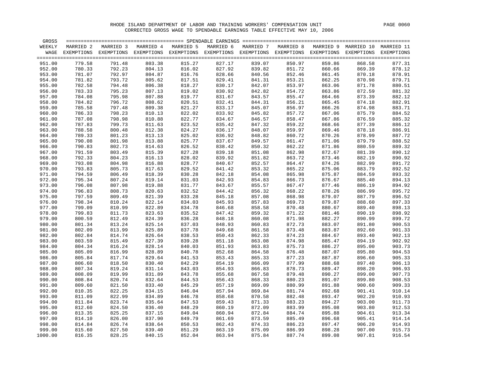| GROSS   |                  |                                                                                                    |                  |                  |                  |                  |                  |                  |                  |                     |
|---------|------------------|----------------------------------------------------------------------------------------------------|------------------|------------------|------------------|------------------|------------------|------------------|------------------|---------------------|
| WEEKLY  | MARRIED 2        | MARRIED 3                                                                                          | MARRIED 4        | MARRIED 5        | MARRIED 6        | MARRIED 7        | MARRIED 8        | MARRIED 9        | MARRIED 10       | MARRIED 11          |
| WAGE    |                  | EXEMPTIONS EXEMPTIONS EXEMPTIONS EXEMPTIONS EXEMPTIONS EXEMPTIONS EXEMPTIONS EXEMPTIONS EXEMPTIONS |                  |                  |                  |                  |                  |                  |                  | EXEMPTIONS          |
| 951.00  | 779.58           | 791.48                                                                                             | 803.38           | 815.27           | 827.17           | 839.07           | 850.97           | 859.86           | 868.58           | $=$ = = =<br>877.31 |
| 952.00  | 780.33           | 792.23                                                                                             | 804.13           | 816.02           | 827.92           | 839.82           | 851.72           | 860.66           | 869.39           | 878.12              |
| 953.00  | 781.07           | 792.97                                                                                             | 804.87           | 816.76           | 828.66           | 840.56           | 852.46           | 861.45           | 870.18           | 878.91              |
| 954.00  | 781.82           | 793.72                                                                                             | 805.62           | 817.51           | 829.41           | 841.31           | 853.21           | 862.25           | 870.98           | 879.71              |
| 955.00  | 782.58           | 794.48                                                                                             | 806.38           | 818.27           | 830.17           | 842.07           | 853.97           | 863.06           | 871.78           | 880.51              |
| 956.00  | 783.33           | 795.23                                                                                             | 807.13           | 819.02           | 830.92           | 842.82           | 854.72           | 863.86           | 872.59           | 881.32              |
| 957.00  | 784.08           | 795.98                                                                                             | 807.88           | 819.77           | 831.67           | 843.57           | 855.47           | 864.66           | 873.39           | 882.12              |
| 958.00  | 784.82           | 796.72                                                                                             | 808.62           | 820.51           | 832.41           | 844.31           | 856.21           | 865.45           | 874.18           | 882.91              |
| 959.00  | 785.58           | 797.48                                                                                             | 809.38           | 821.27           | 833.17           | 845.07           | 856.97           | 866.26           | 874.98           | 883.71              |
| 960.00  | 786.33           | 798.23                                                                                             | 810.13           | 822.02           | 833.92           | 845.82           | 857.72           | 867.06           | 875.79           | 884.52              |
| 961.00  | 787.08           | 798.98                                                                                             | 810.88           | 822.77           | 834.67           | 846.57           | 858.47           | 867.86           | 876.59           | 885.32              |
| 962.00  | 787.83           | 799.73                                                                                             | 811.63           | 823.52           | 835.42           | 847.32           | 859.22           | 868.66           | 877.39           | 886.12              |
| 963.00  | 788.58           | 800.48                                                                                             | 812.38           | 824.27           | 836.17           | 848.07           | 859.97           | 869.46           | 878.18           | 886.91              |
| 964.00  | 789.33           | 801.23                                                                                             | 813.13           | 825.02           | 836.92           | 848.82           | 860.72           | 870.26           | 878.99           | 887.72              |
| 965.00  | 790.08           | 801.98                                                                                             | 813.88           | 825.77           | 837.67           | 849.57           | 861.47           | 871.06           | 879.79           | 888.52              |
| 966.00  | 790.83           | 802.73                                                                                             | 814.63           | 826.52           | 838.42           | 850.32           | 862.22           | 871.86           | 880.59           | 889.32              |
| 967.00  | 791.59           | 803.49                                                                                             | 815.39           | 827.28           | 839.18           | 851.08           | 862.98           | 872.67           | 881.39           | 890.12              |
| 968.00  | 792.33           | 804.23                                                                                             | 816.13           | 828.02           | 839.92           | 851.82           | 863.72           | 873.46           | 882.19           | 890.92              |
| 969.00  | 793.08           | 804.98                                                                                             | 816.88           | 828.77           | 840.67           | 852.57           | 864.47           | 874.26           | 882.99           | 891.72              |
| 970.00  | 793.83           | 805.73                                                                                             | 817.63           | 829.52           | 841.42           | 853.32           | 865.22           | 875.06           | 883.79           | 892.52              |
| 971.00  | 794.59           | 806.49                                                                                             | 818.39           | 830.28           | 842.18           | 854.08           | 865.98           | 875.87           | 884.59           | 893.32              |
| 972.00  | 795.34           | 807.24                                                                                             | 819.14           | 831.03           | 842.93           | 854.83           | 866.73           | 876.67           | 885.40           | 894.13              |
| 973.00  | 796.08           | 807.98                                                                                             | 819.88           | 831.77           | 843.67           | 855.57           | 867.47           | 877.46           | 886.19           | 894.92              |
| 974.00  | 796.83           | 808.73                                                                                             | 820.63           | 832.52           | 844.42           | 856.32           | 868.22           | 878.26           | 886.99           | 895.72              |
| 975.00  | 797.59           | 809.49                                                                                             | 821.39           | 833.28           | 845.18           | 857.08           | 868.98           | 879.07           | 887.79           | 896.52              |
| 976.00  | 798.34           | 810.24                                                                                             | 822.14           | 834.03           | 845.93           | 857.83           | 869.73           | 879.87           | 888.60           | 897.33              |
| 977.00  | 799.09           | 810.99                                                                                             | 822.89           | 834.78           | 846.68           | 858.58           | 870.48           | 880.67           | 889.40           | 898.13              |
| 978.00  | 799.83           | 811.73                                                                                             | 823.63           | 835.52           | 847.42           | 859.32           | 871.22           | 881.46           | 890.19           | 898.92              |
| 979.00  | 800.59           | 812.49                                                                                             | 824.39           | 836.28           | 848.18           | 860.08           | 871.98           | 882.27           | 890.99           | 899.72              |
| 980.00  | 801.34           | 813.24                                                                                             | 825.14           | 837.03           | 848.93           | 860.83           | 872.73           | 883.07           | 891.80           | 900.53              |
| 981.00  | 802.09           | 813.99                                                                                             | 825.89           | 837.78           | 849.68           | 861.58           | 873.48           | 883.87           | 892.60           | 901.33              |
| 982.00  | 802.84           | 814.74                                                                                             | 826.64           | 838.53           | 850.43           | 862.33           | 874.23           | 884.67           | 893.40           | 902.13              |
| 983.00  | 803.59           | 815.49                                                                                             | 827.39           | 839.28           | 851.18           | 863.08           | 874.98           | 885.47           | 894.19           | 902.92              |
| 984.00  | 804.34           | 816.24                                                                                             | 828.14           | 840.03           | 851.93           | 863.83           | 875.73           | 886.27           | 895.00           | 903.73              |
| 985.00  | 805.09           | 816.99                                                                                             | 828.89           | 840.78           | 852.68           | 864.58           | 876.48           | 887.07           | 895.80           | 904.53              |
| 986.00  | 805.84           | 817.74                                                                                             | 829.64           | 841.53           | 853.43           | 865.33           | 877.23           | 887.87           | 896.60           | 905.33              |
| 987.00  | 806.60           | 818.50                                                                                             | 830.40           | 842.29           | 854.19           | 866.09           | 877.99           | 888.68           | 897.40           | 906.13              |
| 988.00  | 807.34           | 819.24                                                                                             | 831.14           | 843.03           | 854.93           | 866.83           | 878.73           | 889.47           | 898.20           | 906.93              |
| 989.00  | 808.09           | 819.99                                                                                             | 831.89           | 843.78           | 855.68           | 867.58           | 879.48           | 890.27           | 899.00           | 907.73              |
| 990.00  | 808.84           | 820.74                                                                                             | 832.64           | 844.53           | 856.43           | 868.33           | 880.23           | 891.07           | 899.80           | 908.53              |
| 991.00  | 809.60           | 821.50                                                                                             | 833.40           | 845.29           | 857.19           | 869.09           | 880.99           | 891.88           | 900.60           | 909.33              |
| 992.00  | 810.35           | 822.25                                                                                             | 834.15           | 846.04           | 857.94           | 869.84           | 881.74           | 892.68           | 901.41           | 910.14              |
| 993.00  | 811.09           | 822.99                                                                                             | 834.89           | 846.78           | 858.68           | 870.58           | 882.48           | 893.47           | 902.20           | 910.93              |
| 994.00  | 811.84           | 823.74                                                                                             | 835.64           | 847.53           | 859.43           | 871.33           | 883.23           | 894.27           | 903.00           | 911.73              |
| 995.00  | 812.60           | 824.50                                                                                             | 836.40           | 848.29           | 860.19           | 872.09           | 883.99           | 895.08           | 903.80           | 912.53              |
| 996.00  | 813.35           | 825.25                                                                                             | 837.15           | 849.04           | 860.94           | 872.84           | 884.74           | 895.88           | 904.61           | 913.34              |
| 997.00  | 814.10<br>814.84 | 826.00                                                                                             | 837.90<br>838.64 | 849.79<br>850.53 | 861.69           | 873.59<br>874.33 | 885.49<br>886.23 | 896.68<br>897.47 | 905.41<br>906.20 | 914.14<br>914.93    |
| 998.00  | 815.60           | 826.74                                                                                             | 839.40           | 851.29           | 862.43<br>863.19 |                  | 886.99           |                  | 907.00           |                     |
| 999.00  |                  | 827.50                                                                                             |                  |                  |                  | 875.09           |                  | 898.28           |                  | 915.73              |
| 1000.00 | 816.35           | 828.25                                                                                             | 840.15           | 852.04           | 863.94           | 875.84           | 887.74           | 899.08           | 907.81           | 916.54              |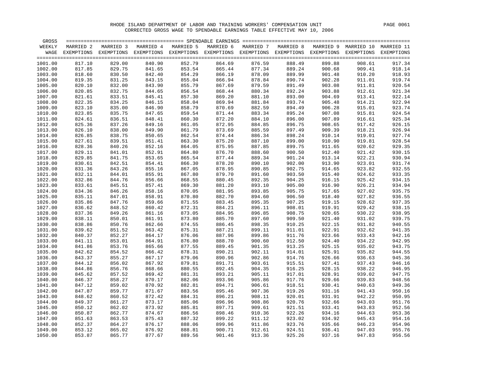| GROSS   |            |                                                                              |           |           |           |           |           |           |            |            |
|---------|------------|------------------------------------------------------------------------------|-----------|-----------|-----------|-----------|-----------|-----------|------------|------------|
| WEEKLY  | MARRIED 2  | MARRIED 3                                                                    | MARRIED 4 | MARRIED 5 | MARRIED 6 | MARRIED 7 | MARRIED 8 | MARRIED 9 | MARRIED 10 | MARRIED 11 |
| WAGE    | EXEMPTIONS | EXEMPTIONS EXEMPTIONS EXEMPTIONS EXEMPTIONS EXEMPTIONS EXEMPTIONS EXEMPTIONS |           |           |           |           |           |           | EXEMPTIONS | EXEMPTIONS |
|         |            |                                                                              |           |           |           |           |           |           |            |            |
| 1001.00 | 817.10     | 829.00                                                                       | 840.90    | 852.79    | 864.69    | 876.59    | 888.49    | 899.88    | 908.61     | 917.34     |
| 1002.00 | 817.85     | 829.75                                                                       | 841.65    | 853.54    | 865.44    | 877.34    | 889.24    | 900.68    | 909.41     | 918.14     |
| 1003.00 | 818.60     | 830.50                                                                       | 842.40    | 854.29    | 866.19    | 878.09    | 889.99    | 901.48    | 910.20     | 918.93     |
| 1004.00 | 819.35     | 831.25                                                                       | 843.15    | 855.04    | 866.94    | 878.84    | 890.74    | 902.28    | 911.01     | 919.74     |
| 1005.00 | 820.10     | 832.00                                                                       | 843.90    | 855.79    | 867.69    | 879.59    | 891.49    | 903.08    | 911.81     | 920.54     |
| 1006.00 | 820.85     | 832.75                                                                       | 844.65    | 856.54    | 868.44    | 880.34    | 892.24    | 903.88    | 912.61     | 921.34     |
| 1007.00 | 821.61     | 833.51                                                                       | 845.41    | 857.30    | 869.20    | 881.10    | 893.00    | 904.69    | 913.41     | 922.14     |
| 1008.00 | 822.35     | 834.25                                                                       | 846.15    | 858.04    | 869.94    | 881.84    | 893.74    | 905.48    | 914.21     | 922.94     |
| 1009.00 | 823.10     | 835.00                                                                       | 846.90    | 858.79    | 870.69    | 882.59    | 894.49    | 906.28    | 915.01     | 923.74     |
| 1010.00 | 823.85     | 835.75                                                                       | 847.65    | 859.54    | 871.44    | 883.34    | 895.24    | 907.08    | 915.81     | 924.54     |
| 1011.00 | 824.61     | 836.51                                                                       | 848.41    | 860.30    | 872.20    | 884.10    | 896.00    | 907.89    | 916.61     | 925.34     |
| 1012.00 | 825.36     | 837.26                                                                       | 849.16    | 861.05    | 872.95    | 884.85    | 896.75    | 908.65    | 917.42     | 926.15     |
| 1013.00 | 826.10     | 838.00                                                                       | 849.90    | 861.79    | 873.69    | 885.59    | 897.49    | 909.39    | 918.21     | 926.94     |
| 1014.00 | 826.85     | 838.75                                                                       | 850.65    | 862.54    | 874.44    | 886.34    | 898.24    | 910.14    | 919.01     | 927.74     |
| 1015.00 | 827.61     | 839.51                                                                       | 851.41    | 863.30    | 875.20    | 887.10    | 899.00    | 910.90    | 919.81     | 928.54     |
| 1016.00 | 828.36     | 840.26                                                                       | 852.16    | 864.05    | 875.95    | 887.85    | 899.75    | 911.65    | 920.62     | 929.35     |
| 1017.00 | 829.11     | 841.01                                                                       | 852.91    | 864.80    | 876.70    | 888.60    | 900.50    | 912.40    | 921.42     | 930.15     |
| 1018.00 | 829.85     | 841.75                                                                       | 853.65    | 865.54    | 877.44    | 889.34    | 901.24    | 913.14    | 922.21     | 930.94     |
| 1019.00 | 830.61     | 842.51                                                                       | 854.41    | 866.30    | 878.20    | 890.10    | 902.00    | 913.90    | 923.01     | 931.74     |
| 1020.00 | 831.36     | 843.26                                                                       | 855.16    | 867.05    | 878.95    | 890.85    | 902.75    | 914.65    | 923.82     | 932.55     |
| 1021.00 | 832.11     | 844.01                                                                       | 855.91    | 867.80    | 879.70    | 891.60    | 903.50    | 915.40    | 924.62     | 933.35     |
| 1022.00 | 832.86     | 844.76                                                                       | 856.66    | 868.55    | 880.45    | 892.35    | 904.25    | 916.15    | 925.42     | 934.15     |
| 1023.00 | 833.61     | 845.51                                                                       | 857.41    | 869.30    | 881.20    | 893.10    | 905.00    | 916.90    | 926.21     | 934.94     |
| 1024.00 | 834.36     | 846.26                                                                       | 858.16    | 870.05    | 881.95    | 893.85    | 905.75    | 917.65    | 927.02     | 935.75     |
| 1025.00 | 835.11     | 847.01                                                                       | 858.91    | 870.80    | 882.70    | 894.60    | 906.50    | 918.40    | 927.82     | 936.55     |
| 1026.00 | 835.86     | 847.76                                                                       | 859.66    | 871.55    | 883.45    | 895.35    | 907.25    | 919.15    | 928.62     | 937.35     |
| 1027.00 | 836.62     | 848.52                                                                       | 860.42    | 872.31    | 884.21    | 896.11    | 908.01    | 919.91    | 929.42     | 938.15     |
| 1028.00 | 837.36     | 849.26                                                                       | 861.16    | 873.05    | 884.95    | 896.85    | 908.75    | 920.65    | 930.22     | 938.95     |
| 1029.00 | 838.11     | 850.01                                                                       | 861.91    | 873.80    | 885.70    | 897.60    | 909.50    | 921.40    | 931.02     | 939.75     |
| 1030.00 | 838.86     | 850.76                                                                       | 862.66    | 874.55    | 886.45    | 898.35    | 910.25    | 922.15    | 931.82     | 940.55     |
| 1031.00 | 839.62     | 851.52                                                                       | 863.42    | 875.31    | 887.21    | 899.11    | 911.01    | 922.91    | 932.62     | 941.35     |
| 1032.00 | 840.37     | 852.27                                                                       | 864.17    | 876.06    | 887.96    | 899.86    | 911.76    | 923.66    | 933.43     | 942.16     |
| 1033.00 | 841.11     | 853.01                                                                       | 864.91    | 876.80    | 888.70    | 900.60    | 912.50    | 924.40    | 934.22     | 942.95     |
| 1034.00 | 841.86     | 853.76                                                                       | 865.66    | 877.55    | 889.45    | 901.35    | 913.25    | 925.15    | 935.02     | 943.75     |
| 1035.00 | 842.62     | 854.52                                                                       | 866.42    | 878.31    | 890.21    | 902.11    | 914.01    | 925.91    | 935.82     | 944.55     |
| 1036.00 | 843.37     | 855.27                                                                       | 867.17    | 879.06    | 890.96    | 902.86    | 914.76    | 926.66    | 936.63     | 945.36     |
| 1037.00 | 844.12     | 856.02                                                                       | 867.92    | 879.81    | 891.71    | 903.61    | 915.51    | 927.41    | 937.43     | 946.16     |
| 1038.00 | 844.86     | 856.76                                                                       | 868.66    | 880.55    | 892.45    | 904.35    | 916.25    | 928.15    | 938.22     | 946.95     |
| 1039.00 | 845.62     | 857.52                                                                       | 869.42    | 881.31    | 893.21    | 905.11    | 917.01    | 928.91    | 939.02     | 947.75     |
| 1040.00 | 846.37     | 858.27                                                                       | 870.17    | 882.06    | 893.96    | 905.86    | 917.76    | 929.66    | 939.83     | 948.56     |
| 1041.00 | 847.12     | 859.02                                                                       | 870.92    | 882.81    | 894.71    | 906.61    | 918.51    | 930.41    | 940.63     | 949.36     |
| 1042.00 | 847.87     | 859.77                                                                       | 871.67    | 883.56    | 895.46    | 907.36    | 919.26    | 931.16    | 941.43     | 950.16     |
| 1043.00 | 848.62     | 860.52                                                                       | 872.42    | 884.31    | 896.21    | 908.11    | 920.01    | 931.91    | 942.22     | 950.95     |
| 1044.00 | 849.37     | 861.27                                                                       | 873.17    | 885.06    | 896.96    | 908.86    | 920.76    | 932.66    | 943.03     | 951.76     |
| 1045.00 | 850.12     | 862.02                                                                       | 873.92    | 885.81    | 897.71    | 909.61    | 921.51    | 933.41    | 943.83     | 952.56     |
| 1046.00 | 850.87     | 862.77                                                                       | 874.67    | 886.56    | 898.46    | 910.36    | 922.26    | 934.16    | 944.63     | 953.36     |
| 1047.00 | 851.63     | 863.53                                                                       | 875.43    | 887.32    | 899.22    | 911.12    | 923.02    | 934.92    | 945.43     | 954.16     |
| 1048.00 | 852.37     | 864.27                                                                       | 876.17    | 888.06    | 899.96    | 911.86    | 923.76    | 935.66    | 946.23     | 954.96     |
| 1049.00 | 853.12     | 865.02                                                                       | 876.92    | 888.81    | 900.71    | 912.61    | 924.51    | 936.41    | 947.03     | 955.76     |
| 1050.00 | 853.87     | 865.77                                                                       | 877.67    | 889.56    | 901.46    | 913.36    | 925.26    | 937.16    | 947.83     | 956.56     |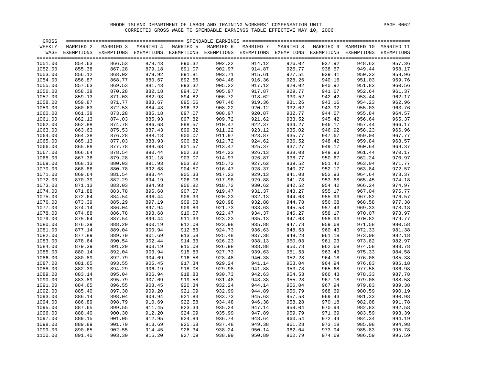| GROSS   |            |                                                                              |           |           |           |           |           |           |            |            |
|---------|------------|------------------------------------------------------------------------------|-----------|-----------|-----------|-----------|-----------|-----------|------------|------------|
| WEEKLY  | MARRIED 2  | MARRIED 3                                                                    | MARRIED 4 | MARRIED 5 | MARRIED 6 | MARRIED 7 | MARRIED 8 | MARRIED 9 | MARRIED 10 | MARRIED 11 |
| WAGE    | EXEMPTIONS | EXEMPTIONS EXEMPTIONS EXEMPTIONS EXEMPTIONS EXEMPTIONS EXEMPTIONS EXEMPTIONS |           |           |           |           |           |           | EXEMPTIONS | EXEMPTIONS |
|         |            |                                                                              |           |           |           |           |           |           |            |            |
| 1051.00 | 854.63     | 866.53                                                                       | 878.43    | 890.32    | 902.22    | 914.12    | 926.02    | 937.92    | 948.63     | 957.36     |
| 1052.00 | 855.38     | 867.28                                                                       | 879.18    | 891.07    | 902.97    | 914.87    | 926.77    | 938.67    | 949.44     | 958.17     |
| 1053.00 | 856.12     | 868.02                                                                       | 879.92    | 891.81    | 903.71    | 915.61    | 927.51    | 939.41    | 950.23     | 958.96     |
| 1054.00 | 856.87     | 868.77                                                                       | 880.67    | 892.56    | 904.46    | 916.36    | 928.26    | 940.16    | 951.03     | 959.76     |
| 1055.00 | 857.63     | 869.53                                                                       | 881.43    | 893.32    | 905.22    | 917.12    | 929.02    | 940.92    | 951.83     | 960.56     |
| 1056.00 | 858.38     | 870.28                                                                       | 882.18    | 894.07    | 905.97    | 917.87    | 929.77    | 941.67    | 952.64     | 961.37     |
| 1057.00 | 859.13     | 871.03                                                                       | 882.93    | 894.82    | 906.72    | 918.62    | 930.52    | 942.42    | 953.44     | 962.17     |
| 1058.00 | 859.87     | 871.77                                                                       | 883.67    | 895.56    | 907.46    | 919.36    | 931.26    | 943.16    | 954.23     | 962.96     |
| 1059.00 | 860.63     | 872.53                                                                       | 884.43    | 896.32    | 908.22    | 920.12    | 932.02    | 943.92    | 955.03     | 963.76     |
| 1060.00 | 861.38     | 873.28                                                                       | 885.18    | 897.07    | 908.97    | 920.87    | 932.77    | 944.67    | 955.84     | 964.57     |
| 1061.00 | 862.13     | 874.03                                                                       | 885.93    | 897.82    | 909.72    | 921.62    | 933.52    | 945.42    | 956.64     | 965.37     |
| 1062.00 | 862.88     | 874.78                                                                       | 886.68    | 898.57    | 910.47    | 922.37    | 934.27    | 946.17    | 957.44     | 966.17     |
| 1063.00 | 863.63     | 875.53                                                                       | 887.43    | 899.32    | 911.22    | 923.12    | 935.02    | 946.92    | 958.23     | 966.96     |
| 1064.00 | 864.38     | 876.28                                                                       | 888.18    | 900.07    | 911.97    | 923.87    | 935.77    | 947.67    | 959.04     | 967.77     |
| 1065.00 | 865.13     | 877.03                                                                       | 888.93    | 900.82    | 912.72    | 924.62    | 936.52    | 948.42    | 959.84     | 968.57     |
| 1066.00 | 865.88     | 877.78                                                                       | 889.68    | 901.57    | 913.47    | 925.37    | 937.27    | 949.17    | 960.64     | 969.37     |
| 1067.00 | 866.64     | 878.54                                                                       | 890.44    | 902.33    | 914.23    | 926.13    | 938.03    | 949.93    | 961.44     | 970.17     |
| 1068.00 | 867.38     | 879.28                                                                       | 891.18    | 903.07    | 914.97    | 926.87    | 938.77    | 950.67    | 962.24     | 970.97     |
| 1069.00 | 868.13     | 880.03                                                                       | 891.93    | 903.82    | 915.72    | 927.62    | 939.52    | 951.42    | 963.04     | 971.77     |
| 1070.00 | 868.88     | 880.78                                                                       | 892.68    | 904.57    | 916.47    | 928.37    | 940.27    | 952.17    | 963.84     | 972.57     |
| 1071.00 | 869.64     | 881.54                                                                       | 893.44    | 905.33    | 917.23    | 929.13    | 941.03    | 952.93    | 964.64     | 973.37     |
| 1072.00 | 870.39     | 882.29                                                                       | 894.19    | 906.08    | 917.98    | 929.88    | 941.78    | 953.68    | 965.45     | 974.18     |
| 1073.00 | 871.13     | 883.03                                                                       | 894.93    | 906.82    | 918.72    | 930.62    | 942.52    | 954.42    | 966.24     | 974.97     |
| 1074.00 | 871.88     | 883.78                                                                       | 895.68    | 907.57    | 919.47    | 931.37    | 943.27    | 955.17    | 967.04     | 975.77     |
| 1075.00 | 872.64     | 884.54                                                                       | 896.44    | 908.33    | 920.23    | 932.13    | 944.03    | 955.93    | 967.82     | 976.57     |
| 1076.00 | 873.39     | 885.29                                                                       | 897.19    | 909.08    | 920.98    | 932.88    | 944.78    | 956.68    | 968.58     | 977.38     |
| 1077.00 | 874.14     | 886.04                                                                       | 897.94    | 909.83    | 921.73    | 933.63    | 945.53    | 957.43    | 969.33     | 978.18     |
| 1078.00 | 874.88     | 886.78                                                                       | 898.68    | 910.57    | 922.47    | 934.37    | 946.27    | 958.17    | 970.07     | 978.97     |
| 1079.00 | 875.64     | 887.54                                                                       | 899.44    | 911.33    | 923.23    | 935.13    | 947.03    | 958.93    | 970.82     | 979.77     |
| 1080.00 | 876.39     | 888.29                                                                       | 900.19    | 912.08    | 923.98    | 935.88    | 947.78    | 959.68    | 971.58     | 980.58     |
| 1081.00 | 877.14     | 889.04                                                                       | 900.94    | 912.83    | 924.73    | 936.63    | 948.53    | 960.43    | 972.33     | 981.38     |
| 1082.00 | 877.89     | 889.79                                                                       | 901.69    | 913.58    | 925.48    | 937.38    | 949.28    | 961.18    | 973.08     | 982.18     |
| 1083.00 | 878.64     | 890.54                                                                       | 902.44    | 914.33    | 926.23    | 938.13    | 950.03    | 961.93    | 973.82     | 982.97     |
| 1084.00 | 879.39     | 891.29                                                                       | 903.19    | 915.08    | 926.98    | 938.88    | 950.78    | 962.68    | 974.58     | 983.78     |
| 1085.00 | 880.14     | 892.04                                                                       | 903.94    | 915.83    | 927.73    | 939.63    | 951.53    | 963.43    | 975.33     | 984.58     |
| 1086.00 | 880.89     | 892.79                                                                       | 904.69    | 916.58    | 928.48    | 940.38    | 952.28    | 964.18    | 976.08     | 985.38     |
| 1087.00 | 881.65     | 893.55                                                                       | 905.45    | 917.34    | 929.24    | 941.14    | 953.04    | 964.94    | 976.83     | 986.18     |
| 1088.00 | 882.39     | 894.29                                                                       | 906.19    | 918.08    | 929.98    | 941.88    | 953.78    | 965.68    | 977.58     | 986.98     |
| 1089.00 | 883.14     | 895.04                                                                       | 906.94    | 918.83    | 930.73    | 942.63    | 954.53    | 966.43    | 978.33     | 987.78     |
| 1090.00 | 883.89     | 895.79                                                                       | 907.69    | 919.58    | 931.48    | 943.38    | 955.28    | 967.18    | 979.08     | 988.58     |
| 1091.00 | 884.65     | 896.55                                                                       | 908.45    | 920.34    | 932.24    | 944.14    | 956.04    | 967.94    | 979.83     | 989.38     |
| 1092.00 | 885.40     | 897.30                                                                       | 909.20    | 921.09    | 932.99    | 944.89    | 956.79    | 968.69    | 980.59     | 990.19     |
| 1093.00 | 886.14     | 898.04                                                                       | 909.94    | 921.83    | 933.73    | 945.63    | 957.53    | 969.43    | 981.33     | 990.98     |
| 1094.00 | 886.89     | 898.79                                                                       | 910.69    | 922.58    | 934.48    | 946.38    | 958.28    | 970.18    | 982.08     | 991.78     |
| 1095.00 | 887.65     | 899.55                                                                       | 911.45    | 923.34    | 935.24    | 947.14    | 959.04    | 970.94    | 982.83     | 992.58     |
| 1096.00 | 888.40     | 900.30                                                                       | 912.20    | 924.09    | 935.99    | 947.89    | 959.79    | 971.69    | 983.59     | 993.39     |
| 1097.00 | 889.15     | 901.05                                                                       | 912.95    | 924.84    | 936.74    | 948.64    | 960.54    | 972.44    | 984.34     | 994.19     |
| 1098.00 | 889.89     | 901.79                                                                       | 913.69    | 925.58    | 937.48    | 949.38    | 961.28    | 973.18    | 985.08     | 994.98     |
| 1099.00 | 890.65     | 902.55                                                                       | 914.45    | 926.34    | 938.24    | 950.14    | 962.04    | 973.94    | 985.83     | 995.78     |
| 1100.00 | 891.40     | 903.30                                                                       | 915.20    | 927.09    | 938.99    | 950.89    | 962.79    | 974.69    | 986.59     |            |
|         |            |                                                                              |           |           |           |           |           |           |            | 996.59     |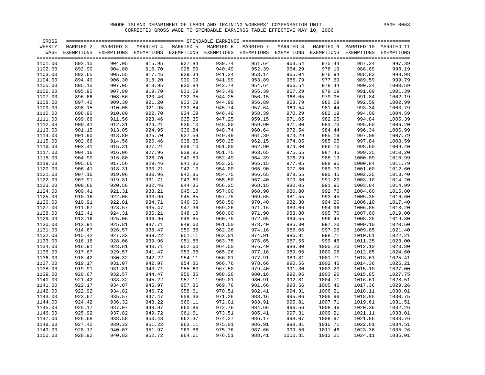| GROSS   |           |                                                                                                               |           |           |           |           |           |         |                                 |         |
|---------|-----------|---------------------------------------------------------------------------------------------------------------|-----------|-----------|-----------|-----------|-----------|---------|---------------------------------|---------|
| WEEKLY  | MARRIED 2 | MARRIED 3                                                                                                     | MARRIED 4 | MARRIED 5 | MARRIED 6 | MARRIED 7 | MARRIED 8 |         | MARRIED 9 MARRIED 10 MARRIED 11 |         |
| WAGE    |           | EXEMPTIONS EXEMPTIONS EXEMPTIONS EXEMPTIONS EXEMPTIONS EXEMPTIONS EXEMPTIONS EXEMPTIONS EXEMPTIONS EXEMPTIONS |           |           |           |           |           |         |                                 |         |
|         |           |                                                                                                               |           |           |           |           |           |         |                                 |         |
| 1101.00 | 892.15    | 904.05                                                                                                        | 915.95    | 927.84    | 939.74    | 951.64    | 963.54    | 975.44  | 987.34                          | 997.39  |
| 1102.00 | 892.90    | 904.80                                                                                                        | 916.70    | 928.59    | 940.49    | 952.39    | 964.29    | 976.19  | 988.09                          | 998.19  |
| 1103.00 | 893.65    | 905.55                                                                                                        | 917.45    | 929.34    | 941.24    | 953.14    | 965.04    | 976.94  | 988.83                          | 998.98  |
| 1104.00 | 894.40    | 906.30                                                                                                        | 918.20    | 930.09    | 941.99    | 953.89    | 965.79    | 977.69  | 989.59                          | 999.79  |
| 1105.00 | 895.15    | 907.05                                                                                                        | 918.95    | 930.84    | 942.74    | 954.64    | 966.54    | 978.44  | 990.34                          | 1000.59 |
| 1106.00 | 895.90    | 907.80                                                                                                        | 919.70    | 931.59    | 943.49    | 955.39    | 967.29    | 979.19  | 991.09                          | 1001.39 |
|         |           |                                                                                                               |           |           |           |           |           |         |                                 |         |
| 1107.00 | 896.66    | 908.56                                                                                                        | 920.46    | 932.35    | 944.25    | 956.15    | 968.05    | 979.95  | 991.84                          | 1002.19 |
| 1108.00 | 897.40    | 909.30                                                                                                        | 921.20    | 933.09    | 944.99    | 956.89    | 968.79    | 980.69  | 992.59                          | 1002.99 |
| 1109.00 | 898.15    | 910.05                                                                                                        | 921.95    | 933.84    | 945.74    | 957.64    | 969.54    | 981.44  | 993.34                          | 1003.79 |
| 1110.00 | 898.90    | 910.80                                                                                                        | 922.70    | 934.59    | 946.49    | 958.39    | 970.29    | 982.19  | 994.09                          | 1004.59 |
| 1111.00 | 899.66    | 911.56                                                                                                        | 923.46    | 935.35    | 947.25    | 959.15    | 971.05    | 982.95  | 994.84                          | 1005.39 |
| 1112.00 | 900.41    | 912.31                                                                                                        | 924.21    | 936.10    | 948.00    | 959.90    | 971.80    | 983.70  | 995.60                          | 1006.20 |
| 1113.00 | 901.15    | 913.05                                                                                                        | 924.95    | 936.84    | 948.74    | 960.64    | 972.54    | 984.44  | 996.34                          | 1006.99 |
| 1114.00 | 901.90    | 913.80                                                                                                        | 925.70    | 937.59    | 949.49    | 961.39    | 973.29    | 985.19  | 997.09                          | 1007.79 |
| 1115.00 | 902.66    | 914.56                                                                                                        | 926.46    | 938.35    | 950.25    | 962.15    | 974.05    | 985.95  | 997.84                          | 1008.59 |
| 1116.00 | 903.41    | 915.31                                                                                                        | 927.21    | 939.10    | 951.00    | 962.90    | 974.80    | 986.70  | 998.60                          | 1009.40 |
| 1117.00 | 904.16    | 916.06                                                                                                        | 927.96    | 939.85    | 951.75    | 963.65    | 975.55    | 987.45  | 999.35                          | 1010.20 |
| 1118.00 | 904.90    | 916.80                                                                                                        | 928.70    | 940.59    | 952.49    | 964.39    | 976.29    | 988.19  | 1000.09                         | 1010.99 |
| 1119.00 | 905.66    | 917.56                                                                                                        | 929.46    | 941.35    | 953.25    | 965.15    | 977.05    | 988.95  | 1000.84                         | 1011.79 |
| 1120.00 | 906.41    | 918.31                                                                                                        | 930.21    | 942.10    | 954.00    | 965.90    | 977.80    | 989.70  | 1001.60                         | 1012.60 |
| 1121.00 | 907.16    | 919.06                                                                                                        | 930.96    | 942.85    | 954.75    | 966.65    | 978.55    | 990.45  | 1002.35                         | 1013.40 |
| 1122.00 | 907.91    | 919.81                                                                                                        | 931.71    | 943.60    | 955.50    | 967.40    | 979.30    | 991.20  | 1003.10                         | 1014.20 |
| 1123.00 | 908.66    | 920.56                                                                                                        | 932.46    | 944.35    | 956.25    | 968.15    | 980.05    | 991.95  | 1003.84                         | 1014.99 |
| 1124.00 | 909.41    | 921.31                                                                                                        | 933.21    | 945.10    | 957.00    | 968.90    | 980.80    | 992.70  | 1004.60                         | 1015.80 |
| 1125.00 | 910.16    | 922.06                                                                                                        | 933.96    | 945.85    | 957.75    | 969.65    | 981.55    | 993.45  | 1005.35                         | 1016.60 |
| 1126.00 | 910.91    | 922.81                                                                                                        | 934.71    | 946.60    | 958.50    | 970.40    | 982.30    | 994.20  | 1006.10                         | 1017.40 |
| 1127.00 | 911.67    | 923.57                                                                                                        | 935.47    | 947.36    | 959.26    | 971.16    | 983.06    | 994.96  | 1006.85                         | 1018.20 |
| 1128.00 | 912.41    | 924.31                                                                                                        | 936.21    | 948.10    | 960.00    | 971.90    | 983.80    | 995.70  | 1007.60                         | 1019.00 |
| 1129.00 | 913.16    | 925.06                                                                                                        | 936.96    | 948.85    | 960.75    | 972.65    | 984.55    | 996.45  | 1008.35                         | 1019.80 |
| 1130.00 | 913.91    | 925.81                                                                                                        | 937.71    | 949.60    | 961.50    | 973.40    | 985.30    | 997.20  | 1009.10                         | 1020.60 |
| 1131.00 | 914.67    | 926.57                                                                                                        | 938.47    | 950.36    | 962.26    | 974.16    | 986.06    | 997.96  | 1009.85                         | 1021.40 |
| 1132.00 | 915.42    | 927.32                                                                                                        | 939.22    | 951.11    | 963.01    | 974.91    | 986.81    | 998.71  | 1010.61                         | 1022.21 |
| 1133.00 | 916.16    | 928.06                                                                                                        | 939.96    | 951.85    | 963.75    | 975.65    | 987.55    | 999.45  | 1011.35                         | 1023.00 |
|         |           |                                                                                                               |           |           |           |           |           |         |                                 |         |
| 1134.00 | 916.91    | 928.81                                                                                                        | 940.71    | 952.60    | 964.50    | 976.40    | 988.30    | 1000.20 | 1012.10                         | 1023.80 |
| 1135.00 | 917.67    | 929.57                                                                                                        | 941.47    | 953.36    | 965.26    | 977.16    | 989.06    | 1000.96 | 1012.85                         | 1024.60 |
| 1136.00 | 918.42    | 930.32                                                                                                        | 942.22    | 954.11    | 966.01    | 977.91    | 989.81    | 1001.71 | 1013.61                         | 1025.41 |
| 1137.00 | 919.17    | 931.07                                                                                                        | 942.97    | 954.86    | 966.76    | 978.66    | 990.56    | 1002.46 | 1014.36                         | 1026.21 |
| 1138.00 | 919.91    | 931.81                                                                                                        | 943.71    | 955.60    | 967.50    | 979.40    | 991.30    | 1003.20 | 1015.10                         | 1027.00 |
| 1139.00 | 920.67    | 932.57                                                                                                        | 944.47    | 956.36    | 968.26    | 980.16    | 992.06    | 1003.96 | 1015.85                         | 1027.75 |
| 1140.00 | 921.42    | 933.32                                                                                                        | 945.22    | 957.11    | 969.01    | 980.91    | 992.81    | 1004.71 | 1016.61                         | 1028.51 |
| 1141.00 | 922.17    | 934.07                                                                                                        | 945.97    | 957.86    | 969.76    | 981.66    | 993.56    | 1005.46 | 1017.36                         | 1029.26 |
| 1142.00 | 922.92    | 934.82                                                                                                        | 946.72    | 958.61    | 970.51    | 982.41    | 994.31    | 1006.21 | 1018.11                         | 1030.01 |
| 1143.00 | 923.67    | 935.57                                                                                                        | 947.47    | 959.36    | 971.26    | 983.16    | 995.06    | 1006.96 | 1018.85                         | 1030.75 |
| 1144.00 | 924.42    | 936.32                                                                                                        | 948.22    | 960.11    | 972.01    | 983.91    | 995.81    | 1007.71 | 1019.61                         | 1031.51 |
| 1145.00 | 925.17    | 937.07                                                                                                        | 948.97    | 960.86    | 972.76    | 984.66    | 996.56    | 1008.46 | 1020.36                         | 1032.26 |
| 1146.00 | 925.92    | 937.82                                                                                                        | 949.72    | 961.61    | 973.51    | 985.41    | 997.31    | 1009.21 | 1021.11                         | 1033.01 |
| 1147.00 | 926.68    | 938.58                                                                                                        | 950.48    | 962.37    | 974.27    | 986.17    | 998.07    | 1009.97 | 1021.86                         | 1033.76 |
| 1148.00 | 927.42    | 939.32                                                                                                        | 951.22    | 963.11    | 975.01    | 986.91    | 998.81    | 1010.71 | 1022.61                         | 1034.51 |
| 1149.00 | 928.17    | 940.07                                                                                                        | 951.97    | 963.86    | 975.76    | 987.66    | 999.56    | 1011.46 | 1023.36                         | 1035.26 |
| 1150.00 | 928.92    | 940.82                                                                                                        | 952.72    | 964.61    | 976.51    | 988.41    | 1000.31   | 1012.21 | 1024.11                         | 1036.01 |
|         |           |                                                                                                               |           |           |           |           |           |         |                                 |         |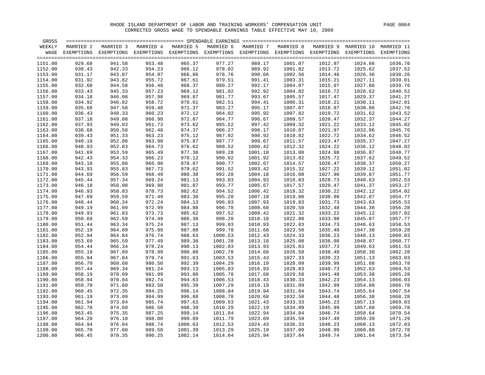| GROSS   |           |                                                                                                    |           |           |           |           |           |         |                                 |            |
|---------|-----------|----------------------------------------------------------------------------------------------------|-----------|-----------|-----------|-----------|-----------|---------|---------------------------------|------------|
| WEEKLY  | MARRIED 2 | MARRIED 3                                                                                          | MARRIED 4 | MARRIED 5 | MARRIED 6 | MARRIED 7 | MARRIED 8 |         | MARRIED 9 MARRIED 10 MARRIED 11 |            |
| WAGE    |           | EXEMPTIONS EXEMPTIONS EXEMPTIONS EXEMPTIONS EXEMPTIONS EXEMPTIONS EXEMPTIONS EXEMPTIONS EXEMPTIONS |           |           |           |           |           |         |                                 | EXEMPTIONS |
|         |           |                                                                                                    |           |           |           |           |           |         |                                 |            |
| 1151.00 | 929.68    | 941.58                                                                                             | 953.48    | 965.37    | 977.27    | 989.17    | 1001.07   | 1012.97 | 1024.86                         | 1036.76    |
| 1152.00 | 930.43    | 942.33                                                                                             | 954.23    | 966.12    | 978.02    | 989.92    | 1001.82   | 1013.72 | 1025.62                         | 1037.52    |
| 1153.00 | 931.17    | 943.07                                                                                             | 954.97    | 966.86    | 978.76    | 990.66    | 1002.56   | 1014.46 | 1026.36                         | 1038.26    |
| 1154.00 | 931.92    | 943.82                                                                                             | 955.72    | 967.61    | 979.51    | 991.41    | 1003.31   | 1015.21 | 1027.11                         | 1039.01    |
| 1155.00 | 932.68    | 944.58                                                                                             | 956.48    | 968.37    | 980.27    | 992.17    | 1004.07   | 1015.97 | 1027.86                         | 1039.76    |
| 1156.00 | 933.43    | 945.33                                                                                             | 957.23    | 969.12    | 981.02    | 992.92    | 1004.82   | 1016.72 | 1028.62                         | 1040.52    |
| 1157.00 | 934.18    | 946.08                                                                                             | 957.98    | 969.87    | 981.77    | 993.67    | 1005.57   | 1017.47 | 1029.37                         | 1041.27    |
| 1158.00 | 934.92    | 946.82                                                                                             | 958.72    | 970.61    | 982.51    | 994.41    | 1006.31   | 1018.21 | 1030.11                         | 1042.01    |
| 1159.00 | 935.68    | 947.58                                                                                             | 959.48    | 971.37    | 983.27    | 995.17    | 1007.07   | 1018.97 | 1030.86                         | 1042.76    |
| 1160.00 | 936.43    | 948.33                                                                                             | 960.23    | 972.12    | 984.02    | 995.92    | 1007.82   | 1019.72 | 1031.62                         | 1043.52    |
| 1161.00 | 937.18    | 949.08                                                                                             | 960.98    | 972.87    | 984.77    | 996.67    | 1008.57   | 1020.47 | 1032.37                         | 1044.27    |
| 1162.00 | 937.93    | 949.83                                                                                             | 961.73    | 973.62    | 985.52    | 997.42    | 1009.32   | 1021.22 | 1033.12                         | 1045.02    |
| 1163.00 | 938.68    | 950.58                                                                                             | 962.48    | 974.37    | 986.27    | 998.17    | 1010.07   | 1021.97 | 1033.86                         | 1045.76    |
| 1164.00 | 939.43    | 951.33                                                                                             | 963.23    | 975.12    | 987.02    | 998.92    | 1010.82   | 1022.72 | 1034.62                         | 1046.52    |
| 1165.00 | 940.18    | 952.08                                                                                             | 963.98    | 975.87    | 987.77    | 999.67    | 1011.57   | 1023.47 | 1035.37                         | 1047.27    |
| 1166.00 | 940.93    | 952.83                                                                                             | 964.73    | 976.62    | 988.52    | 1000.42   | 1012.32   | 1024.22 | 1036.12                         | 1048.02    |
| 1167.00 | 941.69    | 953.59                                                                                             | 965.49    | 977.38    | 989.28    | 1001.18   | 1013.08   | 1024.98 | 1036.87                         | 1048.77    |
| 1168.00 | 942.43    | 954.33                                                                                             | 966.23    | 978.12    | 990.02    | 1001.92   | 1013.82   | 1025.72 | 1037.62                         | 1049.52    |
| 1169.00 | 943.18    | 955.08                                                                                             | 966.98    | 978.87    | 990.77    | 1002.67   | 1014.57   | 1026.47 | 1038.37                         | 1050.27    |
| 1170.00 | 943.93    | 955.83                                                                                             | 967.73    | 979.62    | 991.52    | 1003.42   | 1015.32   | 1027.22 | 1039.12                         | 1051.02    |
| 1171.00 | 944.69    | 956.59                                                                                             | 968.49    | 980.38    | 992.28    | 1004.18   | 1016.08   | 1027.98 | 1039.87                         | 1051.77    |
| 1172.00 | 945.44    | 957.34                                                                                             | 969.24    | 981.13    | 993.03    | 1004.93   | 1016.83   | 1028.73 | 1040.63                         | 1052.53    |
| 1173.00 | 946.18    | 958.08                                                                                             | 969.98    | 981.87    | 993.77    | 1005.67   | 1017.57   | 1029.47 | 1041.37                         | 1053.27    |
| 1174.00 | 946.93    | 958.83                                                                                             | 970.73    | 982.62    | 994.52    | 1006.42   | 1018.32   | 1030.22 | 1042.12                         | 1054.02    |
| 1175.00 | 947.69    | 959.59                                                                                             | 971.49    | 983.38    | 995.28    | 1007.18   | 1019.08   | 1030.98 | 1042.87                         | 1054.77    |
| 1176.00 | 948.44    | 960.34                                                                                             | 972.24    | 984.13    | 996.03    | 1007.93   | 1019.83   | 1031.73 | 1043.63                         | 1055.53    |
| 1177.00 | 949.19    | 961.09                                                                                             | 972.99    | 984.88    | 996.78    | 1008.68   | 1020.58   | 1032.48 | 1044.38                         | 1056.28    |
| 1178.00 | 949.93    | 961.83                                                                                             | 973.73    | 985.62    | 997.52    | 1009.42   | 1021.32   | 1033.22 | 1045.12                         | 1057.02    |
| 1179.00 | 950.69    | 962.59                                                                                             | 974.49    | 986.38    | 998.28    | 1010.18   | 1022.08   | 1033.98 | 1045.87                         | 1057.77    |
| 1180.00 | 951.44    | 963.34                                                                                             | 975.24    | 987.13    | 999.03    | 1010.93   | 1022.83   | 1034.73 | 1046.63                         | 1058.53    |
| 1181.00 | 952.19    | 964.09                                                                                             | 975.99    | 987.88    | 999.78    | 1011.68   | 1023.58   | 1035.48 | 1047.38                         | 1059.28    |
| 1182.00 | 952.94    | 964.84                                                                                             | 976.74    | 988.63    | 1000.53   | 1012.43   | 1024.33   | 1036.23 | 1048.13                         | 1060.03    |
| 1183.00 | 953.69    | 965.59                                                                                             | 977.49    | 989.38    | 1001.28   | 1013.18   | 1025.08   | 1036.98 | 1048.87                         | 1060.77    |
| 1184.00 | 954.44    | 966.34                                                                                             | 978.24    | 990.13    | 1002.03   | 1013.93   | 1025.83   | 1037.73 | 1049.63                         | 1061.53    |
| 1185.00 | 955.19    | 967.09                                                                                             | 978.99    | 990.88    | 1002.78   | 1014.68   | 1026.58   | 1038.48 | 1050.38                         | 1062.28    |
| 1186.00 | 955.94    | 967.84                                                                                             | 979.74    | 991.63    | 1003.53   | 1015.43   | 1027.33   | 1039.23 | 1051.13                         | 1063.03    |
| 1187.00 | 956.70    | 968.60                                                                                             | 980.50    | 992.39    | 1004.29   | 1016.19   | 1028.09   | 1039.99 | 1051.88                         | 1063.78    |
| 1188.00 | 957.44    | 969.34                                                                                             | 981.24    | 993.13    | 1005.03   | 1016.93   | 1028.83   | 1040.73 | 1052.63                         | 1064.53    |
| 1189.00 | 958.19    | 970.09                                                                                             | 981.99    | 993.88    | 1005.78   | 1017.68   | 1029.58   | 1041.48 | 1053.38                         | 1065.28    |
| 1190.00 | 958.94    | 970.84                                                                                             | 982.74    | 994.63    | 1006.53   | 1018.43   | 1030.33   | 1042.23 | 1054.13                         | 1066.03    |
| 1191.00 | 959.70    | 971.60                                                                                             | 983.50    | 995.39    | 1007.29   | 1019.19   | 1031.09   | 1042.99 | 1054.88                         | 1066.78    |
| 1192.00 | 960.45    | 972.35                                                                                             | 984.25    | 996.14    | 1008.04   | 1019.94   | 1031.84   | 1043.74 | 1055.64                         | 1067.54    |
| 1193.00 | 961.19    | 973.09                                                                                             | 984.99    | 996.88    | 1008.78   | 1020.68   | 1032.58   | 1044.48 | 1056.38                         | 1068.28    |
| 1194.00 | 961.94    | 973.84                                                                                             | 985.74    | 997.63    | 1009.53   | 1021.43   | 1033.33   | 1045.23 | 1057.13                         | 1069.03    |
| 1195.00 | 962.70    | 974.60                                                                                             | 986.50    | 998.39    | 1010.29   | 1022.19   | 1034.09   | 1045.99 | 1057.88                         | 1069.78    |
| 1196.00 | 963.45    | 975.35                                                                                             | 987.25    | 999.14    | 1011.04   | 1022.94   | 1034.84   | 1046.74 | 1058.64                         | 1070.54    |
| 1197.00 | 964.20    | 976.10                                                                                             | 988.00    | 999.89    | 1011.79   | 1023.69   | 1035.59   | 1047.49 | 1059.39                         | 1071.29    |
| 1198.00 | 964.94    | 976.84                                                                                             | 988.74    | 1000.63   | 1012.53   | 1024.43   | 1036.33   | 1048.23 | 1060.13                         | 1072.03    |
| 1199.00 | 965.70    | 977.60                                                                                             | 989.50    | 1001.39   | 1013.29   | 1025.19   | 1037.09   | 1048.99 | 1060.88                         | 1072.78    |
| 1200.00 | 966.45    | 978.35                                                                                             | 990.25    | 1002.14   | 1014.04   | 1025.94   | 1037.84   | 1049.74 | 1061.64                         | 1073.54    |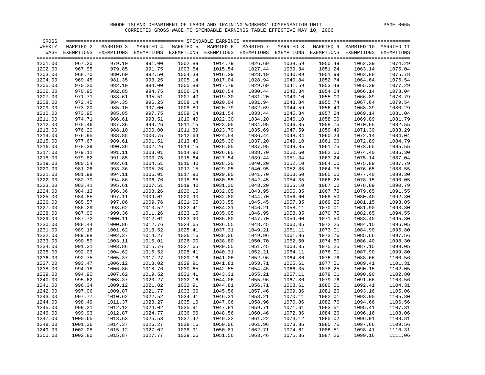| GROSS   |           |                                                                                                    |           |           |           |           |           |         |                                 |            |
|---------|-----------|----------------------------------------------------------------------------------------------------|-----------|-----------|-----------|-----------|-----------|---------|---------------------------------|------------|
| WEEKLY  | MARRIED 2 | MARRIED 3                                                                                          | MARRIED 4 | MARRIED 5 | MARRIED 6 | MARRIED 7 | MARRIED 8 |         | MARRIED 9 MARRIED 10 MARRIED 11 |            |
| WAGE    |           | EXEMPTIONS EXEMPTIONS EXEMPTIONS EXEMPTIONS EXEMPTIONS EXEMPTIONS EXEMPTIONS EXEMPTIONS EXEMPTIONS |           |           |           |           |           |         |                                 | EXEMPTIONS |
|         |           |                                                                                                    |           |           |           |           |           |         |                                 |            |
| 1201.00 | 967.20    | 979.10                                                                                             | 991.00    | 1002.89   | 1014.79   | 1026.69   | 1038.59   | 1050.49 | 1062.39                         | 1074.29    |
| 1202.00 | 967.95    | 979.85                                                                                             | 991.75    | 1003.64   | 1015.54   | 1027.44   | 1039.34   | 1051.24 | 1063.14                         | 1075.04    |
| 1203.00 | 968.70    | 980.60                                                                                             | 992.50    | 1004.39   | 1016.29   | 1028.19   | 1040.09   | 1051.99 | 1063.88                         | 1075.78    |
| 1204.00 | 969.45    | 981.35                                                                                             | 993.25    | 1005.14   | 1017.04   | 1028.94   | 1040.84   | 1052.74 | 1064.64                         | 1076.54    |
| 1205.00 | 970.20    | 982.10                                                                                             | 994.00    | 1005.89   | 1017.79   | 1029.69   | 1041.59   | 1053.49 | 1065.39                         | 1077.29    |
| 1206.00 | 970.95    | 982.85                                                                                             | 994.75    | 1006.64   | 1018.54   | 1030.44   | 1042.34   | 1054.24 | 1066.14                         | 1078.04    |
| 1207.00 | 971.71    | 983.61                                                                                             | 995.51    | 1007.40   | 1019.30   | 1031.20   | 1043.10   | 1055.00 | 1066.89                         | 1078.79    |
| 1208.00 | 972.45    | 984.35                                                                                             | 996.25    | 1008.14   | 1020.04   | 1031.94   | 1043.84   | 1055.74 | 1067.64                         | 1079.54    |
| 1209.00 | 973.20    | 985.10                                                                                             | 997.00    | 1008.89   | 1020.79   | 1032.69   | 1044.59   | 1056.49 | 1068.39                         | 1080.29    |
| 1210.00 | 973.95    | 985.85                                                                                             | 997.75    | 1009.64   | 1021.54   | 1033.44   | 1045.34   | 1057.24 | 1069.14                         | 1081.04    |
| 1211.00 | 974.71    | 986.61                                                                                             | 998.51    | 1010.40   | 1022.30   | 1034.20   | 1046.10   | 1058.00 | 1069.89                         | 1081.79    |
| 1212.00 | 975.46    | 987.36                                                                                             | 999.26    | 1011.15   | 1023.05   | 1034.95   | 1046.85   | 1058.75 | 1070.65                         | 1082.55    |
| 1213.00 | 976.20    | 988.10                                                                                             | 1000.00   | 1011.89   | 1023.79   | 1035.69   | 1047.59   | 1059.49 | 1071.39                         | 1083.29    |
| 1214.00 | 976.95    | 988.85                                                                                             | 1000.75   | 1012.64   | 1024.54   | 1036.44   | 1048.34   | 1060.24 | 1072.14                         | 1084.04    |
| 1215.00 | 977.67    | 989.61                                                                                             | 1001.51   | 1013.40   | 1025.30   | 1037.20   | 1049.10   | 1061.00 | 1072.89                         | 1084.79    |
| 1216.00 | 978.39    | 990.36                                                                                             | 1002.26   | 1014.15   | 1026.05   | 1037.95   | 1049.85   | 1061.75 | 1073.65                         | 1085.55    |
| 1217.00 | 979.11    | 991.11                                                                                             | 1003.01   | 1014.90   | 1026.80   | 1038.70   | 1050.60   | 1062.50 | 1074.40                         | 1086.30    |
| 1218.00 | 979.82    | 991.85                                                                                             | 1003.75   | 1015.64   | 1027.54   | 1039.44   | 1051.34   | 1063.24 | 1075.14                         | 1087.04    |
| 1219.00 | 980.54    | 992.61                                                                                             | 1004.51   | 1016.40   | 1028.30   | 1040.20   | 1052.10   | 1064.00 | 1075.89                         | 1087.79    |
| 1220.00 | 981.26    | 993.36                                                                                             | 1005.26   | 1017.15   | 1029.05   | 1040.95   | 1052.85   | 1064.75 | 1076.65                         | 1088.55    |
| 1221.00 | 981.98    | 994.11                                                                                             | 1006.01   | 1017.90   | 1029.80   | 1041.70   | 1053.60   | 1065.50 | 1077.40                         | 1089.30    |
| 1222.00 | 982.70    | 994.86                                                                                             | 1006.76   | 1018.65   | 1030.55   | 1042.45   | 1054.35   | 1066.25 | 1078.15                         | 1090.05    |
| 1223.00 | 983.41    | 995.61                                                                                             | 1007.51   | 1019.40   | 1031.30   | 1043.20   | 1055.10   | 1067.00 | 1078.89                         | 1090.79    |
| 1224.00 | 984.13    | 996.36                                                                                             | 1008.26   | 1020.15   | 1032.05   | 1043.95   | 1055.85   | 1067.75 | 1079.65                         | 1091.55    |
| 1225.00 | 984.85    | 997.11                                                                                             | 1009.01   | 1020.90   | 1032.80   | 1044.70   | 1056.60   | 1068.50 | 1080.40                         | 1092.30    |
| 1226.00 | 985.57    | 997.86                                                                                             | 1009.76   | 1021.65   | 1033.55   | 1045.45   | 1057.35   | 1069.25 | 1081.15                         | 1093.05    |
| 1227.00 | 986.29    | 998.62                                                                                             | 1010.52   | 1022.41   | 1034.31   | 1046.21   | 1058.11   | 1070.01 | 1081.90                         | 1093.80    |
| 1228.00 | 987.00    | 999.36                                                                                             | 1011.26   | 1023.15   | 1035.05   | 1046.95   | 1058.85   | 1070.75 | 1082.65                         | 1094.55    |
| 1229.00 | 987.72    | 1000.11                                                                                            | 1012.01   | 1023.90   | 1035.80   | 1047.70   | 1059.60   | 1071.50 | 1083.40                         | 1095.30    |
| 1230.00 | 988.44    | 1000.86                                                                                            | 1012.76   | 1024.65   | 1036.55   | 1048.45   | 1060.35   | 1072.25 | 1084.15                         | 1096.05    |
| 1231.00 | 989.16    | 1001.62                                                                                            | 1013.52   | 1025.41   | 1037.31   | 1049.21   | 1061.11   | 1073.01 | 1084.90                         | 1096.80    |
| 1232.00 | 989.88    | 1002.37                                                                                            | 1014.27   | 1026.16   | 1038.06   | 1049.96   | 1061.86   | 1073.76 | 1085.66                         | 1097.56    |
| 1233.00 | 990.59    | 1003.11                                                                                            | 1015.01   | 1026.90   | 1038.80   | 1050.70   | 1062.60   | 1074.50 | 1086.40                         | 1098.30    |
| 1234.00 | 991.31    | 1003.86                                                                                            | 1015.76   | 1027.65   | 1039.55   | 1051.45   | 1063.35   | 1075.25 | 1087.15                         | 1099.05    |
| 1235.00 | 992.03    | 1004.62                                                                                            | 1016.52   | 1028.41   | 1040.31   | 1052.21   | 1064.11   | 1076.01 | 1087.90                         | 1099.80    |
| 1236.00 | 992.75    | 1005.37                                                                                            | 1017.27   | 1029.16   | 1041.06   | 1052.96   | 1064.86   | 1076.76 | 1088.66                         | 1100.56    |
| 1237.00 | 993.47    | 1006.12                                                                                            | 1018.02   | 1029.91   | 1041.81   | 1053.71   | 1065.61   | 1077.51 | 1089.41                         | 1101.31    |
| 1238.00 | 994.18    | 1006.86                                                                                            | 1018.76   | 1030.65   | 1042.55   | 1054.45   | 1066.35   | 1078.25 | 1090.15                         | 1102.05    |
| 1239.00 | 994.90    | 1007.62                                                                                            | 1019.52   | 1031.41   | 1043.31   | 1055.21   | 1067.11   | 1079.01 | 1090.90                         | 1102.80    |
| 1240.00 | 995.62    | 1008.37                                                                                            | 1020.27   | 1032.16   | 1044.06   | 1055.96   | 1067.86   | 1079.76 | 1091.66                         | 1103.56    |
| 1241.00 | 996.34    | 1009.12                                                                                            | 1021.02   | 1032.91   | 1044.81   | 1056.71   | 1068.61   | 1080.51 | 1092.41                         | 1104.31    |
| 1242.00 | 997.06    | 1009.87                                                                                            | 1021.77   | 1033.66   | 1045.56   | 1057.46   | 1069.36   | 1081.26 | 1093.16                         | 1105.06    |
| 1243.00 | 997.77    | 1010.62                                                                                            | 1022.52   | 1034.41   | 1046.31   | 1058.21   | 1070.11   | 1082.01 | 1093.90                         | 1105.80    |
| 1244.00 | 998.49    | 1011.37                                                                                            | 1023.27   | 1035.16   | 1047.06   | 1058.96   | 1070.86   | 1082.76 | 1094.66                         | 1106.56    |
| 1245.00 | 999.21    | 1012.12                                                                                            | 1024.02   | 1035.91   | 1047.81   | 1059.71   | 1071.61   | 1083.51 | 1095.41                         | 1107.31    |
| 1246.00 | 999.93    | 1012.87                                                                                            | 1024.77   | 1036.66   | 1048.56   | 1060.46   | 1072.36   | 1084.26 | 1096.16                         | 1108.06    |
| 1247.00 | 1000.65   | 1013.63                                                                                            | 1025.53   | 1037.42   | 1049.32   | 1061.22   | 1073.12   | 1085.02 | 1096.91                         | 1108.81    |
| 1248.00 | 1001.36   | 1014.37                                                                                            | 1026.27   | 1038.16   | 1050.06   | 1061.96   | 1073.86   | 1085.76 | 1097.66                         | 1109.56    |
| 1249.00 | 1002.08   | 1015.12                                                                                            | 1027.02   | 1038.91   | 1050.81   | 1062.71   | 1074.61   | 1086.51 | 1098.41                         | 1110.31    |
| 1250.00 | 1002.80   | 1015.87                                                                                            | 1027.77   | 1039.66   | 1051.56   | 1063.46   | 1075.36   | 1087.26 | 1099.16                         | 1111.06    |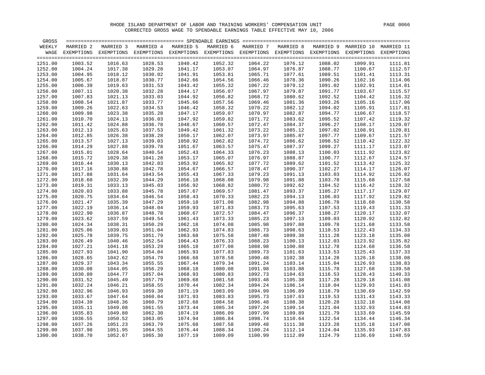| GROSS   |           |                                                                                                               |           |           |           |           |           |         |                                 |         |
|---------|-----------|---------------------------------------------------------------------------------------------------------------|-----------|-----------|-----------|-----------|-----------|---------|---------------------------------|---------|
| WEEKLY  | MARRIED 2 | MARRIED 3                                                                                                     | MARRIED 4 | MARRIED 5 | MARRIED 6 | MARRIED 7 | MARRIED 8 |         | MARRIED 9 MARRIED 10 MARRIED 11 |         |
| WAGE    |           | EXEMPTIONS EXEMPTIONS EXEMPTIONS EXEMPTIONS EXEMPTIONS EXEMPTIONS EXEMPTIONS EXEMPTIONS EXEMPTIONS EXEMPTIONS |           |           |           |           |           |         |                                 |         |
|         |           |                                                                                                               |           |           |           |           |           |         |                                 |         |
| 1251.00 | 1003.52   | 1016.63                                                                                                       | 1028.53   | 1040.42   | 1052.32   | 1064.22   | 1076.12   | 1088.02 | 1099.91                         | 1111.81 |
| 1252.00 | 1004.24   | 1017.38                                                                                                       | 1029.28   | 1041.17   | 1053.07   | 1064.97   | 1076.87   | 1088.77 | 1100.67                         | 1112.57 |
| 1253.00 | 1004.95   | 1018.12                                                                                                       | 1030.02   | 1041.91   | 1053.81   | 1065.71   | 1077.61   | 1089.51 | 1101.41                         | 1113.31 |
| 1254.00 | 1005.67   | 1018.87                                                                                                       | 1030.77   | 1042.66   | 1054.56   | 1066.46   | 1078.36   | 1090.26 | 1102.16                         | 1114.06 |
| 1255.00 | 1006.39   | 1019.63                                                                                                       | 1031.53   | 1043.42   | 1055.32   | 1067.22   | 1079.12   | 1091.02 | 1102.91                         | 1114.81 |
| 1256.00 | 1007.11   | 1020.38                                                                                                       | 1032.28   | 1044.17   | 1056.07   | 1067.97   | 1079.87   | 1091.77 | 1103.67                         | 1115.57 |
| 1257.00 | 1007.83   | 1021.13                                                                                                       | 1033.03   | 1044.92   | 1056.82   | 1068.72   | 1080.62   | 1092.52 | 1104.42                         | 1116.32 |
| 1258.00 | 1008.54   | 1021.87                                                                                                       | 1033.77   | 1045.66   | 1057.56   | 1069.46   | 1081.36   | 1093.26 | 1105.16                         | 1117.06 |
| 1259.00 | 1009.26   | 1022.63                                                                                                       | 1034.53   | 1046.42   | 1058.32   | 1070.22   | 1082.12   | 1094.02 | 1105.91                         | 1117.81 |
| 1260.00 | 1009.98   | 1023.38                                                                                                       | 1035.28   | 1047.17   | 1059.07   | 1070.97   | 1082.87   | 1094.77 | 1106.67                         | 1118.57 |
| 1261.00 | 1010.70   | 1024.13                                                                                                       | 1036.03   | 1047.92   | 1059.82   | 1071.72   | 1083.62   | 1095.52 | 1107.42                         | 1119.32 |
| 1262.00 | 1011.42   | 1024.88                                                                                                       | 1036.78   | 1048.67   | 1060.57   | 1072.47   | 1084.37   | 1096.27 | 1108.17                         | 1120.07 |
| 1263.00 | 1012.13   | 1025.63                                                                                                       | 1037.53   | 1049.42   | 1061.32   | 1073.22   | 1085.12   | 1097.02 | 1108.91                         | 1120.81 |
| 1264.00 | 1012.85   | 1026.38                                                                                                       | 1038.28   | 1050.17   | 1062.07   | 1073.97   | 1085.87   | 1097.77 | 1109.67                         | 1121.57 |
| 1265.00 | 1013.57   | 1027.13                                                                                                       | 1039.03   | 1050.92   | 1062.82   | 1074.72   | 1086.62   | 1098.52 | 1110.42                         | 1122.32 |
| 1266.00 | 1014.29   | 1027.88                                                                                                       | 1039.78   | 1051.67   | 1063.57   | 1075.47   | 1087.37   | 1099.27 | 1111.17                         | 1123.07 |
| 1267.00 | 1015.01   | 1028.64                                                                                                       | 1040.54   | 1052.43   | 1064.33   | 1076.23   | 1088.13   | 1100.03 | 1111.92                         | 1123.82 |
| 1268.00 | 1015.72   | 1029.38                                                                                                       | 1041.28   | 1053.17   | 1065.07   | 1076.97   | 1088.87   | 1100.77 | 1112.67                         | 1124.57 |
| 1269.00 | 1016.44   | 1030.13                                                                                                       | 1042.03   | 1053.92   | 1065.82   | 1077.72   | 1089.62   | 1101.52 | 1113.42                         | 1125.32 |
| 1270.00 | 1017.16   | 1030.88                                                                                                       | 1042.78   | 1054.67   | 1066.57   | 1078.47   | 1090.37   | 1102.27 | 1114.17                         | 1126.07 |
| 1271.00 | 1017.88   | 1031.64                                                                                                       | 1043.54   | 1055.43   | 1067.33   | 1079.23   | 1091.13   | 1103.03 | 1114.92                         | 1126.82 |
| 1272.00 | 1018.60   | 1032.39                                                                                                       | 1044.29   | 1056.18   | 1068.08   | 1079.98   | 1091.88   | 1103.78 | 1115.68                         | 1127.58 |
| 1273.00 | 1019.31   | 1033.13                                                                                                       | 1045.03   | 1056.92   | 1068.82   | 1080.72   | 1092.62   | 1104.52 | 1116.42                         | 1128.32 |
| 1274.00 | 1020.03   | 1033.88                                                                                                       | 1045.78   | 1057.67   | 1069.57   | 1081.47   | 1093.37   | 1105.27 | 1117.17                         | 1129.07 |
| 1275.00 | 1020.75   | 1034.64                                                                                                       | 1046.54   | 1058.43   | 1070.33   | 1082.23   | 1094.13   | 1106.03 | 1117.92                         | 1129.82 |
| 1276.00 | 1021.47   | 1035.39                                                                                                       | 1047.29   | 1059.18   | 1071.08   | 1082.98   | 1094.88   | 1106.78 | 1118.68                         | 1130.58 |
| 1277.00 | 1022.19   | 1036.14                                                                                                       | 1048.04   | 1059.93   | 1071.83   | 1083.73   | 1095.63   | 1107.53 | 1119.43                         | 1131.33 |
| 1278.00 | 1022.90   | 1036.87                                                                                                       | 1048.78   | 1060.67   | 1072.57   | 1084.47   | 1096.37   | 1108.27 | 1120.17                         | 1132.07 |
| 1279.00 | 1023.62   | 1037.59                                                                                                       | 1049.54   | 1061.43   | 1073.33   | 1085.23   | 1097.13   | 1109.03 | 1120.92                         | 1132.82 |
| 1280.00 | 1024.34   | 1038.31                                                                                                       | 1050.29   | 1062.18   | 1074.08   | 1085.98   | 1097.88   | 1109.78 | 1121.68                         | 1133.58 |
| 1281.00 | 1025.06   | 1039.03                                                                                                       | 1051.04   | 1062.93   | 1074.83   | 1086.73   | 1098.63   | 1110.53 | 1122.43                         | 1134.33 |
| 1282.00 | 1025.78   | 1039.75                                                                                                       | 1051.79   | 1063.68   | 1075.58   | 1087.48   | 1099.38   | 1111.28 | 1123.18                         | 1135.08 |
| 1283.00 | 1026.49   | 1040.46                                                                                                       | 1052.54   | 1064.43   | 1076.33   | 1088.23   | 1100.13   | 1112.03 | 1123.92                         | 1135.82 |
| 1284.00 | 1027.21   | 1041.18                                                                                                       | 1053.29   | 1065.18   | 1077.08   | 1088.98   | 1100.88   | 1112.78 | 1124.68                         | 1136.58 |
| 1285.00 | 1027.93   | 1041.90                                                                                                       | 1054.04   | 1065.93   | 1077.83   | 1089.73   | 1101.63   | 1113.53 | 1125.43                         | 1137.33 |
| 1286.00 | 1028.65   | 1042.62                                                                                                       | 1054.79   | 1066.68   | 1078.58   | 1090.48   | 1102.38   | 1114.28 | 1126.18                         | 1138.08 |
| 1287.00 | 1029.37   | 1043.34                                                                                                       | 1055.55   | 1067.44   | 1079.34   | 1091.24   | 1103.14   | 1115.04 | 1126.93                         | 1138.83 |
| 1288.00 | 1030.08   | 1044.05                                                                                                       | 1056.29   | 1068.18   | 1080.08   | 1091.98   | 1103.88   | 1115.78 | 1127.68                         | 1139.58 |
| 1289.00 | 1030.80   | 1044.77                                                                                                       | 1057.04   | 1068.93   | 1080.83   | 1092.73   | 1104.63   | 1116.53 | 1128.43                         | 1140.33 |
| 1290.00 | 1031.52   | 1045.49                                                                                                       | 1057.79   | 1069.68   | 1081.58   | 1093.48   | 1105.38   | 1117.28 | 1129.18                         | 1141.08 |
| 1291.00 | 1032.24   | 1046.21                                                                                                       | 1058.55   | 1070.44   | 1082.34   | 1094.24   | 1106.14   | 1118.04 | 1129.93                         | 1141.83 |
| 1292.00 | 1032.96   | 1046.93                                                                                                       | 1059.30   | 1071.19   | 1083.09   | 1094.99   | 1106.89   | 1118.79 | 1130.69                         | 1142.59 |
| 1293.00 | 1033.67   | 1047.64                                                                                                       | 1060.04   | 1071.93   | 1083.83   | 1095.73   | 1107.63   | 1119.53 | 1131.43                         | 1143.33 |
| 1294.00 | 1034.39   | 1048.36                                                                                                       | 1060.79   | 1072.68   | 1084.58   | 1096.48   | 1108.38   | 1120.28 | 1132.18                         | 1144.08 |
| 1295.00 | 1035.11   | 1049.08                                                                                                       | 1061.55   | 1073.44   | 1085.34   | 1097.24   | 1109.14   | 1121.04 | 1132.93                         | 1144.83 |
| 1296.00 | 1035.83   | 1049.80                                                                                                       | 1062.30   | 1074.19   | 1086.09   | 1097.99   | 1109.89   | 1121.79 | 1133.69                         | 1145.59 |
| 1297.00 | 1036.55   | 1050.52                                                                                                       | 1063.05   | 1074.94   | 1086.84   | 1098.74   | 1110.64   | 1122.54 | 1134.44                         | 1146.34 |
| 1298.00 | 1037.26   | 1051.23                                                                                                       | 1063.79   | 1075.68   | 1087.58   | 1099.48   | 1111.38   | 1123.28 | 1135.18                         | 1147.08 |
| 1299.00 | 1037.98   | 1051.95                                                                                                       | 1064.55   | 1076.44   | 1088.34   | 1100.24   | 1112.14   | 1124.04 | 1135.93                         | 1147.83 |
| 1300.00 | 1038.70   | 1052.67                                                                                                       | 1065.30   | 1077.19   | 1089.09   | 1100.99   | 1112.89   | 1124.79 | 1136.69                         | 1148.59 |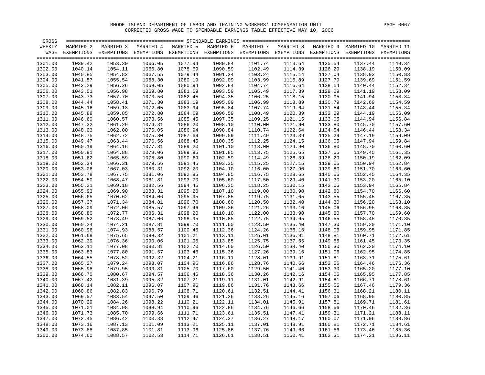| GROSS   |           |                                                                                                               |           |           |           |           |           |         |                                 |         |
|---------|-----------|---------------------------------------------------------------------------------------------------------------|-----------|-----------|-----------|-----------|-----------|---------|---------------------------------|---------|
| WEEKLY  | MARRIED 2 | MARRIED 3                                                                                                     | MARRIED 4 | MARRIED 5 | MARRIED 6 | MARRIED 7 | MARRIED 8 |         | MARRIED 9 MARRIED 10 MARRIED 11 |         |
| WAGE    |           | EXEMPTIONS EXEMPTIONS EXEMPTIONS EXEMPTIONS EXEMPTIONS EXEMPTIONS EXEMPTIONS EXEMPTIONS EXEMPTIONS EXEMPTIONS |           |           |           |           |           |         |                                 |         |
|         |           |                                                                                                               |           |           |           |           |           |         |                                 |         |
| 1301.00 | 1039.42   | 1053.39                                                                                                       | 1066.05   | 1077.94   | 1089.84   | 1101.74   | 1113.64   | 1125.54 | 1137.44                         | 1149.34 |
| 1302.00 | 1040.14   | 1054.11                                                                                                       | 1066.80   | 1078.69   | 1090.59   | 1102.49   | 1114.39   | 1126.29 | 1138.19                         | 1150.09 |
| 1303.00 | 1040.85   | 1054.82                                                                                                       | 1067.55   | 1079.44   | 1091.34   | 1103.24   | 1115.14   | 1127.04 | 1138.93                         | 1150.83 |
| 1304.00 | 1041.57   | 1055.54                                                                                                       | 1068.30   | 1080.19   | 1092.09   | 1103.99   | 1115.89   | 1127.79 | 1139.69                         | 1151.59 |
| 1305.00 | 1042.29   | 1056.26                                                                                                       | 1069.05   | 1080.94   | 1092.84   | 1104.74   | 1116.64   | 1128.54 | 1140.44                         | 1152.34 |
| 1306.00 | 1043.01   | 1056.98                                                                                                       | 1069.80   | 1081.69   | 1093.59   | 1105.49   | 1117.39   | 1129.29 | 1141.19                         | 1153.09 |
| 1307.00 | 1043.73   | 1057.70                                                                                                       | 1070.56   | 1082.45   | 1094.35   | 1106.25   | 1118.15   | 1130.05 | 1141.94                         | 1153.84 |
| 1308.00 | 1044.44   | 1058.41                                                                                                       | 1071.30   | 1083.19   | 1095.09   | 1106.99   | 1118.89   | 1130.79 | 1142.69                         | 1154.59 |
| 1309.00 | 1045.16   | 1059.13                                                                                                       | 1072.05   | 1083.94   | 1095.84   | 1107.74   | 1119.64   | 1131.54 | 1143.44                         | 1155.34 |
| 1310.00 | 1045.88   | 1059.85                                                                                                       | 1072.80   | 1084.69   | 1096.59   | 1108.49   | 1120.39   | 1132.29 | 1144.19                         | 1156.09 |
| 1311.00 | 1046.60   | 1060.57                                                                                                       | 1073.56   | 1085.45   | 1097.35   | 1109.25   | 1121.15   | 1133.05 | 1144.94                         | 1156.84 |
| 1312.00 | 1047.32   | 1061.29                                                                                                       | 1074.31   | 1086.20   | 1098.10   | 1110.00   | 1121.90   | 1133.80 | 1145.70                         | 1157.60 |
| 1313.00 | 1048.03   | 1062.00                                                                                                       | 1075.05   | 1086.94   | 1098.84   | 1110.74   | 1122.64   | 1134.54 | 1146.44                         | 1158.34 |
| 1314.00 | 1048.75   | 1062.72                                                                                                       | 1075.80   | 1087.69   | 1099.59   | 1111.49   | 1123.39   | 1135.29 | 1147.19                         | 1159.09 |
| 1315.00 | 1049.47   | 1063.44                                                                                                       | 1076.56   | 1088.45   | 1100.35   | 1112.25   | 1124.15   | 1136.05 | 1147.94                         | 1159.84 |
| 1316.00 | 1050.19   | 1064.16                                                                                                       | 1077.31   | 1089.20   | 1101.10   | 1113.00   | 1124.90   | 1136.80 | 1148.70                         | 1160.60 |
| 1317.00 | 1050.91   | 1064.88                                                                                                       | 1078.06   | 1089.95   | 1101.85   | 1113.75   | 1125.65   | 1137.55 | 1149.45                         | 1161.35 |
| 1318.00 | 1051.62   | 1065.59                                                                                                       | 1078.80   | 1090.69   | 1102.59   | 1114.49   | 1126.39   | 1138.29 | 1150.19                         | 1162.09 |
| 1319.00 | 1052.34   | 1066.31                                                                                                       | 1079.56   | 1091.45   | 1103.35   | 1115.25   | 1127.15   | 1139.05 | 1150.94                         | 1162.84 |
| 1320.00 | 1053.06   | 1067.03                                                                                                       | 1080.31   | 1092.20   | 1104.10   | 1116.00   | 1127.90   | 1139.80 | 1151.70                         | 1163.60 |
| 1321.00 | 1053.78   | 1067.75                                                                                                       | 1081.06   | 1092.95   | 1104.85   | 1116.75   | 1128.65   | 1140.55 | 1152.45                         | 1164.35 |
| 1322.00 | 1054.50   | 1068.47                                                                                                       | 1081.81   | 1093.70   | 1105.60   | 1117.50   | 1129.40   | 1141.30 | 1153.20                         | 1165.10 |
| 1323.00 | 1055.21   | 1069.18                                                                                                       | 1082.56   | 1094.45   | 1106.35   | 1118.25   | 1130.15   | 1142.05 | 1153.94                         | 1165.84 |
| 1324.00 | 1055.93   | 1069.90                                                                                                       | 1083.31   | 1095.20   | 1107.10   | 1119.00   | 1130.90   | 1142.80 | 1154.70                         | 1166.60 |
| 1325.00 | 1056.65   | 1070.62                                                                                                       | 1084.06   | 1095.95   | 1107.85   | 1119.75   | 1131.65   | 1143.55 | 1155.45                         | 1167.35 |
| 1326.00 | 1057.37   | 1071.34                                                                                                       | 1084.81   | 1096.70   | 1108.60   | 1120.50   | 1132.40   | 1144.30 | 1156.20                         | 1168.10 |
| 1327.00 | 1058.09   | 1072.06                                                                                                       | 1085.57   | 1097.46   | 1109.36   | 1121.26   | 1133.16   | 1145.06 | 1156.95                         | 1168.85 |
| 1328.00 | 1058.80   | 1072.77                                                                                                       | 1086.31   | 1098.20   | 1110.10   | 1122.00   | 1133.90   | 1145.80 | 1157.70                         | 1169.60 |
| 1329.00 | 1059.52   | 1073.49                                                                                                       | 1087.06   | 1098.95   | 1110.85   | 1122.75   | 1134.65   | 1146.55 | 1158.45                         | 1170.35 |
| 1330.00 | 1060.24   | 1074.21                                                                                                       | 1087.81   | 1099.70   | 1111.60   | 1123.50   | 1135.40   | 1147.30 | 1159.20                         | 1171.10 |
| 1331.00 | 1060.96   | 1074.93                                                                                                       | 1088.57   | 1100.46   | 1112.36   | 1124.26   | 1136.16   | 1148.06 | 1159.95                         | 1171.85 |
| 1332.00 | 1061.68   | 1075.65                                                                                                       | 1089.32   | 1101.21   | 1113.11   | 1125.01   | 1136.91   | 1148.81 | 1160.71                         | 1172.61 |
| 1333.00 | 1062.39   | 1076.36                                                                                                       | 1090.06   | 1101.95   | 1113.85   | 1125.75   | 1137.65   | 1149.55 | 1161.45                         | 1173.35 |
| 1334.00 | 1063.11   | 1077.08                                                                                                       | 1090.81   | 1102.70   | 1114.60   | 1126.50   | 1138.40   | 1150.30 | 1162.20                         | 1174.10 |
| 1335.00 | 1063.83   | 1077.80                                                                                                       | 1091.57   | 1103.46   | 1115.36   | 1127.26   | 1139.16   | 1151.06 | 1162.95                         | 1174.85 |
| 1336.00 | 1064.55   | 1078.52                                                                                                       | 1092.32   | 1104.21   | 1116.11   | 1128.01   | 1139.91   | 1151.81 | 1163.71                         | 1175.61 |
| 1337.00 | 1065.27   | 1079.24                                                                                                       | 1093.07   | 1104.96   | 1116.86   | 1128.76   | 1140.66   | 1152.56 | 1164.46                         | 1176.36 |
| 1338.00 | 1065.98   | 1079.95                                                                                                       | 1093.81   | 1105.70   | 1117.60   | 1129.50   | 1141.40   | 1153.30 | 1165.20                         | 1177.10 |
| 1339.00 | 1066.70   | 1080.67                                                                                                       | 1094.57   | 1106.46   | 1118.36   | 1130.26   | 1142.16   | 1154.06 | 1165.95                         | 1177.85 |
| 1340.00 | 1067.42   | 1081.39                                                                                                       | 1095.32   | 1107.21   | 1119.11   | 1131.01   | 1142.91   | 1154.81 | 1166.71                         | 1178.61 |
| 1341.00 | 1068.14   | 1082.11                                                                                                       | 1096.07   | 1107.96   | 1119.86   | 1131.76   | 1143.66   | 1155.56 | 1167.46                         | 1179.36 |
| 1342.00 | 1068.86   | 1082.83                                                                                                       | 1096.79   | 1108.71   | 1120.61   | 1132.51   | 1144.41   | 1156.31 | 1168.21                         | 1180.11 |
| 1343.00 | 1069.57   | 1083.54                                                                                                       | 1097.50   | 1109.46   | 1121.36   | 1133.26   | 1145.16   | 1157.06 | 1168.95                         | 1180.85 |
| 1344.00 | 1070.29   | 1084.26                                                                                                       | 1098.22   | 1110.21   | 1122.11   | 1134.01   | 1145.91   | 1157.81 | 1169.71                         | 1181.61 |
| 1345.00 | 1071.01   | 1084.98                                                                                                       | 1098.94   | 1110.96   | 1122.86   | 1134.76   | 1146.66   | 1158.56 | 1170.46                         | 1182.36 |
| 1346.00 | 1071.73   | 1085.70                                                                                                       | 1099.66   | 1111.71   | 1123.61   | 1135.51   | 1147.41   | 1159.31 | 1171.21                         | 1183.11 |
| 1347.00 | 1072.45   | 1086.42                                                                                                       | 1100.38   | 1112.47   | 1124.37   | 1136.27   | 1148.17   | 1160.07 | 1171.96                         | 1183.86 |
| 1348.00 | 1073.16   | 1087.13                                                                                                       | 1101.09   | 1113.21   | 1125.11   | 1137.01   | 1148.91   | 1160.81 | 1172.71                         | 1184.61 |
| 1349.00 | 1073.88   | 1087.85                                                                                                       | 1101.81   | 1113.96   | 1125.86   | 1137.76   | 1149.66   | 1161.56 | 1173.46                         | 1185.36 |
| 1350.00 | 1074.60   | 1088.57                                                                                                       | 1102.53   | 1114.71   | 1126.61   | 1138.51   | 1150.41   | 1162.31 | 1174.21                         | 1186.11 |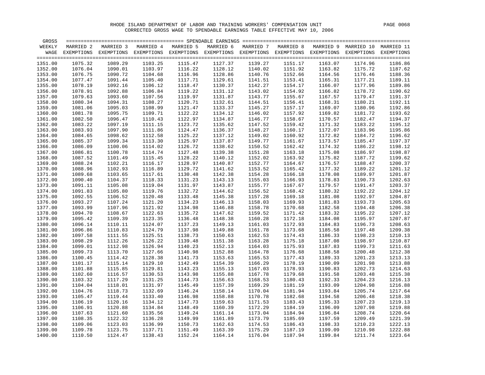| GROSS   |           |                                                                                                               |           |           |           |           |           |         |                                 |         |
|---------|-----------|---------------------------------------------------------------------------------------------------------------|-----------|-----------|-----------|-----------|-----------|---------|---------------------------------|---------|
| WEEKLY  | MARRIED 2 | MARRIED 3                                                                                                     | MARRIED 4 | MARRIED 5 | MARRIED 6 | MARRIED 7 | MARRIED 8 |         | MARRIED 9 MARRIED 10 MARRIED 11 |         |
| WAGE    |           | EXEMPTIONS EXEMPTIONS EXEMPTIONS EXEMPTIONS EXEMPTIONS EXEMPTIONS EXEMPTIONS EXEMPTIONS EXEMPTIONS EXEMPTIONS |           |           |           |           |           |         |                                 |         |
|         |           |                                                                                                               |           |           |           |           |           |         |                                 |         |
| 1351.00 | 1075.32   | 1089.29                                                                                                       | 1103.25   | 1115.47   | 1127.37   | 1139.27   | 1151.17   | 1163.07 | 1174.96                         | 1186.86 |
| 1352.00 | 1076.04   | 1090.01                                                                                                       | 1103.97   | 1116.22   | 1128.12   | 1140.02   | 1151.92   | 1163.82 | 1175.72                         | 1187.62 |
| 1353.00 | 1076.75   | 1090.72                                                                                                       | 1104.68   | 1116.96   | 1128.86   | 1140.76   | 1152.66   | 1164.56 | 1176.46                         | 1188.36 |
| 1354.00 | 1077.47   | 1091.44                                                                                                       | 1105.40   | 1117.71   | 1129.61   | 1141.51   | 1153.41   | 1165.31 | 1177.21                         | 1189.11 |
| 1355.00 | 1078.19   | 1092.16                                                                                                       | 1106.12   | 1118.47   | 1130.37   | 1142.27   | 1154.17   | 1166.07 | 1177.96                         | 1189.86 |
| 1356.00 | 1078.91   | 1092.88                                                                                                       | 1106.84   | 1119.22   | 1131.12   | 1143.02   | 1154.92   | 1166.82 | 1178.72                         | 1190.62 |
| 1357.00 | 1079.63   | 1093.60                                                                                                       | 1107.56   | 1119.97   | 1131.87   | 1143.77   | 1155.67   | 1167.57 | 1179.47                         | 1191.37 |
| 1358.00 | 1080.34   | 1094.31                                                                                                       | 1108.27   | 1120.71   | 1132.61   | 1144.51   | 1156.41   | 1168.31 | 1180.21                         | 1192.11 |
| 1359.00 | 1081.06   | 1095.03                                                                                                       | 1108.99   | 1121.47   | 1133.37   | 1145.27   | 1157.17   | 1169.07 | 1180.96                         | 1192.86 |
| 1360.00 | 1081.78   | 1095.75                                                                                                       | 1109.71   | 1122.22   | 1134.12   | 1146.02   | 1157.92   | 1169.82 | 1181.72                         | 1193.62 |
| 1361.00 | 1082.50   | 1096.47                                                                                                       | 1110.43   | 1122.97   | 1134.87   | 1146.77   | 1158.67   | 1170.57 | 1182.47                         | 1194.37 |
| 1362.00 | 1083.22   | 1097.19                                                                                                       | 1111.15   | 1123.72   | 1135.62   | 1147.52   | 1159.42   | 1171.32 | 1183.22                         | 1195.12 |
| 1363.00 | 1083.93   | 1097.90                                                                                                       | 1111.86   | 1124.47   | 1136.37   | 1148.27   | 1160.17   | 1172.07 | 1183.96                         | 1195.86 |
| 1364.00 | 1084.65   | 1098.62                                                                                                       | 1112.58   | 1125.22   | 1137.12   | 1149.02   | 1160.92   | 1172.82 | 1184.72                         | 1196.62 |
| 1365.00 | 1085.37   | 1099.34                                                                                                       | 1113.30   | 1125.97   | 1137.87   | 1149.77   | 1161.67   | 1173.57 | 1185.47                         | 1197.37 |
| 1366.00 | 1086.09   | 1100.06                                                                                                       | 1114.02   | 1126.72   | 1138.62   | 1150.52   | 1162.42   | 1174.32 | 1186.22                         | 1198.12 |
| 1367.00 | 1086.81   | 1100.78                                                                                                       | 1114.74   | 1127.48   | 1139.38   | 1151.28   | 1163.18   | 1175.08 | 1186.97                         | 1198.87 |
| 1368.00 | 1087.52   | 1101.49                                                                                                       | 1115.45   | 1128.22   | 1140.12   | 1152.02   | 1163.92   | 1175.82 | 1187.72                         | 1199.62 |
| 1369.00 | 1088.24   | 1102.21                                                                                                       | 1116.17   | 1128.97   | 1140.87   | 1152.77   | 1164.67   | 1176.57 | 1188.47                         | 1200.37 |
| 1370.00 | 1088.96   | 1102.93                                                                                                       | 1116.89   | 1129.72   | 1141.62   | 1153.52   | 1165.42   | 1177.32 | 1189.22                         | 1201.12 |
| 1371.00 | 1089.68   | 1103.65                                                                                                       | 1117.61   | 1130.48   | 1142.38   | 1154.28   | 1166.18   | 1178.08 | 1189.97                         | 1201.87 |
| 1372.00 | 1090.40   | 1104.37                                                                                                       | 1118.33   | 1131.23   | 1143.13   | 1155.03   | 1166.93   | 1178.83 | 1190.73                         | 1202.63 |
| 1373.00 | 1091.11   | 1105.08                                                                                                       | 1119.04   | 1131.97   | 1143.87   | 1155.77   | 1167.67   | 1179.57 | 1191.47                         | 1203.37 |
| 1374.00 | 1091.83   | 1105.80                                                                                                       | 1119.76   | 1132.72   | 1144.62   | 1156.52   | 1168.42   | 1180.32 | 1192.22                         | 1204.12 |
| 1375.00 | 1092.55   | 1106.52                                                                                                       | 1120.48   | 1133.48   | 1145.38   | 1157.28   | 1169.18   | 1181.08 | 1192.97                         | 1204.87 |
| 1376.00 | 1093.27   | 1107.24                                                                                                       | 1121.20   | 1134.23   | 1146.13   | 1158.03   | 1169.93   | 1181.83 | 1193.73                         | 1205.63 |
| 1377.00 | 1093.99   | 1107.96                                                                                                       | 1121.92   | 1134.98   | 1146.88   | 1158.78   | 1170.68   | 1182.58 | 1194.48                         | 1206.38 |
| 1378.00 | 1094.70   | 1108.67                                                                                                       | 1122.63   | 1135.72   | 1147.62   | 1159.52   | 1171.42   | 1183.32 | 1195.22                         | 1207.12 |
| 1379.00 | 1095.42   | 1109.39                                                                                                       | 1123.35   | 1136.48   | 1148.38   | 1160.28   | 1172.18   | 1184.08 | 1195.97                         | 1207.87 |
| 1380.00 | 1096.14   | 1110.11                                                                                                       | 1124.07   | 1137.23   | 1149.13   | 1161.03   | 1172.93   | 1184.83 | 1196.73                         | 1208.63 |
| 1381.00 | 1096.86   | 1110.83                                                                                                       | 1124.79   | 1137.98   | 1149.88   | 1161.78   | 1173.68   | 1185.58 | 1197.48                         | 1209.38 |
| 1382.00 | 1097.58   | 1111.55                                                                                                       | 1125.51   | 1138.73   | 1150.63   | 1162.53   | 1174.43   | 1186.33 | 1198.23                         | 1210.13 |
| 1383.00 | 1098.29   | 1112.26                                                                                                       | 1126.22   | 1139.48   | 1151.38   | 1163.28   | 1175.18   | 1187.08 | 1198.97                         | 1210.87 |
| 1384.00 | 1099.01   | 1112.98                                                                                                       | 1126.94   | 1140.23   | 1152.13   | 1164.03   | 1175.93   | 1187.83 | 1199.73                         | 1211.63 |
| 1385.00 | 1099.73   | 1113.70                                                                                                       | 1127.66   | 1140.98   | 1152.88   | 1164.78   | 1176.68   | 1188.58 | 1200.48                         | 1212.38 |
| 1386.00 | 1100.45   | 1114.42                                                                                                       | 1128.38   | 1141.73   | 1153.63   | 1165.53   | 1177.43   | 1189.33 | 1201.23                         | 1213.13 |
| 1387.00 | 1101.17   | 1115.14                                                                                                       | 1129.10   | 1142.49   | 1154.39   | 1166.29   | 1178.19   | 1190.09 | 1201.98                         | 1213.88 |
| 1388.00 | 1101.88   | 1115.85                                                                                                       | 1129.81   | 1143.23   | 1155.13   | 1167.03   | 1178.93   | 1190.83 | 1202.73                         | 1214.63 |
| 1389.00 | 1102.60   | 1116.57                                                                                                       | 1130.53   | 1143.98   | 1155.88   | 1167.78   | 1179.68   | 1191.58 | 1203.48                         | 1215.38 |
| 1390.00 | 1103.32   | 1117.29                                                                                                       | 1131.25   | 1144.73   | 1156.63   | 1168.53   | 1180.43   | 1192.33 | 1204.23                         | 1216.13 |
| 1391.00 | 1104.04   | 1118.01                                                                                                       | 1131.97   | 1145.49   | 1157.39   | 1169.29   | 1181.19   | 1193.09 | 1204.98                         | 1216.88 |
| 1392.00 | 1104.76   | 1118.73                                                                                                       | 1132.69   | 1146.24   | 1158.14   | 1170.04   | 1181.94   | 1193.84 | 1205.74                         | 1217.64 |
| 1393.00 | 1105.47   | 1119.44                                                                                                       | 1133.40   | 1146.98   | 1158.88   | 1170.78   | 1182.68   | 1194.58 | 1206.48                         | 1218.38 |
| 1394.00 | 1106.19   | 1120.16                                                                                                       | 1134.12   | 1147.73   | 1159.63   | 1171.53   | 1183.43   | 1195.33 | 1207.23                         | 1219.13 |
| 1395.00 | 1106.91   | 1120.88                                                                                                       | 1134.84   | 1148.49   | 1160.39   | 1172.29   | 1184.19   | 1196.09 | 1207.98                         | 1219.88 |
| 1396.00 | 1107.63   | 1121.60                                                                                                       | 1135.56   | 1149.24   | 1161.14   | 1173.04   | 1184.94   | 1196.84 | 1208.74                         | 1220.64 |
| 1397.00 | 1108.35   | 1122.32                                                                                                       | 1136.28   | 1149.99   | 1161.89   | 1173.79   | 1185.69   | 1197.59 | 1209.49                         | 1221.39 |
| 1398.00 | 1109.06   | 1123.03                                                                                                       | 1136.99   | 1150.73   | 1162.63   | 1174.53   | 1186.43   | 1198.33 | 1210.23                         | 1222.13 |
| 1399.00 | 1109.78   | 1123.75                                                                                                       | 1137.71   | 1151.49   | 1163.39   | 1175.29   | 1187.19   | 1199.09 | 1210.98                         | 1222.88 |
| 1400.00 | 1110.50   | 1124.47                                                                                                       | 1138.43   | 1152.24   | 1164.14   | 1176.04   | 1187.94   | 1199.84 | 1211.74                         | 1223.64 |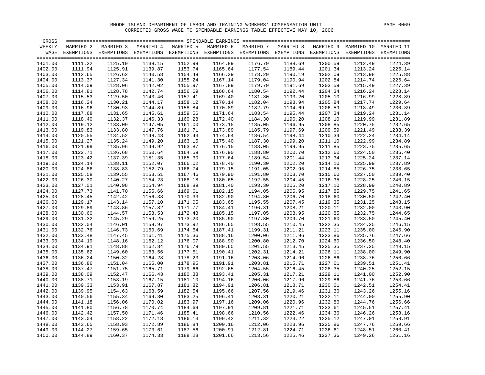| GROSS   |           |                                                                                                    |           |           |           |           |           |         |                                 |            |
|---------|-----------|----------------------------------------------------------------------------------------------------|-----------|-----------|-----------|-----------|-----------|---------|---------------------------------|------------|
| WEEKLY  | MARRIED 2 | MARRIED 3                                                                                          | MARRIED 4 | MARRIED 5 | MARRIED 6 | MARRIED 7 | MARRIED 8 |         | MARRIED 9 MARRIED 10 MARRIED 11 |            |
| WAGE    |           | EXEMPTIONS EXEMPTIONS EXEMPTIONS EXEMPTIONS EXEMPTIONS EXEMPTIONS EXEMPTIONS EXEMPTIONS EXEMPTIONS |           |           |           |           |           |         |                                 | EXEMPTIONS |
|         |           |                                                                                                    |           |           |           |           |           |         |                                 |            |
| 1401.00 | 1111.22   | 1125.19                                                                                            | 1139.15   | 1152.99   | 1164.89   | 1176.79   | 1188.69   | 1200.59 | 1212.49                         | 1224.39    |
| 1402.00 | 1111.94   | 1125.91                                                                                            | 1139.87   | 1153.74   | 1165.64   | 1177.54   | 1189.44   | 1201.34 | 1213.24                         | 1225.14    |
| 1403.00 | 1112.65   | 1126.62                                                                                            | 1140.58   | 1154.49   | 1166.39   | 1178.29   | 1190.19   | 1202.09 | 1213.98                         | 1225.88    |
| 1404.00 | 1113.37   | 1127.34                                                                                            | 1141.30   | 1155.24   | 1167.14   | 1179.04   | 1190.94   | 1202.84 | 1214.74                         | 1226.64    |
| 1405.00 | 1114.09   | 1128.06                                                                                            | 1142.02   | 1155.97   | 1167.89   | 1179.79   | 1191.69   | 1203.59 | 1215.49                         | 1227.39    |
| 1406.00 | 1114.81   | 1128.78                                                                                            | 1142.74   | 1156.69   | 1168.64   | 1180.54   | 1192.44   | 1204.34 | 1216.24                         | 1228.14    |
| 1407.00 | 1115.53   | 1129.50                                                                                            | 1143.46   | 1157.41   | 1169.40   | 1181.30   | 1193.20   | 1205.10 | 1216.99                         | 1228.89    |
| 1408.00 | 1116.24   | 1130.21                                                                                            | 1144.17   | 1158.12   | 1170.14   | 1182.04   | 1193.94   | 1205.84 | 1217.74                         | 1229.64    |
| 1409.00 | 1116.96   | 1130.93                                                                                            | 1144.89   | 1158.84   | 1170.89   | 1182.79   | 1194.69   | 1206.59 | 1218.49                         | 1230.39    |
| 1410.00 | 1117.68   | 1131.65                                                                                            | 1145.61   | 1159.56   | 1171.64   | 1183.54   | 1195.44   | 1207.34 | 1219.24                         | 1231.14    |
| 1411.00 | 1118.40   | 1132.37                                                                                            | 1146.33   | 1160.28   | 1172.40   | 1184.30   | 1196.20   | 1208.10 | 1219.99                         | 1231.89    |
| 1412.00 | 1119.12   | 1133.09                                                                                            | 1147.05   | 1161.00   | 1173.15   | 1185.05   | 1196.95   | 1208.85 | 1220.75                         | 1232.65    |
| 1413.00 | 1119.83   | 1133.80                                                                                            | 1147.76   | 1161.71   | 1173.89   | 1185.79   | 1197.69   | 1209.59 | 1221.49                         | 1233.39    |
| 1414.00 | 1120.55   | 1134.52                                                                                            | 1148.48   | 1162.43   | 1174.64   | 1186.54   | 1198.44   | 1210.34 | 1222.24                         | 1234.14    |
| 1415.00 | 1121.27   | 1135.24                                                                                            | 1149.20   | 1163.15   | 1175.40   | 1187.30   | 1199.20   | 1211.10 | 1222.99                         | 1234.89    |
| 1416.00 | 1121.99   | 1135.96                                                                                            | 1149.92   | 1163.87   | 1176.15   | 1188.05   | 1199.95   | 1211.85 | 1223.75                         | 1235.65    |
| 1417.00 | 1122.71   | 1136.68                                                                                            | 1150.64   | 1164.59   | 1176.90   | 1188.80   | 1200.70   | 1212.60 | 1224.50                         | 1236.40    |
| 1418.00 | 1123.42   | 1137.39                                                                                            | 1151.35   | 1165.30   | 1177.64   | 1189.54   | 1201.44   | 1213.34 | 1225.24                         | 1237.14    |
| 1419.00 | 1124.14   | 1138.11                                                                                            | 1152.07   | 1166.02   | 1178.40   | 1190.30   | 1202.20   | 1214.10 | 1225.99                         | 1237.89    |
| 1420.00 | 1124.86   | 1138.83                                                                                            | 1152.79   | 1166.74   | 1179.15   | 1191.05   | 1202.95   | 1214.85 | 1226.75                         | 1238.65    |
| 1421.00 | 1125.58   | 1139.55                                                                                            | 1153.51   | 1167.46   | 1179.90   | 1191.80   | 1203.70   | 1215.60 | 1227.50                         | 1239.40    |
| 1422.00 | 1126.30   | 1140.27                                                                                            | 1154.23   | 1168.18   | 1180.65   | 1192.55   | 1204.45   | 1216.35 | 1228.25                         | 1240.15    |
| 1423.00 | 1127.01   | 1140.98                                                                                            | 1154.94   | 1168.89   | 1181.40   | 1193.30   | 1205.20   | 1217.10 | 1228.99                         | 1240.89    |
| 1424.00 | 1127.73   | 1141.70                                                                                            | 1155.66   | 1169.61   | 1182.15   | 1194.05   | 1205.95   | 1217.85 | 1229.75                         | 1241.65    |
| 1425.00 | 1128.45   | 1142.42                                                                                            | 1156.38   | 1170.33   | 1182.90   | 1194.80   | 1206.70   | 1218.60 | 1230.50                         | 1242.40    |
| 1426.00 | 1129.17   | 1143.14                                                                                            | 1157.10   | 1171.05   | 1183.65   | 1195.55   | 1207.45   | 1219.35 | 1231.25                         | 1243.15    |
| 1427.00 | 1129.89   | 1143.86                                                                                            | 1157.82   | 1171.77   | 1184.41   | 1196.31   | 1208.21   | 1220.11 | 1232.00                         | 1243.90    |
| 1428.00 | 1130.60   | 1144.57                                                                                            | 1158.53   | 1172.48   | 1185.15   | 1197.05   | 1208.95   | 1220.85 | 1232.75                         | 1244.65    |
| 1429.00 | 1131.32   | 1145.29                                                                                            | 1159.25   | 1173.20   | 1185.90   | 1197.80   | 1209.70   | 1221.60 | 1233.50                         | 1245.40    |
| 1430.00 | 1132.04   | 1146.01                                                                                            | 1159.97   | 1173.92   | 1186.65   | 1198.55   | 1210.45   | 1222.35 | 1234.25                         | 1246.15    |
| 1431.00 | 1132.76   | 1146.73                                                                                            | 1160.69   | 1174.64   | 1187.41   | 1199.31   | 1211.21   | 1223.11 | 1235.00                         | 1246.90    |
| 1432.00 | 1133.48   | 1147.45                                                                                            | 1161.41   | 1175.36   | 1188.16   | 1200.06   | 1211.96   | 1223.86 | 1235.76                         | 1247.66    |
| 1433.00 | 1134.19   | 1148.16                                                                                            | 1162.12   | 1176.07   | 1188.90   | 1200.80   | 1212.70   | 1224.60 | 1236.50                         | 1248.40    |
| 1434.00 | 1134.91   | 1148.88                                                                                            | 1162.84   | 1176.79   | 1189.65   | 1201.55   | 1213.45   | 1225.35 | 1237.25                         | 1249.15    |
| 1435.00 | 1135.62   | 1149.60                                                                                            | 1163.56   | 1177.51   | 1190.41   | 1202.31   | 1214.21   | 1226.11 | 1238.00                         | 1249.90    |
| 1436.00 | 1136.24   | 1150.32                                                                                            | 1164.28   | 1178.23   | 1191.16   | 1203.06   | 1214.96   | 1226.86 | 1238.76                         | 1250.66    |
| 1437.00 | 1136.86   | 1151.04                                                                                            | 1165.00   | 1178.95   | 1191.91   | 1203.81   | 1215.71   | 1227.61 | 1239.51                         | 1251.41    |
| 1438.00 | 1137.47   | 1151.75                                                                                            | 1165.71   | 1179.66   | 1192.65   | 1204.55   | 1216.45   | 1228.35 | 1240.25                         | 1252.15    |
| 1439.00 | 1138.09   | 1152.47                                                                                            | 1166.43   | 1180.38   | 1193.41   | 1205.31   | 1217.21   | 1229.11 | 1241.00                         | 1252.90    |
| 1440.00 | 1138.71   | 1153.19                                                                                            | 1167.15   | 1181.10   | 1194.16   | 1206.06   | 1217.96   | 1229.86 | 1241.76                         | 1253.66    |
| 1441.00 | 1139.33   | 1153.91                                                                                            | 1167.87   | 1181.82   | 1194.91   | 1206.81   | 1218.71   | 1230.61 | 1242.51                         | 1254.41    |
| 1442.00 | 1139.95   | 1154.63                                                                                            | 1168.59   | 1182.54   | 1195.66   | 1207.56   | 1219.46   | 1231.36 | 1243.26                         | 1255.16    |
| 1443.00 | 1140.56   | 1155.34                                                                                            | 1169.30   | 1183.25   | 1196.41   | 1208.31   | 1220.21   | 1232.11 | 1244.00                         | 1255.90    |
| 1444.00 | 1141.18   | 1156.06                                                                                            | 1170.02   | 1183.97   | 1197.16   | 1209.06   | 1220.96   | 1232.86 | 1244.76                         | 1256.66    |
| 1445.00 | 1141.80   | 1156.78                                                                                            | 1170.74   | 1184.69   | 1197.91   | 1209.81   | 1221.71   | 1233.61 | 1245.51                         | 1257.41    |
| 1446.00 | 1142.42   | 1157.50                                                                                            | 1171.46   | 1185.41   | 1198.66   | 1210.56   | 1222.46   | 1234.36 | 1246.26                         | 1258.16    |
| 1447.00 | 1143.04   | 1158.22                                                                                            | 1172.18   | 1186.13   | 1199.42   | 1211.32   | 1223.22   | 1235.12 | 1247.01                         | 1258.91    |
| 1448.00 | 1143.65   | 1158.93                                                                                            | 1172.89   | 1186.84   | 1200.16   | 1212.06   | 1223.96   | 1235.86 | 1247.76                         | 1259.66    |
| 1449.00 | 1144.27   | 1159.65                                                                                            | 1173.61   | 1187.56   | 1200.91   | 1212.81   | 1224.71   | 1236.61 | 1248.51                         | 1260.41    |
| 1450.00 | 1144.89   | 1160.37                                                                                            | 1174.33   | 1188.28   | 1201.66   | 1213.56   | 1225.46   | 1237.36 | 1249.26                         | 1261.16    |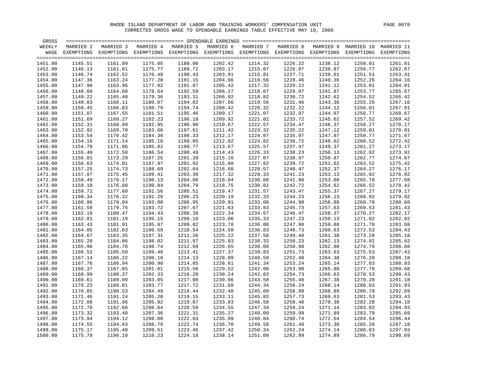| GROSS   |           |                                                                                                    |           |           |           |           |           |         |                                 |            |
|---------|-----------|----------------------------------------------------------------------------------------------------|-----------|-----------|-----------|-----------|-----------|---------|---------------------------------|------------|
| WEEKLY  | MARRIED 2 | MARRIED 3                                                                                          | MARRIED 4 | MARRIED 5 | MARRIED 6 | MARRIED 7 | MARRIED 8 |         | MARRIED 9 MARRIED 10 MARRIED 11 |            |
| WAGE    |           | EXEMPTIONS EXEMPTIONS EXEMPTIONS EXEMPTIONS EXEMPTIONS EXEMPTIONS EXEMPTIONS EXEMPTIONS EXEMPTIONS |           |           |           |           |           |         |                                 | EXEMPTIONS |
|         |           |                                                                                                    |           |           |           |           |           |         |                                 |            |
| 1451.00 | 1145.51   | 1161.09                                                                                            | 1175.05   | 1189.00   | 1202.42   | 1214.32   | 1226.22   | 1238.12 | 1250.01                         | 1261.91    |
| 1452.00 | 1146.13   | 1161.81                                                                                            | 1175.77   | 1189.72   | 1203.17   | 1215.07   | 1226.97   | 1238.87 | 1250.77                         | 1262.67    |
| 1453.00 | 1146.74   | 1162.52                                                                                            | 1176.48   | 1190.43   | 1203.91   | 1215.81   | 1227.71   | 1239.61 | 1251.51                         | 1263.41    |
| 1454.00 | 1147.36   | 1163.24                                                                                            | 1177.20   | 1191.15   | 1204.66   | 1216.56   | 1228.46   | 1240.36 | 1252.26                         | 1264.16    |
| 1455.00 | 1147.98   | 1163.96                                                                                            | 1177.92   | 1191.87   | 1205.42   | 1217.32   | 1229.22   | 1241.12 | 1253.01                         | 1264.91    |
| 1456.00 | 1148.60   | 1164.68                                                                                            | 1178.64   | 1192.59   | 1206.17   | 1218.07   | 1229.97   | 1241.87 | 1253.77                         | 1265.67    |
| 1457.00 | 1149.22   | 1165.40                                                                                            | 1179.36   | 1193.31   | 1206.92   | 1218.82   | 1230.72   | 1242.62 | 1254.52                         | 1266.42    |
| 1458.00 | 1149.83   | 1166.11                                                                                            | 1180.07   | 1194.02   | 1207.66   | 1219.56   | 1231.46   | 1243.36 | 1255.26                         | 1267.16    |
| 1459.00 | 1150.45   | 1166.83                                                                                            | 1180.79   | 1194.74   | 1208.42   | 1220.32   | 1232.22   | 1244.12 | 1256.01                         | 1267.91    |
| 1460.00 | 1151.07   | 1167.55                                                                                            | 1181.51   | 1195.46   | 1209.17   | 1221.07   | 1232.97   | 1244.87 | 1256.77                         | 1268.67    |
| 1461.00 | 1151.69   | 1168.27                                                                                            | 1182.23   | 1196.18   | 1209.92   | 1221.82   | 1233.72   | 1245.62 | 1257.52                         | 1269.42    |
| 1462.00 | 1152.31   | 1168.99                                                                                            | 1182.95   | 1196.90   | 1210.67   | 1222.57   | 1234.47   | 1246.37 | 1258.27                         | 1270.17    |
| 1463.00 | 1152.92   | 1169.70                                                                                            | 1183.66   | 1197.61   | 1211.42   | 1223.32   | 1235.22   | 1247.12 | 1259.01                         | 1270.91    |
| 1464.00 | 1153.54   | 1170.42                                                                                            | 1184.38   | 1198.33   | 1212.17   | 1224.07   | 1235.97   | 1247.87 | 1259.77                         | 1271.67    |
| 1465.00 | 1154.16   | 1171.14                                                                                            | 1185.10   | 1199.05   | 1212.92   | 1224.82   | 1236.72   | 1248.62 | 1260.52                         | 1272.42    |
| 1466.00 | 1154.78   | 1171.86                                                                                            | 1185.82   | 1199.77   | 1213.67   | 1225.57   | 1237.47   | 1249.37 | 1261.27                         | 1273.17    |
| 1467.00 | 1155.40   | 1172.58                                                                                            | 1186.54   | 1200.49   | 1214.43   | 1226.33   | 1238.23   | 1250.13 | 1262.02                         | 1273.92    |
| 1468.00 | 1156.01   | 1173.29                                                                                            | 1187.25   | 1201.20   | 1215.16   | 1227.07   | 1238.97   | 1250.87 | 1262.77                         | 1274.67    |
| 1469.00 | 1156.63   | 1174.01                                                                                            | 1187.97   | 1201.92   | 1215.88   | 1227.82   | 1239.72   | 1251.62 | 1263.52                         | 1275.42    |
| 1470.00 | 1157.25   | 1174.73                                                                                            | 1188.69   | 1202.64   | 1216.60   | 1228.57   | 1240.47   | 1252.37 | 1264.27                         | 1276.17    |
| 1471.00 | 1157.87   | 1175.45                                                                                            | 1189.41   | 1203.36   | 1217.32   | 1229.33   | 1241.23   | 1253.13 | 1265.02                         | 1276.92    |
| 1472.00 | 1158.49   | 1176.17                                                                                            | 1190.13   | 1204.08   | 1218.04   | 1230.08   | 1241.98   | 1253.88 | 1265.78                         | 1277.68    |
| 1473.00 | 1159.10   | 1176.88                                                                                            | 1190.84   | 1204.79   | 1218.75   | 1230.82   | 1242.72   | 1254.62 | 1266.52                         | 1278.42    |
| 1474.00 | 1159.72   | 1177.60                                                                                            | 1191.56   | 1205.51   | 1219.47   | 1231.57   | 1243.47   | 1255.37 | 1267.27                         | 1279.17    |
| 1475.00 | 1160.34   | 1178.32                                                                                            | 1192.28   | 1206.23   | 1220.19   | 1232.33   | 1244.23   | 1256.13 | 1268.02                         | 1279.92    |
| 1476.00 | 1160.96   | 1179.04                                                                                            | 1193.00   | 1206.95   | 1220.91   | 1233.08   | 1244.98   | 1256.88 | 1268.78                         | 1280.68    |
| 1477.00 | 1161.58   | 1179.76                                                                                            | 1193.72   | 1207.67   | 1221.63   | 1233.83   | 1245.73   | 1257.63 | 1269.53                         | 1281.43    |
| 1478.00 | 1162.19   | 1180.47                                                                                            | 1194.43   | 1208.38   | 1222.34   | 1234.57   | 1246.47   | 1258.37 | 1270.27                         | 1282.17    |
| 1479.00 | 1162.81   | 1181.19                                                                                            | 1195.15   | 1209.10   | 1223.06   | 1235.33   | 1247.23   | 1259.13 | 1271.02                         | 1282.92    |
| 1480.00 | 1163.43   | 1181.91                                                                                            | 1195.87   | 1209.82   | 1223.78   | 1236.08   | 1247.98   | 1259.88 | 1271.78                         | 1283.68    |
| 1481.00 | 1164.05   | 1182.63                                                                                            | 1196.59   | 1210.54   | 1224.50   | 1236.83   | 1248.73   | 1260.63 | 1272.53                         | 1284.43    |
| 1482.00 | 1164.67   | 1183.35                                                                                            | 1197.31   | 1211.26   | 1225.22   | 1237.58   | 1249.48   | 1261.38 | 1273.28                         | 1285.18    |
| 1483.00 | 1165.28   | 1184.06                                                                                            | 1198.02   | 1211.97   | 1225.93   | 1238.33   | 1250.23   | 1262.13 | 1274.02                         | 1285.92    |
| 1484.00 | 1165.90   | 1184.78                                                                                            | 1198.74   | 1212.69   | 1226.65   | 1239.08   | 1250.98   | 1262.88 | 1274.78                         | 1286.68    |
| 1485.00 | 1166.52   | 1185.50                                                                                            | 1199.46   | 1213.41   | 1227.37   | 1239.83   | 1251.73   | 1263.63 | 1275.53                         | 1287.43    |
| 1486.00 | 1167.14   | 1186.22                                                                                            | 1200.18   | 1214.13   | 1228.09   | 1240.58   | 1252.48   | 1264.38 | 1276.28                         | 1288.18    |
| 1487.00 | 1167.76   | 1186.94                                                                                            | 1200.90   | 1214.85   | 1228.81   | 1241.34   | 1253.24   | 1265.14 | 1277.03                         | 1288.93    |
| 1488.00 | 1168.37   | 1187.65                                                                                            | 1201.61   | 1215.56   | 1229.52   | 1242.08   | 1253.98   | 1265.88 | 1277.78                         | 1289.68    |
| 1489.00 | 1168.99   | 1188.37                                                                                            | 1202.33   | 1216.28   | 1230.24   | 1242.83   | 1254.73   | 1266.63 | 1278.53                         | 1290.43    |
| 1490.00 | 1169.61   | 1189.09                                                                                            | 1203.05   | 1217.00   | 1230.96   | 1243.58   | 1255.48   | 1267.38 | 1279.28                         | 1291.18    |
| 1491.00 | 1170.23   | 1189.81                                                                                            | 1203.77   | 1217.72   | 1231.68   | 1244.34   | 1256.24   | 1268.14 | 1280.03                         | 1291.93    |
| 1492.00 | 1170.85   | 1190.53                                                                                            | 1204.49   | 1218.44   | 1232.40   | 1245.09   | 1256.99   | 1268.89 | 1280.79                         | 1292.69    |
| 1493.00 | 1171.46   | 1191.24                                                                                            | 1205.20   | 1219.15   | 1233.11   | 1245.83   | 1257.73   | 1269.63 | 1281.53                         | 1293.43    |
| 1494.00 | 1172.08   | 1191.96                                                                                            | 1205.92   | 1219.87   | 1233.83   | 1246.58   | 1258.48   | 1270.38 | 1282.28                         | 1294.18    |
| 1495.00 | 1172.70   | 1192.68                                                                                            | 1206.64   | 1220.59   | 1234.55   | 1247.34   | 1259.24   | 1271.14 | 1283.03                         | 1294.93    |
| 1496.00 | 1173.32   | 1193.40                                                                                            | 1207.36   | 1221.31   | 1235.27   | 1248.09   | 1259.99   | 1271.89 | 1283.79                         | 1295.69    |
| 1497.00 | 1173.94   | 1194.12                                                                                            | 1208.08   | 1222.03   | 1235.99   | 1248.84   | 1260.74   | 1272.64 | 1284.54                         | 1296.44    |
| 1498.00 | 1174.55   | 1194.83                                                                                            | 1208.79   | 1222.74   | 1236.70   | 1249.58   | 1261.48   | 1273.38 | 1285.28                         | 1297.18    |
| 1499.00 | 1175.17   | 1195.48                                                                                            | 1209.51   | 1223.46   | 1237.42   | 1250.34   | 1262.24   | 1274.14 | 1286.03                         | 1297.93    |
| 1500.00 | 1175.79   | 1196.10                                                                                            | 1210.23   | 1224.18   | 1238.14   | 1251.09   | 1262.99   | 1274.89 | 1286.79                         | 1298.69    |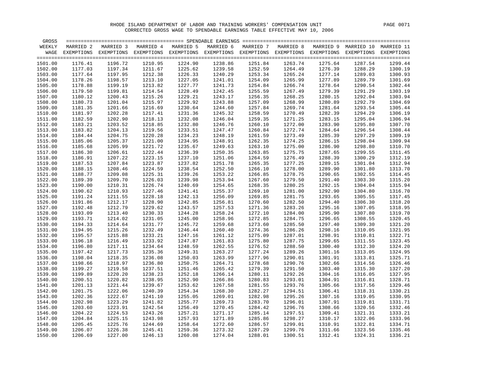| GROSS   |           |                                                                                                               |           |           |           |           |           |         |                                 |         |
|---------|-----------|---------------------------------------------------------------------------------------------------------------|-----------|-----------|-----------|-----------|-----------|---------|---------------------------------|---------|
| WEEKLY  | MARRIED 2 | MARRIED 3                                                                                                     | MARRIED 4 | MARRIED 5 | MARRIED 6 | MARRIED 7 | MARRIED 8 |         | MARRIED 9 MARRIED 10 MARRIED 11 |         |
| WAGE    |           | EXEMPTIONS EXEMPTIONS EXEMPTIONS EXEMPTIONS EXEMPTIONS EXEMPTIONS EXEMPTIONS EXEMPTIONS EXEMPTIONS EXEMPTIONS |           |           |           |           |           |         |                                 |         |
|         |           |                                                                                                               |           |           |           |           |           |         |                                 |         |
| 1501.00 | 1176.41   | 1196.72                                                                                                       | 1210.95   | 1224.90   | 1238.86   | 1251.84   | 1263.74   | 1275.64 | 1287.54                         | 1299.44 |
| 1502.00 | 1177.03   | 1197.34                                                                                                       | 1211.67   | 1225.62   | 1239.58   | 1252.59   | 1264.49   | 1276.39 | 1288.29                         | 1300.19 |
| 1503.00 | 1177.64   | 1197.95                                                                                                       | 1212.38   | 1226.33   | 1240.29   | 1253.34   | 1265.24   | 1277.14 | 1289.03                         | 1300.93 |
| 1504.00 | 1178.26   | 1198.57                                                                                                       | 1213.10   | 1227.05   | 1241.01   | 1254.09   | 1265.99   | 1277.89 | 1289.79                         | 1301.69 |
| 1505.00 | 1178.88   | 1199.19                                                                                                       | 1213.82   | 1227.77   | 1241.73   | 1254.84   | 1266.74   | 1278.64 | 1290.54                         | 1302.44 |
| 1506.00 | 1179.50   | 1199.81                                                                                                       | 1214.54   | 1228.49   | 1242.45   | 1255.59   | 1267.49   | 1279.39 | 1291.29                         | 1303.19 |
| 1507.00 | 1180.12   | 1200.43                                                                                                       | 1215.26   | 1229.21   | 1243.17   | 1256.35   | 1268.25   | 1280.15 | 1292.04                         | 1303.94 |
| 1508.00 | 1180.73   | 1201.04                                                                                                       | 1215.97   | 1229.92   | 1243.88   | 1257.09   | 1268.99   | 1280.89 | 1292.79                         | 1304.69 |
| 1509.00 | 1181.35   | 1201.66                                                                                                       | 1216.69   | 1230.64   | 1244.60   | 1257.84   | 1269.74   | 1281.64 | 1293.54                         | 1305.44 |
| 1510.00 | 1181.97   | 1202.28                                                                                                       | 1217.41   | 1231.36   | 1245.32   | 1258.59   | 1270.49   | 1282.39 | 1294.29                         | 1306.19 |
| 1511.00 | 1182.59   | 1202.90                                                                                                       | 1218.13   | 1232.08   | 1246.04   | 1259.35   | 1271.25   | 1283.15 | 1295.04                         | 1306.94 |
| 1512.00 | 1183.21   | 1203.52                                                                                                       | 1218.85   | 1232.80   | 1246.76   | 1260.10   | 1272.00   | 1283.90 | 1295.80                         | 1307.70 |
| 1513.00 | 1183.82   | 1204.13                                                                                                       | 1219.56   | 1233.51   | 1247.47   | 1260.84   | 1272.74   | 1284.64 | 1296.54                         | 1308.44 |
| 1514.00 | 1184.44   | 1204.75                                                                                                       | 1220.28   | 1234.23   | 1248.19   | 1261.59   | 1273.49   | 1285.39 | 1297.29                         | 1309.19 |
| 1515.00 | 1185.06   | 1205.37                                                                                                       | 1221.00   | 1234.95   | 1248.91   | 1262.35   | 1274.25   | 1286.15 | 1298.04                         | 1309.94 |
| 1516.00 | 1185.68   | 1205.99                                                                                                       | 1221.72   | 1235.67   | 1249.63   | 1263.10   | 1275.00   | 1286.90 | 1298.80                         | 1310.70 |
| 1517.00 | 1186.30   | 1206.61                                                                                                       | 1222.44   | 1236.39   | 1250.35   | 1263.85   | 1275.75   | 1287.65 | 1299.55                         | 1311.45 |
| 1518.00 | 1186.91   | 1207.22                                                                                                       | 1223.15   | 1237.10   | 1251.06   | 1264.59   | 1276.49   | 1288.39 | 1300.29                         | 1312.19 |
| 1519.00 | 1187.53   | 1207.84                                                                                                       | 1223.87   | 1237.82   | 1251.78   | 1265.35   | 1277.25   | 1289.15 | 1301.04                         | 1312.94 |
| 1520.00 | 1188.15   | 1208.46                                                                                                       | 1224.59   | 1238.54   | 1252.50   | 1266.10   | 1278.00   | 1289.90 | 1301.80                         | 1313.70 |
| 1521.00 | 1188.77   | 1209.08                                                                                                       | 1225.31   | 1239.26   | 1253.22   | 1266.85   | 1278.75   | 1290.65 | 1302.55                         | 1314.45 |
| 1522.00 | 1189.39   | 1209.70                                                                                                       | 1226.03   | 1239.98   | 1253.94   | 1267.60   | 1279.50   | 1291.40 | 1303.30                         | 1315.20 |
| 1523.00 | 1190.00   | 1210.31                                                                                                       | 1226.74   | 1240.69   | 1254.65   | 1268.35   | 1280.25   | 1292.15 | 1304.04                         | 1315.94 |
| 1524.00 | 1190.62   | 1210.93                                                                                                       | 1227.46   | 1241.41   | 1255.37   | 1269.10   | 1281.00   | 1292.90 | 1304.80                         | 1316.70 |
| 1525.00 | 1191.24   | 1211.55                                                                                                       | 1228.18   | 1242.13   | 1256.09   | 1269.85   | 1281.75   | 1293.65 | 1305.55                         | 1317.45 |
| 1526.00 | 1191.86   | 1212.17                                                                                                       | 1228.90   | 1242.85   | 1256.81   | 1270.60   | 1282.50   | 1294.40 | 1306.30                         | 1318.20 |
| 1527.00 | 1192.48   | 1212.79                                                                                                       | 1229.62   | 1243.57   | 1257.53   | 1271.36   | 1283.26   | 1295.16 | 1307.05                         | 1318.95 |
| 1528.00 | 1193.09   | 1213.40                                                                                                       | 1230.33   | 1244.28   | 1258.24   | 1272.10   | 1284.00   | 1295.90 | 1307.80                         | 1319.70 |
| 1529.00 | 1193.71   | 1214.02                                                                                                       | 1231.05   | 1245.00   | 1258.96   | 1272.85   | 1284.75   | 1296.65 | 1308.55                         | 1320.45 |
| 1530.00 | 1194.33   | 1214.64                                                                                                       | 1231.77   | 1245.72   | 1259.68   | 1273.60   | 1285.50   | 1297.40 | 1309.30                         | 1321.20 |
| 1531.00 | 1194.95   | 1215.26                                                                                                       | 1232.49   | 1246.44   | 1260.40   | 1274.36   | 1286.26   | 1298.16 | 1310.05                         | 1321.95 |
| 1532.00 | 1195.57   | 1215.88                                                                                                       | 1233.21   | 1247.16   | 1261.12   | 1275.09   | 1287.01   | 1298.91 | 1310.81                         | 1322.71 |
| 1533.00 | 1196.18   | 1216.49                                                                                                       | 1233.92   | 1247.87   | 1261.83   | 1275.80   | 1287.75   | 1299.65 | 1311.55                         | 1323.45 |
| 1534.00 | 1196.80   | 1217.11                                                                                                       | 1234.64   | 1248.59   | 1262.55   | 1276.52   | 1288.50   | 1300.40 | 1312.30                         | 1324.20 |
| 1535.00 | 1197.42   | 1217.73                                                                                                       | 1235.36   | 1249.31   | 1263.27   | 1277.24   | 1289.26   | 1301.16 | 1313.05                         | 1324.95 |
| 1536.00 | 1198.04   | 1218.35                                                                                                       | 1236.08   | 1250.03   | 1263.99   | 1277.96   | 1290.01   | 1301.91 | 1313.81                         | 1325.71 |
| 1537.00 | 1198.66   | 1218.97                                                                                                       | 1236.80   | 1250.75   | 1264.71   | 1278.68   | 1290.76   | 1302.66 | 1314.56                         | 1326.46 |
| 1538.00 | 1199.27   | 1219.58                                                                                                       | 1237.51   | 1251.46   | 1265.42   | 1279.39   | 1291.50   | 1303.40 | 1315.30                         | 1327.20 |
| 1539.00 | 1199.89   | 1220.20                                                                                                       | 1238.23   | 1252.18   | 1266.14   | 1280.11   | 1292.26   | 1304.16 | 1316.05                         | 1327.95 |
| 1540.00 | 1200.51   | 1220.82                                                                                                       | 1238.95   | 1252.90   | 1266.86   | 1280.83   | 1293.01   | 1304.91 | 1316.81                         | 1328.71 |
| 1541.00 | 1201.13   | 1221.44                                                                                                       | 1239.67   | 1253.62   | 1267.58   | 1281.55   | 1293.76   | 1305.66 | 1317.56                         | 1329.46 |
| 1542.00 | 1201.75   | 1222.06                                                                                                       | 1240.39   | 1254.34   | 1268.30   | 1282.27   | 1294.51   | 1306.41 | 1318.31                         | 1330.21 |
| 1543.00 | 1202.36   | 1222.67                                                                                                       | 1241.10   | 1255.05   | 1269.01   | 1282.98   | 1295.26   | 1307.16 | 1319.05                         | 1330.95 |
| 1544.00 | 1202.98   | 1223.29                                                                                                       | 1241.82   | 1255.77   | 1269.73   | 1283.70   | 1296.01   | 1307.91 | 1319.81                         | 1331.71 |
| 1545.00 | 1203.60   | 1223.91                                                                                                       | 1242.54   | 1256.49   | 1270.45   | 1284.42   | 1296.76   | 1308.66 | 1320.56                         | 1332.46 |
| 1546.00 | 1204.22   | 1224.53                                                                                                       | 1243.26   | 1257.21   | 1271.17   | 1285.14   | 1297.51   | 1309.41 | 1321.31                         | 1333.21 |
| 1547.00 | 1204.84   | 1225.15                                                                                                       | 1243.98   | 1257.93   | 1271.89   | 1285.86   | 1298.27   | 1310.17 | 1322.06                         | 1333.96 |
| 1548.00 | 1205.45   | 1225.76                                                                                                       | 1244.69   | 1258.64   | 1272.60   | 1286.57   | 1299.01   | 1310.91 | 1322.81                         | 1334.71 |
| 1549.00 | 1206.07   | 1226.38                                                                                                       | 1245.41   | 1259.36   | 1273.32   | 1287.29   | 1299.76   | 1311.66 | 1323.56                         | 1335.46 |
| 1550.00 | 1206.69   | 1227.00                                                                                                       | 1246.13   | 1260.08   | 1274.04   | 1288.01   | 1300.51   | 1312.41 | 1324.31                         | 1336.21 |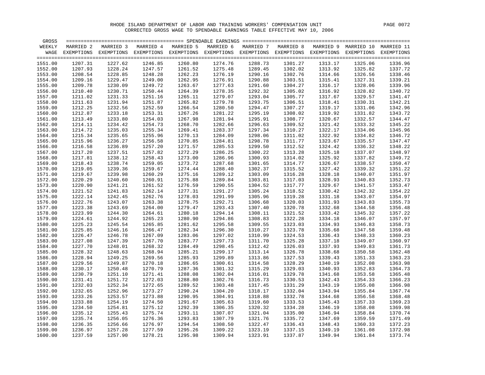| GROSS   |           |                                                                                                               |           |           |           |           |           |         |                                 |         |
|---------|-----------|---------------------------------------------------------------------------------------------------------------|-----------|-----------|-----------|-----------|-----------|---------|---------------------------------|---------|
| WEEKLY  | MARRIED 2 | MARRIED 3                                                                                                     | MARRIED 4 | MARRIED 5 | MARRIED 6 | MARRIED 7 | MARRIED 8 |         | MARRIED 9 MARRIED 10 MARRIED 11 |         |
| WAGE    |           | EXEMPTIONS EXEMPTIONS EXEMPTIONS EXEMPTIONS EXEMPTIONS EXEMPTIONS EXEMPTIONS EXEMPTIONS EXEMPTIONS EXEMPTIONS |           |           |           |           |           |         |                                 |         |
|         |           |                                                                                                               |           |           |           |           |           |         |                                 |         |
| 1551.00 | 1207.31   | 1227.62                                                                                                       | 1246.85   | 1260.80   | 1274.76   | 1288.73   | 1301.27   | 1313.17 | 1325.06                         | 1336.96 |
| 1552.00 | 1207.93   | 1228.24                                                                                                       | 1247.57   | 1261.52   | 1275.48   | 1289.45   | 1302.02   | 1313.92 | 1325.82                         | 1337.72 |
| 1553.00 | 1208.54   | 1228.85                                                                                                       | 1248.28   | 1262.23   | 1276.19   | 1290.16   | 1302.76   | 1314.66 | 1326.56                         | 1338.46 |
| 1554.00 | 1209.16   | 1229.47                                                                                                       | 1249.00   | 1262.95   | 1276.91   | 1290.88   | 1303.51   | 1315.41 | 1327.31                         | 1339.21 |
| 1555.00 | 1209.78   | 1230.09                                                                                                       | 1249.72   | 1263.67   | 1277.63   | 1291.60   | 1304.27   | 1316.17 | 1328.06                         | 1339.96 |
| 1556.00 | 1210.40   | 1230.71                                                                                                       | 1250.44   | 1264.39   | 1278.35   | 1292.32   | 1305.02   | 1316.92 | 1328.82                         | 1340.72 |
| 1557.00 | 1211.02   | 1231.33                                                                                                       | 1251.16   | 1265.11   | 1279.07   | 1293.04   | 1305.77   | 1317.67 | 1329.57                         | 1341.47 |
| 1558.00 | 1211.63   | 1231.94                                                                                                       | 1251.87   | 1265.82   | 1279.78   | 1293.75   | 1306.51   | 1318.41 | 1330.31                         | 1342.21 |
| 1559.00 | 1212.25   | 1232.56                                                                                                       | 1252.59   | 1266.54   | 1280.50   | 1294.47   | 1307.27   | 1319.17 | 1331.06                         | 1342.96 |
| 1560.00 | 1212.87   | 1233.18                                                                                                       | 1253.31   | 1267.26   | 1281.22   | 1295.19   | 1308.02   | 1319.92 | 1331.82                         | 1343.72 |
| 1561.00 | 1213.49   | 1233.80                                                                                                       | 1254.03   | 1267.98   | 1281.94   | 1295.91   | 1308.77   | 1320.67 | 1332.57                         | 1344.47 |
| 1562.00 | 1214.11   | 1234.42                                                                                                       | 1254.73   | 1268.70   | 1282.66   | 1296.63   | 1309.52   | 1321.42 | 1333.32                         | 1345.22 |
| 1563.00 | 1214.72   | 1235.03                                                                                                       | 1255.34   | 1269.41   | 1283.37   | 1297.34   | 1310.27   | 1322.17 | 1334.06                         | 1345.96 |
| 1564.00 | 1215.34   | 1235.65                                                                                                       | 1255.96   | 1270.13   | 1284.09   | 1298.06   | 1311.02   | 1322.92 | 1334.82                         | 1346.72 |
| 1565.00 | 1215.96   | 1236.27                                                                                                       | 1256.58   | 1270.85   | 1284.81   | 1298.78   | 1311.77   | 1323.67 | 1335.57                         | 1347.47 |
| 1566.00 | 1216.58   | 1236.89                                                                                                       | 1257.20   | 1271.57   | 1285.53   | 1299.50   | 1312.52   | 1324.42 | 1336.32                         | 1348.22 |
| 1567.00 | 1217.20   | 1237.51                                                                                                       | 1257.82   | 1272.29   | 1286.25   | 1300.22   | 1313.28   | 1325.18 | 1337.07                         | 1348.97 |
| 1568.00 | 1217.81   | 1238.12                                                                                                       | 1258.43   | 1273.00   | 1286.96   | 1300.93   | 1314.02   | 1325.92 | 1337.82                         | 1349.72 |
| 1569.00 | 1218.43   | 1238.74                                                                                                       | 1259.05   | 1273.72   | 1287.68   | 1301.65   | 1314.77   | 1326.67 | 1338.57                         | 1350.47 |
| 1570.00 | 1219.05   | 1239.36                                                                                                       | 1259.67   | 1274.44   | 1288.40   | 1302.37   | 1315.52   | 1327.42 | 1339.32                         | 1351.22 |
| 1571.00 | 1219.67   | 1239.98                                                                                                       | 1260.29   | 1275.16   | 1289.12   | 1303.09   | 1316.28   | 1328.18 | 1340.07                         | 1351.97 |
| 1572.00 | 1220.29   | 1240.60                                                                                                       | 1260.91   | 1275.88   | 1289.84   | 1303.81   | 1317.03   | 1328.93 | 1340.83                         | 1352.73 |
| 1573.00 | 1220.90   | 1241.21                                                                                                       | 1261.52   | 1276.59   | 1290.55   | 1304.52   | 1317.77   | 1329.67 | 1341.57                         | 1353.47 |
| 1574.00 | 1221.52   | 1241.83                                                                                                       | 1262.14   | 1277.31   | 1291.27   | 1305.24   | 1318.52   | 1330.42 | 1342.32                         | 1354.22 |
| 1575.00 | 1222.14   | 1242.45                                                                                                       | 1262.76   | 1278.03   | 1291.99   | 1305.96   | 1319.28   | 1331.18 | 1343.07                         | 1354.97 |
| 1576.00 | 1222.76   | 1243.07                                                                                                       | 1263.38   | 1278.75   | 1292.71   | 1306.68   | 1320.03   | 1331.93 | 1343.83                         | 1355.73 |
| 1577.00 | 1223.38   | 1243.69                                                                                                       | 1264.00   | 1279.47   | 1293.43   | 1307.40   | 1320.78   | 1332.68 | 1344.58                         | 1356.48 |
| 1578.00 | 1223.99   | 1244.30                                                                                                       | 1264.61   | 1280.18   | 1294.14   | 1308.11   | 1321.52   | 1333.42 | 1345.32                         | 1357.22 |
| 1579.00 | 1224.61   | 1244.92                                                                                                       | 1265.23   | 1280.90   | 1294.86   | 1308.83   | 1322.28   | 1334.18 | 1346.07                         | 1357.97 |
| 1580.00 | 1225.23   | 1245.54                                                                                                       | 1265.85   | 1281.62   | 1295.58   | 1309.55   | 1323.03   | 1334.93 | 1346.83                         | 1358.73 |
| 1581.00 | 1225.85   | 1246.16                                                                                                       | 1266.47   | 1282.34   | 1296.30   | 1310.27   | 1323.78   | 1335.68 | 1347.58                         | 1359.48 |
| 1582.00 | 1226.47   | 1246.78                                                                                                       | 1267.09   | 1283.06   | 1297.02   | 1310.99   | 1324.53   | 1336.43 | 1348.33                         | 1360.23 |
| 1583.00 | 1227.08   | 1247.39                                                                                                       | 1267.70   | 1283.77   | 1297.73   | 1311.70   | 1325.28   | 1337.18 | 1349.07                         | 1360.97 |
| 1584.00 | 1227.70   | 1248.01                                                                                                       | 1268.32   | 1284.49   | 1298.45   | 1312.42   | 1326.03   | 1337.93 | 1349.83                         | 1361.73 |
| 1585.00 | 1228.32   | 1248.63                                                                                                       | 1268.94   | 1285.21   | 1299.17   | 1313.14   | 1326.78   | 1338.68 | 1350.58                         | 1362.48 |
| 1586.00 | 1228.94   | 1249.25                                                                                                       | 1269.56   | 1285.93   | 1299.89   | 1313.86   | 1327.53   | 1339.43 | 1351.33                         | 1363.23 |
| 1587.00 | 1229.56   | 1249.87                                                                                                       | 1270.18   | 1286.65   | 1300.61   | 1314.58   | 1328.29   | 1340.19 | 1352.08                         | 1363.98 |
| 1588.00 | 1230.17   | 1250.48                                                                                                       | 1270.79   | 1287.36   | 1301.32   | 1315.29   | 1329.03   | 1340.93 | 1352.83                         | 1364.73 |
| 1589.00 | 1230.79   | 1251.10                                                                                                       | 1271.41   | 1288.08   | 1302.04   | 1316.01   | 1329.78   | 1341.68 | 1353.58                         | 1365.48 |
| 1590.00 | 1231.41   | 1251.72                                                                                                       | 1272.03   | 1288.80   | 1302.76   | 1316.73   | 1330.53   | 1342.43 | 1354.33                         | 1366.23 |
| 1591.00 | 1232.03   | 1252.34                                                                                                       | 1272.65   | 1289.52   | 1303.48   | 1317.45   | 1331.29   | 1343.19 | 1355.08                         | 1366.98 |
| 1592.00 | 1232.65   | 1252.96                                                                                                       | 1273.27   | 1290.24   | 1304.20   | 1318.17   | 1332.04   | 1343.94 | 1355.84                         | 1367.74 |
| 1593.00 | 1233.26   | 1253.57                                                                                                       | 1273.88   | 1290.95   | 1304.91   | 1318.88   | 1332.78   | 1344.68 | 1356.58                         | 1368.48 |
| 1594.00 | 1233.88   | 1254.19                                                                                                       | 1274.50   | 1291.67   | 1305.63   | 1319.60   | 1333.53   | 1345.43 | 1357.33                         | 1369.23 |
| 1595.00 | 1234.50   | 1254.81                                                                                                       | 1275.12   | 1292.39   | 1306.35   | 1320.32   | 1334.28   | 1346.19 | 1358.08                         | 1369.98 |
| 1596.00 | 1235.12   | 1255.43                                                                                                       | 1275.74   | 1293.11   | 1307.07   | 1321.04   | 1335.00   | 1346.94 | 1358.84                         | 1370.74 |
| 1597.00 | 1235.74   | 1256.05                                                                                                       | 1276.36   | 1293.83   | 1307.79   | 1321.76   | 1335.72   | 1347.69 | 1359.59                         | 1371.49 |
| 1598.00 | 1236.35   | 1256.66                                                                                                       | 1276.97   | 1294.54   | 1308.50   | 1322.47   | 1336.43   | 1348.43 | 1360.33                         | 1372.23 |
| 1599.00 | 1236.97   | 1257.28                                                                                                       | 1277.59   | 1295.26   | 1309.22   | 1323.19   | 1337.15   | 1349.19 | 1361.08                         | 1372.98 |
| 1600.00 | 1237.59   | 1257.90                                                                                                       | 1278.21   | 1295.98   | 1309.94   | 1323.91   | 1337.87   | 1349.94 | 1361.84                         | 1373.74 |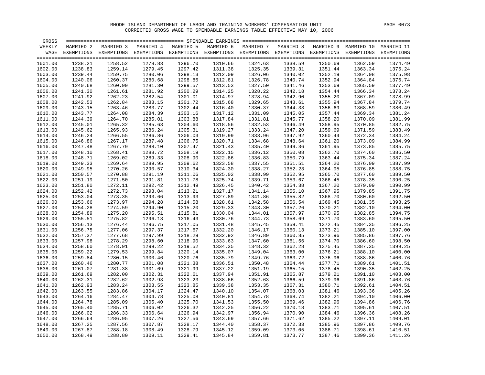| GROSS   |           |                                                                                                               |           |           |           |           |           |         |                                 |         |
|---------|-----------|---------------------------------------------------------------------------------------------------------------|-----------|-----------|-----------|-----------|-----------|---------|---------------------------------|---------|
| WEEKLY  | MARRIED 2 | MARRIED 3                                                                                                     | MARRIED 4 | MARRIED 5 | MARRIED 6 | MARRIED 7 | MARRIED 8 |         | MARRIED 9 MARRIED 10 MARRIED 11 |         |
| WAGE    |           | EXEMPTIONS EXEMPTIONS EXEMPTIONS EXEMPTIONS EXEMPTIONS EXEMPTIONS EXEMPTIONS EXEMPTIONS EXEMPTIONS EXEMPTIONS |           |           |           |           |           |         |                                 |         |
|         |           |                                                                                                               |           |           |           |           |           |         |                                 |         |
| 1601.00 | 1238.21   | 1258.52                                                                                                       | 1278.83   | 1296.70   | 1310.66   | 1324.63   | 1338.59   | 1350.69 | 1362.59                         | 1374.49 |
| 1602.00 | 1238.83   | 1259.14                                                                                                       | 1279.45   | 1297.42   | 1311.38   | 1325.35   | 1339.31   | 1351.44 | 1363.34                         | 1375.24 |
| 1603.00 | 1239.44   | 1259.75                                                                                                       | 1280.06   | 1298.13   | 1312.09   | 1326.06   | 1340.02   | 1352.19 | 1364.08                         | 1375.98 |
| 1604.00 | 1240.06   | 1260.37                                                                                                       | 1280.68   | 1298.85   | 1312.81   | 1326.78   | 1340.74   | 1352.94 | 1364.84                         | 1376.74 |
| 1605.00 | 1240.68   | 1260.99                                                                                                       | 1281.30   | 1299.57   | 1313.53   | 1327.50   | 1341.46   | 1353.69 | 1365.59                         | 1377.49 |
| 1606.00 | 1241.30   | 1261.61                                                                                                       | 1281.92   | 1300.29   | 1314.25   | 1328.22   | 1342.18   | 1354.44 | 1366.34                         | 1378.24 |
| 1607.00 | 1241.92   | 1262.23                                                                                                       | 1282.54   | 1301.01   | 1314.97   | 1328.94   | 1342.90   | 1355.20 | 1367.09                         | 1378.99 |
| 1608.00 | 1242.53   | 1262.84                                                                                                       | 1283.15   | 1301.72   | 1315.68   | 1329.65   | 1343.61   | 1355.94 | 1367.84                         | 1379.74 |
| 1609.00 | 1243.15   | 1263.46                                                                                                       | 1283.77   | 1302.44   | 1316.40   | 1330.37   | 1344.33   | 1356.69 | 1368.59                         | 1380.49 |
| 1610.00 | 1243.77   | 1264.08                                                                                                       | 1284.39   | 1303.16   | 1317.12   | 1331.09   | 1345.05   | 1357.44 | 1369.34                         | 1381.24 |
| 1611.00 | 1244.39   | 1264.70                                                                                                       | 1285.01   | 1303.88   | 1317.84   | 1331.81   | 1345.77   | 1358.20 | 1370.09                         | 1381.99 |
| 1612.00 | 1245.01   | 1265.32                                                                                                       | 1285.63   | 1304.60   | 1318.56   | 1332.53   | 1346.49   | 1358.95 | 1370.85                         | 1382.75 |
| 1613.00 | 1245.62   | 1265.93                                                                                                       | 1286.24   | 1305.31   | 1319.27   | 1333.24   | 1347.20   | 1359.69 | 1371.59                         | 1383.49 |
| 1614.00 | 1246.24   | 1266.55                                                                                                       | 1286.86   | 1306.03   | 1319.99   | 1333.96   | 1347.92   | 1360.44 | 1372.34                         | 1384.24 |
| 1615.00 | 1246.86   | 1267.17                                                                                                       | 1287.48   | 1306.75   | 1320.71   | 1334.68   | 1348.64   | 1361.20 | 1373.09                         | 1384.99 |
| 1616.00 | 1247.48   | 1267.79                                                                                                       | 1288.10   | 1307.47   | 1321.43   | 1335.40   | 1349.36   | 1361.95 | 1373.85                         | 1385.75 |
| 1617.00 | 1248.10   | 1268.41                                                                                                       | 1288.72   | 1308.19   | 1322.15   | 1336.12   | 1350.08   | 1362.70 | 1374.60                         | 1386.50 |
| 1618.00 | 1248.71   | 1269.02                                                                                                       | 1289.33   | 1308.90   | 1322.86   | 1336.83   | 1350.79   | 1363.44 | 1375.34                         | 1387.24 |
| 1619.00 | 1249.33   | 1269.64                                                                                                       | 1289.95   | 1309.62   | 1323.58   | 1337.55   | 1351.51   | 1364.20 | 1376.09                         | 1387.99 |
| 1620.00 | 1249.95   | 1270.26                                                                                                       | 1290.57   | 1310.34   | 1324.30   | 1338.27   | 1352.23   | 1364.95 | 1376.85                         | 1388.75 |
| 1621.00 | 1250.57   | 1270.88                                                                                                       | 1291.19   | 1311.06   | 1325.02   | 1338.99   | 1352.95   | 1365.70 | 1377.60                         | 1389.50 |
| 1622.00 | 1251.19   | 1271.50                                                                                                       | 1291.81   | 1311.78   | 1325.74   | 1339.71   | 1353.67   | 1366.45 | 1378.35                         | 1390.25 |
| 1623.00 | 1251.80   | 1272.11                                                                                                       | 1292.42   | 1312.49   | 1326.45   | 1340.42   | 1354.38   | 1367.20 | 1379.09                         | 1390.99 |
| 1624.00 | 1252.42   | 1272.73                                                                                                       | 1293.04   | 1313.21   | 1327.17   | 1341.14   | 1355.10   | 1367.95 | 1379.85                         | 1391.75 |
| 1625.00 | 1253.04   | 1273.35                                                                                                       | 1293.66   | 1313.93   | 1327.89   | 1341.86   | 1355.82   | 1368.70 | 1380.60                         | 1392.50 |
| 1626.00 | 1253.66   | 1273.97                                                                                                       | 1294.28   | 1314.58   | 1328.61   | 1342.58   | 1356.54   | 1369.45 | 1381.35                         | 1393.25 |
| 1627.00 | 1254.28   | 1274.59                                                                                                       | 1294.90   | 1315.20   | 1329.33   | 1343.30   | 1357.26   | 1370.21 | 1382.10                         | 1394.00 |
| 1628.00 | 1254.89   | 1275.20                                                                                                       | 1295.51   | 1315.81   | 1330.04   | 1344.01   | 1357.97   | 1370.95 | 1382.85                         | 1394.75 |
| 1629.00 | 1255.51   | 1275.82                                                                                                       | 1296.13   | 1316.43   | 1330.76   | 1344.73   | 1358.69   | 1371.70 | 1383.60                         | 1395.50 |
| 1630.00 | 1256.13   | 1276.44                                                                                                       | 1296.75   | 1317.05   | 1331.48   | 1345.45   | 1359.41   | 1372.45 | 1384.35                         | 1396.25 |
| 1631.00 | 1256.75   | 1277.06                                                                                                       | 1297.37   | 1317.67   | 1332.20   | 1346.17   | 1360.13   | 1373.21 | 1385.10                         | 1397.00 |
| 1632.00 | 1257.37   | 1277.68                                                                                                       | 1297.99   | 1318.29   | 1332.92   | 1346.89   | 1360.85   | 1373.96 | 1385.86                         | 1397.76 |
| 1633.00 | 1257.98   | 1278.29                                                                                                       | 1298.60   | 1318.90   | 1333.63   | 1347.60   | 1361.56   | 1374.70 | 1386.60                         | 1398.50 |
| 1634.00 | 1258.60   | 1278.91                                                                                                       | 1299.22   | 1319.52   | 1334.35   | 1348.32   | 1362.28   | 1375.45 | 1387.35                         | 1399.25 |
| 1635.00 | 1259.22   | 1279.53                                                                                                       | 1299.84   | 1320.14   | 1335.07   | 1349.04   | 1363.00   | 1376.21 | 1388.10                         | 1400.00 |
| 1636.00 | 1259.84   | 1280.15                                                                                                       | 1300.46   | 1320.76   | 1335.79   | 1349.76   | 1363.72   | 1376.96 | 1388.86                         | 1400.76 |
| 1637.00 | 1260.46   | 1280.77                                                                                                       | 1301.08   | 1321.38   | 1336.51   | 1350.48   | 1364.44   | 1377.71 | 1389.61                         | 1401.51 |
| 1638.00 | 1261.07   | 1281.38                                                                                                       | 1301.69   | 1321.99   | 1337.22   | 1351.19   | 1365.15   | 1378.45 | 1390.35                         | 1402.25 |
| 1639.00 | 1261.69   | 1282.00                                                                                                       | 1302.31   | 1322.61   | 1337.94   | 1351.91   | 1365.87   | 1379.21 | 1391.10                         | 1403.00 |
| 1640.00 | 1262.31   | 1282.62                                                                                                       | 1302.93   | 1323.23   | 1338.66   | 1352.63   | 1366.59   | 1379.96 | 1391.86                         | 1403.76 |
| 1641.00 | 1262.93   | 1283.24                                                                                                       | 1303.55   | 1323.85   | 1339.38   | 1353.35   | 1367.31   | 1380.71 | 1392.61                         | 1404.51 |
| 1642.00 | 1263.55   | 1283.86                                                                                                       | 1304.17   | 1324.47   | 1340.10   | 1354.07   | 1368.03   | 1381.46 | 1393.36                         | 1405.26 |
| 1643.00 | 1264.16   | 1284.47                                                                                                       | 1304.78   | 1325.08   | 1340.81   | 1354.78   | 1368.74   | 1382.21 | 1394.10                         | 1406.00 |
| 1644.00 | 1264.78   | 1285.09                                                                                                       | 1305.40   | 1325.70   | 1341.53   | 1355.50   | 1369.46   | 1382.96 | 1394.86                         | 1406.76 |
| 1645.00 | 1265.40   | 1285.71                                                                                                       | 1306.02   | 1326.32   | 1342.25   | 1356.22   | 1370.18   | 1383.71 | 1395.61                         | 1407.51 |
| 1646.00 | 1266.02   | 1286.33                                                                                                       | 1306.64   | 1326.94   | 1342.97   | 1356.94   | 1370.90   | 1384.46 | 1396.36                         | 1408.26 |
| 1647.00 | 1266.64   | 1286.95                                                                                                       | 1307.26   | 1327.56   | 1343.69   | 1357.66   | 1371.62   | 1385.22 | 1397.11                         | 1409.01 |
| 1648.00 | 1267.25   | 1287.56                                                                                                       | 1307.87   | 1328.17   | 1344.40   | 1358.37   | 1372.33   | 1385.96 | 1397.86                         | 1409.76 |
| 1649.00 | 1267.87   | 1288.18                                                                                                       | 1308.49   | 1328.79   | 1345.12   | 1359.09   | 1373.05   | 1386.71 | 1398.61                         | 1410.51 |
| 1650.00 | 1268.49   | 1288.80                                                                                                       | 1309.11   | 1329.41   | 1345.84   | 1359.81   | 1373.77   | 1387.46 | 1399.36                         | 1411.26 |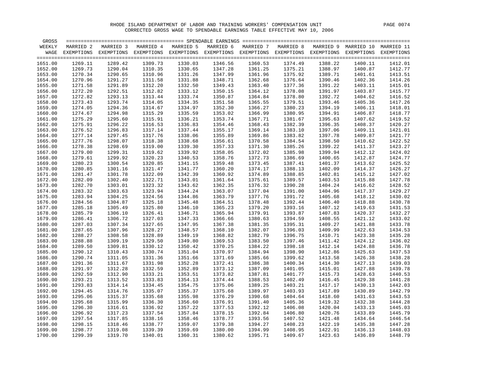| GROSS   |           |                                                                                                               |           |           |           |           |           |         |                                 |         |
|---------|-----------|---------------------------------------------------------------------------------------------------------------|-----------|-----------|-----------|-----------|-----------|---------|---------------------------------|---------|
| WEEKLY  | MARRIED 2 | MARRIED 3                                                                                                     | MARRIED 4 | MARRIED 5 | MARRIED 6 | MARRIED 7 | MARRIED 8 |         | MARRIED 9 MARRIED 10 MARRIED 11 |         |
| WAGE    |           | EXEMPTIONS EXEMPTIONS EXEMPTIONS EXEMPTIONS EXEMPTIONS EXEMPTIONS EXEMPTIONS EXEMPTIONS EXEMPTIONS EXEMPTIONS |           |           |           |           |           |         |                                 |         |
|         |           |                                                                                                               |           |           |           |           |           |         |                                 |         |
| 1651.00 | 1269.11   | 1289.42                                                                                                       | 1309.73   | 1330.03   | 1346.56   | 1360.53   | 1374.49   | 1388.22 | 1400.11                         | 1412.01 |
| 1652.00 | 1269.73   | 1290.04                                                                                                       | 1310.35   | 1330.65   | 1347.28   | 1361.25   | 1375.21   | 1388.97 | 1400.87                         | 1412.77 |
| 1653.00 | 1270.34   | 1290.65                                                                                                       | 1310.96   | 1331.26   | 1347.99   | 1361.96   | 1375.92   | 1389.71 | 1401.61                         | 1413.51 |
| 1654.00 | 1270.96   | 1291.27                                                                                                       | 1311.58   | 1331.88   | 1348.71   | 1362.68   | 1376.64   | 1390.46 | 1402.36                         | 1414.26 |
| 1655.00 | 1271.58   | 1291.89                                                                                                       | 1312.20   | 1332.50   | 1349.43   | 1363.40   | 1377.36   | 1391.22 | 1403.11                         | 1415.01 |
| 1656.00 | 1272.20   | 1292.51                                                                                                       | 1312.82   | 1333.12   | 1350.15   | 1364.12   | 1378.08   | 1391.97 | 1403.87                         | 1415.77 |
| 1657.00 | 1272.82   | 1293.13                                                                                                       | 1313.44   | 1333.74   | 1350.87   | 1364.84   | 1378.80   | 1392.72 | 1404.62                         | 1416.52 |
| 1658.00 | 1273.43   | 1293.74                                                                                                       | 1314.05   | 1334.35   | 1351.58   | 1365.55   | 1379.51   | 1393.46 | 1405.36                         | 1417.26 |
| 1659.00 | 1274.05   | 1294.36                                                                                                       | 1314.67   | 1334.97   | 1352.30   | 1366.27   | 1380.23   | 1394.19 | 1406.11                         | 1418.01 |
| 1660.00 | 1274.67   | 1294.98                                                                                                       | 1315.29   | 1335.59   | 1353.02   | 1366.99   | 1380.95   | 1394.91 | 1406.87                         | 1418.77 |
| 1661.00 | 1275.29   | 1295.60                                                                                                       | 1315.91   | 1336.21   | 1353.74   | 1367.71   | 1381.67   | 1395.63 | 1407.62                         | 1419.52 |
| 1662.00 | 1275.91   | 1296.22                                                                                                       | 1316.53   | 1336.83   | 1354.46   | 1368.43   | 1382.39   | 1396.35 | 1408.37                         | 1420.27 |
| 1663.00 | 1276.52   | 1296.83                                                                                                       | 1317.14   | 1337.44   | 1355.17   | 1369.14   | 1383.10   | 1397.06 | 1409.11                         | 1421.01 |
| 1664.00 | 1277.14   | 1297.45                                                                                                       | 1317.76   | 1338.06   | 1355.89   | 1369.86   | 1383.82   | 1397.78 | 1409.87                         | 1421.77 |
| 1665.00 | 1277.76   | 1298.07                                                                                                       | 1318.38   | 1338.68   | 1356.61   | 1370.58   | 1384.54   | 1398.50 | 1410.62                         | 1422.52 |
| 1666.00 | 1278.38   | 1298.69                                                                                                       | 1319.00   | 1339.30   | 1357.33   | 1371.30   | 1385.26   | 1399.22 | 1411.37                         | 1423.27 |
| 1667.00 | 1279.00   | 1299.31                                                                                                       | 1319.62   | 1339.92   | 1358.05   | 1372.02   | 1385.98   | 1399.94 | 1412.12                         | 1424.02 |
| 1668.00 | 1279.61   | 1299.92                                                                                                       | 1320.23   | 1340.53   | 1358.76   | 1372.73   | 1386.69   | 1400.65 | 1412.87                         | 1424.77 |
| 1669.00 | 1280.23   | 1300.54                                                                                                       | 1320.85   | 1341.15   | 1359.48   | 1373.45   | 1387.41   | 1401.37 | 1413.62                         | 1425.52 |
| 1670.00 | 1280.85   | 1301.16                                                                                                       | 1321.47   | 1341.77   | 1360.20   | 1374.17   | 1388.13   | 1402.09 | 1414.37                         | 1426.27 |
| 1671.00 | 1281.47   | 1301.78                                                                                                       | 1322.09   | 1342.39   | 1360.92   | 1374.89   | 1388.85   | 1402.81 | 1415.12                         | 1427.02 |
| 1672.00 | 1282.09   | 1302.40                                                                                                       | 1322.71   | 1343.01   | 1361.64   | 1375.61   | 1389.57   | 1403.53 | 1415.88                         | 1427.78 |
| 1673.00 | 1282.70   | 1303.01                                                                                                       | 1323.32   | 1343.62   | 1362.35   | 1376.32   | 1390.28   | 1404.24 | 1416.62                         | 1428.52 |
| 1674.00 | 1283.32   | 1303.63                                                                                                       | 1323.94   | 1344.24   | 1363.07   | 1377.04   | 1391.00   | 1404.96 | 1417.37                         | 1429.27 |
| 1675.00 | 1283.94   | 1304.25                                                                                                       | 1324.56   | 1344.86   | 1363.79   | 1377.76   | 1391.72   | 1405.68 | 1418.12                         | 1430.02 |
| 1676.00 | 1284.56   | 1304.87                                                                                                       | 1325.18   | 1345.48   | 1364.51   | 1378.48   | 1392.44   | 1406.40 | 1418.88                         | 1430.78 |
| 1677.00 | 1285.18   | 1305.49                                                                                                       | 1325.80   | 1346.10   | 1365.23   | 1379.20   | 1393.16   | 1407.12 | 1419.63                         | 1431.53 |
| 1678.00 | 1285.79   | 1306.10                                                                                                       | 1326.41   | 1346.71   | 1365.94   | 1379.91   | 1393.87   | 1407.83 | 1420.37                         | 1432.27 |
| 1679.00 | 1286.41   | 1306.72                                                                                                       | 1327.03   | 1347.33   | 1366.66   | 1380.63   | 1394.59   | 1408.55 | 1421.12                         | 1433.02 |
| 1680.00 | 1287.03   | 1307.34                                                                                                       | 1327.65   | 1347.95   | 1367.38   | 1381.35   | 1395.31   | 1409.27 | 1421.88                         | 1433.78 |
| 1681.00 | 1287.65   | 1307.96                                                                                                       | 1328.27   | 1348.57   | 1368.10   | 1382.07   | 1396.03   | 1409.99 | 1422.63                         | 1434.53 |
| 1682.00 | 1288.27   | 1308.58                                                                                                       | 1328.89   | 1349.19   | 1368.82   | 1382.79   | 1396.75   | 1410.71 | 1423.38                         | 1435.28 |
| 1683.00 | 1288.88   | 1309.19                                                                                                       | 1329.50   | 1349.80   | 1369.53   | 1383.50   | 1397.46   | 1411.42 | 1424.12                         | 1436.02 |
| 1684.00 | 1289.50   | 1309.81                                                                                                       | 1330.12   | 1350.42   | 1370.25   | 1384.22   | 1398.18   | 1412.14 | 1424.88                         | 1436.78 |
| 1685.00 | 1290.12   | 1310.43                                                                                                       | 1330.74   | 1351.04   | 1370.97   | 1384.94   | 1398.90   | 1412.86 | 1425.63                         | 1437.53 |
| 1686.00 | 1290.74   | 1311.05                                                                                                       | 1331.36   | 1351.66   | 1371.69   | 1385.66   | 1399.62   | 1413.58 | 1426.38                         | 1438.28 |
| 1687.00 | 1291.36   | 1311.67                                                                                                       | 1331.98   | 1352.28   | 1372.41   | 1386.38   | 1400.34   | 1414.30 | 1427.13                         | 1439.03 |
| 1688.00 | 1291.97   | 1312.28                                                                                                       | 1332.59   | 1352.89   | 1373.12   | 1387.09   | 1401.05   | 1415.01 | 1427.88                         | 1439.78 |
| 1689.00 | 1292.59   | 1312.90                                                                                                       | 1333.21   | 1353.51   | 1373.82   | 1387.81   | 1401.77   | 1415.73 | 1428.63                         | 1440.53 |
| 1690.00 | 1293.21   | 1313.52                                                                                                       | 1333.83   | 1354.13   | 1374.44   | 1388.53   | 1402.49   | 1416.45 | 1429.38                         | 1441.28 |
| 1691.00 | 1293.83   | 1314.14                                                                                                       | 1334.45   | 1354.75   | 1375.06   | 1389.25   | 1403.21   | 1417.17 | 1430.13                         | 1442.03 |
| 1692.00 | 1294.45   | 1314.76                                                                                                       | 1335.07   | 1355.37   | 1375.68   | 1389.97   | 1403.93   | 1417.89 | 1430.89                         | 1442.79 |
| 1693.00 | 1295.06   | 1315.37                                                                                                       | 1335.68   | 1355.98   | 1376.29   | 1390.68   | 1404.64   | 1418.60 | 1431.63                         | 1443.53 |
| 1694.00 | 1295.68   | 1315.99                                                                                                       | 1336.30   | 1356.60   | 1376.91   | 1391.40   | 1405.36   | 1419.32 | 1432.38                         | 1444.28 |
| 1695.00 | 1296.30   | 1316.61                                                                                                       | 1336.92   | 1357.22   | 1377.53   | 1392.12   | 1406.08   | 1420.04 | 1433.13                         | 1445.03 |
| 1696.00 | 1296.92   | 1317.23                                                                                                       | 1337.54   | 1357.84   | 1378.15   | 1392.84   | 1406.80   | 1420.76 | 1433.89                         | 1445.79 |
| 1697.00 | 1297.54   | 1317.85                                                                                                       | 1338.16   | 1358.46   | 1378.77   | 1393.56   | 1407.52   | 1421.48 | 1434.64                         | 1446.54 |
| 1698.00 | 1298.15   | 1318.46                                                                                                       | 1338.77   | 1359.07   | 1379.38   | 1394.27   | 1408.23   | 1422.19 | 1435.38                         | 1447.28 |
| 1699.00 | 1298.77   | 1319.08                                                                                                       | 1339.39   | 1359.69   | 1380.00   | 1394.99   | 1408.95   | 1422.91 | 1436.13                         | 1448.03 |
| 1700.00 | 1299.39   | 1319.70                                                                                                       | 1340.01   | 1360.31   | 1380.62   | 1395.71   | 1409.67   | 1423.63 | 1436.89                         | 1448.79 |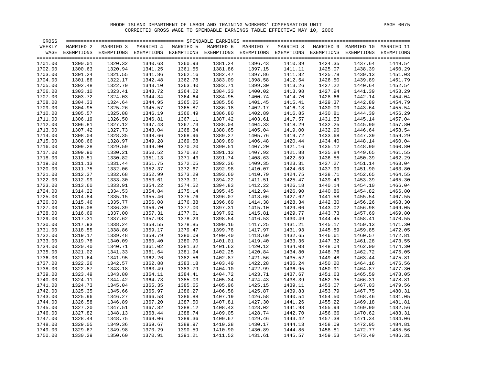| GROSS   |           |                                                                                                               |           |           |           |           |           |         |                                 |         |
|---------|-----------|---------------------------------------------------------------------------------------------------------------|-----------|-----------|-----------|-----------|-----------|---------|---------------------------------|---------|
| WEEKLY  | MARRIED 2 | MARRIED 3                                                                                                     | MARRIED 4 | MARRIED 5 | MARRIED 6 | MARRIED 7 | MARRIED 8 |         | MARRIED 9 MARRIED 10 MARRIED 11 |         |
| WAGE    |           | EXEMPTIONS EXEMPTIONS EXEMPTIONS EXEMPTIONS EXEMPTIONS EXEMPTIONS EXEMPTIONS EXEMPTIONS EXEMPTIONS EXEMPTIONS |           |           |           |           |           |         |                                 |         |
|         |           |                                                                                                               |           |           |           |           |           |         |                                 |         |
| 1701.00 | 1300.01   | 1320.32                                                                                                       | 1340.63   | 1360.93   | 1381.24   | 1396.43   | 1410.39   | 1424.35 | 1437.64                         | 1449.54 |
| 1702.00 | 1300.63   | 1320.94                                                                                                       | 1341.25   | 1361.55   | 1381.86   | 1397.15   | 1411.11   | 1425.07 | 1438.39                         | 1450.29 |
| 1703.00 | 1301.24   | 1321.55                                                                                                       | 1341.86   | 1362.16   | 1382.47   | 1397.86   | 1411.82   | 1425.78 | 1439.13                         | 1451.03 |
| 1704.00 | 1301.86   | 1322.17                                                                                                       | 1342.48   | 1362.78   | 1383.09   | 1398.58   | 1412.54   | 1426.50 | 1439.89                         | 1451.79 |
| 1705.00 | 1302.48   | 1322.79                                                                                                       | 1343.10   | 1363.40   | 1383.71   | 1399.30   | 1413.26   | 1427.22 | 1440.64                         | 1452.54 |
| 1706.00 | 1303.10   | 1323.41                                                                                                       | 1343.72   | 1364.02   | 1384.33   | 1400.02   | 1413.98   | 1427.94 | 1441.39                         | 1453.29 |
| 1707.00 | 1303.72   | 1324.03                                                                                                       | 1344.34   | 1364.64   | 1384.95   | 1400.74   | 1414.70   | 1428.66 | 1442.14                         | 1454.04 |
| 1708.00 | 1304.33   | 1324.64                                                                                                       | 1344.95   | 1365.25   | 1385.56   | 1401.45   | 1415.41   | 1429.37 | 1442.89                         | 1454.79 |
| 1709.00 | 1304.95   | 1325.26                                                                                                       | 1345.57   | 1365.87   | 1386.18   | 1402.17   | 1416.13   | 1430.09 | 1443.64                         | 1455.54 |
| 1710.00 | 1305.57   | 1325.88                                                                                                       | 1346.19   | 1366.49   | 1386.80   | 1402.89   | 1416.85   | 1430.81 | 1444.39                         | 1456.29 |
| 1711.00 | 1306.19   | 1326.50                                                                                                       | 1346.81   | 1367.11   | 1387.42   | 1403.61   | 1417.57   | 1431.53 | 1445.14                         | 1457.04 |
| 1712.00 | 1306.81   | 1327.12                                                                                                       | 1347.43   | 1367.73   | 1388.04   | 1404.33   | 1418.29   | 1432.25 | 1445.90                         | 1457.80 |
| 1713.00 | 1307.42   | 1327.73                                                                                                       | 1348.04   | 1368.34   | 1388.65   | 1405.04   | 1419.00   | 1432.96 | 1446.64                         | 1458.54 |
| 1714.00 | 1308.04   | 1328.35                                                                                                       | 1348.66   | 1368.96   | 1389.27   | 1405.76   | 1419.72   | 1433.68 | 1447.39                         | 1459.29 |
| 1715.00 | 1308.66   | 1328.97                                                                                                       | 1349.28   | 1369.58   | 1389.89   | 1406.48   | 1420.44   | 1434.40 | 1448.14                         | 1460.04 |
| 1716.00 | 1309.28   | 1329.59                                                                                                       | 1349.90   | 1370.20   | 1390.51   | 1407.20   | 1421.16   | 1435.12 | 1448.90                         | 1460.80 |
| 1717.00 | 1309.90   | 1330.21                                                                                                       | 1350.52   | 1370.82   | 1391.13   | 1407.92   | 1421.88   | 1435.84 | 1449.65                         | 1461.55 |
| 1718.00 | 1310.51   | 1330.82                                                                                                       | 1351.13   | 1371.43   | 1391.74   | 1408.63   | 1422.59   | 1436.55 | 1450.39                         | 1462.29 |
| 1719.00 | 1311.13   | 1331.44                                                                                                       | 1351.75   | 1372.05   | 1392.36   | 1409.35   | 1423.31   | 1437.27 | 1451.14                         | 1463.04 |
| 1720.00 | 1311.75   | 1332.06                                                                                                       | 1352.37   | 1372.67   | 1392.98   | 1410.07   | 1424.03   | 1437.99 | 1451.90                         | 1463.80 |
| 1721.00 | 1312.37   | 1332.68                                                                                                       | 1352.99   | 1373.29   | 1393.60   | 1410.79   | 1424.75   | 1438.71 | 1452.65                         | 1464.55 |
| 1722.00 | 1312.99   | 1333.30                                                                                                       | 1353.61   | 1373.91   | 1394.22   | 1411.51   | 1425.47   | 1439.43 | 1453.39                         | 1465.30 |
| 1723.00 | 1313.60   | 1333.91                                                                                                       | 1354.22   | 1374.52   | 1394.83   | 1412.22   | 1426.18   | 1440.14 | 1454.10                         | 1466.04 |
| 1724.00 | 1314.22   | 1334.53                                                                                                       | 1354.84   | 1375.14   | 1395.45   | 1412.94   | 1426.90   | 1440.86 | 1454.82                         | 1466.80 |
| 1725.00 | 1314.84   | 1335.15                                                                                                       | 1355.46   | 1375.76   | 1396.07   | 1413.66   | 1427.62   | 1441.58 | 1455.54                         | 1467.55 |
| 1726.00 | 1315.46   | 1335.77                                                                                                       | 1356.08   | 1376.38   | 1396.69   | 1414.38   | 1428.34   | 1442.30 | 1456.26                         | 1468.30 |
| 1727.00 | 1316.08   | 1336.39                                                                                                       | 1356.70   | 1377.00   | 1397.31   | 1415.10   | 1429.06   | 1443.02 | 1456.98                         | 1469.05 |
| 1728.00 | 1316.69   | 1337.00                                                                                                       | 1357.31   | 1377.61   | 1397.92   | 1415.81   | 1429.77   | 1443.73 | 1457.69                         | 1469.80 |
| 1729.00 | 1317.31   | 1337.62                                                                                                       | 1357.93   | 1378.23   | 1398.54   | 1416.53   | 1430.49   | 1444.45 | 1458.41                         | 1470.55 |
| 1730.00 | 1317.93   | 1338.24                                                                                                       | 1358.55   | 1378.85   | 1399.16   | 1417.25   | 1431.21   | 1445.17 | 1459.13                         | 1471.30 |
| 1731.00 | 1318.55   | 1338.86                                                                                                       | 1359.17   | 1379.47   | 1399.78   | 1417.97   | 1431.93   | 1445.89 | 1459.85                         | 1472.05 |
| 1732.00 | 1319.17   | 1339.48                                                                                                       | 1359.79   | 1380.09   | 1400.40   | 1418.69   | 1432.65   | 1446.61 | 1460.57                         | 1472.81 |
| 1733.00 | 1319.78   | 1340.09                                                                                                       | 1360.40   | 1380.70   | 1401.01   | 1419.40   | 1433.36   | 1447.32 | 1461.28                         | 1473.55 |
| 1734.00 | 1320.40   | 1340.71                                                                                                       | 1361.02   | 1381.32   | 1401.63   | 1420.12   | 1434.08   | 1448.04 | 1462.00                         | 1474.30 |
| 1735.00 | 1321.02   | 1341.33                                                                                                       | 1361.64   | 1381.94   | 1402.25   | 1420.84   | 1434.80   | 1448.76 | 1462.72                         | 1475.05 |
| 1736.00 | 1321.64   | 1341.95                                                                                                       | 1362.26   | 1382.56   | 1402.87   | 1421.56   | 1435.52   | 1449.48 | 1463.44                         | 1475.81 |
| 1737.00 | 1322.26   | 1342.57                                                                                                       | 1362.88   | 1383.18   | 1403.49   | 1422.28   | 1436.24   | 1450.20 | 1464.16                         | 1476.56 |
| 1738.00 | 1322.87   | 1343.18                                                                                                       | 1363.49   | 1383.79   | 1404.10   | 1422.99   | 1436.95   | 1450.91 | 1464.87                         | 1477.30 |
| 1739.00 | 1323.49   | 1343.80                                                                                                       | 1364.11   | 1384.41   | 1404.72   | 1423.71   | 1437.67   | 1451.63 | 1465.59                         | 1478.05 |
| 1740.00 | 1324.11   | 1344.42                                                                                                       | 1364.73   | 1385.03   | 1405.34   | 1424.43   | 1438.39   | 1452.35 | 1466.31                         | 1478.81 |
| 1741.00 | 1324.73   | 1345.04                                                                                                       | 1365.35   | 1385.65   | 1405.96   | 1425.15   | 1439.11   | 1453.07 | 1467.03                         | 1479.56 |
| 1742.00 | 1325.35   | 1345.66                                                                                                       | 1365.97   | 1386.27   | 1406.58   | 1425.87   | 1439.83   | 1453.79 | 1467.75                         | 1480.31 |
| 1743.00 | 1325.96   | 1346.27                                                                                                       | 1366.58   | 1386.88   | 1407.19   | 1426.58   | 1440.54   | 1454.50 | 1468.46                         | 1481.05 |
| 1744.00 | 1326.58   | 1346.89                                                                                                       | 1367.20   | 1387.50   | 1407.81   | 1427.30   | 1441.26   | 1455.22 | 1469.18                         | 1481.81 |
| 1745.00 | 1327.20   | 1347.51                                                                                                       | 1367.82   | 1388.12   | 1408.43   | 1428.02   | 1441.98   | 1455.94 | 1469.90                         | 1482.56 |
| 1746.00 | 1327.82   | 1348.13                                                                                                       | 1368.44   | 1388.74   | 1409.05   | 1428.74   | 1442.70   | 1456.66 | 1470.62                         | 1483.31 |
| 1747.00 | 1328.44   | 1348.75                                                                                                       | 1369.06   | 1389.36   | 1409.67   | 1429.46   | 1443.42   | 1457.38 | 1471.34                         | 1484.06 |
| 1748.00 | 1329.05   | 1349.36                                                                                                       | 1369.67   | 1389.97   | 1410.28   | 1430.17   | 1444.13   | 1458.09 | 1472.05                         | 1484.81 |
| 1749.00 | 1329.67   | 1349.98                                                                                                       | 1370.29   | 1390.59   | 1410.90   | 1430.89   | 1444.85   | 1458.81 | 1472.77                         | 1485.56 |
| 1750.00 | 1330.29   | 1350.60                                                                                                       | 1370.91   | 1391.21   | 1411.52   | 1431.61   | 1445.57   | 1459.53 | 1473.49                         | 1486.31 |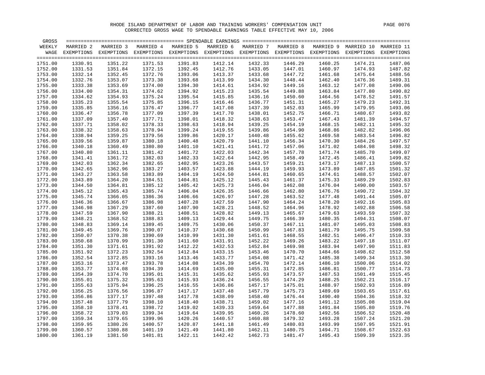| GROSS   |           |                                                                                                    |           |           |           |           |           |         |                                 |            |
|---------|-----------|----------------------------------------------------------------------------------------------------|-----------|-----------|-----------|-----------|-----------|---------|---------------------------------|------------|
| WEEKLY  | MARRIED 2 | MARRIED 3                                                                                          | MARRIED 4 | MARRIED 5 | MARRIED 6 | MARRIED 7 | MARRIED 8 |         | MARRIED 9 MARRIED 10 MARRIED 11 |            |
| WAGE    |           | EXEMPTIONS EXEMPTIONS EXEMPTIONS EXEMPTIONS EXEMPTIONS EXEMPTIONS EXEMPTIONS EXEMPTIONS EXEMPTIONS |           |           |           |           |           |         |                                 | EXEMPTIONS |
|         |           |                                                                                                    |           |           |           |           |           |         |                                 |            |
| 1751.00 | 1330.91   | 1351.22                                                                                            | 1371.53   | 1391.83   | 1412.14   | 1432.33   | 1446.29   | 1460.25 | 1474.21                         | 1487.06    |
| 1752.00 | 1331.53   | 1351.84                                                                                            | 1372.15   | 1392.45   | 1412.76   | 1433.05   | 1447.01   | 1460.97 | 1474.93                         | 1487.82    |
| 1753.00 | 1332.14   | 1352.45                                                                                            | 1372.76   | 1393.06   | 1413.37   | 1433.68   | 1447.72   | 1461.68 | 1475.64                         | 1488.56    |
| 1754.00 | 1332.76   | 1353.07                                                                                            | 1373.38   | 1393.68   | 1413.99   | 1434.30   | 1448.44   | 1462.40 | 1476.36                         | 1489.31    |
| 1755.00 | 1333.38   | 1353.69                                                                                            | 1374.00   | 1394.30   | 1414.61   | 1434.92   | 1449.16   | 1463.12 | 1477.08                         | 1490.06    |
| 1756.00 | 1334.00   | 1354.31                                                                                            | 1374.62   | 1394.92   | 1415.23   | 1435.54   | 1449.88   | 1463.84 | 1477.80                         | 1490.82    |
| 1757.00 | 1334.62   | 1354.93                                                                                            | 1375.24   | 1395.54   | 1415.85   | 1436.16   | 1450.60   | 1464.56 | 1478.52                         | 1491.57    |
| 1758.00 | 1335.23   | 1355.54                                                                                            | 1375.85   | 1396.15   | 1416.46   | 1436.77   | 1451.31   | 1465.27 | 1479.23                         | 1492.31    |
| 1759.00 | 1335.85   | 1356.16                                                                                            | 1376.47   | 1396.77   | 1417.08   | 1437.39   | 1452.03   | 1465.99 | 1479.95                         | 1493.06    |
| 1760.00 | 1336.47   | 1356.78                                                                                            | 1377.09   | 1397.39   | 1417.70   | 1438.01   | 1452.75   | 1466.71 | 1480.67                         | 1493.82    |
| 1761.00 | 1337.09   | 1357.40                                                                                            | 1377.71   | 1398.01   | 1418.32   | 1438.63   | 1453.47   | 1467.43 | 1481.39                         | 1494.57    |
| 1762.00 | 1337.71   | 1358.02                                                                                            | 1378.33   | 1398.63   | 1418.94   | 1439.25   | 1454.19   | 1468.15 | 1482.11                         | 1495.32    |
| 1763.00 | 1338.32   | 1358.63                                                                                            | 1378.94   | 1399.24   | 1419.55   | 1439.86   | 1454.90   | 1468.86 | 1482.82                         | 1496.06    |
| 1764.00 | 1338.94   | 1359.25                                                                                            | 1379.56   | 1399.86   | 1420.17   | 1440.48   | 1455.62   | 1469.58 | 1483.54                         | 1496.82    |
| 1765.00 | 1339.56   | 1359.87                                                                                            | 1380.18   | 1400.48   | 1420.79   | 1441.10   | 1456.34   | 1470.30 | 1484.26                         | 1497.57    |
| 1766.00 | 1340.18   | 1360.49                                                                                            | 1380.80   | 1401.10   | 1421.41   | 1441.72   | 1457.06   | 1471.02 | 1484.98                         | 1498.32    |
| 1767.00 | 1340.80   | 1361.11                                                                                            | 1381.42   | 1401.72   | 1422.03   | 1442.34   | 1457.78   | 1471.74 | 1485.70                         | 1499.07    |
| 1768.00 | 1341.41   | 1361.72                                                                                            | 1382.03   | 1402.33   | 1422.64   | 1442.95   | 1458.49   | 1472.45 | 1486.41                         | 1499.82    |
| 1769.00 | 1342.03   | 1362.34                                                                                            | 1382.65   | 1402.95   | 1423.26   | 1443.57   | 1459.21   | 1473.17 | 1487.13                         | 1500.57    |
| 1770.00 | 1342.65   | 1362.96                                                                                            | 1383.27   | 1403.57   | 1423.88   | 1444.19   | 1459.93   | 1473.89 | 1487.85                         | 1501.32    |
| 1771.00 | 1343.27   | 1363.58                                                                                            | 1383.89   | 1404.19   | 1424.50   | 1444.81   | 1460.65   | 1474.61 | 1488.57                         | 1502.07    |
| 1772.00 | 1343.89   | 1364.20                                                                                            | 1384.51   | 1404.81   | 1425.12   | 1445.43   | 1461.37   | 1475.33 | 1489.29                         | 1502.83    |
| 1773.00 | 1344.50   | 1364.81                                                                                            | 1385.12   | 1405.42   | 1425.73   | 1446.04   | 1462.08   | 1476.04 | 1490.00                         | 1503.57    |
| 1774.00 | 1345.12   | 1365.43                                                                                            | 1385.74   | 1406.04   | 1426.35   | 1446.66   | 1462.80   | 1476.76 | 1490.72                         | 1504.32    |
| 1775.00 | 1345.74   | 1366.05                                                                                            | 1386.36   | 1406.66   | 1426.97   | 1447.28   | 1463.52   | 1477.48 | 1491.44                         | 1505.07    |
| 1776.00 | 1346.36   | 1366.67                                                                                            | 1386.98   | 1407.28   | 1427.59   | 1447.90   | 1464.24   | 1478.20 | 1492.16                         | 1505.83    |
| 1777.00 | 1346.98   | 1367.29                                                                                            | 1387.60   | 1407.90   | 1428.21   | 1448.52   | 1464.96   | 1478.92 | 1492.88                         | 1506.58    |
| 1778.00 | 1347.59   | 1367.90                                                                                            | 1388.21   | 1408.51   | 1428.82   | 1449.13   | 1465.67   | 1479.63 | 1493.59                         | 1507.32    |
| 1779.00 | 1348.21   | 1368.52                                                                                            | 1388.83   | 1409.13   | 1429.44   | 1449.75   | 1466.39   | 1480.35 | 1494.31                         | 1508.07    |
| 1780.00 | 1348.83   | 1369.14                                                                                            | 1389.45   | 1409.75   | 1430.06   | 1450.37   | 1467.11   | 1481.07 | 1495.03                         | 1508.83    |
| 1781.00 | 1349.45   | 1369.76                                                                                            | 1390.07   | 1410.37   | 1430.68   | 1450.99   | 1467.83   | 1481.79 | 1495.75                         | 1509.58    |
| 1782.00 | 1350.07   | 1370.38                                                                                            | 1390.69   | 1410.99   | 1431.30   | 1451.61   | 1468.55   | 1482.51 | 1496.47                         | 1510.33    |
| 1783.00 | 1350.68   | 1370.99                                                                                            | 1391.30   | 1411.60   | 1431.91   | 1452.22   | 1469.26   | 1483.22 | 1497.18                         | 1511.07    |
| 1784.00 | 1351.30   | 1371.61                                                                                            | 1391.92   | 1412.22   | 1432.53   | 1452.84   | 1469.98   | 1483.94 | 1497.90                         | 1511.83    |
| 1785.00 | 1351.92   | 1372.23                                                                                            | 1392.54   | 1412.84   | 1433.15   | 1453.46   | 1470.70   | 1484.66 | 1498.62                         | 1512.58    |
| 1786.00 | 1352.54   | 1372.85                                                                                            | 1393.16   | 1413.46   | 1433.77   | 1454.08   | 1471.42   | 1485.38 | 1499.34                         | 1513.30    |
| 1787.00 | 1353.16   | 1373.47                                                                                            | 1393.78   | 1414.08   | 1434.39   | 1454.70   | 1472.14   | 1486.10 | 1500.06                         | 1514.02    |
| 1788.00 | 1353.77   | 1374.08                                                                                            | 1394.39   | 1414.69   | 1435.00   | 1455.31   | 1472.85   | 1486.81 | 1500.77                         | 1514.73    |
| 1789.00 | 1354.39   | 1374.70                                                                                            | 1395.01   | 1415.31   | 1435.62   | 1455.93   | 1473.57   | 1487.53 | 1501.49                         | 1515.45    |
| 1790.00 | 1355.01   | 1375.32                                                                                            | 1395.63   | 1415.93   | 1436.24   | 1456.55   | 1474.29   | 1488.25 | 1502.21                         | 1516.17    |
| 1791.00 | 1355.63   | 1375.94                                                                                            | 1396.25   | 1416.55   | 1436.86   | 1457.17   | 1475.01   | 1488.97 | 1502.93                         | 1516.89    |
| 1792.00 | 1356.25   | 1376.56                                                                                            | 1396.87   | 1417.17   | 1437.48   | 1457.79   | 1475.73   | 1489.69 | 1503.65                         | 1517.61    |
| 1793.00 | 1356.86   | 1377.17                                                                                            | 1397.48   | 1417.78   | 1438.09   | 1458.40   | 1476.44   | 1490.40 | 1504.36                         | 1518.32    |
| 1794.00 | 1357.48   | 1377.79                                                                                            | 1398.10   | 1418.40   | 1438.71   | 1459.02   | 1477.16   | 1491.12 | 1505.08                         | 1519.04    |
| 1795.00 | 1358.10   | 1378.41                                                                                            | 1398.72   | 1419.02   | 1439.33   | 1459.64   | 1477.88   | 1491.84 | 1505.80                         | 1519.76    |
| 1796.00 | 1358.72   | 1379.03                                                                                            | 1399.34   | 1419.64   | 1439.95   | 1460.26   | 1478.60   | 1492.56 | 1506.52                         | 1520.48    |
| 1797.00 | 1359.34   | 1379.65                                                                                            | 1399.96   | 1420.26   | 1440.57   | 1460.88   | 1479.32   | 1493.28 | 1507.24                         | 1521.20    |
| 1798.00 | 1359.95   | 1380.26                                                                                            | 1400.57   | 1420.87   | 1441.18   | 1461.49   | 1480.03   | 1493.99 | 1507.95                         | 1521.91    |
| 1799.00 | 1360.57   | 1380.88                                                                                            | 1401.19   | 1421.49   | 1441.80   | 1462.11   | 1480.75   | 1494.71 | 1508.67                         | 1522.63    |
| 1800.00 | 1361.19   | 1381.50                                                                                            | 1401.81   | 1422.11   | 1442.42   | 1462.73   | 1481.47   | 1495.43 | 1509.39                         | 1523.35    |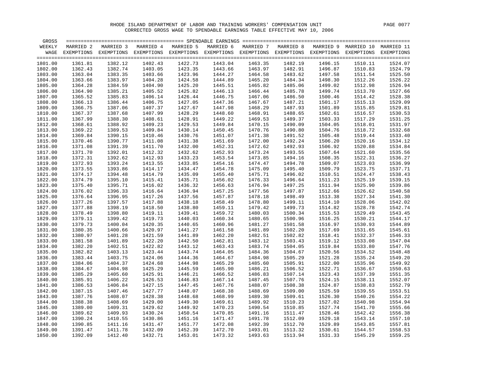| GROSS   |           |                                                                                                               |           |           |           |           |           |         |                                 |         |
|---------|-----------|---------------------------------------------------------------------------------------------------------------|-----------|-----------|-----------|-----------|-----------|---------|---------------------------------|---------|
| WEEKLY  | MARRIED 2 | MARRIED 3                                                                                                     | MARRIED 4 | MARRIED 5 | MARRIED 6 | MARRIED 7 | MARRIED 8 |         | MARRIED 9 MARRIED 10 MARRIED 11 |         |
| WAGE    |           | EXEMPTIONS EXEMPTIONS EXEMPTIONS EXEMPTIONS EXEMPTIONS EXEMPTIONS EXEMPTIONS EXEMPTIONS EXEMPTIONS EXEMPTIONS |           |           |           |           |           |         |                                 |         |
|         |           |                                                                                                               |           |           |           |           |           |         |                                 |         |
| 1801.00 | 1361.81   | 1382.12                                                                                                       | 1402.43   | 1422.73   | 1443.04   | 1463.35   | 1482.19   | 1496.15 | 1510.11                         | 1524.07 |
| 1802.00 | 1362.43   | 1382.74                                                                                                       | 1403.05   | 1423.35   | 1443.66   | 1463.97   | 1482.91   | 1496.87 | 1510.83                         | 1524.79 |
| 1803.00 | 1363.04   | 1383.35                                                                                                       | 1403.66   | 1423.96   | 1444.27   | 1464.58   | 1483.62   | 1497.58 | 1511.54                         | 1525.50 |
| 1804.00 | 1363.66   | 1383.97                                                                                                       | 1404.28   | 1424.58   | 1444.89   | 1465.20   | 1484.34   | 1498.30 | 1512.26                         | 1526.22 |
| 1805.00 | 1364.28   | 1384.59                                                                                                       | 1404.90   | 1425.20   | 1445.51   | 1465.82   | 1485.06   | 1499.02 | 1512.98                         | 1526.94 |
| 1806.00 | 1364.90   | 1385.21                                                                                                       | 1405.52   | 1425.82   | 1446.13   | 1466.44   | 1485.78   | 1499.74 | 1513.70                         | 1527.66 |
| 1807.00 | 1365.52   | 1385.83                                                                                                       | 1406.14   | 1426.44   | 1446.75   | 1467.06   | 1486.50   | 1500.46 | 1514.42                         | 1528.38 |
| 1808.00 | 1366.13   | 1386.44                                                                                                       | 1406.75   | 1427.05   | 1447.36   | 1467.67   | 1487.21   | 1501.17 | 1515.13                         | 1529.09 |
| 1809.00 | 1366.75   | 1387.06                                                                                                       | 1407.37   | 1427.67   | 1447.98   | 1468.29   | 1487.93   | 1501.89 | 1515.85                         | 1529.81 |
| 1810.00 | 1367.37   | 1387.68                                                                                                       | 1407.99   | 1428.29   | 1448.60   | 1468.91   | 1488.65   | 1502.61 | 1516.57                         | 1530.53 |
| 1811.00 | 1367.99   | 1388.30                                                                                                       | 1408.61   | 1428.91   | 1449.22   | 1469.53   | 1489.37   | 1503.33 | 1517.29                         | 1531.25 |
| 1812.00 | 1368.61   | 1388.92                                                                                                       | 1409.23   | 1429.53   | 1449.84   | 1470.15   | 1490.09   | 1504.05 | 1518.01                         | 1531.97 |
| 1813.00 | 1369.22   | 1389.53                                                                                                       | 1409.84   | 1430.14   | 1450.45   | 1470.76   | 1490.80   | 1504.76 | 1518.72                         | 1532.68 |
| 1814.00 | 1369.84   | 1390.15                                                                                                       | 1410.46   | 1430.76   | 1451.07   | 1471.38   | 1491.52   | 1505.48 | 1519.44                         | 1533.40 |
| 1815.00 | 1370.46   | 1390.77                                                                                                       | 1411.08   | 1431.38   | 1451.69   | 1472.00   | 1492.24   | 1506.20 | 1520.16                         | 1534.12 |
| 1816.00 | 1371.08   | 1391.39                                                                                                       | 1411.70   | 1432.00   | 1452.31   | 1472.62   | 1492.93   | 1506.92 | 1520.88                         | 1534.84 |
| 1817.00 | 1371.70   | 1392.01                                                                                                       | 1412.32   | 1432.62   | 1452.93   | 1473.24   | 1493.55   | 1507.64 | 1521.60                         | 1535.56 |
| 1818.00 | 1372.31   | 1392.62                                                                                                       | 1412.93   | 1433.23   | 1453.54   | 1473.85   | 1494.16   | 1508.35 | 1522.31                         | 1536.27 |
| 1819.00 | 1372.93   | 1393.24                                                                                                       | 1413.55   | 1433.85   | 1454.16   | 1474.47   | 1494.78   | 1509.07 | 1523.03                         | 1536.99 |
| 1820.00 | 1373.55   | 1393.86                                                                                                       | 1414.17   | 1434.47   | 1454.78   | 1475.09   | 1495.40   | 1509.79 | 1523.75                         | 1537.71 |
| 1821.00 | 1374.17   | 1394.48                                                                                                       | 1414.79   | 1435.09   | 1455.40   | 1475.71   | 1496.02   | 1510.51 | 1524.47                         | 1538.43 |
| 1822.00 | 1374.79   | 1395.10                                                                                                       | 1415.41   | 1435.71   | 1456.02   | 1476.33   | 1496.64   | 1511.23 | 1525.19                         | 1539.15 |
| 1823.00 | 1375.40   | 1395.71                                                                                                       | 1416.02   | 1436.32   | 1456.63   | 1476.94   | 1497.25   | 1511.94 | 1525.90                         | 1539.86 |
| 1824.00 | 1376.02   | 1396.33                                                                                                       | 1416.64   | 1436.94   | 1457.25   | 1477.56   | 1497.87   | 1512.66 | 1526.62                         | 1540.58 |
| 1825.00 | 1376.64   | 1396.95                                                                                                       | 1417.26   | 1437.56   | 1457.87   | 1478.18   | 1498.49   | 1513.38 | 1527.34                         | 1541.30 |
| 1826.00 | 1377.26   | 1397.57                                                                                                       | 1417.88   | 1438.18   | 1458.49   | 1478.80   | 1499.11   | 1514.10 | 1528.06                         | 1542.02 |
| 1827.00 | 1377.88   | 1398.19                                                                                                       | 1418.50   | 1438.80   | 1459.11   | 1479.42   | 1499.73   | 1514.82 | 1528.78                         | 1542.74 |
| 1828.00 | 1378.49   | 1398.80                                                                                                       | 1419.11   | 1439.41   | 1459.72   | 1480.03   | 1500.34   | 1515.53 | 1529.49                         | 1543.45 |
| 1829.00 | 1379.11   | 1399.42                                                                                                       | 1419.73   | 1440.03   | 1460.34   | 1480.65   | 1500.96   | 1516.25 | 1530.21                         | 1544.17 |
| 1830.00 | 1379.73   | 1400.04                                                                                                       | 1420.35   | 1440.65   | 1460.96   | 1481.27   | 1501.58   | 1516.97 | 1530.93                         | 1544.89 |
| 1831.00 | 1380.35   | 1400.66                                                                                                       | 1420.97   | 1441.27   | 1461.58   | 1481.89   | 1502.20   | 1517.69 | 1531.65                         | 1545.61 |
| 1832.00 | 1380.97   | 1401.28                                                                                                       | 1421.59   | 1441.89   | 1462.20   | 1482.51   | 1502.82   | 1518.41 | 1532.37                         | 1546.33 |
| 1833.00 | 1381.58   | 1401.89                                                                                                       | 1422.20   | 1442.50   | 1462.81   | 1483.12   | 1503.43   | 1519.12 | 1533.08                         | 1547.04 |
| 1834.00 | 1382.20   | 1402.51                                                                                                       | 1422.82   | 1443.12   | 1463.43   | 1483.74   | 1504.05   | 1519.84 | 1533.80                         | 1547.76 |
| 1835.00 | 1382.82   | 1403.13                                                                                                       | 1423.44   | 1443.74   | 1464.05   | 1484.36   | 1504.67   | 1520.56 | 1534.52                         | 1548.48 |
| 1836.00 | 1383.44   | 1403.75                                                                                                       | 1424.06   | 1444.36   | 1464.67   | 1484.98   | 1505.29   | 1521.28 | 1535.24                         | 1549.20 |
| 1837.00 | 1384.06   | 1404.37                                                                                                       | 1424.68   | 1444.98   | 1465.29   | 1485.60   | 1505.91   | 1522.00 | 1535.96                         | 1549.92 |
| 1838.00 | 1384.67   | 1404.98                                                                                                       | 1425.29   | 1445.59   | 1465.90   | 1486.21   | 1506.52   | 1522.71 | 1536.67                         | 1550.63 |
| 1839.00 | 1385.29   | 1405.60                                                                                                       | 1425.91   | 1446.21   | 1466.52   | 1486.83   | 1507.14   | 1523.43 | 1537.39                         | 1551.35 |
| 1840.00 | 1385.91   | 1406.22                                                                                                       | 1426.53   | 1446.83   | 1467.14   | 1487.45   | 1507.76   | 1524.15 | 1538.11                         | 1552.07 |
| 1841.00 | 1386.53   | 1406.84                                                                                                       | 1427.15   | 1447.45   | 1467.76   | 1488.07   | 1508.38   | 1524.87 | 1538.83                         | 1552.79 |
| 1842.00 | 1387.15   | 1407.46                                                                                                       | 1427.77   | 1448.07   | 1468.38   | 1488.69   | 1509.00   | 1525.59 | 1539.55                         | 1553.51 |
| 1843.00 | 1387.76   | 1408.07                                                                                                       | 1428.38   | 1448.68   | 1468.99   | 1489.30   | 1509.61   | 1526.30 | 1540.26                         | 1554.22 |
| 1844.00 | 1388.38   | 1408.69                                                                                                       | 1429.00   | 1449.30   | 1469.61   | 1489.92   | 1510.23   | 1527.02 | 1540.98                         | 1554.94 |
| 1845.00 | 1389.00   | 1409.31                                                                                                       | 1429.62   | 1449.92   | 1470.23   | 1490.54   | 1510.85   | 1527.74 | 1541.70                         | 1555.66 |
| 1846.00 | 1389.62   | 1409.93                                                                                                       | 1430.24   | 1450.54   | 1470.85   | 1491.16   | 1511.47   | 1528.46 | 1542.42                         | 1556.38 |
| 1847.00 | 1390.24   | 1410.55                                                                                                       | 1430.86   | 1451.16   | 1471.47   | 1491.78   | 1512.09   | 1529.18 | 1543.14                         | 1557.10 |
| 1848.00 | 1390.85   | 1411.16                                                                                                       | 1431.47   | 1451.77   | 1472.08   | 1492.39   | 1512.70   | 1529.89 | 1543.85                         | 1557.81 |
| 1849.00 | 1391.47   | 1411.78                                                                                                       | 1432.09   | 1452.39   | 1472.70   | 1493.01   | 1513.32   | 1530.61 | 1544.57                         | 1558.53 |
| 1850.00 | 1392.09   | 1412.40                                                                                                       | 1432.71   | 1453.01   | 1473.32   | 1493.63   | 1513.94   | 1531.33 | 1545.29                         | 1559.25 |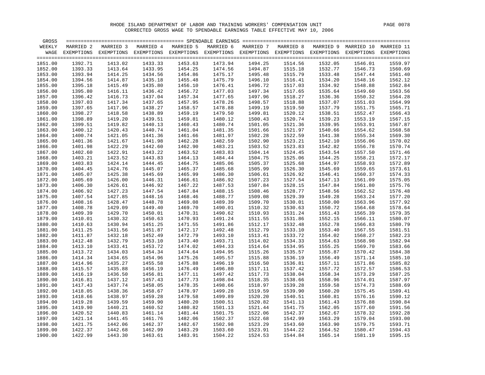| GROSS   |           |                                                                                                               |           |           |           |           |           |         |                                 |         |
|---------|-----------|---------------------------------------------------------------------------------------------------------------|-----------|-----------|-----------|-----------|-----------|---------|---------------------------------|---------|
| WEEKLY  | MARRIED 2 | MARRIED 3                                                                                                     | MARRIED 4 | MARRIED 5 | MARRIED 6 | MARRIED 7 | MARRIED 8 |         | MARRIED 9 MARRIED 10 MARRIED 11 |         |
| WAGE    |           | EXEMPTIONS EXEMPTIONS EXEMPTIONS EXEMPTIONS EXEMPTIONS EXEMPTIONS EXEMPTIONS EXEMPTIONS EXEMPTIONS EXEMPTIONS |           |           |           |           |           |         |                                 |         |
|         |           |                                                                                                               |           |           |           |           |           |         |                                 |         |
| 1851.00 | 1392.71   | 1413.02                                                                                                       | 1433.33   | 1453.63   | 1473.94   | 1494.25   | 1514.56   | 1532.05 | 1546.01                         | 1559.97 |
| 1852.00 | 1393.33   | 1413.64                                                                                                       | 1433.95   | 1454.25   | 1474.56   | 1494.87   | 1515.18   | 1532.77 | 1546.73                         | 1560.69 |
| 1853.00 | 1393.94   | 1414.25                                                                                                       | 1434.56   | 1454.86   | 1475.17   | 1495.48   | 1515.79   | 1533.48 | 1547.44                         | 1561.40 |
| 1854.00 | 1394.56   | 1414.87                                                                                                       | 1435.18   | 1455.48   | 1475.79   | 1496.10   | 1516.41   | 1534.20 | 1548.16                         | 1562.12 |
| 1855.00 | 1395.18   | 1415.49                                                                                                       | 1435.80   | 1456.10   | 1476.41   | 1496.72   | 1517.03   | 1534.92 | 1548.88                         | 1562.84 |
| 1856.00 | 1395.80   | 1416.11                                                                                                       | 1436.42   | 1456.72   | 1477.03   | 1497.34   | 1517.65   | 1535.64 | 1549.60                         | 1563.56 |
| 1857.00 | 1396.42   | 1416.73                                                                                                       | 1437.04   | 1457.34   | 1477.65   | 1497.96   | 1518.27   | 1536.36 | 1550.32                         | 1564.28 |
| 1858.00 | 1397.03   | 1417.34                                                                                                       | 1437.65   | 1457.95   | 1478.26   | 1498.57   | 1518.88   | 1537.07 | 1551.03                         | 1564.99 |
| 1859.00 | 1397.65   | 1417.96                                                                                                       | 1438.27   | 1458.57   | 1478.88   | 1499.19   | 1519.50   | 1537.79 | 1551.75                         | 1565.71 |
| 1860.00 | 1398.27   | 1418.58                                                                                                       | 1438.89   | 1459.19   | 1479.50   | 1499.81   | 1520.12   | 1538.51 | 1552.47                         | 1566.43 |
| 1861.00 | 1398.89   | 1419.20                                                                                                       | 1439.51   | 1459.81   | 1480.12   | 1500.43   | 1520.74   | 1539.23 | 1553.19                         | 1567.15 |
| 1862.00 | 1399.51   | 1419.82                                                                                                       | 1440.13   | 1460.43   | 1480.74   | 1501.05   | 1521.36   | 1539.95 | 1553.91                         | 1567.87 |
| 1863.00 | 1400.12   | 1420.43                                                                                                       | 1440.74   | 1461.04   | 1481.35   | 1501.66   | 1521.97   | 1540.66 | 1554.62                         | 1568.58 |
| 1864.00 | 1400.74   | 1421.05                                                                                                       | 1441.36   | 1461.66   | 1481.97   | 1502.28   | 1522.59   | 1541.38 | 1555.34                         | 1569.30 |
| 1865.00 | 1401.36   | 1421.67                                                                                                       | 1441.98   | 1462.28   | 1482.59   | 1502.90   | 1523.21   | 1542.10 | 1556.06                         | 1570.02 |
| 1866.00 | 1401.98   | 1422.29                                                                                                       | 1442.60   | 1462.90   | 1483.21   | 1503.52   | 1523.83   | 1542.82 | 1556.78                         | 1570.74 |
| 1867.00 | 1402.60   | 1422.91                                                                                                       | 1443.22   | 1463.52   | 1483.83   | 1504.14   | 1524.45   | 1543.54 | 1557.50                         | 1571.46 |
| 1868.00 | 1403.21   | 1423.52                                                                                                       | 1443.83   | 1464.13   | 1484.44   | 1504.75   | 1525.06   | 1544.25 | 1558.21                         | 1572.17 |
| 1869.00 | 1403.83   | 1424.14                                                                                                       | 1444.45   | 1464.75   | 1485.06   | 1505.37   | 1525.68   | 1544.97 | 1558.93                         | 1572.89 |
| 1870.00 | 1404.45   | 1424.76                                                                                                       | 1445.07   | 1465.37   | 1485.68   | 1505.99   | 1526.30   | 1545.69 | 1559.65                         | 1573.61 |
| 1871.00 | 1405.07   | 1425.38                                                                                                       | 1445.69   | 1465.99   | 1486.30   | 1506.61   | 1526.92   | 1546.41 | 1560.37                         | 1574.33 |
| 1872.00 | 1405.69   | 1426.00                                                                                                       | 1446.31   | 1466.61   | 1486.92   | 1507.23   | 1527.54   | 1547.13 | 1561.09                         | 1575.05 |
| 1873.00 | 1406.30   | 1426.61                                                                                                       | 1446.92   | 1467.22   | 1487.53   | 1507.84   | 1528.15   | 1547.84 | 1561.80                         | 1575.76 |
| 1874.00 | 1406.92   | 1427.23                                                                                                       | 1447.54   | 1467.84   | 1488.15   | 1508.46   | 1528.77   | 1548.56 | 1562.52                         | 1576.48 |
| 1875.00 | 1407.54   | 1427.85                                                                                                       | 1448.16   | 1468.46   | 1488.77   | 1509.08   | 1529.39   | 1549.28 | 1563.24                         | 1577.20 |
| 1876.00 | 1408.16   | 1428.47                                                                                                       | 1448.78   | 1469.08   | 1489.39   | 1509.70   | 1530.01   | 1550.00 | 1563.96                         | 1577.92 |
| 1877.00 | 1408.78   | 1429.09                                                                                                       | 1449.40   | 1469.70   | 1490.01   | 1510.32   | 1530.63   | 1550.72 | 1564.68                         | 1578.64 |
| 1878.00 | 1409.39   | 1429.70                                                                                                       | 1450.01   | 1470.31   | 1490.62   | 1510.93   | 1531.24   | 1551.43 | 1565.39                         | 1579.35 |
| 1879.00 | 1410.01   | 1430.32                                                                                                       | 1450.63   | 1470.93   | 1491.24   | 1511.55   | 1531.86   | 1552.15 | 1566.11                         | 1580.07 |
| 1880.00 | 1410.63   | 1430.94                                                                                                       | 1451.25   | 1471.55   | 1491.86   | 1512.17   | 1532.48   | 1552.78 | 1566.83                         | 1580.79 |
| 1881.00 | 1411.25   | 1431.56                                                                                                       | 1451.87   | 1472.17   | 1492.48   | 1512.79   | 1533.10   | 1553.40 | 1567.55                         | 1581.51 |
| 1882.00 | 1411.87   | 1432.18                                                                                                       | 1452.49   | 1472.79   | 1493.10   | 1513.41   | 1533.72   | 1554.02 | 1568.27                         | 1582.23 |
| 1883.00 | 1412.48   | 1432.79                                                                                                       | 1453.10   | 1473.40   | 1493.71   | 1514.02   | 1534.33   | 1554.63 | 1568.98                         | 1582.94 |
| 1884.00 | 1413.10   | 1433.41                                                                                                       | 1453.72   | 1474.02   | 1494.33   | 1514.64   | 1534.95   | 1555.25 | 1569.70                         | 1583.66 |
| 1885.00 | 1413.72   | 1434.03                                                                                                       | 1454.34   | 1474.64   | 1494.95   | 1515.26   | 1535.57   | 1555.87 | 1570.42                         | 1584.38 |
| 1886.00 | 1414.34   | 1434.65                                                                                                       | 1454.96   | 1475.26   | 1495.57   | 1515.88   | 1536.19   | 1556.49 | 1571.14                         | 1585.10 |
| 1887.00 | 1414.96   | 1435.27                                                                                                       | 1455.58   | 1475.88   | 1496.19   | 1516.50   | 1536.81   | 1557.11 | 1571.86                         | 1585.82 |
| 1888.00 | 1415.57   | 1435.88                                                                                                       | 1456.19   | 1476.49   | 1496.80   | 1517.11   | 1537.42   | 1557.72 | 1572.57                         | 1586.53 |
| 1889.00 | 1416.19   | 1436.50                                                                                                       | 1456.81   | 1477.11   | 1497.42   | 1517.73   | 1538.04   | 1558.34 | 1573.29                         | 1587.25 |
| 1890.00 | 1416.81   | 1437.12                                                                                                       | 1457.43   | 1477.73   | 1498.04   | 1518.35   | 1538.66   | 1558.96 | 1574.01                         | 1587.97 |
| 1891.00 | 1417.43   | 1437.74                                                                                                       | 1458.05   | 1478.35   | 1498.66   | 1518.97   | 1539.28   | 1559.58 | 1574.73                         | 1588.69 |
| 1892.00 | 1418.05   | 1438.36                                                                                                       | 1458.67   | 1478.97   | 1499.28   | 1519.59   | 1539.90   | 1560.20 | 1575.45                         | 1589.41 |
| 1893.00 | 1418.66   | 1438.97                                                                                                       | 1459.28   | 1479.58   | 1499.89   | 1520.20   | 1540.51   | 1560.81 | 1576.16                         | 1590.12 |
| 1894.00 | 1419.28   | 1439.59                                                                                                       | 1459.90   | 1480.20   | 1500.51   | 1520.82   | 1541.13   | 1561.43 | 1576.88                         | 1590.84 |
| 1895.00 | 1419.90   | 1440.21                                                                                                       | 1460.52   | 1480.82   | 1501.13   | 1521.44   | 1541.75   | 1562.05 | 1577.60                         | 1591.56 |
| 1896.00 | 1420.52   | 1440.83                                                                                                       | 1461.14   | 1481.44   | 1501.75   | 1522.06   | 1542.37   | 1562.67 | 1578.32                         | 1592.28 |
| 1897.00 | 1421.14   | 1441.45                                                                                                       | 1461.76   | 1482.06   | 1502.37   | 1522.68   | 1542.99   | 1563.29 | 1579.04                         | 1593.00 |
| 1898.00 | 1421.75   | 1442.06                                                                                                       | 1462.37   | 1482.67   | 1502.98   | 1523.29   | 1543.60   | 1563.90 | 1579.75                         | 1593.71 |
| 1899.00 | 1422.37   | 1442.68                                                                                                       | 1462.99   | 1483.29   | 1503.60   | 1523.91   | 1544.22   | 1564.52 | 1580.47                         | 1594.43 |
| 1900.00 | 1422.99   | 1443.30                                                                                                       | 1463.61   | 1483.91   | 1504.22   | 1524.53   | 1544.84   | 1565.14 | 1581.19                         | 1595.15 |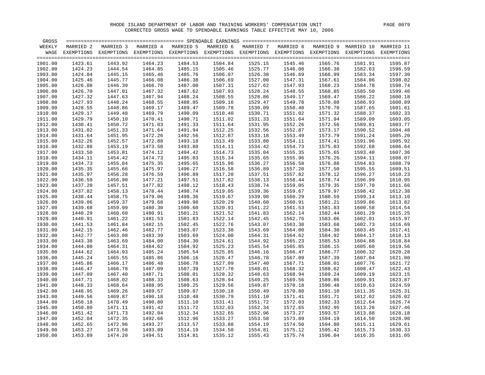| GROSS   |           |                                                                                                    |           |           |           |           |           |         |                                 |            |
|---------|-----------|----------------------------------------------------------------------------------------------------|-----------|-----------|-----------|-----------|-----------|---------|---------------------------------|------------|
| WEEKLY  | MARRIED 2 | MARRIED 3                                                                                          | MARRIED 4 | MARRIED 5 | MARRIED 6 | MARRIED 7 | MARRIED 8 |         | MARRIED 9 MARRIED 10 MARRIED 11 |            |
| WAGE    |           | EXEMPTIONS EXEMPTIONS EXEMPTIONS EXEMPTIONS EXEMPTIONS EXEMPTIONS EXEMPTIONS EXEMPTIONS EXEMPTIONS |           |           |           |           |           |         |                                 | EXEMPTIONS |
|         |           |                                                                                                    |           |           |           |           |           |         |                                 |            |
| 1901.00 | 1423.61   | 1443.92                                                                                            | 1464.23   | 1484.53   | 1504.84   | 1525.15   | 1545.46   | 1565.76 | 1581.91                         | 1595.87    |
| 1902.00 | 1424.23   | 1444.54                                                                                            | 1464.85   | 1485.15   | 1505.46   | 1525.77   | 1546.08   | 1566.38 | 1582.63                         | 1596.59    |
| 1903.00 | 1424.84   | 1445.15                                                                                            | 1465.46   | 1485.76   | 1506.07   | 1526.38   | 1546.69   | 1566.99 | 1583.34                         | 1597.30    |
| 1904.00 | 1425.46   | 1445.77                                                                                            | 1466.08   | 1486.38   | 1506.69   | 1527.00   | 1547.31   | 1567.61 | 1584.06                         | 1598.02    |
| 1905.00 | 1426.08   | 1446.39                                                                                            | 1466.70   | 1487.00   | 1507.31   | 1527.62   | 1547.93   | 1568.23 | 1584.78                         | 1598.74    |
| 1906.00 | 1426.70   | 1447.01                                                                                            | 1467.32   | 1487.62   | 1507.93   | 1528.24   | 1548.55   | 1568.85 | 1585.50                         | 1599.46    |
| 1907.00 | 1427.32   | 1447.63                                                                                            | 1467.94   | 1488.24   | 1508.55   | 1528.86   | 1549.17   | 1569.47 | 1586.22                         | 1600.18    |
| 1908.00 | 1427.93   | 1448.24                                                                                            | 1468.55   | 1488.85   | 1509.16   | 1529.47   | 1549.78   | 1570.08 | 1586.93                         | 1600.89    |
| 1909.00 | 1428.55   | 1448.86                                                                                            | 1469.17   | 1489.47   | 1509.78   | 1530.09   | 1550.40   | 1570.70 | 1587.65                         | 1601.61    |
| 1910.00 | 1429.17   | 1449.48                                                                                            | 1469.79   | 1490.09   | 1510.40   | 1530.71   | 1551.02   | 1571.32 | 1588.37                         | 1602.33    |
| 1911.00 | 1429.79   | 1450.10                                                                                            | 1470.41   | 1490.71   | 1511.02   | 1531.33   | 1551.64   | 1571.94 | 1589.09                         | 1603.05    |
| 1912.00 | 1430.41   | 1450.72                                                                                            | 1471.03   | 1491.33   | 1511.64   | 1531.95   | 1552.26   | 1572.56 | 1589.81                         | 1603.77    |
| 1913.00 | 1431.02   | 1451.33                                                                                            | 1471.64   | 1491.94   | 1512.25   | 1532.56   | 1552.87   | 1573.17 | 1590.52                         | 1604.48    |
| 1914.00 | 1431.64   | 1451.95                                                                                            | 1472.26   | 1492.56   | 1512.87   | 1533.18   | 1553.49   | 1573.79 | 1591.24                         | 1605.20    |
| 1915.00 | 1432.26   | 1452.57                                                                                            | 1472.88   | 1493.18   | 1513.49   | 1533.80   | 1554.11   | 1574.41 | 1591.96                         | 1605.92    |
| 1916.00 | 1432.88   | 1453.19                                                                                            | 1473.50   | 1493.80   | 1514.11   | 1534.42   | 1554.73   | 1575.03 | 1592.68                         | 1606.64    |
| 1917.00 | 1433.50   | 1453.81                                                                                            | 1474.12   | 1494.42   | 1514.73   | 1535.04   | 1555.35   | 1575.65 | 1593.40                         | 1607.36    |
| 1918.00 | 1434.11   | 1454.42                                                                                            | 1474.73   | 1495.03   | 1515.34   | 1535.65   | 1555.96   | 1576.26 | 1594.11                         | 1608.07    |
| 1919.00 | 1434.73   | 1455.04                                                                                            | 1475.35   | 1495.65   | 1515.96   | 1536.27   | 1556.58   | 1576.88 | 1594.83                         | 1608.79    |
| 1920.00 | 1435.35   | 1455.66                                                                                            | 1475.97   | 1496.27   | 1516.58   | 1536.89   | 1557.20   | 1577.50 | 1595.55                         | 1609.51    |
| 1921.00 | 1435.97   | 1456.28                                                                                            | 1476.59   | 1496.89   | 1517.20   | 1537.51   | 1557.82   | 1578.12 | 1596.27                         | 1610.23    |
| 1922.00 | 1436.59   | 1456.90                                                                                            | 1477.21   | 1497.51   | 1517.82   | 1538.13   | 1558.44   | 1578.74 | 1596.99                         | 1610.95    |
| 1923.00 | 1437.20   | 1457.51                                                                                            | 1477.82   | 1498.12   | 1518.43   | 1538.74   | 1559.05   | 1579.35 | 1597.70                         | 1611.66    |
| 1924.00 | 1437.82   | 1458.13                                                                                            | 1478.44   | 1498.74   | 1519.05   | 1539.36   | 1559.67   | 1579.97 | 1598.42                         | 1612.38    |
| 1925.00 | 1438.44   | 1458.75                                                                                            | 1479.06   | 1499.36   | 1519.67   | 1539.98   | 1560.29   | 1580.59 | 1599.14                         | 1613.10    |
| 1926.00 | 1439.06   | 1459.37                                                                                            | 1479.68   | 1499.98   | 1520.29   | 1540.60   | 1560.91   | 1581.21 | 1599.86                         | 1613.82    |
| 1927.00 | 1439.68   | 1459.99                                                                                            | 1480.30   | 1500.60   | 1520.91   | 1541.22   | 1561.53   | 1581.83 | 1600.58                         | 1614.54    |
| 1928.00 | 1440.29   | 1460.60                                                                                            | 1480.91   | 1501.21   | 1521.52   | 1541.83   | 1562.14   | 1582.44 | 1601.29                         | 1615.25    |
| 1929.00 | 1440.91   | 1461.22                                                                                            | 1481.53   | 1501.83   | 1522.14   | 1542.45   | 1562.76   | 1583.06 | 1602.01                         | 1615.97    |
| 1930.00 | 1441.53   | 1461.84                                                                                            | 1482.15   | 1502.45   | 1522.76   | 1543.07   | 1563.38   | 1583.68 | 1602.73                         | 1616.69    |
| 1931.00 | 1442.15   | 1462.46                                                                                            | 1482.77   | 1503.07   | 1523.38   | 1543.69   | 1564.00   | 1584.30 | 1603.45                         | 1617.41    |
| 1932.00 | 1442.77   | 1463.08                                                                                            | 1483.39   | 1503.69   | 1524.00   | 1544.31   | 1564.62   | 1584.92 | 1604.17                         | 1618.13    |
| 1933.00 | 1443.38   | 1463.69                                                                                            | 1484.00   | 1504.30   | 1524.61   | 1544.92   | 1565.23   | 1585.53 | 1604.88                         | 1618.84    |
| 1934.00 | 1444.00   | 1464.31                                                                                            | 1484.62   | 1504.92   | 1525.23   | 1545.54   | 1565.85   | 1586.15 | 1605.60                         | 1619.56    |
| 1935.00 | 1444.62   | 1464.93                                                                                            | 1485.24   | 1505.54   | 1525.85   | 1546.16   | 1566.47   | 1586.77 | 1606.32                         | 1620.28    |
| 1936.00 | 1445.24   | 1465.55                                                                                            | 1485.86   | 1506.16   | 1526.47   | 1546.78   | 1567.09   | 1587.39 | 1607.04                         | 1621.00    |
| 1937.00 | 1445.86   | 1466.17                                                                                            | 1486.48   | 1506.78   | 1527.09   | 1547.40   | 1567.71   | 1588.01 | 1607.76                         | 1621.72    |
| 1938.00 | 1446.47   | 1466.78                                                                                            | 1487.09   | 1507.39   | 1527.70   | 1548.01   | 1568.32   | 1588.62 | 1608.47                         | 1622.43    |
| 1939.00 | 1447.09   | 1467.40                                                                                            | 1487.71   | 1508.01   | 1528.32   | 1548.63   | 1568.94   | 1589.24 | 1609.19                         | 1623.15    |
| 1940.00 | 1447.71   | 1468.02                                                                                            | 1488.33   | 1508.63   | 1528.94   | 1549.25   | 1569.56   | 1589.86 | 1609.91                         | 1623.87    |
| 1941.00 | 1448.33   | 1468.64                                                                                            | 1488.95   | 1509.25   | 1529.56   | 1549.87   | 1570.18   | 1590.48 | 1610.63                         | 1624.59    |
| 1942.00 | 1448.95   | 1469.26                                                                                            | 1489.57   | 1509.87   | 1530.18   | 1550.49   | 1570.80   | 1591.10 | 1611.35                         | 1625.31    |
| 1943.00 | 1449.56   | 1469.87                                                                                            | 1490.18   | 1510.48   | 1530.79   | 1551.10   | 1571.41   | 1591.71 | 1612.02                         | 1626.02    |
| 1944.00 | 1450.18   | 1470.49                                                                                            | 1490.80   | 1511.10   | 1531.41   | 1551.72   | 1572.03   | 1592.33 | 1612.64                         | 1626.74    |
| 1945.00 | 1450.80   | 1471.11                                                                                            | 1491.42   | 1511.72   | 1532.03   | 1552.34   | 1572.65   | 1592.95 | 1613.26                         | 1627.46    |
| 1946.00 | 1451.42   | 1471.73                                                                                            | 1492.04   | 1512.34   | 1532.65   | 1552.96   | 1573.27   | 1593.57 | 1613.88                         | 1628.18    |
| 1947.00 | 1452.04   | 1472.35                                                                                            | 1492.66   | 1512.96   | 1533.27   | 1553.58   | 1573.89   | 1594.19 | 1614.50                         | 1628.90    |
| 1948.00 | 1452.65   | 1472.96                                                                                            | 1493.27   | 1513.57   | 1533.88   | 1554.19   | 1574.50   | 1594.80 | 1615.11                         | 1629.61    |
| 1949.00 | 1453.27   | 1473.58                                                                                            | 1493.89   | 1514.19   | 1534.50   | 1554.81   | 1575.12   | 1595.42 | 1615.73                         | 1630.33    |
| 1950.00 | 1453.89   | 1474.20                                                                                            | 1494.51   | 1514.81   | 1535.12   | 1555.43   | 1575.74   | 1596.04 | 1616.35                         | 1631.05    |